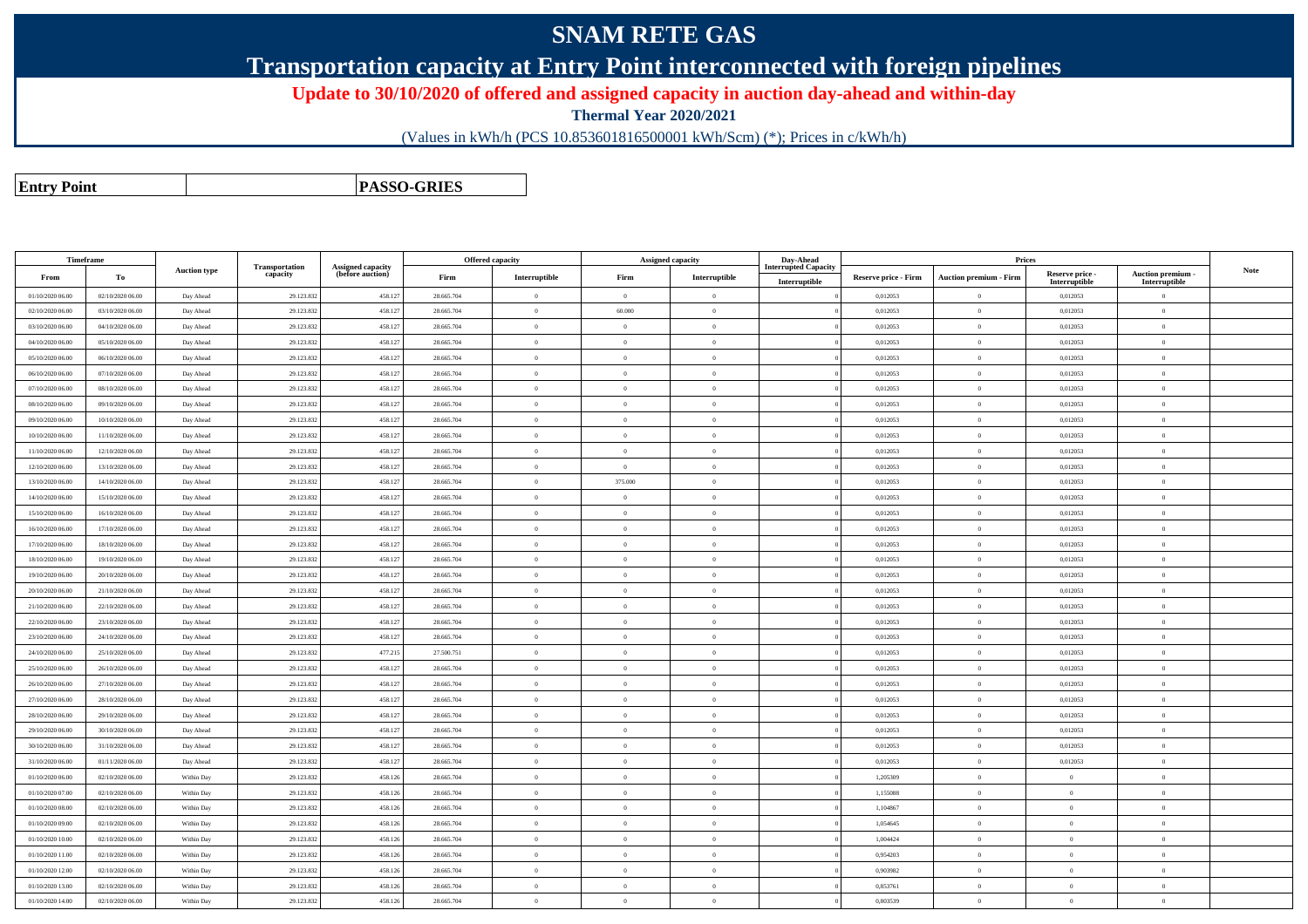## **SNAM RETE GAS**

**Transportation capacity at Entry Point interconnected with foreign pipelines**

**Update to 30/10/2020 of offered and assigned capacity in auction day-ahead and within-day**

**Thermal Year 2020/2021**

(Values in kWh/h (PCS 10.853601816500001 kWh/Scm) (\*); Prices in c/kWh/h)

**Entry Point**

**PASSO-GRIES**

| Timeframe        |                  |                     |                                   |                                       |            | Offered capacity | <b>Assigned capacity</b> |                | Day-Ahead                   |                             | Prices                        |                           |                           |             |
|------------------|------------------|---------------------|-----------------------------------|---------------------------------------|------------|------------------|--------------------------|----------------|-----------------------------|-----------------------------|-------------------------------|---------------------------|---------------------------|-------------|
| From             | To               | <b>Auction type</b> | <b>Transportation</b><br>capacity | Assigned capacity<br>(before auction) | Firm       | Interruptible    | Firm                     | Interruptible  | <b>Interrupted Capacity</b> | <b>Reserve price - Firm</b> | <b>Auction premium - Firm</b> | Reserve price -           | Auction premium -         | <b>Note</b> |
| 01/10/2020 06:00 | 02/10/2020 06:00 | Day Ahead           | 29.123.832                        | 458.127                               | 28.665.704 | $\overline{0}$   | $\Omega$                 | $\overline{0}$ | Interruptible               | 0,012053                    | $\theta$                      | Interruptible<br>0,012053 | Interruptible<br>$\theta$ |             |
| 02/10/2020 06:00 | 03/10/2020 06:00 | Day Ahead           | 29.123.832                        | 458.127                               | 28.665.704 | $\overline{0}$   | 60.000                   | $\overline{0}$ |                             | 0,012053                    | $\,$ 0                        | 0,012053                  | $\,0\,$                   |             |
| 03/10/2020 06:00 | 04/10/2020 06:00 | Day Ahead           | 29.123.832                        | 458.127                               | 28.665.704 | $\overline{0}$   | $\Omega$                 | $\overline{0}$ |                             | 0,012053                    | $\theta$                      | 0,012053                  | $\overline{0}$            |             |
| 04/10/2020 06.00 | 05/10/2020 06:00 | Day Ahead           | 29.123.832                        | 458.127                               | 28.665.704 | $\overline{0}$   | $\Omega$                 | $\overline{0}$ |                             | 0.012053                    | $\theta$                      | 0.012053                  | $\theta$                  |             |
| 05/10/2020 06:00 | 06/10/2020 06:00 | Day Ahead           | 29.123.832                        | 458.127                               | 28.665.704 | $\bf{0}$         | $\Omega$                 | $\overline{0}$ |                             | 0,012053                    | $\theta$                      | 0,012053                  | $\theta$                  |             |
| 06/10/2020 06:00 | 07/10/2020 06:00 | Day Ahead           | 29.123.832                        | 458.127                               | 28.665.704 | $\overline{0}$   | $\Omega$                 | $\overline{0}$ |                             | 0,012053                    | $\overline{0}$                | 0,012053                  | $\theta$                  |             |
| 07/10/2020 06:00 | 08/10/2020 06:00 | Day Ahead           | 29.123.832                        | 458.127                               | 28.665.704 | $\overline{0}$   | $\Omega$                 | $\overline{0}$ |                             | 0.012053                    | $\overline{0}$                | 0.012053                  | $\overline{0}$            |             |
| 08/10/2020 06.00 | 09/10/2020 06:00 | Day Ahead           | 29.123.832                        | 458.127                               | 28.665.704 | $\overline{0}$   | $\Omega$                 | $\overline{0}$ |                             | 0.012053                    | $\theta$                      | 0.012053                  | $\theta$                  |             |
| 09/10/2020 06:00 | 10/10/2020 06:00 | Day Ahead           | 29.123.832                        | 458.127                               | 28.665.704 | $\overline{0}$   | $\Omega$                 | $\Omega$       |                             | 0.012053                    | $\theta$                      | 0.012053                  | $\theta$                  |             |
| 10/10/2020 06:00 | 11/10/2020 06:00 | Day Ahead           | 29.123.832                        | 458.127                               | 28.665.704 | $\bf{0}$         | $\Omega$                 | $\overline{0}$ |                             | 0,012053                    | $\overline{0}$                | 0,012053                  | $\theta$                  |             |
| 11/10/2020 06:00 | 12/10/2020 06:00 | Day Ahead           | 29.123.832                        | 458.127                               | 28.665.704 | $\overline{0}$   | $\Omega$                 | $\overline{0}$ |                             | 0.012053                    | $\theta$                      | 0,012053                  | $\theta$                  |             |
| 12/10/2020 06.00 | 13/10/2020 06:00 | Day Ahead           | 29.123.832                        | 458.127                               | 28.665.704 | $\overline{0}$   | $\Omega$                 | $\Omega$       |                             | 0.012053                    | $\theta$                      | 0.012053                  | $\Omega$                  |             |
| 13/10/2020 06:00 | 14/10/2020 06:00 | Day Ahead           | 29.123.832                        | 458.127                               | 28.665.704 | $\overline{0}$   | 375.000                  | $\overline{0}$ |                             | 0,012053                    | $\theta$                      | 0,012053                  | $\theta$                  |             |
| 14/10/2020 06:00 | 15/10/2020 06:00 | Day Ahead           | 29.123.832                        | 458.127                               | 28.665.704 | $\bf{0}$         | $\Omega$                 | $\overline{0}$ |                             | 0,012053                    | $\overline{0}$                | 0,012053                  | $\theta$                  |             |
| 15/10/2020 06:00 | 16/10/2020 06:00 | Day Ahead           | 29.123.832                        | 458.127                               | 28.665.704 | $\overline{0}$   | $\Omega$                 | $\overline{0}$ |                             | 0,012053                    | $\theta$                      | 0,012053                  | $\theta$                  |             |
| 16/10/2020 06:00 | 17/10/2020 06:00 | Day Ahead           | 29.123.832                        | 458.127                               | 28.665.704 | $\theta$         | $\Omega$                 | $\overline{0}$ |                             | 0.012053                    | $\theta$                      | 0.012053                  | $\theta$                  |             |
| 17/10/2020 06:00 | 18/10/2020 06:00 | Day Ahead           | 29.123.832                        | 458.127                               | 28.665.704 | $\overline{0}$   | $\Omega$                 | $\overline{0}$ |                             | 0,012053                    | $\overline{0}$                | 0,012053                  | $\overline{0}$            |             |
| 18/10/2020 06:00 | 19/10/2020 06:00 | Day Ahead           | 29.123.832                        | 458.127                               | 28 665 704 | $\bf{0}$         | $\Omega$                 | $\overline{0}$ |                             | 0.012053                    | $\theta$                      | 0.012053                  | $\theta$                  |             |
| 19/10/2020 06:00 | 20/10/2020 06:00 | Day Ahead           | 29.123.832                        | 458.127                               | 28.665.704 | $\overline{0}$   | $\Omega$                 | $\overline{0}$ |                             | 0.012053                    | $\Omega$                      | 0.012053                  | $\theta$                  |             |
| 20/10/2020 06:00 | 21/10/2020 06:00 | Day Ahead           | 29.123.832                        | 458.127                               | 28.665.704 | $\theta$         | $\Omega$                 | $\overline{0}$ |                             | 0.012053                    | $\theta$                      | 0.012053                  | $\theta$                  |             |
| 21/10/2020 06:00 | 22/10/2020 06:00 | Day Ahead           | 29.123.832                        | 458.127                               | 28.665.704 | $\overline{0}$   | $\overline{0}$           | $\overline{0}$ |                             | 0,012053                    | $\theta$                      | 0,012053                  | $\mathbf{0}$              |             |
| 22/10/2020 06:00 | 23/10/2020 06:00 | Day Ahead           | 29.123.832                        | 458.127                               | 28.665.704 | $\bf{0}$         | $\theta$                 | $\overline{0}$ |                             | 0,012053                    | $\overline{0}$                | 0,012053                  | $\theta$                  |             |
| 23/10/2020 06:00 | 24/10/2020 06:00 | Day Ahead           | 29.123.832                        | 458.127                               | 28.665.704 | $\overline{0}$   | $\Omega$                 | $\overline{0}$ |                             | 0.012053                    | $\Omega$                      | 0.012053                  | $\theta$                  |             |
| 24/10/2020 06:00 | 25/10/2020 06:00 | Day Ahead           | 29.123.832                        | 477.215                               | 27.500.751 | $\overline{0}$   | $\Omega$                 | $\overline{0}$ |                             | 0.012053                    | $\theta$                      | 0.012053                  | $\theta$                  |             |
| 25/10/2020 06:00 | 26/10/2020 06:00 | Day Ahead           | 29.123.832                        | 458.127                               | 28.665.704 | $\overline{0}$   | $\overline{0}$           | $\overline{0}$ |                             | 0,012053                    | $\overline{0}$                | 0,012053                  | $\mathbf{0}$              |             |
| 26/10/2020 06:00 | 27/10/2020 06:00 | Day Ahead           | 29.123.832                        | 458.127                               | 28.665.704 | $\overline{0}$   | $\overline{0}$           | $\overline{0}$ |                             | 0,012053                    | $\overline{0}$                | 0,012053                  | $\theta$                  |             |
| 27/10/2020 06:00 | 28/10/2020 06:00 | Day Ahead           | 29.123.832                        | 458.127                               | 28.665.704 | $\overline{0}$   | $\Omega$                 | $\overline{0}$ |                             | 0.012053                    | $\Omega$                      | 0.012053                  | $\theta$                  |             |
| 28/10/2020 06:00 | 29/10/2020 06:00 | Day Ahead           | 29.123.832                        | 458.127                               | 28.665.704 | $\overline{0}$   | $\theta$                 | $\overline{0}$ |                             | 0,012053                    | $\overline{0}$                | 0,012053                  | $\theta$                  |             |
| 29/10/2020 06:00 | 30/10/2020 06:00 | Day Ahead           | 29.123.832                        | 458.127                               | 28.665.704 | $\overline{0}$   | $\overline{0}$           | $\overline{0}$ |                             | 0,012053                    | $\overline{0}$                | 0,012053                  | $\theta$                  |             |
| 30/10/2020 06.00 | 31/10/2020 06:00 | Day Ahead           | 29.123.832                        | 458.127                               | 28.665.704 | $\overline{0}$   | $\overline{0}$           | $\overline{0}$ |                             | 0,012053                    | $\overline{0}$                | 0,012053                  | $\theta$                  |             |
| 31/10/2020 06:00 | 01/11/2020 06:00 | Day Ahead           | 29.123.832                        | 458.127                               | 28.665.704 | $\overline{0}$   | $\Omega$                 | $\overline{0}$ |                             | 0,012053                    | $\overline{0}$                | 0,012053                  | $\theta$                  |             |
| 01/10/2020 06:00 | 02/10/2020 06:00 | Within Day          | 29.123.832                        | 458.126                               | 28.665.704 | $\overline{0}$   | $\Omega$                 | $\overline{0}$ |                             | 1,205309                    | $\overline{0}$                |                           | $\theta$                  |             |
| 01/10/2020 07:00 | 02/10/2020 06:00 | Within Day          | 29.123.832                        | 458.126                               | 28.665.704 | $\overline{0}$   | $\theta$                 | $\overline{0}$ |                             | 1,155088                    | $\overline{0}$                | $\theta$                  | $\theta$                  |             |
| 01/10/2020 08:00 | 02/10/2020 06:00 | Within Day          | 29.123.83                         | 458.126                               | 28.665.704 | $\overline{0}$   | $\overline{0}$           | $\overline{0}$ |                             | 1,104867                    | $\,$ 0                        | $\overline{0}$            | $\,$ 0                    |             |
| 01/10/2020 09:00 | 02/10/2020 06:00 | Within Day          | 29.123.832                        | 458.126                               | 28.665.704 | $\overline{0}$   | $\Omega$                 | $\overline{0}$ |                             | 1,054645                    | $\overline{0}$                | $\theta$                  | $\theta$                  |             |
| 01/10/2020 10:00 | 02/10/2020 06:00 | Within Day          | 29.123.832                        | 458.126                               | 28.665.704 | $\overline{0}$   | $\theta$                 | $\overline{0}$ |                             | 1,004424                    | $\overline{0}$                | $\Omega$                  | $\theta$                  |             |
| 01/10/2020 11:00 | 02/10/2020 06:00 | Within Day          | 29.123.832                        | 458.126                               | 28.665.704 | $\overline{0}$   | $\overline{0}$           | $\overline{0}$ |                             | 0,954203                    | $\,$ 0                        | $\overline{0}$            | $\,$ 0                    |             |
| 01/10/2020 12:00 | 02/10/2020 06:00 | Within Day          | 29.123.832                        | 458.126                               | 28.665.704 | $\bf{0}$         | $\overline{0}$           | $\overline{0}$ |                             | 0,903982                    | $\overline{0}$                | $\theta$                  | $\,$ 0                    |             |
| 01/10/2020 13:00 | 02/10/2020 06:00 | Within Day          | 29.123.832                        | 458.126                               | 28.665.704 | $\theta$         | $\Omega$                 | $\overline{0}$ |                             | 0,853761                    | $\overline{0}$                | $\theta$                  | $\theta$                  |             |
| 01/10/2020 14:00 | 02/10/2020 06:00 | Within Day          | 29.123.832                        | 458.126                               | 28.665.704 | $\bf{0}$         | $\overline{0}$           | $\overline{0}$ |                             | 0,803539                    | $\overline{0}$                | $\overline{0}$            | $\overline{0}$            |             |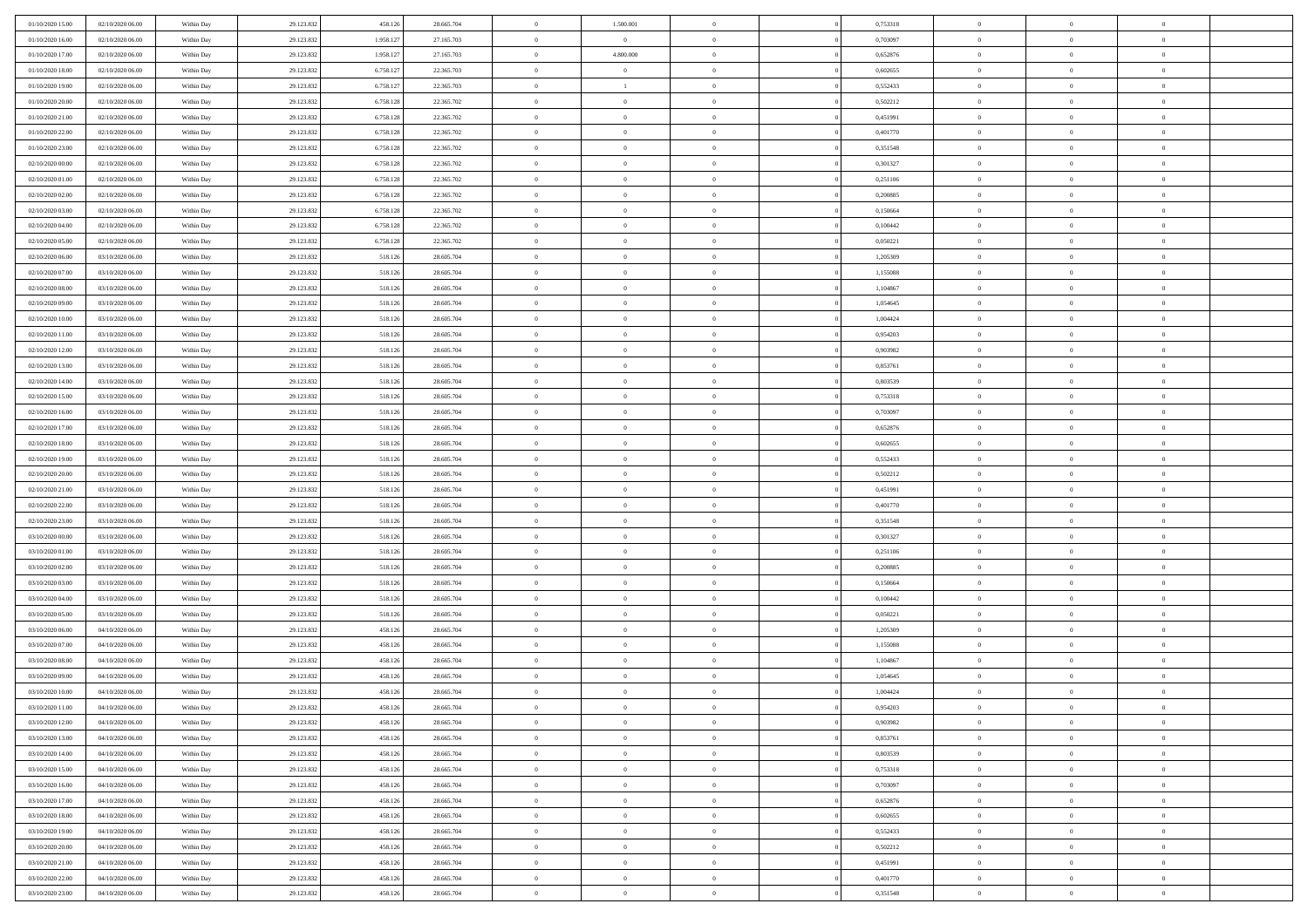| 01/10/2020 15:00 | 02/10/2020 06:00 | Within Day | 29.123.832 | 458.126   | 28.665.704 | $\bf{0}$       | 1.500.001      | $\overline{0}$ | 0,753318 | $\bf{0}$       | $\bf{0}$       | $\bf{0}$       |  |
|------------------|------------------|------------|------------|-----------|------------|----------------|----------------|----------------|----------|----------------|----------------|----------------|--|
| 01/10/2020 16:00 | 02/10/2020 06:00 | Within Day | 29.123.832 | 1.958.12  | 27.165.703 | $\overline{0}$ | $\overline{0}$ | $\Omega$       | 0.703097 | $\overline{0}$ | $\theta$       | $\theta$       |  |
| 01/10/2020 17:00 | 02/10/2020 06:00 | Within Day | 29.123.832 | 1.958.127 | 27.165.703 | $\overline{0}$ | 4.800.000      | $\overline{0}$ | 0,652876 | $\bf{0}$       | $\overline{0}$ | $\overline{0}$ |  |
| 01/10/2020 18:00 | 02/10/2020 06.00 | Within Day | 29.123.832 | 6.758.127 | 22.365.703 | $\bf{0}$       | $\overline{0}$ | $\overline{0}$ | 0,602655 | $\bf{0}$       | $\bf{0}$       | $\bf{0}$       |  |
| 01/10/2020 19:00 | 02/10/2020 06.00 | Within Day | 29.123.832 | 6.758.127 | 22.365.703 | $\bf{0}$       | $\mathbf{1}$   | $\overline{0}$ | 0,552433 | $\bf{0}$       | $\bf{0}$       | $\bf{0}$       |  |
| 01/10/2020 20:00 | 02/10/2020 06:00 | Within Day | 29.123.832 | 6.758.128 | 22.365.702 | $\overline{0}$ | $\overline{0}$ | $\overline{0}$ | 0,502212 | $\overline{0}$ | $\bf{0}$       | $\overline{0}$ |  |
| 01/10/2020 21:00 | 02/10/2020 06:00 | Within Day | 29.123.832 | 6.758.128 | 22.365.702 | $\bf{0}$       | $\overline{0}$ | $\overline{0}$ | 0,451991 | $\bf{0}$       | $\bf{0}$       | $\bf{0}$       |  |
| 01/10/2020 22.00 | 02/10/2020 06:00 | Within Day | 29.123.832 | 6.758.128 | 22.365.702 | $\overline{0}$ | $\overline{0}$ | $\overline{0}$ | 0,401770 | $\bf{0}$       | $\mathbf{0}$   | $\overline{0}$ |  |
| 01/10/2020 23:00 | 02/10/2020 06:00 | Within Day | 29.123.832 | 6.758.128 | 22.365.702 | $\overline{0}$ | $\overline{0}$ | $\overline{0}$ | 0,351548 | $\overline{0}$ | $\overline{0}$ | $\overline{0}$ |  |
| 02/10/2020 00:00 | 02/10/2020 06:00 | Within Day | 29.123.832 | 6.758.128 | 22.365.702 | $\bf{0}$       | $\overline{0}$ | $\Omega$       | 0,301327 | $\bf{0}$       | $\bf{0}$       | $\bf{0}$       |  |
| 02/10/2020 01:00 | 02/10/2020 06.00 | Within Day | 29.123.832 | 6.758.128 | 22.365.702 | $\bf{0}$       | $\overline{0}$ | $\overline{0}$ | 0,251106 | $\bf{0}$       | $\bf{0}$       | $\overline{0}$ |  |
| 02/10/2020 02.00 | 02/10/2020 06:00 | Within Day | 29.123.832 | 6.758.128 | 22.365.702 | $\overline{0}$ | $\overline{0}$ | $\overline{0}$ | 0,200885 | $\bf{0}$       | $\overline{0}$ | $\overline{0}$ |  |
| 02/10/2020 03:00 | 02/10/2020 06:00 | Within Day | 29.123.832 | 6.758.128 | 22.365.702 | $\bf{0}$       | $\overline{0}$ | $\overline{0}$ | 0,150664 | $\bf{0}$       | $\overline{0}$ | $\bf{0}$       |  |
| 02/10/2020 04:00 | 02/10/2020 06:00 | Within Day | 29.123.832 | 6.758.128 | 22.365.702 | $\bf{0}$       | $\overline{0}$ | $\overline{0}$ | 0,100442 | $\bf{0}$       | $\bf{0}$       | $\bf{0}$       |  |
| 02/10/2020 05:00 | 02/10/2020 06:00 | Within Day | 29.123.832 | 6.758.128 | 22.365.702 | $\overline{0}$ | $\overline{0}$ | $\overline{0}$ | 0,050221 | $\overline{0}$ | $\overline{0}$ | $\overline{0}$ |  |
| 02/10/2020 06:00 | 03/10/2020 06.00 | Within Day | 29.123.832 | 518.126   | 28.605.704 | $\bf{0}$       | $\overline{0}$ | $\Omega$       | 1,205309 | $\bf{0}$       | $\bf{0}$       | $\bf{0}$       |  |
| 02/10/2020 07.00 | 03/10/2020 06.00 | Within Day | 29.123.832 | 518.126   | 28.605.704 | $\,$ 0 $\,$    | $\overline{0}$ | $\overline{0}$ | 1,155088 | $\bf{0}$       | $\mathbf{0}$   | $\overline{0}$ |  |
| 02/10/2020 08:00 | 03/10/2020 06:00 | Within Day | 29.123.832 | 518.126   | 28.605.704 | $\overline{0}$ | $\overline{0}$ | $\overline{0}$ | 1,104867 | $\overline{0}$ | $\overline{0}$ | $\overline{0}$ |  |
| 02/10/2020 09:00 | 03/10/2020 06.00 | Within Day | 29.123.832 | 518.126   | 28.605.704 | $\bf{0}$       | $\overline{0}$ | $\Omega$       | 1,054645 | $\bf{0}$       | $\bf{0}$       | $\bf{0}$       |  |
| 02/10/2020 10:00 | 03/10/2020 06.00 | Within Day | 29.123.832 | 518.126   | 28.605.704 | $\bf{0}$       | $\overline{0}$ | $\overline{0}$ | 1,004424 | $\bf{0}$       | $\bf{0}$       | $\bf{0}$       |  |
| 02/10/2020 11:00 | 03/10/2020 06:00 | Within Day | 29.123.832 | 518.126   | 28.605.704 | $\overline{0}$ | $\overline{0}$ | $\overline{0}$ | 0,954203 | $\bf{0}$       | $\overline{0}$ | $\overline{0}$ |  |
| 02/10/2020 12:00 | 03/10/2020 06.00 | Within Day | 29.123.832 | 518.126   | 28.605.704 | $\bf{0}$       | $\overline{0}$ | $\overline{0}$ | 0,903982 | $\bf{0}$       | $\bf{0}$       | $\bf{0}$       |  |
| 02/10/2020 13:00 | 03/10/2020 06.00 | Within Day | 29.123.832 | 518.126   | 28.605.704 | $\bf{0}$       | $\overline{0}$ | $\overline{0}$ | 0,853761 | $\bf{0}$       | $\bf{0}$       | $\bf{0}$       |  |
| 02/10/2020 14:00 | 03/10/2020 06:00 | Within Day | 29.123.832 | 518.126   | 28.605.704 | $\overline{0}$ | $\overline{0}$ | $\overline{0}$ | 0,803539 | $\overline{0}$ | $\bf{0}$       | $\overline{0}$ |  |
| 02/10/2020 15:00 | 03/10/2020 06.00 | Within Day | 29.123.832 | 518.126   | 28.605.704 | $\bf{0}$       | $\overline{0}$ | $\overline{0}$ | 0,753318 | $\bf{0}$       | $\bf{0}$       | $\bf{0}$       |  |
| 02/10/2020 16:00 | 03/10/2020 06.00 | Within Day | 29.123.832 | 518.126   | 28.605.704 | $\,$ 0         | $\overline{0}$ | $\overline{0}$ | 0,703097 | $\bf{0}$       | $\mathbf{0}$   | $\overline{0}$ |  |
| 02/10/2020 17:00 | 03/10/2020 06:00 | Within Day | 29.123.832 | 518.126   | 28.605.704 | $\overline{0}$ | $\overline{0}$ | $\overline{0}$ | 0,652876 | $\overline{0}$ | $\overline{0}$ | $\overline{0}$ |  |
| 02/10/2020 18:00 | 03/10/2020 06:00 | Within Day | 29.123.832 | 518.126   | 28.605.704 | $\bf{0}$       | $\overline{0}$ | $\Omega$       | 0,602655 | $\bf{0}$       | $\bf{0}$       | $\bf{0}$       |  |
| 02/10/2020 19:00 | 03/10/2020 06.00 | Within Day | 29.123.832 | 518.126   | 28.605.704 | $\bf{0}$       | $\overline{0}$ | $\overline{0}$ | 0,552433 | $\bf{0}$       | $\bf{0}$       | $\bf{0}$       |  |
| 02/10/2020 20:00 | 03/10/2020 06:00 | Within Day | 29.123.832 | 518.126   | 28.605.704 | $\overline{0}$ | $\overline{0}$ | $\overline{0}$ | 0,502212 | $\bf{0}$       | $\overline{0}$ | $\overline{0}$ |  |
| 02/10/2020 21:00 | 03/10/2020 06:00 | Within Day | 29.123.832 | 518.126   | 28.605.704 | $\,$ 0         | $\overline{0}$ | $\overline{0}$ | 0,451991 | $\bf{0}$       | $\bf{0}$       | $\,$ 0         |  |
| 02/10/2020 22.00 | 03/10/2020 06.00 | Within Day | 29.123.832 | 518.126   | 28.605.704 | $\bf{0}$       | $\overline{0}$ | $\overline{0}$ | 0,401770 | $\bf{0}$       | $\bf{0}$       | $\bf{0}$       |  |
| 02/10/2020 23:00 | 03/10/2020 06:00 | Within Day | 29.123.832 | 518.126   | 28.605.704 | $\overline{0}$ | $\overline{0}$ | $\overline{0}$ | 0,351548 | $\overline{0}$ | $\overline{0}$ | $\overline{0}$ |  |
| 03/10/2020 00:00 | 03/10/2020 06:00 | Within Day | 29.123.832 | 518.126   | 28.605.704 | $\overline{0}$ | $\overline{0}$ | $\theta$       | 0,301327 | $\bf{0}$       | $\overline{0}$ | $\,$ 0         |  |
| 03/10/2020 01:00 | 03/10/2020 06.00 | Within Day | 29.123.832 | 518.126   | 28.605.704 | $\bf{0}$       | $\overline{0}$ | $\overline{0}$ | 0,251106 | $\mathbf{0}$   | $\bf{0}$       | $\bf{0}$       |  |
| 03/10/2020 02:00 | 03/10/2020 06:00 | Within Day | 29.123.832 | 518.126   | 28.605.704 | $\overline{0}$ | $\overline{0}$ | $\overline{0}$ | 0,200885 | $\bf{0}$       | $\overline{0}$ | $\overline{0}$ |  |
| 03/10/2020 03:00 | 03/10/2020 06:00 | Within Day | 29.123.832 | 518.126   | 28.605.704 | $\overline{0}$ | $\overline{0}$ | $\overline{0}$ | 0,150664 | $\bf{0}$       | $\overline{0}$ | $\,$ 0         |  |
| 03/10/2020 04:00 | 03/10/2020 06.00 | Within Day | 29.123.832 | 518.126   | 28.605.704 | $\bf{0}$       | $\overline{0}$ | $\overline{0}$ | 0.100442 | $\bf{0}$       | $\bf{0}$       | $\bf{0}$       |  |
| 03/10/2020 05:00 | 03/10/2020 06:00 | Within Day | 29.123.832 | 518.126   | 28.605.704 | $\overline{0}$ | $\overline{0}$ | $\overline{0}$ | 0,050221 | $\bf{0}$       | $\overline{0}$ | $\overline{0}$ |  |
| 03/10/2020 06:00 | 04/10/2020 06:00 | Within Day | 29.123.832 | 458.126   | 28.665.704 | $\,$ 0         | $\overline{0}$ | $\overline{0}$ | 1,205309 | $\bf{0}$       | $\bf{0}$       | $\,$ 0         |  |
| 03/10/2020 07:00 | 04/10/2020 06.00 | Within Day | 29.123.832 | 458.126   | 28.665.704 | $\bf{0}$       | $\,$ 0 $\,$    | $\overline{0}$ | 1,155088 | $\bf{0}$       | $\overline{0}$ | $\bf{0}$       |  |
| 03/10/2020 08:00 | 04/10/2020 06:00 | Within Day | 29.123.832 | 458.126   | 28.665.704 | $\overline{0}$ | $\overline{0}$ | $\overline{0}$ | 1,104867 | $\overline{0}$ | $\bf{0}$       | $\overline{0}$ |  |
| 03/10/2020 09:00 | 04/10/2020 06.00 | Within Day | 29.123.832 | 458.126   | 28.665.704 | $\overline{0}$ | $\overline{0}$ | $\overline{0}$ | 1,054645 | $\overline{0}$ | $\overline{0}$ | $\,$ 0         |  |
| 03/10/2020 10:00 | 04/10/2020 06.00 | Within Day | 29.123.832 | 458.126   | 28.665.704 | $\bf{0}$       | $\overline{0}$ | $\overline{0}$ | 1,004424 | $\bf{0}$       | $\bf{0}$       | $\mathbf{0}$   |  |
| 03/10/2020 11:00 | 04/10/2020 06:00 | Within Day | 29.123.832 | 458.126   | 28.665.704 | $\overline{0}$ | $\theta$       |                | 0,954203 | $\bf{0}$       | $\mathbf{0}$   | $\overline{0}$ |  |
| 03/10/2020 12:00 | 04/10/2020 06:00 | Within Day | 29.123.832 | 458.126   | 28.665.704 | $\,$ 0         | $\overline{0}$ | $\overline{0}$ | 0,903982 | $\bf{0}$       | $\bf{0}$       | $\,$ 0         |  |
| 03/10/2020 13.00 | 04/10/2020 06:00 | Within Day | 29.123.832 | 458.126   | 28.665.704 | $\bf{0}$       | $\overline{0}$ | $\overline{0}$ | 0.853761 | $\bf{0}$       | $\mathbf{0}$   | $\overline{0}$ |  |
| 03/10/2020 14:00 | 04/10/2020 06:00 | Within Day | 29.123.832 | 458.126   | 28.665.704 | $\mathbf{0}$   | $\overline{0}$ | $\overline{0}$ | 0,803539 | $\overline{0}$ | $\bf{0}$       | $\mathbf{0}$   |  |
| 03/10/2020 15:00 | 04/10/2020 06:00 | Within Day | 29.123.832 | 458.126   | 28.665.704 | $\,$ 0 $\,$    | $\overline{0}$ | $\overline{0}$ | 0,753318 | $\,$ 0 $\,$    | $\bf{0}$       | $\,0\,$        |  |
| 03/10/2020 16:00 | 04/10/2020 06.00 | Within Day | 29.123.832 | 458.126   | 28.665.704 | $\,$ 0 $\,$    | $\,$ 0 $\,$    | $\overline{0}$ | 0,703097 | $\bf{0}$       | $\overline{0}$ | $\overline{0}$ |  |
| 03/10/2020 17:00 | 04/10/2020 06:00 | Within Day | 29.123.832 | 458.126   | 28.665.704 | $\mathbf{0}$   | $\overline{0}$ | $\overline{0}$ | 0,652876 | $\overline{0}$ | $\bf{0}$       | $\mathbf{0}$   |  |
| 03/10/2020 18:00 | 04/10/2020 06:00 | Within Day | 29.123.832 | 458.126   | 28.665.704 | $\,$ 0 $\,$    | $\overline{0}$ | $\overline{0}$ | 0,602655 | $\bf{0}$       | $\overline{0}$ | $\,0\,$        |  |
| 03/10/2020 19:00 | 04/10/2020 06.00 | Within Day | 29.123.832 | 458.126   | 28.665.704 | $\bf{0}$       | $\overline{0}$ | $\overline{0}$ | 0,552433 | $\bf{0}$       | $\mathbf{0}$   | $\overline{0}$ |  |
| 03/10/2020 20:00 | 04/10/2020 06:00 | Within Day | 29.123.832 | 458.126   | 28.665.704 | $\mathbf{0}$   | $\overline{0}$ | $\overline{0}$ | 0,502212 | $\overline{0}$ | $\overline{0}$ | $\mathbf{0}$   |  |
| 03/10/2020 21:00 | 04/10/2020 06:00 | Within Day | 29.123.832 | 458.126   | 28.665.704 | $\,$ 0 $\,$    | $\overline{0}$ | $\overline{0}$ | 0,451991 | $\bf{0}$       | $\overline{0}$ | $\,0\,$        |  |
| 03/10/2020 22:00 | 04/10/2020 06.00 | Within Day | 29.123.832 | 458.126   | 28.665.704 | $\mathbf{0}$   | $\overline{0}$ | $\overline{0}$ | 0.401770 | $\bf{0}$       | $\bf{0}$       | $\overline{0}$ |  |
| 03/10/2020 23.00 | 04/10/2020 06:00 | Within Day | 29.123.832 | 458.126   | 28.665.704 | $\overline{0}$ | $\overline{0}$ | $\overline{0}$ | 0,351548 | $\bf{0}$       | $\overline{0}$ | $\overline{0}$ |  |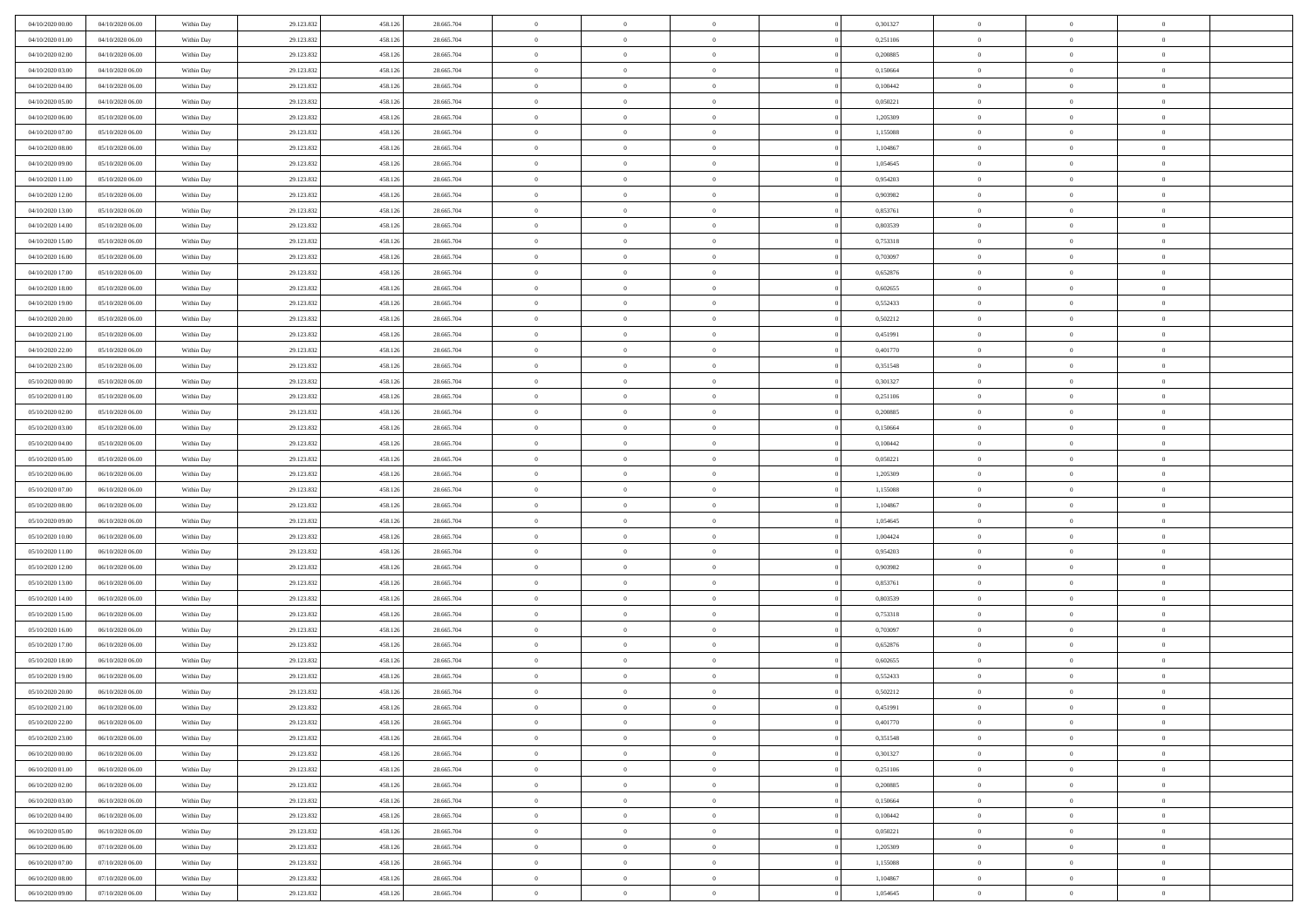| 04/10/2020 00:00 | 04/10/2020 06.00 | Within Day | 29.123.832 | 458.126 | 28.665.704 | $\,$ 0 $\,$    | $\overline{0}$ | $\overline{0}$ |          | 0,301327 | $\bf{0}$       | $\overline{0}$ | $\,0\,$        |  |
|------------------|------------------|------------|------------|---------|------------|----------------|----------------|----------------|----------|----------|----------------|----------------|----------------|--|
| 04/10/2020 01:00 | 04/10/2020 06.00 | Within Day | 29.123.832 | 458.126 | 28.665.704 | $\theta$       | $\overline{0}$ | $\mathbf{0}$   |          | 0,251106 | $\theta$       | $\overline{0}$ | $\theta$       |  |
| 04/10/2020 02:00 | 04/10/2020 06:00 | Within Dav | 29.123.832 | 458.126 | 28.665.704 | $\theta$       | $\overline{0}$ | $\overline{0}$ |          | 0,200885 | $\mathbf{0}$   | $\overline{0}$ | $\overline{0}$ |  |
| 04/10/2020 03:00 | 04/10/2020 06.00 | Within Day | 29.123.832 | 458.126 | 28.665.704 | $\,$ 0 $\,$    | $\overline{0}$ | $\overline{0}$ |          | 0,150664 | $\bf{0}$       | $\overline{0}$ | $\bf{0}$       |  |
| 04/10/2020 04:00 | 04/10/2020 06.00 | Within Day | 29.123.832 | 458.126 | 28.665.704 | $\bf{0}$       | $\overline{0}$ | $\mathbf{0}$   |          | 0,100442 | $\bf{0}$       | $\theta$       | $\,0\,$        |  |
| 04/10/2020 05:00 | 04/10/2020 06:00 | Within Dav | 29.123.832 | 458.126 | 28.665.704 | $\theta$       | $\overline{0}$ | $\mathbf{0}$   |          | 0,050221 | $\mathbf{0}$   | $\overline{0}$ | $\overline{0}$ |  |
| 04/10/2020 06:00 | 05/10/2020 06:00 | Within Day | 29.123.832 | 458.126 | 28.665.704 | $\,$ 0 $\,$    | $\overline{0}$ | $\overline{0}$ |          | 1,205309 | $\bf{0}$       | $\overline{0}$ | $\bf{0}$       |  |
| 04/10/2020 07.00 | 05/10/2020 06.00 | Within Day | 29.123.832 | 458.126 | 28.665.704 | $\overline{0}$ | $\overline{0}$ | $\mathbf{0}$   |          | 1,155088 | $\,$ 0 $\,$    | $\overline{0}$ | $\theta$       |  |
| 04/10/2020 08:00 | 05/10/2020 06:00 | Within Day | 29.123.832 | 458.126 | 28.665.704 | $\theta$       | $\overline{0}$ | $\mathbf{0}$   |          | 1,104867 | $\mathbf{0}$   | $\overline{0}$ | $\overline{0}$ |  |
| 04/10/2020 09:00 | 05/10/2020 06.00 | Within Day | 29.123.832 | 458.126 | 28.665.704 | $\,$ 0 $\,$    | $\overline{0}$ | $\Omega$       |          | 1,054645 | $\bf{0}$       | $\overline{0}$ | $\,0\,$        |  |
| 04/10/2020 11:00 | 05/10/2020 06.00 | Within Day | 29.123.832 | 458.126 | 28.665.704 | $\bf{0}$       | $\overline{0}$ | $\mathbf{0}$   |          | 0.954203 | $\bf{0}$       | $\mathbf{0}$   | $\theta$       |  |
| 04/10/2020 12:00 | 05/10/2020 06:00 | Within Dav | 29.123.832 | 458.126 | 28.665.704 | $\theta$       | $\overline{0}$ | $\overline{0}$ |          | 0,903982 | $\mathbf{0}$   | $\overline{0}$ | $\overline{0}$ |  |
| 04/10/2020 13:00 | 05/10/2020 06:00 | Within Day | 29.123.832 | 458.126 | 28.665.704 | $\,$ 0 $\,$    | $\overline{0}$ | $\overline{0}$ |          | 0,853761 | $\bf{0}$       | $\overline{0}$ | $\bf{0}$       |  |
| 04/10/2020 14:00 | 05/10/2020 06.00 | Within Day | 29.123.832 | 458.126 | 28.665.704 | $\bf{0}$       | $\overline{0}$ | $\mathbf{0}$   |          | 0,803539 | $\bf{0}$       | $\theta$       | $\,0\,$        |  |
| 04/10/2020 15:00 | 05/10/2020 06:00 | Within Dav | 29.123.832 | 458.126 | 28.665.704 | $\theta$       | $\overline{0}$ | $\mathbf{0}$   |          | 0,753318 | $\mathbf{0}$   | $\overline{0}$ | $\overline{0}$ |  |
| 04/10/2020 16:00 | 05/10/2020 06.00 | Within Day | 29.123.832 | 458.126 | 28.665.704 | $\,$ 0 $\,$    | $\overline{0}$ | $\overline{0}$ |          | 0,703097 | $\bf{0}$       | $\overline{0}$ | $\bf{0}$       |  |
| 04/10/2020 17.00 | 05/10/2020 06.00 | Within Day | 29.123.832 | 458.126 | 28.665.704 | $\,$ 0         | $\overline{0}$ | $\mathbf{0}$   |          | 0,652876 | $\bf{0}$       | $\overline{0}$ | $\theta$       |  |
| 04/10/2020 18:00 | 05/10/2020 06:00 | Within Day | 29.123.832 | 458.126 | 28.665.704 | $\theta$       | $\overline{0}$ | $\mathbf{0}$   |          | 0,602655 | $\mathbf{0}$   | $\overline{0}$ | $\overline{0}$ |  |
| 04/10/2020 19:00 | 05/10/2020 06:00 | Within Day | 29.123.832 | 458.126 | 28.665.704 | $\,$ 0 $\,$    | $\overline{0}$ | $\Omega$       |          | 0,552433 | $\bf{0}$       | $\overline{0}$ | $\,0\,$        |  |
| 04/10/2020 20:00 | 05/10/2020 06.00 | Within Day | 29.123.832 | 458.126 | 28.665.704 | $\bf{0}$       | $\overline{0}$ | $\mathbf{0}$   |          | 0,502212 | $\bf{0}$       | $\mathbf{0}$   | $\theta$       |  |
| 04/10/2020 21:00 | 05/10/2020 06:00 | Within Dav | 29.123.832 | 458.126 | 28.665.704 | $\theta$       | $\overline{0}$ | $\mathbf{0}$   |          | 0,451991 | $\mathbf{0}$   | $\overline{0}$ | $\overline{0}$ |  |
| 04/10/2020 22.00 | 05/10/2020 06.00 | Within Day | 29.123.832 | 458.126 | 28.665.704 | $\,$ 0 $\,$    | $\overline{0}$ | $\overline{0}$ |          | 0,401770 | $\bf{0}$       | $\overline{0}$ | $\bf{0}$       |  |
| 04/10/2020 23.00 | 05/10/2020 06.00 | Within Day | 29.123.832 | 458.126 | 28.665.704 | $\,$ 0         | $\overline{0}$ | $\mathbf{0}$   |          | 0,351548 | $\bf{0}$       | $\overline{0}$ | $\,0\,$        |  |
| 05/10/2020 00:00 | 05/10/2020 06:00 | Within Dav | 29.123.832 | 458.126 | 28.665.704 | $\theta$       | $\overline{0}$ | $\mathbf{0}$   |          | 0,301327 | $\mathbf{0}$   | $\overline{0}$ | $\overline{0}$ |  |
| 05/10/2020 01:00 | 05/10/2020 06:00 | Within Day | 29.123.832 | 458.126 | 28.665.704 | $\,$ 0 $\,$    | $\overline{0}$ | $\overline{0}$ |          | 0,251106 | $\bf{0}$       | $\overline{0}$ | $\bf{0}$       |  |
| 05/10/2020 02.00 | 05/10/2020 06.00 | Within Day | 29.123.832 | 458.126 | 28.665.704 | $\,$ 0         | $\overline{0}$ | $\mathbf{0}$   |          | 0,200885 | $\bf{0}$       | $\overline{0}$ | $\theta$       |  |
| 05/10/2020 03:00 | 05/10/2020 06:00 | Within Day | 29.123.832 | 458.126 | 28.665.704 | $\theta$       | $\overline{0}$ | $\overline{0}$ |          | 0,150664 | $\mathbf{0}$   | $\overline{0}$ | $\overline{0}$ |  |
| 05/10/2020 04:00 | 05/10/2020 06.00 | Within Day | 29.123.832 | 458.126 | 28.665.704 | $\,$ 0 $\,$    | $\overline{0}$ | $\Omega$       |          | 0,100442 | $\bf{0}$       | $\overline{0}$ | $\bf{0}$       |  |
| 05/10/2020 05:00 | 05/10/2020 06.00 | Within Day | 29.123.832 | 458.126 | 28.665.704 | $\bf{0}$       | $\overline{0}$ | $\mathbf{0}$   |          | 0,050221 | $\bf{0}$       | $\mathbf{0}$   | $\overline{0}$ |  |
| 05/10/2020 06:00 | 06/10/2020 06:00 | Within Dav | 29.123.832 | 458.126 | 28.665.704 | $\theta$       | $\overline{0}$ | $\overline{0}$ |          | 1,205309 | $\mathbf{0}$   | $\overline{0}$ | $\overline{0}$ |  |
| 05/10/2020 07:00 | 06/10/2020 06:00 | Within Day | 29.123.832 | 458.126 | 28.665.704 | $\,$ 0 $\,$    | $\overline{0}$ | $\overline{0}$ |          | 1,155088 | $\,$ 0         | $\overline{0}$ | $\,$ 0 $\,$    |  |
| 05/10/2020 08:00 | 06/10/2020 06:00 | Within Day | 29.123.832 | 458.126 | 28.665.704 | $\bf{0}$       | $\overline{0}$ | $\mathbf{0}$   |          | 1,104867 | $\bf{0}$       | $\mathbf{0}$   | $\bf{0}$       |  |
| 05/10/2020 09:00 | 06/10/2020 06:00 | Within Dav | 29.123.832 | 458.126 | 28.665.704 | $\theta$       | $\overline{0}$ | $\mathbf{0}$   |          | 1,054645 | $\mathbf{0}$   | $\overline{0}$ | $\overline{0}$ |  |
| 05/10/2020 10:00 | 06/10/2020 06:00 | Within Day | 29.123.832 | 458.126 | 28.665.704 | $\theta$       | $\overline{0}$ | $\overline{0}$ |          | 1,004424 | $\,$ 0         | $\overline{0}$ | $\theta$       |  |
| 05/10/2020 11:00 | 06/10/2020 06:00 | Within Day | 29.123.832 | 458.126 | 28.665.704 | $\bf{0}$       | $\overline{0}$ | $\mathbf{0}$   |          | 0,954203 | $\mathbf{0}$   | $\overline{0}$ | $\overline{0}$ |  |
| 05/10/2020 12:00 | 06/10/2020 06:00 | Within Day | 29.123.832 | 458.126 | 28.665.704 | $\theta$       | $\overline{0}$ | $\mathbf{0}$   |          | 0,903982 | $\mathbf{0}$   | $\overline{0}$ | $\overline{0}$ |  |
| 05/10/2020 13:00 | 06/10/2020 06:00 | Within Day | 29.123.832 | 458.126 | 28.665.704 | $\theta$       | $\overline{0}$ | $\overline{0}$ |          | 0,853761 | $\,$ 0         | $\overline{0}$ | $\theta$       |  |
| 05/10/2020 14:00 | 06/10/2020 06:00 | Within Day | 29.123.832 | 458.126 | 28.665.704 | $\bf{0}$       | $\overline{0}$ | $\mathbf{0}$   |          | 0,803539 | $\bf{0}$       | $\mathbf{0}$   | $\bf{0}$       |  |
| 05/10/2020 15:00 | 06/10/2020 06:00 | Within Day | 29.123.832 | 458.126 | 28.665.704 | $\theta$       | $\overline{0}$ | $\overline{0}$ |          | 0,753318 | $\mathbf{0}$   | $\overline{0}$ | $\overline{0}$ |  |
| 05/10/2020 16:00 | 06/10/2020 06:00 | Within Day | 29.123.832 | 458.126 | 28.665.704 | $\,$ 0 $\,$    | $\overline{0}$ | $\overline{0}$ |          | 0,703097 | $\,$ 0         | $\overline{0}$ | $\,$ 0 $\,$    |  |
| 05/10/2020 17:00 | 06/10/2020 06:00 | Within Day | 29.123.832 | 458.126 | 28.665.704 | $\,$ 0         | $\,$ 0 $\,$    | $\overline{0}$ |          | 0,652876 | $\,$ 0 $\,$    | $\overline{0}$ | $\bf{0}$       |  |
| 05/10/2020 18:00 | 06/10/2020 06:00 | Within Day | 29.123.832 | 458.126 | 28.665.704 | $\theta$       | $\overline{0}$ | $\mathbf{0}$   |          | 0,602655 | $\mathbf{0}$   | $\overline{0}$ | $\overline{0}$ |  |
| 05/10/2020 19:00 | 06/10/2020 06:00 | Within Day | 29.123.832 | 458.126 | 28.665.704 | $\overline{0}$ | $\overline{0}$ | $\overline{0}$ |          | 0,552433 | $\,$ 0         | $\overline{0}$ | $\theta$       |  |
| 05/10/2020 20:00 | 06/10/2020 06:00 | Within Day | 29.123.832 | 458.126 | 28.665.704 | $\bf{0}$       | $\,$ 0 $\,$    | $\mathbf{0}$   |          | 0,502212 | $\bf{0}$       | $\overline{0}$ | $\overline{0}$ |  |
| 05/10/2020 21:00 | 06/10/2020 06:00 | Within Day | 29.123.832 | 458.126 | 28.665.704 | $\overline{0}$ | $\theta$       |                |          | 0,451991 | $\overline{0}$ | $\theta$       | $\theta$       |  |
| 05/10/2020 22.00 | 06/10/2020 06:00 | Within Day | 29.123.832 | 458.126 | 28.665.704 | $\,$ 0 $\,$    | $\overline{0}$ | $\overline{0}$ |          | 0,401770 | $\,$ 0 $\,$    | $\bf{0}$       | $\theta$       |  |
| 05/10/2020 23.00 | 06/10/2020 06:00 | Within Day | 29.123.832 | 458.126 | 28.665.704 | $\overline{0}$ | $\overline{0}$ | $\mathbf{0}$   |          | 0,351548 | $\,$ 0 $\,$    | $\overline{0}$ | $\overline{0}$ |  |
| 06/10/2020 00:00 | 06/10/2020 06:00 | Within Day | 29.123.832 | 458.126 | 28.665.704 | $\overline{0}$ | $\overline{0}$ | $\overline{0}$ |          | 0,301327 | $\,$ 0 $\,$    | $\bf{0}$       | $\mathbf{0}$   |  |
| 06/10/2020 01:00 | 06/10/2020 06:00 | Within Day | 29.123.832 | 458.126 | 28.665.704 | $\,$ 0 $\,$    | $\overline{0}$ | $\overline{0}$ | $\theta$ | 0,251106 | $\,$ 0 $\,$    | $\bf{0}$       | $\,$ 0 $\,$    |  |
| 06/10/2020 02.00 | 06/10/2020 06:00 | Within Day | 29.123.832 | 458.126 | 28.665.704 | $\,$ 0 $\,$    | $\,$ 0 $\,$    | $\overline{0}$ |          | 0,200885 | $\,$ 0 $\,$    | $\overline{0}$ | $\overline{0}$ |  |
| 06/10/2020 03:00 | 06/10/2020 06:00 | Within Day | 29.123.832 | 458.126 | 28.665.704 | $\overline{0}$ | $\overline{0}$ | $\overline{0}$ |          | 0,150664 | $\mathbf{0}$   | $\overline{0}$ | $\mathbf{0}$   |  |
| 06/10/2020 04:00 | 06/10/2020 06:00 | Within Day | 29.123.832 | 458.126 | 28.665.704 | $\,$ 0 $\,$    | $\overline{0}$ | $\overline{0}$ |          | 0,100442 | $\,$ 0 $\,$    | $\overline{0}$ | $\,$ 0 $\,$    |  |
| 06/10/2020 05.00 | 06/10/2020 06:00 | Within Day | 29.123.832 | 458.126 | 28.665.704 | $\overline{0}$ | $\overline{0}$ | $\overline{0}$ |          | 0,050221 | $\mathbf{0}$   | $\overline{0}$ | $\overline{0}$ |  |
| 06/10/2020 06:00 | 07/10/2020 06:00 | Within Day | 29.123.832 | 458.126 | 28.665.704 | $\overline{0}$ | $\overline{0}$ | $\overline{0}$ |          | 1,205309 | $\mathbf{0}$   | $\overline{0}$ | $\mathbf{0}$   |  |
| 06/10/2020 07:00 | 07/10/2020 06:00 | Within Day | 29.123.832 | 458.126 | 28.665.704 | $\,$ 0 $\,$    | $\overline{0}$ | $\overline{0}$ |          | 1,155088 | $\,$ 0 $\,$    | $\mathbf{0}$   | $\,$ 0 $\,$    |  |
| 06/10/2020 08:00 | 07/10/2020 06.00 | Within Day | 29.123.832 | 458.126 | 28.665.704 | $\,$ 0 $\,$    | $\overline{0}$ | $\overline{0}$ |          | 1,104867 | $\bf{0}$       | $\overline{0}$ | $\overline{0}$ |  |
| 06/10/2020 09:00 | 07/10/2020 06:00 | Within Day | 29.123.832 | 458.126 | 28.665.704 | $\theta$       | $\overline{0}$ | $\overline{0}$ |          | 1,054645 | $\mathbf{0}$   | $\overline{0}$ | $\overline{0}$ |  |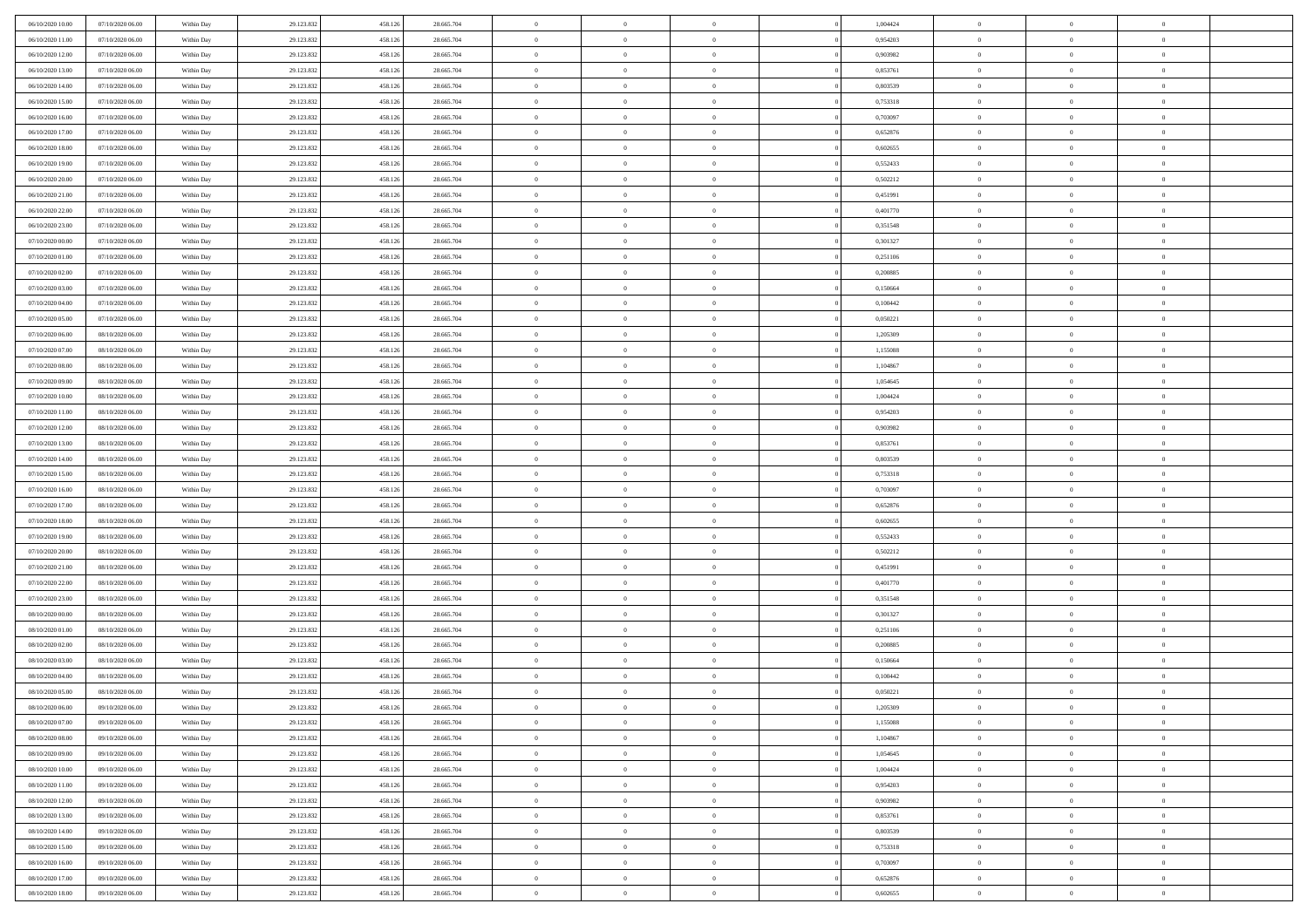| 06/10/2020 10:00 | 07/10/2020 06:00 | Within Day | 29.123.832 | 458.126 | 28.665.704 | $\,$ 0 $\,$    | $\overline{0}$ | $\overline{0}$ |          | 1,004424 | $\bf{0}$       | $\overline{0}$ | $\,0\,$        |  |
|------------------|------------------|------------|------------|---------|------------|----------------|----------------|----------------|----------|----------|----------------|----------------|----------------|--|
| 06/10/2020 11:00 | 07/10/2020 06.00 | Within Day | 29.123.832 | 458.126 | 28.665.704 | $\overline{0}$ | $\overline{0}$ | $\mathbf{0}$   |          | 0.954203 | $\theta$       | $\overline{0}$ | $\theta$       |  |
| 06/10/2020 12:00 | 07/10/2020 06:00 | Within Day | 29.123.832 | 458.126 | 28.665.704 | $\theta$       | $\overline{0}$ | $\overline{0}$ |          | 0,903982 | $\mathbf{0}$   | $\overline{0}$ | $\overline{0}$ |  |
| 06/10/2020 13:00 | 07/10/2020 06.00 | Within Day | 29.123.832 | 458.126 | 28.665.704 | $\,$ 0 $\,$    | $\overline{0}$ | $\overline{0}$ |          | 0,853761 | $\bf{0}$       | $\overline{0}$ | $\bf{0}$       |  |
| 06/10/2020 14:00 | 07/10/2020 06.00 | Within Day | 29.123.832 | 458.126 | 28.665.704 | $\bf{0}$       | $\overline{0}$ | $\mathbf{0}$   |          | 0,803539 | $\bf{0}$       | $\theta$       | $\,0\,$        |  |
| 06/10/2020 15:00 | 07/10/2020 06:00 | Within Day | 29.123.832 | 458.126 | 28.665.704 | $\theta$       | $\overline{0}$ | $\mathbf{0}$   |          | 0,753318 | $\mathbf{0}$   | $\overline{0}$ | $\overline{0}$ |  |
| 06/10/2020 16:00 | 07/10/2020 06.00 | Within Day | 29.123.832 | 458.126 | 28.665.704 | $\,$ 0 $\,$    | $\overline{0}$ | $\overline{0}$ |          | 0,703097 | $\bf{0}$       | $\overline{0}$ | $\bf{0}$       |  |
| 06/10/2020 17.00 | 07/10/2020 06.00 | Within Day | 29.123.832 | 458.126 | 28.665.704 | $\overline{0}$ | $\overline{0}$ | $\mathbf{0}$   |          | 0,652876 | $\,$ 0 $\,$    | $\overline{0}$ | $\theta$       |  |
| 06/10/2020 18:00 | 07/10/2020 06:00 | Within Day | 29.123.832 | 458.126 | 28.665.704 | $\theta$       | $\overline{0}$ | $\mathbf{0}$   |          | 0,602655 | $\mathbf{0}$   | $\overline{0}$ | $\overline{0}$ |  |
| 06/10/2020 19:00 | 07/10/2020 06.00 | Within Day | 29.123.832 | 458.126 | 28.665.704 | $\,$ 0 $\,$    | $\overline{0}$ | $\Omega$       |          | 0,552433 | $\bf{0}$       | $\overline{0}$ | $\,0\,$        |  |
| 06/10/2020 20:00 | 07/10/2020 06.00 | Within Day | 29.123.832 | 458.126 | 28.665.704 | $\bf{0}$       | $\overline{0}$ | $\mathbf{0}$   |          | 0,502212 | $\bf{0}$       | $\mathbf{0}$   | $\theta$       |  |
| 06/10/2020 21:00 | 07/10/2020 06:00 | Within Day | 29.123.832 | 458.126 | 28.665.704 | $\theta$       | $\overline{0}$ | $\overline{0}$ |          | 0,451991 | $\mathbf{0}$   | $\overline{0}$ | $\overline{0}$ |  |
| 06/10/2020 22.00 | 07/10/2020 06.00 | Within Day | 29.123.832 | 458.126 | 28.665.704 | $\,$ 0 $\,$    | $\overline{0}$ | $\overline{0}$ |          | 0,401770 | $\bf{0}$       | $\overline{0}$ | $\bf{0}$       |  |
| 06/10/2020 23.00 | 07/10/2020 06.00 | Within Day | 29.123.832 | 458.126 | 28.665.704 | $\bf{0}$       | $\overline{0}$ | $\mathbf{0}$   |          | 0,351548 | $\bf{0}$       | $\theta$       | $\,0\,$        |  |
| 07/10/2020 00:00 | 07/10/2020 06:00 | Within Day | 29.123.832 | 458.126 | 28.665.704 | $\theta$       | $\overline{0}$ | $\mathbf{0}$   |          | 0,301327 | $\mathbf{0}$   | $\overline{0}$ | $\overline{0}$ |  |
| 07/10/2020 01:00 | 07/10/2020 06.00 | Within Day | 29.123.832 | 458.126 | 28.665.704 | $\,$ 0 $\,$    | $\overline{0}$ | $\Omega$       |          | 0,251106 | $\bf{0}$       | $\overline{0}$ | $\bf{0}$       |  |
| 07/10/2020 02.00 | 07/10/2020 06.00 | Within Day | 29.123.832 | 458.126 | 28.665.704 | $\,$ 0         | $\overline{0}$ | $\mathbf{0}$   |          | 0,200885 | $\bf{0}$       | $\overline{0}$ | $\theta$       |  |
| 07/10/2020 03:00 | 07/10/2020 06:00 | Within Day | 29.123.832 | 458.126 | 28.665.704 | $\theta$       | $\overline{0}$ | $\mathbf{0}$   |          | 0,150664 | $\mathbf{0}$   | $\overline{0}$ | $\overline{0}$ |  |
| 07/10/2020 04:00 | 07/10/2020 06.00 | Within Day | 29.123.832 | 458.126 | 28.665.704 | $\,$ 0 $\,$    | $\overline{0}$ | $\Omega$       |          | 0,100442 | $\bf{0}$       | $\overline{0}$ | $\,0\,$        |  |
| 07/10/2020 05:00 | 07/10/2020 06.00 | Within Day | 29.123.832 | 458.126 | 28.665.704 | $\bf{0}$       | $\overline{0}$ | $\mathbf{0}$   |          | 0,050221 | $\bf{0}$       | $\mathbf{0}$   | $\overline{0}$ |  |
| 07/10/2020 06:00 | 08/10/2020 06:00 | Within Day | 29.123.832 | 458.126 | 28.665.704 | $\theta$       | $\overline{0}$ | $\mathbf{0}$   |          | 1,205309 | $\mathbf{0}$   | $\overline{0}$ | $\overline{0}$ |  |
| 07/10/2020 07.00 | 08/10/2020 06:00 | Within Day | 29.123.832 | 458.126 | 28.665.704 | $\,$ 0 $\,$    | $\overline{0}$ | $\overline{0}$ |          | 1,155088 | $\bf{0}$       | $\overline{0}$ | $\bf{0}$       |  |
| 07/10/2020 08:00 | 08/10/2020 06:00 | Within Day | 29.123.832 | 458.126 | 28.665.704 | $\,$ 0         | $\overline{0}$ | $\mathbf{0}$   |          | 1,104867 | $\bf{0}$       | $\overline{0}$ | $\,0\,$        |  |
| 07/10/2020 09:00 | 08/10/2020 06:00 | Within Day | 29.123.832 | 458.126 | 28.665.704 | $\theta$       | $\overline{0}$ | $\mathbf{0}$   |          | 1,054645 | $\mathbf{0}$   | $\overline{0}$ | $\overline{0}$ |  |
| 07/10/2020 10:00 | 08/10/2020 06:00 | Within Day | 29.123.832 | 458.126 | 28.665.704 | $\,$ 0 $\,$    | $\overline{0}$ | $\overline{0}$ |          | 1,004424 | $\bf{0}$       | $\overline{0}$ | $\bf{0}$       |  |
| 07/10/2020 11:00 | 08/10/2020 06:00 | Within Day | 29.123.832 | 458.126 | 28.665.704 | $\,$ 0         | $\overline{0}$ | $\mathbf{0}$   |          | 0,954203 | $\bf{0}$       | $\overline{0}$ | $\theta$       |  |
| 07/10/2020 12:00 | 08/10/2020 06:00 | Within Day | 29.123.832 | 458.126 | 28.665.704 | $\theta$       | $\overline{0}$ | $\mathbf{0}$   |          | 0,903982 | $\mathbf{0}$   | $\overline{0}$ | $\overline{0}$ |  |
| 07/10/2020 13:00 | 08/10/2020 06:00 | Within Day | 29.123.832 | 458.126 | 28.665.704 | $\,$ 0 $\,$    | $\overline{0}$ | $\Omega$       |          | 0,853761 | $\bf{0}$       | $\overline{0}$ | $\bf{0}$       |  |
| 07/10/2020 14:00 | 08/10/2020 06:00 | Within Day | 29.123.832 | 458.126 | 28.665.704 | $\bf{0}$       | $\overline{0}$ | $\mathbf{0}$   |          | 0.803539 | $\bf{0}$       | $\mathbf{0}$   | $\overline{0}$ |  |
| 07/10/2020 15:00 | 08/10/2020 06:00 | Within Day | 29.123.832 | 458.126 | 28.665.704 | $\theta$       | $\overline{0}$ | $\overline{0}$ |          | 0,753318 | $\mathbf{0}$   | $\overline{0}$ | $\overline{0}$ |  |
| 07/10/2020 16:00 | 08/10/2020 06:00 | Within Day | 29.123.832 | 458.126 | 28.665.704 | $\,$ 0 $\,$    | $\overline{0}$ | $\overline{0}$ |          | 0,703097 | $\,$ 0         | $\overline{0}$ | $\,$ 0 $\,$    |  |
| 07/10/2020 17.00 | 08/10/2020 06:00 | Within Day | 29.123.832 | 458.126 | 28.665.704 | $\bf{0}$       | $\overline{0}$ | $\mathbf{0}$   |          | 0,652876 | $\bf{0}$       | $\mathbf{0}$   | $\bf{0}$       |  |
| 07/10/2020 18:00 | 08/10/2020 06:00 | Within Day | 29.123.832 | 458.126 | 28.665.704 | $\theta$       | $\overline{0}$ | $\mathbf{0}$   |          | 0,602655 | $\mathbf{0}$   | $\overline{0}$ | $\overline{0}$ |  |
| 07/10/2020 19:00 | 08/10/2020 06:00 | Within Day | 29.123.832 | 458.126 | 28.665.704 | $\theta$       | $\overline{0}$ | $\overline{0}$ |          | 0,552433 | $\,$ 0         | $\overline{0}$ | $\theta$       |  |
| 07/10/2020 20:00 | 08/10/2020 06:00 | Within Day | 29.123.832 | 458.126 | 28.665.704 | $\bf{0}$       | $\overline{0}$ | $\mathbf{0}$   |          | 0,502212 | $\mathbf{0}$   | $\overline{0}$ | $\overline{0}$ |  |
| 07/10/2020 21:00 | 08/10/2020 06:00 | Within Day | 29.123.832 | 458.126 | 28.665.704 | $\theta$       | $\overline{0}$ | $\mathbf{0}$   |          | 0,451991 | $\mathbf{0}$   | $\overline{0}$ | $\overline{0}$ |  |
| 07/10/2020 22.00 | 08/10/2020 06:00 | Within Day | 29.123.832 | 458.126 | 28.665.704 | $\theta$       | $\overline{0}$ | $\overline{0}$ |          | 0,401770 | $\,$ 0         | $\overline{0}$ | $\theta$       |  |
| 07/10/2020 23.00 | 08/10/2020 06:00 | Within Day | 29.123.832 | 458.126 | 28.665.704 | $\bf{0}$       | $\overline{0}$ | $\mathbf{0}$   |          | 0,351548 | $\bf{0}$       | $\mathbf{0}$   | $\bf{0}$       |  |
| 08/10/2020 00:00 | 08/10/2020 06:00 | Within Day | 29.123.832 | 458.126 | 28.665.704 | $\theta$       | $\overline{0}$ | $\overline{0}$ |          | 0,301327 | $\mathbf{0}$   | $\overline{0}$ | $\overline{0}$ |  |
| 08/10/2020 01:00 | 08/10/2020 06:00 | Within Day | 29.123.832 | 458.126 | 28.665.704 | $\,$ 0 $\,$    | $\overline{0}$ | $\overline{0}$ |          | 0,251106 | $\,$ 0         | $\overline{0}$ | $\,$ 0 $\,$    |  |
| 08/10/2020 02:00 | 08/10/2020 06:00 | Within Day | 29.123.832 | 458.126 | 28.665.704 | $\,$ 0         | $\,$ 0 $\,$    | $\overline{0}$ |          | 0,200885 | $\,$ 0 $\,$    | $\overline{0}$ | $\bf{0}$       |  |
| 08/10/2020 03:00 | 08/10/2020 06:00 | Within Day | 29.123.832 | 458.126 | 28.665.704 | $\theta$       | $\overline{0}$ | $\mathbf{0}$   |          | 0,150664 | $\mathbf{0}$   | $\overline{0}$ | $\overline{0}$ |  |
| 08/10/2020 04:00 | 08/10/2020 06:00 | Within Day | 29.123.832 | 458.126 | 28.665.704 | $\overline{0}$ | $\overline{0}$ | $\overline{0}$ |          | 0,100442 | $\,$ 0         | $\overline{0}$ | $\theta$       |  |
| 08/10/2020 05:00 | 08/10/2020 06:00 | Within Day | 29.123.832 | 458.126 | 28.665.704 | $\bf{0}$       | $\overline{0}$ | $\mathbf{0}$   |          | 0,050221 | $\bf{0}$       | $\overline{0}$ | $\overline{0}$ |  |
| 08/10/2020 06:00 | 09/10/2020 06:00 | Within Day | 29.123.832 | 458.126 | 28.665.704 | $\overline{0}$ | $\theta$       |                |          | 1,205309 | $\overline{0}$ | $\theta$       | $\theta$       |  |
| 08/10/2020 07:00 | 09/10/2020 06:00 | Within Day | 29.123.832 | 458.126 | 28.665.704 | $\,$ 0 $\,$    | $\overline{0}$ | $\overline{0}$ |          | 1,155088 | $\,$ 0 $\,$    | $\bf{0}$       | $\theta$       |  |
| 08/10/2020 08:00 | 09/10/2020 06:00 | Within Day | 29.123.832 | 458.126 | 28.665.704 | $\bf{0}$       | $\,$ 0 $\,$    | $\overline{0}$ |          | 1,104867 | $\,$ 0 $\,$    | $\overline{0}$ | $\overline{0}$ |  |
| 08/10/2020 09:00 | 09/10/2020 06:00 | Within Day | 29.123.832 | 458.126 | 28.665.704 | $\mathbf{0}$   | $\overline{0}$ | $\overline{0}$ |          | 1,054645 | $\,$ 0 $\,$    | $\bf{0}$       | $\mathbf{0}$   |  |
| 08/10/2020 10:00 | 09/10/2020 06:00 | Within Day | 29.123.832 | 458.126 | 28.665.704 | $\,$ 0 $\,$    | $\overline{0}$ | $\overline{0}$ | $\theta$ | 1,004424 | $\,$ 0 $\,$    | $\bf{0}$       | $\,$ 0 $\,$    |  |
| 08/10/2020 11:00 | 09/10/2020 06.00 | Within Day | 29.123.832 | 458.126 | 28.665.704 | $\,$ 0 $\,$    | $\,$ 0 $\,$    | $\overline{0}$ |          | 0,954203 | $\,$ 0 $\,$    | $\overline{0}$ | $\overline{0}$ |  |
| 08/10/2020 12:00 | 09/10/2020 06:00 | Within Day | 29.123.832 | 458.126 | 28.665.704 | $\mathbf{0}$   | $\overline{0}$ | $\overline{0}$ |          | 0,903982 | $\mathbf{0}$   | $\overline{0}$ | $\overline{0}$ |  |
| 08/10/2020 13:00 | 09/10/2020 06:00 | Within Day | 29.123.832 | 458.126 | 28.665.704 | $\,$ 0 $\,$    | $\overline{0}$ | $\overline{0}$ |          | 0,853761 | $\,$ 0 $\,$    | $\mathbf{0}$   | $\,$ 0 $\,$    |  |
| 08/10/2020 14:00 | 09/10/2020 06.00 | Within Day | 29.123.832 | 458.126 | 28.665.704 | $\bf{0}$       | $\overline{0}$ | $\overline{0}$ |          | 0.803539 | $\mathbf{0}$   | $\overline{0}$ | $\overline{0}$ |  |
| 08/10/2020 15:00 | 09/10/2020 06:00 | Within Day | 29.123.832 | 458.126 | 28.665.704 | $\mathbf{0}$   | $\overline{0}$ | $\overline{0}$ |          | 0,753318 | $\mathbf{0}$   | $\bf{0}$       | $\overline{0}$ |  |
| 08/10/2020 16:00 | 09/10/2020 06:00 | Within Day | 29.123.832 | 458.126 | 28.665.704 | $\,$ 0 $\,$    | $\overline{0}$ | $\overline{0}$ |          | 0,703097 | $\,$ 0 $\,$    | $\mathbf{0}$   | $\,$ 0 $\,$    |  |
| 08/10/2020 17:00 | 09/10/2020 06.00 | Within Day | 29.123.832 | 458.126 | 28.665.704 | $\,$ 0 $\,$    | $\overline{0}$ | $\overline{0}$ |          | 0,652876 | $\,$ 0 $\,$    | $\overline{0}$ | $\overline{0}$ |  |
| 08/10/2020 18:00 | 09/10/2020 06:00 | Within Day | 29.123.832 | 458.126 | 28.665.704 | $\theta$       | $\overline{0}$ | $\overline{0}$ |          | 0,602655 | $\mathbf{0}$   | $\overline{0}$ | $\overline{0}$ |  |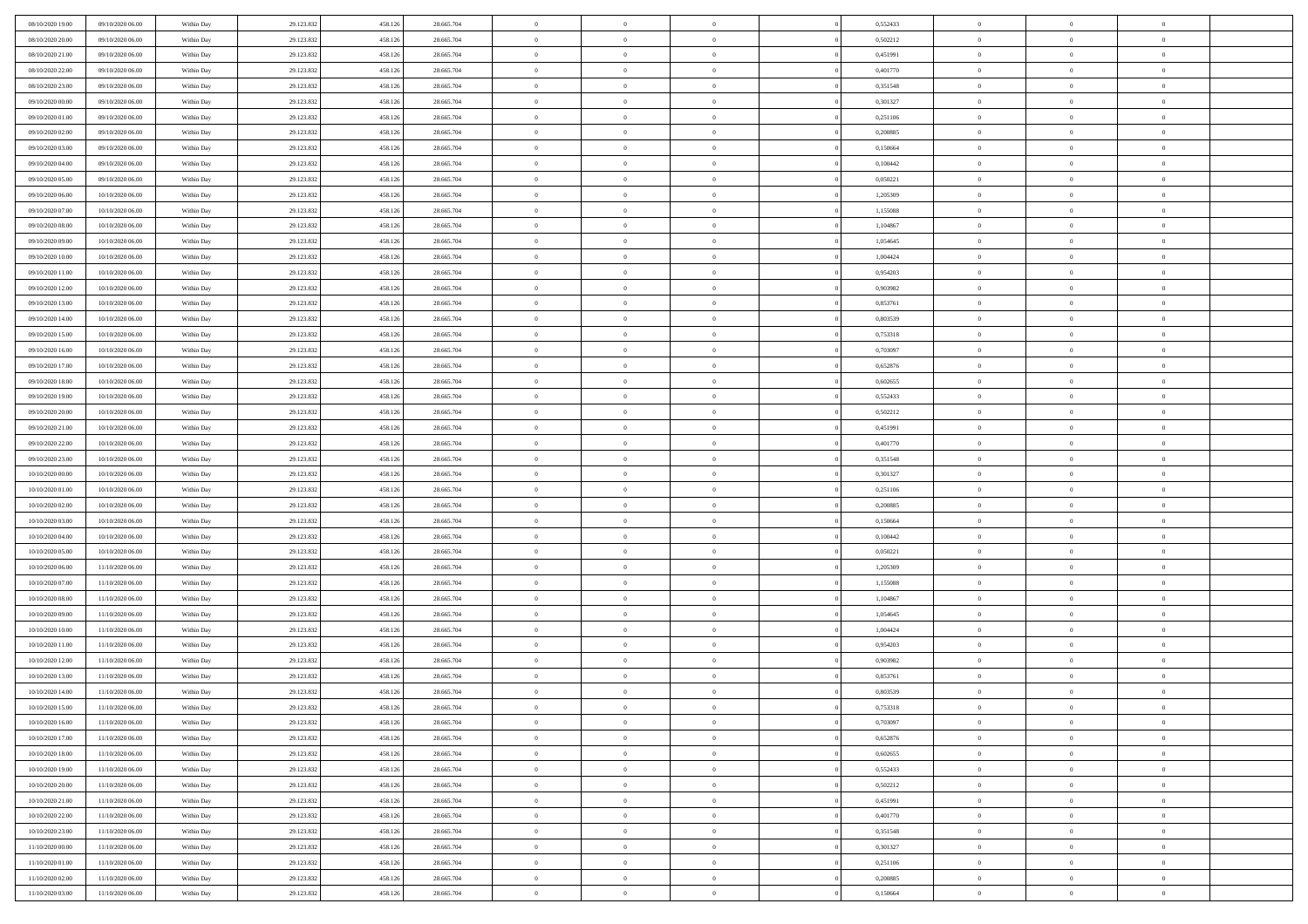| 08/10/2020 19:00                     | 09/10/2020 06:00 | Within Day | 29.123.832 | 458.126 | 28.665.704 | $\bf{0}$       | $\overline{0}$ | $\Omega$                         | 0,552433 | $\bf{0}$       | $\overline{0}$ | $\bf{0}$       |  |
|--------------------------------------|------------------|------------|------------|---------|------------|----------------|----------------|----------------------------------|----------|----------------|----------------|----------------|--|
| 08/10/2020 20:00                     | 09/10/2020 06:00 | Within Day | 29.123.832 | 458.12  | 28.665.704 | $\overline{0}$ | $\overline{0}$ | $\Omega$                         | 0,502212 | $\overline{0}$ | $\theta$       | $\theta$       |  |
| 08/10/2020 21:00                     | 09/10/2020 06:00 | Within Day | 29.123.832 | 458.126 | 28.665.704 | $\overline{0}$ | $\overline{0}$ | $\overline{0}$                   | 0,451991 | $\mathbf{0}$   | $\overline{0}$ | $\theta$       |  |
| 08/10/2020 22:00                     | 09/10/2020 06:00 | Within Day | 29.123.832 | 458.126 | 28.665.704 | $\bf{0}$       | $\overline{0}$ | $\overline{0}$                   | 0,401770 | $\mathbf{0}$   | $\overline{0}$ | $\bf{0}$       |  |
| 08/10/2020 23:00                     | 09/10/2020 06:00 | Within Day | 29.123.832 | 458.126 | 28.665.704 | $\bf{0}$       | $\overline{0}$ | $\overline{0}$                   | 0,351548 | $\bf{0}$       | $\overline{0}$ | $\bf{0}$       |  |
| 09/10/2020 00:00                     | 09/10/2020 06:00 | Within Day | 29.123.832 | 458.126 | 28.665.704 | $\overline{0}$ | $\overline{0}$ | $\overline{0}$                   | 0,301327 | $\mathbf{0}$   | $\overline{0}$ | $\theta$       |  |
| 09/10/2020 01:00                     | 09/10/2020 06:00 | Within Day | 29.123.832 | 458.126 | 28.665.704 | $\bf{0}$       | $\overline{0}$ | $\overline{0}$                   | 0,251106 | $\mathbf{0}$   | $\overline{0}$ | $\bf{0}$       |  |
| 09/10/2020 02:00                     | 09/10/2020 06:00 | Within Day | 29.123.832 | 458.126 | 28.665.704 | $\overline{0}$ | $\overline{0}$ | $\overline{0}$                   | 0,200885 | $\mathbf{0}$   | $\theta$       | $\theta$       |  |
| 09/10/2020 03:00                     | 09/10/2020 06:00 | Within Day | 29.123.832 | 458.126 | 28.665.704 | $\overline{0}$ | $\overline{0}$ | $\overline{0}$                   | 0,150664 | $\mathbf{0}$   | $\overline{0}$ | $\theta$       |  |
| 09/10/2020 04.00                     | 09/10/2020 06:00 |            |            | 458.126 | 28.665.704 | $\bf{0}$       | $\bf{0}$       | $\Omega$                         | 0,100442 | $\mathbf{0}$   | $\overline{0}$ | $\bf{0}$       |  |
|                                      | 09/10/2020 06:00 | Within Day | 29.123.832 | 458.126 |            | $\bf{0}$       | $\overline{0}$ | $\overline{0}$                   |          |                | $\theta$       | $\theta$       |  |
| 09/10/2020 05:00                     |                  | Within Day | 29.123.832 |         | 28.665.704 | $\overline{0}$ | $\overline{0}$ |                                  | 0,050221 | $\mathbf{0}$   |                | $\theta$       |  |
| 09/10/2020 06:00<br>09/10/2020 07:00 | 10/10/2020 06:00 | Within Day | 29.123.832 | 458.126 | 28.665.704 |                |                | $\overline{0}$<br>$\overline{0}$ | 1,205309 | $\mathbf{0}$   | $\overline{0}$ |                |  |
|                                      | 10/10/2020 06:00 | Within Day | 29.123.832 | 458.126 | 28.665.704 | $\bf{0}$       | $\overline{0}$ |                                  | 1,155088 | $\mathbf{0}$   | $\overline{0}$ | $\bf{0}$       |  |
| 09/10/2020 08:00                     | 10/10/2020 06:00 | Within Day | 29.123.832 | 458.126 | 28.665.704 | $\bf{0}$       | $\overline{0}$ | $\overline{0}$                   | 1,104867 | $\bf{0}$       | $\theta$       | $\bf{0}$       |  |
| 09/10/2020 09:00                     | 10/10/2020 06:00 | Within Day | 29.123.832 | 458.126 | 28.665.704 | $\overline{0}$ | $\overline{0}$ | $\overline{0}$                   | 1,054645 | $\mathbf{0}$   | $\overline{0}$ | $\theta$       |  |
| 09/10/2020 10:00                     | 10/10/2020 06:00 | Within Day | 29.123.832 | 458.126 | 28.665.704 | $\bf{0}$       | $\overline{0}$ | $\Omega$                         | 1,004424 | $\bf{0}$       | $\overline{0}$ | $\bf{0}$       |  |
| 09/10/2020 11:00                     | 10/10/2020 06:00 | Within Day | 29.123.832 | 458.126 | 28.665.704 | $\,$ 0 $\,$    | $\overline{0}$ | $\overline{0}$                   | 0.954203 | $\mathbf{0}$   | $\overline{0}$ | $\theta$       |  |
| 09/10/2020 12:00                     | 10/10/2020 06:00 | Within Day | 29.123.832 | 458.126 | 28.665.704 | $\overline{0}$ | $\overline{0}$ | $\overline{0}$                   | 0,903982 | $\mathbf{0}$   | $\overline{0}$ | $\theta$       |  |
| 09/10/2020 13.00                     | 10/10/2020 06:00 | Within Day | 29.123.832 | 458.126 | 28.665.704 | $\bf{0}$       | $\overline{0}$ | $\Omega$                         | 0,853761 | $\bf{0}$       | $\overline{0}$ | $\bf{0}$       |  |
| 09/10/2020 14:00                     | 10/10/2020 06:00 | Within Day | 29.123.832 | 458.126 | 28.665.704 | $\bf{0}$       | $\overline{0}$ | $\overline{0}$                   | 0.803539 | $\mathbf{0}$   | $\mathbf{0}$   | $\overline{0}$ |  |
| 09/10/2020 15:00                     | 10/10/2020 06:00 | Within Day | 29.123.832 | 458.126 | 28.665.704 | $\overline{0}$ | $\overline{0}$ | $\overline{0}$                   | 0,753318 | $\mathbf{0}$   | $\overline{0}$ | $\theta$       |  |
| 09/10/2020 16:00                     | 10/10/2020 06:00 | Within Day | 29.123.832 | 458.126 | 28.665.704 | $\bf{0}$       | $\overline{0}$ | $\overline{0}$                   | 0,703097 | $\mathbf{0}$   | $\overline{0}$ | $\bf{0}$       |  |
| 09/10/2020 17:00                     | 10/10/2020 06:00 | Within Day | 29.123.832 | 458.126 | 28.665.704 | $\bf{0}$       | $\overline{0}$ | $\overline{0}$                   | 0,652876 | $\,$ 0 $\,$    | $\overline{0}$ | $\bf{0}$       |  |
| 09/10/2020 18:00                     | 10/10/2020 06:00 | Within Day | 29.123.832 | 458.126 | 28.665.704 | $\overline{0}$ | $\overline{0}$ | $\overline{0}$                   | 0,602655 | $\mathbf{0}$   | $\overline{0}$ | $\theta$       |  |
| 09/10/2020 19:00                     | 10/10/2020 06:00 | Within Day | 29.123.832 | 458.126 | 28.665.704 | $\bf{0}$       | $\overline{0}$ | $\overline{0}$                   | 0,552433 | $\bf{0}$       | $\overline{0}$ | $\bf{0}$       |  |
| 09/10/2020 20:00                     | 10/10/2020 06:00 | Within Day | 29.123.832 | 458.126 | 28.665.704 | $\,$ 0 $\,$    | $\overline{0}$ | $\overline{0}$                   | 0,502212 | $\mathbf{0}$   | $\overline{0}$ | $\overline{0}$ |  |
| 09/10/2020 21:00                     | 10/10/2020 06:00 | Within Day | 29.123.832 | 458.126 | 28.665.704 | $\overline{0}$ | $\overline{0}$ | $\overline{0}$                   | 0,451991 | $\mathbf{0}$   | $\overline{0}$ | $\theta$       |  |
| 09/10/2020 22.00                     | 10/10/2020 06:00 | Within Day | 29.123.832 | 458.126 | 28.665.704 | $\bf{0}$       | $\overline{0}$ | $\Omega$                         | 0,401770 | $\mathbf{0}$   | $\overline{0}$ | $\bf{0}$       |  |
| 09/10/2020 23.00                     | 10/10/2020 06:00 | Within Day | 29.123.832 | 458.126 | 28.665.704 | $\bf{0}$       | $\overline{0}$ | $\overline{0}$                   | 0,351548 | $\mathbf{0}$   | $\theta$       | $\overline{0}$ |  |
| 10/10/2020 00:00                     | 10/10/2020 06:00 | Within Day | 29.123.832 | 458.126 | 28.665.704 | $\overline{0}$ | $\overline{0}$ | $\overline{0}$                   | 0,301327 | $\mathbf{0}$   | $\overline{0}$ | $\theta$       |  |
| 10/10/2020 01:00                     | 10/10/2020 06:00 | Within Day | 29.123.832 | 458.126 | 28.665.704 | $\,$ 0         | $\overline{0}$ | $\overline{0}$                   | 0,251106 | $\,$ 0 $\,$    | $\overline{0}$ | $\,$ 0 $\,$    |  |
| 10/10/2020 02:00                     | 10/10/2020 06:00 | Within Day | 29.123.832 | 458.126 | 28.665.704 | $\bf{0}$       | $\overline{0}$ | $\overline{0}$                   | 0,200885 | $\mathbf{0}$   | $\overline{0}$ | $\overline{0}$ |  |
| 10/10/2020 03:00                     | 10/10/2020 06:00 | Within Day | 29.123.832 | 458.126 | 28.665.704 | $\overline{0}$ | $\overline{0}$ | $\overline{0}$                   | 0,150664 | $\mathbf{0}$   | $\overline{0}$ | $\theta$       |  |
| 10/10/2020 04:00                     | 10/10/2020 06:00 | Within Day | 29.123.832 | 458.126 | 28.665.704 | $\,$ 0         | $\overline{0}$ | $\theta$                         | 0,100442 | $\,$ 0         | $\overline{0}$ | $\mathbf{0}$   |  |
| 10/10/2020 05:00                     | 10/10/2020 06:00 | Within Day | 29.123.832 | 458.126 | 28.665.704 | $\bf{0}$       | $\overline{0}$ | $\overline{0}$                   | 0,050221 | $\mathbf{0}$   | $\overline{0}$ | $\overline{0}$ |  |
| 10/10/2020 06:00                     | 11/10/2020 06:00 | Within Day | 29.123.832 | 458.126 | 28.665.704 | $\overline{0}$ | $\overline{0}$ | $\overline{0}$                   | 1,205309 | $\mathbf{0}$   | $\overline{0}$ | $\theta$       |  |
| 10/10/2020 07:00                     | 11/10/2020 06:00 | Within Day | 29.123.832 | 458.126 | 28.665.704 | $\,$ 0         | $\overline{0}$ | $\overline{0}$                   | 1,155088 | $\,$ 0 $\,$    | $\overline{0}$ | $\mathbf{0}$   |  |
| 10/10/2020 08:00                     | 11/10/2020 06:00 | Within Day | 29.123.832 | 458.126 | 28.665.704 | $\bf{0}$       | $\overline{0}$ | $\overline{0}$                   | 1,104867 | $\mathbf{0}$   | $\overline{0}$ | $\overline{0}$ |  |
| 10/10/2020 09:00                     | 11/10/2020 06:00 | Within Day | 29.123.832 | 458.126 | 28.665.704 | $\overline{0}$ | $\overline{0}$ | $\overline{0}$                   | 1,054645 | $\mathbf{0}$   | $\overline{0}$ | $\theta$       |  |
| 10/10/2020 10:00                     | 11/10/2020 06:00 | Within Day | 29.123.832 | 458.126 | 28.665.704 | $\,$ 0         | $\overline{0}$ | $\overline{0}$                   | 1,004424 | $\,$ 0 $\,$    | $\overline{0}$ | $\,0\,$        |  |
| 10/10/2020 11:00                     | 11/10/2020 06:00 | Within Day | 29.123.832 | 458.126 | 28.665.704 | $\,$ 0 $\,$    | $\,$ 0 $\,$    | $\overline{0}$                   | 0,954203 | $\,$ 0 $\,$    | $\overline{0}$ | $\overline{0}$ |  |
| 10/10/2020 12:00                     | 11/10/2020 06:00 | Within Day | 29.123.832 | 458.126 | 28.665.704 | $\overline{0}$ | $\overline{0}$ | $\overline{0}$                   | 0,903982 | $\mathbf{0}$   | $\overline{0}$ | $\theta$       |  |
| 10/10/2020 13:00                     | 11/10/2020 06:00 | Within Day | 29.123.832 | 458.126 | 28.665.704 | $\overline{0}$ | $\overline{0}$ | $\overline{0}$                   | 0,853761 | $\overline{0}$ | $\overline{0}$ | $\mathbf{0}$   |  |
| 10/10/2020 14:00                     | 11/10/2020 06:00 | Within Day | 29.123.832 | 458.126 | 28.665.704 | $\bf{0}$       | $\overline{0}$ | $\overline{0}$                   | 0.803539 | $\mathbf{0}$   | $\overline{0}$ | $\overline{0}$ |  |
| 10/10/2020 15:00                     | 11/10/2020 06:00 | Within Day | 29.123.832 | 458.126 | 28.665.704 | $\overline{0}$ | $\theta$       |                                  | 0,753318 | $\overline{0}$ | $\Omega$       | $\overline{0}$ |  |
| 10/10/2020 16:00                     | 11/10/2020 06:00 | Within Day | 29.123.832 | 458.126 | 28.665.704 | $\,$ 0 $\,$    | $\overline{0}$ | $\overline{0}$                   | 0,703097 | $\,$ 0 $\,$    | $\bf{0}$       | $\,0\,$        |  |
| 10/10/2020 17:00                     | 11/10/2020 06:00 | Within Day | 29.123.832 | 458.126 | 28.665.704 | $\mathbf{0}$   | $\overline{0}$ | $\overline{0}$                   | 0,652876 | $\,$ 0 $\,$    | $\overline{0}$ | $\overline{0}$ |  |
| 10/10/2020 18:00                     | 11/10/2020 06:00 | Within Day | 29.123.832 | 458.126 | 28.665.704 | $\mathbf{0}$   | $\overline{0}$ | $\overline{0}$                   | 0,602655 | $\mathbf{0}$   | $\bf{0}$       | $\overline{0}$ |  |
| 10/10/2020 19:00                     | 11/10/2020 06:00 | Within Day | 29.123.832 | 458.126 | 28.665.704 | $\,$ 0 $\,$    | $\overline{0}$ | $\overline{0}$                   | 0,552433 | $\,$ 0 $\,$    | $\bf{0}$       | $\theta$       |  |
| 10/10/2020 20:00                     | 11/10/2020 06:00 | Within Day | 29.123.832 | 458.126 | 28.665.704 | $\,$ 0 $\,$    | $\,$ 0 $\,$    | $\overline{0}$                   | 0,502212 | $\,$ 0 $\,$    | $\overline{0}$ | $\mathbf{0}$   |  |
| 10/10/2020 21:00                     | 11/10/2020 06:00 | Within Day | 29.123.832 | 458.126 | 28.665.704 | $\mathbf{0}$   | $\overline{0}$ | $\overline{0}$                   | 0,451991 | $\mathbf{0}$   | $\bf{0}$       | $\overline{0}$ |  |
| 10/10/2020 22:00                     | 11/10/2020 06:00 | Within Day | 29.123.832 | 458.126 | 28.665.704 | $\,$ 0 $\,$    | $\overline{0}$ | $\overline{0}$                   | 0,401770 | $\,$ 0 $\,$    | $\overline{0}$ | $\theta$       |  |
| 10/10/2020 23.00                     | 11/10/2020 06:00 | Within Day | 29.123.832 | 458.126 | 28.665.704 | $\mathbf{0}$   | $\overline{0}$ | $\overline{0}$                   | 0,351548 | $\,$ 0 $\,$    | $\overline{0}$ | $\mathbf{0}$   |  |
| 11/10/2020 00:00                     | 11/10/2020 06:00 | Within Day | 29.123.832 | 458.126 | 28.665.704 | $\mathbf{0}$   | $\overline{0}$ | $\overline{0}$                   | 0,301327 | $\mathbf{0}$   | $\bf{0}$       | $\overline{0}$ |  |
| 11/10/2020 01:00                     | 11/10/2020 06:00 | Within Day | 29.123.832 | 458.126 | 28.665.704 | $\,$ 0 $\,$    | $\overline{0}$ | $\overline{0}$                   | 0,251106 | $\,$ 0 $\,$    | $\mathbf{0}$   | $\theta$       |  |
| 11/10/2020 02.00                     | 11/10/2020 06:00 | Within Day | 29.123.832 | 458.126 | 28.665.704 | $\,$ 0 $\,$    | $\overline{0}$ | $\overline{0}$                   | 0,200885 | $\,$ 0 $\,$    | $\overline{0}$ | $\overline{0}$ |  |
| 11/10/2020 03:00                     | 11/10/2020 06:00 | Within Day | 29.123.832 | 458.126 | 28.665.704 | $\mathbf{0}$   | $\overline{0}$ | $\overline{0}$                   | 0,150664 | $\mathbf{0}$   | $\mathbf{0}$   | $\overline{0}$ |  |
|                                      |                  |            |            |         |            |                |                |                                  |          |                |                |                |  |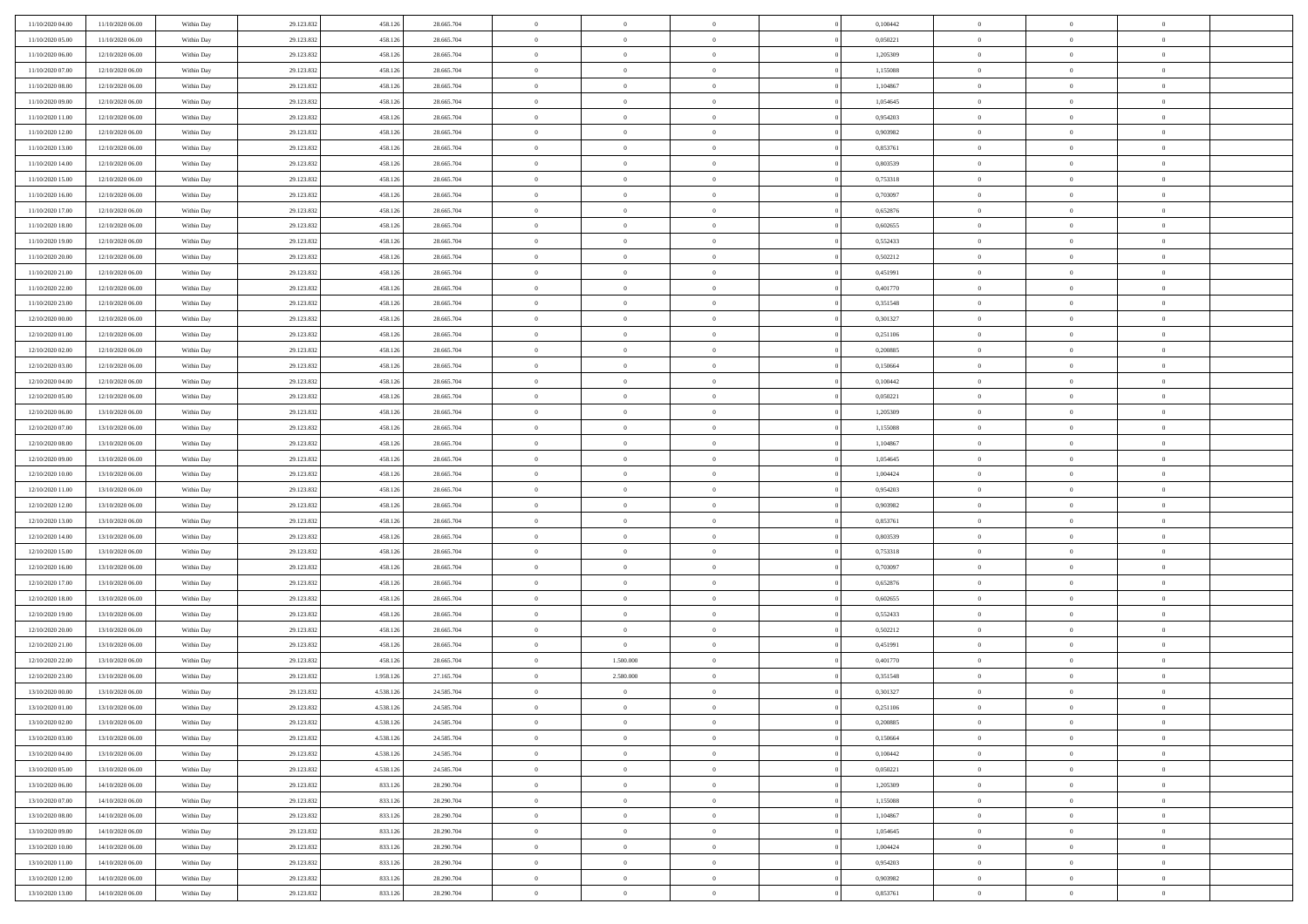| 11/10/2020 04:00 | 11/10/2020 06:00 | Within Day               | 29.123.832 | 458.126   | 28.665.704 | $\bf{0}$       | $\overline{0}$ | $\overline{0}$ | 0,100442 | $\bf{0}$       | $\overline{0}$ | $\bf{0}$       |  |
|------------------|------------------|--------------------------|------------|-----------|------------|----------------|----------------|----------------|----------|----------------|----------------|----------------|--|
| 11/10/2020 05:00 | 11/10/2020 06:00 | Within Day               | 29.123.832 | 458.12    | 28.665.704 | $\overline{0}$ | $\overline{0}$ | $\Omega$       | 0,050221 | $\overline{0}$ | $\theta$       | $\theta$       |  |
| 11/10/2020 06:00 | 12/10/2020 06:00 | Within Day               | 29.123.832 | 458.126   | 28.665.704 | $\overline{0}$ | $\overline{0}$ | $\overline{0}$ | 1,205309 | $\mathbf{0}$   | $\overline{0}$ | $\theta$       |  |
| 11/10/2020 07:00 | 12/10/2020 06:00 | Within Day               | 29.123.832 | 458.126   | 28.665.704 | $\bf{0}$       | $\overline{0}$ | $\overline{0}$ | 1,155088 | $\mathbf{0}$   | $\overline{0}$ | $\bf{0}$       |  |
| 11/10/2020 08:00 | 12/10/2020 06:00 |                          | 29.123.832 | 458.126   | 28.665.704 | $\bf{0}$       | $\overline{0}$ | $\overline{0}$ | 1,104867 | $\mathbf{0}$   | $\overline{0}$ | $\bf{0}$       |  |
| 11/10/2020 09:00 | 12/10/2020 06:00 | Within Day<br>Within Day | 29.123.832 | 458.126   | 28.665.704 | $\overline{0}$ | $\overline{0}$ | $\overline{0}$ | 1,054645 | $\mathbf{0}$   | $\overline{0}$ | $\theta$       |  |
|                  |                  |                          |            |           |            |                |                |                |          |                |                |                |  |
| 11/10/2020 11:00 | 12/10/2020 06:00 | Within Day               | 29.123.832 | 458.126   | 28.665.704 | $\bf{0}$       | $\overline{0}$ | $\overline{0}$ | 0,954203 | $\mathbf{0}$   | $\overline{0}$ | $\bf{0}$       |  |
| 11/10/2020 12:00 | 12/10/2020 06:00 | Within Day               | 29.123.832 | 458.126   | 28.665.704 | $\mathbf{0}$   | $\overline{0}$ | $\overline{0}$ | 0,903982 | $\mathbf{0}$   | $\theta$       | $\theta$       |  |
| 11/10/2020 13:00 | 12/10/2020 06:00 | Within Day               | 29.123.832 | 458.126   | 28.665.704 | $\overline{0}$ | $\overline{0}$ | $\overline{0}$ | 0,853761 | $\mathbf{0}$   | $\overline{0}$ | $\theta$       |  |
| 11/10/2020 14:00 | 12/10/2020 06:00 | Within Day               | 29.123.832 | 458.126   | 28.665.704 | $\bf{0}$       | $\overline{0}$ | $\Omega$       | 0,803539 | $\mathbf{0}$   | $\overline{0}$ | $\bf{0}$       |  |
| 11/10/2020 15:00 | 12/10/2020 06:00 | Within Day               | 29.123.832 | 458.126   | 28.665.704 | $\bf{0}$       | $\overline{0}$ | $\overline{0}$ | 0,753318 | $\mathbf{0}$   | $\theta$       | $\theta$       |  |
| 11/10/2020 16.00 | 12/10/2020 06:00 | Within Day               | 29.123.832 | 458.126   | 28.665.704 | $\overline{0}$ | $\overline{0}$ | $\overline{0}$ | 0,703097 | $\mathbf{0}$   | $\overline{0}$ | $\theta$       |  |
| 11/10/2020 17:00 | 12/10/2020 06:00 | Within Day               | 29.123.832 | 458.126   | 28.665.704 | $\bf{0}$       | $\overline{0}$ | $\overline{0}$ | 0,652876 | $\mathbf{0}$   | $\overline{0}$ | $\bf{0}$       |  |
| 11/10/2020 18:00 | 12/10/2020 06:00 | Within Day               | 29.123.832 | 458.126   | 28.665.704 | $\bf{0}$       | $\overline{0}$ | $\overline{0}$ | 0,602655 | $\bf{0}$       | $\overline{0}$ | $\bf{0}$       |  |
| 11/10/2020 19:00 | 12/10/2020 06:00 | Within Day               | 29.123.832 | 458.126   | 28.665.704 | $\overline{0}$ | $\overline{0}$ | $\overline{0}$ | 0,552433 | $\mathbf{0}$   | $\overline{0}$ | $\theta$       |  |
| 11/10/2020 20.00 | 12/10/2020 06:00 | Within Day               | 29.123.832 | 458.126   | 28.665.704 | $\bf{0}$       | $\overline{0}$ | $\Omega$       | 0,502212 | $\mathbf{0}$   | $\overline{0}$ | $\bf{0}$       |  |
| 11/10/2020 21:00 | 12/10/2020 06:00 | Within Day               | 29.123.832 | 458.126   | 28.665.704 | $\,$ 0 $\,$    | $\overline{0}$ | $\overline{0}$ | 0,451991 | $\mathbf{0}$   | $\overline{0}$ | $\theta$       |  |
| 11/10/2020 22.00 | 12/10/2020 06:00 | Within Day               | 29.123.832 | 458.126   | 28.665.704 | $\overline{0}$ | $\overline{0}$ | $\overline{0}$ | 0,401770 | $\mathbf{0}$   | $\overline{0}$ | $\theta$       |  |
| 11/10/2020 23.00 | 12/10/2020 06:00 | Within Day               | 29.123.832 | 458.126   | 28.665.704 | $\bf{0}$       | $\overline{0}$ | $\Omega$       | 0,351548 | $\mathbf{0}$   | $\overline{0}$ | $\bf{0}$       |  |
| 12/10/2020 00:00 | 12/10/2020 06:00 | Within Day               | 29.123.832 | 458.126   | 28.665.704 | $\bf{0}$       | $\overline{0}$ | $\overline{0}$ | 0,301327 | $\mathbf{0}$   | $\overline{0}$ | $\overline{0}$ |  |
| 12/10/2020 01:00 | 12/10/2020 06:00 | Within Day               | 29.123.832 | 458.126   | 28.665.704 | $\overline{0}$ | $\overline{0}$ | $\overline{0}$ | 0,251106 | $\mathbf{0}$   | $\overline{0}$ | $\theta$       |  |
| 12/10/2020 02.00 | 12/10/2020 06:00 | Within Day               | 29.123.832 | 458.126   | 28.665.704 | $\bf{0}$       | $\overline{0}$ | $\overline{0}$ | 0,200885 | $\mathbf{0}$   | $\overline{0}$ | $\bf{0}$       |  |
| 12/10/2020 03:00 | 12/10/2020 06:00 | Within Day               | 29.123.832 | 458.126   | 28.665.704 | $\,0\,$        | $\overline{0}$ | $\overline{0}$ | 0,150664 | $\,$ 0 $\,$    | $\overline{0}$ | $\bf{0}$       |  |
| 12/10/2020 04:00 | 12/10/2020 06:00 | Within Day               | 29.123.832 | 458.126   | 28.665.704 | $\overline{0}$ | $\overline{0}$ | $\overline{0}$ | 0,100442 | $\mathbf{0}$   | $\overline{0}$ | $\theta$       |  |
| 12/10/2020 05:00 | 12/10/2020 06:00 | Within Day               | 29.123.832 | 458.126   | 28.665.704 | $\bf{0}$       | $\overline{0}$ | $\overline{0}$ | 0,050221 | $\bf{0}$       | $\overline{0}$ | $\bf{0}$       |  |
| 12/10/2020 06:00 | 13/10/2020 06:00 |                          | 29.123.832 | 458.126   | 28.665.704 | $\,$ 0 $\,$    | $\overline{0}$ | $\overline{0}$ | 1,205309 | $\mathbf{0}$   | $\overline{0}$ | $\overline{0}$ |  |
| 12/10/2020 07:00 | 13/10/2020 06:00 | Within Day               | 29.123.832 | 458.126   | 28.665.704 | $\overline{0}$ | $\overline{0}$ | $\overline{0}$ | 1,155088 | $\mathbf{0}$   | $\overline{0}$ | $\theta$       |  |
| 12/10/2020 08:00 |                  | Within Day               |            |           |            | $\bf{0}$       | $\overline{0}$ | $\Omega$       |          |                | $\overline{0}$ | $\bf{0}$       |  |
|                  | 13/10/2020 06:00 | Within Day               | 29.123.832 | 458.126   | 28.665.704 |                |                |                | 1,104867 | $\mathbf{0}$   |                |                |  |
| 12/10/2020 09:00 | 13/10/2020 06:00 | Within Day               | 29.123.832 | 458.126   | 28.665.704 | $\bf{0}$       | $\overline{0}$ | $\overline{0}$ | 1,054645 | $\mathbf{0}$   | $\overline{0}$ | $\bf{0}$       |  |
| 12/10/2020 10:00 | 13/10/2020 06:00 | Within Day               | 29.123.832 | 458.126   | 28.665.704 | $\overline{0}$ | $\overline{0}$ | $\overline{0}$ | 1,004424 | $\mathbf{0}$   | $\overline{0}$ | $\theta$       |  |
| 12/10/2020 11:00 | 13/10/2020 06:00 | Within Day               | 29.123.832 | 458.126   | 28.665.704 | $\,$ 0         | $\overline{0}$ | $\overline{0}$ | 0,954203 | $\,$ 0 $\,$    | $\overline{0}$ | $\,$ 0 $\,$    |  |
| 12/10/2020 12:00 | 13/10/2020 06:00 | Within Day               | 29.123.832 | 458.126   | 28.665.704 | $\bf{0}$       | $\overline{0}$ | $\overline{0}$ | 0,903982 | $\,$ 0 $\,$    | $\overline{0}$ | $\bf{0}$       |  |
| 12/10/2020 13:00 | 13/10/2020 06:00 | Within Day               | 29.123.832 | 458.126   | 28.665.704 | $\overline{0}$ | $\overline{0}$ | $\overline{0}$ | 0,853761 | $\mathbf{0}$   | $\overline{0}$ | $\theta$       |  |
| 12/10/2020 14:00 | 13/10/2020 06:00 | Within Day               | 29.123.832 | 458.126   | 28.665.704 | $\,$ 0         | $\overline{0}$ | $\theta$       | 0,803539 | $\,$ 0 $\,$    | $\overline{0}$ | $\mathbf{0}$   |  |
| 12/10/2020 15:00 | 13/10/2020 06:00 | Within Day               | 29.123.832 | 458.126   | 28.665.704 | $\bf{0}$       | $\overline{0}$ | $\overline{0}$ | 0,753318 | $\mathbf{0}$   | $\overline{0}$ | $\overline{0}$ |  |
| 12/10/2020 16.00 | 13/10/2020 06:00 | Within Day               | 29.123.832 | 458.126   | 28.665.704 | $\overline{0}$ | $\overline{0}$ | $\overline{0}$ | 0,703097 | $\mathbf{0}$   | $\overline{0}$ | $\theta$       |  |
| 12/10/2020 17:00 | 13/10/2020 06:00 | Within Day               | 29.123.832 | 458.126   | 28.665.704 | $\,$ 0         | $\overline{0}$ | $\overline{0}$ | 0,652876 | $\,$ 0 $\,$    | $\overline{0}$ | $\mathbf{0}$   |  |
| 12/10/2020 18:00 | 13/10/2020 06:00 | Within Day               | 29.123.832 | 458.126   | 28.665.704 | $\bf{0}$       | $\overline{0}$ | $\overline{0}$ | 0.602655 | $\mathbf{0}$   | $\overline{0}$ | $\overline{0}$ |  |
| 12/10/2020 19:00 | 13/10/2020 06:00 | Within Day               | 29.123.832 | 458.126   | 28.665.704 | $\overline{0}$ | $\overline{0}$ | $\overline{0}$ | 0,552433 | $\mathbf{0}$   | $\overline{0}$ | $\theta$       |  |
| 12/10/2020 20:00 | 13/10/2020 06:00 | Within Day               | 29.123.832 | 458.126   | 28.665.704 | $\,$ 0         | $\overline{0}$ | $\overline{0}$ | 0,502212 | $\,$ 0 $\,$    | $\overline{0}$ | $\,$ 0 $\,$    |  |
| 12/10/2020 21:00 | 13/10/2020 06:00 | Within Day               | 29.123.832 | 458.126   | 28.665.704 | $\,0\,$        | $\overline{0}$ | $\overline{0}$ | 0,451991 | $\,$ 0 $\,$    | $\overline{0}$ | $\overline{0}$ |  |
| 12/10/2020 22.00 | 13/10/2020 06:00 | Within Day               | 29.123.832 | 458.126   | 28.665.704 | $\overline{0}$ | 1.500.000      | $\overline{0}$ | 0,401770 | $\mathbf{0}$   | $\overline{0}$ | $\theta$       |  |
| 12/10/2020 23:00 | 13/10/2020 06:00 | Within Day               | 29.123.832 | 1.958.126 | 27.165.704 | $\,$ 0         | 2.580.000      | $\overline{0}$ | 0,351548 | $\,$ 0         | $\overline{0}$ | $\mathbf{0}$   |  |
| 13/10/2020 00:00 | 13/10/2020 06:00 | Within Day               | 29.123.832 | 4.538.126 | 24.585.704 | $\,$ 0 $\,$    | $\overline{0}$ | $\overline{0}$ | 0,301327 | $\mathbf{0}$   | $\overline{0}$ | $\overline{0}$ |  |
| 13/10/2020 01:00 | 13/10/2020 06:00 | Within Day               | 29.123.832 | 4.538.126 | 24.585.704 | $\overline{0}$ | $\theta$       |                | 0,251106 | $\overline{0}$ | $\Omega$       | $\overline{0}$ |  |
| 13/10/2020 02:00 | 13/10/2020 06:00 | Within Day               | 29.123.832 | 4.538.126 | 24.585.704 | $\,$ 0 $\,$    | $\overline{0}$ | $\overline{0}$ | 0,200885 | $\,$ 0 $\,$    | $\bf{0}$       | $\mathbf{0}$   |  |
| 13/10/2020 03:00 | 13/10/2020 06:00 | Within Day               | 29.123.832 | 4.538.12  | 24.585.704 | $\mathbf{0}$   | $\overline{0}$ | $\overline{0}$ | 0,150664 | $\,$ 0 $\,$    | $\overline{0}$ | $\overline{0}$ |  |
| 13/10/2020 04:00 | 13/10/2020 06:00 | Within Day               | 29.123.832 | 4.538.126 | 24.585.704 | $\mathbf{0}$   | $\overline{0}$ | $\overline{0}$ | 0,100442 | $\mathbf{0}$   | $\bf{0}$       | $\overline{0}$ |  |
| 13/10/2020 05:00 | 13/10/2020 06:00 | Within Day               | 29.123.832 | 4.538.126 | 24.585.704 | $\,$ 0 $\,$    | $\overline{0}$ | $\overline{0}$ | 0,050221 | $\,$ 0 $\,$    | $\bf{0}$       | $\theta$       |  |
| 13/10/2020 06:00 | 14/10/2020 06:00 | Within Day               | 29.123.832 | 833.126   | 28.290.704 | $\,$ 0 $\,$    | $\,$ 0 $\,$    | $\overline{0}$ | 1,205309 | $\,$ 0 $\,$    | $\overline{0}$ | $\overline{0}$ |  |
| 13/10/2020 07:00 | 14/10/2020 06:00 | Within Day               | 29.123.832 | 833.126   | 28.290.704 | $\mathbf{0}$   | $\overline{0}$ | $\overline{0}$ | 1,155088 | $\mathbf{0}$   | $\bf{0}$       | $\overline{0}$ |  |
| 13/10/2020 08:00 | 14/10/2020 06:00 | Within Day               | 29.123.832 | 833.126   | 28.290.704 | $\,$ 0 $\,$    | $\overline{0}$ | $\overline{0}$ | 1,104867 | $\,$ 0 $\,$    | $\mathbf{0}$   | $\theta$       |  |
| 13/10/2020 09:00 | 14/10/2020 06:00 | Within Day               | 29.123.832 | 833.126   | 28.290.704 | $\mathbf{0}$   | $\overline{0}$ | $\overline{0}$ | 1,054645 | $\,$ 0 $\,$    | $\overline{0}$ | $\overline{0}$ |  |
| 13/10/2020 10:00 | 14/10/2020 06:00 | Within Day               | 29.123.832 | 833.126   | 28.290.704 | $\mathbf{0}$   | $\overline{0}$ | $\overline{0}$ | 1,004424 | $\mathbf{0}$   | $\bf{0}$       | $\overline{0}$ |  |
| 13/10/2020 11:00 | 14/10/2020 06:00 | Within Day               | 29.123.832 | 833.126   | 28.290.704 | $\,$ 0 $\,$    | $\overline{0}$ | $\overline{0}$ | 0,954203 | $\,$ 0 $\,$    | $\mathbf{0}$   | $\theta$       |  |
| 13/10/2020 12:00 | 14/10/2020 06:00 | Within Day               | 29.123.832 | 833.126   | 28.290.704 | $\mathbf{0}$   | $\overline{0}$ | $\overline{0}$ | 0,903982 | $\,$ 0 $\,$    | $\overline{0}$ | $\overline{0}$ |  |
| 13/10/2020 13:00 | 14/10/2020 06:00 | Within Day               | 29.123.832 | 833.126   | 28.290.704 | $\mathbf{0}$   | $\overline{0}$ | $\overline{0}$ | 0,853761 | $\mathbf{0}$   | $\mathbf{0}$   | $\overline{0}$ |  |
|                  |                  |                          |            |           |            |                |                |                |          |                |                |                |  |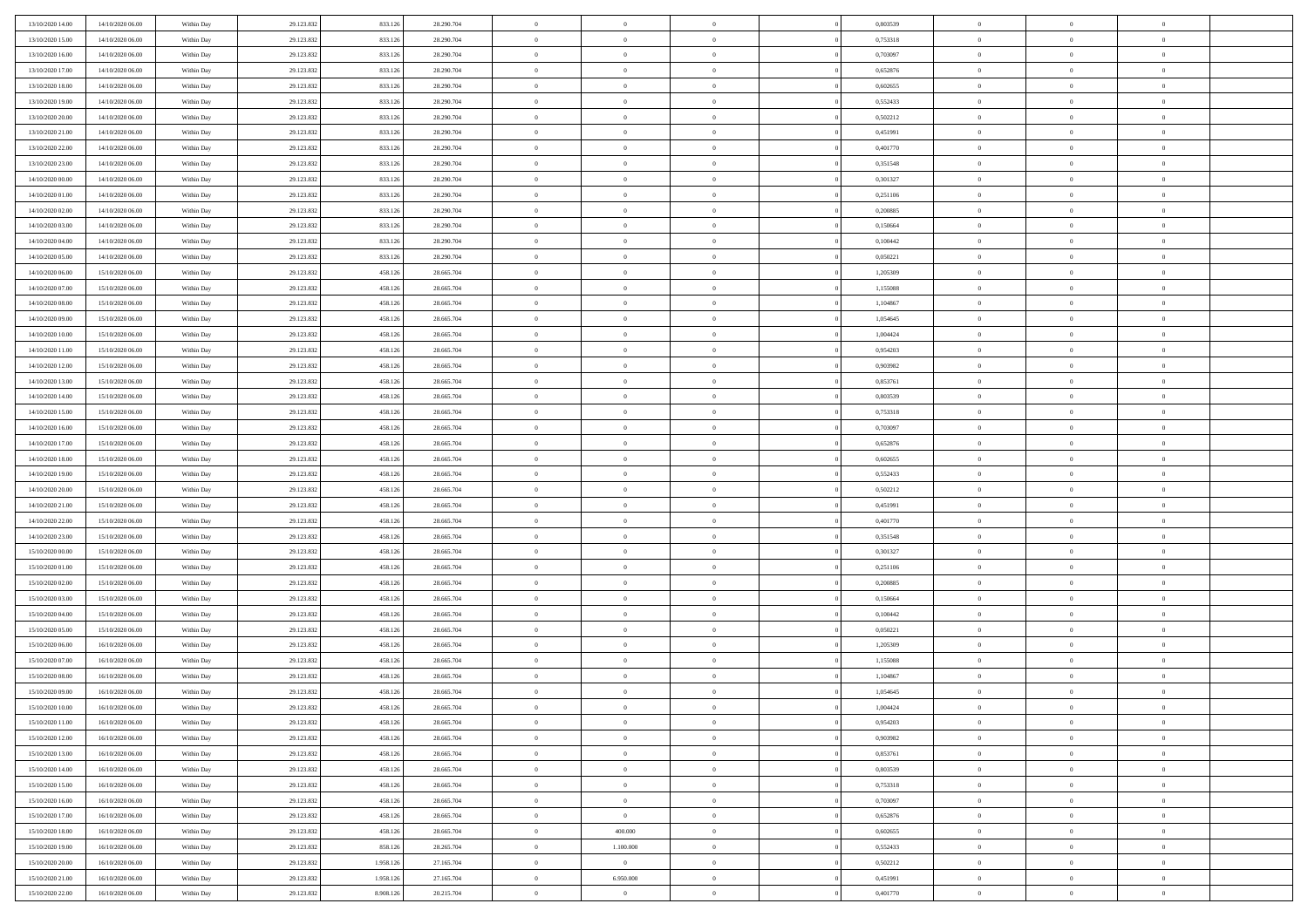| 13/10/2020 14:00 | 14/10/2020 06:00 | Within Day | 29.123.832 | 833.126   | 28.290.704 | $\bf{0}$           | $\overline{0}$ | $\overline{0}$ | 0,803539 | $\bf{0}$       | $\overline{0}$ | $\bf{0}$       |  |
|------------------|------------------|------------|------------|-----------|------------|--------------------|----------------|----------------|----------|----------------|----------------|----------------|--|
| 13/10/2020 15:00 | 14/10/2020 06:00 | Within Day | 29.123.832 | 833.12    | 28.290.704 | $\overline{0}$     | $\overline{0}$ | $\Omega$       | 0,753318 | $\overline{0}$ | $\theta$       | $\theta$       |  |
| 13/10/2020 16:00 | 14/10/2020 06:00 | Within Day | 29.123.832 | 833.126   | 28.290.704 | $\overline{0}$     | $\overline{0}$ | $\overline{0}$ | 0,703097 | $\mathbf{0}$   | $\overline{0}$ | $\theta$       |  |
| 13/10/2020 17:00 | 14/10/2020 06:00 | Within Day | 29.123.832 | 833.126   | 28.290.704 | $\bf{0}$           | $\overline{0}$ | $\overline{0}$ | 0,652876 | $\mathbf{0}$   | $\overline{0}$ | $\bf{0}$       |  |
| 13/10/2020 18:00 | 14/10/2020 06:00 | Within Day | 29.123.832 | 833.126   | 28.290.704 | $\bf{0}$           | $\overline{0}$ | $\overline{0}$ | 0,602655 | $\bf{0}$       | $\overline{0}$ | $\bf{0}$       |  |
| 13/10/2020 19:00 | 14/10/2020 06:00 | Within Day | 29.123.832 | 833.126   | 28.290.704 | $\overline{0}$     | $\overline{0}$ | $\overline{0}$ | 0,552433 | $\mathbf{0}$   | $\overline{0}$ | $\theta$       |  |
| 13/10/2020 20:00 | 14/10/2020 06:00 | Within Day | 29.123.832 | 833.126   | 28.290.704 | $\bf{0}$           | $\overline{0}$ | $\overline{0}$ | 0,502212 | $\mathbf{0}$   | $\overline{0}$ | $\bf{0}$       |  |
| 13/10/2020 21:00 | 14/10/2020 06:00 | Within Day | 29.123.832 | 833.126   | 28.290.704 | $\overline{0}$     | $\overline{0}$ | $\overline{0}$ | 0,451991 | $\mathbf{0}$   | $\theta$       | $\theta$       |  |
| 13/10/2020 22:00 | 14/10/2020 06:00 | Within Day | 29.123.832 | 833.126   | 28.290.704 | $\overline{0}$     | $\overline{0}$ | $\overline{0}$ | 0,401770 | $\mathbf{0}$   | $\overline{0}$ | $\theta$       |  |
| 13/10/2020 23.00 | 14/10/2020 06:00 | Within Day | 29.123.832 | 833.126   | 28.290.704 | $\bf{0}$           | $\overline{0}$ | $\Omega$       | 0,351548 | $\mathbf{0}$   | $\overline{0}$ | $\bf{0}$       |  |
| 14/10/2020 00:00 | 14/10/2020 06:00 | Within Day | 29.123.832 | 833.126   | 28.290.704 | $\bf{0}$           | $\overline{0}$ | $\overline{0}$ | 0,301327 | $\mathbf{0}$   | $\theta$       | $\theta$       |  |
| 14/10/2020 01:00 | 14/10/2020 06:00 | Within Day | 29.123.832 | 833.126   | 28.290.704 | $\overline{0}$     | $\overline{0}$ | $\overline{0}$ | 0,251106 | $\mathbf{0}$   | $\overline{0}$ | $\theta$       |  |
| 14/10/2020 02:00 | 14/10/2020 06:00 | Within Day | 29.123.832 | 833.126   | 28.290.704 | $\bf{0}$           | $\overline{0}$ | $\overline{0}$ | 0,200885 | $\mathbf{0}$   | $\overline{0}$ | $\bf{0}$       |  |
| 14/10/2020 03:00 | 14/10/2020 06:00 | Within Day | 29.123.832 | 833.126   | 28.290.704 | $\bf{0}$           | $\overline{0}$ | $\overline{0}$ | 0,150664 | $\bf{0}$       | $\theta$       | $\bf{0}$       |  |
| 14/10/2020 04.00 | 14/10/2020 06:00 | Within Day | 29.123.832 | 833.126   | 28.290.704 | $\overline{0}$     | $\overline{0}$ | $\overline{0}$ | 0,100442 | $\mathbf{0}$   | $\overline{0}$ | $\theta$       |  |
| 14/10/2020 05.00 | 14/10/2020 06:00 | Within Day | 29.123.832 | 833.126   | 28.290.704 | $\bf{0}$           | $\overline{0}$ | $\Omega$       | 0,050221 | $\mathbf{0}$   | $\overline{0}$ | $\bf{0}$       |  |
| 14/10/2020 06:00 | 15/10/2020 06:00 | Within Day | 29.123.832 | 458.126   | 28.665.704 | $\,$ 0 $\,$        | $\overline{0}$ | $\overline{0}$ | 1,205309 | $\mathbf{0}$   | $\overline{0}$ | $\theta$       |  |
| 14/10/2020 07:00 | 15/10/2020 06:00 | Within Day | 29.123.832 | 458.126   | 28.665.704 | $\overline{0}$     | $\overline{0}$ | $\overline{0}$ | 1,155088 | $\mathbf{0}$   | $\overline{0}$ | $\theta$       |  |
| 14/10/2020 08:00 | 15/10/2020 06:00 | Within Day | 29.123.832 | 458.126   | 28.665.704 | $\bf{0}$           | $\overline{0}$ | $\Omega$       | 1,104867 | $\mathbf{0}$   | $\overline{0}$ | $\bf{0}$       |  |
| 14/10/2020 09:00 | 15/10/2020 06:00 | Within Day | 29.123.832 | 458.126   | 28.665.704 | $\bf{0}$           | $\overline{0}$ | $\overline{0}$ | 1,054645 | $\mathbf{0}$   | $\mathbf{0}$   | $\overline{0}$ |  |
| 14/10/2020 10:00 | 15/10/2020 06:00 | Within Day | 29.123.832 | 458.126   | 28.665.704 | $\overline{0}$     | $\overline{0}$ | $\overline{0}$ | 1,004424 | $\mathbf{0}$   | $\overline{0}$ | $\theta$       |  |
| 14/10/2020 11:00 | 15/10/2020 06:00 | Within Day | 29.123.832 | 458.126   | 28.665.704 | $\bf{0}$           | $\overline{0}$ | $\overline{0}$ | 0,954203 | $\mathbf{0}$   | $\overline{0}$ | $\bf{0}$       |  |
| 14/10/2020 12:00 | 15/10/2020 06:00 | Within Day | 29.123.832 | 458.126   | 28.665.704 | $\,0\,$            | $\overline{0}$ | $\overline{0}$ | 0,903982 | $\,$ 0 $\,$    | $\overline{0}$ | $\bf{0}$       |  |
| 14/10/2020 13:00 | 15/10/2020 06:00 | Within Day | 29.123.832 | 458.126   | 28.665.704 | $\overline{0}$     | $\overline{0}$ | $\overline{0}$ | 0,853761 | $\mathbf{0}$   | $\overline{0}$ | $\theta$       |  |
| 14/10/2020 14:00 | 15/10/2020 06:00 | Within Day | 29.123.832 | 458.126   | 28.665.704 | $\bf{0}$           | $\overline{0}$ | $\overline{0}$ | 0,803539 | $\bf{0}$       | $\overline{0}$ | $\bf{0}$       |  |
| 14/10/2020 15:00 | 15/10/2020 06:00 | Within Day | 29.123.832 | 458.126   | 28.665.704 | $\,$ 0 $\,$        | $\overline{0}$ | $\overline{0}$ | 0,753318 | $\mathbf{0}$   | $\overline{0}$ | $\overline{0}$ |  |
| 14/10/2020 16:00 | 15/10/2020 06:00 | Within Day | 29.123.832 | 458.126   | 28.665.704 | $\overline{0}$     | $\overline{0}$ | $\overline{0}$ | 0,703097 | $\mathbf{0}$   | $\overline{0}$ | $\theta$       |  |
| 14/10/2020 17.00 | 15/10/2020 06:00 | Within Day | 29.123.832 | 458.126   | 28.665.704 | $\bf{0}$           | $\overline{0}$ | $\Omega$       | 0,652876 | $\mathbf{0}$   | $\overline{0}$ | $\bf{0}$       |  |
| 14/10/2020 18.00 | 15/10/2020 06:00 | Within Day | 29.123.832 | 458.126   | 28.665.704 | $\bf{0}$           | $\overline{0}$ | $\overline{0}$ | 0.602655 | $\mathbf{0}$   | $\overline{0}$ | $\overline{0}$ |  |
| 14/10/2020 19:00 | 15/10/2020 06:00 | Within Day | 29.123.832 | 458.126   | 28.665.704 | $\overline{0}$     | $\overline{0}$ | $\overline{0}$ | 0,552433 | $\mathbf{0}$   | $\overline{0}$ | $\theta$       |  |
| 14/10/2020 20:00 | 15/10/2020 06:00 | Within Day | 29.123.832 | 458.126   | 28.665.704 | $\,$ 0             | $\overline{0}$ | $\overline{0}$ | 0,502212 | $\,$ 0 $\,$    | $\overline{0}$ | $\,0\,$        |  |
| 14/10/2020 21:00 | 15/10/2020 06:00 | Within Day | 29.123.832 | 458.126   | 28.665.704 | $\bf{0}$           | $\overline{0}$ | $\overline{0}$ | 0,451991 | $\,$ 0 $\,$    | $\overline{0}$ | $\overline{0}$ |  |
| 14/10/2020 22.00 | 15/10/2020 06:00 | Within Day | 29.123.832 | 458.126   | 28.665.704 | $\overline{0}$     | $\overline{0}$ | $\overline{0}$ | 0,401770 | $\mathbf{0}$   | $\overline{0}$ | $\theta$       |  |
| 14/10/2020 23:00 | 15/10/2020 06:00 | Within Day | 29.123.832 | 458.126   | 28.665.704 | $\,$ 0             | $\overline{0}$ | $\theta$       | 0,351548 | $\,$ 0 $\,$    | $\overline{0}$ | $\mathbf{0}$   |  |
| 15/10/2020 00:00 | 15/10/2020 06:00 | Within Day | 29.123.832 | 458.126   | 28.665.704 | $\hspace{0.1cm} 0$ | $\overline{0}$ | $\overline{0}$ | 0,301327 | $\mathbf{0}$   | $\overline{0}$ | $\overline{0}$ |  |
| 15/10/2020 01:00 | 15/10/2020 06:00 | Within Day | 29.123.832 | 458.126   | 28.665.704 | $\overline{0}$     | $\overline{0}$ | $\overline{0}$ | 0,251106 | $\mathbf{0}$   | $\overline{0}$ | $\theta$       |  |
| 15/10/2020 02:00 | 15/10/2020 06:00 | Within Day | 29.123.832 | 458.126   | 28.665.704 | $\,$ 0             | $\overline{0}$ | $\overline{0}$ | 0,200885 | $\,$ 0 $\,$    | $\overline{0}$ | $\mathbf{0}$   |  |
| 15/10/2020 03:00 | 15/10/2020 06:00 | Within Day | 29.123.832 | 458.126   | 28.665.704 | $\bf{0}$           | $\overline{0}$ | $\overline{0}$ | 0,150664 | $\mathbf{0}$   | $\overline{0}$ | $\overline{0}$ |  |
| 15/10/2020 04:00 | 15/10/2020 06:00 | Within Day | 29.123.832 | 458.126   | 28.665.704 | $\overline{0}$     | $\overline{0}$ | $\overline{0}$ | 0,100442 | $\mathbf{0}$   | $\overline{0}$ | $\theta$       |  |
| 15/10/2020 05:00 | 15/10/2020 06:00 | Within Day | 29.123.832 | 458.126   | 28.665.704 | $\,$ 0             | $\overline{0}$ | $\overline{0}$ | 0,050221 | $\,$ 0 $\,$    | $\overline{0}$ | $\,0\,$        |  |
| 15/10/2020 06:00 | 16/10/2020 06:00 | Within Day | 29.123.832 | 458.126   | 28.665.704 | $\,$ 0 $\,$        | $\,$ 0 $\,$    | $\overline{0}$ | 1,205309 | $\,$ 0 $\,$    | $\overline{0}$ | $\overline{0}$ |  |
| 15/10/2020 07:00 | 16/10/2020 06:00 | Within Day | 29.123.832 | 458.126   | 28.665.704 | $\overline{0}$     | $\overline{0}$ | $\overline{0}$ | 1,155088 | $\mathbf{0}$   | $\overline{0}$ | $\theta$       |  |
| 15/10/2020 08:00 | 16/10/2020 06:00 | Within Day | 29.123.832 | 458.126   | 28.665.704 | $\overline{0}$     | $\overline{0}$ | $\overline{0}$ | 1,104867 | $\overline{0}$ | $\overline{0}$ | $\mathbf{0}$   |  |
| 15/10/2020 09:00 | 16/10/2020 06:00 | Within Day | 29.123.832 | 458.126   | 28.665.704 | $\bf{0}$           | $\overline{0}$ | $\overline{0}$ | 1,054645 | $\mathbf{0}$   | $\overline{0}$ | $\overline{0}$ |  |
| 15/10/2020 10:00 | 16/10/2020 06:00 | Within Day | 29.123.832 | 458.126   | 28.665.704 | $\overline{0}$     | $\theta$       |                | 1,004424 | $\overline{0}$ | $\theta$       | $\overline{0}$ |  |
| 15/10/2020 11:00 | 16/10/2020 06:00 | Within Day | 29.123.832 | 458.126   | 28.665.704 | $\,$ 0 $\,$        | $\overline{0}$ | $\overline{0}$ | 0,954203 | $\,$ 0 $\,$    | $\bf{0}$       | $\,0\,$        |  |
| 15/10/2020 12:00 | 16/10/2020 06:00 | Within Day | 29.123.832 | 458.126   | 28.665.704 | $\mathbf{0}$       | $\overline{0}$ | $\overline{0}$ | 0,903982 | $\,$ 0 $\,$    | $\overline{0}$ | $\overline{0}$ |  |
| 15/10/2020 13:00 | 16/10/2020 06:00 | Within Day | 29.123.832 | 458.126   | 28.665.704 | $\mathbf{0}$       | $\overline{0}$ | $\overline{0}$ | 0,853761 | $\mathbf{0}$   | $\bf{0}$       | $\overline{0}$ |  |
| 15/10/2020 14:00 | 16/10/2020 06:00 | Within Day | 29.123.832 | 458.126   | 28.665.704 | $\,$ 0 $\,$        | $\overline{0}$ | $\overline{0}$ | 0,803539 | $\,$ 0 $\,$    | $\bf{0}$       | $\theta$       |  |
| 15/10/2020 15:00 | 16/10/2020 06:00 | Within Day | 29.123.832 | 458.126   | 28.665.704 | $\,$ 0 $\,$        | $\,$ 0 $\,$    | $\overline{0}$ | 0,753318 | $\,$ 0 $\,$    | $\overline{0}$ | $\mathbf{0}$   |  |
| 15/10/2020 16.00 | 16/10/2020 06:00 | Within Day | 29.123.832 | 458.126   | 28.665.704 | $\mathbf{0}$       | $\overline{0}$ | $\overline{0}$ | 0,703097 | $\mathbf{0}$   | $\bf{0}$       | $\overline{0}$ |  |
| 15/10/2020 17.00 | 16/10/2020 06:00 | Within Day | 29.123.832 | 458.126   | 28.665.704 | $\,$ 0 $\,$        | $\overline{0}$ | $\overline{0}$ | 0,652876 | $\,$ 0 $\,$    | $\mathbf{0}$   | $\theta$       |  |
| 15/10/2020 18:00 | 16/10/2020 06:00 | Within Day | 29.123.832 | 458.126   | 28.665.704 | $\mathbf{0}$       | 400.000        | $\overline{0}$ | 0.602655 | $\,$ 0 $\,$    | $\overline{0}$ | $\overline{0}$ |  |
| 15/10/2020 19:00 | 16/10/2020 06:00 | Within Day | 29.123.832 | 858.126   | 28.265.704 | $\mathbf{0}$       | 1.100.000      | $\overline{0}$ | 0,552433 | $\mathbf{0}$   | $\bf{0}$       | $\overline{0}$ |  |
| 15/10/2020 20:00 | 16/10/2020 06:00 | Within Day | 29.123.832 | 1.958.126 | 27.165.704 | $\,$ 0 $\,$        | $\overline{0}$ | $\overline{0}$ | 0,502212 | $\,$ 0 $\,$    | $\mathbf{0}$   | $\theta$       |  |
| 15/10/2020 21.00 | 16/10/2020 06:00 | Within Day | 29.123.832 | 1.958.126 | 27.165.704 | $\mathbf{0}$       | 6.950.000      | $\overline{0}$ | 0,451991 | $\,$ 0 $\,$    | $\overline{0}$ | $\overline{0}$ |  |
| 15/10/2020 22.00 | 16/10/2020 06:00 | Within Day | 29.123.832 | 8.908.126 | 20.215.704 | $\overline{0}$     | $\overline{0}$ | $\overline{0}$ | 0,401770 | $\mathbf{0}$   | $\mathbf{0}$   | $\overline{0}$ |  |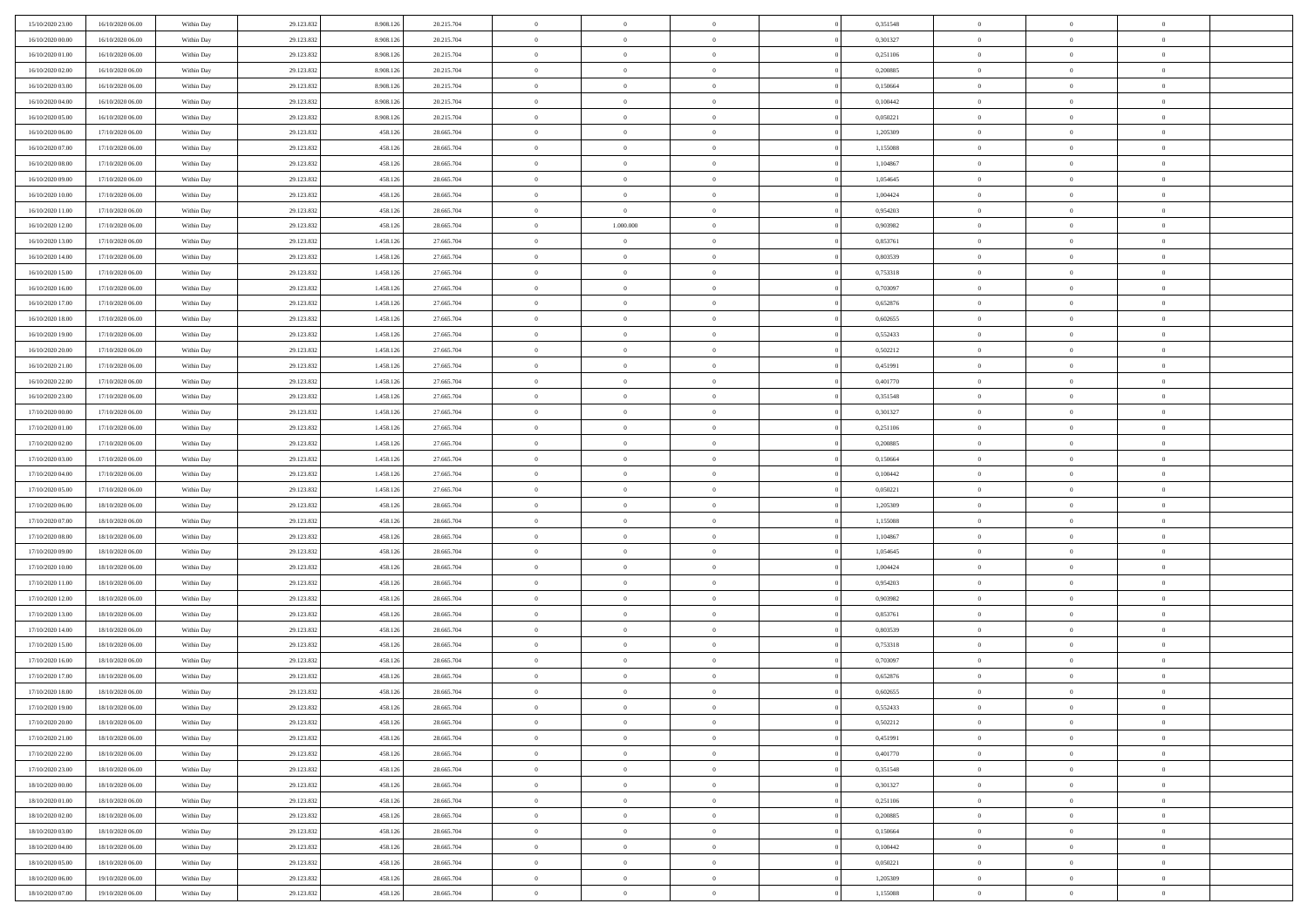| 15/10/2020 23.00 | 16/10/2020 06:00 | Within Day | 29.123.832 | 8.908.12  | 20.215.704 | $\bf{0}$       | $\overline{0}$ | $\Omega$       | 0,351548 | $\bf{0}$       | $\overline{0}$ | $\bf{0}$       |  |
|------------------|------------------|------------|------------|-----------|------------|----------------|----------------|----------------|----------|----------------|----------------|----------------|--|
| 16/10/2020 00:00 | 16/10/2020 06:00 | Within Day | 29.123.832 | 8.908.12  | 20.215.704 | $\overline{0}$ | $\overline{0}$ | $\Omega$       | 0,301327 | $\overline{0}$ | $\theta$       | $\theta$       |  |
| 16/10/2020 01:00 | 16/10/2020 06:00 | Within Day | 29.123.832 | 8.908.126 | 20.215.704 | $\overline{0}$ | $\overline{0}$ | $\overline{0}$ | 0,251106 | $\mathbf{0}$   | $\overline{0}$ | $\theta$       |  |
| 16/10/2020 02:00 | 16/10/2020 06:00 | Within Day | 29.123.832 | 8.908.126 | 20.215.704 | $\bf{0}$       | $\overline{0}$ | $\overline{0}$ | 0,200885 | $\mathbf{0}$   | $\overline{0}$ | $\bf{0}$       |  |
| 16/10/2020 03:00 | 16/10/2020 06:00 |            | 29.123.832 | 8.908.12  | 20.215.704 | $\bf{0}$       | $\overline{0}$ | $\overline{0}$ | 0,150664 | $\bf{0}$       | $\overline{0}$ | $\bf{0}$       |  |
|                  |                  | Within Day |            |           |            | $\overline{0}$ |                |                |          |                |                | $\theta$       |  |
| 16/10/2020 04:00 | 16/10/2020 06:00 | Within Day | 29.123.832 | 8.908.126 | 20.215.704 |                | $\overline{0}$ | $\overline{0}$ | 0,100442 | $\mathbf{0}$   | $\overline{0}$ |                |  |
| 16/10/2020 05:00 | 16/10/2020 06:00 | Within Day | 29.123.832 | 8.908.126 | 20.215.704 | $\bf{0}$       | $\overline{0}$ | $\overline{0}$ | 0,050221 | $\mathbf{0}$   | $\overline{0}$ | $\bf{0}$       |  |
| 16/10/2020 06:00 | 17/10/2020 06:00 | Within Day | 29.123.832 | 458.126   | 28.665.704 | $\overline{0}$ | $\overline{0}$ | $\overline{0}$ | 1,205309 | $\mathbf{0}$   | $\theta$       | $\theta$       |  |
| 16/10/2020 07:00 | 17/10/2020 06:00 | Within Day | 29.123.832 | 458.126   | 28.665.704 | $\overline{0}$ | $\overline{0}$ | $\overline{0}$ | 1,155088 | $\mathbf{0}$   | $\overline{0}$ | $\theta$       |  |
| 16/10/2020 08:00 | 17/10/2020 06:00 | Within Day | 29.123.832 | 458.126   | 28.665.704 | $\bf{0}$       | $\overline{0}$ | $\Omega$       | 1,104867 | $\mathbf{0}$   | $\overline{0}$ | $\bf{0}$       |  |
| 16/10/2020 09:00 | 17/10/2020 06:00 | Within Day | 29.123.832 | 458.126   | 28.665.704 | $\bf{0}$       | $\overline{0}$ | $\overline{0}$ | 1.054645 | $\mathbf{0}$   | $\theta$       | $\theta$       |  |
| 16/10/2020 10:00 | 17/10/2020 06:00 | Within Day | 29.123.832 | 458.126   | 28.665.704 | $\overline{0}$ | $\overline{0}$ | $\overline{0}$ | 1,004424 | $\mathbf{0}$   | $\overline{0}$ | $\theta$       |  |
| 16/10/2020 11:00 | 17/10/2020 06:00 | Within Day | 29.123.832 | 458.126   | 28.665.704 | $\bf{0}$       | $\overline{0}$ | $\overline{0}$ | 0,954203 | $\mathbf{0}$   | $\overline{0}$ | $\bf{0}$       |  |
| 16/10/2020 12:00 | 17/10/2020 06:00 | Within Day | 29.123.832 | 458.126   | 28.665.704 | $\bf{0}$       | 1.000.000      | $\overline{0}$ | 0,903982 | $\bf{0}$       | $\theta$       | $\bf{0}$       |  |
| 16/10/2020 13:00 | 17/10/2020 06:00 | Within Day | 29.123.832 | 1.458.126 | 27.665.704 | $\overline{0}$ | $\overline{0}$ | $\overline{0}$ | 0,853761 | $\mathbf{0}$   | $\overline{0}$ | $\theta$       |  |
| 16/10/2020 14:00 | 17/10/2020 06:00 | Within Day | 29.123.832 | 1.458.126 | 27.665.704 | $\bf{0}$       | $\overline{0}$ | $\Omega$       | 0,803539 | $\bf{0}$       | $\overline{0}$ | $\bf{0}$       |  |
| 16/10/2020 15:00 | 17/10/2020 06:00 | Within Day | 29.123.832 | 1.458.126 | 27.665.704 | $\,$ 0 $\,$    | $\overline{0}$ | $\overline{0}$ | 0,753318 | $\mathbf{0}$   | $\overline{0}$ | $\theta$       |  |
| 16/10/2020 16:00 | 17/10/2020 06:00 | Within Day | 29.123.832 | 1.458.126 | 27.665.704 | $\overline{0}$ | $\overline{0}$ | $\overline{0}$ | 0,703097 | $\mathbf{0}$   | $\overline{0}$ | $\theta$       |  |
| 16/10/2020 17.00 | 17/10/2020 06:00 | Within Day | 29.123.832 | 1.458.126 | 27.665.704 | $\bf{0}$       | $\overline{0}$ | $\Omega$       | 0,652876 | $\bf{0}$       | $\overline{0}$ | $\bf{0}$       |  |
| 16/10/2020 18:00 | 17/10/2020 06:00 | Within Day | 29.123.832 | 1.458.12  | 27.665.704 | $\bf{0}$       | $\overline{0}$ | $\overline{0}$ | 0.602655 | $\mathbf{0}$   | $\mathbf{0}$   | $\overline{0}$ |  |
| 16/10/2020 19:00 | 17/10/2020 06:00 | Within Day | 29.123.832 | 1.458.126 | 27.665.704 | $\overline{0}$ | $\overline{0}$ | $\overline{0}$ | 0,552433 | $\mathbf{0}$   | $\overline{0}$ | $\theta$       |  |
| 16/10/2020 20:00 | 17/10/2020 06:00 | Within Day | 29.123.832 | 1.458.126 | 27.665.704 | $\bf{0}$       | $\overline{0}$ | $\overline{0}$ | 0,502212 | $\mathbf{0}$   | $\overline{0}$ | $\bf{0}$       |  |
| 16/10/2020 21:00 | 17/10/2020 06:00 | Within Day | 29.123.832 | 1.458.126 | 27.665.704 | $\,$ 0 $\,$    | $\overline{0}$ | $\overline{0}$ | 0,451991 | $\,$ 0 $\,$    | $\overline{0}$ | $\bf{0}$       |  |
| 16/10/2020 22.00 | 17/10/2020 06:00 | Within Day | 29.123.832 | 1.458.126 | 27.665.704 | $\overline{0}$ | $\overline{0}$ | $\overline{0}$ | 0,401770 | $\mathbf{0}$   | $\overline{0}$ | $\theta$       |  |
| 16/10/2020 23.00 | 17/10/2020 06:00 | Within Day | 29.123.832 | 1.458.126 | 27.665.704 | $\bf{0}$       | $\overline{0}$ | $\overline{0}$ | 0,351548 | $\bf{0}$       | $\overline{0}$ | $\bf{0}$       |  |
| 17/10/2020 00:00 | 17/10/2020 06:00 |            |            | 1.458.126 | 27.665.704 | $\,$ 0 $\,$    | $\overline{0}$ | $\overline{0}$ | 0,301327 | $\mathbf{0}$   | $\overline{0}$ | $\overline{0}$ |  |
| 17/10/2020 01:00 |                  | Within Day | 29.123.832 |           |            | $\overline{0}$ | $\overline{0}$ |                |          |                |                | $\theta$       |  |
|                  | 17/10/2020 06:00 | Within Day | 29.123.832 | 1.458.126 | 27.665.704 |                |                | $\overline{0}$ | 0,251106 | $\mathbf{0}$   | $\overline{0}$ |                |  |
| 17/10/2020 02:00 | 17/10/2020 06:00 | Within Day | 29.123.832 | 1.458.126 | 27.665.704 | $\bf{0}$       | $\overline{0}$ | $\Omega$       | 0,200885 | $\mathbf{0}$   | $\overline{0}$ | $\bf{0}$       |  |
| 17/10/2020 03:00 | 17/10/2020 06:00 | Within Day | 29.123.832 | 1.458.126 | 27.665.704 | $\bf{0}$       | $\overline{0}$ | $\overline{0}$ | 0,150664 | $\mathbf{0}$   | $\theta$       | $\overline{0}$ |  |
| 17/10/2020 04:00 | 17/10/2020 06:00 | Within Day | 29.123.832 | 1.458.126 | 27.665.704 | $\overline{0}$ | $\overline{0}$ | $\overline{0}$ | 0,100442 | $\mathbf{0}$   | $\overline{0}$ | $\theta$       |  |
| 17/10/2020 05:00 | 17/10/2020 06:00 | Within Day | 29.123.832 | 1.458.126 | 27.665.704 | $\,$ 0         | $\overline{0}$ | $\overline{0}$ | 0,050221 | $\,$ 0 $\,$    | $\overline{0}$ | $\,$ 0 $\,$    |  |
| 17/10/2020 06:00 | 18/10/2020 06:00 | Within Day | 29.123.832 | 458.126   | 28.665.704 | $\bf{0}$       | $\overline{0}$ | $\overline{0}$ | 1,205309 | $\mathbf{0}$   | $\overline{0}$ | $\overline{0}$ |  |
| 17/10/2020 07:00 | 18/10/2020 06:00 | Within Day | 29.123.832 | 458.126   | 28.665.704 | $\overline{0}$ | $\overline{0}$ | $\overline{0}$ | 1,155088 | $\mathbf{0}$   | $\overline{0}$ | $\theta$       |  |
| 17/10/2020 08:00 | 18/10/2020 06:00 | Within Day | 29.123.832 | 458.126   | 28.665.704 | $\,$ 0         | $\overline{0}$ | $\theta$       | 1,104867 | $\,$ 0 $\,$    | $\overline{0}$ | $\mathbf{0}$   |  |
| 17/10/2020 09:00 | 18/10/2020 06:00 | Within Day | 29.123.832 | 458.126   | 28.665.704 | $\bf{0}$       | $\overline{0}$ | $\overline{0}$ | 1,054645 | $\mathbf{0}$   | $\overline{0}$ | $\overline{0}$ |  |
| 17/10/2020 10:00 | 18/10/2020 06:00 | Within Day | 29.123.832 | 458.126   | 28.665.704 | $\overline{0}$ | $\overline{0}$ | $\overline{0}$ | 1,004424 | $\mathbf{0}$   | $\overline{0}$ | $\theta$       |  |
| 17/10/2020 11:00 | 18/10/2020 06:00 | Within Day | 29.123.832 | 458.126   | 28.665.704 | $\,$ 0         | $\overline{0}$ | $\overline{0}$ | 0,954203 | $\,$ 0 $\,$    | $\overline{0}$ | $\mathbf{0}$   |  |
| 17/10/2020 12:00 | 18/10/2020 06:00 | Within Day | 29.123.832 | 458.126   | 28.665.704 | $\bf{0}$       | $\overline{0}$ | $\overline{0}$ | 0,903982 | $\mathbf{0}$   | $\mathbf{0}$   | $\bf{0}$       |  |
| 17/10/2020 13:00 | 18/10/2020 06:00 | Within Day | 29.123.832 | 458.126   | 28.665.704 | $\overline{0}$ | $\overline{0}$ | $\overline{0}$ | 0,853761 | $\mathbf{0}$   | $\overline{0}$ | $\theta$       |  |
| 17/10/2020 14:00 | 18/10/2020 06:00 | Within Day | 29.123.832 | 458.126   | 28.665.704 | $\,$ 0         | $\overline{0}$ | $\overline{0}$ | 0,803539 | $\,$ 0 $\,$    | $\overline{0}$ | $\,0\,$        |  |
| 17/10/2020 15:00 | 18/10/2020 06:00 | Within Day | 29.123.832 | 458.126   | 28.665.704 | $\,$ 0 $\,$    | $\,$ 0 $\,$    | $\overline{0}$ | 0,753318 | $\,$ 0 $\,$    | $\overline{0}$ | $\bf{0}$       |  |
| 17/10/2020 16.00 | 18/10/2020 06:00 | Within Day | 29.123.832 | 458.126   | 28.665.704 | $\overline{0}$ | $\overline{0}$ | $\overline{0}$ | 0,703097 | $\mathbf{0}$   | $\overline{0}$ | $\theta$       |  |
| 17/10/2020 17:00 | 18/10/2020 06:00 | Within Day | 29.123.832 | 458.126   | 28.665.704 | $\overline{0}$ | $\overline{0}$ | $\overline{0}$ | 0,652876 | $\,$ 0         | $\overline{0}$ | $\mathbf{0}$   |  |
| 17/10/2020 18:00 | 18/10/2020 06:00 | Within Day | 29.123.832 | 458.126   | 28.665.704 | $\bf{0}$       | $\overline{0}$ | $\overline{0}$ | 0.602655 | $\mathbf{0}$   | $\overline{0}$ | $\bf{0}$       |  |
| 17/10/2020 19:00 | 18/10/2020 06:00 | Within Day | 29.123.832 | 458.126   | 28.665.704 | $\overline{0}$ | $\theta$       |                | 0,552433 | $\overline{0}$ | $\Omega$       | $\overline{0}$ |  |
| 17/10/2020 20:00 | 18/10/2020 06:00 | Within Day | 29.123.832 | 458.126   | 28.665.704 | $\,$ 0 $\,$    | $\overline{0}$ | $\overline{0}$ | 0,502212 | $\,$ 0 $\,$    | $\bf{0}$       | $\mathbf{0}$   |  |
| 17/10/2020 21:00 | 18/10/2020 06:00 | Within Day | 29.123.832 | 458.126   | 28.665.704 | $\mathbf{0}$   | $\overline{0}$ | $\overline{0}$ | 0,451991 | $\,$ 0 $\,$    | $\overline{0}$ | $\overline{0}$ |  |
| 17/10/2020 22.00 | 18/10/2020 06:00 | Within Day | 29.123.832 | 458.126   | 28.665.704 | $\mathbf{0}$   | $\overline{0}$ | $\overline{0}$ | 0,401770 | $\mathbf{0}$   | $\bf{0}$       | $\overline{0}$ |  |
| 17/10/2020 23.00 | 18/10/2020 06:00 | Within Day | 29.123.832 | 458.126   | 28.665.704 | $\,$ 0 $\,$    | $\overline{0}$ | $\overline{0}$ | 0,351548 | $\,$ 0 $\,$    | $\bf{0}$       | $\theta$       |  |
| 18/10/2020 00:00 | 18/10/2020 06:00 | Within Day | 29.123.832 | 458.126   | 28.665.704 | $\,$ 0 $\,$    | $\,$ 0 $\,$    | $\overline{0}$ | 0,301327 | $\,$ 0 $\,$    | $\overline{0}$ | $\overline{0}$ |  |
| 18/10/2020 01:00 | 18/10/2020 06:00 | Within Day | 29.123.832 | 458.126   | 28.665.704 | $\mathbf{0}$   | $\overline{0}$ | $\overline{0}$ | 0,251106 | $\mathbf{0}$   | $\overline{0}$ | $\overline{0}$ |  |
| 18/10/2020 02:00 | 18/10/2020 06:00 | Within Day | 29.123.832 | 458.126   | 28.665.704 | $\,$ 0 $\,$    | $\overline{0}$ | $\overline{0}$ | 0,200885 | $\,$ 0 $\,$    | $\overline{0}$ | $\theta$       |  |
| 18/10/2020 03:00 | 18/10/2020 06:00 | Within Day | 29.123.832 | 458.126   | 28.665.704 | $\mathbf{0}$   | $\overline{0}$ | $\overline{0}$ | 0,150664 | $\,$ 0 $\,$    | $\overline{0}$ | $\overline{0}$ |  |
| 18/10/2020 04:00 | 18/10/2020 06:00 | Within Day | 29.123.832 | 458.126   | 28.665.704 | $\mathbf{0}$   | $\overline{0}$ | $\overline{0}$ | 0,100442 | $\mathbf{0}$   | $\bf{0}$       | $\overline{0}$ |  |
| 18/10/2020 05:00 | 18/10/2020 06:00 | Within Day | 29.123.832 | 458.126   | 28.665.704 | $\,$ 0 $\,$    | $\overline{0}$ | $\overline{0}$ | 0,050221 | $\,$ 0 $\,$    | $\mathbf{0}$   | $\theta$       |  |
| 18/10/2020 06:00 | 19/10/2020 06:00 | Within Day | 29.123.832 | 458.126   | 28.665.704 | $\mathbf{0}$   | $\overline{0}$ | $\overline{0}$ | 1,205309 | $\,$ 0 $\,$    | $\overline{0}$ | $\overline{0}$ |  |
| 18/10/2020 07:00 | 19/10/2020 06:00 | Within Day | 29.123.832 | 458.126   | 28.665.704 | $\mathbf{0}$   | $\overline{0}$ | $\overline{0}$ | 1,155088 | $\mathbf{0}$   | $\mathbf{0}$   | $\overline{0}$ |  |
|                  |                  |            |            |           |            |                |                |                |          |                |                |                |  |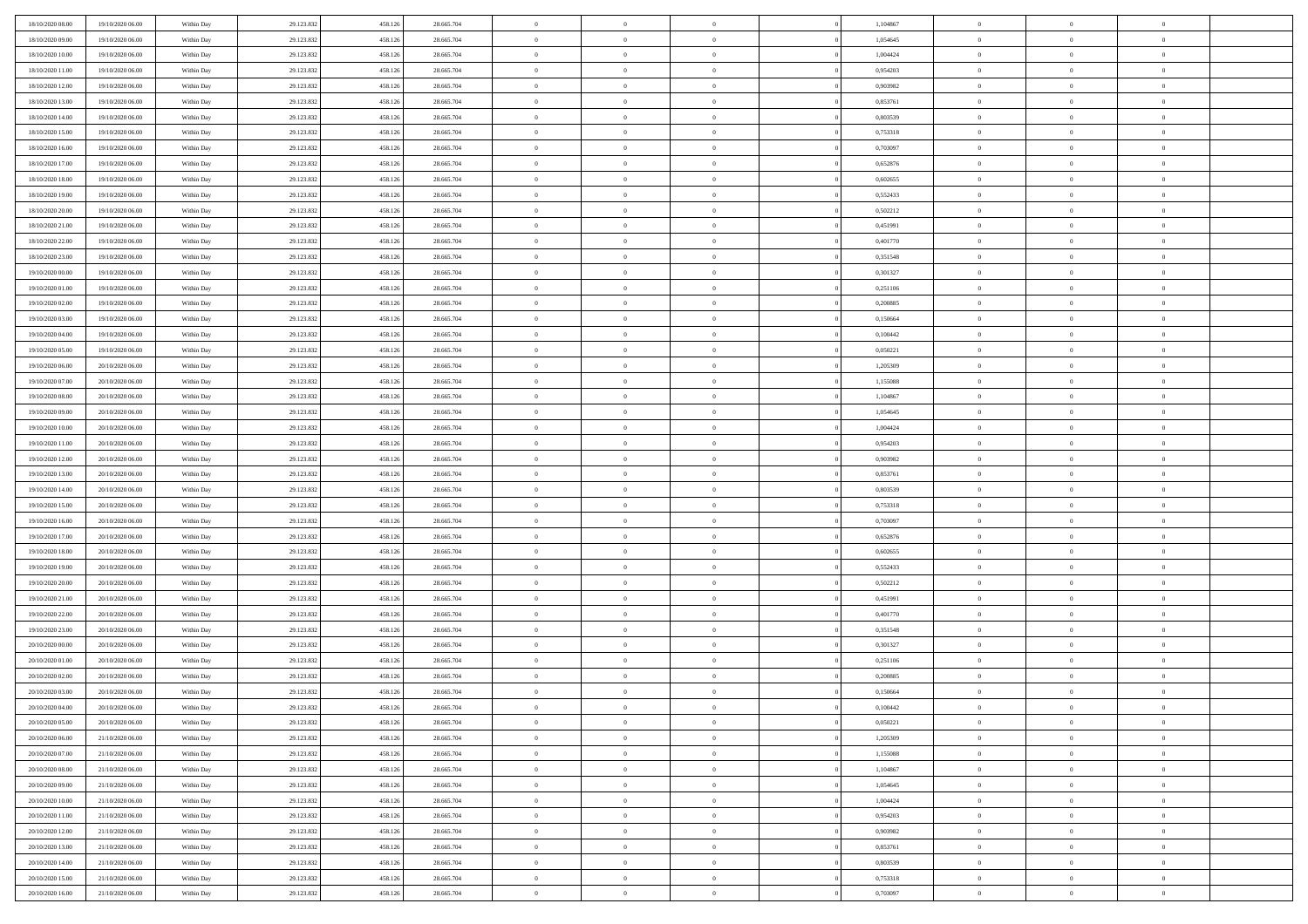| 18/10/2020 08:00 | 19/10/2020 06:00 | Within Day | 29.123.832 | 458.126 | 28.665.704 | $\bf{0}$       | $\overline{0}$ | $\Omega$       | 1,104867 | $\bf{0}$       | $\overline{0}$ | $\bf{0}$       |  |
|------------------|------------------|------------|------------|---------|------------|----------------|----------------|----------------|----------|----------------|----------------|----------------|--|
| 18/10/2020 09:00 | 19/10/2020 06:00 | Within Day | 29.123.832 | 458.12  | 28.665.704 | $\overline{0}$ | $\overline{0}$ | $\Omega$       | 1.054645 | $\overline{0}$ | $\theta$       | $\theta$       |  |
| 18/10/2020 10:00 | 19/10/2020 06:00 | Within Day | 29.123.832 | 458.126 | 28.665.704 | $\overline{0}$ | $\overline{0}$ | $\overline{0}$ | 1,004424 | $\mathbf{0}$   | $\overline{0}$ | $\theta$       |  |
| 18/10/2020 11:00 | 19/10/2020 06:00 | Within Day | 29.123.832 | 458.126 | 28.665.704 | $\bf{0}$       | $\overline{0}$ | $\overline{0}$ | 0,954203 | $\mathbf{0}$   | $\overline{0}$ | $\bf{0}$       |  |
| 18/10/2020 12:00 | 19/10/2020 06:00 | Within Day | 29.123.832 | 458.126 | 28.665.704 | $\bf{0}$       | $\overline{0}$ | $\overline{0}$ | 0,903982 | $\bf{0}$       | $\overline{0}$ | $\bf{0}$       |  |
| 18/10/2020 13:00 | 19/10/2020 06:00 | Within Day | 29.123.832 | 458.126 | 28.665.704 | $\overline{0}$ | $\overline{0}$ | $\overline{0}$ | 0,853761 | $\mathbf{0}$   | $\overline{0}$ | $\theta$       |  |
| 18/10/2020 14:00 | 19/10/2020 06:00 | Within Day | 29.123.832 | 458.126 | 28.665.704 | $\bf{0}$       | $\overline{0}$ | $\overline{0}$ | 0,803539 | $\mathbf{0}$   | $\overline{0}$ | $\bf{0}$       |  |
| 18/10/2020 15:00 | 19/10/2020 06:00 | Within Day | 29.123.832 | 458.126 | 28.665.704 | $\overline{0}$ | $\overline{0}$ | $\overline{0}$ | 0,753318 | $\mathbf{0}$   | $\theta$       | $\theta$       |  |
| 18/10/2020 16:00 | 19/10/2020 06:00 | Within Day | 29.123.832 | 458.126 | 28.665.704 | $\overline{0}$ | $\overline{0}$ | $\overline{0}$ | 0,703097 | $\mathbf{0}$   | $\overline{0}$ | $\theta$       |  |
| 18/10/2020 17:00 | 19/10/2020 06:00 | Within Day | 29.123.832 | 458.126 | 28.665.704 | $\bf{0}$       | $\overline{0}$ | $\Omega$       | 0,652876 | $\mathbf{0}$   | $\overline{0}$ | $\bf{0}$       |  |
| 18/10/2020 18:00 | 19/10/2020 06:00 | Within Day | 29.123.832 | 458.126 | 28.665.704 | $\bf{0}$       | $\overline{0}$ | $\overline{0}$ | 0.602655 | $\mathbf{0}$   | $\theta$       | $\theta$       |  |
| 18/10/2020 19:00 | 19/10/2020 06:00 | Within Day | 29.123.832 | 458.126 | 28.665.704 | $\overline{0}$ | $\overline{0}$ | $\overline{0}$ | 0,552433 | $\mathbf{0}$   | $\overline{0}$ | $\theta$       |  |
| 18/10/2020 20:00 | 19/10/2020 06:00 | Within Day | 29.123.832 | 458.126 | 28.665.704 | $\bf{0}$       | $\overline{0}$ | $\overline{0}$ | 0,502212 | $\mathbf{0}$   | $\overline{0}$ | $\bf{0}$       |  |
| 18/10/2020 21:00 | 19/10/2020 06:00 | Within Day | 29.123.832 | 458.126 | 28.665.704 | $\bf{0}$       | $\overline{0}$ | $\overline{0}$ | 0,451991 | $\bf{0}$       | $\theta$       | $\bf{0}$       |  |
| 18/10/2020 22.00 | 19/10/2020 06:00 | Within Day | 29.123.832 | 458.126 | 28.665.704 | $\overline{0}$ | $\overline{0}$ | $\overline{0}$ | 0,401770 | $\mathbf{0}$   | $\overline{0}$ | $\theta$       |  |
| 18/10/2020 23.00 | 19/10/2020 06:00 | Within Day | 29.123.832 | 458.126 | 28.665.704 | $\bf{0}$       | $\overline{0}$ | $\Omega$       | 0,351548 | $\mathbf{0}$   | $\overline{0}$ | $\bf{0}$       |  |
| 19/10/2020 00:00 | 19/10/2020 06:00 | Within Day | 29.123.832 | 458.126 | 28.665.704 | $\,$ 0 $\,$    | $\overline{0}$ | $\overline{0}$ | 0,301327 | $\mathbf{0}$   | $\overline{0}$ | $\theta$       |  |
| 19/10/2020 01:00 | 19/10/2020 06:00 | Within Day | 29.123.832 | 458.126 | 28.665.704 | $\overline{0}$ | $\overline{0}$ | $\overline{0}$ | 0,251106 | $\mathbf{0}$   | $\overline{0}$ | $\theta$       |  |
| 19/10/2020 02:00 | 19/10/2020 06:00 | Within Day | 29.123.832 | 458.126 | 28.665.704 | $\bf{0}$       | $\overline{0}$ | $\Omega$       | 0,200885 | $\mathbf{0}$   | $\overline{0}$ | $\bf{0}$       |  |
| 19/10/2020 03:00 | 19/10/2020 06:00 | Within Day | 29.123.832 | 458.126 | 28.665.704 | $\bf{0}$       | $\overline{0}$ | $\overline{0}$ | 0,150664 | $\mathbf{0}$   | $\mathbf{0}$   | $\overline{0}$ |  |
| 19/10/2020 04:00 | 19/10/2020 06:00 | Within Day | 29.123.832 | 458.126 | 28.665.704 | $\overline{0}$ | $\overline{0}$ | $\overline{0}$ | 0,100442 | $\mathbf{0}$   | $\overline{0}$ | $\theta$       |  |
| 19/10/2020 05:00 | 19/10/2020 06:00 | Within Day | 29.123.832 | 458.126 | 28.665.704 | $\bf{0}$       | $\overline{0}$ | $\overline{0}$ | 0,050221 | $\mathbf{0}$   | $\overline{0}$ | $\bf{0}$       |  |
| 19/10/2020 06:00 | 20/10/2020 06:00 | Within Day | 29.123.832 | 458.126 | 28.665.704 | $\,0\,$        | $\overline{0}$ | $\overline{0}$ | 1,205309 | $\,$ 0 $\,$    | $\overline{0}$ | $\bf{0}$       |  |
| 19/10/2020 07:00 | 20/10/2020 06:00 | Within Day | 29.123.832 | 458.126 | 28.665.704 | $\overline{0}$ | $\overline{0}$ | $\overline{0}$ | 1,155088 | $\mathbf{0}$   | $\overline{0}$ | $\theta$       |  |
| 19/10/2020 08:00 | 20/10/2020 06:00 | Within Day | 29.123.832 | 458.126 | 28.665.704 | $\bf{0}$       | $\overline{0}$ | $\overline{0}$ | 1,104867 | $\bf{0}$       | $\overline{0}$ | $\bf{0}$       |  |
| 19/10/2020 09:00 | 20/10/2020 06:00 | Within Day | 29.123.832 | 458.126 | 28.665.704 | $\,$ 0 $\,$    | $\overline{0}$ | $\overline{0}$ | 1,054645 | $\mathbf{0}$   | $\overline{0}$ | $\overline{0}$ |  |
| 19/10/2020 10:00 | 20/10/2020 06:00 | Within Day | 29.123.832 | 458.126 | 28.665.704 | $\overline{0}$ | $\overline{0}$ | $\overline{0}$ | 1,004424 | $\mathbf{0}$   | $\overline{0}$ | $\theta$       |  |
| 19/10/2020 11:00 | 20/10/2020 06:00 | Within Day | 29.123.832 | 458.126 | 28.665.704 | $\bf{0}$       | $\overline{0}$ | $\Omega$       | 0,954203 | $\mathbf{0}$   | $\overline{0}$ | $\bf{0}$       |  |
| 19/10/2020 12:00 | 20/10/2020 06:00 | Within Day | 29.123.832 | 458.126 | 28.665.704 | $\bf{0}$       | $\overline{0}$ | $\overline{0}$ | 0.903982 | $\mathbf{0}$   | $\overline{0}$ | $\overline{0}$ |  |
| 19/10/2020 13:00 | 20/10/2020 06:00 | Within Day | 29.123.832 | 458.126 | 28.665.704 | $\overline{0}$ | $\overline{0}$ | $\overline{0}$ | 0,853761 | $\mathbf{0}$   | $\overline{0}$ | $\theta$       |  |
| 19/10/2020 14:00 | 20/10/2020 06:00 | Within Day | 29.123.832 | 458.126 | 28.665.704 | $\,$ 0         | $\overline{0}$ | $\overline{0}$ | 0,803539 | $\,$ 0 $\,$    | $\overline{0}$ | $\,0\,$        |  |
| 19/10/2020 15:00 | 20/10/2020 06:00 | Within Day | 29.123.832 | 458.126 | 28.665.704 | $\bf{0}$       | $\overline{0}$ | $\overline{0}$ | 0,753318 | $\,$ 0 $\,$    | $\overline{0}$ | $\overline{0}$ |  |
| 19/10/2020 16:00 | 20/10/2020 06:00 | Within Day | 29.123.832 | 458.126 | 28.665.704 | $\overline{0}$ | $\overline{0}$ | $\overline{0}$ | 0,703097 | $\mathbf{0}$   | $\overline{0}$ | $\theta$       |  |
| 19/10/2020 17.00 | 20/10/2020 06:00 | Within Day | 29.123.832 | 458.126 | 28.665.704 | $\,$ 0         | $\overline{0}$ | $\theta$       | 0,652876 | $\,$ 0 $\,$    | $\overline{0}$ | $\mathbf{0}$   |  |
| 19/10/2020 18:00 | 20/10/2020 06:00 | Within Day | 29.123.832 | 458.126 | 28.665.704 | $\bf{0}$       | $\overline{0}$ | $\overline{0}$ | 0.602655 | $\mathbf{0}$   | $\overline{0}$ | $\overline{0}$ |  |
| 19/10/2020 19:00 | 20/10/2020 06:00 | Within Day | 29.123.832 | 458.126 | 28.665.704 | $\overline{0}$ | $\overline{0}$ | $\overline{0}$ | 0,552433 | $\mathbf{0}$   | $\overline{0}$ | $\theta$       |  |
| 19/10/2020 20:00 | 20/10/2020 06:00 | Within Day | 29.123.832 | 458.126 | 28.665.704 | $\,$ 0         | $\overline{0}$ | $\overline{0}$ | 0,502212 | $\,$ 0 $\,$    | $\overline{0}$ | $\mathbf{0}$   |  |
| 19/10/2020 21:00 | 20/10/2020 06:00 | Within Day | 29.123.832 | 458.126 | 28.665.704 | $\bf{0}$       | $\overline{0}$ | $\overline{0}$ | 0,451991 | $\mathbf{0}$   | $\overline{0}$ | $\overline{0}$ |  |
| 19/10/2020 22.00 | 20/10/2020 06:00 | Within Day | 29.123.832 | 458.126 | 28.665.704 | $\overline{0}$ | $\overline{0}$ | $\overline{0}$ | 0,401770 | $\mathbf{0}$   | $\overline{0}$ | $\theta$       |  |
| 19/10/2020 23.00 | 20/10/2020 06:00 | Within Day | 29.123.832 | 458.126 | 28.665.704 | $\,$ 0         | $\overline{0}$ | $\overline{0}$ | 0,351548 | $\,$ 0 $\,$    | $\overline{0}$ | $\,$ 0 $\,$    |  |
| 20/10/2020 00:00 | 20/10/2020 06:00 | Within Day | 29.123.832 | 458.126 | 28.665.704 | $\,$ 0 $\,$    | $\,$ 0 $\,$    | $\overline{0}$ | 0,301327 | $\,$ 0 $\,$    | $\overline{0}$ | $\overline{0}$ |  |
| 20/10/2020 01:00 | 20/10/2020 06:00 | Within Day | 29.123.832 | 458.126 | 28.665.704 | $\overline{0}$ | $\overline{0}$ | $\overline{0}$ | 0,251106 | $\mathbf{0}$   | $\overline{0}$ | $\theta$       |  |
| 20/10/2020 02:00 | 20/10/2020 06:00 | Within Day | 29.123.832 | 458.126 | 28.665.704 | $\overline{0}$ | $\overline{0}$ | $\overline{0}$ | 0,200885 | $\,$ 0         | $\overline{0}$ | $\mathbf{0}$   |  |
| 20/10/2020 03:00 | 20/10/2020 06:00 | Within Day | 29.123.832 | 458.126 | 28.665.704 | $\bf{0}$       | $\overline{0}$ | $\overline{0}$ | 0,150664 | $\mathbf{0}$   | $\overline{0}$ | $\overline{0}$ |  |
| 20/10/2020 04:00 | 20/10/2020 06:00 | Within Day | 29.123.832 | 458.126 | 28.665.704 | $\overline{0}$ | $\theta$       |                | 0,100442 | $\overline{0}$ | $\Omega$       | $\overline{0}$ |  |
| 20/10/2020 05:00 | 20/10/2020 06:00 | Within Day | 29.123.832 | 458.126 | 28.665.704 | $\,$ 0 $\,$    | $\overline{0}$ | $\overline{0}$ | 0,050221 | $\,$ 0 $\,$    | $\bf{0}$       | $\,$ 0 $\,$    |  |
| 20/10/2020 06:00 | 21/10/2020 06:00 | Within Day | 29.123.832 | 458.126 | 28.665.704 | $\mathbf{0}$   | $\overline{0}$ | $\overline{0}$ | 1,205309 | $\,$ 0 $\,$    | $\overline{0}$ | $\overline{0}$ |  |
| 20/10/2020 07:00 | 21/10/2020 06:00 | Within Day | 29.123.832 | 458.126 | 28.665.704 | $\mathbf{0}$   | $\overline{0}$ | $\overline{0}$ | 1,155088 | $\mathbf{0}$   | $\bf{0}$       | $\overline{0}$ |  |
| 20/10/2020 08:00 | 21/10/2020 06:00 | Within Day | 29.123.832 | 458.126 | 28.665.704 | $\,$ 0 $\,$    | $\overline{0}$ | $\overline{0}$ | 1,104867 | $\,$ 0 $\,$    | $\bf{0}$       | $\theta$       |  |
| 20/10/2020 09:00 | 21/10/2020 06.00 | Within Day | 29.123.832 | 458.126 | 28.665.704 | $\,$ 0 $\,$    | $\,$ 0 $\,$    | $\overline{0}$ | 1,054645 | $\,$ 0 $\,$    | $\overline{0}$ | $\mathbf{0}$   |  |
| 20/10/2020 10:00 | 21/10/2020 06:00 | Within Day | 29.123.832 | 458.126 | 28.665.704 | $\mathbf{0}$   | $\overline{0}$ | $\overline{0}$ | 1,004424 | $\mathbf{0}$   | $\bf{0}$       | $\overline{0}$ |  |
| 20/10/2020 11:00 | 21/10/2020 06:00 | Within Day | 29.123.832 | 458.126 | 28.665.704 | $\,$ 0 $\,$    | $\overline{0}$ | $\overline{0}$ | 0,954203 | $\,$ 0 $\,$    | $\overline{0}$ | $\theta$       |  |
| 20/10/2020 12:00 | 21/10/2020 06.00 | Within Day | 29.123.832 | 458.126 | 28.665.704 | $\mathbf{0}$   | $\overline{0}$ | $\overline{0}$ | 0,903982 | $\,$ 0 $\,$    | $\overline{0}$ | $\mathbf{0}$   |  |
| 20/10/2020 13:00 | 21/10/2020 06:00 | Within Day | 29.123.832 | 458.126 | 28.665.704 | $\mathbf{0}$   | $\overline{0}$ | $\overline{0}$ | 0,853761 | $\mathbf{0}$   | $\bf{0}$       | $\overline{0}$ |  |
| 20/10/2020 14:00 | 21/10/2020 06:00 | Within Day | 29.123.832 | 458.126 | 28.665.704 | $\,$ 0 $\,$    | $\overline{0}$ | $\overline{0}$ | 0,803539 | $\,$ 0 $\,$    | $\mathbf{0}$   | $\theta$       |  |
| 20/10/2020 15:00 | 21/10/2020 06.00 | Within Day | 29.123.832 | 458.126 | 28.665.704 | $\,$ 0 $\,$    | $\overline{0}$ | $\overline{0}$ | 0,753318 | $\,$ 0 $\,$    | $\overline{0}$ | $\overline{0}$ |  |
| 20/10/2020 16:00 | 21/10/2020 06:00 | Within Day | 29.123.832 | 458.126 | 28.665.704 | $\mathbf{0}$   | $\overline{0}$ | $\overline{0}$ | 0,703097 | $\mathbf{0}$   | $\mathbf{0}$   | $\overline{0}$ |  |
|                  |                  |            |            |         |            |                |                |                |          |                |                |                |  |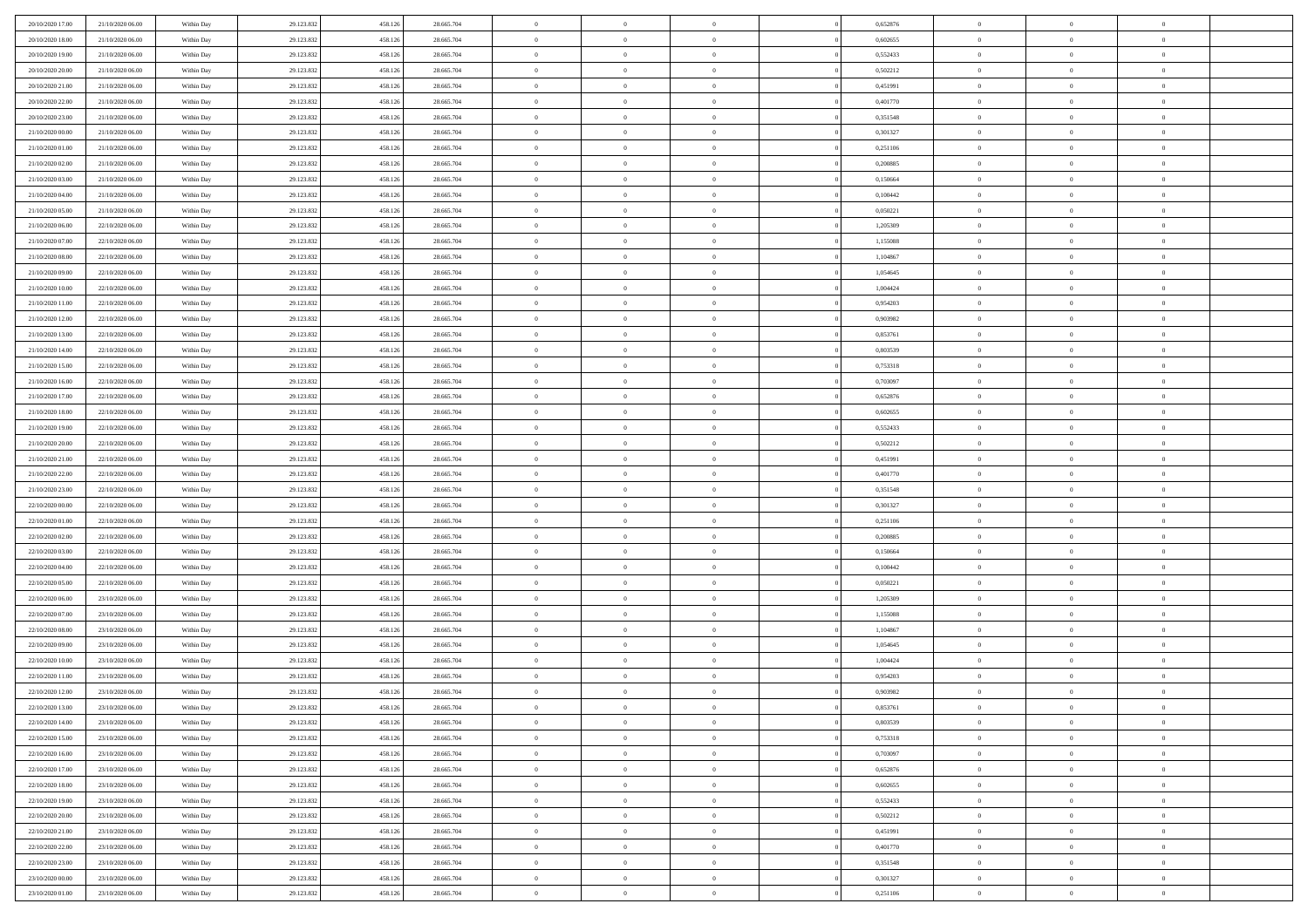| 20/10/2020 17:00                     | 21/10/2020 06.00                     | Within Day               | 29.123.832               | 458.126            | 28.665.704               | $\,$ 0 $\,$          | $\overline{0}$                   | $\overline{0}$                 |          | 0,652876             | $\bf{0}$           | $\overline{0}$                 | $\,0\,$                    |  |
|--------------------------------------|--------------------------------------|--------------------------|--------------------------|--------------------|--------------------------|----------------------|----------------------------------|--------------------------------|----------|----------------------|--------------------|--------------------------------|----------------------------|--|
| 20/10/2020 18:00                     | 21/10/2020 06.00                     | Within Day               | 29.123.832               | 458.126            | 28.665.704               | $\theta$             | $\overline{0}$                   | $\mathbf{0}$                   |          | 0.602655             | $\theta$           | $\overline{0}$                 | $\theta$                   |  |
| 20/10/2020 19:00                     | 21/10/2020 06:00                     | Within Dav               | 29.123.832               | 458.126            | 28.665.704               | $\theta$             | $\overline{0}$                   | $\overline{0}$                 |          | 0,552433             | $\mathbf{0}$       | $\overline{0}$                 | $\overline{0}$             |  |
| 20/10/2020 20:00                     | 21/10/2020 06.00                     | Within Day               | 29.123.832               | 458.126            | 28.665.704               | $\,$ 0 $\,$          | $\overline{0}$                   | $\overline{0}$                 |          | 0,502212             | $\bf{0}$           | $\overline{0}$                 | $\bf{0}$                   |  |
| 20/10/2020 21:00                     | 21/10/2020 06:00                     | Within Day               | 29.123.832               | 458.126            | 28.665.704               | $\,$ 0               | $\overline{0}$                   | $\mathbf{0}$                   |          | 0,451991             | $\bf{0}$           | $\bf{0}$                       | $\,0\,$                    |  |
| 20/10/2020 22.00                     | 21/10/2020 06:00                     | Within Dav               | 29.123.832               | 458.126            | 28.665.704               | $\theta$             | $\overline{0}$                   | $\mathbf{0}$                   |          | 0,401770             | $\mathbf{0}$       | $\overline{0}$                 | $\overline{0}$             |  |
| 20/10/2020 23:00                     | 21/10/2020 06:00                     | Within Day               | 29.123.832               | 458.126            | 28.665.704               | $\,$ 0 $\,$          | $\overline{0}$                   | $\overline{0}$                 |          | 0,351548             | $\bf{0}$           | $\overline{0}$                 | $\bf{0}$                   |  |
| 21/10/2020 00:00                     | 21/10/2020 06.00                     | Within Day               | 29.123.832               | 458.126            | 28.665.704               | $\,$ 0               | $\overline{0}$                   | $\mathbf{0}$                   |          | 0,301327             | $\,$ 0 $\,$        | $\overline{0}$                 | $\theta$                   |  |
| 21/10/2020 01:00                     | 21/10/2020 06:00                     | Within Day               | 29.123.832               | 458.126            | 28.665.704               | $\theta$             | $\overline{0}$                   | $\overline{0}$                 |          | 0,251106             | $\mathbf{0}$       | $\overline{0}$                 | $\overline{0}$             |  |
| 21/10/2020 02.00                     | 21/10/2020 06.00                     | Within Day               | 29.123.832               | 458.126            | 28.665.704               | $\,$ 0 $\,$          | $\overline{0}$                   | $\Omega$                       |          | 0,200885             | $\bf{0}$           | $\overline{0}$                 | $\bf{0}$                   |  |
| 21/10/2020 03:00                     | 21/10/2020 06.00                     | Within Day               | 29.123.832               | 458.126            | 28.665.704               | $\bf{0}$             | $\overline{0}$                   | $\mathbf{0}$                   |          | 0,150664             | $\bf{0}$           | $\mathbf{0}$                   | $\theta$                   |  |
| 21/10/2020 04:00                     | 21/10/2020 06:00                     | Within Dav               | 29.123.832               | 458.126            | 28.665.704               | $\theta$             | $\overline{0}$                   | $\overline{0}$                 |          | 0,100442             | $\mathbf{0}$       | $\overline{0}$                 | $\overline{0}$             |  |
| 21/10/2020 05:00                     | 21/10/2020 06.00                     | Within Day               | 29.123.832               | 458.126            | 28.665.704               | $\,$ 0 $\,$          | $\overline{0}$                   | $\overline{0}$                 |          | 0,050221             | $\bf{0}$           | $\overline{0}$                 | $\bf{0}$                   |  |
| 21/10/2020 06:00                     | 22/10/2020 06:00                     | Within Day               | 29.123.832               | 458.126            | 28.665.704               | $\,$ 0               | $\overline{0}$                   | $\mathbf{0}$                   |          | 1,205309             | $\bf{0}$           | $\mathbf{0}$                   | $\,0\,$                    |  |
| 21/10/2020 07:00                     | 22/10/2020 06:00                     | Within Day               | 29.123.832               | 458.126            | 28.665.704               | $\theta$             | $\overline{0}$                   | $\mathbf{0}$                   |          | 1,155088             | $\mathbf{0}$       | $\overline{0}$                 | $\overline{0}$             |  |
| 21/10/2020 08:00                     | 22/10/2020 06.00                     | Within Day               | 29.123.832               | 458.126            | 28.665.704               | $\,$ 0 $\,$          | $\overline{0}$                   | $\Omega$                       |          | 1,104867             | $\bf{0}$           | $\overline{0}$                 | $\bf{0}$                   |  |
| 21/10/2020 09:00                     | 22/10/2020 06.00                     | Within Day               | 29.123.832               | 458.126            | 28.665.704               | $\,$ 0 $\,$          | $\overline{0}$                   | $\mathbf{0}$                   |          | 1,054645             | $\bf{0}$           | $\overline{0}$                 | $\theta$                   |  |
| 21/10/2020 10:00                     | 22/10/2020 06:00                     | Within Day               | 29.123.832               | 458.126            | 28.665.704               | $\theta$             | $\overline{0}$                   | $\mathbf{0}$                   |          | 1,004424             | $\mathbf{0}$       | $\overline{0}$                 | $\overline{0}$             |  |
| 21/10/2020 11:00                     | 22/10/2020 06:00                     | Within Day               | 29.123.832               | 458.126            | 28.665.704               | $\,$ 0 $\,$          | $\overline{0}$                   | $\Omega$                       |          | 0,954203             | $\bf{0}$           | $\overline{0}$                 | $\bf{0}$                   |  |
| 21/10/2020 12:00                     | 22/10/2020 06.00                     | Within Day               | 29.123.832               | 458.126            | 28.665.704               | $\bf{0}$             | $\overline{0}$                   | $\mathbf{0}$                   |          | 0,903982             | $\bf{0}$           | $\mathbf{0}$                   | $\bf{0}$                   |  |
| 21/10/2020 13:00                     | 22/10/2020 06:00                     | Within Day               | 29.123.832               | 458.126            | 28.665.704               | $\theta$             | $\overline{0}$                   | $\mathbf{0}$                   |          | 0,853761             | $\mathbf{0}$       | $\overline{0}$                 | $\overline{0}$             |  |
| 21/10/2020 14:00                     | 22/10/2020 06:00                     | Within Day               | 29.123.832               | 458.126            | 28.665.704               | $\,$ 0 $\,$          | $\overline{0}$                   | $\overline{0}$                 |          | 0,803539             | $\bf{0}$           | $\overline{0}$                 | $\bf{0}$                   |  |
| 21/10/2020 15:00                     | 22/10/2020 06:00                     | Within Day               | 29.123.832               | 458.126            | 28.665.704               | $\,$ 0               | $\overline{0}$                   | $\mathbf{0}$                   |          | 0,753318             | $\bf{0}$           | $\overline{0}$                 | $\,0\,$                    |  |
| 21/10/2020 16:00                     | 22/10/2020 06:00                     | Within Day               | 29.123.832               | 458.126            | 28.665.704               | $\theta$             | $\overline{0}$                   | $\mathbf{0}$                   |          | 0,703097             | $\mathbf{0}$       | $\overline{0}$                 | $\overline{0}$             |  |
| 21/10/2020 17.00                     | 22/10/2020 06:00                     | Within Day               | 29.123.832               | 458.126            | 28.665.704               | $\,$ 0 $\,$          | $\overline{0}$                   | $\overline{0}$                 |          | 0,652876             | $\bf{0}$           | $\overline{0}$                 | $\bf{0}$                   |  |
| 21/10/2020 18:00                     | 22/10/2020 06.00                     | Within Day               | 29.123.832               | 458.126            | 28.665.704               | $\,$ 0               | $\overline{0}$                   | $\mathbf{0}$                   |          | 0,602655             | $\mathbf{0}$       | $\overline{0}$                 | $\theta$                   |  |
| 21/10/2020 19:00                     | 22/10/2020 06:00                     | Within Day               | 29.123.832               | 458.126            | 28.665.704               | $\theta$             | $\overline{0}$                   | $\overline{0}$                 |          | 0,552433             | $\mathbf{0}$       | $\overline{0}$                 | $\overline{0}$             |  |
| 21/10/2020 20:00                     | 22/10/2020 06.00                     | Within Day               | 29.123.832               | 458.126            | 28.665.704               | $\,$ 0 $\,$          | $\overline{0}$                   | $\Omega$                       |          | 0,502212             | $\bf{0}$           | $\overline{0}$                 | $\bf{0}$                   |  |
| 21/10/2020 21:00                     | 22/10/2020 06.00                     | Within Day               | 29.123.832               | 458.126            | 28.665.704               | $\bf{0}$             | $\overline{0}$                   | $\mathbf{0}$                   |          | 0,451991             | $\bf{0}$           | $\mathbf{0}$                   | $\overline{0}$             |  |
| 21/10/2020 22.00                     | 22/10/2020 06:00                     | Within Day               | 29.123.832               | 458.126            | 28.665.704               | $\theta$             | $\overline{0}$                   | $\overline{0}$                 |          | 0,401770             | $\mathbf{0}$       | $\overline{0}$                 | $\overline{0}$             |  |
| 21/10/2020 23:00                     | 22/10/2020 06:00                     | Within Day               | 29.123.832               | 458.126            | 28.665.704               | $\,$ 0 $\,$          | $\overline{0}$                   | $\overline{0}$                 |          | 0,351548             | $\,$ 0             | $\overline{0}$                 | $\,$ 0 $\,$                |  |
| 22/10/2020 00:00                     | 22/10/2020 06:00                     | Within Day               | 29.123.832               | 458.126            | 28.665.704               | $\,$ 0               | $\overline{0}$                   | $\mathbf{0}$                   |          | 0,301327             | $\bf{0}$           | $\overline{0}$                 | $\bf{0}$                   |  |
| 22/10/2020 01:00                     | 22/10/2020 06:00                     | Within Day               | 29.123.832               | 458.126            | 28.665.704               | $\theta$             | $\overline{0}$                   | $\mathbf{0}$                   |          | 0,251106             | $\mathbf{0}$       | $\overline{0}$                 | $\overline{0}$             |  |
| 22/10/2020 02:00                     | 22/10/2020 06:00                     | Within Day               | 29.123.832               | 458.126            | 28.665.704               | $\theta$             | $\overline{0}$                   | $\overline{0}$                 |          | 0,200885             | $\,$ 0             | $\overline{0}$                 | $\theta$                   |  |
| 22/10/2020 03:00                     | 22/10/2020 06.00                     | Within Day               | 29.123.832               | 458.126            | 28.665.704               | $\bf{0}$             | $\overline{0}$                   | $\mathbf{0}$                   |          | 0,150664             | $\mathbf{0}$       | $\overline{0}$                 | $\overline{0}$             |  |
| 22/10/2020 04:00                     | 22/10/2020 06:00                     | Within Day               | 29.123.832               | 458.126            | 28.665.704               | $\theta$             | $\overline{0}$                   | $\mathbf{0}$                   |          | 0,100442             | $\mathbf{0}$       | $\overline{0}$                 | $\overline{0}$             |  |
| 22/10/2020 05:00                     | 22/10/2020 06:00                     | Within Day               | 29.123.832               | 458.126            | 28.665.704               | $\theta$<br>$\bf{0}$ | $\overline{0}$                   | $\overline{0}$<br>$\mathbf{0}$ |          | 0,050221             | $\,$ 0<br>$\bf{0}$ | $\overline{0}$<br>$\mathbf{0}$ | $\theta$                   |  |
| 22/10/2020 06:00<br>22/10/2020 07:00 | 23/10/2020 06.00<br>23/10/2020 06:00 | Within Day<br>Within Day | 29.123.832<br>29.123.832 | 458.126<br>458.126 | 28.665.704<br>28.665.704 | $\theta$             | $\overline{0}$<br>$\overline{0}$ | $\overline{0}$                 |          | 1,205309<br>1,155088 | $\mathbf{0}$       | $\overline{0}$                 | $\bf{0}$<br>$\overline{0}$ |  |
| 22/10/2020 08:00                     | 23/10/2020 06:00                     |                          | 29.123.832               | 458.126            | 28.665.704               | $\,$ 0 $\,$          | $\overline{0}$                   | $\overline{0}$                 |          | 1,104867             | $\,$ 0             | $\overline{0}$                 | $\,$ 0 $\,$                |  |
|                                      |                                      | Within Day               | 29.123.832               | 458.126            | 28.665.704               |                      | $\,$ 0 $\,$                      | $\overline{0}$                 |          | 1,054645             | $\,$ 0 $\,$        | $\overline{0}$                 | $\bf{0}$                   |  |
| 22/10/2020 09:00<br>22/10/2020 10:00 | 23/10/2020 06:00<br>23/10/2020 06:00 | Within Day<br>Within Day | 29.123.832               | 458.126            | 28.665.704               | $\bf{0}$<br>$\theta$ | $\overline{0}$                   | $\mathbf{0}$                   |          | 1,004424             | $\mathbf{0}$       | $\overline{0}$                 | $\overline{0}$             |  |
| 22/10/2020 11:00                     | 23/10/2020 06.00                     | Within Day               | 29.123.832               | 458.126            | 28.665.704               | $\theta$             | $\overline{0}$                   | $\overline{0}$                 |          | 0,954203             | $\,$ 0             | $\overline{0}$                 | $\theta$                   |  |
| 22/10/2020 12:00                     | 23/10/2020 06.00                     | Within Day               | 29.123.832               | 458.126            | 28.665.704               | $\bf{0}$             | $\,$ 0 $\,$                      | $\mathbf{0}$                   |          | 0,903982             | $\mathbf{0}$       | $\overline{0}$                 | $\bf{0}$                   |  |
| 22/10/2020 13:00                     | 23/10/2020 06:00                     | Within Day               | 29.123.832               | 458.126            | 28.665.704               | $\overline{0}$       | $\theta$                         |                                |          | 0,853761             | $\overline{0}$     | $\theta$                       | $\theta$                   |  |
| 22/10/2020 14:00                     | 23/10/2020 06:00                     | Within Day               | 29.123.832               | 458.126            | 28.665.704               | $\,$ 0 $\,$          | $\overline{0}$                   | $\overline{0}$                 |          | 0,803539             | $\,$ 0 $\,$        | $\bf{0}$                       | $\theta$                   |  |
| 22/10/2020 15.00                     | 23/10/2020 06.00                     | Within Day               | 29.123.832               | 458.126            | 28.665.704               | $\bf{0}$             | $\,$ 0 $\,$                      | $\overline{0}$                 |          | 0,753318             | $\,$ 0 $\,$        | $\overline{0}$                 | $\overline{0}$             |  |
| 22/10/2020 16:00                     | 23/10/2020 06:00                     | Within Day               | 29.123.832               | 458.126            | 28.665.704               | $\mathbf{0}$         | $\overline{0}$                   | $\overline{0}$                 |          | 0,703097             | $\,$ 0 $\,$        | $\bf{0}$                       | $\mathbf{0}$               |  |
| 22/10/2020 17:00                     | 23/10/2020 06:00                     | Within Day               | 29.123.832               | 458.126            | 28.665.704               | $\,$ 0 $\,$          | $\overline{0}$                   | $\overline{0}$                 | $\theta$ | 0,652876             | $\,$ 0 $\,$        | $\bf{0}$                       | $\,$ 0 $\,$                |  |
| 22/10/2020 18:00                     | 23/10/2020 06.00                     | Within Day               | 29.123.832               | 458.126            | 28.665.704               | $\,$ 0 $\,$          | $\,$ 0 $\,$                      | $\overline{0}$                 |          | 0,602655             | $\,$ 0 $\,$        | $\overline{0}$                 | $\overline{0}$             |  |
| 22/10/2020 19:00                     | 23/10/2020 06:00                     | Within Day               | 29.123.832               | 458.126            | 28.665.704               | $\mathbf{0}$         | $\overline{0}$                   | $\overline{0}$                 |          | 0,552433             | $\mathbf{0}$       | $\overline{0}$                 | $\overline{0}$             |  |
| 22/10/2020 20:00                     | 23/10/2020 06:00                     | Within Day               | 29.123.832               | 458.126            | 28.665.704               | $\,$ 0 $\,$          | $\overline{0}$                   | $\overline{0}$                 |          | 0,502212             | $\,$ 0 $\,$        | $\mathbf{0}$                   | $\,$ 0 $\,$                |  |
| 22/10/2020 21:00                     | 23/10/2020 06.00                     | Within Day               | 29.123.832               | 458.126            | 28.665.704               | $\bf{0}$             | $\overline{0}$                   | $\overline{0}$                 |          | 0,451991             | $\,$ 0 $\,$        | $\overline{0}$                 | $\overline{0}$             |  |
| 22/10/2020 22.00                     | 23/10/2020 06:00                     | Within Day               | 29.123.832               | 458.126            | 28.665.704               | $\mathbf{0}$         | $\overline{0}$                   | $\overline{0}$                 |          | 0,401770             | $\mathbf{0}$       | $\bf{0}$                       | $\overline{0}$             |  |
| 22/10/2020 23:00                     | 23/10/2020 06:00                     | Within Day               | 29.123.832               | 458.126            | 28.665.704               | $\,$ 0 $\,$          | $\overline{0}$                   | $\overline{0}$                 |          | 0,351548             | $\,$ 0 $\,$        | $\mathbf{0}$                   | $\,$ 0 $\,$                |  |
| 23/10/2020 00:00                     | 23/10/2020 06.00                     | Within Day               | 29.123.832               | 458.126            | 28.665.704               | $\,$ 0 $\,$          | $\,$ 0 $\,$                      | $\overline{0}$                 |          | 0,301327             | $\bf{0}$           | $\overline{0}$                 | $\overline{0}$             |  |
| 23/10/2020 01:00                     | 23/10/2020 06:00                     | Within Day               | 29.123.832               | 458.126            | 28.665.704               | $\theta$             | $\overline{0}$                   | $\overline{0}$                 |          | 0,251106             | $\mathbf{0}$       | $\overline{0}$                 | $\overline{0}$             |  |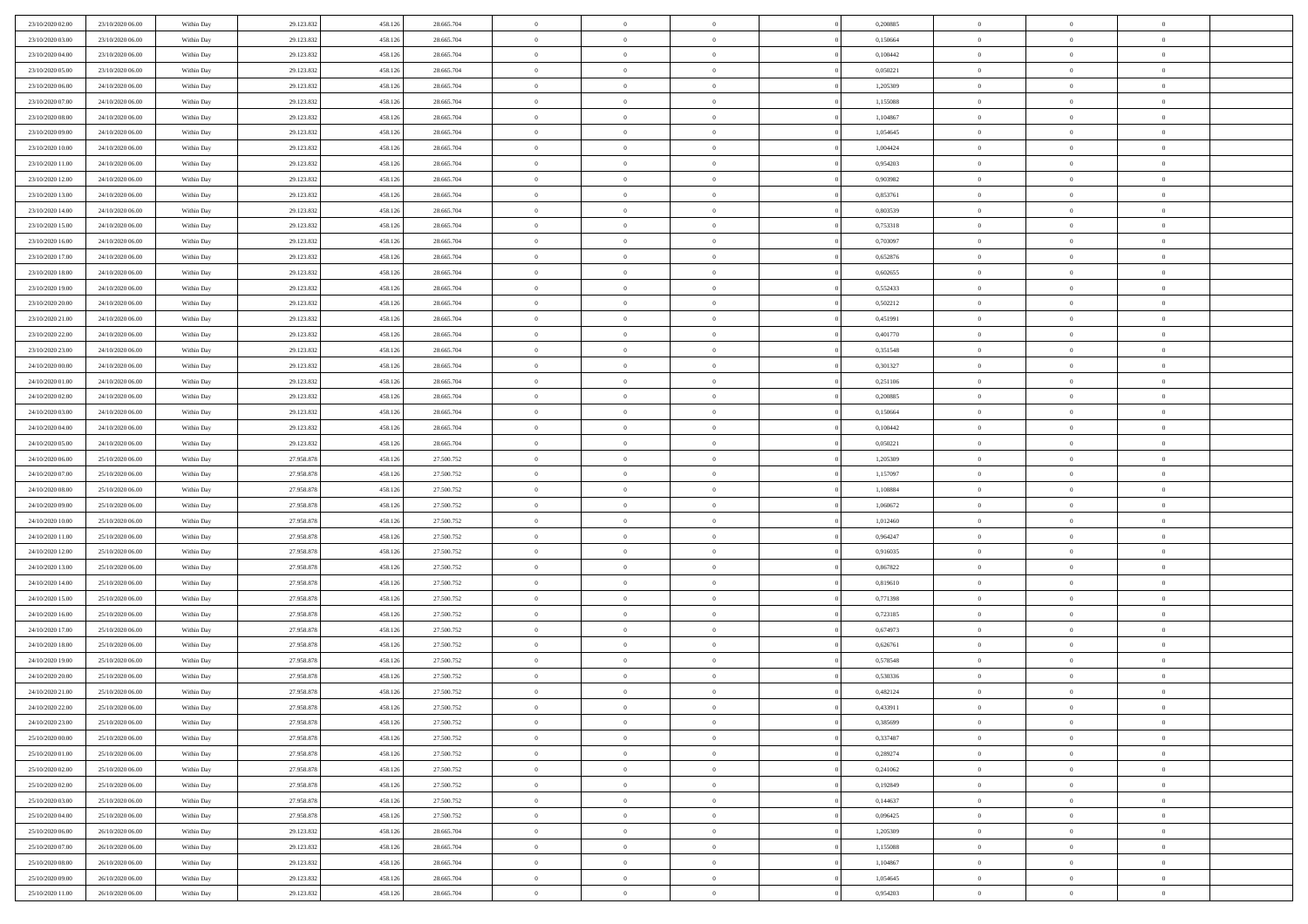| 23/10/2020 02:00 | 23/10/2020 06.00 | Within Day | 29.123.832 | 458.126 | 28.665.704 | $\bf{0}$       | $\overline{0}$ | $\overline{0}$ | 0,200885 | $\bf{0}$       | $\overline{0}$ | $\,0\,$        |  |
|------------------|------------------|------------|------------|---------|------------|----------------|----------------|----------------|----------|----------------|----------------|----------------|--|
| 23/10/2020 03.00 | 23/10/2020 06:00 | Within Day | 29.123.832 | 458.126 | 28.665.704 | $\theta$       | $\overline{0}$ | $\mathbf{0}$   | 0,150664 | $\theta$       | $\overline{0}$ | $\theta$       |  |
| 23/10/2020 04:00 | 23/10/2020 06:00 | Within Day | 29.123.832 | 458.126 | 28.665.704 | $\theta$       | $\overline{0}$ | $\overline{0}$ | 0,100442 | $\mathbf{0}$   | $\overline{0}$ | $\overline{0}$ |  |
| 23/10/2020 05:00 | 23/10/2020 06.00 | Within Day | 29.123.832 | 458.126 | 28.665.704 | $\,$ 0 $\,$    | $\overline{0}$ | $\overline{0}$ | 0,050221 | $\bf{0}$       | $\overline{0}$ | $\bf{0}$       |  |
| 23/10/2020 06:00 | 24/10/2020 06.00 | Within Day | 29.123.832 | 458.126 | 28.665.704 | $\,$ 0         | $\overline{0}$ | $\mathbf{0}$   | 1,205309 | $\bf{0}$       | $\bf{0}$       | $\,0\,$        |  |
| 23/10/2020 07:00 | 24/10/2020 06:00 | Within Day | 29.123.832 | 458.126 | 28.665.704 | $\theta$       | $\overline{0}$ | $\mathbf{0}$   | 1,155088 | $\mathbf{0}$   | $\overline{0}$ | $\overline{0}$ |  |
| 23/10/2020 08:00 | 24/10/2020 06.00 | Within Day | 29.123.832 | 458.126 | 28.665.704 | $\,$ 0 $\,$    | $\overline{0}$ | $\overline{0}$ | 1,104867 | $\bf{0}$       | $\overline{0}$ | $\bf{0}$       |  |
| 23/10/2020 09:00 | 24/10/2020 06.00 | Within Day | 29.123.832 | 458.126 | 28.665.704 | $\,$ 0         | $\overline{0}$ | $\mathbf{0}$   | 1,054645 | $\,$ 0 $\,$    | $\overline{0}$ | $\theta$       |  |
| 23/10/2020 10:00 | 24/10/2020 06:00 | Within Day | 29.123.832 | 458.126 | 28.665.704 | $\theta$       | $\overline{0}$ | $\overline{0}$ | 1,004424 | $\mathbf{0}$   | $\overline{0}$ | $\overline{0}$ |  |
| 23/10/2020 11:00 | 24/10/2020 06.00 | Within Day | 29.123.832 | 458.126 | 28.665.704 | $\,$ 0 $\,$    | $\overline{0}$ | $\Omega$       | 0,954203 | $\bf{0}$       | $\overline{0}$ | $\bf{0}$       |  |
| 23/10/2020 12:00 | 24/10/2020 06.00 | Within Day | 29.123.832 | 458.126 | 28.665.704 | $\bf{0}$       | $\overline{0}$ | $\mathbf{0}$   | 0.903982 | $\bf{0}$       | $\mathbf{0}$   | $\theta$       |  |
| 23/10/2020 13:00 | 24/10/2020 06:00 | Within Day | 29.123.832 | 458.126 | 28.665.704 | $\theta$       | $\overline{0}$ | $\overline{0}$ | 0,853761 | $\mathbf{0}$   | $\overline{0}$ | $\overline{0}$ |  |
| 23/10/2020 14:00 | 24/10/2020 06.00 | Within Day | 29.123.832 | 458.126 | 28.665.704 | $\,$ 0 $\,$    | $\overline{0}$ | $\overline{0}$ | 0,803539 | $\bf{0}$       | $\overline{0}$ | $\bf{0}$       |  |
| 23/10/2020 15:00 | 24/10/2020 06.00 | Within Day | 29.123.832 | 458.126 | 28.665.704 | $\,$ 0         | $\overline{0}$ | $\mathbf{0}$   | 0,753318 | $\bf{0}$       | $\theta$       | $\,0\,$        |  |
| 23/10/2020 16:00 | 24/10/2020 06.00 | Within Day | 29.123.832 | 458.126 | 28.665.704 | $\theta$       | $\overline{0}$ | $\mathbf{0}$   | 0,703097 | $\mathbf{0}$   | $\overline{0}$ | $\overline{0}$ |  |
| 23/10/2020 17.00 | 24/10/2020 06.00 | Within Day | 29.123.832 | 458.126 | 28.665.704 | $\,$ 0 $\,$    | $\overline{0}$ | $\overline{0}$ | 0,652876 | $\bf{0}$       | $\overline{0}$ | $\bf{0}$       |  |
| 23/10/2020 18:00 | 24/10/2020 06.00 | Within Day | 29.123.832 | 458.126 | 28.665.704 | $\,$ 0 $\,$    | $\overline{0}$ | $\mathbf{0}$   | 0.602655 | $\bf{0}$       | $\overline{0}$ | $\theta$       |  |
| 23/10/2020 19:00 | 24/10/2020 06.00 | Within Day | 29.123.832 | 458.126 | 28.665.704 | $\theta$       | $\overline{0}$ | $\mathbf{0}$   | 0,552433 | $\mathbf{0}$   | $\overline{0}$ | $\overline{0}$ |  |
| 23/10/2020 20:00 | 24/10/2020 06.00 | Within Day | 29.123.832 | 458.126 | 28.665.704 | $\,$ 0 $\,$    | $\overline{0}$ | $\Omega$       | 0,502212 | $\bf{0}$       | $\overline{0}$ | $\,0\,$        |  |
| 23/10/2020 21:00 | 24/10/2020 06.00 | Within Day | 29.123.832 | 458.126 | 28.665.704 | $\bf{0}$       | $\overline{0}$ | $\mathbf{0}$   | 0,451991 | $\bf{0}$       | $\mathbf{0}$   | $\theta$       |  |
| 23/10/2020 22.00 | 24/10/2020 06:00 | Within Day | 29.123.832 | 458.126 | 28.665.704 | $\theta$       | $\overline{0}$ | $\mathbf{0}$   | 0,401770 | $\mathbf{0}$   | $\overline{0}$ | $\overline{0}$ |  |
| 23/10/2020 23:00 | 24/10/2020 06.00 | Within Day | 29.123.832 | 458.126 | 28.665.704 | $\,$ 0 $\,$    | $\overline{0}$ | $\overline{0}$ | 0,351548 | $\bf{0}$       | $\overline{0}$ | $\bf{0}$       |  |
| 24/10/2020 00:00 | 24/10/2020 06.00 | Within Day | 29.123.832 | 458.126 | 28.665.704 | $\,$ 0         | $\overline{0}$ | $\mathbf{0}$   | 0,301327 | $\bf{0}$       | $\overline{0}$ | $\,0\,$        |  |
| 24/10/2020 01:00 | 24/10/2020 06:00 | Within Dav | 29.123.832 | 458.126 | 28.665.704 | $\theta$       | $\overline{0}$ | $\mathbf{0}$   | 0,251106 | $\mathbf{0}$   | $\overline{0}$ | $\overline{0}$ |  |
| 24/10/2020 02.00 | 24/10/2020 06.00 | Within Day | 29.123.832 | 458.126 | 28.665.704 | $\,$ 0 $\,$    | $\overline{0}$ | $\overline{0}$ | 0,200885 | $\bf{0}$       | $\overline{0}$ | $\bf{0}$       |  |
| 24/10/2020 03:00 | 24/10/2020 06.00 | Within Day | 29.123.832 | 458.126 | 28.665.704 | $\,$ 0         | $\overline{0}$ | $\mathbf{0}$   | 0,150664 | $\bf{0}$       | $\overline{0}$ | $\theta$       |  |
| 24/10/2020 04:00 | 24/10/2020 06:00 | Within Day | 29.123.832 | 458.126 | 28.665.704 | $\theta$       | $\overline{0}$ | $\overline{0}$ | 0,100442 | $\mathbf{0}$   | $\overline{0}$ | $\overline{0}$ |  |
| 24/10/2020 05:00 | 24/10/2020 06.00 | Within Day | 29.123.832 | 458.126 | 28.665.704 | $\,$ 0 $\,$    | $\overline{0}$ | $\Omega$       | 0,050221 | $\bf{0}$       | $\overline{0}$ | $\bf{0}$       |  |
| 24/10/2020 06.00 | 25/10/2020 06.00 | Within Day | 27.958.878 | 458.126 | 27.500.752 | $\bf{0}$       | $\overline{0}$ | $\mathbf{0}$   | 1,205309 | $\bf{0}$       | $\mathbf{0}$   | $\overline{0}$ |  |
| 24/10/2020 07:00 | 25/10/2020 06:00 | Within Dav | 27.958.878 | 458.126 | 27.500.752 | $\theta$       | $\overline{0}$ | $\overline{0}$ | 1,157097 | $\mathbf{0}$   | $\overline{0}$ | $\overline{0}$ |  |
| 24/10/2020 08:00 | 25/10/2020 06:00 | Within Day | 27.958.878 | 458.126 | 27.500.752 | $\,$ 0 $\,$    | $\overline{0}$ | $\overline{0}$ | 1,108884 | $\,$ 0         | $\overline{0}$ | $\,$ 0 $\,$    |  |
| 24/10/2020 09:00 | 25/10/2020 06:00 | Within Day | 27.958.878 | 458.126 | 27.500.752 | $\,$ 0         | $\overline{0}$ | $\mathbf{0}$   | 1,060672 | $\bf{0}$       | $\mathbf{0}$   | $\bf{0}$       |  |
| 24/10/2020 10:00 | 25/10/2020 06:00 | Within Dav | 27.958.878 | 458.126 | 27.500.752 | $\theta$       | $\overline{0}$ | $\mathbf{0}$   | 1,012460 | $\mathbf{0}$   | $\overline{0}$ | $\overline{0}$ |  |
| 24/10/2020 11:00 | 25/10/2020 06:00 | Within Day | 27.958.878 | 458.126 | 27.500.752 | $\theta$       | $\overline{0}$ | $\overline{0}$ | 0,964247 | $\,$ 0         | $\overline{0}$ | $\theta$       |  |
| 24/10/2020 12:00 | 25/10/2020 06.00 | Within Day | 27.958.878 | 458.126 | 27.500.752 | $\bf{0}$       | $\overline{0}$ | $\mathbf{0}$   | 0.916035 | $\mathbf{0}$   | $\overline{0}$ | $\overline{0}$ |  |
| 24/10/2020 13:00 | 25/10/2020 06:00 | Within Day | 27.958.878 | 458.126 | 27.500.752 | $\theta$       | $\overline{0}$ | $\mathbf{0}$   | 0,867822 | $\mathbf{0}$   | $\overline{0}$ | $\overline{0}$ |  |
| 24/10/2020 14:00 | 25/10/2020 06:00 | Within Day | 27.958.878 | 458.126 | 27.500.752 | $\theta$       | $\overline{0}$ | $\overline{0}$ | 0,819610 | $\,$ 0         | $\overline{0}$ | $\theta$       |  |
| 24/10/2020 15:00 | 25/10/2020 06.00 | Within Day | 27.958.878 | 458.126 | 27.500.752 | $\bf{0}$       | $\overline{0}$ | $\mathbf{0}$   | 0,771398 | $\bf{0}$       | $\mathbf{0}$   | $\bf{0}$       |  |
| 24/10/2020 16:00 | 25/10/2020 06:00 | Within Dav | 27.958.878 | 458.126 | 27.500.752 | $\theta$       | $\overline{0}$ | $\overline{0}$ | 0,723185 | $\mathbf{0}$   | $\overline{0}$ | $\overline{0}$ |  |
| 24/10/2020 17:00 | 25/10/2020 06:00 | Within Day | 27.958.878 | 458.126 | 27.500.752 | $\,$ 0 $\,$    | $\overline{0}$ | $\overline{0}$ | 0,674973 | $\,$ 0         | $\overline{0}$ | $\,$ 0 $\,$    |  |
| 24/10/2020 18:00 | 25/10/2020 06:00 | Within Day | 27.958.878 | 458.126 | 27.500.752 | $\bf{0}$       | $\,$ 0 $\,$    | $\overline{0}$ | 0,626761 | $\,$ 0 $\,$    | $\overline{0}$ | $\bf{0}$       |  |
| 24/10/2020 19:00 | 25/10/2020 06:00 | Within Dav | 27.958.878 | 458.126 | 27.500.752 | $\theta$       | $\overline{0}$ | $\mathbf{0}$   | 0,578548 | $\mathbf{0}$   | $\overline{0}$ | $\overline{0}$ |  |
| 24/10/2020 20:00 | 25/10/2020 06.00 | Within Day | 27.958.878 | 458.126 | 27.500.752 | $\theta$       | $\overline{0}$ | $\overline{0}$ | 0,530336 | $\,$ 0         | $\overline{0}$ | $\theta$       |  |
| 24/10/2020 21:00 | 25/10/2020 06.00 | Within Day | 27.958.878 | 458.126 | 27.500.752 | $\bf{0}$       | $\,$ 0 $\,$    | $\mathbf{0}$   | 0,482124 | $\bf{0}$       | $\overline{0}$ | $\bf{0}$       |  |
| 24/10/2020 22.00 | 25/10/2020 06:00 | Within Day | 27.958.878 | 458.126 | 27.500.752 | $\overline{0}$ | $\theta$       |                | 0,433911 | $\overline{0}$ | $\theta$       | $\theta$       |  |
| 24/10/2020 23:00 | 25/10/2020 06:00 | Within Day | 27.958.878 | 458.126 | 27.500.752 | $\,$ 0 $\,$    | $\overline{0}$ | $\overline{0}$ | 0,385699 | $\,$ 0 $\,$    | $\bf{0}$       | $\theta$       |  |
| 25/10/2020 00:00 | 25/10/2020 06.00 | Within Day | 27.958.878 | 458.126 | 27.500.752 | $\overline{0}$ | $\,$ 0 $\,$    | $\overline{0}$ | 0,337487 | $\,$ 0 $\,$    | $\overline{0}$ | $\overline{0}$ |  |
| 25/10/2020 01:00 | 25/10/2020 06:00 | Within Day | 27.958.878 | 458.126 | 27.500.752 | $\mathbf{0}$   | $\overline{0}$ | $\overline{0}$ | 0,289274 | $\,$ 0 $\,$    | $\bf{0}$       | $\mathbf{0}$   |  |
| 25/10/2020 02:00 | 25/10/2020 06:00 | Within Day | 27.958.878 | 458.126 | 27.500.752 | $\,$ 0 $\,$    | $\overline{0}$ | $\overline{0}$ | 0,241062 | $\,$ 0 $\,$    | $\bf{0}$       | $\,$ 0 $\,$    |  |
| 25/10/2020 02:00 | 25/10/2020 06.00 | Within Day | 27.958.878 | 458.126 | 27.500.752 | $\,$ 0 $\,$    | $\,$ 0 $\,$    | $\overline{0}$ | 0,192849 | $\,$ 0 $\,$    | $\overline{0}$ | $\overline{0}$ |  |
| 25/10/2020 03:00 | 25/10/2020 06:00 | Within Day | 27.958.878 | 458.126 | 27.500.752 | $\mathbf{0}$   | $\overline{0}$ | $\overline{0}$ | 0,144637 | $\mathbf{0}$   | $\overline{0}$ | $\overline{0}$ |  |
| 25/10/2020 04:00 | 25/10/2020 06:00 | Within Day | 27.958.878 | 458.126 | 27.500.752 | $\,$ 0 $\,$    | $\overline{0}$ | $\overline{0}$ | 0,096425 | $\,$ 0 $\,$    | $\overline{0}$ | $\,$ 0 $\,$    |  |
| 25/10/2020 06.00 | 26/10/2020 06.00 | Within Day | 29.123.832 | 458.126 | 28.665.704 | $\bf{0}$       | $\overline{0}$ | $\overline{0}$ | 1,205309 | $\mathbf{0}$   | $\overline{0}$ | $\overline{0}$ |  |
| 25/10/2020 07:00 | 26/10/2020 06:00 | Within Day | 29.123.832 | 458.126 | 28.665.704 | $\mathbf{0}$   | $\overline{0}$ | $\overline{0}$ | 1,155088 | $\mathbf{0}$   | $\bf{0}$       | $\overline{0}$ |  |
| 25/10/2020 08:00 | 26/10/2020 06:00 | Within Day | 29.123.832 | 458.126 | 28.665.704 | $\,$ 0 $\,$    | $\overline{0}$ | $\overline{0}$ | 1,104867 | $\,$ 0 $\,$    | $\mathbf{0}$   | $\,$ 0 $\,$    |  |
| 25/10/2020 09:00 | 26/10/2020 06.00 | Within Day | 29.123.832 | 458.126 | 28.665.704 | $\,$ 0 $\,$    | $\overline{0}$ | $\overline{0}$ | 1,054645 | $\bf{0}$       | $\overline{0}$ | $\overline{0}$ |  |
| 25/10/2020 11:00 | 26/10/2020 06:00 | Within Day | 29.123.832 | 458.126 | 28.665.704 | $\theta$       | $\overline{0}$ | $\overline{0}$ | 0,954203 | $\mathbf{0}$   | $\overline{0}$ | $\overline{0}$ |  |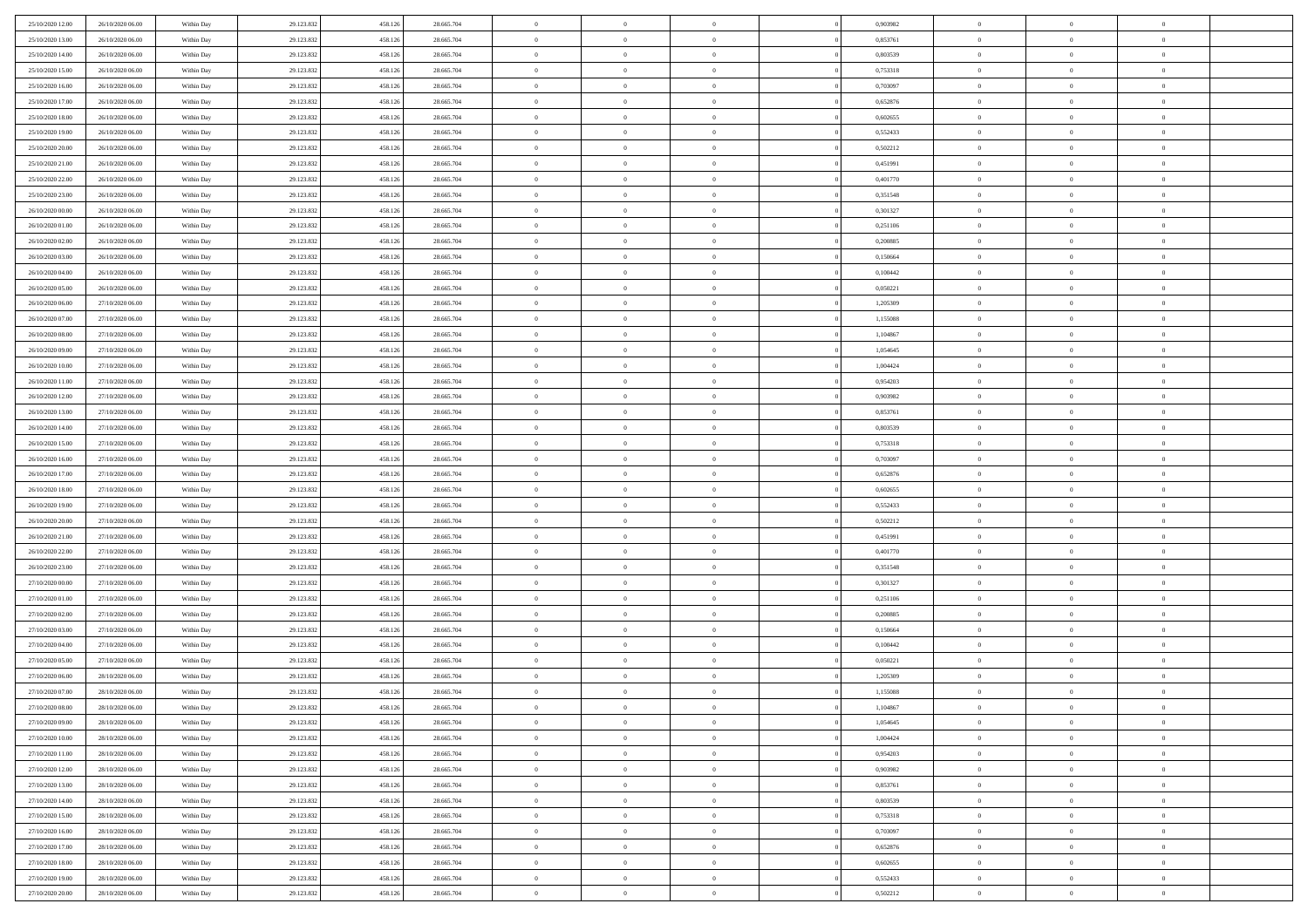| 25/10/2020 12:00 | 26/10/2020 06:00 | Within Day | 29.123.832 | 458.126 | 28.665.704 | $\,$ 0 $\,$    | $\overline{0}$ | $\overline{0}$ | 0,903982 | $\bf{0}$       | $\overline{0}$ | $\,0\,$        |  |
|------------------|------------------|------------|------------|---------|------------|----------------|----------------|----------------|----------|----------------|----------------|----------------|--|
| 25/10/2020 13.00 | 26/10/2020 06:00 | Within Day | 29.123.832 | 458.126 | 28.665.704 | $\theta$       | $\overline{0}$ | $\mathbf{0}$   | 0,853761 | $\theta$       | $\overline{0}$ | $\theta$       |  |
| 25/10/2020 14:00 | 26/10/2020 06:00 | Within Dav | 29.123.832 | 458.126 | 28.665.704 | $\theta$       | $\overline{0}$ | $\overline{0}$ | 0,803539 | $\mathbf{0}$   | $\overline{0}$ | $\overline{0}$ |  |
| 25/10/2020 15:00 | 26/10/2020 06.00 | Within Day | 29.123.832 | 458.126 | 28.665.704 | $\,$ 0 $\,$    | $\overline{0}$ | $\overline{0}$ | 0,753318 | $\bf{0}$       | $\overline{0}$ | $\bf{0}$       |  |
| 25/10/2020 16:00 | 26/10/2020 06:00 | Within Day | 29.123.832 | 458.126 | 28.665.704 | $\,$ 0         | $\overline{0}$ | $\mathbf{0}$   | 0,703097 | $\bf{0}$       | $\bf{0}$       | $\,0\,$        |  |
| 25/10/2020 17:00 | 26/10/2020 06:00 | Within Dav | 29.123.832 | 458.126 | 28.665.704 | $\theta$       | $\overline{0}$ | $\mathbf{0}$   | 0,652876 | $\mathbf{0}$   | $\overline{0}$ | $\overline{0}$ |  |
| 25/10/2020 18:00 | 26/10/2020 06:00 | Within Day | 29.123.832 | 458.126 | 28.665.704 | $\,$ 0 $\,$    | $\overline{0}$ | $\overline{0}$ | 0,602655 | $\bf{0}$       | $\overline{0}$ | $\bf{0}$       |  |
| 25/10/2020 19:00 | 26/10/2020 06:00 | Within Day | 29.123.832 | 458.126 | 28.665.704 | $\,$ 0         | $\overline{0}$ | $\mathbf{0}$   | 0,552433 | $\,$ 0 $\,$    | $\overline{0}$ | $\theta$       |  |
| 25/10/2020 20:00 | 26/10/2020 06:00 | Within Day | 29.123.832 | 458.126 | 28.665.704 | $\theta$       | $\overline{0}$ | $\overline{0}$ | 0,502212 | $\mathbf{0}$   | $\overline{0}$ | $\overline{0}$ |  |
| 25/10/2020 21:00 | 26/10/2020 06:00 | Within Day | 29.123.832 | 458.126 | 28.665.704 | $\,$ 0 $\,$    | $\overline{0}$ | $\Omega$       | 0,451991 | $\bf{0}$       | $\overline{0}$ | $\bf{0}$       |  |
| 25/10/2020 22.00 | 26/10/2020 06:00 | Within Day | 29.123.832 | 458.126 | 28.665.704 | $\bf{0}$       | $\overline{0}$ | $\mathbf{0}$   | 0,401770 | $\bf{0}$       | $\mathbf{0}$   | $\theta$       |  |
| 25/10/2020 23:00 | 26/10/2020 06:00 | Within Dav | 29.123.832 | 458.126 | 28.665.704 | $\theta$       | $\overline{0}$ | $\overline{0}$ | 0,351548 | $\mathbf{0}$   | $\overline{0}$ | $\overline{0}$ |  |
| 26/10/2020 00:00 | 26/10/2020 06.00 | Within Day | 29.123.832 | 458.126 | 28.665.704 | $\,$ 0 $\,$    | $\overline{0}$ | $\overline{0}$ | 0,301327 | $\bf{0}$       | $\overline{0}$ | $\bf{0}$       |  |
| 26/10/2020 01:00 | 26/10/2020 06:00 | Within Day | 29.123.832 | 458.126 | 28.665.704 | $\,$ 0         | $\overline{0}$ | $\mathbf{0}$   | 0,251106 | $\bf{0}$       | $\mathbf{0}$   | $\,0\,$        |  |
| 26/10/2020 02.00 | 26/10/2020 06:00 | Within Dav | 29.123.832 | 458.126 | 28.665.704 | $\theta$       | $\overline{0}$ | $\mathbf{0}$   | 0,200885 | $\mathbf{0}$   | $\overline{0}$ | $\overline{0}$ |  |
| 26/10/2020 03:00 | 26/10/2020 06.00 | Within Day | 29.123.832 | 458.126 | 28.665.704 | $\,$ 0 $\,$    | $\overline{0}$ | $\Omega$       | 0,150664 | $\bf{0}$       | $\overline{0}$ | $\bf{0}$       |  |
| 26/10/2020 04:00 | 26/10/2020 06.00 | Within Day | 29.123.832 | 458.126 | 28.665.704 | $\,$ 0 $\,$    | $\overline{0}$ | $\mathbf{0}$   | 0,100442 | $\bf{0}$       | $\overline{0}$ | $\theta$       |  |
| 26/10/2020 05:00 | 26/10/2020 06:00 | Within Day | 29.123.832 | 458.126 | 28.665.704 | $\theta$       | $\overline{0}$ | $\mathbf{0}$   | 0,050221 | $\mathbf{0}$   | $\overline{0}$ | $\overline{0}$ |  |
| 26/10/2020 06:00 | 27/10/2020 06.00 | Within Day | 29.123.832 | 458.126 | 28.665.704 | $\,$ 0 $\,$    | $\overline{0}$ | $\Omega$       | 1,205309 | $\bf{0}$       | $\overline{0}$ | $\,0\,$        |  |
| 26/10/2020 07.00 | 27/10/2020 06.00 | Within Day | 29.123.832 | 458.126 | 28.665.704 | $\bf{0}$       | $\overline{0}$ | $\mathbf{0}$   | 1,155088 | $\bf{0}$       | $\mathbf{0}$   | $\theta$       |  |
| 26/10/2020 08:00 | 27/10/2020 06:00 | Within Dav | 29.123.832 | 458.126 | 28.665.704 | $\theta$       | $\overline{0}$ | $\mathbf{0}$   | 1,104867 | $\mathbf{0}$   | $\overline{0}$ | $\overline{0}$ |  |
| 26/10/2020 09:00 | 27/10/2020 06.00 | Within Day | 29.123.832 | 458.126 | 28.665.704 | $\,$ 0 $\,$    | $\overline{0}$ | $\overline{0}$ | 1,054645 | $\bf{0}$       | $\overline{0}$ | $\bf{0}$       |  |
| 26/10/2020 10:00 | 27/10/2020 06:00 | Within Day | 29.123.832 | 458.126 | 28.665.704 | $\,$ 0         | $\overline{0}$ | $\mathbf{0}$   | 1,004424 | $\bf{0}$       | $\overline{0}$ | $\,0\,$        |  |
| 26/10/2020 11:00 | 27/10/2020 06:00 | Within Dav | 29.123.832 | 458.126 | 28.665.704 | $\theta$       | $\overline{0}$ | $\mathbf{0}$   | 0,954203 | $\mathbf{0}$   | $\overline{0}$ | $\overline{0}$ |  |
| 26/10/2020 12:00 | 27/10/2020 06.00 | Within Day | 29.123.832 | 458.126 | 28.665.704 | $\,$ 0 $\,$    | $\overline{0}$ | $\overline{0}$ | 0,903982 | $\bf{0}$       | $\overline{0}$ | $\bf{0}$       |  |
| 26/10/2020 13:00 | 27/10/2020 06.00 | Within Day | 29.123.832 | 458.126 | 28.665.704 | $\,$ 0         | $\overline{0}$ | $\mathbf{0}$   | 0,853761 | $\mathbf{0}$   | $\overline{0}$ | $\theta$       |  |
| 26/10/2020 14:00 | 27/10/2020 06:00 | Within Day | 29.123.832 | 458.126 | 28.665.704 | $\theta$       | $\overline{0}$ | $\overline{0}$ | 0,803539 | $\mathbf{0}$   | $\overline{0}$ | $\overline{0}$ |  |
| 26/10/2020 15:00 | 27/10/2020 06.00 | Within Day | 29.123.832 | 458.126 | 28.665.704 | $\,$ 0 $\,$    | $\overline{0}$ | $\Omega$       | 0,753318 | $\bf{0}$       | $\overline{0}$ | $\bf{0}$       |  |
| 26/10/2020 16:00 | 27/10/2020 06.00 | Within Day | 29.123.832 | 458.126 | 28.665.704 | $\bf{0}$       | $\overline{0}$ | $\mathbf{0}$   | 0.703097 | $\bf{0}$       | $\mathbf{0}$   | $\overline{0}$ |  |
| 26/10/2020 17:00 | 27/10/2020 06:00 | Within Dav | 29.123.832 | 458.126 | 28.665.704 | $\theta$       | $\overline{0}$ | $\overline{0}$ | 0,652876 | $\mathbf{0}$   | $\overline{0}$ | $\overline{0}$ |  |
| 26/10/2020 18:00 | 27/10/2020 06:00 | Within Day | 29.123.832 | 458.126 | 28.665.704 | $\,$ 0 $\,$    | $\overline{0}$ | $\overline{0}$ | 0,602655 | $\,$ 0         | $\overline{0}$ | $\,$ 0 $\,$    |  |
| 26/10/2020 19:00 | 27/10/2020 06:00 | Within Day | 29.123.832 | 458.126 | 28.665.704 | $\,$ 0         | $\overline{0}$ | $\mathbf{0}$   | 0,552433 | $\bf{0}$       | $\overline{0}$ | $\overline{0}$ |  |
| 26/10/2020 20:00 | 27/10/2020 06:00 | Within Dav | 29.123.832 | 458.126 | 28.665.704 | $\theta$       | $\overline{0}$ | $\mathbf{0}$   | 0,502212 | $\mathbf{0}$   | $\overline{0}$ | $\overline{0}$ |  |
| 26/10/2020 21:00 | 27/10/2020 06:00 | Within Day | 29.123.832 | 458.126 | 28.665.704 | $\theta$       | $\overline{0}$ | $\overline{0}$ | 0,451991 | $\,$ 0         | $\overline{0}$ | $\theta$       |  |
| 26/10/2020 22.00 | 27/10/2020 06.00 | Within Day | 29.123.832 | 458.126 | 28.665.704 | $\bf{0}$       | $\overline{0}$ | $\mathbf{0}$   | 0,401770 | $\mathbf{0}$   | $\overline{0}$ | $\overline{0}$ |  |
| 26/10/2020 23:00 | 27/10/2020 06:00 | Within Day | 29.123.832 | 458.126 | 28.665.704 | $\theta$       | $\overline{0}$ | $\mathbf{0}$   | 0,351548 | $\mathbf{0}$   | $\overline{0}$ | $\overline{0}$ |  |
| 27/10/2020 00:00 | 27/10/2020 06:00 | Within Day | 29.123.832 | 458.126 | 28.665.704 | $\theta$       | $\overline{0}$ | $\overline{0}$ | 0,301327 | $\,$ 0         | $\overline{0}$ | $\theta$       |  |
| 27/10/2020 01:00 | 27/10/2020 06.00 | Within Day | 29.123.832 | 458.126 | 28.665.704 | $\bf{0}$       | $\overline{0}$ | $\mathbf{0}$   | 0,251106 | $\bf{0}$       | $\mathbf{0}$   | $\overline{0}$ |  |
| 27/10/2020 02.00 | 27/10/2020 06:00 | Within Dav | 29.123.832 | 458.126 | 28.665.704 | $\theta$       | $\overline{0}$ | $\overline{0}$ | 0,200885 | $\mathbf{0}$   | $\overline{0}$ | $\overline{0}$ |  |
| 27/10/2020 03:00 | 27/10/2020 06:00 | Within Day | 29.123.832 | 458.126 | 28.665.704 | $\,$ 0 $\,$    | $\overline{0}$ | $\overline{0}$ | 0,150664 | $\,$ 0         | $\overline{0}$ | $\,$ 0 $\,$    |  |
| 27/10/2020 04:00 | 27/10/2020 06:00 | Within Day | 29.123.832 | 458.126 | 28.665.704 | $\bf{0}$       | $\,$ 0 $\,$    | $\overline{0}$ | 0,100442 | $\,$ 0 $\,$    | $\overline{0}$ | $\overline{0}$ |  |
| 27/10/2020 05:00 | 27/10/2020 06:00 | Within Dav | 29.123.832 | 458.126 | 28.665.704 | $\theta$       | $\overline{0}$ | $\mathbf{0}$   | 0,050221 | $\mathbf{0}$   | $\overline{0}$ | $\overline{0}$ |  |
| 27/10/2020 06.00 | 28/10/2020 06:00 | Within Day | 29.123.832 | 458.126 | 28.665.704 | $\theta$       | $\overline{0}$ | $\overline{0}$ | 1,205309 | $\,$ 0         | $\overline{0}$ | $\theta$       |  |
| 27/10/2020 07:00 | 28/10/2020 06.00 | Within Day | 29.123.832 | 458.126 | 28.665.704 | $\bf{0}$       | $\,$ 0 $\,$    | $\mathbf{0}$   | 1,155088 | $\mathbf{0}$   | $\overline{0}$ | $\overline{0}$ |  |
| 27/10/2020 08:00 | 28/10/2020 06:00 | Within Day | 29.123.832 | 458.126 | 28.665.704 | $\overline{0}$ | $\theta$       |                | 1,104867 | $\overline{0}$ | $\theta$       | $\theta$       |  |
| 27/10/2020 09:00 | 28/10/2020 06:00 | Within Day | 29.123.832 | 458.126 | 28.665.704 | $\,$ 0 $\,$    | $\overline{0}$ | $\overline{0}$ | 1,054645 | $\,$ 0 $\,$    | $\bf{0}$       | $\theta$       |  |
| 27/10/2020 10:00 | 28/10/2020 06.00 | Within Day | 29.123.832 | 458.126 | 28.665.704 | $\bf{0}$       | $\,$ 0 $\,$    | $\overline{0}$ | 1,004424 | $\,$ 0 $\,$    | $\overline{0}$ | $\overline{0}$ |  |
| 27/10/2020 11:00 | 28/10/2020 06:00 | Within Day | 29.123.832 | 458.126 | 28.665.704 | $\overline{0}$ | $\overline{0}$ | $\overline{0}$ | 0,954203 | $\,$ 0 $\,$    | $\bf{0}$       | $\mathbf{0}$   |  |
| 27/10/2020 12:00 | 28/10/2020 06:00 | Within Day | 29.123.832 | 458.126 | 28.665.704 | $\,$ 0 $\,$    | $\overline{0}$ | $\overline{0}$ | 0,903982 | $\,$ 0 $\,$    | $\bf{0}$       | $\,$ 0 $\,$    |  |
| 27/10/2020 13:00 | 28/10/2020 06.00 | Within Day | 29.123.832 | 458.126 | 28.665.704 | $\,$ 0 $\,$    | $\,$ 0 $\,$    | $\overline{0}$ | 0,853761 | $\,$ 0 $\,$    | $\overline{0}$ | $\overline{0}$ |  |
| 27/10/2020 14:00 | 28/10/2020 06:00 | Within Day | 29.123.832 | 458.126 | 28.665.704 | $\overline{0}$ | $\overline{0}$ | $\overline{0}$ | 0,803539 | $\mathbf{0}$   | $\overline{0}$ | $\overline{0}$ |  |
| 27/10/2020 15:00 | 28/10/2020 06:00 | Within Day | 29.123.832 | 458.126 | 28.665.704 | $\,$ 0 $\,$    | $\overline{0}$ | $\overline{0}$ | 0,753318 | $\,$ 0 $\,$    | $\mathbf{0}$   | $\,$ 0 $\,$    |  |
| 27/10/2020 16:00 | 28/10/2020 06.00 | Within Day | 29.123.832 | 458.126 | 28.665.704 | $\bf{0}$       | $\overline{0}$ | $\overline{0}$ | 0,703097 | $\,$ 0 $\,$    | $\overline{0}$ | $\overline{0}$ |  |
| 27/10/2020 17:00 | 28/10/2020 06:00 | Within Day | 29.123.832 | 458.126 | 28.665.704 | $\mathbf{0}$   | $\overline{0}$ | $\overline{0}$ | 0,652876 | $\mathbf{0}$   | $\bf{0}$       | $\overline{0}$ |  |
| 27/10/2020 18:00 | 28/10/2020 06:00 | Within Day | 29.123.832 | 458.126 | 28.665.704 | $\,$ 0 $\,$    | $\overline{0}$ | $\overline{0}$ | 0,602655 | $\,$ 0 $\,$    | $\mathbf{0}$   | $\,$ 0 $\,$    |  |
| 27/10/2020 19:00 | 28/10/2020 06.00 | Within Day | 29.123.832 | 458.126 | 28.665.704 | $\,$ 0 $\,$    | $\overline{0}$ | $\overline{0}$ | 0,552433 | $\bf{0}$       | $\overline{0}$ | $\overline{0}$ |  |
| 27/10/2020 20:00 | 28/10/2020 06:00 | Within Day | 29.123.832 | 458.126 | 28.665.704 | $\theta$       | $\overline{0}$ | $\overline{0}$ | 0,502212 | $\mathbf{0}$   | $\overline{0}$ | $\overline{0}$ |  |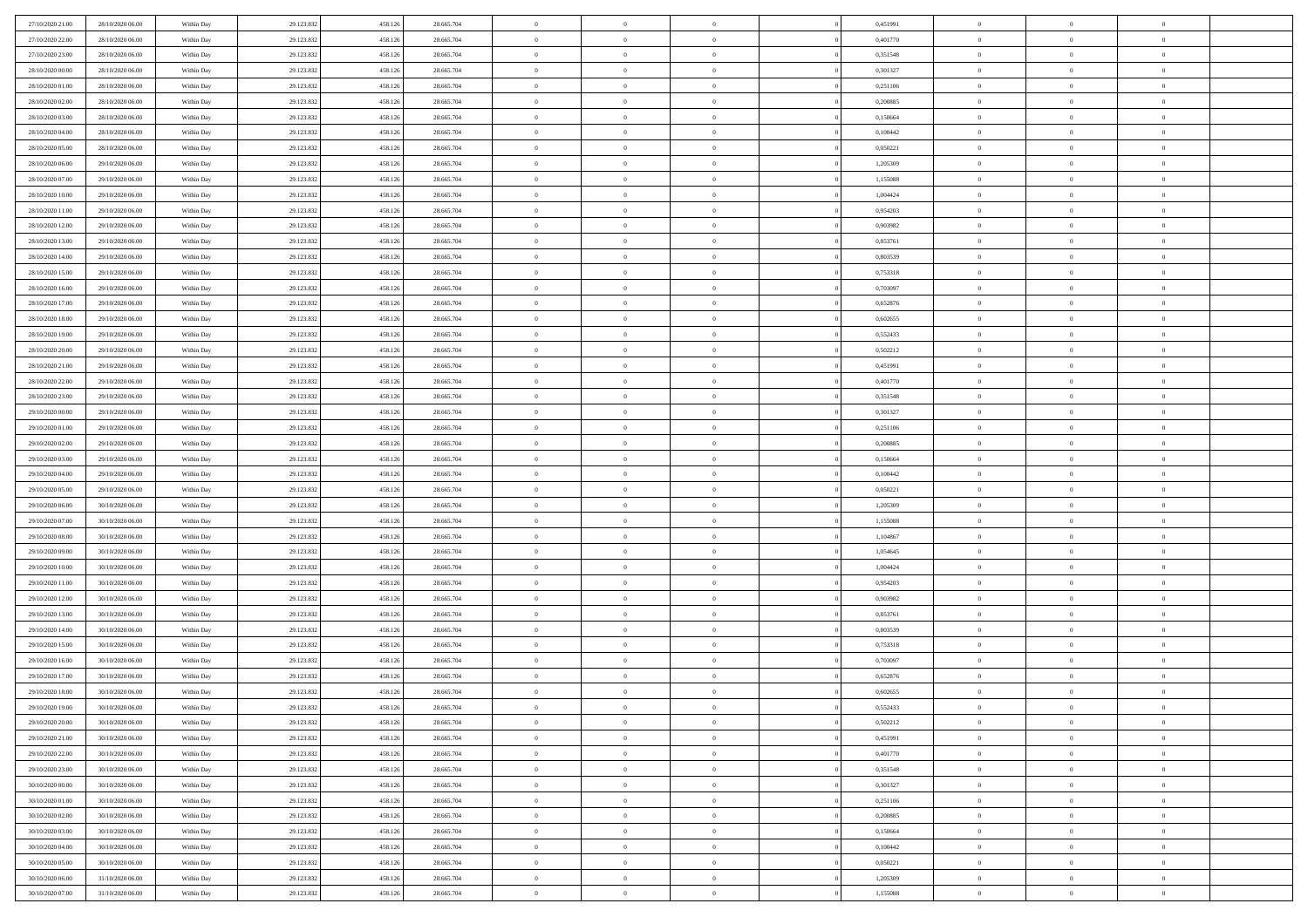| 27/10/2020 21:00 | 28/10/2020 06:00 | Within Day | 29.123.832 | 458.126 | 28.665.704 | $\,$ 0 $\,$    | $\overline{0}$ | $\overline{0}$ |          | 0,451991 | $\bf{0}$       | $\overline{0}$ | $\,0\,$        |  |
|------------------|------------------|------------|------------|---------|------------|----------------|----------------|----------------|----------|----------|----------------|----------------|----------------|--|
| 27/10/2020 22.00 | 28/10/2020 06:00 | Within Day | 29.123.832 | 458.126 | 28.665.704 | $\theta$       | $\overline{0}$ | $\mathbf{0}$   |          | 0,401770 | $\theta$       | $\overline{0}$ | $\theta$       |  |
| 27/10/2020 23:00 | 28/10/2020 06:00 | Within Dav | 29.123.832 | 458.126 | 28.665.704 | $\theta$       | $\overline{0}$ | $\overline{0}$ |          | 0,351548 | $\mathbf{0}$   | $\overline{0}$ | $\overline{0}$ |  |
| 28/10/2020 00:00 | 28/10/2020 06:00 | Within Day | 29.123.832 | 458.126 | 28.665.704 | $\,$ 0 $\,$    | $\overline{0}$ | $\overline{0}$ |          | 0,301327 | $\bf{0}$       | $\overline{0}$ | $\bf{0}$       |  |
| 28/10/2020 01:00 | 28/10/2020 06:00 | Within Day | 29.123.832 | 458.126 | 28.665.704 | $\,$ 0         | $\overline{0}$ | $\mathbf{0}$   |          | 0,251106 | $\bf{0}$       | $\bf{0}$       | $\,0\,$        |  |
| 28/10/2020 02:00 | 28/10/2020 06:00 | Within Dav | 29.123.832 | 458.126 | 28.665.704 | $\theta$       | $\overline{0}$ | $\mathbf{0}$   |          | 0,200885 | $\mathbf{0}$   | $\overline{0}$ | $\overline{0}$ |  |
| 28/10/2020 03:00 | 28/10/2020 06:00 | Within Day | 29.123.832 | 458.126 | 28.665.704 | $\,$ 0 $\,$    | $\overline{0}$ | $\overline{0}$ |          | 0,150664 | $\bf{0}$       | $\overline{0}$ | $\bf{0}$       |  |
| 28/10/2020 04:00 | 28/10/2020 06:00 | Within Day | 29.123.832 | 458.126 | 28.665.704 | $\,$ 0         | $\overline{0}$ | $\mathbf{0}$   |          | 0,100442 | $\,$ 0 $\,$    | $\overline{0}$ | $\theta$       |  |
| 28/10/2020 05:00 | 28/10/2020 06:00 | Within Day | 29.123.832 | 458.126 | 28.665.704 | $\theta$       | $\overline{0}$ | $\mathbf{0}$   |          | 0,050221 | $\mathbf{0}$   | $\overline{0}$ | $\overline{0}$ |  |
| 28/10/2020 06:00 | 29/10/2020 06.00 | Within Day | 29.123.832 | 458.126 | 28.665.704 | $\,$ 0 $\,$    | $\overline{0}$ | $\Omega$       |          | 1,205309 | $\bf{0}$       | $\overline{0}$ | $\bf{0}$       |  |
| 28/10/2020 07:00 | 29/10/2020 06.00 | Within Day | 29.123.832 | 458.126 | 28.665.704 | $\bf{0}$       | $\overline{0}$ | $\mathbf{0}$   |          | 1,155088 | $\bf{0}$       | $\mathbf{0}$   | $\theta$       |  |
| 28/10/2020 10:00 | 29/10/2020 06:00 | Within Dav | 29.123.832 | 458.126 | 28.665.704 | $\theta$       | $\overline{0}$ | $\overline{0}$ |          | 1,004424 | $\mathbf{0}$   | $\overline{0}$ | $\overline{0}$ |  |
| 28/10/2020 11:00 | 29/10/2020 06.00 | Within Day | 29.123.832 | 458.126 | 28.665.704 | $\,$ 0 $\,$    | $\overline{0}$ | $\overline{0}$ |          | 0,954203 | $\bf{0}$       | $\overline{0}$ | $\bf{0}$       |  |
| 28/10/2020 12:00 | 29/10/2020 06:00 | Within Day | 29.123.832 | 458.126 | 28.665.704 | $\,$ 0         | $\overline{0}$ | $\mathbf{0}$   |          | 0,903982 | $\bf{0}$       | $\mathbf{0}$   | $\,0\,$        |  |
| 28/10/2020 13:00 | 29/10/2020 06:00 | Within Dav | 29.123.832 | 458.126 | 28.665.704 | $\theta$       | $\overline{0}$ | $\mathbf{0}$   |          | 0,853761 | $\mathbf{0}$   | $\overline{0}$ | $\overline{0}$ |  |
| 28/10/2020 14:00 | 29/10/2020 06.00 | Within Day | 29.123.832 | 458.126 | 28.665.704 | $\,$ 0 $\,$    | $\overline{0}$ | $\overline{0}$ |          | 0,803539 | $\bf{0}$       | $\overline{0}$ | $\bf{0}$       |  |
| 28/10/2020 15:00 | 29/10/2020 06.00 | Within Day | 29.123.832 | 458.126 | 28.665.704 | $\,$ 0 $\,$    | $\overline{0}$ | $\mathbf{0}$   |          | 0,753318 | $\bf{0}$       | $\overline{0}$ | $\theta$       |  |
| 28/10/2020 16:00 | 29/10/2020 06:00 | Within Day | 29.123.832 | 458.126 | 28.665.704 | $\theta$       | $\overline{0}$ | $\mathbf{0}$   |          | 0,703097 | $\mathbf{0}$   | $\overline{0}$ | $\overline{0}$ |  |
| 28/10/2020 17:00 | 29/10/2020 06.00 | Within Day | 29.123.832 | 458.126 | 28.665.704 | $\,$ 0 $\,$    | $\overline{0}$ | $\Omega$       |          | 0,652876 | $\bf{0}$       | $\overline{0}$ | $\,0\,$        |  |
| 28/10/2020 18:00 | 29/10/2020 06.00 | Within Day | 29.123.832 | 458.126 | 28.665.704 | $\bf{0}$       | $\overline{0}$ | $\mathbf{0}$   |          | 0,602655 | $\bf{0}$       | $\mathbf{0}$   | $\bf{0}$       |  |
| 28/10/2020 19:00 | 29/10/2020 06:00 | Within Dav | 29.123.832 | 458.126 | 28.665.704 | $\theta$       | $\overline{0}$ | $\mathbf{0}$   |          | 0,552433 | $\mathbf{0}$   | $\overline{0}$ | $\overline{0}$ |  |
| 28/10/2020 20:00 | 29/10/2020 06.00 | Within Day | 29.123.832 | 458.126 | 28.665.704 | $\,$ 0 $\,$    | $\overline{0}$ | $\overline{0}$ |          | 0,502212 | $\bf{0}$       | $\overline{0}$ | $\bf{0}$       |  |
| 28/10/2020 21:00 | 29/10/2020 06:00 | Within Day | 29.123.832 | 458.126 | 28.665.704 | $\,$ 0         | $\overline{0}$ | $\mathbf{0}$   |          | 0,451991 | $\,$ 0 $\,$    | $\overline{0}$ | $\,0\,$        |  |
| 28/10/2020 22.00 | 29/10/2020 06:00 | Within Dav | 29.123.832 | 458.126 | 28.665.704 | $\theta$       | $\overline{0}$ | $\mathbf{0}$   |          | 0,401770 | $\mathbf{0}$   | $\overline{0}$ | $\overline{0}$ |  |
| 28/10/2020 23:00 | 29/10/2020 06:00 | Within Day | 29.123.832 | 458.126 | 28.665.704 | $\,$ 0 $\,$    | $\overline{0}$ | $\overline{0}$ |          | 0,351548 | $\bf{0}$       | $\overline{0}$ | $\bf{0}$       |  |
| 29/10/2020 00:00 | 29/10/2020 06.00 | Within Day | 29.123.832 | 458.126 | 28.665.704 | $\,$ 0         | $\overline{0}$ | $\mathbf{0}$   |          | 0,301327 | $\mathbf{0}$   | $\overline{0}$ | $\theta$       |  |
| 29/10/2020 01:00 | 29/10/2020 06:00 | Within Day | 29.123.832 | 458.126 | 28.665.704 | $\theta$       | $\overline{0}$ | $\overline{0}$ |          | 0,251106 | $\mathbf{0}$   | $\overline{0}$ | $\overline{0}$ |  |
| 29/10/2020 02.00 | 29/10/2020 06.00 | Within Day | 29.123.832 | 458.126 | 28.665.704 | $\,$ 0 $\,$    | $\overline{0}$ | $\Omega$       |          | 0,200885 | $\bf{0}$       | $\overline{0}$ | $\bf{0}$       |  |
| 29/10/2020 03:00 | 29/10/2020 06.00 | Within Day | 29.123.832 | 458.126 | 28.665.704 | $\bf{0}$       | $\overline{0}$ | $\mathbf{0}$   |          | 0,150664 | $\bf{0}$       | $\mathbf{0}$   | $\overline{0}$ |  |
| 29/10/2020 04:00 | 29/10/2020 06:00 | Within Dav | 29.123.832 | 458.126 | 28.665.704 | $\theta$       | $\overline{0}$ | $\overline{0}$ |          | 0,100442 | $\mathbf{0}$   | $\overline{0}$ | $\overline{0}$ |  |
| 29/10/2020 05:00 | 29/10/2020 06:00 | Within Day | 29.123.832 | 458.126 | 28.665.704 | $\,$ 0 $\,$    | $\overline{0}$ | $\overline{0}$ |          | 0,050221 | $\,$ 0         | $\overline{0}$ | $\,$ 0 $\,$    |  |
| 29/10/2020 06:00 | 30/10/2020 06:00 | Within Day | 29.123.832 | 458.126 | 28.665.704 | $\,$ 0         | $\overline{0}$ | $\mathbf{0}$   |          | 1,205309 | $\bf{0}$       | $\overline{0}$ | $\bf{0}$       |  |
| 29/10/2020 07:00 | 30/10/2020 06:00 | Within Dav | 29.123.832 | 458.126 | 28.665.704 | $\theta$       | $\overline{0}$ | $\mathbf{0}$   |          | 1,155088 | $\mathbf{0}$   | $\overline{0}$ | $\overline{0}$ |  |
| 29/10/2020 08:00 | 30/10/2020 06:00 | Within Day | 29.123.832 | 458.126 | 28.665.704 | $\theta$       | $\overline{0}$ | $\overline{0}$ |          | 1,104867 | $\,$ 0         | $\overline{0}$ | $\theta$       |  |
| 29/10/2020 09:00 | 30/10/2020 06:00 | Within Day | 29.123.832 | 458.126 | 28.665.704 | $\bf{0}$       | $\overline{0}$ | $\mathbf{0}$   |          | 1,054645 | $\mathbf{0}$   | $\overline{0}$ | $\overline{0}$ |  |
| 29/10/2020 10:00 | 30/10/2020 06:00 | Within Day | 29.123.832 | 458.126 | 28.665.704 | $\theta$       | $\overline{0}$ | $\mathbf{0}$   |          | 1,004424 | $\mathbf{0}$   | $\overline{0}$ | $\overline{0}$ |  |
| 29/10/2020 11:00 | 30/10/2020 06:00 | Within Day | 29.123.832 | 458.126 | 28.665.704 | $\theta$       | $\overline{0}$ | $\overline{0}$ |          | 0,954203 | $\,$ 0         | $\overline{0}$ | $\theta$       |  |
| 29/10/2020 12:00 | 30/10/2020 06:00 | Within Day | 29.123.832 | 458.126 | 28.665.704 | $\bf{0}$       | $\overline{0}$ | $\mathbf{0}$   |          | 0,903982 | $\bf{0}$       | $\mathbf{0}$   | $\bf{0}$       |  |
| 29/10/2020 13:00 | 30/10/2020 06:00 | Within Dav | 29.123.832 | 458.126 | 28.665.704 | $\theta$       | $\overline{0}$ | $\overline{0}$ |          | 0,853761 | $\mathbf{0}$   | $\overline{0}$ | $\overline{0}$ |  |
| 29/10/2020 14:00 | 30/10/2020 06:00 | Within Day | 29.123.832 | 458.126 | 28.665.704 | $\,$ 0 $\,$    | $\overline{0}$ | $\overline{0}$ |          | 0,803539 | $\,$ 0         | $\overline{0}$ | $\,$ 0 $\,$    |  |
| 29/10/2020 15:00 | 30/10/2020 06:00 | Within Day | 29.123.832 | 458.126 | 28.665.704 | $\bf{0}$       | $\,$ 0 $\,$    | $\overline{0}$ |          | 0,753318 | $\,$ 0 $\,$    | $\overline{0}$ | $\bf{0}$       |  |
| 29/10/2020 16:00 | 30/10/2020 06:00 | Within Dav | 29.123.832 | 458.126 | 28.665.704 | $\theta$       | $\overline{0}$ | $\mathbf{0}$   |          | 0,703097 | $\mathbf{0}$   | $\overline{0}$ | $\overline{0}$ |  |
| 29/10/2020 17:00 | 30/10/2020 06:00 | Within Day | 29.123.832 | 458.126 | 28.665.704 | $\theta$       | $\overline{0}$ | $\overline{0}$ |          | 0,652876 | $\,$ 0         | $\overline{0}$ | $\theta$       |  |
| 29/10/2020 18:00 | 30/10/2020 06:00 | Within Day | 29.123.832 | 458.126 | 28.665.704 | $\bf{0}$       | $\,$ 0 $\,$    | $\mathbf{0}$   |          | 0,602655 | $\mathbf{0}$   | $\overline{0}$ | $\bf{0}$       |  |
| 29/10/2020 19:00 | 30/10/2020 06:00 | Within Day | 29.123.832 | 458.126 | 28.665.704 | $\overline{0}$ | $\theta$       |                |          | 0,552433 | $\overline{0}$ | $\theta$       | $\theta$       |  |
| 29/10/2020 20:00 | 30/10/2020 06:00 | Within Day | 29.123.832 | 458.126 | 28.665.704 | $\,$ 0 $\,$    | $\overline{0}$ | $\overline{0}$ |          | 0,502212 | $\,$ 0 $\,$    | $\bf{0}$       | $\theta$       |  |
| 29/10/2020 21:00 | 30/10/2020 06:00 | Within Day | 29.123.832 | 458.126 | 28.665.704 | $\bf{0}$       | $\,$ 0 $\,$    | $\overline{0}$ |          | 0,451991 | $\,$ 0 $\,$    | $\overline{0}$ | $\overline{0}$ |  |
| 29/10/2020 22.00 | 30/10/2020 06:00 | Within Day | 29.123.832 | 458.126 | 28.665.704 | $\mathbf{0}$   | $\overline{0}$ | $\overline{0}$ |          | 0,401770 | $\,$ 0 $\,$    | $\bf{0}$       | $\mathbf{0}$   |  |
| 29/10/2020 23:00 | 30/10/2020 06:00 | Within Day | 29.123.832 | 458.126 | 28.665.704 | $\,$ 0 $\,$    | $\overline{0}$ | $\overline{0}$ | $\theta$ | 0,351548 | $\,$ 0 $\,$    | $\bf{0}$       | $\,$ 0 $\,$    |  |
| 30/10/2020 00:00 | 30/10/2020 06:00 | Within Day | 29.123.832 | 458.126 | 28.665.704 | $\,$ 0 $\,$    | $\,$ 0 $\,$    | $\overline{0}$ |          | 0,301327 | $\,$ 0 $\,$    | $\overline{0}$ | $\overline{0}$ |  |
| 30/10/2020 01:00 | 30/10/2020 06:00 | Within Day | 29.123.832 | 458.126 | 28.665.704 | $\mathbf{0}$   | $\overline{0}$ | $\overline{0}$ |          | 0,251106 | $\mathbf{0}$   | $\overline{0}$ | $\overline{0}$ |  |
| 30/10/2020 02:00 | 30/10/2020 06:00 | Within Day | 29.123.832 | 458.126 | 28.665.704 | $\,$ 0 $\,$    | $\overline{0}$ | $\overline{0}$ |          | 0,200885 | $\,$ 0 $\,$    | $\overline{0}$ | $\,$ 0 $\,$    |  |
| 30/10/2020 03:00 | 30/10/2020 06:00 | Within Day | 29.123.832 | 458.126 | 28.665.704 | $\overline{0}$ | $\overline{0}$ | $\overline{0}$ |          | 0,150664 | $\mathbf{0}$   | $\overline{0}$ | $\overline{0}$ |  |
| 30/10/2020 04:00 | 30/10/2020 06:00 | Within Day | 29.123.832 | 458.126 | 28.665.704 | $\mathbf{0}$   | $\overline{0}$ | $\overline{0}$ |          | 0,100442 | $\mathbf{0}$   | $\bf{0}$       | $\overline{0}$ |  |
| 30/10/2020 05:00 | 30/10/2020 06:00 | Within Day | 29.123.832 | 458.126 | 28.665.704 | $\,$ 0 $\,$    | $\overline{0}$ | $\overline{0}$ |          | 0,050221 | $\,$ 0 $\,$    | $\mathbf{0}$   | $\,$ 0 $\,$    |  |
| 30/10/2020 06:00 | 31/10/2020 06.00 | Within Day | 29.123.832 | 458.126 | 28.665.704 | $\,$ 0 $\,$    | $\overline{0}$ | $\overline{0}$ |          | 1,205309 | $\bf{0}$       | $\overline{0}$ | $\overline{0}$ |  |
| 30/10/2020 07:00 | 31/10/2020 06:00 | Within Day | 29.123.832 | 458.126 | 28.665.704 | $\theta$       | $\overline{0}$ | $\overline{0}$ |          | 1,155088 | $\mathbf{0}$   | $\overline{0}$ | $\overline{0}$ |  |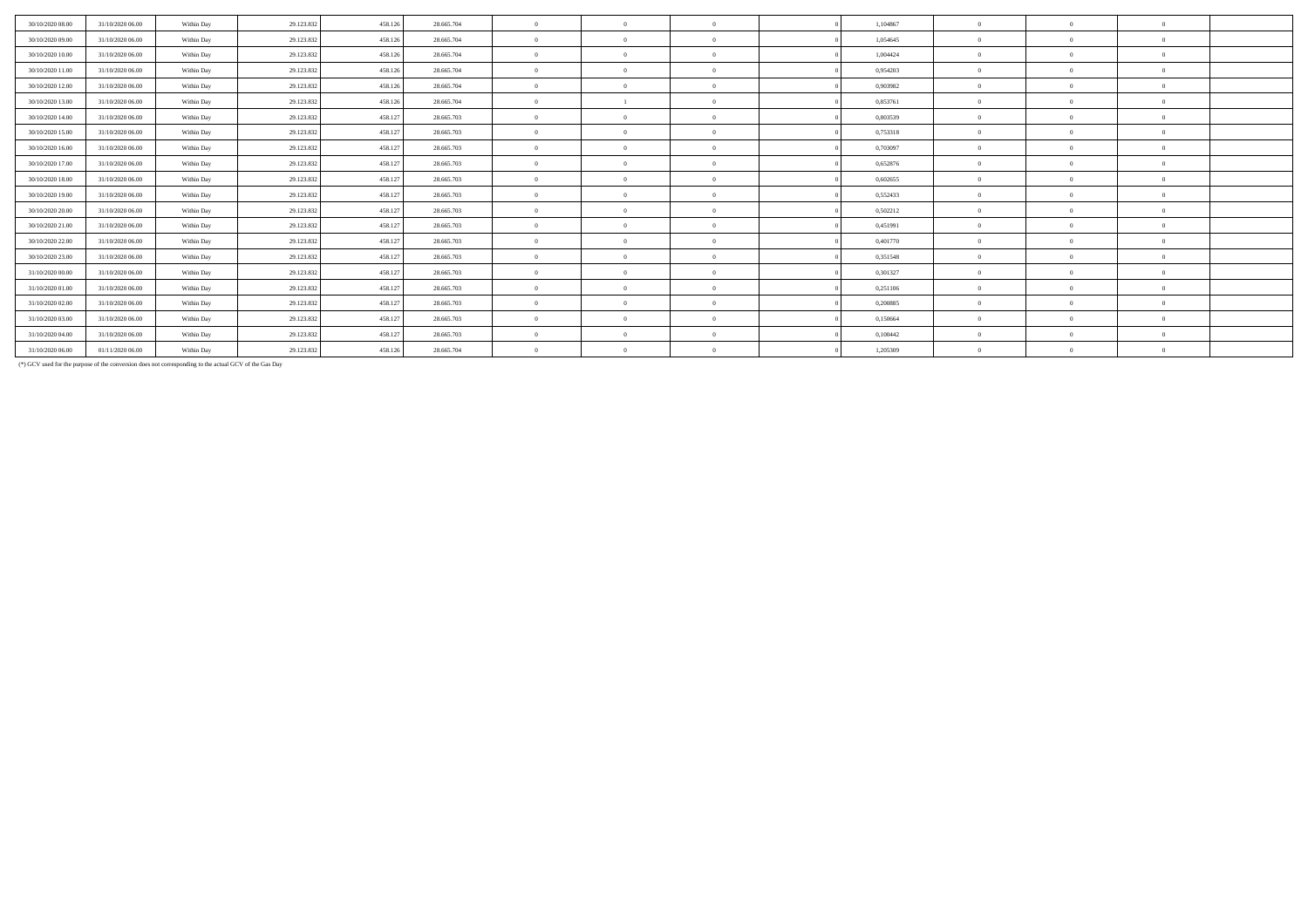| 30/10/2020 08:00 | 31/10/2020 06:00 | Within Day | 29.123.832 | 458.126 | 28,665,704 | $\theta$       | $\theta$       | 1.104867 | $\theta$       | $\Omega$   | $\theta$       |  |
|------------------|------------------|------------|------------|---------|------------|----------------|----------------|----------|----------------|------------|----------------|--|
|                  |                  |            |            |         |            |                |                |          |                |            |                |  |
| 30/10/2020 09:00 | 31/10/2020 06:00 | Within Day | 29.123.832 | 458.126 | 28,665,704 | $\overline{0}$ | $\overline{0}$ | 1.054645 | $\overline{0}$ | $\Omega$   | $\Omega$       |  |
| 30/10/2020 10:00 | 31/10/2020 06:00 | Within Day | 29.123.832 | 458.126 | 28.665.704 | $\overline{0}$ | $\Omega$       | 1,004424 | $\Omega$       | $\Omega$   | $\Omega$       |  |
| 30/10/2020 11:00 | 31/10/2020 06:00 | Within Day | 29.123.832 | 458.126 | 28.665.704 | $\theta$       | $\Omega$       | 0,954203 | $\theta$       | $\Omega$   | $\theta$       |  |
| 30/10/2020 12:00 | 31/10/2020 06.00 | Within Day | 29.123.832 | 458.126 | 28.665.704 | $\mathbf{0}$   | $\Omega$       | 0,903982 | $\Omega$       |            | $\Omega$       |  |
| 30/10/2020 13.00 | 31/10/2020 06.00 | Within Day | 29.123.832 | 458.126 | 28.665.704 | $\overline{0}$ | $\Omega$       | 0,853761 | $\Omega$       | $\Omega$   | $\Omega$       |  |
| 30/10/2020 14:00 | 31/10/2020 06:00 | Within Day | 29.123.832 | 458.127 | 28,665,703 | $\overline{0}$ | $\Omega$       | 0,803539 | $\theta$       | $\Omega$   | $\theta$       |  |
| 30/10/2020 15.00 | 31/10/2020 06.00 | Within Day | 29.123.832 | 458.127 | 28.665.703 | $\overline{0}$ | $\overline{0}$ | 0,753318 | $\overline{0}$ | $\Omega$   | $\overline{0}$ |  |
| 30/10/2020 16.00 | 31/10/2020 06:00 | Within Day | 29.123.832 | 458.127 | 28.665.703 | $\overline{0}$ | $\Omega$       | 0,703097 | $\overline{0}$ | $\Omega$   | $\Omega$       |  |
| 30/10/2020 17.00 | 31/10/2020 06:00 | Within Day | 29.123.832 | 458.127 | 28.665.703 | $\overline{0}$ | $\overline{0}$ | 0,652876 | $\Omega$       | $\Omega$   | $\Omega$       |  |
| 30/10/2020 18:00 | 31/10/2020 06.00 | Within Day | 29.123.832 | 458.127 | 28.665.703 | $\overline{0}$ | $\overline{0}$ | 0,602655 | $\overline{0}$ |            | $\Omega$       |  |
| 30/10/2020 19:00 | 31/10/2020 06:00 | Within Day | 29.123.832 | 458.127 | 28.665.703 | $\mathbf{0}$   | $\Omega$       | 0,552433 | $\Omega$       | $\sqrt{2}$ | $\Omega$       |  |
| 30/10/2020 20:00 | 31/10/2020 06:00 | Within Day | 29.123.832 | 458.127 | 28.665.703 | $\theta$       | $\Omega$       | 0,502212 | $\Omega$       | $\Omega$   | $\theta$       |  |
| 30/10/2020 21:00 | 31/10/2020 06.00 | Within Day | 29.123.832 | 458,127 | 28.665.703 | $\overline{0}$ | $\Omega$       | 0,451991 | $\theta$       | $\Omega$   | $\Omega$       |  |
| 30/10/2020 22.00 | 31/10/2020 06:00 | Within Day | 29.123.832 | 458.127 | 28,665,703 | $\mathbf{0}$   | $\Omega$       | 0,401770 | $\Omega$       | $\sqrt{2}$ | $\Omega$       |  |
| 30/10/2020 23.00 | 31/10/2020 06:00 | Within Day | 29.123.832 | 458.127 | 28.665.703 | $\overline{0}$ | $\overline{0}$ | 0,351548 | $\Omega$       | $\Omega$   | $\Omega$       |  |
| 31/10/2020 00:00 | 31/10/2020 06.00 | Within Day | 29.123.832 | 458.127 | 28.665.703 | $\overline{0}$ | $\Omega$       | 0,301327 | $\Omega$       |            | $\Omega$       |  |
| 31/10/2020 01:00 | 31/10/2020 06:00 | Within Day | 29.123.832 | 458.127 | 28.665.703 | $\mathbf{0}$   | $\Omega$       | 0,251106 | $\Omega$       |            | $\Omega$       |  |
| 31/10/2020 02.00 | 31/10/2020 06:00 | Within Day | 29.123.832 | 458.127 | 28.665.703 | $\overline{0}$ | $\Omega$       | 0,200885 | $\Omega$       | $\Omega$   | $\Omega$       |  |
| 31/10/2020 03:00 | 31/10/2020 06.00 | Within Day | 29.123.832 | 458.127 | 28.665.703 | $\overline{0}$ | $\Omega$       | 0,150664 | $\theta$       | $\Omega$   | $\Omega$       |  |
| 31/10/2020 04.00 | 31/10/2020 06:00 | Within Day | 29.123.832 | 458.127 | 28.665.703 | $\overline{0}$ | $\Omega$       | 0,100442 | $\overline{0}$ |            | $\overline{0}$ |  |
| 31/10/2020 06.00 | 01/11/2020 06.00 | Within Day | 29.123.832 | 458.126 | 28.665.704 | $\overline{0}$ | $\Omega$       | 1,205309 | $\overline{0}$ | $\Omega$   | $\overline{0}$ |  |

(\*) GCV used for the purpose of the conversion does not corresponding to the actual GCV of the Gas Day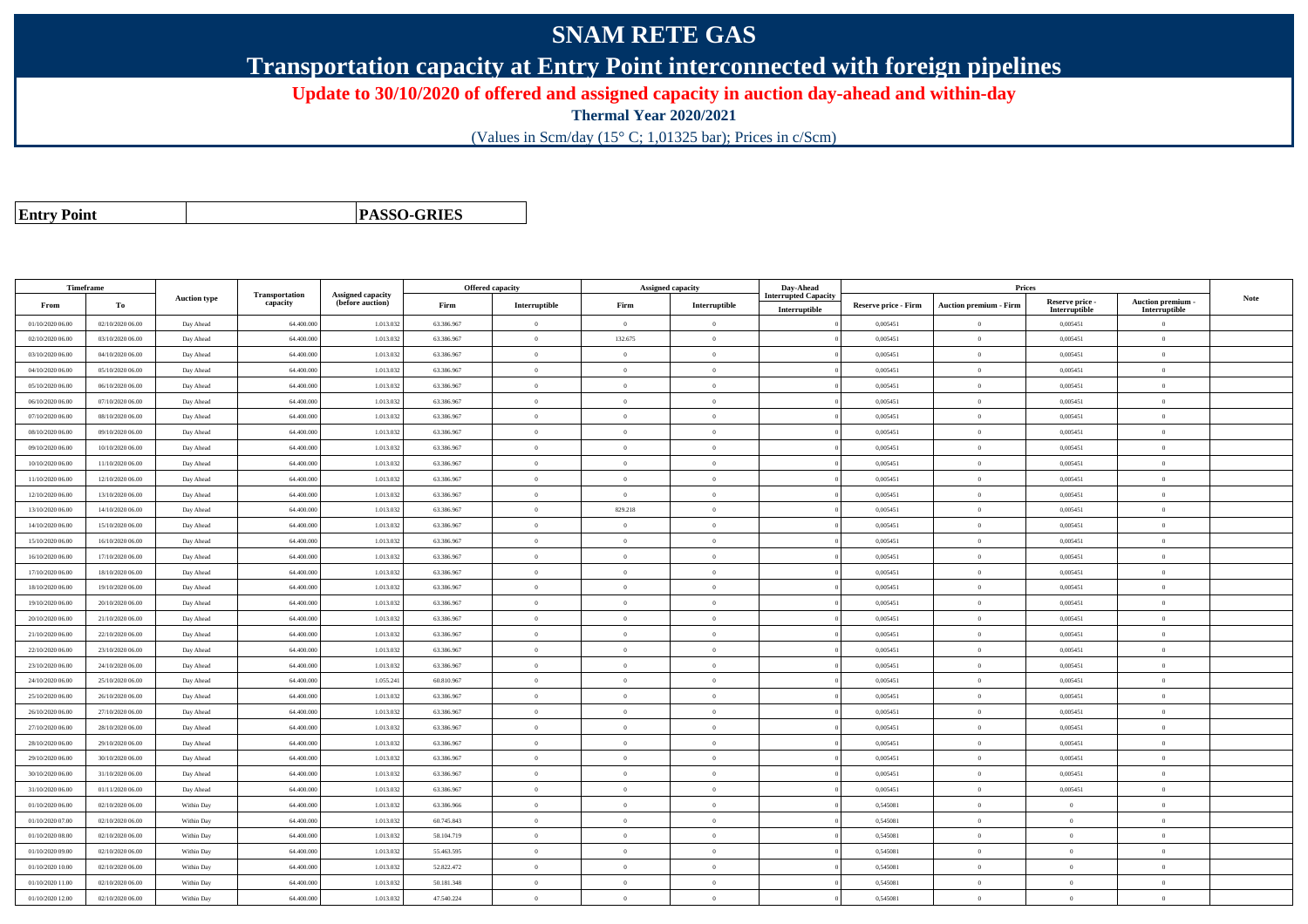## **SNAM RETE GAS**

**Transportation capacity at Entry Point interconnected with foreign pipelines**

**Update to 30/10/2020 of offered and assigned capacity in auction day-ahead and within-day**

**Thermal Year 2020/2021**

(Values in Scm/day (15° C; 1,01325 bar); Prices in c/Scm)

| <b>Entry Point</b> |  |
|--------------------|--|
|--------------------|--|

**PASSO-GRIES**

| Timeframe        |                  |                     |                            |                                              |            | Offered capacity |                | <b>Assigned capacity</b> | Day-Ahead                                    |                      | Prices                        |                                  |                                    |      |
|------------------|------------------|---------------------|----------------------------|----------------------------------------------|------------|------------------|----------------|--------------------------|----------------------------------------------|----------------------|-------------------------------|----------------------------------|------------------------------------|------|
| From             | Тo               | <b>Auction type</b> | Transportation<br>capacity | <b>Assigned capacity</b><br>(before auction) | Firm       | Interruptible    | Firm           | Interruptible            | <b>Interrupted Capacity</b><br>Interruptible | Reserve price - Firm | <b>Auction premium - Firm</b> | Reserve price -<br>Interruptible | Auction premium -<br>Interruptible | Note |
| 01/10/2020 06.00 | 02/10/2020 06:00 | Day Ahead           | 64.400.000                 | 1.013.03                                     | 63.386.967 | $\mathbf{0}$     | $\overline{0}$ | $\overline{0}$           |                                              | 0,005451             | $\Omega$                      | 0,005451                         | $\overline{0}$                     |      |
| 02/10/2020 06.00 | 03/10/2020 06:00 | Day Ahead           | 64.400.000                 | 1.013.03                                     | 63.386.967 | $\Omega$         | 132.675        | $\Omega$                 |                                              | 0,005451             | $\mathbf{0}$                  | 0,005451                         | $\overline{0}$                     |      |
| 03/10/2020 06:00 | 04/10/2020 06:00 | Day Ahead           | 64.400.000                 | 1.013.032                                    | 63.386.967 | $\bf{0}$         | $\overline{0}$ | $\overline{0}$           |                                              | 0,005451             | $\overline{0}$                | 0,005451                         | $\theta$                           |      |
| 04/10/2020 06:00 | 05/10/2020 06:00 | Day Ahead           | 64,400,000                 | 1.013.03                                     | 63,386,967 | $\mathbf{0}$     | $\overline{0}$ | $\theta$                 |                                              | 0.005451             | $\mathbf{0}$                  | 0.005451                         | $\theta$                           |      |
| 05/10/2020 06.00 | 06/10/2020 06.00 | Day Ahead           | 64.400.000                 | 1.013.03                                     | 63.386.967 | $\theta$         | $\theta$       | $\overline{0}$           |                                              | 0,005451             | $\bf{0}$                      | 0,005451                         | $\overline{0}$                     |      |
| 06/10/2020 06.00 | 07/10/2020 06:00 | Day Ahead           | 64.400.000                 | 1.013.03                                     | 63.386.967 | $\Omega$         | $\overline{0}$ | $\overline{0}$           |                                              | 0,005451             | $\mathbf{0}$                  | 0,005451                         | $\mathbf{0}$                       |      |
| 07/10/2020 06.00 | 08/10/2020 06:00 | Day Ahead           | 64,400,000                 | 1.013.03                                     | 63,386,967 | $\Omega$         | $\theta$       | $\overline{0}$           |                                              | 0.005451             | $\theta$                      | 0,005451                         | $\Omega$                           |      |
| 08/10/2020 06:00 | 09/10/2020 06:00 | Day Ahead           | 64.400.000                 | 1.013.03                                     | 63.386.967 | $\theta$         | $\overline{0}$ | $\theta$                 |                                              | 0,005451             | $\overline{0}$                | 0,005451                         | $\Omega$                           |      |
| 09/10/2020 06:00 | 10/10/2020 06:00 | Day Ahead           | 64.400.000                 | 1.013.032                                    | 63.386.967 | $\theta$         | $\theta$       | $\overline{0}$           |                                              | 0,005451             | $\bf{0}$                      | 0,005451                         | $\theta$                           |      |
| 10/10/2020 06:00 | 11/10/2020 06:00 | Day Ahead           | 64,400,000                 | 1.013.03                                     | 63,386,967 | $\theta$         | $\theta$       | $\theta$                 |                                              | 0.005451             | $\overline{0}$                | 0.005451                         | $\theta$                           |      |
| 11/10/2020 06.00 | 12/10/2020 06:00 | Day Ahead           | 64.400.000                 | 1.013.032                                    | 63.386.967 | $\Omega$         | $\overline{0}$ | $\theta$                 |                                              | 0,005451             | $\overline{0}$                | 0,005451                         | $\mathbf{0}$                       |      |
| 12/10/2020 06:00 | 13/10/2020 06:00 | Day Ahead           | 64.400.000                 | 1.013.032                                    | 63.386.967 | $\Omega$         | $\theta$       | $\theta$                 |                                              | 0,005451             | $\overline{0}$                | 0,005451                         | $\mathbf{0}$                       |      |
| 13/10/2020 06:00 | 14/10/2020 06:00 | Day Ahead           | 64.400.000                 | 1.013.03                                     | 63.386.967 | $\theta$         | 829.218        | $\Omega$                 |                                              | 0,005451             | $\overline{0}$                | 0,005451                         | $\Omega$                           |      |
| 14/10/2020 06:00 | 15/10/2020 06:00 | Day Ahead           | 64,400,000                 | 1.013.03                                     | 63.386.967 | $\overline{0}$   | $\overline{0}$ | $\overline{0}$           |                                              | 0.005451             | $\mathbf{0}$                  | 0.005451                         | $\mathbf{0}$                       |      |
| 15/10/2020 06:00 | 16/10/2020 06:00 | Day Ahead           | 64.400.000                 | 1.013.032                                    | 63.386.967 | $\bf{0}$         | $\overline{0}$ | $\overline{0}$           |                                              | 0,005451             | $\overline{0}$                | 0,005451                         | $\theta$                           |      |
| 16/10/2020 06:00 | 17/10/2020 06:00 | Day Ahead           | 64.400.000                 | 1.013.03                                     | 63.386.967 | $\theta$         | $\overline{0}$ | $\overline{0}$           |                                              | 0,005451             | $\mathbf{0}$                  | 0,005451                         | $\,0\,$                            |      |
| 17/10/2020 06:00 | 18/10/2020 06:00 | Day Ahead           | 64,400,000                 | 1.013.032                                    | 63,386,967 | $\theta$         | $\theta$       | $\overline{0}$           |                                              | 0.005451             | $\overline{0}$                | 0,005451                         | $\Omega$                           |      |
| 18/10/2020 06:00 | 19/10/2020 06:00 | Day Ahead           | 64.400.000                 | 1.013.03                                     | 63.386.967 | $\theta$         | $\overline{0}$ | $\theta$                 |                                              | 0,005451             | $\overline{0}$                | 0,005451                         | $\mathbf{0}$                       |      |
| 19/10/2020 06.00 | 20/10/2020 06:00 | Day Ahead           | 64.400.000                 | 1.013.03                                     | 63.386.967 | $\theta$         | $\overline{0}$ | $\overline{0}$           |                                              | 0,005451             | $\overline{0}$                | 0,005451                         | $\overline{0}$                     |      |
| 20/10/2020 06:00 | 21/10/2020 06.00 | Day Ahead           | 64.400.000                 | 1.013.03                                     | 63.386.967 | $\bf{0}$         | $\overline{0}$ | $\overline{0}$           |                                              | 0,005451             | $\overline{0}$                | 0,005451                         | $\theta$                           |      |
| 21/10/2020 06:00 | 22/10/2020 06.00 | Day Ahead           | 64.400.000                 | 1.013.03                                     | 63.386.967 | $\mathbf{0}$     | $\overline{0}$ | $\theta$                 |                                              | 0,005451             | $\mathbf{0}$                  | 0.005451                         | $\mathbf{0}$                       |      |
| 22/10/2020 06.00 | 23/10/2020 06:00 | Day Ahead           | 64.400.000                 | 1.013.03                                     | 63.386.967 | $\theta$         | $\theta$       | $\overline{0}$           |                                              | 0,005451             | $\bf{0}$                      | 0,005451                         | $\overline{0}$                     |      |
| 23/10/2020 06:00 | 24/10/2020 06:00 | Day Ahead           | 64.400.000                 | 1.013.032                                    | 63.386.967 | $\theta$         | $\overline{0}$ | $\Omega$                 |                                              | 0,005451             | $\mathbf{0}$                  | 0,005451                         | $\mathbf{0}$                       |      |
| 24/10/2020 06.00 | 25/10/2020 06:00 | Day Ahead           | 64,400,000                 | 1.055.24                                     | 60.810.967 | $\mathbf{0}$     | $\theta$       | $\theta$                 |                                              | 0.005451             | $\theta$                      | 0,005451                         | $\Omega$                           |      |
| 25/10/2020 06:00 | 26/10/2020 06:00 | Day Ahead           | 64,400,000                 | 1.013.032                                    | 63.386.967 | $\theta$         | $\theta$       | $\alpha$                 |                                              | 0.005451             | $\theta$                      | 0.005451                         | $\Omega$                           |      |
| 26/10/2020 06.00 | 27/10/2020 06.00 | Day Ahead           | 64.400.000                 | 1.013.032                                    | 63.386.967 | $\theta$         | $\theta$       | $\overline{0}$           |                                              | 0,005451             | $\bf{0}$                      | 0,005451                         | $\overline{0}$                     |      |
| 27/10/2020 06:00 | 28/10/2020 06:00 | Day Ahead           | 64,400,000                 | 1.013.03                                     | 63,386,967 | $\theta$         | $\theta$       | $\overline{0}$           |                                              | 0.005451             | $\overline{0}$                | 0.005451                         | $\Omega$                           |      |
| 28/10/2020 06:00 | 29/10/2020 06:00 | Day Ahead           | 64.400.000                 | 1.013.03                                     | 63.386.967 | $\mathbf{0}$     | $\overline{0}$ | $\overline{0}$           |                                              | 0,005451             | $\overline{0}$                | 0,005451                         | $\mathbf{0}$                       |      |
| 29/10/2020 06:00 | 30/10/2020 06:00 | Day Ahead           | 64.400.000                 | 1.013.032                                    | 63.386.967 | $\theta$         | $\overline{0}$ | $\overline{0}$           |                                              | 0,005451             | $\overline{0}$                | 0,005451                         | $\theta$                           |      |
| 30/10/2020 06.00 | 31/10/2020 06:00 | Day Ahead           | 64.400.000                 | 1.013.03                                     | 63.386.967 | $\theta$         | $\overline{0}$ | $\Omega$                 |                                              | 0,005451             | $\overline{0}$                | 0,005451                         | $\overline{0}$                     |      |
| 31/10/2020 06:00 | 01/11/2020 06:00 | Day Ahead           | 64,400,000                 | 1.013.032                                    | 63,386,967 | $\overline{0}$   | $\theta$       | $\overline{0}$           |                                              | 0.005451             | $\overline{0}$                | 0.005451                         | $\Omega$                           |      |
| 01/10/2020 06:00 | 02/10/2020 06:00 | Within Day          | 64.400.000                 | 1.013.032                                    | 63.386.966 | $\bf{0}$         | $\overline{0}$ | $\overline{0}$           |                                              | 0,545081             | $\mathbf{0}$                  | $\mathbf{0}$                     | $\theta$                           |      |
| 01/10/2020 07:00 | 02/10/2020 06:00 | Within Day          | 64.400.000                 | 1.013.03                                     | 60.745.843 | $\theta$         | $\overline{0}$ | $\theta$                 |                                              | 0,545081             | $\overline{0}$                | $\theta$                         | $\mathbf{0}$                       |      |
| 01/10/2020 08:00 | 02/10/2020 06:00 | Within Day          | 64.400.000                 | 1.013.032                                    | 58.104.719 | $\Omega$         | $\overline{0}$ | $\Omega$                 |                                              | 0,545081             | $\overline{0}$                | $\theta$                         | $\theta$                           |      |
| 01/10/2020 09:00 | 02/10/2020 06:00 | Within Day          | 64,400,000                 | 1.013.03                                     | 55.463.595 | $\Omega$         | $\Omega$       | $\overline{0}$           |                                              | 0.545081             | $\theta$                      | $\theta$                         | $\mathbf{0}$                       |      |
| 01/10/2020 10:00 | 02/10/2020 06:00 | Within Day          | 64.400.000                 | 1.013.03                                     | 52.822.472 | $\Omega$         | $\theta$       | $\overline{0}$           |                                              | 0,545081             | $\overline{0}$                | $\Omega$                         | $\overline{0}$                     |      |
| 01/10/2020 11:00 | 02/10/2020 06:00 | Within Day          | 64.400.000                 | 1.013.03                                     | 50.181.348 | $\theta$         | $\overline{0}$ | $\overline{0}$           |                                              | 0,545081             | $\overline{0}$                | $\overline{0}$                   | $\theta$                           |      |
| 01/10/2020 12:00 | 02/10/2020 06:00 | Within Day          | 64,400,000                 | 1.013.032                                    | 47.540.224 | $\theta$         | $\theta$       | $\overline{0}$           |                                              | 0.545081             | $\theta$                      | $\overline{0}$                   | $\Omega$                           |      |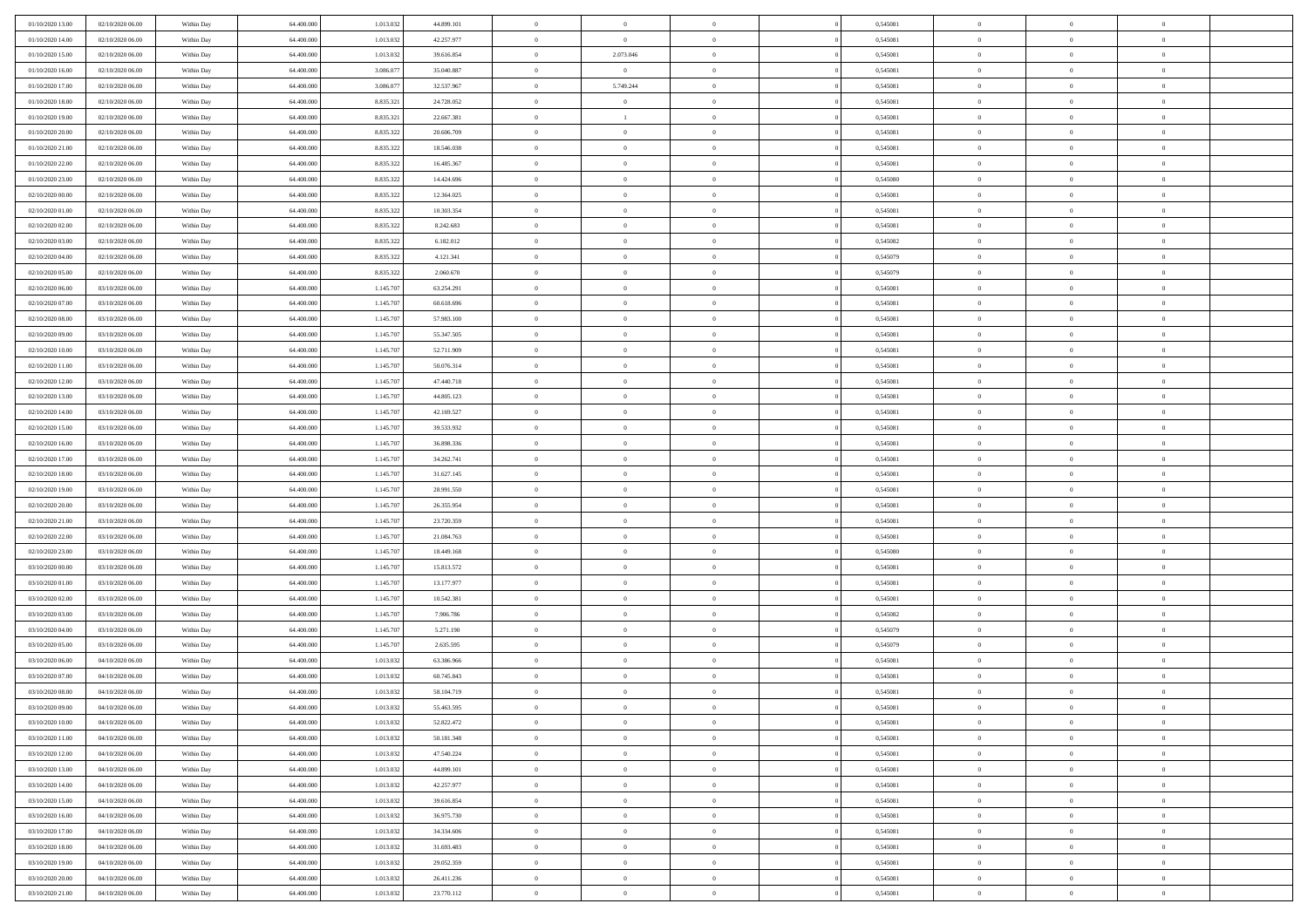| 01/10/2020 13.00<br>02/10/2020 06:00 | Within Day | 64.400.000               | 1.013.032 | 44.899.101 | $\,$ 0         | $\overline{0}$ | $\theta$       |          | 0,545081 | $\bf{0}$       | $\overline{0}$ | $\,0\,$        |  |
|--------------------------------------|------------|--------------------------|-----------|------------|----------------|----------------|----------------|----------|----------|----------------|----------------|----------------|--|
| 01/10/2020 14:00<br>02/10/2020 06:00 | Within Day | 64,400,000               | 1.013.032 | 42.257.977 | $\overline{0}$ | $\overline{0}$ | $\Omega$       |          | 0.545081 | $\overline{0}$ | $\overline{0}$ | $\theta$       |  |
| 01/10/2020 15:00<br>02/10/2020 06:00 | Within Dav | 64.400.000               | 1.013.032 | 39.616.854 | $\mathbf{0}$   | 2.073.046      | $\overline{0}$ |          | 0,545081 | $\mathbf{0}$   | $\overline{0}$ | $\overline{0}$ |  |
| 01/10/2020 16:00<br>02/10/2020 06:00 | Within Day | 64.400.000               | 3.086.077 | 35.040.887 | $\bf{0}$       | $\overline{0}$ | $\bf{0}$       |          | 0,545081 | $\bf{0}$       | $\overline{0}$ | $\,0\,$        |  |
| 01/10/2020 17:00<br>02/10/2020 06:00 | Within Day | 64,400,000               | 3.086.077 | 32.537.967 | $\bf{0}$       | 5.749.244      | $\bf{0}$       |          | 0,545081 | $\bf{0}$       | $\theta$       | $\,0\,$        |  |
| 01/10/2020 18:00<br>02/10/2020 06:00 | Within Dav | 64.400.000               | 8.835.321 | 24.728.052 | $\mathbf{0}$   | $\overline{0}$ | $\overline{0}$ |          | 0,545081 | $\mathbf{0}$   | $\overline{0}$ | $\overline{0}$ |  |
|                                      |            |                          |           |            |                |                |                |          |          |                |                |                |  |
| 01/10/2020 19:00<br>02/10/2020 06:00 | Within Day | 64.400.000               | 8.835.321 | 22.667.381 | $\bf{0}$       | $\mathbf{1}$   | $\overline{0}$ |          | 0,545081 | $\bf{0}$       | $\overline{0}$ | $\,0\,$        |  |
| 01/10/2020 20:00<br>02/10/2020 06:00 | Within Day | 64.400.000               | 8.835.322 | 20.606.709 | $\theta$       | $\overline{0}$ | $\overline{0}$ |          | 0,545081 | $\bf{0}$       | $\overline{0}$ | $\theta$       |  |
| 01/10/2020 21:00<br>02/10/2020 06:00 | Within Dav | 64.400.000               | 8.835.322 | 18.546.038 | $\mathbf{0}$   | $\overline{0}$ | $\overline{0}$ |          | 0,545081 | $\mathbf{0}$   | $\bf{0}$       | $\overline{0}$ |  |
| 01/10/2020 22.00<br>02/10/2020 06:00 | Within Day | 64.400.000               | 8.835.322 | 16.485.367 | $\,$ 0         | $\overline{0}$ | $\theta$       |          | 0,545081 | $\bf{0}$       | $\overline{0}$ | $\,0\,$        |  |
| 01/10/2020 23.00<br>02/10/2020 06:00 | Within Day | 64,400,000               | 8.835.322 | 14.424.696 | $\overline{0}$ | $\overline{0}$ | $\overline{0}$ |          | 0.545080 | $\bf{0}$       | $\mathbf{0}$   | $\theta$       |  |
| 02/10/2020 00:00<br>02/10/2020 06:00 | Within Dav | 64.400.000               | 8.835.322 | 12.364.025 | $\mathbf{0}$   | $\overline{0}$ | $\overline{0}$ |          | 0,545081 | $\mathbf{0}$   | $\overline{0}$ | $\overline{0}$ |  |
| 02/10/2020 01:00<br>02/10/2020 06:00 | Within Day | 64.400.000               | 8.835.322 | 10.303.354 | $\bf{0}$       | $\overline{0}$ | $\bf{0}$       |          | 0,545081 | $\bf{0}$       | $\overline{0}$ | $\,0\,$        |  |
| 02/10/2020 02:00<br>02/10/2020 06:00 | Within Day | 64.400.000               | 8.835.322 | 8.242.683  | $\bf{0}$       | $\overline{0}$ | $\overline{0}$ |          | 0,545081 | $\bf{0}$       | $\theta$       | $\,0\,$        |  |
| 02/10/2020 03:00<br>02/10/2020 06:00 | Within Dav | 64.400.000               | 8.835.322 | 6.182.012  | $\mathbf{0}$   | $\overline{0}$ | $\overline{0}$ |          | 0,545082 | $\mathbf{0}$   | $\bf{0}$       | $\overline{0}$ |  |
| 02/10/2020 04.00<br>02/10/2020 06:00 | Within Day | 64.400.000               | 8.835.322 | 4.121.341  | $\bf{0}$       | $\overline{0}$ | $\overline{0}$ |          | 0,545079 | $\bf{0}$       | $\overline{0}$ | $\,0\,$        |  |
| 02/10/2020 05:00<br>02/10/2020 06:00 | Within Day | 64,400,000               | 8.835.322 | 2.060.670  | $\overline{0}$ | $\overline{0}$ | $\overline{0}$ |          | 0,545079 | $\bf{0}$       | $\overline{0}$ | $\theta$       |  |
| 02/10/2020 06:00<br>03/10/2020 06:00 | Within Day | 64.400.000               | 1.145.707 | 63.254.291 | $\mathbf{0}$   | $\overline{0}$ | $\overline{0}$ |          | 0,545081 | $\mathbf{0}$   | $\overline{0}$ | $\overline{0}$ |  |
| 02/10/2020 07.00<br>03/10/2020 06:00 | Within Day | 64.400.000               | 1.145.707 | 60.618.696 | $\,$ 0         | $\overline{0}$ | $\overline{0}$ |          | 0,545081 | $\bf{0}$       | $\overline{0}$ | $\,0\,$        |  |
| 02/10/2020 08:00<br>03/10/2020 06:00 | Within Day | 64.400.000               | 1.145.707 | 57.983.100 | $\overline{0}$ | $\overline{0}$ | $\overline{0}$ |          | 0,545081 | $\bf{0}$       | $\mathbf{0}$   | $\overline{0}$ |  |
| 02/10/2020 09:00<br>03/10/2020 06:00 | Within Dav | 64.400.000               | 1.145.707 | 55.347.505 | $\mathbf{0}$   | $\overline{0}$ | $\overline{0}$ |          | 0,545081 | $\mathbf{0}$   | $\overline{0}$ | $\overline{0}$ |  |
| 02/10/2020 10:00<br>03/10/2020 06:00 | Within Day | 64.400.000               | 1.145.707 | 52.711.909 | $\bf{0}$       | $\overline{0}$ | $\bf{0}$       |          | 0,545081 | $\bf{0}$       | $\overline{0}$ | $\,0\,$        |  |
| 02/10/2020 11:00<br>03/10/2020 06:00 | Within Day | 64,400,000               | 1.145.707 | 50.076.314 | $\bf{0}$       | $\overline{0}$ | $\overline{0}$ |          | 0,545081 | $\bf{0}$       | $\bf{0}$       | $\,0\,$        |  |
| 02/10/2020 12:00<br>03/10/2020 06:00 | Within Dav | 64.400.000               | 1.145.707 | 47.440.718 | $\mathbf{0}$   | $\overline{0}$ | $\overline{0}$ |          | 0,545081 | $\mathbf{0}$   | $\overline{0}$ | $\overline{0}$ |  |
| 02/10/2020 13.00<br>03/10/2020 06:00 | Within Day | 64.400.000               | 1.145.707 | 44.805.123 | $\bf{0}$       | $\bf{0}$       | $\overline{0}$ |          | 0,545081 | $\bf{0}$       | $\overline{0}$ | $\,0\,$        |  |
| 02/10/2020 14:00<br>03/10/2020 06:00 | Within Day | 64,400,000               | 1.145.707 | 42.169.527 | $\overline{0}$ | $\overline{0}$ | $\overline{0}$ |          | 0,545081 | $\bf{0}$       | $\overline{0}$ | $\theta$       |  |
| 02/10/2020 15:00<br>03/10/2020 06:00 | Within Dav | 64.400.000               | 1.145.707 | 39.533.932 | $\mathbf{0}$   | $\overline{0}$ | $\overline{0}$ |          | 0,545081 | $\mathbf{0}$   | $\bf{0}$       | $\overline{0}$ |  |
| 02/10/2020 16:00<br>03/10/2020 06:00 | Within Day | 64.400.000               | 1.145.707 | 36.898.336 | $\bf{0}$       | $\bf{0}$       | $\overline{0}$ |          | 0,545081 | $\bf{0}$       | $\overline{0}$ | $\,0\,$        |  |
| 02/10/2020 17.00<br>03/10/2020 06:00 | Within Day | 64,400,000               | 1.145.707 | 34.262.741 | $\bf{0}$       | $\overline{0}$ | $\overline{0}$ |          | 0,545081 | $\bf{0}$       | $\mathbf{0}$   | $\bf{0}$       |  |
| 02/10/2020 18:00<br>03/10/2020 06:00 | Within Dav | 64.400.000               | 1.145.707 | 31.627.145 | $\mathbf{0}$   | $\overline{0}$ | $\overline{0}$ |          | 0,545081 | $\mathbf{0}$   | $\overline{0}$ | $\overline{0}$ |  |
| 02/10/2020 19:00<br>03/10/2020 06:00 | Within Day | 64.400.000               | 1.145.707 | 28.991.550 | $\bf{0}$       | $\overline{0}$ | $\theta$       |          | 0,545081 | $\,$ 0         | $\overline{0}$ | $\theta$       |  |
| 02/10/2020 20:00<br>03/10/2020 06:00 | Within Day | 64.400.000               | 1.145.707 | 26.355.954 | $\bf{0}$       | $\bf{0}$       | $\overline{0}$ |          | 0,545081 | $\bf{0}$       | $\mathbf{0}$   | $\bf{0}$       |  |
| 02/10/2020 21:00<br>03/10/2020 06:00 | Within Dav | 64.400.000               | 1.145.707 | 23.720.359 | $\mathbf{0}$   | $\overline{0}$ | $\overline{0}$ |          | 0,545081 | $\mathbf{0}$   | $\overline{0}$ | $\overline{0}$ |  |
| 02/10/2020 22.00<br>03/10/2020 06:00 | Within Day | 64.400.000               | 1.145.707 | 21.084.763 | $\bf{0}$       | $\overline{0}$ | $\theta$       |          | 0,545081 | $\,$ 0         | $\overline{0}$ | $\theta$       |  |
| 02/10/2020 23.00<br>03/10/2020 06:00 | Within Day | 64,400,000               | 1.145.707 | 18.449.168 | $\overline{0}$ | $\overline{0}$ | $\overline{0}$ |          | 0,545080 | $\bf{0}$       | $\overline{0}$ | $\overline{0}$ |  |
| 03/10/2020 00:00<br>03/10/2020 06:00 | Within Day | 64.400.000               | 1.145.707 | 15.813.572 | $\mathbf{0}$   | $\overline{0}$ | $\overline{0}$ |          | 0,545081 | $\mathbf{0}$   | $\overline{0}$ | $\overline{0}$ |  |
| 03/10/2020 01:00<br>03/10/2020 06:00 | Within Day | 64.400.000               | 1.145.707 | 13.177.977 | $\bf{0}$       | $\overline{0}$ | $\theta$       |          | 0,545081 | $\,$ 0         | $\overline{0}$ | $\theta$       |  |
| 03/10/2020 02:00<br>03/10/2020 06:00 | Within Day | 64.400.000               | 1.145.707 | 10.542.381 | $\bf{0}$       | $\overline{0}$ | $\overline{0}$ |          | 0,545081 | $\bf{0}$       | $\mathbf{0}$   | $\bf{0}$       |  |
| 03/10/2020 03:00<br>03/10/2020 06:00 | Within Dav | 64.400.000               | 1.145.707 | 7.906.786  | $\mathbf{0}$   | $\overline{0}$ | $\overline{0}$ |          | 0,545082 | $\mathbf{0}$   | $\overline{0}$ | $\overline{0}$ |  |
|                                      |            |                          |           |            |                |                |                |          |          |                |                | $\theta$       |  |
| 03/10/2020 04:00<br>03/10/2020 06:00 | Within Day | 64.400.000<br>64,400,000 | 1.145.707 | 5.271.190  | $\bf{0}$       | $\overline{0}$ | $\theta$       |          | 0,545079 | $\,$ 0         | $\overline{0}$ |                |  |
| 03/10/2020 05:00<br>03/10/2020 06:00 | Within Day |                          | 1.145.707 | 2.635.595  | $\bf{0}$       | $\bf{0}$       | $\overline{0}$ |          | 0,545079 | $\bf{0}$       | $\overline{0}$ | $\overline{0}$ |  |
| 03/10/2020 06:00<br>04/10/2020 06:00 | Within Dav | 64.400.000               | 1.013.032 | 63.386.966 | $\mathbf{0}$   | $\overline{0}$ | $\overline{0}$ |          | 0,545081 | $\overline{0}$ | $\overline{0}$ | $\overline{0}$ |  |
| 04/10/2020 06:00<br>03/10/2020 07:00 | Within Day | 64.400.000               | 1.013.032 | 60.745.843 | $\bf{0}$       | $\overline{0}$ | $\theta$       |          | 0,545081 | $\,$ 0         | $\overline{0}$ | $\theta$       |  |
| 03/10/2020 08:00<br>04/10/2020 06:00 | Within Day | 64,400,000               | 1.013.032 | 58.104.719 | $\bf{0}$       | $\overline{0}$ | $\overline{0}$ |          | 0,545081 | $\bf{0}$       | $\overline{0}$ | $\overline{0}$ |  |
| 03/10/2020 09:00<br>04/10/2020 06:00 | Within Day | 64.400.000               | 1.013.032 | 55.463.595 | $\bf{0}$       | $\overline{0}$ |                |          | 0,545081 | $\overline{0}$ | $\theta$       | $\theta$       |  |
| 03/10/2020 10:00<br>04/10/2020 06:00 | Within Day | 64.400.000               | 1.013.032 | 52.822.472 | $\,0\,$        | $\overline{0}$ | $\theta$       |          | 0,545081 | $\,$ 0 $\,$    | $\overline{0}$ | $\theta$       |  |
| 03/10/2020 11:00<br>04/10/2020 06:00 | Within Day | 64.400.000               | 1.013.032 | 50.181.348 | $\overline{0}$ | $\overline{0}$ | $\overline{0}$ |          | 0,545081 | $\overline{0}$ | $\overline{0}$ | $\overline{0}$ |  |
| 03/10/2020 12:00<br>04/10/2020 06:00 | Within Day | 64.400.000               | 1.013.032 | 47.540.224 | $\bf{0}$       | $\overline{0}$ | $\overline{0}$ |          | 0,545081 | $\overline{0}$ | $\bf{0}$       | $\mathbf{0}$   |  |
| 03/10/2020 13:00<br>04/10/2020 06:00 | Within Day | 64.400.000               | 1.013.032 | 44.899.101 | $\bf{0}$       | $\overline{0}$ | $\bf{0}$       | $\theta$ | 0,545081 | $\,$ 0 $\,$    | $\bf{0}$       | $\,$ 0 $\,$    |  |
| 03/10/2020 14:00<br>04/10/2020 06.00 | Within Day | 64.400.000               | 1.013.032 | 42.257.977 | $\bf{0}$       | $\overline{0}$ | $\overline{0}$ |          | 0,545081 | $\,$ 0 $\,$    | $\overline{0}$ | $\overline{0}$ |  |
| 03/10/2020 15:00<br>04/10/2020 06.00 | Within Day | 64.400.000               | 1.013.032 | 39.616.854 | $\bf{0}$       | $\overline{0}$ | $\overline{0}$ |          | 0,545081 | $\mathbf{0}$   | $\overline{0}$ | $\overline{0}$ |  |
| 03/10/2020 16:00<br>04/10/2020 06:00 | Within Day | 64.400.000               | 1.013.032 | 36.975.730 | $\,0\,$        | $\overline{0}$ | $\overline{0}$ | $\theta$ | 0,545081 | $\,$ 0 $\,$    | $\overline{0}$ | $\overline{0}$ |  |
| 03/10/2020 17:00<br>04/10/2020 06:00 | Within Day | 64.400.000               | 1.013.032 | 34.334.606 | $\bf{0}$       | $\overline{0}$ | $\overline{0}$ |          | 0,545081 | $\overline{0}$ | $\overline{0}$ | $\overline{0}$ |  |
| 03/10/2020 18:00<br>04/10/2020 06:00 | Within Day | 64.400.000               | 1.013.032 | 31.693.483 | $\bf{0}$       | $\overline{0}$ | $\overline{0}$ |          | 0,545081 | $\mathbf{0}$   | $\overline{0}$ | $\mathbf{0}$   |  |
| 03/10/2020 19:00<br>04/10/2020 06:00 | Within Day | 64.400.000               | 1.013.032 | 29.052.359 | $\,0\,$        | $\overline{0}$ | $\overline{0}$ |          | 0,545081 | $\,$ 0 $\,$    | $\overline{0}$ | $\theta$       |  |
| 03/10/2020 20:00<br>04/10/2020 06:00 | Within Day | 64.400.000               | 1.013.032 | 26.411.236 | $\bf{0}$       | $\overline{0}$ | $\overline{0}$ |          | 0,545081 | $\bf{0}$       | $\mathbf{0}$   | $\overline{0}$ |  |
| 03/10/2020 21:00<br>04/10/2020 06:00 | Within Day | 64.400.000               | 1.013.032 | 23.770.112 | $\mathbf{0}$   | $\overline{0}$ | $\overline{0}$ |          | 0,545081 | $\mathbf{0}$   | $\overline{0}$ | $\overline{0}$ |  |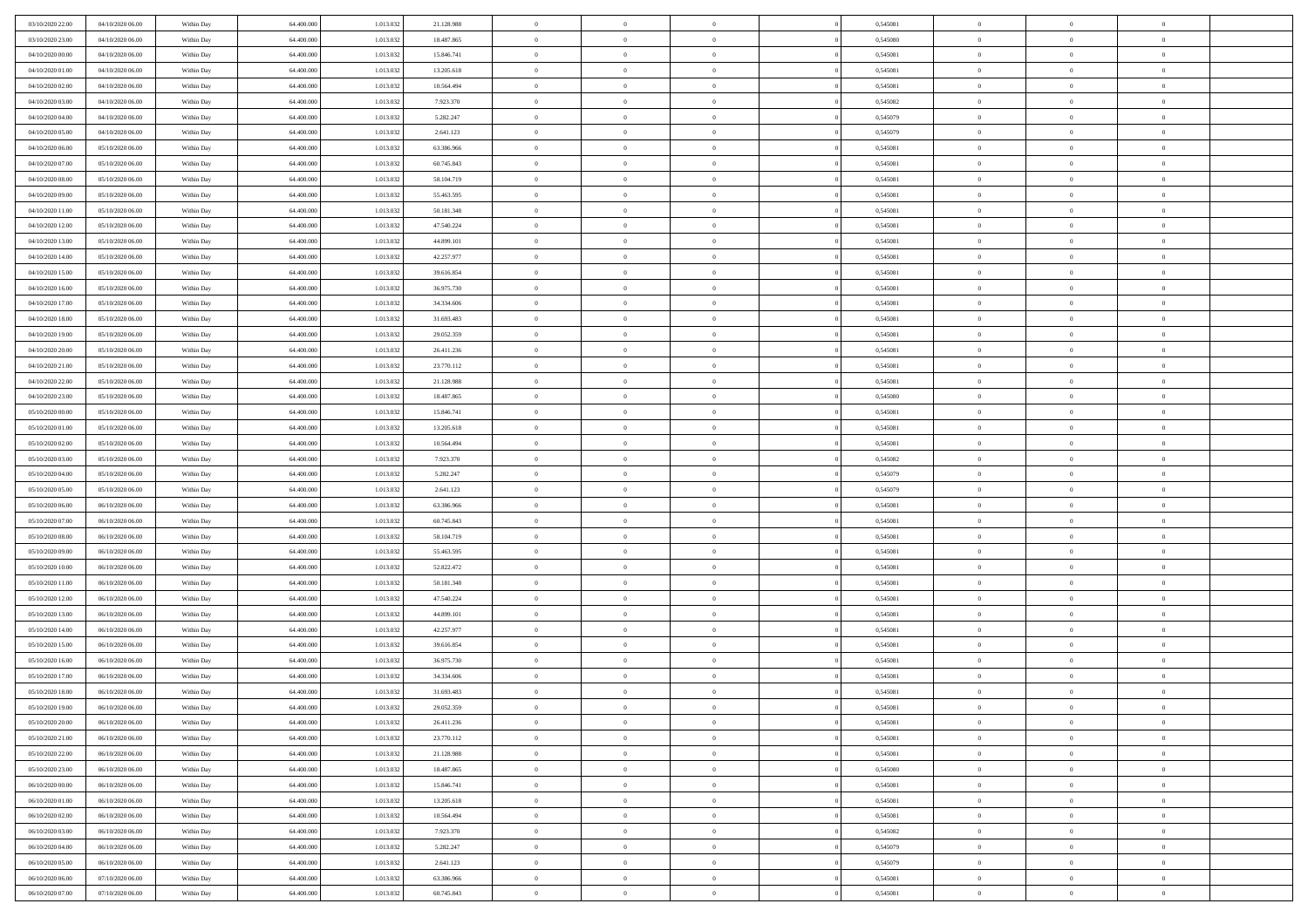| 03/10/2020 22.00                     | 04/10/2020 06.00                     | Within Day               | 64,400,000               | 1.013.032              | 21.128.988               | $\bf{0}$                | $\overline{0}$                   | $\Omega$                         | 0,545081             | $\bf{0}$                 | $\overline{0}$             | $\bf{0}$                  |  |
|--------------------------------------|--------------------------------------|--------------------------|--------------------------|------------------------|--------------------------|-------------------------|----------------------------------|----------------------------------|----------------------|--------------------------|----------------------------|---------------------------|--|
| 03/10/2020 23:00                     | 04/10/2020 06:00                     | Within Dav               | 64.400.000               | 1.013.032              | 18.487.865               | $\theta$                | $\overline{0}$                   | $\overline{0}$                   | 0,545080             | $\mathbf{0}$             | $\bf{0}$                   | $\overline{0}$            |  |
| 04/10/2020 00:00                     | 04/10/2020 06:00                     | Within Day               | 64.400.000               | 1.013.032              | 15.846.741               | $\theta$                | $\overline{0}$                   | $\overline{0}$                   | 0,545081             | $\,$ 0                   | $\overline{0}$             | $\,$ 0 $\,$               |  |
| 04/10/2020 01:00                     | 04/10/2020 06.00                     | Within Day               | 64,400,000               | 1.013.032              | 13.205.618               | $\mathbf{0}$            | $\overline{0}$                   | $\mathbf{0}$                     | 0.545081             | $\bf{0}$                 | $\mathbf{0}$               | $\theta$                  |  |
| 04/10/2020 02.00                     | 04/10/2020 06:00                     | Within Dav               | 64.400.000               | 1.013.032              | 10.564.494               | $\overline{0}$          | $\overline{0}$                   | $\overline{0}$                   | 0,545081             | $\mathbf{0}$             | $\bf{0}$                   | $\overline{0}$            |  |
| 04/10/2020 03:00                     | 04/10/2020 06:00                     | Within Day               | 64.400.000               | 1.013.032              | 7.923.370                | $\theta$                | $\overline{0}$                   | $\bf{0}$                         | 0,545082             | $\,$ 0                   | $\overline{0}$             | $\,$ 0 $\,$               |  |
| 04/10/2020 04:00                     | 04/10/2020 06.00                     | Within Day               | 64,400,000               | 1.013.032              | 5.282.247                | $\,$ 0 $\,$             | $\overline{0}$                   | $\Omega$                         | 0.545079             | $\bf{0}$                 | $\mathbf{0}$               | $\theta$                  |  |
| 04/10/2020 05:00                     | 04/10/2020 06:00                     | Within Dav               | 64.400.000               | 1.013.032              | 2.641.123                | $\overline{0}$          | $\overline{0}$                   | $\overline{0}$                   | 0,545079             | $\mathbf{0}$             | $\bf{0}$                   | $\overline{0}$            |  |
| 04/10/2020 06:00                     | 05/10/2020 06:00                     | Within Day               | 64.400.000               | 1.013.032              | 63.386.966               | $\theta$                | $\overline{0}$                   | $\overline{0}$                   | 0,545081             | $\,$ 0                   | $\overline{0}$             | $\,$ 0 $\,$               |  |
| 04/10/2020 07:00                     | 05/10/2020 06.00                     | Within Day               | 64,400,000               | 1.013.032              | 60.745.843               | $\mathbf{0}$            | $\overline{0}$                   | $\mathbf{0}$                     | 0.545081             | $\bf{0}$                 | $\mathbf{0}$               | $\theta$                  |  |
| 04/10/2020 08:00                     | 05/10/2020 06:00                     | Within Dav               | 64.400.000               | 1.013.032              | 58.104.719               | $\overline{0}$          | $\overline{0}$                   | $\overline{0}$                   | 0,545081             | $\mathbf{0}$             | $\bf{0}$                   | $\overline{0}$            |  |
| 04/10/2020 09:00                     | 05/10/2020 06:00                     | Within Day               | 64.400.000               | 1.013.032              | 55.463.595               | $\theta$                | $\overline{0}$                   | $\overline{0}$                   | 0,545081             | $\,$ 0                   | $\overline{0}$             | $\,$ 0 $\,$               |  |
| 04/10/2020 11:00                     | 05/10/2020 06.00                     | Within Day               | 64,400,000               | 1.013.032              | 50.181.348               | $\theta$                | $\overline{0}$                   | $\mathbf{0}$                     | 0.545081             | $\bf{0}$                 | $\mathbf{0}$               | $\theta$                  |  |
| 04/10/2020 12:00                     | 05/10/2020 06:00                     | Within Dav               | 64.400.000               | 1.013.032              | 47.540.224               | $\overline{0}$          | $\overline{0}$                   | $\overline{0}$                   | 0,545081             | $\mathbf{0}$             | $\bf{0}$                   | $\overline{0}$            |  |
| 04/10/2020 13:00                     | 05/10/2020 06:00                     | Within Day               | 64.400.000               | 1.013.032              | 44.899.101               | $\theta$                | $\overline{0}$                   | $\overline{0}$                   | 0,545081             | $\,$ 0                   | $\overline{0}$             | $\,$ 0 $\,$               |  |
| 04/10/2020 14:00                     | 05/10/2020 06:00                     | Within Day               | 64,400,000               | 1.013.032              | 42.257.977               | $\bf{0}$                | $\overline{0}$                   | $\mathbf{0}$                     | 0.545081             | $\bf{0}$                 | $\mathbf{0}$               | $\bf{0}$                  |  |
| 04/10/2020 15:00                     | 05/10/2020 06:00                     | Within Dav               | 64.400.000               | 1.013.032              | 39.616.854               | $\overline{0}$          | $\overline{0}$                   | $\overline{0}$                   | 0,545081             | $\mathbf{0}$             | $\bf{0}$                   | $\overline{0}$            |  |
| 04/10/2020 16:00                     | 05/10/2020 06:00                     | Within Day               | 64.400.000               | 1.013.032              | 36.975.730               | $\theta$                | $\overline{0}$                   | $\bf{0}$                         | 0,545081             | $\,$ 0                   | $\overline{0}$             | $\,$ 0 $\,$               |  |
| 04/10/2020 17:00                     | 05/10/2020 06.00                     | Within Day               | 64,400,000               | 1.013.032              | 34,334,606               | $\overline{0}$          | $\overline{0}$                   | $\mathbf{0}$                     | 0.545081             | $\bf{0}$                 | $\mathbf{0}$               | $\theta$                  |  |
| 04/10/2020 18:00                     | 05/10/2020 06:00                     | Within Dav               | 64.400.000               | 1.013.032              | 31.693.483               | $\overline{0}$          | $\overline{0}$                   | $\overline{0}$                   | 0,545081             | $\mathbf{0}$             | $\bf{0}$                   | $\overline{0}$            |  |
| 04/10/2020 19:00                     | 05/10/2020 06:00                     | Within Day               | 64.400.000               | 1.013.032              | 29.052.359               | $\theta$                | $\overline{0}$                   | $\bf{0}$                         | 0,545081             | $\,$ 0                   | $\overline{0}$             | $\,$ 0 $\,$               |  |
| 04/10/2020 20:00                     | 05/10/2020 06.00                     | Within Day               | 64,400,000               | 1.013.032              | 26.411.236               | $\overline{0}$          | $\overline{0}$                   | $\mathbf{0}$                     | 0.545081             | $\bf{0}$                 | $\mathbf{0}$               | $\theta$                  |  |
| 04/10/2020 21:00                     | 05/10/2020 06:00                     | Within Dav               | 64.400.000               | 1.013.032              | 23.770.112               | $\overline{0}$          | $\overline{0}$                   | $\overline{0}$                   | 0,545081             | $\mathbf{0}$             | $\bf{0}$                   | $\overline{0}$            |  |
| 04/10/2020 22.00                     | 05/10/2020 06:00                     | Within Day               | 64.400.000               | 1.013.032              | 21.128.988               | $\theta$                | $\overline{0}$                   | $\bf{0}$                         | 0,545081             | $\,$ 0                   | $\overline{0}$             | $\,$ 0 $\,$               |  |
| 04/10/2020 23.00                     | 05/10/2020 06:00                     | Within Day               | 64,400,000               | 1.013.032              | 18.487.865               | $\,$ 0 $\,$             | $\overline{0}$                   | $\mathbf{0}$                     | 0.545080             | $\bf{0}$                 | $\overline{0}$             | $\bf{0}$                  |  |
| 05/10/2020 00:00                     | 05/10/2020 06:00                     | Within Dav               | 64.400.000               | 1.013.032              | 15.846.741               | $\theta$                | $\overline{0}$                   | $\overline{0}$                   | 0,545081             | $\mathbf{0}$             | $\bf{0}$                   | $\overline{0}$            |  |
| 05/10/2020 01:00                     | 05/10/2020 06:00                     | Within Day               | 64.400.000               | 1.013.032              | 13.205.618               | $\theta$                | $\overline{0}$                   | $\overline{0}$                   | 0,545081             | $\,$ 0                   | $\overline{0}$             | $\,$ 0 $\,$               |  |
| 05/10/2020 02:00                     | 05/10/2020 06:00                     | Within Day               | 64,400,000               | 1.013.032              | 10.564.494               | $\overline{0}$          | $\overline{0}$                   | $\mathbf{0}$                     | 0.545081             | $\bf{0}$                 | $\mathbf{0}$               | $\theta$                  |  |
| 05/10/2020 03:00                     | 05/10/2020 06:00                     | Within Dav               | 64.400.000               | 1.013.032              | 7.923.370                | $\mathbf{0}$            | $\overline{0}$                   | $\overline{0}$                   | 0,545082             | $\mathbf{0}$             | $\bf{0}$                   | $\overline{0}$            |  |
| 05/10/2020 04:00                     | 05/10/2020 06:00                     | Within Day               | 64.400.000               | 1.013.032              | 5.282.247                | $\theta$                | $\overline{0}$                   | $\overline{0}$                   | 0,545079             | $\,$ 0                   | $\overline{0}$             | $\,$ 0 $\,$               |  |
| 05/10/2020 05:00                     | 05/10/2020 06.00                     | Within Day               | 64.400.000               | 1.013.032              | 2.641.123                | $\bf{0}$                | $\overline{0}$                   | $\overline{0}$                   | 0,545079             | $\bf{0}$                 | $\overline{0}$             | $\,0\,$                   |  |
| 05/10/2020 06:00                     | 06/10/2020 06:00                     | Within Dav               | 64.400.000               | 1.013.032              | 63.386.966               | $\overline{0}$          | $\overline{0}$                   | $\overline{0}$                   | 0,545081             | $\mathbf{0}$             | $\bf{0}$                   | $\overline{0}$            |  |
| 05/10/2020 07:00                     | 06/10/2020 06:00                     | Within Day               | 64.400.000               | 1.013.032              | 60.745.843               | $\theta$                | $\overline{0}$                   | $\overline{0}$                   | 0,545081             | $\,$ 0                   | $\overline{0}$             | $\,$ 0 $\,$               |  |
| 05/10/2020 08:00                     | 06/10/2020 06:00                     | Within Day               | 64.400.000               | 1.013.032              | 58.104.719               | $\,$ 0 $\,$             | $\overline{0}$                   | $\overline{0}$                   | 0,545081             | $\bf{0}$                 | $\overline{0}$             | $\,0\,$                   |  |
| 05/10/2020 09:00                     | 06/10/2020 06:00                     | Within Dav               | 64.400.000               | 1.013.032              | 55.463.595               | $\theta$                | $\overline{0}$                   | $\overline{0}$                   | 0,545081             | $\mathbf{0}$             | $\bf{0}$                   | $\overline{0}$            |  |
| 05/10/2020 10:00                     | 06/10/2020 06:00                     | Within Day               | 64.400.000               | 1.013.032              | 52.822.472               | $\theta$                | $\overline{0}$                   | $\bf{0}$                         | 0,545081             | $\,$ 0                   | $\overline{0}$             | $\,$ 0 $\,$               |  |
| 05/10/2020 11:00                     | 06/10/2020 06:00                     | Within Day               | 64.400.000               | 1.013.032              | 50.181.348               | $\bf{0}$                | $\overline{0}$                   | $\overline{0}$                   | 0,545081             | $\bf{0}$                 | $\overline{0}$             | $\,0\,$                   |  |
| 05/10/2020 12:00                     | 06/10/2020 06:00                     | Within Dav               | 64.400.000               | 1.013.032              | 47.540.224               | $\overline{0}$          | $\overline{0}$                   | $\overline{0}$                   | 0,545081             | $\mathbf{0}$             | $\bf{0}$                   | $\overline{0}$            |  |
| 05/10/2020 13:00                     | 06/10/2020 06:00                     | Within Day               | 64.400.000               | 1.013.032              | 44.899.101               | $\theta$                | $\overline{0}$                   | $\bf{0}$                         | 0,545081             | $\,$ 0                   | $\overline{0}$             | $\,$ 0 $\,$               |  |
| 05/10/2020 14:00<br>05/10/2020 15:00 | 06/10/2020 06:00<br>06/10/2020 06:00 | Within Day<br>Within Day | 64.400.000<br>64.400.000 | 1.013.032<br>1.013.032 | 42.257.977<br>39.616.854 | $\,$ 0 $\,$<br>$\theta$ | $\overline{0}$<br>$\overline{0}$ | $\overline{0}$<br>$\overline{0}$ | 0,545081<br>0,545081 | $\bf{0}$<br>$\mathbf{0}$ | $\overline{0}$<br>$\bf{0}$ | $\,0\,$<br>$\overline{0}$ |  |
| 05/10/2020 16:00                     | 06/10/2020 06:00                     | Within Day               | 64.400.000               | 1.013.032              | 36.975.730               | $\theta$                | $\overline{0}$                   | $\overline{0}$                   | 0,545081             | $\,$ 0                   | $\overline{0}$             | $\,$ 0 $\,$               |  |
| 05/10/2020 17:00                     | 06/10/2020 06:00                     | Within Day               | 64.400.000               | 1.013.032              | 34.334.606               | $\,$ 0 $\,$             | $\overline{0}$                   | $\overline{0}$                   | 0,545081             | $\bf{0}$                 | $\overline{0}$             | $\,0\,$                   |  |
| 05/10/2020 18:00                     | 06/10/2020 06:00                     | Within Dav               | 64.400.000               | 1.013.032              | 31.693.483               | $\theta$                | $\overline{0}$                   | $\overline{0}$                   | 0,545081             | $\mathbf{0}$             | $\bf{0}$                   | $\overline{0}$            |  |
| 05/10/2020 19:00                     | 06/10/2020 06:00                     | Within Day               | 64.400.000               | 1.013.032              | 29.052.359               | $\overline{0}$          | $\overline{0}$                   | $\overline{0}$                   | 0,545081             | $\overline{0}$           | $\overline{0}$             | $\theta$                  |  |
| 05/10/2020 20:00                     | 06/10/2020 06:00                     | Within Day               | 64.400.000               | 1.013.032              | 26.411.236               | $\bf{0}$                | $\overline{0}$                   | $\overline{0}$                   | 0,545081             | $\bf{0}$                 | $\overline{0}$             | $\bf{0}$                  |  |
| 05/10/2020 21:00                     | 06/10/2020 06:00                     | Within Day               | 64.400.000               | 1.013.032              | 23.770.112               | $\overline{0}$          | $\overline{0}$                   | $\overline{0}$                   | 0,545081             | $\overline{0}$           | $\bf{0}$                   | $\overline{0}$            |  |
| 05/10/2020 22.00                     | 06/10/2020 06:00                     | Within Day               | 64.400.000               | 1.013.032              | 21.128.988               | $\,$ 0 $\,$             | $\overline{0}$                   | $\overline{0}$                   | 0,545081             | $\,$ 0 $\,$              | $\,$ 0 $\,$                | $\,$ 0 $\,$               |  |
| 05/10/2020 23:00                     | 06/10/2020 06:00                     | Within Day               | 64.400.000               | 1.013.032              | 18.487.865               | $\bf{0}$                | $\overline{0}$                   | $\overline{0}$                   | 0,545080             | $\mathbf{0}$             | $\overline{0}$             | $\bf{0}$                  |  |
| 06/10/2020 00:00                     | 06/10/2020 06:00                     | Within Day               | 64.400.000               | 1.013.032              | 15.846.741               | $\mathbf{0}$            | $\overline{0}$                   | $\overline{0}$                   | 0,545081             | $\,$ 0 $\,$              | $\bf{0}$                   | $\overline{0}$            |  |
| 06/10/2020 01:00                     | 06/10/2020 06:00                     | Within Day               | 64.400.000               | 1.013.032              | 13.205.618               | $\,$ 0                  | $\overline{0}$                   | $\overline{0}$                   | 0,545081             | $\,$ 0 $\,$              | $\overline{0}$             | $\,$ 0 $\,$               |  |
| 06/10/2020 02:00                     | 06/10/2020 06:00                     | Within Day               | 64.400.000               | 1.013.032              | 10.564.494               | $\bf{0}$                | $\overline{0}$                   | $\overline{0}$                   | 0,545081             | $\overline{0}$           | $\overline{0}$             | $\overline{0}$            |  |
| 06/10/2020 03:00                     | 06/10/2020 06:00                     | Within Day               | 64.400.000               | 1.013.032              | 7.923.370                | $\mathbf{0}$            | $\overline{0}$                   | $\overline{0}$                   | 0,545082             | $\,$ 0 $\,$              | $\bf{0}$                   | $\overline{0}$            |  |
| 06/10/2020 04:00                     | 06/10/2020 06:00                     | Within Day               | 64.400.000               | 1.013.032              | 5.282.247                | $\,$ 0 $\,$             | $\overline{0}$                   | $\overline{0}$                   | 0,545079             | $\,$ 0 $\,$              | $\,$ 0 $\,$                | $\,$ 0 $\,$               |  |
| 06/10/2020 05:00                     | 06/10/2020 06:00                     | Within Day               | 64.400.000               | 1.013.032              | 2.641.123                | $\bf{0}$                | $\overline{0}$                   | $\overline{0}$                   | 0,545079             | $\mathbf{0}$             | $\overline{0}$             | $\bf{0}$                  |  |
| 06/10/2020 06:00                     | 07/10/2020 06:00                     | Within Day               | 64.400.000               | 1.013.032              | 63.386.966               | $\,$ 0 $\,$             | $\overline{0}$                   | $\overline{0}$                   | 0,545081             | $\mathbf{0}$             | $\bf{0}$                   | $\overline{0}$            |  |
| 06/10/2020 07:00                     | 07/10/2020 06:00                     | Within Day               | 64.400.000               | 1.013.032              | 60.745.843               | $\,$ 0 $\,$             | $\overline{0}$                   | $\overline{0}$                   | 0,545081             | $\,$ 0 $\,$              | $\overline{0}$             | $\,$ 0 $\,$               |  |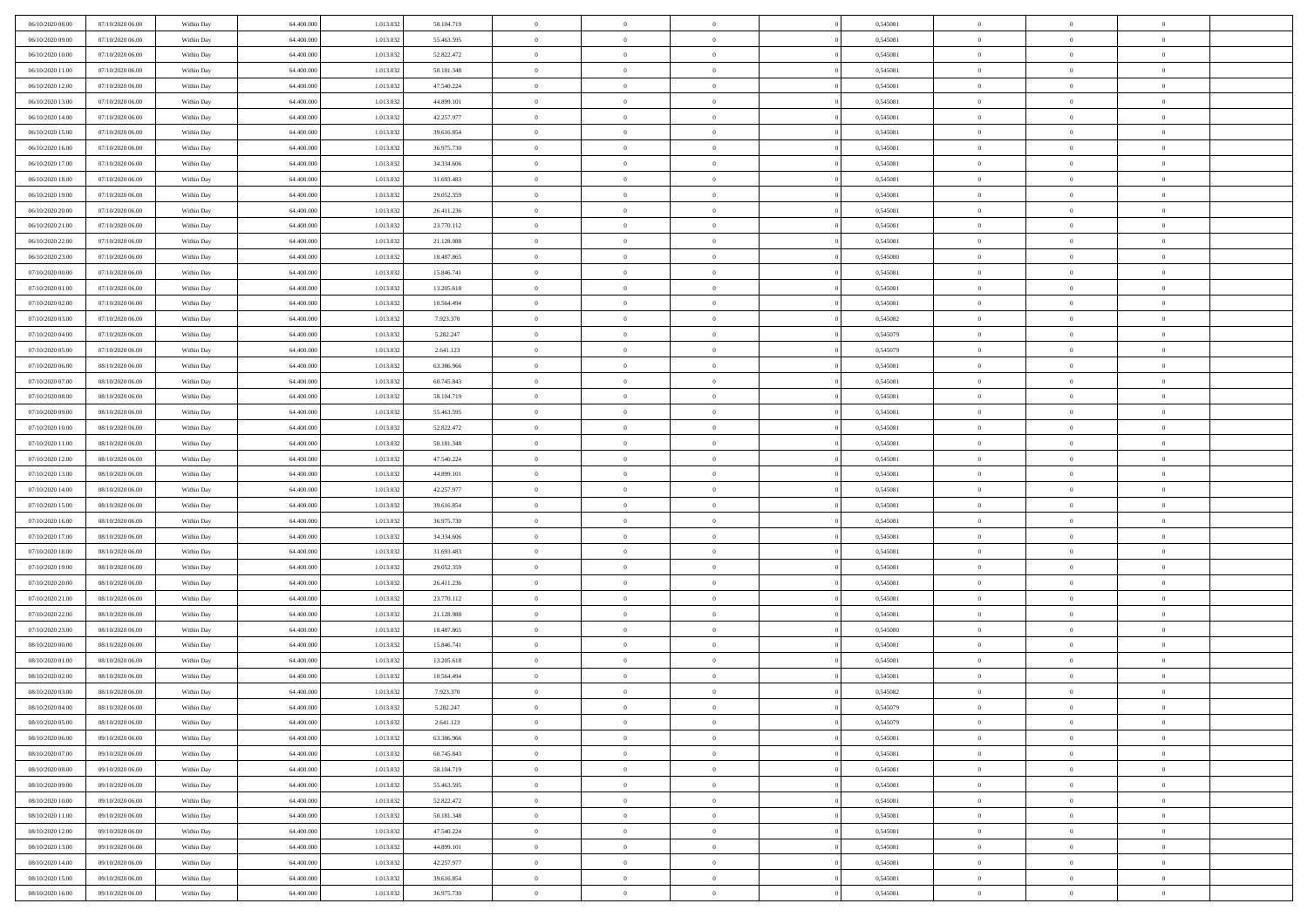| 06/10/2020 08:00                     | 07/10/2020 06.00                     | Within Day               | 64,400,000               | 1.013.032              | 58.104.719               | $\bf{0}$                   | $\overline{0}$                   | $\Omega$                         | 0,545081             | $\bf{0}$                 | $\overline{0}$             | $\bf{0}$                  |  |
|--------------------------------------|--------------------------------------|--------------------------|--------------------------|------------------------|--------------------------|----------------------------|----------------------------------|----------------------------------|----------------------|--------------------------|----------------------------|---------------------------|--|
| 06/10/2020 09:00                     | 07/10/2020 06:00                     | Within Day               | 64.400.000               | 1.013.032              | 55.463.595               | $\theta$                   | $\overline{0}$                   | $\overline{0}$                   | 0,545081             | $\mathbf{0}$             | $\bf{0}$                   | $\overline{0}$            |  |
| 06/10/2020 10:00                     | 07/10/2020 06:00                     | Within Day               | 64.400.000               | 1.013.032              | 52.822.472               | $\theta$                   | $\overline{0}$                   | $\overline{0}$                   | 0,545081             | $\,$ 0                   | $\overline{0}$             | $\,$ 0 $\,$               |  |
| 06/10/2020 11:00                     | 07/10/2020 06.00                     | Within Day               | 64,400,000               | 1.013.032              | 50.181.348               | $\mathbf{0}$               | $\overline{0}$                   | $\mathbf{0}$                     | 0.545081             | $\bf{0}$                 | $\mathbf{0}$               | $\theta$                  |  |
| 06/10/2020 12:00                     | 07/10/2020 06:00                     | Within Day               | 64.400.000               | 1.013.032              | 47.540.224               | $\mathbf{0}$               | $\overline{0}$                   | $\overline{0}$                   | 0,545081             | $\mathbf{0}$             | $\bf{0}$                   | $\overline{0}$            |  |
| 06/10/2020 13:00                     | 07/10/2020 06:00                     | Within Day               | 64.400.000               | 1.013.032              | 44.899.101               | $\theta$                   | $\overline{0}$                   | $\bf{0}$                         | 0,545081             | $\,$ 0                   | $\overline{0}$             | $\,$ 0 $\,$               |  |
| 06/10/2020 14:00                     | 07/10/2020 06.00                     | Within Day               | 64,400,000               | 1.013.032              | 42.257.977               | $\,$ 0 $\,$                | $\overline{0}$                   | $\Omega$                         | 0.545081             | $\bf{0}$                 | $\mathbf{0}$               | $\theta$                  |  |
| 06/10/2020 15:00                     | 07/10/2020 06:00                     | Within Day               | 64.400.000               | 1.013.032              | 39.616.854               | $\overline{0}$             | $\overline{0}$                   | $\overline{0}$                   | 0,545081             | $\mathbf{0}$             | $\bf{0}$                   | $\overline{0}$            |  |
| 06/10/2020 16:00                     | 07/10/2020 06:00                     | Within Day               | 64.400.000               | 1.013.032              | 36.975.730               | $\theta$                   | $\overline{0}$                   | $\overline{0}$                   | 0,545081             | $\,$ 0                   | $\overline{0}$             | $\,$ 0 $\,$               |  |
| 06/10/2020 17:00                     | 07/10/2020 06.00                     | Within Day               | 64,400,000               | 1.013.032              | 34,334,606               | $\mathbf{0}$               | $\overline{0}$                   | $\mathbf{0}$                     | 0.545081             | $\bf{0}$                 | $\mathbf{0}$               | $\theta$                  |  |
| 06/10/2020 18:00                     | 07/10/2020 06:00                     | Within Day               | 64.400.000               | 1.013.032              | 31.693.483               | $\overline{0}$             | $\overline{0}$                   | $\overline{0}$                   | 0,545081             | $\mathbf{0}$             | $\bf{0}$                   | $\overline{0}$            |  |
| 06/10/2020 19:00                     | 07/10/2020 06:00                     | Within Day               | 64.400.000               | 1.013.032              | 29.052.359               | $\theta$                   | $\overline{0}$                   | $\overline{0}$                   | 0,545081             | $\,$ 0                   | $\overline{0}$             | $\,$ 0 $\,$               |  |
| 06/10/2020 20:00                     | 07/10/2020 06.00                     | Within Day               | 64,400,000               | 1.013.032              | 26.411.236               | $\theta$                   | $\overline{0}$                   | $\mathbf{0}$                     | 0.545081             | $\bf{0}$                 | $\mathbf{0}$               | $\theta$                  |  |
| 06/10/2020 21:00                     | 07/10/2020 06:00                     | Within Day               | 64.400.000               | 1.013.032              | 23.770.112               | $\overline{0}$             | $\overline{0}$                   | $\overline{0}$                   | 0,545081             | $\mathbf{0}$             | $\bf{0}$                   | $\overline{0}$            |  |
| 06/10/2020 22.00                     | 07/10/2020 06:00                     | Within Day               | 64.400.000               | 1.013.032              | 21.128.988               | $\theta$                   | $\overline{0}$                   | $\overline{0}$                   | 0,545081             | $\,$ 0                   | $\overline{0}$             | $\,$ 0 $\,$               |  |
| 06/10/2020 23.00                     | 07/10/2020 06.00                     | Within Day               | 64,400,000               | 1.013.032              | 18,487,865               | $\bf{0}$                   | $\overline{0}$                   | $\mathbf{0}$                     | 0.545080             | $\bf{0}$                 | $\mathbf{0}$               | $\bf{0}$                  |  |
| 07/10/2020 00:00                     | 07/10/2020 06:00                     | Within Dav               | 64.400.000               | 1.013.032              | 15.846.741               | $\overline{0}$             | $\overline{0}$                   | $\overline{0}$                   | 0,545081             | $\mathbf{0}$             | $\bf{0}$                   | $\overline{0}$            |  |
| 07/10/2020 01:00                     | 07/10/2020 06:00                     | Within Day               | 64.400.000               | 1.013.032              | 13.205.618               | $\theta$                   | $\overline{0}$                   | $\bf{0}$                         | 0,545081             | $\,$ 0                   | $\overline{0}$             | $\,$ 0 $\,$               |  |
| 07/10/2020 02:00                     | 07/10/2020 06.00                     | Within Day               | 64,400,000               | 1.013.032              | 10.564.494               | $\overline{0}$             | $\overline{0}$                   | $\mathbf{0}$                     | 0.545081             | $\bf{0}$                 | $\mathbf{0}$               | $\theta$                  |  |
| 07/10/2020 03:00                     | 07/10/2020 06:00                     | Within Dav               | 64.400.000               | 1.013.032              | 7.923.370                | $\overline{0}$             | $\overline{0}$                   | $\overline{0}$                   | 0,545082             | $\mathbf{0}$             | $\bf{0}$                   | $\overline{0}$            |  |
| 07/10/2020 04:00                     | 07/10/2020 06:00                     | Within Day               | 64.400.000               | 1.013.032              | 5.282.247                | $\theta$                   | $\overline{0}$                   | $\bf{0}$                         | 0,545079             | $\,$ 0                   | $\overline{0}$             | $\,$ 0 $\,$               |  |
| 07/10/2020 05:00                     | 07/10/2020 06.00                     | Within Day               | 64,400,000               | 1.013.032              | 2.641.123                | $\overline{0}$             | $\overline{0}$                   | $\mathbf{0}$                     | 0.545079             | $\bf{0}$                 | $\mathbf{0}$               | $\theta$                  |  |
| 07/10/2020 06:00                     | 08/10/2020 06:00                     | Within Dav               | 64.400.000               | 1.013.032              | 63.386.966               | $\overline{0}$             | $\overline{0}$                   | $\overline{0}$                   | 0,545081             | $\mathbf{0}$             | $\bf{0}$                   | $\overline{0}$            |  |
| 07/10/2020 07:00                     | 08/10/2020 06:00                     | Within Day               | 64.400.000               | 1.013.032              | 60.745.843               | $\theta$                   | $\overline{0}$                   | $\bf{0}$                         | 0,545081             | $\,$ 0                   | $\overline{0}$             | $\,$ 0 $\,$               |  |
| 07/10/2020 08:00                     | 08/10/2020 06:00                     | Within Day               | 64,400,000               | 1.013.032              | 58.104.719               | $\bf{0}$                   | $\overline{0}$                   | $\mathbf{0}$                     | 0.545081             | $\bf{0}$                 | $\overline{0}$             | $\bf{0}$                  |  |
| 07/10/2020 09:00                     | 08/10/2020 06:00                     | Within Dav               | 64.400.000               | 1.013.032              | 55.463.595               | $\overline{0}$             | $\overline{0}$                   | $\overline{0}$                   | 0,545081             | $\mathbf{0}$             | $\bf{0}$                   | $\overline{0}$            |  |
| 07/10/2020 10:00                     | 08/10/2020 06:00                     | Within Day               | 64.400.000               | 1.013.032              | 52.822.472               | $\theta$                   | $\overline{0}$                   | $\overline{0}$                   | 0,545081             | $\,$ 0                   | $\overline{0}$             | $\,$ 0 $\,$               |  |
| 07/10/2020 11:00                     | 08/10/2020 06:00                     | Within Day               | 64,400,000               | 1.013.032              | 50.181.348               | $\overline{0}$             | $\overline{0}$                   | $\mathbf{0}$                     | 0.545081             | $\bf{0}$                 | $\mathbf{0}$               | $\theta$                  |  |
| 07/10/2020 12:00                     | 08/10/2020 06:00                     | Within Dav               | 64.400.000               | 1.013.032              | 47.540.224               | $\overline{0}$             | $\overline{0}$                   | $\overline{0}$                   | 0,545081             | $\mathbf{0}$             | $\bf{0}$                   | $\overline{0}$            |  |
| 07/10/2020 13:00                     | 08/10/2020 06:00                     | Within Day               | 64.400.000               | 1.013.032              | 44.899.101               | $\theta$                   | $\overline{0}$                   | $\overline{0}$                   | 0,545081             | $\,$ 0                   | $\overline{0}$             | $\,$ 0 $\,$               |  |
| 07/10/2020 14:00                     | 08/10/2020 06:00                     | Within Day               | 64.400.000               | 1.013.032              | 42.257.977               | $\bf{0}$                   | $\overline{0}$                   | $\overline{0}$                   | 0,545081             | $\bf{0}$                 | $\overline{0}$             | $\,0\,$                   |  |
| 07/10/2020 15:00                     | 08/10/2020 06:00                     | Within Dav               | 64.400.000               | 1.013.032              | 39.616.854               | $\overline{0}$             | $\overline{0}$                   | $\overline{0}$                   | 0,545081             | $\mathbf{0}$             | $\bf{0}$                   | $\overline{0}$            |  |
| 07/10/2020 16:00                     | 08/10/2020 06:00                     | Within Day               | 64.400.000               | 1.013.032              | 36.975.730               | $\theta$                   | $\overline{0}$                   | $\overline{0}$                   | 0,545081             | $\,$ 0                   | $\overline{0}$             | $\,$ 0 $\,$               |  |
| 07/10/2020 17.00                     | 08/10/2020 06:00                     | Within Day               | 64.400.000               | 1.013.032              | 34.334.606               | $\,$ 0 $\,$                | $\overline{0}$                   | $\overline{0}$                   | 0,545081             | $\bf{0}$                 | $\overline{0}$             | $\,0\,$                   |  |
| 07/10/2020 18:00                     | 08/10/2020 06:00                     | Within Dav               | 64.400.000               | 1.013.032              | 31.693.483               | $\theta$                   | $\overline{0}$                   | $\overline{0}$                   | 0,545081             | $\mathbf{0}$             | $\bf{0}$                   | $\overline{0}$            |  |
| 07/10/2020 19:00                     | 08/10/2020 06:00                     | Within Day               | 64.400.000               | 1.013.032              | 29.052.359               | $\theta$                   | $\overline{0}$                   | $\bf{0}$                         | 0,545081             | $\,$ 0                   | $\overline{0}$             | $\,$ 0 $\,$               |  |
| 07/10/2020 20:00<br>07/10/2020 21:00 | 08/10/2020 06:00<br>08/10/2020 06:00 | Within Day<br>Within Dav | 64.400.000<br>64.400.000 | 1.013.032<br>1.013.032 | 26.411.236<br>23.770.112 | $\bf{0}$<br>$\overline{0}$ | $\overline{0}$<br>$\overline{0}$ | $\overline{0}$<br>$\overline{0}$ | 0,545081<br>0,545081 | $\bf{0}$<br>$\mathbf{0}$ | $\overline{0}$<br>$\bf{0}$ | $\,0\,$<br>$\overline{0}$ |  |
| 07/10/2020 22.00                     | 08/10/2020 06:00                     | Within Day               | 64.400.000               | 1.013.032              | 21.128.988               | $\theta$                   | $\overline{0}$                   | $\bf{0}$                         | 0,545081             | $\,$ 0                   | $\overline{0}$             | $\,$ 0 $\,$               |  |
|                                      |                                      |                          |                          |                        |                          | $\,$ 0 $\,$                |                                  | $\overline{0}$                   |                      | $\bf{0}$                 | $\overline{0}$             | $\,0\,$                   |  |
| 07/10/2020 23.00<br>08/10/2020 00:00 | 08/10/2020 06:00<br>08/10/2020 06:00 | Within Day<br>Within Dav | 64.400.000<br>64.400.000 | 1.013.032<br>1.013.032 | 18.487.865<br>15.846.741 | $\theta$                   | $\overline{0}$<br>$\overline{0}$ | $\overline{0}$                   | 0,545080<br>0,545081 | $\mathbf{0}$             | $\bf{0}$                   | $\overline{0}$            |  |
| 08/10/2020 01:00                     | 08/10/2020 06:00                     | Within Day               | 64.400.000               | 1.013.032              | 13.205.618               | $\theta$                   | $\overline{0}$                   | $\overline{0}$                   | 0,545081             | $\,$ 0                   | $\overline{0}$             | $\,$ 0 $\,$               |  |
| 08/10/2020 02:00                     | 08/10/2020 06:00                     | Within Day               | 64.400.000               | 1.013.032              | 10.564.494               | $\,$ 0 $\,$                | $\overline{0}$                   | $\overline{0}$                   | 0,545081             | $\bf{0}$                 | $\overline{0}$             | $\,0\,$                   |  |
| 08/10/2020 03:00                     | 08/10/2020 06:00                     | Within Dav               | 64.400.000               | 1.013.032              | 7.923.370                | $\theta$                   | $\overline{0}$                   | $\overline{0}$                   | 0,545082             | $\mathbf{0}$             | $\bf{0}$                   | $\overline{0}$            |  |
| 08/10/2020 04:00                     | 08/10/2020 06:00                     | Within Day               | 64.400.000               | 1.013.032              | 5.282.247                | $\overline{0}$             | $\overline{0}$                   | $\overline{0}$                   | 0,545079             | $\overline{0}$           | $\overline{0}$             | $\theta$                  |  |
| 08/10/2020 05:00                     | 08/10/2020 06:00                     | Within Day               | 64.400.000               | 1.013.032              | 2.641.123                | $\bf{0}$                   | $\overline{0}$                   | $\overline{0}$                   | 0,545079             | $\bf{0}$                 | $\overline{0}$             | $\bf{0}$                  |  |
| 08/10/2020 06:00                     | 09/10/2020 06:00                     | Within Day               | 64.400.000               | 1.013.032              | 63.386.966               | $\overline{0}$             | $\overline{0}$                   | $\overline{0}$                   | 0,545081             | $\overline{0}$           | $\bf{0}$                   | $\overline{0}$            |  |
| 08/10/2020 07:00                     | 09/10/2020 06:00                     | Within Day               | 64.400.000               | 1.013.032              | 60.745.843               | $\,$ 0 $\,$                | $\overline{0}$                   | $\overline{0}$                   | 0,545081             | $\,$ 0 $\,$              | $\,$ 0 $\,$                | $\,$ 0 $\,$               |  |
| 08/10/2020 08:00                     | 09/10/2020 06:00                     | Within Day               | 64.400.000               | 1.013.032              | 58.104.719               | $\bf{0}$                   | $\overline{0}$                   | $\overline{0}$                   | 0,545081             | $\mathbf{0}$             | $\overline{0}$             | $\bf{0}$                  |  |
| 08/10/2020 09:00                     | 09/10/2020 06:00                     | Within Day               | 64.400.000               | 1.013.032              | 55.463.595               | $\mathbf{0}$               | $\overline{0}$                   | $\overline{0}$                   | 0,545081             | $\,$ 0 $\,$              | $\bf{0}$                   | $\overline{0}$            |  |
| 08/10/2020 10:00                     | 09/10/2020 06:00                     | Within Day               | 64.400.000               | 1.013.032              | 52.822.472               | $\,$ 0                     | $\overline{0}$                   | $\overline{0}$                   | 0,545081             | $\,$ 0 $\,$              | $\overline{0}$             | $\,$ 0 $\,$               |  |
| 08/10/2020 11:00                     | 09/10/2020 06:00                     | Within Day               | 64.400.000               | 1.013.032              | 50.181.348               | $\bf{0}$                   | $\overline{0}$                   | $\overline{0}$                   | 0,545081             | $\overline{0}$           | $\overline{0}$             | $\overline{0}$            |  |
| 08/10/2020 12:00                     | 09/10/2020 06:00                     | Within Day               | 64.400.000               | 1.013.032              | 47.540.224               | $\mathbf{0}$               | $\overline{0}$                   | $\overline{0}$                   | 0,545081             | $\,$ 0 $\,$              | $\bf{0}$                   | $\overline{0}$            |  |
| 08/10/2020 13:00                     | 09/10/2020 06:00                     | Within Day               | 64.400.000               | 1.013.032              | 44.899.101               | $\,$ 0                     | $\overline{0}$                   | $\overline{0}$                   | 0,545081             | $\,$ 0 $\,$              | $\,$ 0 $\,$                | $\,$ 0 $\,$               |  |
| 08/10/2020 14:00                     | 09/10/2020 06.00                     | Within Day               | 64.400.000               | 1.013.032              | 42.257.977               | $\bf{0}$                   | $\overline{0}$                   | $\overline{0}$                   | 0,545081             | $\mathbf{0}$             | $\overline{0}$             | $\bf{0}$                  |  |
| 08/10/2020 15:00                     | 09/10/2020 06:00                     | Within Day               | 64.400.000               | 1.013.032              | 39.616.854               | $\,$ 0 $\,$                | $\overline{0}$                   | $\overline{0}$                   | 0,545081             | $\mathbf{0}$             | $\bf{0}$                   | $\overline{0}$            |  |
| 08/10/2020 16:00                     | 09/10/2020 06:00                     | Within Day               | 64.400.000               | 1.013.032              | 36.975.730               | $\,$ 0 $\,$                | $\overline{0}$                   | $\overline{0}$                   | 0,545081             | $\,$ 0 $\,$              | $\overline{0}$             | $\,$ 0 $\,$               |  |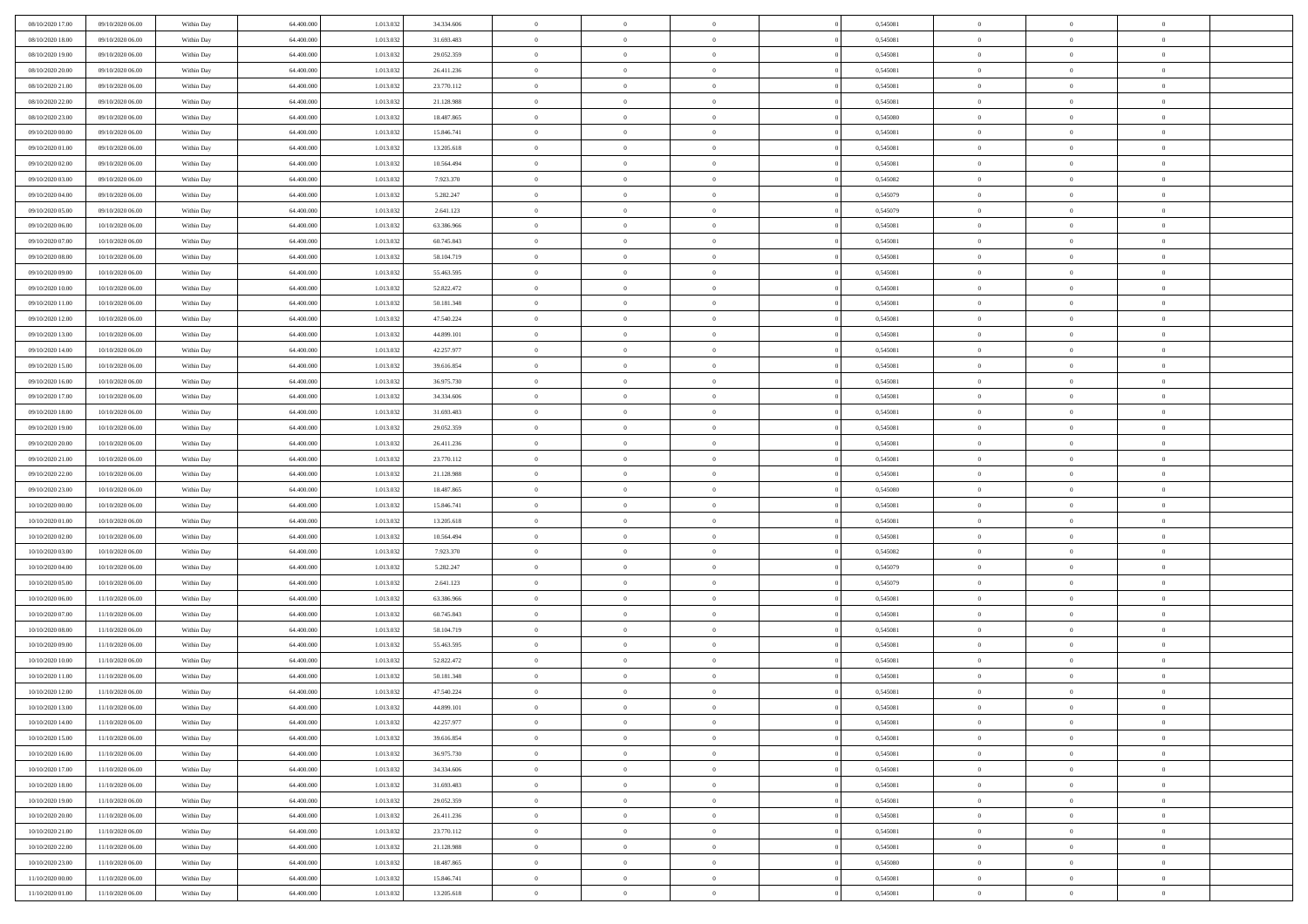| 08/10/2020 17:00                     | 09/10/2020 06.00                     | Within Day               | 64,400,000               | 1.013.032              | 34.334.606              | $\bf{0}$                   | $\overline{0}$                   | $\Omega$                   | 0,545081             | $\bf{0}$                 | $\overline{0}$                   | $\bf{0}$                  |  |
|--------------------------------------|--------------------------------------|--------------------------|--------------------------|------------------------|-------------------------|----------------------------|----------------------------------|----------------------------|----------------------|--------------------------|----------------------------------|---------------------------|--|
| 08/10/2020 18:00                     | 09/10/2020 06:00                     | Within Dav               | 64.400.000               | 1.013.032              | 31.693.483              | $\theta$                   | $\overline{0}$                   | $\overline{0}$             | 0,545081             | $\mathbf{0}$             | $\bf{0}$                         | $\overline{0}$            |  |
| 08/10/2020 19:00                     | 09/10/2020 06:00                     | Within Day               | 64.400.000               | 1.013.032              | 29.052.359              | $\theta$                   | $\overline{0}$                   | $\overline{0}$             | 0,545081             | $\,$ 0                   | $\overline{0}$                   | $\,$ 0 $\,$               |  |
| 08/10/2020 20:00                     | 09/10/2020 06:00                     | Within Day               | 64,400,000               | 1.013.032              | 26.411.236              | $\mathbf{0}$               | $\overline{0}$                   | $\mathbf{0}$               | 0.545081             | $\bf{0}$                 | $\mathbf{0}$                     | $\theta$                  |  |
| 08/10/2020 21:00                     | 09/10/2020 06:00                     | Within Dav               | 64.400.000               | 1.013.032              | 23.770.112              | $\mathbf{0}$               | $\overline{0}$                   | $\overline{0}$             | 0,545081             | $\mathbf{0}$             | $\bf{0}$                         | $\overline{0}$            |  |
| 08/10/2020 22:00                     | 09/10/2020 06:00                     | Within Day               | 64.400.000               | 1.013.032              | 21.128.988              | $\theta$                   | $\overline{0}$                   | $\bf{0}$                   | 0,545081             | $\,$ 0                   | $\overline{0}$                   | $\,$ 0 $\,$               |  |
| 08/10/2020 23:00                     | 09/10/2020 06:00                     | Within Day               | 64,400,000               | 1.013.032              | 18.487.865              | $\,$ 0 $\,$                | $\overline{0}$                   | $\Omega$                   | 0.545080             | $\bf{0}$                 | $\mathbf{0}$                     | $\theta$                  |  |
| 09/10/2020 00:00                     | 09/10/2020 06:00                     | Within Dav               | 64.400.000               | 1.013.032              | 15.846.741              | $\overline{0}$             | $\overline{0}$                   | $\overline{0}$             | 0,545081             | $\mathbf{0}$             | $\bf{0}$                         | $\overline{0}$            |  |
| 09/10/2020 01:00                     | 09/10/2020 06:00                     | Within Day               | 64.400.000               | 1.013.032              | 13.205.618              | $\theta$                   | $\overline{0}$                   | $\overline{0}$             | 0,545081             | $\,$ 0                   | $\overline{0}$                   | $\,$ 0 $\,$               |  |
| 09/10/2020 02:00                     | 09/10/2020 06.00                     | Within Day               | 64,400,000               | 1.013.032              | 10.564.494              | $\mathbf{0}$               | $\overline{0}$                   | $\mathbf{0}$               | 0.545081             | $\bf{0}$                 | $\mathbf{0}$                     | $\theta$                  |  |
| 09/10/2020 03:00                     | 09/10/2020 06:00                     | Within Dav               | 64.400.000               | 1.013.032              | 7.923.370               | $\mathbf{0}$               | $\overline{0}$                   | $\overline{0}$             | 0,545082             | $\mathbf{0}$             | $\bf{0}$                         | $\overline{0}$            |  |
| 09/10/2020 04:00                     | 09/10/2020 06:00                     | Within Day               | 64.400.000               | 1.013.032              | 5.282.247               | $\theta$                   | $\overline{0}$                   | $\overline{0}$             | 0,545079             | $\,$ 0                   | $\overline{0}$                   | $\,$ 0 $\,$               |  |
| 09/10/2020 05:00                     | 09/10/2020 06.00                     | Within Day               | 64,400,000               | 1.013.032              | 2.641.123               | $\theta$                   | $\overline{0}$                   | $\mathbf{0}$               | 0.545079             | $\bf{0}$                 | $\mathbf{0}$                     | $\theta$                  |  |
| 09/10/2020 06:00                     | 10/10/2020 06:00                     | Within Dav               | 64.400.000               | 1.013.032              | 63.386.966              | $\overline{0}$             | $\overline{0}$                   | $\overline{0}$             | 0,545081             | $\mathbf{0}$             | $\bf{0}$                         | $\overline{0}$            |  |
| 09/10/2020 07:00                     | 10/10/2020 06:00                     | Within Day               | 64.400.000               | 1.013.032              | 60.745.843              | $\theta$                   | $\overline{0}$                   | $\overline{0}$             | 0,545081             | $\,$ 0                   | $\overline{0}$                   | $\,$ 0 $\,$               |  |
| 09/10/2020 08:00                     | 10/10/2020 06:00                     | Within Day               | 64,400,000               | 1.013.032              | 58.104.719              | $\bf{0}$                   | $\overline{0}$                   | $\mathbf{0}$               | 0.545081             | $\bf{0}$                 | $\mathbf{0}$                     | $\bf{0}$                  |  |
| 09/10/2020 09:00                     | 10/10/2020 06:00                     | Within Day               | 64.400.000               | 1.013.032              | 55.463.595              | $\overline{0}$             | $\overline{0}$                   | $\overline{0}$             | 0,545081             | $\mathbf{0}$             | $\bf{0}$                         | $\overline{0}$            |  |
| 09/10/2020 10:00                     | 10/10/2020 06:00                     | Within Day               | 64.400.000               | 1.013.032              | 52.822.472              | $\theta$                   | $\overline{0}$                   | $\bf{0}$                   | 0,545081             | $\,$ 0                   | $\overline{0}$                   | $\,$ 0 $\,$               |  |
| 09/10/2020 11:00                     | 10/10/2020 06:00                     | Within Day               | 64,400,000               | 1.013.032              | 50.181.348              | $\mathbf{0}$               | $\overline{0}$                   | $\mathbf{0}$               | 0.545081             | $\bf{0}$                 | $\mathbf{0}$                     | $\theta$                  |  |
| 09/10/2020 12:00                     | 10/10/2020 06:00                     | Within Day               | 64.400.000               | 1.013.032              | 47.540.224              | $\overline{0}$             | $\overline{0}$                   | $\overline{0}$             | 0,545081             | $\mathbf{0}$             | $\bf{0}$                         | $\overline{0}$            |  |
| 09/10/2020 13:00                     | 10/10/2020 06:00                     | Within Day               | 64.400.000               | 1.013.032              | 44.899.101              | $\theta$                   | $\overline{0}$                   | $\bf{0}$                   | 0,545081             | $\,$ 0                   | $\overline{0}$                   | $\,$ 0 $\,$               |  |
| 09/10/2020 14:00                     | 10/10/2020 06:00                     | Within Day               | 64,400,000               | 1.013.032              | 42.257.977              | $\overline{0}$             | $\overline{0}$                   | $\mathbf{0}$               | 0.545081             | $\bf{0}$                 | $\mathbf{0}$                     | $\theta$                  |  |
| 09/10/2020 15:00                     | 10/10/2020 06:00                     | Within Day               | 64.400.000               | 1.013.032              | 39.616.854              | $\overline{0}$             | $\overline{0}$                   | $\overline{0}$             | 0,545081             | $\mathbf{0}$             | $\bf{0}$                         | $\overline{0}$            |  |
| 09/10/2020 16:00                     | 10/10/2020 06:00                     | Within Day               | 64.400.000               | 1.013.032              | 36.975.730              | $\theta$                   | $\overline{0}$                   | $\bf{0}$                   | 0,545081             | $\,$ 0                   | $\overline{0}$                   | $\,$ 0 $\,$               |  |
| 09/10/2020 17.00                     | 10/10/2020 06:00                     | Within Day               | 64,400,000               | 1.013.032              | 34.334.606              | $\bf{0}$                   | $\overline{0}$                   | $\mathbf{0}$               | 0.545081             | $\bf{0}$                 | $\overline{0}$                   | $\bf{0}$                  |  |
| 09/10/2020 18:00                     | 10/10/2020 06:00                     | Within Day               | 64.400.000               | 1.013.032              | 31.693.483              | $\overline{0}$             | $\overline{0}$                   | $\overline{0}$             | 0,545081             | $\mathbf{0}$             | $\bf{0}$                         | $\overline{0}$            |  |
| 09/10/2020 19:00                     | 10/10/2020 06:00                     | Within Day               | 64.400.000               | 1.013.032              | 29.052.359              | $\theta$                   | $\overline{0}$                   | $\overline{0}$             | 0,545081             | $\,$ 0                   | $\overline{0}$                   | $\,$ 0 $\,$               |  |
| 09/10/2020 20:00                     | 10/10/2020 06:00                     | Within Day               | 64,400,000               | 1.013.032              | 26.411.236              | $\overline{0}$             | $\overline{0}$                   | $\mathbf{0}$               | 0.545081             | $\bf{0}$                 | $\mathbf{0}$                     | $\theta$                  |  |
| 09/10/2020 21:00                     | 10/10/2020 06:00                     | Within Day               | 64.400.000               | 1.013.032              | 23.770.112              | $\overline{0}$             | $\overline{0}$                   | $\overline{0}$             | 0,545081             | $\mathbf{0}$             | $\bf{0}$                         | $\overline{0}$            |  |
| 09/10/2020 22.00                     | 10/10/2020 06:00                     | Within Day               | 64.400.000               | 1.013.032              | 21.128.988              | $\theta$                   | $\overline{0}$                   | $\overline{0}$             | 0,545081             | $\,$ 0                   | $\overline{0}$                   | $\,$ 0 $\,$               |  |
| 09/10/2020 23.00                     | 10/10/2020 06:00                     | Within Day               | 64.400.000               | 1.013.032              | 18.487.865              | $\bf{0}$                   | $\overline{0}$                   | $\overline{0}$             | 0,545080             | $\bf{0}$                 | $\overline{0}$                   | $\,0\,$                   |  |
| 10/10/2020 00:00                     | 10/10/2020 06:00                     | Within Day               | 64.400.000               | 1.013.032              | 15.846.741              | $\overline{0}$             | $\overline{0}$                   | $\overline{0}$             | 0,545081             | $\mathbf{0}$             | $\bf{0}$                         | $\overline{0}$            |  |
| 10/10/2020 01:00                     | 10/10/2020 06:00                     | Within Day               | 64.400.000               | 1.013.032              | 13.205.618              | $\theta$                   | $\overline{0}$                   | $\overline{0}$             | 0,545081             | $\,$ 0                   | $\overline{0}$                   | $\,$ 0 $\,$               |  |
| 10/10/2020 02:00                     | 10/10/2020 06:00                     | Within Day               | 64.400.000               | 1.013.032              | 10.564.494              | $\,$ 0 $\,$                | $\overline{0}$                   | $\overline{0}$             | 0,545081             | $\bf{0}$                 | $\overline{0}$                   | $\,0\,$                   |  |
| 10/10/2020 03:00                     | 10/10/2020 06:00                     | Within Day               | 64.400.000               | 1.013.032              | 7.923.370               | $\theta$                   | $\overline{0}$                   | $\overline{0}$             | 0,545082             | $\mathbf{0}$             | $\bf{0}$                         | $\overline{0}$            |  |
| 10/10/2020 04:00                     | 10/10/2020 06:00                     | Within Day               | 64.400.000               | 1.013.032              | 5.282.247               | $\theta$                   | $\overline{0}$                   | $\bf{0}$<br>$\overline{0}$ | 0,545079             | $\,$ 0                   | $\overline{0}$<br>$\overline{0}$ | $\,$ 0 $\,$               |  |
| 10/10/2020 05:00<br>10/10/2020 06:00 | 10/10/2020 06:00<br>11/10/2020 06:00 | Within Day<br>Within Day | 64.400.000<br>64.400.000 | 1.013.032<br>1.013.032 | 2.641.123<br>63.386.966 | $\bf{0}$<br>$\overline{0}$ | $\overline{0}$<br>$\overline{0}$ | $\overline{0}$             | 0,545079<br>0,545081 | $\bf{0}$<br>$\mathbf{0}$ | $\bf{0}$                         | $\,0\,$<br>$\overline{0}$ |  |
| 10/10/2020 07:00                     | 11/10/2020 06:00                     | Within Day               | 64.400.000               | 1.013.032              | 60.745.843              | $\theta$                   | $\overline{0}$                   | $\bf{0}$                   | 0,545081             | $\,$ 0                   | $\overline{0}$                   | $\,$ 0 $\,$               |  |
| 10/10/2020 08:00                     | 11/10/2020 06:00                     | Within Day               | 64.400.000               | 1.013.032              | 58.104.719              | $\,$ 0 $\,$                | $\overline{0}$                   | $\overline{0}$             | 0,545081             | $\bf{0}$                 | $\overline{0}$                   | $\,0\,$                   |  |
| 10/10/2020 09:00                     | 11/10/2020 06:00                     | Within Day               | 64.400.000               | 1.013.032              | 55.463.595              | $\theta$                   | $\overline{0}$                   | $\overline{0}$             | 0,545081             | $\mathbf{0}$             | $\bf{0}$                         | $\overline{0}$            |  |
| 10/10/2020 10:00                     | 11/10/2020 06:00                     | Within Day               | 64.400.000               | 1.013.032              | 52.822.472              | $\theta$                   | $\overline{0}$                   | $\overline{0}$             | 0,545081             | $\,$ 0                   | $\overline{0}$                   | $\,$ 0 $\,$               |  |
| 10/10/2020 11:00                     | 11/10/2020 06.00                     | Within Day               | 64.400.000               | 1.013.032              | 50.181.348              | $\,$ 0 $\,$                | $\overline{0}$                   | $\overline{0}$             | 0,545081             | $\bf{0}$                 | $\overline{0}$                   | $\,0\,$                   |  |
| 10/10/2020 12:00                     | 11/10/2020 06:00                     | Within Dav               | 64.400.000               | 1.013.032              | 47.540.224              | $\theta$                   | $\overline{0}$                   | $\overline{0}$             | 0,545081             | $\mathbf{0}$             | $\bf{0}$                         | $\overline{0}$            |  |
| 10/10/2020 13:00                     | 11/10/2020 06:00                     | Within Day               | 64.400.000               | 1.013.032              | 44.899.101              | $\overline{0}$             | $\overline{0}$                   | $\overline{0}$             | 0,545081             | $\overline{0}$           | $\overline{0}$                   | $\theta$                  |  |
| 10/10/2020 14:00                     | 11/10/2020 06:00                     | Within Day               | 64.400.000               | 1.013.032              | 42.257.977              | $\bf{0}$                   | $\overline{0}$                   | $\overline{0}$             | 0,545081             | $\bf{0}$                 | $\overline{0}$                   | $\bf{0}$                  |  |
| 10/10/2020 15:00                     | 11/10/2020 06:00                     | Within Day               | 64.400.000               | 1.013.032              | 39.616.854              | $\overline{0}$             | $\overline{0}$                   | $\overline{0}$             | 0,545081             | $\overline{0}$           | $\bf{0}$                         | $\overline{0}$            |  |
| 10/10/2020 16:00                     | 11/10/2020 06:00                     | Within Day               | 64.400.000               | 1.013.032              | 36.975.730              | $\,$ 0 $\,$                | $\overline{0}$                   | $\overline{0}$             | 0,545081             | $\,$ 0 $\,$              | $\,$ 0 $\,$                      | $\,$ 0 $\,$               |  |
| 10/10/2020 17:00                     | 11/10/2020 06:00                     | Within Day               | 64.400.000               | 1.013.032              | 34.334.606              | $\bf{0}$                   | $\overline{0}$                   | $\overline{0}$             | 0,545081             | $\mathbf{0}$             | $\overline{0}$                   | $\bf{0}$                  |  |
| 10/10/2020 18:00                     | 11/10/2020 06:00                     | Within Day               | 64.400.000               | 1.013.032              | 31.693.483              | $\,$ 0 $\,$                | $\overline{0}$                   | $\overline{0}$             | 0,545081             | $\,$ 0 $\,$              | $\bf{0}$                         | $\overline{0}$            |  |
| 10/10/2020 19:00                     | 11/10/2020 06:00                     | Within Day               | 64.400.000               | 1.013.032              | 29.052.359              | $\,$ 0                     | $\overline{0}$                   | $\overline{0}$             | 0,545081             | $\,$ 0 $\,$              | $\overline{0}$                   | $\,$ 0 $\,$               |  |
| 10/10/2020 20:00                     | 11/10/2020 06:00                     | Within Day               | 64.400.000               | 1.013.032              | 26.411.236              | $\bf{0}$                   | $\overline{0}$                   | $\overline{0}$             | 0,545081             | $\overline{0}$           | $\overline{0}$                   | $\overline{0}$            |  |
| 10/10/2020 21:00                     | 11/10/2020 06:00                     | Within Day               | 64.400.000               | 1.013.032              | 23.770.112              | $\,$ 0 $\,$                | $\overline{0}$                   | $\overline{0}$             | 0,545081             | $\,$ 0 $\,$              | $\bf{0}$                         | $\overline{0}$            |  |
| 10/10/2020 22:00                     | 11/10/2020 06:00                     | Within Day               | 64.400.000               | 1.013.032              | 21.128.988              | $\,$ 0                     | $\overline{0}$                   | $\overline{0}$             | 0,545081             | $\,$ 0 $\,$              | $\,$ 0 $\,$                      | $\,$ 0 $\,$               |  |
| 10/10/2020 23:00                     | 11/10/2020 06:00                     | Within Day               | 64.400.000               | 1.013.032              | 18.487.865              | $\bf{0}$                   | $\overline{0}$                   | $\overline{0}$             | 0,545080             | $\mathbf{0}$             | $\overline{0}$                   | $\bf{0}$                  |  |
| 11/10/2020 00:00                     | 11/10/2020 06:00                     | Within Day               | 64.400.000               | 1.013.032              | 15.846.741              | $\,$ 0 $\,$                | $\overline{0}$                   | $\overline{0}$             | 0,545081             | $\overline{0}$           | $\bf{0}$                         | $\overline{0}$            |  |
| 11/10/2020 01:00                     | 11/10/2020 06:00                     | Within Day               | 64.400.000               | 1.013.032              | 13.205.618              | $\,$ 0 $\,$                | $\overline{0}$                   | $\overline{0}$             | 0,545081             | $\,$ 0 $\,$              | $\overline{0}$                   | $\,$ 0 $\,$               |  |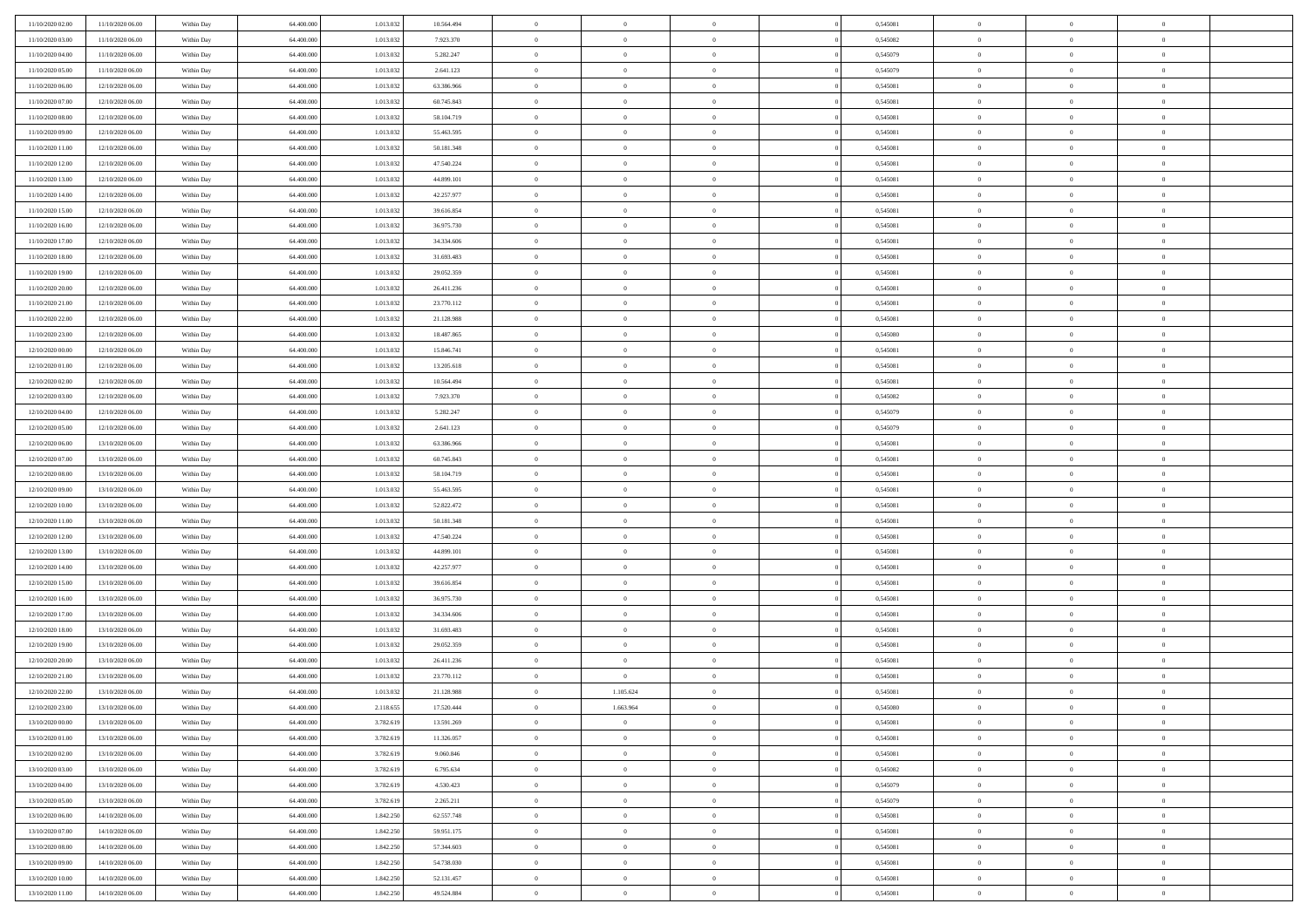| 11/10/2020 02.00                     | 11/10/2020 06.00                     | Within Day               | 64,400,000               | 1.013.032              | 10.564.494               | $\bf{0}$             | $\overline{0}$                   | $\Omega$                         | 0,545081             | $\bf{0}$               | $\overline{0}$             | $\bf{0}$                      |  |
|--------------------------------------|--------------------------------------|--------------------------|--------------------------|------------------------|--------------------------|----------------------|----------------------------------|----------------------------------|----------------------|------------------------|----------------------------|-------------------------------|--|
| 11/10/2020 03:00                     | 11/10/2020 06:00                     | Within Day               | 64.400.000               | 1.013.032              | 7.923.370                | $\theta$             | $\overline{0}$                   | $\overline{0}$                   | 0,545082             | $\mathbf{0}$           | $\bf{0}$                   | $\overline{0}$                |  |
| 11/10/2020 04:00                     | 11/10/2020 06:00                     | Within Day               | 64.400.000               | 1.013.032              | 5.282.247                | $\theta$             | $\overline{0}$                   | $\overline{0}$                   | 0,545079             | $\,$ 0                 | $\overline{0}$             | $\,$ 0 $\,$                   |  |
| 11/10/2020 05:00                     | 11/10/2020 06.00                     | Within Day               | 64,400,000               | 1.013.032              | 2.641.123                | $\mathbf{0}$         | $\overline{0}$                   | $\mathbf{0}$                     | 0.545079             | $\bf{0}$               | $\mathbf{0}$               | $\theta$                      |  |
| 11/10/2020 06:00                     | 12/10/2020 06:00                     | Within Day               | 64.400.000               | 1.013.032              | 63.386.966               | $\mathbf{0}$         | $\overline{0}$                   | $\overline{0}$                   | 0,545081             | $\mathbf{0}$           | $\bf{0}$                   | $\overline{0}$                |  |
| 11/10/2020 07:00                     | 12/10/2020 06:00                     | Within Day               | 64.400.000               | 1.013.032              | 60.745.843               | $\theta$             | $\overline{0}$                   | $\bf{0}$                         | 0,545081             | $\,$ 0                 | $\overline{0}$             | $\,$ 0 $\,$                   |  |
| 11/10/2020 08:00                     | 12/10/2020 06:00                     | Within Day               | 64,400,000               | 1.013.032              | 58.104.719               | $\,$ 0 $\,$          | $\overline{0}$                   | $\Omega$                         | 0.545081             | $\bf{0}$               | $\overline{0}$             | $\theta$                      |  |
| 11/10/2020 09:00                     | 12/10/2020 06:00                     | Within Day               | 64.400.000               | 1.013.032              | 55.463.595               | $\overline{0}$       | $\overline{0}$                   | $\overline{0}$                   | 0,545081             | $\mathbf{0}$           | $\bf{0}$                   | $\overline{0}$                |  |
| 11/10/2020 11:00                     | 12/10/2020 06:00                     | Within Day               | 64.400.000               | 1.013.032              | 50.181.348               | $\theta$             | $\overline{0}$                   | $\overline{0}$                   | 0,545081             | $\,$ 0                 | $\overline{0}$             | $\,$ 0 $\,$                   |  |
| 11/10/2020 12:00                     | 12/10/2020 06.00                     | Within Day               | 64,400,000               | 1.013.032              | 47.540.224               | $\mathbf{0}$         | $\overline{0}$                   | $\mathbf{0}$                     | 0.545081             | $\bf{0}$               | $\mathbf{0}$               | $\theta$                      |  |
| 11/10/2020 13:00                     | 12/10/2020 06:00                     | Within Day               | 64.400.000               | 1.013.032              | 44.899.101               | $\mathbf{0}$         | $\overline{0}$                   | $\overline{0}$                   | 0,545081             | $\mathbf{0}$           | $\bf{0}$                   | $\overline{0}$                |  |
| 11/10/2020 14:00                     | 12/10/2020 06:00                     | Within Day               | 64.400.000               | 1.013.032              | 42.257.977               | $\theta$             | $\overline{0}$                   | $\bf{0}$                         | 0,545081             | $\,$ 0                 | $\overline{0}$             | $\,$ 0 $\,$                   |  |
| 11/10/2020 15:00                     | 12/10/2020 06.00                     | Within Day               | 64,400,000               | 1.013.032              | 39.616.854               | $\theta$             | $\overline{0}$                   | $\mathbf{0}$                     | 0.545081             | $\bf{0}$               | $\mathbf{0}$               | $\theta$                      |  |
| 11/10/2020 16:00                     | 12/10/2020 06:00                     | Within Day               | 64.400.000               | 1.013.032              | 36.975.730               | $\overline{0}$       | $\overline{0}$                   | $\overline{0}$                   | 0,545081             | $\mathbf{0}$           | $\bf{0}$                   | $\overline{0}$                |  |
| 11/10/2020 17:00                     | 12/10/2020 06:00                     | Within Day               | 64.400.000               | 1.013.032              | 34.334.606               | $\theta$             | $\overline{0}$                   | $\overline{0}$                   | 0,545081             | $\,$ 0                 | $\overline{0}$             | $\,$ 0 $\,$                   |  |
| 11/10/2020 18:00                     | 12/10/2020 06.00                     | Within Day               | 64,400,000               | 1.013.032              | 31.693.483               | $\bf{0}$             | $\overline{0}$                   | $\mathbf{0}$                     | 0.545081             | $\bf{0}$               | $\mathbf{0}$               | $\bf{0}$                      |  |
| 11/10/2020 19:00                     | 12/10/2020 06:00                     | Within Day               | 64.400.000               | 1.013.032              | 29.052.359               | $\overline{0}$       | $\overline{0}$                   | $\overline{0}$                   | 0,545081             | $\mathbf{0}$           | $\bf{0}$                   | $\overline{0}$                |  |
| 11/10/2020 20:00                     | 12/10/2020 06:00                     | Within Day               | 64.400.000               | 1.013.032              | 26.411.236               | $\theta$             | $\overline{0}$                   | $\bf{0}$                         | 0,545081             | $\,$ 0                 | $\overline{0}$             | $\,$ 0 $\,$                   |  |
| 11/10/2020 21:00                     | 12/10/2020 06.00                     | Within Day               | 64,400,000               | 1.013.032              | 23.770.112               | $\theta$             | $\overline{0}$                   | $\mathbf{0}$                     | 0.545081             | $\bf{0}$               | $\mathbf{0}$               | $\theta$                      |  |
| 11/10/2020 22.00                     | 12/10/2020 06:00                     | Within Day               | 64.400.000               | 1.013.032              | 21.128.988               | $\overline{0}$       | $\overline{0}$                   | $\overline{0}$                   | 0,545081             | $\mathbf{0}$           | $\bf{0}$                   | $\overline{0}$                |  |
| 11/10/2020 23:00                     | 12/10/2020 06:00                     | Within Day               | 64.400.000               | 1.013.032              | 18.487.865               | $\theta$             | $\overline{0}$                   | $\bf{0}$                         | 0,545080             | $\,$ 0                 | $\overline{0}$             | $\,$ 0 $\,$                   |  |
| 12/10/2020 00:00                     | 12/10/2020 06:00                     | Within Day               | 64,400,000               | 1.013.032              | 15.846.741               | $\theta$             | $\overline{0}$                   | $\mathbf{0}$                     | 0.545081             | $\bf{0}$               | $\mathbf{0}$               | $\theta$                      |  |
| 12/10/2020 01:00                     | 12/10/2020 06:00                     | Within Day               | 64.400.000               | 1.013.032              | 13.205.618               | $\overline{0}$       | $\overline{0}$                   | $\overline{0}$                   | 0,545081             | $\mathbf{0}$           | $\bf{0}$                   | $\overline{0}$                |  |
| 12/10/2020 02:00                     | 12/10/2020 06:00                     | Within Day               | 64.400.000               | 1.013.032              | 10.564.494               | $\theta$             | $\overline{0}$                   | $\bf{0}$                         | 0,545081             | $\,$ 0                 | $\overline{0}$             | $\,$ 0 $\,$                   |  |
| 12/10/2020 03:00                     | 12/10/2020 06:00                     | Within Day               | 64,400,000               | 1.013.032              | 7.923.370                | $\,$ 0 $\,$          | $\overline{0}$                   | $\mathbf{0}$                     | 0,545082             | $\bf{0}$               | $\overline{0}$             | $\bf{0}$                      |  |
| 12/10/2020 04:00                     | 12/10/2020 06:00                     | Within Day               | 64.400.000               | 1.013.032              | 5.282.247                | $\overline{0}$       | $\overline{0}$                   | $\overline{0}$                   | 0,545079             | $\mathbf{0}$           | $\bf{0}$                   | $\overline{0}$                |  |
| 12/10/2020 05:00                     | 12/10/2020 06:00                     | Within Day               | 64.400.000               | 1.013.032              | 2.641.123                | $\theta$             | $\overline{0}$                   | $\overline{0}$                   | 0,545079             | $\,$ 0                 | $\overline{0}$             | $\,$ 0 $\,$                   |  |
| 12/10/2020 06:00                     | 13/10/2020 06.00                     | Within Day               | 64,400,000               | 1.013.032              | 63,386,966               | $\mathbf{0}$         | $\overline{0}$                   | $\mathbf{0}$                     | 0.545081             | $\bf{0}$               | $\mathbf{0}$               | $\theta$                      |  |
| 12/10/2020 07:00                     | 13/10/2020 06:00                     | Within Day               | 64.400.000               | 1.013.032              | 60.745.843               | $\mathbf{0}$         | $\overline{0}$                   | $\overline{0}$                   | 0,545081             | $\mathbf{0}$           | $\bf{0}$                   | $\overline{0}$                |  |
| 12/10/2020 08:00                     | 13/10/2020 06:00                     | Within Day               | 64.400.000               | 1.013.032              | 58.104.719               | $\theta$             | $\overline{0}$                   | $\bf{0}$                         | 0,545081             | $\,$ 0                 | $\overline{0}$             | $\,$ 0 $\,$                   |  |
| 12/10/2020 09:00                     | 13/10/2020 06.00                     | Within Day               | 64.400.000               | 1.013.032              | 55.463.595               | $\bf{0}$             | $\overline{0}$                   | $\overline{0}$                   | 0,545081             | $\bf{0}$               | $\overline{0}$             | $\,0\,$                       |  |
| 12/10/2020 10:00                     | 13/10/2020 06:00                     | Within Day               | 64.400.000               | 1.013.032              | 52.822.472               | $\overline{0}$       | $\overline{0}$                   | $\overline{0}$                   | 0,545081             | $\mathbf{0}$           | $\bf{0}$                   | $\overline{0}$                |  |
| 12/10/2020 11:00                     | 13/10/2020 06:00                     | Within Day               | 64.400.000               | 1.013.032              | 50.181.348               | $\theta$             | $\overline{0}$                   | $\overline{0}$                   | 0,545081             | $\,$ 0                 | $\overline{0}$             | $\,$ 0 $\,$                   |  |
| 12/10/2020 12:00                     | 13/10/2020 06.00                     | Within Day               | 64.400.000               | 1.013.032              | 47.540.224               | $\,$ 0 $\,$          | $\overline{0}$                   | $\overline{0}$                   | 0,545081             | $\bf{0}$               | $\overline{0}$             | $\,0\,$                       |  |
| 12/10/2020 13:00                     | 13/10/2020 06:00                     | Within Day               | 64.400.000               | 1.013.032              | 44.899.101               | $\overline{0}$       | $\overline{0}$                   | $\overline{0}$                   | 0,545081             | $\mathbf{0}$           | $\bf{0}$                   | $\overline{0}$                |  |
| 12/10/2020 14:00                     | 13/10/2020 06:00                     | Within Day               | 64.400.000               | 1.013.032              | 42.257.977               | $\theta$             | $\overline{0}$                   | $\bf{0}$                         | 0,545081             | $\,$ 0                 | $\overline{0}$             | $\,$ 0 $\,$                   |  |
| 12/10/2020 15:00                     | 13/10/2020 06:00                     | Within Day               | 64.400.000               | 1.013.032              | 39.616.854               | $\,$ 0 $\,$          | $\overline{0}$                   | $\overline{0}$                   | 0,545081             | $\bf{0}$               | $\overline{0}$             | $\,0\,$                       |  |
| 12/10/2020 16:00                     | 13/10/2020 06:00                     | Within Day               | 64.400.000               | 1.013.032              | 36.975.730               | $\overline{0}$       | $\overline{0}$                   | $\overline{0}$                   | 0,545081             | $\mathbf{0}$           | $\bf{0}$                   | $\overline{0}$                |  |
| 12/10/2020 17:00                     | 13/10/2020 06:00                     | Within Day               | 64.400.000               | 1.013.032              | 34.334.606               | $\theta$             | $\overline{0}$                   | $\bf{0}$                         | 0,545081             | $\,$ 0                 | $\overline{0}$             | $\,$ 0 $\,$                   |  |
| 12/10/2020 18:00<br>12/10/2020 19:00 | 13/10/2020 06.00<br>13/10/2020 06:00 | Within Day               | 64.400.000               | 1.013.032              | 31.693.483               | $\,$ 0 $\,$          | $\overline{0}$                   | $\overline{0}$                   | 0,545081             | $\bf{0}$               | $\overline{0}$             | $\,0\,$                       |  |
| 12/10/2020 20:00                     | 13/10/2020 06:00                     | Within Day               | 64.400.000<br>64.400.000 | 1.013.032<br>1.013.032 | 29.052.359<br>26.411.236 | $\theta$<br>$\theta$ | $\overline{0}$<br>$\overline{0}$ | $\overline{0}$<br>$\overline{0}$ | 0,545081<br>0,545081 | $\mathbf{0}$<br>$\,$ 0 | $\bf{0}$<br>$\overline{0}$ | $\overline{0}$<br>$\,$ 0 $\,$ |  |
| 12/10/2020 21:00                     | 13/10/2020 06:00                     | Within Day<br>Within Day | 64.400.000               | 1.013.032              | 23.770.112               | $\,$ 0 $\,$          | $\overline{0}$                   | $\overline{0}$                   | 0,545081             | $\bf{0}$               | $\overline{0}$             | $\,0\,$                       |  |
| 12/10/2020 22:00                     | 13/10/2020 06:00                     | Within Dav               | 64.400.000               | 1.013.032              | 21.128.988               | $\theta$             | 1.105.624                        | $\overline{0}$                   | 0,545081             | $\mathbf{0}$           | $\bf{0}$                   | $\overline{0}$                |  |
| 12/10/2020 23:00                     | 13/10/2020 06:00                     | Within Day               | 64.400.000               | 2.118.655              | 17.520.444               | $\overline{0}$       | 1.663.964                        | $\theta$                         | 0,545080             | $\overline{0}$         | $\overline{0}$             | $\theta$                      |  |
| 13/10/2020 00:00                     | 13/10/2020 06:00                     | Within Day               | 64.400.000               | 3.782.619              | 13.591.269               | $\bf{0}$             | $\overline{0}$                   | $\overline{0}$                   | 0,545081             | $\bf{0}$               | $\overline{0}$             | $\bf{0}$                      |  |
| 13/10/2020 01:00                     | 13/10/2020 06:00                     | Within Day               | 64.400.000               | 3.782.619              | 11.326.057               | $\overline{0}$       | $\overline{0}$                   | $\overline{0}$                   | 0,545081             | $\overline{0}$         | $\bf{0}$                   | $\overline{0}$                |  |
| 13/10/2020 02:00                     | 13/10/2020 06:00                     | Within Day               | 64.400.000               | 3.782.619              | 9.060.846                | $\,$ 0 $\,$          | $\overline{0}$                   | $\overline{0}$                   | 0,545081             | $\,$ 0 $\,$            | $\,$ 0 $\,$                | $\,$ 0 $\,$                   |  |
| 13/10/2020 03:00                     | 13/10/2020 06:00                     | Within Day               | 64.400.000               | 3.782.619              | 6.795.634                | $\bf{0}$             | $\overline{0}$                   | $\overline{0}$                   | 0,545082             | $\mathbf{0}$           | $\overline{0}$             | $\bf{0}$                      |  |
| 13/10/2020 04:00                     | 13/10/2020 06:00                     | Within Day               | 64.400.000               | 3.782.619              | 4.530.423                | $\mathbf{0}$         | $\overline{0}$                   | $\overline{0}$                   | 0,545079             | $\,$ 0 $\,$            | $\bf{0}$                   | $\overline{0}$                |  |
| 13/10/2020 05:00                     | 13/10/2020 06:00                     | Within Day               | 64.400.000               | 3.782.619              | 2.265.211                | $\,$ 0 $\,$          | $\overline{0}$                   | $\overline{0}$                   | 0,545079             | $\,$ 0 $\,$            | $\overline{0}$             | $\,$ 0 $\,$                   |  |
| 13/10/2020 06:00                     | 14/10/2020 06:00                     | Within Day               | 64.400.000               | 1.842.250              | 62.557.748               | $\bf{0}$             | $\overline{0}$                   | $\overline{0}$                   | 0,545081             | $\overline{0}$         | $\overline{0}$             | $\overline{0}$                |  |
| 13/10/2020 07:00                     | 14/10/2020 06:00                     | Within Day               | 64.400.000               | 1.842.250              | 59.951.175               | $\mathbf{0}$         | $\overline{0}$                   | $\overline{0}$                   | 0,545081             | $\,$ 0 $\,$            | $\bf{0}$                   | $\overline{0}$                |  |
| 13/10/2020 08:00                     | 14/10/2020 06:00                     | Within Day               | 64.400.000               | 1.842.250              | 57.344.603               | $\,$ 0               | $\overline{0}$                   | $\overline{0}$                   | 0,545081             | $\,$ 0 $\,$            | $\,$ 0 $\,$                | $\,$ 0 $\,$                   |  |
| 13/10/2020 09:00                     | 14/10/2020 06.00                     | Within Day               | 64.400.000               | 1.842.250              | 54.738.030               | $\bf{0}$             | $\overline{0}$                   | $\overline{0}$                   | 0,545081             | $\mathbf{0}$           | $\overline{0}$             | $\bf{0}$                      |  |
| 13/10/2020 10:00                     | 14/10/2020 06:00                     | Within Day               | 64.400.000               | 1.842.250              | 52.131.457               | $\mathbf{0}$         | $\overline{0}$                   | $\overline{0}$                   | 0,545081             | $\mathbf{0}$           | $\bf{0}$                   | $\overline{0}$                |  |
| 13/10/2020 11:00                     | 14/10/2020 06.00                     | Within Day               | 64.400.000               | 1.842.250              | 49.524.884               | $\,$ 0 $\,$          | $\overline{0}$                   | $\overline{0}$                   | 0,545081             | $\,$ 0 $\,$            | $\overline{0}$             | $\,$ 0 $\,$                   |  |
|                                      |                                      |                          |                          |                        |                          |                      |                                  |                                  |                      |                        |                            |                               |  |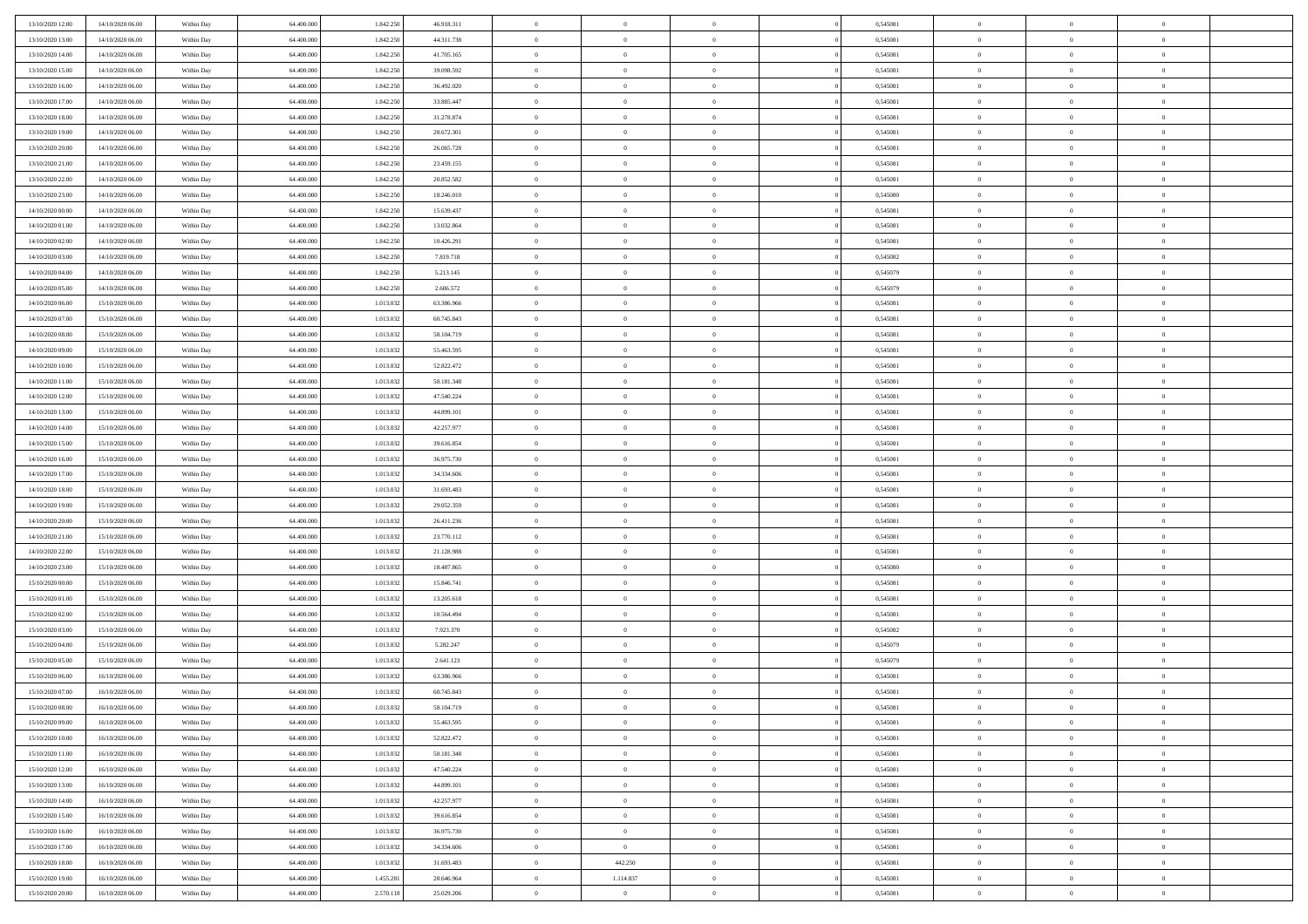| 13/10/2020 12:00 | 14/10/2020 06:00 | Within Day | 64,400,000 | 1.842.250 | 46.918.311 | $\bf{0}$       | $\overline{0}$ | $\overline{0}$ | 0,545081 | $\bf{0}$       | $\overline{0}$ | $\bf{0}$       |  |
|------------------|------------------|------------|------------|-----------|------------|----------------|----------------|----------------|----------|----------------|----------------|----------------|--|
| 13/10/2020 13:00 | 14/10/2020 06:00 | Within Day | 64.400.000 | 1.842.25  | 44.311.738 | $\overline{0}$ | $\overline{0}$ | $\overline{0}$ | 0,545081 | $\overline{0}$ | $\bf{0}$       | $\theta$       |  |
| 13/10/2020 14:00 | 14/10/2020 06:00 | Within Day | 64.400.000 | 1.842.250 | 41.705.165 | $\overline{0}$ | $\overline{0}$ | $\overline{0}$ | 0,545081 | $\,$ 0 $\,$    | $\overline{0}$ | $\,0\,$        |  |
| 13/10/2020 15:00 | 14/10/2020 06:00 | Within Day | 64,400,000 | 1.842.250 | 39.098.592 | $\overline{0}$ | $\overline{0}$ | $\Omega$       | 0.545081 | $\overline{0}$ | $\theta$       | $\overline{0}$ |  |
| 13/10/2020 16:00 | 14/10/2020 06:00 | Within Day | 64.400.000 | 1.842.250 | 36.492.020 | $\mathbf{0}$   | $\overline{0}$ | $\overline{0}$ | 0,545081 | $\mathbf{0}$   | $\bf{0}$       | $\overline{0}$ |  |
| 13/10/2020 17:00 | 14/10/2020 06:00 | Within Day | 64.400.000 | 1.842.250 | 33.885.447 | $\overline{0}$ | $\overline{0}$ | $\overline{0}$ | 0,545081 | $\,$ 0 $\,$    | $\overline{0}$ | $\,0\,$        |  |
| 13/10/2020 18:00 | 14/10/2020 06.00 | Within Day | 64,400,000 | 1.842.250 | 31.278.874 | $\bf{0}$       | $\overline{0}$ | $\Omega$       | 0.545081 | $\bf{0}$       | $\theta$       | $\overline{0}$ |  |
| 13/10/2020 19:00 | 14/10/2020 06:00 | Within Day | 64.400.000 | 1.842.250 | 28.672.301 | $\overline{0}$ | $\overline{0}$ | $\overline{0}$ | 0,545081 | $\mathbf{0}$   | $\bf{0}$       | $\theta$       |  |
| 13/10/2020 20:00 | 14/10/2020 06:00 | Within Day | 64.400.000 | 1.842.250 | 26.065.728 | $\overline{0}$ | $\overline{0}$ | $\overline{0}$ | 0,545081 | $\,$ 0 $\,$    | $\overline{0}$ | $\,0\,$        |  |
| 13/10/2020 21.00 | 14/10/2020 06.00 | Within Day | 64,400,000 | 1.842.250 | 23.459.155 | $\overline{0}$ | $\overline{0}$ | $\Omega$       | 0.545081 | $\overline{0}$ | $\theta$       | $\overline{0}$ |  |
| 13/10/2020 22:00 | 14/10/2020 06:00 | Within Day | 64.400.000 | 1.842.250 | 20.852.582 | $\mathbf{0}$   | $\overline{0}$ | $\overline{0}$ | 0,545081 | $\overline{0}$ | $\bf{0}$       | $\theta$       |  |
| 13/10/2020 23:00 | 14/10/2020 06:00 | Within Day | 64.400.000 | 1.842.250 | 18.246.010 | $\overline{0}$ | $\overline{0}$ | $\overline{0}$ | 0,545080 | $\,$ 0 $\,$    | $\overline{0}$ | $\,0\,$        |  |
| 14/10/2020 00:00 | 14/10/2020 06.00 | Within Day | 64,400,000 | 1.842.250 | 15.639.437 | $\overline{0}$ | $\overline{0}$ | $\Omega$       | 0.545081 | $\overline{0}$ | $\theta$       | $\overline{0}$ |  |
| 14/10/2020 01:00 | 14/10/2020 06:00 | Within Day | 64.400.000 | 1.842.250 | 13.032.864 | $\mathbf{0}$   | $\overline{0}$ | $\overline{0}$ | 0,545081 | $\mathbf{0}$   | $\bf{0}$       | $\theta$       |  |
| 14/10/2020 02:00 | 14/10/2020 06:00 | Within Day | 64.400.000 | 1.842.250 | 10.426.291 | $\,$ 0         | $\overline{0}$ | $\overline{0}$ | 0,545081 | $\,$ 0 $\,$    | $\overline{0}$ | $\,0\,$        |  |
| 14/10/2020 03.00 | 14/10/2020 06.00 | Within Day | 64,400,000 | 1.842.250 | 7.819.718  | $\bf{0}$       | $\overline{0}$ | $\Omega$       | 0.545082 | $\bf{0}$       | $\theta$       | $\bf{0}$       |  |
| 14/10/2020 04:00 | 14/10/2020 06:00 | Within Day | 64.400.000 | 1.842.250 | 5.213.145  | $\overline{0}$ | $\overline{0}$ | $\overline{0}$ | 0,545079 | $\mathbf{0}$   | $\bf{0}$       | $\theta$       |  |
| 14/10/2020 05:00 | 14/10/2020 06:00 | Within Day | 64.400.000 | 1.842.250 | 2.606.572  | $\overline{0}$ | $\overline{0}$ | $\overline{0}$ | 0,545079 | $\,$ 0 $\,$    | $\overline{0}$ | $\,0\,$        |  |
| 14/10/2020 06.00 | 15/10/2020 06.00 | Within Day | 64,400,000 | 1.013.032 | 63.386.966 | $\overline{0}$ | $\overline{0}$ | $\Omega$       | 0.545081 | $\overline{0}$ | $\theta$       | $\overline{0}$ |  |
| 14/10/2020 07:00 | 15/10/2020 06:00 | Within Day | 64.400.000 | 1.013.032 | 60.745.843 | $\overline{0}$ | $\overline{0}$ | $\overline{0}$ | 0,545081 | $\overline{0}$ | $\bf{0}$       | $\theta$       |  |
| 14/10/2020 08:00 | 15/10/2020 06:00 | Within Day | 64.400.000 | 1.013.032 | 58.104.719 | $\,$ 0         | $\overline{0}$ | $\overline{0}$ | 0,545081 | $\,$ 0 $\,$    | $\overline{0}$ | $\,0\,$        |  |
| 14/10/2020 09:00 | 15/10/2020 06:00 | Within Day | 64,400,000 | 1.013.032 | 55.463.595 | $\overline{0}$ | $\overline{0}$ | $\Omega$       | 0.545081 | $\overline{0}$ | $\theta$       | $\overline{0}$ |  |
| 14/10/2020 10:00 | 15/10/2020 06:00 | Within Day | 64.400.000 | 1.013.032 | 52.822.472 | $\mathbf{0}$   | $\overline{0}$ | $\overline{0}$ | 0,545081 | $\mathbf{0}$   | $\bf{0}$       | $\theta$       |  |
| 14/10/2020 11:00 | 15/10/2020 06:00 | Within Day | 64.400.000 | 1.013.03  | 50.181.348 | $\overline{0}$ | $\overline{0}$ | $\overline{0}$ | 0,545081 | $\,$ 0 $\,$    | $\overline{0}$ | $\,0\,$        |  |
| 14/10/2020 12:00 | 15/10/2020 06.00 | Within Day | 64,400,000 | 1.013.03  | 47.540.224 | $\bf{0}$       | $\overline{0}$ | $\Omega$       | 0,545081 | $\bf{0}$       | $\overline{0}$ | $\bf{0}$       |  |
| 14/10/2020 13:00 | 15/10/2020 06:00 | Within Day | 64.400.000 | 1.013.032 | 44.899.101 | $\overline{0}$ | $\overline{0}$ | $\overline{0}$ | 0,545081 | $\overline{0}$ | $\bf{0}$       | $\theta$       |  |
| 14/10/2020 14:00 | 15/10/2020 06:00 | Within Day | 64.400.000 | 1.013.03  | 42.257.977 | $\overline{0}$ | $\overline{0}$ | $\overline{0}$ | 0,545081 | $\,$ 0 $\,$    | $\overline{0}$ | $\,0\,$        |  |
| 14/10/2020 15.00 | 15/10/2020 06.00 | Within Day | 64,400,000 | 1.013.032 | 39.616.854 | $\overline{0}$ | $\overline{0}$ | $\Omega$       | 0.545081 | $\overline{0}$ | $\theta$       | $\overline{0}$ |  |
| 14/10/2020 16:00 | 15/10/2020 06:00 | Within Day | 64.400.000 | 1.013.032 | 36.975.730 | $\mathbf{0}$   | $\overline{0}$ | $\overline{0}$ | 0,545081 | $\mathbf{0}$   | $\bf{0}$       | $\overline{0}$ |  |
| 14/10/2020 17:00 | 15/10/2020 06:00 | Within Day | 64.400.000 | 1.013.03  | 34.334.606 | $\overline{0}$ | $\overline{0}$ | $\overline{0}$ | 0,545081 | $\,$ 0 $\,$    | $\overline{0}$ | $\,0\,$        |  |
| 14/10/2020 18:00 | 15/10/2020 06:00 | Within Day | 64.400.000 | 1.013.03  | 31.693.483 | $\bf{0}$       | $\overline{0}$ | $\theta$       | 0,545081 | $\bf{0}$       | $\overline{0}$ | $\bf{0}$       |  |
| 14/10/2020 19:00 | 15/10/2020 06:00 | Within Day | 64.400.000 | 1.013.032 | 29.052.359 | $\overline{0}$ | $\overline{0}$ | $\overline{0}$ | 0,545081 | $\mathbf{0}$   | $\bf{0}$       | $\theta$       |  |
| 14/10/2020 20:00 | 15/10/2020 06:00 | Within Day | 64.400.000 | 1.013.032 | 26.411.236 | $\,$ 0         | $\overline{0}$ | $\overline{0}$ | 0,545081 | $\,$ 0 $\,$    | $\overline{0}$ | $\,$ 0 $\,$    |  |
| 14/10/2020 21.00 | 15/10/2020 06:00 | Within Day | 64.400.000 | 1.013.032 | 23.770.112 | $\bf{0}$       | $\overline{0}$ | $\overline{0}$ | 0,545081 | $\mathbf{0}$   | $\overline{0}$ | $\bf{0}$       |  |
| 14/10/2020 22.00 | 15/10/2020 06:00 | Within Day | 64.400.000 | 1.013.032 | 21.128.988 | $\overline{0}$ | $\overline{0}$ | $\overline{0}$ | 0,545081 | $\overline{0}$ | $\bf{0}$       | $\theta$       |  |
| 14/10/2020 23:00 | 15/10/2020 06:00 | Within Day | 64.400.000 | 1.013.03  | 18.487.865 | $\overline{0}$ | $\overline{0}$ | $\overline{0}$ | 0,545080 | $\,$ 0 $\,$    | $\overline{0}$ | $\,$ 0 $\,$    |  |
| 15/10/2020 00:00 | 15/10/2020 06:00 | Within Day | 64.400.000 | 1.013.03  | 15.846.741 | $\bf{0}$       | $\overline{0}$ | $\Omega$       | 0,545081 | $\bf{0}$       | $\theta$       | $\bf{0}$       |  |
| 15/10/2020 01:00 | 15/10/2020 06:00 | Within Day | 64.400.000 | 1.013.032 | 13.205.618 | $\mathbf{0}$   | $\overline{0}$ | $\overline{0}$ | 0,545081 | $\mathbf{0}$   | $\bf{0}$       | $\overline{0}$ |  |
| 15/10/2020 02:00 | 15/10/2020 06:00 | Within Day | 64.400.000 | 1.013.032 | 10.564.494 | $\,$ 0         | $\overline{0}$ | $\overline{0}$ | 0,545081 | $\,$ 0 $\,$    | $\overline{0}$ | $\,$ 0 $\,$    |  |
| 15/10/2020 03:00 | 15/10/2020 06:00 | Within Day | 64.400.000 | 1.013.032 | 7.923.370  | $\bf{0}$       | $\overline{0}$ | $\Omega$       | 0,545082 | $\bf{0}$       | $\overline{0}$ | $\bf{0}$       |  |
| 15/10/2020 04:00 | 15/10/2020 06:00 | Within Day | 64.400.000 | 1.013.032 | 5.282.247  | $\mathbf{0}$   | $\overline{0}$ | $\overline{0}$ | 0,545079 | $\overline{0}$ | $\overline{0}$ | $\theta$       |  |
| 15/10/2020 05:00 | 15/10/2020 06:00 | Within Day | 64.400.000 | 1.013.03  | 2.641.123  | $\overline{0}$ | $\overline{0}$ | $\overline{0}$ | 0,545079 | $\,$ 0 $\,$    | $\overline{0}$ | $\,$ 0 $\,$    |  |
| 15/10/2020 06:00 | 16/10/2020 06:00 | Within Day | 64.400.000 | 1.013.03  | 63.386.966 | $\bf{0}$       | $\overline{0}$ | $\overline{0}$ | 0,545081 | $\bf{0}$       | $\overline{0}$ | $\bf{0}$       |  |
| 15/10/2020 07:00 | 16/10/2020 06:00 | Within Day | 64.400.000 | 1.013.032 | 60.745.843 | $\mathbf{0}$   | $\overline{0}$ | $\overline{0}$ | 0,545081 | $\overline{0}$ | $\bf{0}$       | $\theta$       |  |
| 15/10/2020 08:00 | 16/10/2020 06:00 | Within Day | 64.400.000 | 1.013.032 | 58.104.719 | $\theta$       | $\overline{0}$ | $\theta$       | 0,545081 | $\overline{0}$ | $\overline{0}$ | $\overline{0}$ |  |
| 15/10/2020 09:00 | 16/10/2020 06:00 | Within Day | 64.400.000 | 1.013.032 | 55.463.595 | $\bf{0}$       | $\overline{0}$ | $\overline{0}$ | 0,545081 | $\mathbf{0}$   | $\overline{0}$ | $\bf{0}$       |  |
| 15/10/2020 10:00 | 16/10/2020 06:00 | Within Day | 64.400.000 | 1.013.032 | 52.822.472 | $\overline{0}$ | $\overline{0}$ | $\overline{0}$ | 0,545081 | $\,$ 0 $\,$    | $\bf{0}$       | $\overline{0}$ |  |
| 15/10/2020 11:00 | 16/10/2020 06:00 | Within Day | 64.400.000 | 1.013.032 | 50.181.348 | $\,$ 0 $\,$    | $\overline{0}$ | $\overline{0}$ | 0,545081 | $\,$ 0 $\,$    | $\,$ 0 $\,$    | $\theta$       |  |
| 15/10/2020 12:00 | 16/10/2020 06:00 | Within Day | 64.400.000 | 1.013.032 | 47.540.224 | $\bf{0}$       | $\overline{0}$ | $\overline{0}$ | 0,545081 | $\mathbf{0}$   | $\overline{0}$ | $\bf{0}$       |  |
| 15/10/2020 13:00 | 16/10/2020 06:00 | Within Day | 64.400.000 | 1.013.032 | 44.899.101 | $\mathbf{0}$   | $\overline{0}$ | $\overline{0}$ | 0,545081 | $\,$ 0 $\,$    | $\bf{0}$       | $\theta$       |  |
| 15/10/2020 14:00 | 16/10/2020 06:00 | Within Day | 64.400.000 | 1.013.032 | 42.257.977 | $\,$ 0 $\,$    | $\overline{0}$ | $\overline{0}$ | 0,545081 | $\,$ 0 $\,$    | $\overline{0}$ | $\theta$       |  |
| 15/10/2020 15:00 | 16/10/2020 06:00 | Within Day | 64.400.000 | 1.013.032 | 39.616.854 | $\mathbf{0}$   | $\overline{0}$ | $\overline{0}$ | 0,545081 | $\mathbf{0}$   | $\overline{0}$ | $\overline{0}$ |  |
| 15/10/2020 16.00 | 16/10/2020 06:00 | Within Day | 64.400.000 | 1.013.032 | 36.975.730 | $\mathbf{0}$   | $\overline{0}$ | $\overline{0}$ | 0,545081 | $\,$ 0 $\,$    | $\bf{0}$       | $\overline{0}$ |  |
| 15/10/2020 17.00 | 16/10/2020 06:00 | Within Day | 64.400.000 | 1.013.032 | 34.334.606 | $\,$ 0 $\,$    | $\overline{0}$ | $\overline{0}$ | 0,545081 | $\,$ 0 $\,$    | $\,$ 0         | $\theta$       |  |
| 15/10/2020 18:00 | 16/10/2020 06:00 | Within Day | 64.400.000 | 1.013.032 | 31.693.483 | $\bf{0}$       | 442.250        | $\overline{0}$ | 0,545081 | $\mathbf{0}$   | $\overline{0}$ | $\bf{0}$       |  |
| 15/10/2020 19:00 | 16/10/2020 06:00 | Within Day | 64.400.000 | 1.455.281 | 28.646.964 | $\mathbf{0}$   | 1.114.837      | $\overline{0}$ | 0,545081 | $\mathbf{0}$   | $\bf{0}$       | $\overline{0}$ |  |
| 15/10/2020 20:00 | 16/10/2020 06:00 | Within Day | 64.400.000 | 2.570.118 | 25.029.206 | $\,$ 0         | $\overline{0}$ | $\overline{0}$ | 0,545081 | $\,$ 0 $\,$    | $\overline{0}$ | $\theta$       |  |
|                  |                  |            |            |           |            |                |                |                |          |                |                |                |  |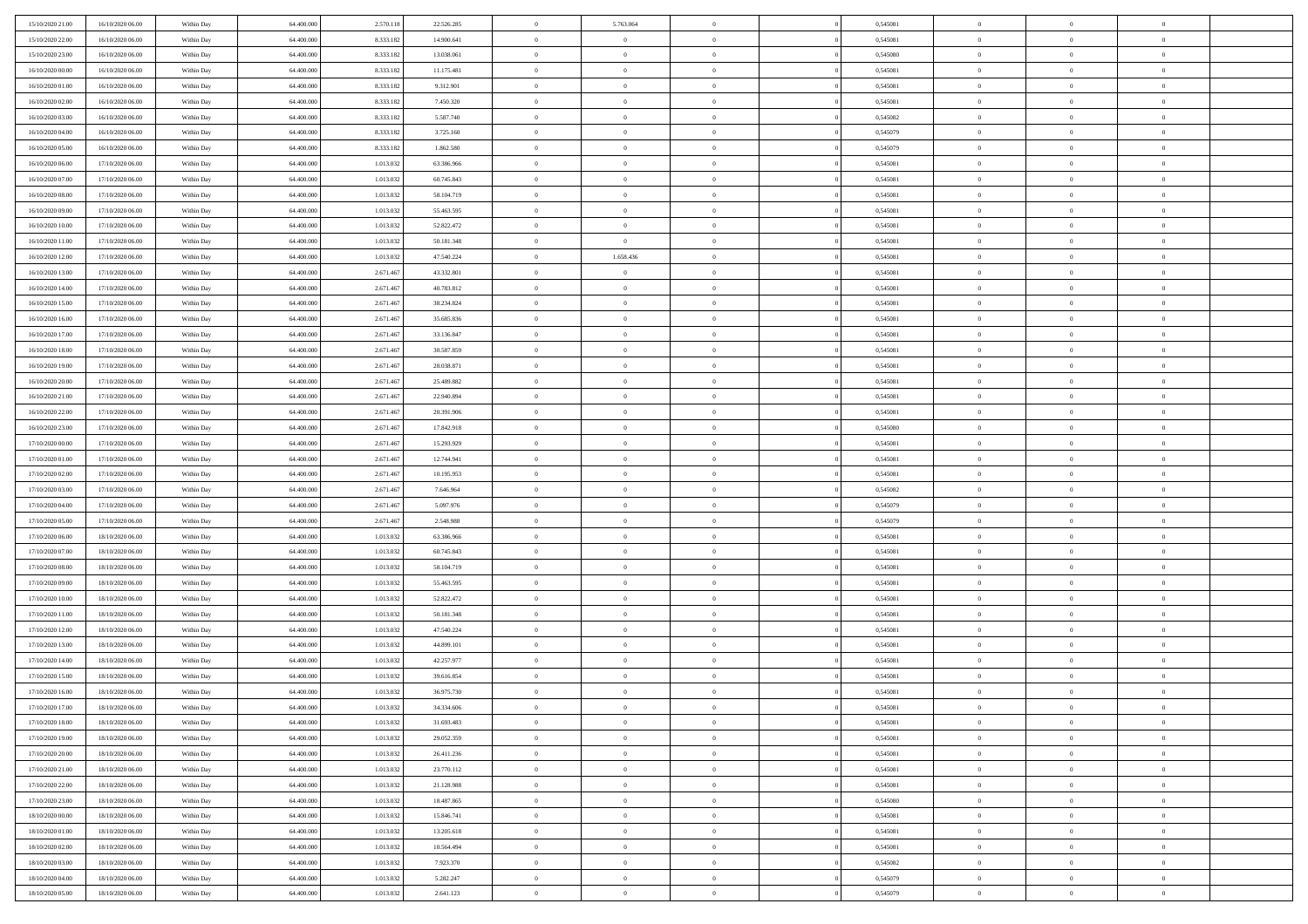| 15/10/2020 21:00 | 16/10/2020 06:00 | Within Day               | 64.400.000 | 2.570.118 | 22.526.285 | $\,$ 0 $\,$    | 5.763.064      | $\overline{0}$ |          | 0,545081 | $\bf{0}$       | $\overline{0}$ | $\,0\,$        |  |
|------------------|------------------|--------------------------|------------|-----------|------------|----------------|----------------|----------------|----------|----------|----------------|----------------|----------------|--|
| 15/10/2020 22.00 | 16/10/2020 06:00 | Within Day               | 64,400,000 | 8.333.182 | 14.900.641 | $\overline{0}$ | $\overline{0}$ | $\mathbf{0}$   |          | 0.545081 | $\theta$       | $\overline{0}$ | $\theta$       |  |
| 15/10/2020 23:00 | 16/10/2020 06:00 | Within Day               | 64.400.000 | 8.333.182 | 13.038.061 | $\theta$       | $\overline{0}$ | $\overline{0}$ |          | 0,545080 | $\mathbf{0}$   | $\overline{0}$ | $\overline{0}$ |  |
| 16/10/2020 00:00 | 16/10/2020 06:00 | Within Day               | 64.400.000 | 8.333.182 | 11.175.481 | $\,$ 0 $\,$    | $\overline{0}$ | $\overline{0}$ |          | 0,545081 | $\bf{0}$       | $\overline{0}$ | $\bf{0}$       |  |
| 16/10/2020 01:00 | 16/10/2020 06:00 | Within Day               | 64,400,000 | 8.333.182 | 9.312.901  | $\bf{0}$       | $\overline{0}$ | $\mathbf{0}$   |          | 0,545081 | $\bf{0}$       | $\theta$       | $\,0\,$        |  |
| 16/10/2020 02:00 | 16/10/2020 06:00 | Within Day               | 64.400.000 | 8.333.182 | 7.450.320  | $\theta$       | $\overline{0}$ | $\mathbf{0}$   |          | 0,545081 | $\mathbf{0}$   | $\overline{0}$ | $\overline{0}$ |  |
| 16/10/2020 03:00 | 16/10/2020 06:00 | Within Day               | 64.400.000 | 8.333.182 | 5.587.740  | $\,$ 0 $\,$    | $\overline{0}$ | $\overline{0}$ |          | 0,545082 | $\bf{0}$       | $\overline{0}$ | $\,0\,$        |  |
|                  |                  |                          | 64,400,000 |           |            | $\overline{0}$ | $\overline{0}$ |                |          |          | $\,$ 0 $\,$    | $\overline{0}$ | $\theta$       |  |
| 16/10/2020 04:00 | 16/10/2020 06:00 | Within Day               |            | 8.333.182 | 3.725.160  |                |                | $\mathbf{0}$   |          | 0,545079 |                |                |                |  |
| 16/10/2020 05:00 | 16/10/2020 06:00 | Within Day               | 64.400.000 | 8.333.182 | 1.862.580  | $\theta$       | $\overline{0}$ | $\mathbf{0}$   |          | 0,545079 | $\mathbf{0}$   | $\overline{0}$ | $\overline{0}$ |  |
| 16/10/2020 06:00 | 17/10/2020 06:00 | Within Day               | 64.400.000 | 1.013.032 | 63.386.966 | $\,$ 0 $\,$    | $\overline{0}$ | $\Omega$       |          | 0,545081 | $\bf{0}$       | $\overline{0}$ | $\,0\,$        |  |
| 16/10/2020 07.00 | 17/10/2020 06.00 | Within Day               | 64,400,000 | 1.013.032 | 60.745.843 | $\bf{0}$       | $\overline{0}$ | $\mathbf{0}$   |          | 0,545081 | $\bf{0}$       | $\mathbf{0}$   | $\theta$       |  |
| 16/10/2020 08:00 | 17/10/2020 06:00 | Within Day               | 64.400.000 | 1.013.032 | 58.104.719 | $\theta$       | $\overline{0}$ | $\mathbf{0}$   |          | 0,545081 | $\mathbf{0}$   | $\overline{0}$ | $\overline{0}$ |  |
| 16/10/2020 09:00 | 17/10/2020 06:00 | Within Day               | 64.400.000 | 1.013.032 | 55.463.595 | $\,$ 0 $\,$    | $\overline{0}$ | $\overline{0}$ |          | 0,545081 | $\bf{0}$       | $\overline{0}$ | $\bf{0}$       |  |
| 16/10/2020 10:00 | 17/10/2020 06:00 | Within Day               | 64.400.000 | 1.013.032 | 52.822.472 | $\bf{0}$       | $\overline{0}$ | $\mathbf{0}$   |          | 0,545081 | $\bf{0}$       | $\theta$       | $\,0\,$        |  |
| 16/10/2020 11:00 | 17/10/2020 06:00 | Within Day               | 64.400.000 | 1.013.032 | 50.181.348 | $\theta$       | $\overline{0}$ | $\mathbf{0}$   |          | 0,545081 | $\mathbf{0}$   | $\overline{0}$ | $\overline{0}$ |  |
| 16/10/2020 12:00 | 17/10/2020 06.00 | Within Day               | 64.400.000 | 1.013.032 | 47.540.224 | $\,$ 0 $\,$    | 1.658.436      | $\Omega$       |          | 0,545081 | $\bf{0}$       | $\overline{0}$ | $\bf{0}$       |  |
| 16/10/2020 13:00 | 17/10/2020 06.00 | Within Day               | 64,400,000 | 2.671.467 | 43.332.801 | $\,$ 0         | $\overline{0}$ | $\mathbf{0}$   |          | 0,545081 | $\bf{0}$       | $\overline{0}$ | $\theta$       |  |
| 16/10/2020 14:00 | 17/10/2020 06:00 | Within Day               | 64.400.000 | 2.671.467 | 40.783.812 | $\theta$       | $\overline{0}$ | $\mathbf{0}$   |          | 0,545081 | $\mathbf{0}$   | $\overline{0}$ | $\overline{0}$ |  |
| 16/10/2020 15:00 | 17/10/2020 06.00 | Within Day               | 64.400.000 | 2.671.467 | 38.234.824 | $\,$ 0 $\,$    | $\overline{0}$ | $\Omega$       |          | 0,545081 | $\bf{0}$       | $\overline{0}$ | $\,0\,$        |  |
| 16/10/2020 16:00 | 17/10/2020 06.00 | Within Day               | 64,400,000 | 2.671.467 | 35.685.836 | $\bf{0}$       | $\overline{0}$ | $\mathbf{0}$   |          | 0,545081 | $\bf{0}$       | $\mathbf{0}$   | $\theta$       |  |
| 16/10/2020 17:00 | 17/10/2020 06:00 | Within Day               | 64.400.000 | 2.671.467 | 33.136.847 | $\theta$       | $\overline{0}$ | $\mathbf{0}$   |          | 0,545081 | $\mathbf{0}$   | $\overline{0}$ | $\overline{0}$ |  |
| 16/10/2020 18:00 | 17/10/2020 06:00 | Within Day               | 64.400.000 | 2.671.467 | 30.587.859 | $\,$ 0 $\,$    | $\overline{0}$ | $\overline{0}$ |          | 0,545081 | $\bf{0}$       | $\overline{0}$ | $\bf{0}$       |  |
| 16/10/2020 19:00 | 17/10/2020 06:00 | Within Day               | 64,400,000 | 2.671.467 | 28.038.871 | $\bf{0}$       | $\overline{0}$ | $\mathbf{0}$   |          | 0,545081 | $\bf{0}$       | $\overline{0}$ | $\,0\,$        |  |
| 16/10/2020 20:00 | 17/10/2020 06:00 | Within Day               | 64.400.000 | 2.671.467 | 25.489.882 | $\theta$       | $\overline{0}$ | $\mathbf{0}$   |          | 0,545081 | $\mathbf{0}$   | $\overline{0}$ | $\overline{0}$ |  |
| 16/10/2020 21:00 | 17/10/2020 06.00 | Within Day               | 64.400.000 | 2.671.467 | 22.940.894 | $\,$ 0 $\,$    | $\overline{0}$ | $\overline{0}$ |          | 0,545081 | $\bf{0}$       | $\overline{0}$ | $\,0\,$        |  |
| 16/10/2020 22:00 | 17/10/2020 06.00 | Within Day               | 64,400,000 | 2.671.467 | 20.391.906 | $\,$ 0         | $\overline{0}$ | $\mathbf{0}$   |          | 0,545081 | $\bf{0}$       | $\overline{0}$ | $\theta$       |  |
| 16/10/2020 23:00 | 17/10/2020 06:00 | Within Day               | 64.400.000 | 2.671.467 | 17.842.918 | $\theta$       | $\overline{0}$ | $\mathbf{0}$   |          | 0,545080 | $\mathbf{0}$   | $\overline{0}$ | $\overline{0}$ |  |
| 17/10/2020 00:00 | 17/10/2020 06:00 | Within Day               | 64.400.000 | 2.671.467 | 15.293.929 | $\,$ 0 $\,$    | $\overline{0}$ | $\Omega$       |          | 0,545081 | $\bf{0}$       | $\overline{0}$ | $\,0\,$        |  |
| 17/10/2020 01:00 | 17/10/2020 06.00 | Within Day               | 64,400,000 | 2.671.467 | 12.744.941 | $\bf{0}$       | $\overline{0}$ | $\mathbf{0}$   |          | 0,545081 | $\bf{0}$       | $\mathbf{0}$   | $\overline{0}$ |  |
| 17/10/2020 02.00 | 17/10/2020 06:00 | Within Day               | 64.400.000 | 2.671.467 | 10.195.953 | $\theta$       | $\overline{0}$ | $\overline{0}$ |          | 0,545081 | $\mathbf{0}$   | $\overline{0}$ | $\overline{0}$ |  |
| 17/10/2020 03:00 | 17/10/2020 06:00 | Within Day               | 64.400.000 | 2.671.467 | 7.646.964  | $\theta$       | $\overline{0}$ | $\overline{0}$ |          | 0,545082 | $\,$ 0         | $\overline{0}$ | $\,$ 0 $\,$    |  |
| 17/10/2020 04:00 | 17/10/2020 06:00 |                          | 64,400,000 | 2.671.467 | 5.097.976  | $\bf{0}$       | $\overline{0}$ | $\mathbf{0}$   |          | 0,545079 | $\bf{0}$       | $\mathbf{0}$   | $\bf{0}$       |  |
| 17/10/2020 05:00 | 17/10/2020 06:00 | Within Day<br>Within Day | 64.400.000 | 2.671.467 | 2.548.988  | $\theta$       | $\overline{0}$ | $\mathbf{0}$   |          | 0,545079 | $\mathbf{0}$   | $\overline{0}$ | $\overline{0}$ |  |
|                  |                  |                          |            |           |            | $\theta$       | $\overline{0}$ | $\overline{0}$ |          |          | $\,$ 0         | $\overline{0}$ | $\theta$       |  |
| 17/10/2020 06:00 | 18/10/2020 06:00 | Within Day               | 64.400.000 | 1.013.032 | 63.386.966 |                |                |                |          | 0,545081 |                | $\overline{0}$ |                |  |
| 17/10/2020 07:00 | 18/10/2020 06:00 | Within Day               | 64,400,000 | 1.013.032 | 60.745.843 | $\bf{0}$       | $\overline{0}$ | $\mathbf{0}$   |          | 0,545081 | $\mathbf{0}$   |                | $\overline{0}$ |  |
| 17/10/2020 08:00 | 18/10/2020 06:00 | Within Day               | 64.400.000 | 1.013.032 | 58.104.719 | $\theta$       | $\overline{0}$ | $\mathbf{0}$   |          | 0,545081 | $\mathbf{0}$   | $\overline{0}$ | $\overline{0}$ |  |
| 17/10/2020 09:00 | 18/10/2020 06:00 | Within Day               | 64.400.000 | 1.013.032 | 55.463.595 | $\theta$       | $\overline{0}$ | $\overline{0}$ |          | 0,545081 | $\,$ 0         | $\overline{0}$ | $\theta$       |  |
| 17/10/2020 10:00 | 18/10/2020 06:00 | Within Day               | 64,400,000 | 1.013.032 | 52.822.472 | $\bf{0}$       | $\overline{0}$ | $\mathbf{0}$   |          | 0,545081 | $\bf{0}$       | $\mathbf{0}$   | $\bf{0}$       |  |
| 17/10/2020 11:00 | 18/10/2020 06:00 | Within Day               | 64.400.000 | 1.013.032 | 50.181.348 | $\theta$       | $\overline{0}$ | $\mathbf{0}$   |          | 0,545081 | $\mathbf{0}$   | $\overline{0}$ | $\overline{0}$ |  |
| 17/10/2020 12:00 | 18/10/2020 06:00 | Within Day               | 64.400.000 | 1.013.032 | 47.540.224 | $\,$ 0 $\,$    | $\overline{0}$ | $\overline{0}$ |          | 0,545081 | $\,$ 0         | $\overline{0}$ | $\,$ 0 $\,$    |  |
| 17/10/2020 13:00 | 18/10/2020 06:00 | Within Day               | 64,400,000 | 1.013.032 | 44.899.101 | $\,$ 0         | $\,$ 0 $\,$    | $\overline{0}$ |          | 0,545081 | $\,$ 0 $\,$    | $\overline{0}$ | $\overline{0}$ |  |
| 17/10/2020 14:00 | 18/10/2020 06:00 | Within Day               | 64.400.000 | 1.013.032 | 42.257.977 | $\theta$       | $\overline{0}$ | $\mathbf{0}$   |          | 0,545081 | $\mathbf{0}$   | $\overline{0}$ | $\theta$       |  |
| 17/10/2020 15:00 | 18/10/2020 06:00 | Within Day               | 64.400.000 | 1.013.032 | 39.616.854 | $\overline{0}$ | $\overline{0}$ | $\overline{0}$ |          | 0,545081 | $\,$ 0         | $\overline{0}$ | $\theta$       |  |
| 17/10/2020 16:00 | 18/10/2020 06:00 | Within Day               | 64,400,000 | 1.013.032 | 36.975.730 | $\bf{0}$       | $\overline{0}$ | $\mathbf{0}$   |          | 0,545081 | $\bf{0}$       | $\overline{0}$ | $\overline{0}$ |  |
| 17/10/2020 17:00 | 18/10/2020 06:00 | Within Day               | 64.400.000 | 1.013.032 | 34.334.606 | $\overline{0}$ | $\theta$       |                |          | 0,545081 | $\overline{0}$ | $\theta$       | $\theta$       |  |
| 17/10/2020 18:00 | 18/10/2020 06:00 | Within Day               | 64.400.000 | 1.013.032 | 31.693.483 | $\,$ 0 $\,$    | $\overline{0}$ | $\overline{0}$ |          | 0,545081 | $\,$ 0 $\,$    | $\bf{0}$       | $\theta$       |  |
| 17/10/2020 19:00 | 18/10/2020 06:00 | Within Day               | 64,400,000 | 1.013.032 | 29.052.359 | $\overline{0}$ | $\,$ 0 $\,$    | $\mathbf{0}$   |          | 0,545081 | $\,$ 0 $\,$    | $\overline{0}$ | $\overline{0}$ |  |
| 17/10/2020 20:00 | 18/10/2020 06:00 | Within Day               | 64.400.000 | 1.013.032 | 26.411.236 | $\mathbf{0}$   | $\overline{0}$ | $\overline{0}$ |          | 0,545081 | $\,$ 0 $\,$    | $\bf{0}$       | $\mathbf{0}$   |  |
| 17/10/2020 21:00 | 18/10/2020 06:00 | Within Day               | 64.400.000 | 1.013.032 | 23.770.112 | $\,$ 0 $\,$    | $\overline{0}$ | $\overline{0}$ | $\theta$ | 0,545081 | $\,$ 0 $\,$    | $\bf{0}$       | $\,$ 0 $\,$    |  |
| 17/10/2020 22.00 | 18/10/2020 06:00 | Within Day               | 64,400,000 | 1.013.032 | 21.128.988 | $\,$ 0 $\,$    | $\,$ 0 $\,$    | $\overline{0}$ |          | 0,545081 | $\,$ 0 $\,$    | $\overline{0}$ | $\overline{0}$ |  |
| 17/10/2020 23:00 | 18/10/2020 06:00 | Within Day               | 64.400.000 | 1.013.032 | 18.487.865 | $\mathbf{0}$   | $\overline{0}$ | $\overline{0}$ |          | 0,545080 | $\mathbf{0}$   | $\overline{0}$ | $\overline{0}$ |  |
| 18/10/2020 00:00 | 18/10/2020 06:00 | Within Day               | 64.400.000 | 1.013.032 | 15.846.741 | $\,$ 0 $\,$    | $\overline{0}$ | $\overline{0}$ |          | 0,545081 | $\,$ 0 $\,$    | $\overline{0}$ | $\,$ 0 $\,$    |  |
| 18/10/2020 01:00 | 18/10/2020 06:00 | Within Day               | 64,400,000 | 1.013.032 | 13.205.618 | $\overline{0}$ | $\overline{0}$ | $\overline{0}$ |          | 0,545081 | $\,$ 0 $\,$    | $\overline{0}$ | $\overline{0}$ |  |
| 18/10/2020 02:00 | 18/10/2020 06:00 | Within Day               | 64.400.000 | 1.013.032 | 10.564.494 | $\mathbf{0}$   | $\overline{0}$ | $\overline{0}$ |          | 0,545081 | $\mathbf{0}$   | $\bf{0}$       | $\overline{0}$ |  |
| 18/10/2020 03:00 | 18/10/2020 06:00 | Within Day               | 64.400.000 | 1.013.032 | 7.923.370  | $\,$ 0 $\,$    | $\overline{0}$ | $\overline{0}$ |          | 0,545082 | $\,$ 0 $\,$    | $\mathbf{0}$   | $\,$ 0 $\,$    |  |
| 18/10/2020 04:00 | 18/10/2020 06:00 | Within Day               | 64,400,000 | 1.013.032 | 5.282.247  | $\,$ 0 $\,$    | $\,$ 0 $\,$    | $\overline{0}$ |          | 0,545079 | $\bf{0}$       | $\overline{0}$ | $\overline{0}$ |  |
| 18/10/2020 05:00 | 18/10/2020 06:00 | Within Day               | 64.400.000 | 1.013.032 | 2.641.123  | $\theta$       | $\overline{0}$ | $\overline{0}$ |          | 0,545079 | $\mathbf{0}$   | $\overline{0}$ | $\overline{0}$ |  |
|                  |                  |                          |            |           |            |                |                |                |          |          |                |                |                |  |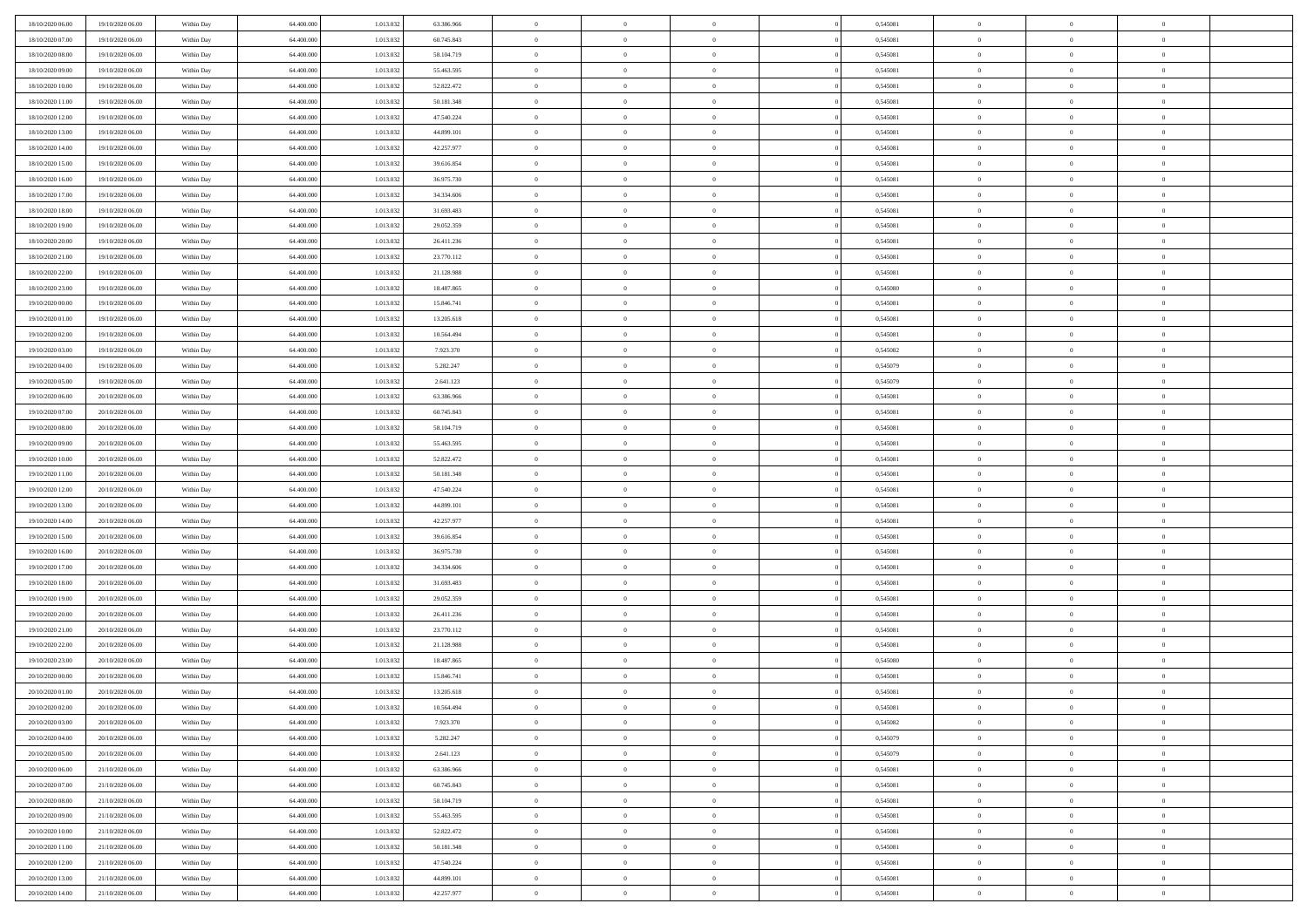| 18/10/2020 06:00                     | 19/10/2020 06:00                     | Within Day | 64.400.000 | 1.013.03  | 63.386.966 | $\bf{0}$                   | $\bf{0}$                         | $\overline{0}$                   | 0,545081 | $\bf{0}$       | $\overline{0}$ | $\bf{0}$       |  |
|--------------------------------------|--------------------------------------|------------|------------|-----------|------------|----------------------------|----------------------------------|----------------------------------|----------|----------------|----------------|----------------|--|
| 18/10/2020 07:00                     | 19/10/2020 06:00                     | Within Day | 64,400,000 | 1.013.03  | 60.745.843 | $\overline{0}$             | $\overline{0}$                   | $\Omega$                         | 0,545081 | $\overline{0}$ | $\theta$       | $\theta$       |  |
| 18/10/2020 08:00                     | 19/10/2020 06:00                     | Within Day | 64.400.000 | 1.013.032 | 58.104.719 | $\overline{0}$             | $\overline{0}$                   | $\overline{0}$                   | 0,545081 | $\mathbf{0}$   | $\overline{0}$ | $\theta$       |  |
| 18/10/2020 09:00                     | 19/10/2020 06:00                     | Within Day | 64.400.000 | 1.013.032 | 55.463.595 | $\bf{0}$                   | $\overline{0}$                   | $\overline{0}$                   | 0,545081 | $\mathbf{0}$   | $\overline{0}$ | $\bf{0}$       |  |
| 18/10/2020 10:00                     | 19/10/2020 06:00                     | Within Day | 64,400,000 | 1.013.03  | 52.822.472 | $\bf{0}$                   | $\overline{0}$                   | $\overline{0}$                   | 0,545081 | $\bf{0}$       | $\overline{0}$ | $\bf{0}$       |  |
| 18/10/2020 11:00                     | 19/10/2020 06:00                     | Within Day | 64.400.000 | 1.013.032 | 50.181.348 | $\overline{0}$             | $\overline{0}$                   | $\overline{0}$                   | 0,545081 | $\mathbf{0}$   | $\overline{0}$ | $\theta$       |  |
| 18/10/2020 12:00                     | 19/10/2020 06:00                     | Within Day | 64.400.000 | 1.013.032 | 47.540.224 | $\bf{0}$                   | $\overline{0}$                   | $\overline{0}$                   | 0,545081 | $\bf{0}$       | $\overline{0}$ | $\bf{0}$       |  |
| 18/10/2020 13:00                     | 19/10/2020 06:00                     | Within Day | 64,400,000 | 1.013.03  | 44.899.101 | $\overline{0}$             | $\overline{0}$                   | $\overline{0}$                   | 0,545081 | $\mathbf{0}$   | $\theta$       | $\theta$       |  |
| 18/10/2020 14:00                     | 19/10/2020 06:00                     | Within Day | 64.400.000 | 1.013.032 | 42.257.977 | $\overline{0}$             | $\overline{0}$                   | $\overline{0}$                   | 0,545081 | $\mathbf{0}$   | $\overline{0}$ | $\theta$       |  |
| 18/10/2020 15:00                     | 19/10/2020 06:00                     |            | 64.400.000 | 1.013.032 | 39.616.854 | $\bf{0}$                   | $\bf{0}$                         | $\Omega$                         | 0,545081 | $\bf{0}$       | $\overline{0}$ | $\bf{0}$       |  |
|                                      |                                      | Within Day | 64,400,000 |           |            |                            |                                  |                                  |          |                | $\theta$       | $\theta$       |  |
| 18/10/2020 16:00<br>18/10/2020 17:00 | 19/10/2020 06:00                     | Within Day |            | 1.013.032 | 36.975.730 | $\bf{0}$<br>$\overline{0}$ | $\overline{0}$<br>$\overline{0}$ | $\overline{0}$                   | 0,545081 | $\mathbf{0}$   |                | $\theta$       |  |
| 18/10/2020 18:00                     | 19/10/2020 06:00                     | Within Day | 64.400.000 | 1.013.032 | 34.334.606 |                            |                                  | $\overline{0}$<br>$\overline{0}$ | 0,545081 | $\mathbf{0}$   | $\overline{0}$ |                |  |
|                                      | 19/10/2020 06:00                     | Within Day | 64.400.000 | 1.013.032 | 31.693.483 | $\bf{0}$                   | $\overline{0}$                   |                                  | 0,545081 | $\mathbf{0}$   | $\overline{0}$ | $\bf{0}$       |  |
| 18/10/2020 19:00                     | 19/10/2020 06:00                     | Within Day | 64,400,000 | 1.013.03  | 29.052.359 | $\bf{0}$                   | $\overline{0}$                   | $\overline{0}$                   | 0,545081 | $\bf{0}$       | $\theta$       | $\bf{0}$       |  |
| 18/10/2020 20:00                     | 19/10/2020 06:00                     | Within Day | 64.400.000 | 1.013.032 | 26.411.236 | $\overline{0}$             | $\overline{0}$                   | $\overline{0}$                   | 0,545081 | $\overline{0}$ | $\overline{0}$ | $\theta$       |  |
| 18/10/2020 21.00                     | 19/10/2020 06:00                     | Within Day | 64.400.000 | 1.013.032 | 23.770.112 | $\bf{0}$                   | $\overline{0}$                   | $\Omega$                         | 0,545081 | $\bf{0}$       | $\overline{0}$ | $\bf{0}$       |  |
| 18/10/2020 22.00                     | 19/10/2020 06:00                     | Within Day | 64,400,000 | 1.013.032 | 21.128.988 | $\,$ 0 $\,$                | $\overline{0}$                   | $\overline{0}$                   | 0,545081 | $\mathbf{0}$   | $\theta$       | $\theta$       |  |
| 18/10/2020 23:00                     | 19/10/2020 06:00                     | Within Day | 64.400.000 | 1.013.032 | 18.487.865 | $\overline{0}$             | $\overline{0}$                   | $\overline{0}$                   | 0,545080 | $\mathbf{0}$   | $\overline{0}$ | $\theta$       |  |
| 19/10/2020 00:00                     | 19/10/2020 06:00                     | Within Day | 64.400.000 | 1.013.03  | 15.846.741 | $\bf{0}$                   | $\overline{0}$                   | $\Omega$                         | 0,545081 | $\bf{0}$       | $\overline{0}$ | $\bf{0}$       |  |
| 19/10/2020 01:00                     | 19/10/2020 06:00                     | Within Day | 64,400,000 | 1.013.03  | 13.205.618 | $\bf{0}$                   | $\overline{0}$                   | $\overline{0}$                   | 0,545081 | $\mathbf{0}$   | $\mathbf{0}$   | $\overline{0}$ |  |
| 19/10/2020 02.00                     | 19/10/2020 06:00                     | Within Day | 64.400.000 | 1.013.032 | 10.564.494 | $\overline{0}$             | $\overline{0}$                   | $\overline{0}$                   | 0,545081 | $\mathbf{0}$   | $\overline{0}$ | $\theta$       |  |
| 19/10/2020 03:00                     | 19/10/2020 06:00                     | Within Day | 64.400.000 | 1.013.032 | 7.923.370  | $\bf{0}$                   | $\overline{0}$                   | $\overline{0}$                   | 0,545082 | $\mathbf{0}$   | $\overline{0}$ | $\bf{0}$       |  |
| 19/10/2020 04:00                     | 19/10/2020 06:00                     | Within Day | 64,400,000 | 1.013.03  | 5.282.247  | $\bf{0}$                   | $\overline{0}$                   | $\overline{0}$                   | 0,545079 | $\,$ 0 $\,$    | $\overline{0}$ | $\bf{0}$       |  |
| 19/10/2020 05:00                     | 19/10/2020 06:00                     | Within Day | 64.400.000 | 1.013.032 | 2.641.123  | $\overline{0}$             | $\overline{0}$                   | $\overline{0}$                   | 0,545079 | $\mathbf{0}$   | $\overline{0}$ | $\theta$       |  |
| 19/10/2020 06:00                     | 20/10/2020 06:00                     | Within Day | 64.400.000 | 1.013.032 | 63.386.966 | $\bf{0}$                   | $\overline{0}$                   | $\overline{0}$                   | 0,545081 | $\bf{0}$       | $\overline{0}$ | $\bf{0}$       |  |
| 19/10/2020 07:00                     | 20/10/2020 06:00                     | Within Day | 64,400,000 | 1.013.03  | 60.745.843 | $\,$ 0 $\,$                | $\overline{0}$                   | $\overline{0}$                   | 0,545081 | $\mathbf{0}$   | $\overline{0}$ | $\overline{0}$ |  |
| 19/10/2020 08:00                     | 20/10/2020 06:00                     | Within Day | 64.400.000 | 1.013.032 | 58.104.719 | $\overline{0}$             | $\overline{0}$                   | $\overline{0}$                   | 0,545081 | $\mathbf{0}$   | $\overline{0}$ | $\theta$       |  |
| 19/10/2020 09:00                     | 20/10/2020 06:00                     | Within Day | 64.400.000 | 1.013.032 | 55.463.595 | $\bf{0}$                   | $\overline{0}$                   | $\Omega$                         | 0,545081 | $\mathbf{0}$   | $\overline{0}$ | $\bf{0}$       |  |
| 19/10/2020 10:00                     | 20/10/2020 06:00                     | Within Day | 64,400,000 | 1.013.032 | 52.822.472 | $\bf{0}$                   | $\overline{0}$                   | $\overline{0}$                   | 0,545081 | $\mathbf{0}$   | $\theta$       | $\overline{0}$ |  |
| 19/10/2020 11:00                     | 20/10/2020 06:00                     | Within Day | 64.400.000 | 1.013.032 | 50.181.348 | $\overline{0}$             | $\overline{0}$                   | $\overline{0}$                   | 0,545081 | $\mathbf{0}$   | $\overline{0}$ | $\theta$       |  |
| 19/10/2020 12:00                     | 20/10/2020 06:00                     | Within Day | 64.400.000 | 1.013.032 | 47.540.224 | $\,$ 0                     | $\overline{0}$                   | $\overline{0}$                   | 0,545081 | $\,$ 0 $\,$    | $\overline{0}$ | $\,0\,$        |  |
| 19/10/2020 13:00                     | 20/10/2020 06:00                     | Within Day | 64,400,000 | 1.013.03  | 44.899.101 | $\bf{0}$                   | $\overline{0}$                   | $\overline{0}$                   | 0,545081 | $\,$ 0 $\,$    | $\overline{0}$ | $\bf{0}$       |  |
| 19/10/2020 14:00                     | 20/10/2020 06:00                     | Within Day | 64.400.000 | 1.013.032 | 42.257.977 | $\overline{0}$             | $\overline{0}$                   | $\overline{0}$                   | 0,545081 | $\mathbf{0}$   | $\overline{0}$ | $\theta$       |  |
| 19/10/2020 15:00                     | 20/10/2020 06:00                     | Within Day | 64.400.000 | 1.013.032 | 39.616.854 | $\,$ 0                     | $\overline{0}$                   | $\theta$                         | 0,545081 | $\,$ 0         | $\overline{0}$ | $\mathbf{0}$   |  |
| 19/10/2020 16:00                     | 20/10/2020 06:00                     | Within Day | 64,400,000 | 1.013.032 | 36.975.730 | $\bf{0}$                   | $\overline{0}$                   | $\overline{0}$                   | 0,545081 | $\mathbf{0}$   | $\overline{0}$ | $\overline{0}$ |  |
| 19/10/2020 17:00                     | 20/10/2020 06:00                     | Within Day | 64.400.000 | 1.013.032 | 34.334.606 | $\overline{0}$             | $\overline{0}$                   | $\overline{0}$                   | 0,545081 | $\mathbf{0}$   | $\overline{0}$ | $\theta$       |  |
| 19/10/2020 18:00                     | 20/10/2020 06:00                     | Within Day | 64.400.000 | 1.013.032 | 31.693.483 | $\overline{0}$             | $\overline{0}$                   | $\overline{0}$                   | 0,545081 | $\,$ 0 $\,$    | $\overline{0}$ | $\mathbf{0}$   |  |
| 19/10/2020 19:00                     | 20/10/2020 06:00                     | Within Day | 64,400,000 | 1.013.03  | 29.052.359 | $\bf{0}$                   | $\overline{0}$                   | $\overline{0}$                   | 0,545081 | $\mathbf{0}$   | $\mathbf{0}$   | $\overline{0}$ |  |
| 19/10/2020 20:00                     | 20/10/2020 06:00                     | Within Day | 64.400.000 | 1.013.032 | 26.411.236 | $\overline{0}$             | $\overline{0}$                   | $\overline{0}$                   | 0,545081 | $\mathbf{0}$   | $\overline{0}$ | $\theta$       |  |
| 19/10/2020 21:00                     | 20/10/2020 06:00                     | Within Day | 64.400.000 | 1.013.032 | 23.770.112 | $\,$ 0                     | $\overline{0}$                   | $\overline{0}$                   | 0,545081 | $\,$ 0 $\,$    | $\overline{0}$ | $\,0\,$        |  |
| 19/10/2020 22:00                     | 20/10/2020 06:00                     | Within Day | 64,400,000 | 1.013.03  | 21.128.988 | $\,$ 0 $\,$                | $\,$ 0 $\,$                      | $\overline{0}$                   | 0,545081 | $\,$ 0 $\,$    | $\overline{0}$ | $\overline{0}$ |  |
| 19/10/2020 23.00                     | 20/10/2020 06:00                     | Within Day | 64.400.000 | 1.013.032 | 18.487.865 | $\overline{0}$             | $\overline{0}$                   | $\overline{0}$                   | 0,545080 | $\mathbf{0}$   | $\overline{0}$ | $\theta$       |  |
| 20/10/2020 00:00                     | 20/10/2020 06:00                     | Within Day | 64.400.000 | 1.013.032 | 15.846.741 | $\overline{0}$             | $\overline{0}$                   | $\overline{0}$                   | 0,545081 | $\,$ 0         | $\overline{0}$ | $\mathbf{0}$   |  |
| 20/10/2020 01:00                     | 20/10/2020 06:00                     | Within Day | 64,400,000 | 1.013.03  | 13.205.618 | $\bf{0}$                   | $\overline{0}$                   | $\overline{0}$                   | 0,545081 | $\mathbf{0}$   | $\overline{0}$ | $\overline{0}$ |  |
| 20/10/2020 02:00                     | 20/10/2020 06:00                     | Within Day | 64.400.000 | 1.013.032 | 10.564.494 | $\overline{0}$             | $\theta$                         |                                  | 0,545081 | $\overline{0}$ | $\Omega$       | $\overline{0}$ |  |
| 20/10/2020 03:00                     | 20/10/2020 06:00                     | Within Day | 64.400.000 | 1.013.032 | 7.923.370  | $\,$ 0 $\,$                | $\overline{0}$                   | $\overline{0}$                   | 0,545082 | $\,$ 0 $\,$    | $\bf{0}$       | $\,0\,$        |  |
| 20/10/2020 04:00                     | 20/10/2020 06:00                     | Within Day | 64.400.000 | 1.013.03  | 5.282.247  | $\mathbf{0}$               | $\overline{0}$                   | $\overline{0}$                   | 0,545079 | $\,$ 0 $\,$    | $\overline{0}$ | $\overline{0}$ |  |
| 20/10/2020 05:00                     | 20/10/2020 06:00                     | Within Day | 64.400.000 | 1.013.032 | 2.641.123  | $\mathbf{0}$               | $\overline{0}$                   | $\overline{0}$                   | 0,545079 | $\mathbf{0}$   | $\bf{0}$       | $\overline{0}$ |  |
| 20/10/2020 06:00                     | 21/10/2020 06:00                     | Within Day | 64.400.000 | 1.013.032 | 63.386.966 | $\,$ 0 $\,$                | $\overline{0}$                   | $\overline{0}$                   | 0,545081 | $\,$ 0 $\,$    | $\bf{0}$       | $\theta$       |  |
| 20/10/2020 07:00                     | 21/10/2020 06.00                     | Within Day | 64.400.000 | 1.013.032 | 60.745.843 | $\,$ 0 $\,$                | $\,$ 0 $\,$                      | $\overline{0}$                   | 0,545081 | $\,$ 0 $\,$    | $\overline{0}$ | $\overline{0}$ |  |
| 20/10/2020 08:00                     | 21/10/2020 06:00                     | Within Day | 64.400.000 | 1.013.032 | 58.104.719 | $\mathbf{0}$               | $\overline{0}$                   | $\overline{0}$                   | 0,545081 | $\mathbf{0}$   | $\bf{0}$       | $\overline{0}$ |  |
| 20/10/2020 09:00                     | 21/10/2020 06:00                     |            | 64.400.000 | 1.013.032 | 55.463.595 | $\,$ 0 $\,$                | $\overline{0}$                   | $\overline{0}$                   | 0,545081 | $\,$ 0 $\,$    | $\mathbf{0}$   | $\theta$       |  |
|                                      |                                      | Within Day | 64,400,000 | 1.013.032 |            | $\mathbf{0}$               | $\overline{0}$                   |                                  |          |                | $\overline{0}$ |                |  |
| 20/10/2020 10:00                     | 21/10/2020 06.00<br>21/10/2020 06:00 | Within Day |            | 1.013.032 | 52.822.472 | $\mathbf{0}$               |                                  | $\overline{0}$                   | 0,545081 | $\,$ 0 $\,$    |                | $\overline{0}$ |  |
| 20/10/2020 11:00                     |                                      | Within Day | 64.400.000 |           | 50.181.348 |                            | $\overline{0}$                   | $\overline{0}$                   | 0,545081 | $\mathbf{0}$   | $\bf{0}$       | $\overline{0}$ |  |
| 20/10/2020 12:00                     | 21/10/2020 06:00                     | Within Day | 64.400.000 | 1.013.032 | 47.540.224 | $\,$ 0 $\,$                | $\overline{0}$                   | $\overline{0}$                   | 0,545081 | $\,$ 0 $\,$    | $\mathbf{0}$   | $\theta$       |  |
| 20/10/2020 13:00                     | 21/10/2020 06.00                     | Within Day | 64,400,000 | 1.013.032 | 44.899.101 | $\mathbf{0}$               | $\overline{0}$                   | $\overline{0}$                   | 0,545081 | $\,$ 0 $\,$    | $\overline{0}$ | $\overline{0}$ |  |
| 20/10/2020 14:00                     | 21/10/2020 06:00                     | Within Day | 64.400.000 | 1.013.032 | 42.257.977 | $\overline{0}$             | $\overline{0}$                   | $\overline{0}$                   | 0,545081 | $\mathbf{0}$   | $\mathbf{0}$   | $\overline{0}$ |  |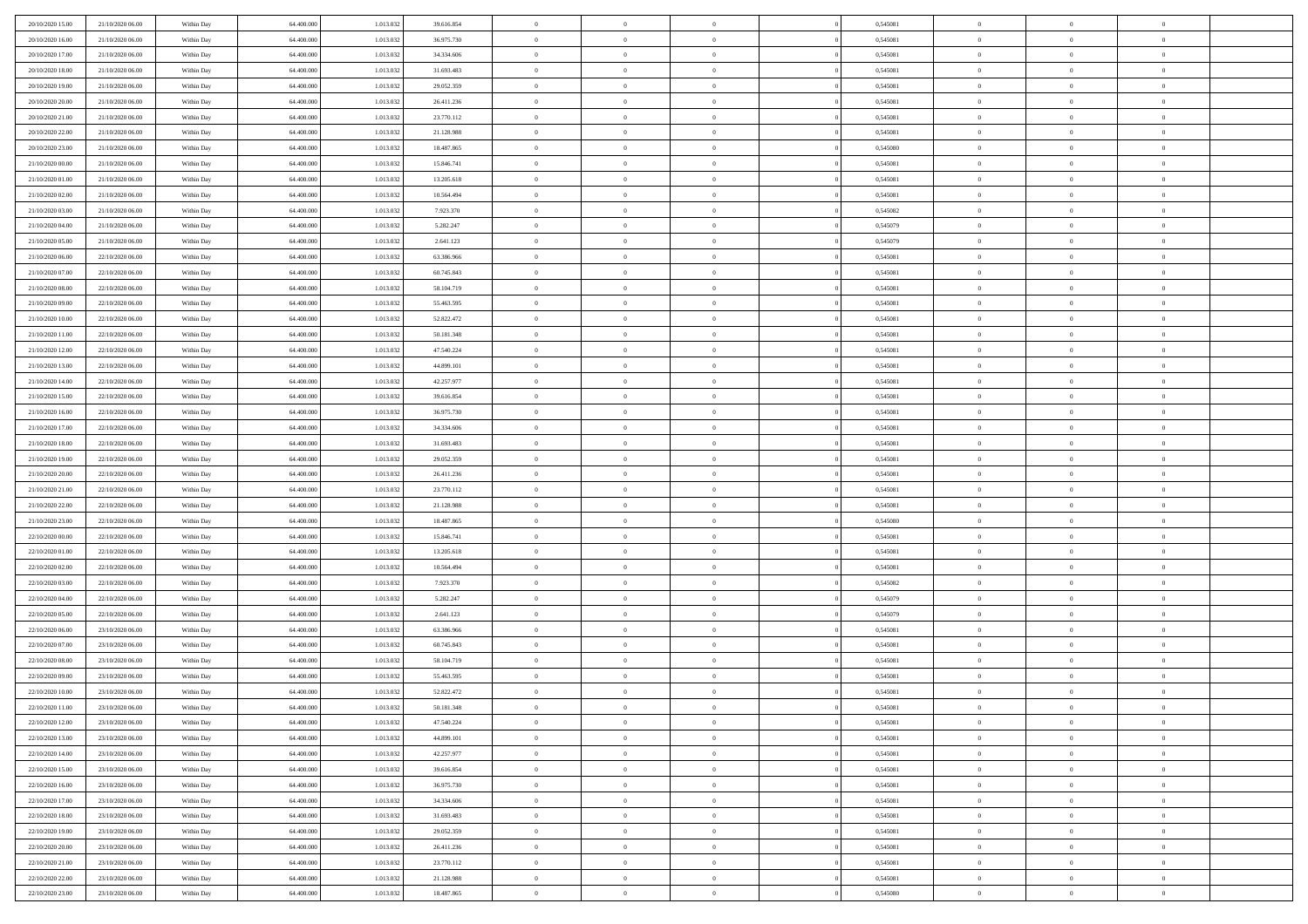| 20/10/2020 15:00                     | 21/10/2020 06.00                     | Within Day               | 64,400,000               | 1.013.032              | 39.616.854               | $\bf{0}$                      | $\overline{0}$                   | $\Omega$                         | 0,545081             | $\bf{0}$                 | $\overline{0}$             | $\bf{0}$                  |  |
|--------------------------------------|--------------------------------------|--------------------------|--------------------------|------------------------|--------------------------|-------------------------------|----------------------------------|----------------------------------|----------------------|--------------------------|----------------------------|---------------------------|--|
| 20/10/2020 16:00                     | 21/10/2020 06:00                     | Within Day               | 64.400.000               | 1.013.032              | 36.975.730               | $\theta$                      | $\overline{0}$                   | $\overline{0}$                   | 0,545081             | $\mathbf{0}$             | $\bf{0}$                   | $\overline{0}$            |  |
| 20/10/2020 17:00                     | 21/10/2020 06:00                     | Within Day               | 64.400.000               | 1.013.032              | 34.334.606               | $\theta$                      | $\overline{0}$                   | $\bf{0}$                         | 0,545081             | $\,$ 0                   | $\overline{0}$             | $\,$ 0 $\,$               |  |
| 20/10/2020 18:00                     | 21/10/2020 06.00                     | Within Day               | 64,400,000               | 1.013.032              | 31.693.483               | $\mathbf{0}$                  | $\overline{0}$                   | $\mathbf{0}$                     | 0.545081             | $\bf{0}$                 | $\mathbf{0}$               | $\theta$                  |  |
| 20/10/2020 19:00                     | 21/10/2020 06:00                     | Within Day               | 64.400.000               | 1.013.032              | 29.052.359               | $\mathbf{0}$                  | $\overline{0}$                   | $\overline{0}$                   | 0,545081             | $\mathbf{0}$             | $\bf{0}$                   | $\overline{0}$            |  |
| 20/10/2020 20:00                     | 21/10/2020 06:00                     | Within Day               | 64.400.000               | 1.013.032              | 26.411.236               | $\theta$                      | $\overline{0}$                   | $\bf{0}$                         | 0,545081             | $\,$ 0                   | $\overline{0}$             | $\,$ 0 $\,$               |  |
| 20/10/2020 21:00                     | 21/10/2020 06.00                     | Within Day               | 64,400,000               | 1.013.032              | 23.770.112               | $\,$ 0 $\,$                   | $\overline{0}$                   | $\Omega$                         | 0.545081             | $\bf{0}$                 | $\overline{0}$             | $\theta$                  |  |
| 20/10/2020 22.00                     | 21/10/2020 06:00                     | Within Day               | 64.400.000               | 1.013.032              | 21.128.988               | $\overline{0}$                | $\overline{0}$                   | $\overline{0}$                   | 0,545081             | $\mathbf{0}$             | $\bf{0}$                   | $\overline{0}$            |  |
| 20/10/2020 23:00                     | 21/10/2020 06:00                     | Within Day               | 64.400.000               | 1.013.032              | 18.487.865               | $\theta$                      | $\overline{0}$                   | $\overline{0}$                   | 0,545080             | $\,$ 0                   | $\overline{0}$             | $\,$ 0 $\,$               |  |
| 21/10/2020 00:00                     | 21/10/2020 06.00                     | Within Day               | 64,400,000               | 1.013.032              | 15.846.741               | $\mathbf{0}$                  | $\overline{0}$                   | $\mathbf{0}$                     | 0.545081             | $\bf{0}$                 | $\mathbf{0}$               | $\theta$                  |  |
| 21/10/2020 01:00                     | 21/10/2020 06:00                     | Within Day               | 64.400.000               | 1.013.032              | 13.205.618               | $\mathbf{0}$                  | $\overline{0}$                   | $\overline{0}$                   | 0,545081             | $\mathbf{0}$             | $\bf{0}$                   | $\overline{0}$            |  |
| 21/10/2020 02:00                     | 21/10/2020 06:00                     | Within Day               | 64.400.000               | 1.013.032              | 10.564.494               | $\theta$                      | $\overline{0}$                   | $\bf{0}$                         | 0,545081             | $\,$ 0                   | $\overline{0}$             | $\,$ 0 $\,$               |  |
| 21/10/2020 03:00                     | 21/10/2020 06.00                     | Within Day               | 64,400,000               | 1.013.032              | 7.923.370                | $\theta$                      | $\overline{0}$                   | $\mathbf{0}$                     | 0.545082             | $\bf{0}$                 | $\mathbf{0}$               | $\theta$                  |  |
| 21/10/2020 04:00                     | 21/10/2020 06:00                     | Within Day               | 64.400.000               | 1.013.032              | 5.282.247                | $\overline{0}$                | $\overline{0}$                   | $\overline{0}$                   | 0,545079             | $\mathbf{0}$             | $\bf{0}$                   | $\overline{0}$            |  |
| 21/10/2020 05:00                     | 21/10/2020 06:00                     | Within Day               | 64.400.000               | 1.013.032              | 2.641.123                | $\theta$                      | $\overline{0}$                   | $\overline{0}$                   | 0,545079             | $\,$ 0                   | $\overline{0}$             | $\,$ 0 $\,$               |  |
| 21/10/2020 06:00                     | 22/10/2020 06.00                     | Within Day               | 64,400,000               | 1.013.032              | 63,386,966               | $\bf{0}$                      | $\overline{0}$                   | $\mathbf{0}$                     | 0.545081             | $\bf{0}$                 | $\mathbf{0}$               | $\bf{0}$                  |  |
| 21/10/2020 07:00                     | 22/10/2020 06:00                     | Within Day               | 64.400.000               | 1.013.032              | 60.745.843               | $\overline{0}$                | $\overline{0}$                   | $\overline{0}$                   | 0,545081             | $\mathbf{0}$             | $\bf{0}$                   | $\overline{0}$            |  |
| 21/10/2020 08:00                     | 22/10/2020 06:00                     | Within Day               | 64.400.000               | 1.013.032              | 58.104.719               | $\theta$                      | $\overline{0}$                   | $\bf{0}$                         | 0,545081             | $\,$ 0                   | $\overline{0}$             | $\,$ 0 $\,$               |  |
| 21/10/2020 09:00                     | 22/10/2020 06.00                     | Within Day               | 64,400,000               | 1.013.032              | 55.463.595               | $\mathbf{0}$                  | $\overline{0}$                   | $\mathbf{0}$                     | 0.545081             | $\bf{0}$                 | $\mathbf{0}$               | $\theta$                  |  |
| 21/10/2020 10:00                     | 22/10/2020 06:00                     | Within Day               | 64.400.000               | 1.013.032              | 52.822.472               | $\overline{0}$                | $\overline{0}$                   | $\overline{0}$                   | 0,545081             | $\mathbf{0}$             | $\bf{0}$                   | $\overline{0}$            |  |
| 21/10/2020 11:00                     | 22/10/2020 06:00                     | Within Day               | 64.400.000               | 1.013.032              | 50.181.348               | $\theta$                      | $\overline{0}$                   | $\bf{0}$                         | 0,545081             | $\,$ 0                   | $\overline{0}$             | $\,$ 0 $\,$               |  |
| 21/10/2020 12:00                     | 22/10/2020 06.00                     | Within Day               | 64,400,000               | 1.013.032              | 47.540.224               | $\theta$                      | $\overline{0}$                   | $\mathbf{0}$                     | 0.545081             | $\bf{0}$                 | $\mathbf{0}$               | $\theta$                  |  |
| 21/10/2020 13:00                     | 22/10/2020 06:00                     | Within Day               | 64.400.000               | 1.013.032              | 44.899.101               | $\overline{0}$                | $\overline{0}$                   | $\overline{0}$                   | 0,545081             | $\mathbf{0}$             | $\bf{0}$                   | $\overline{0}$            |  |
| 21/10/2020 14:00                     | 22/10/2020 06:00                     | Within Day               | 64.400.000               | 1.013.032              | 42.257.977               | $\theta$                      | $\overline{0}$                   | $\bf{0}$                         | 0,545081             | $\,$ 0                   | $\overline{0}$             | $\,$ 0 $\,$               |  |
| 21/10/2020 15:00                     | 22/10/2020 06:00                     | Within Day               | 64,400,000               | 1.013.032              | 39.616.854               | $\bf{0}$                      | $\overline{0}$                   | $\mathbf{0}$                     | 0.545081             | $\bf{0}$                 | $\overline{0}$             | $\bf{0}$                  |  |
| 21/10/2020 16:00                     | 22/10/2020 06:00                     | Within Day               | 64.400.000               | 1.013.032              | 36.975.730               | $\overline{0}$                | $\overline{0}$                   | $\overline{0}$                   | 0,545081             | $\mathbf{0}$             | $\bf{0}$                   | $\overline{0}$            |  |
| 21/10/2020 17:00                     | 22/10/2020 06:00                     | Within Day               | 64.400.000               | 1.013.032              | 34.334.606               | $\theta$                      | $\overline{0}$                   | $\overline{0}$                   | 0,545081             | $\,$ 0                   | $\overline{0}$             | $\,$ 0 $\,$               |  |
| 21/10/2020 18:00                     | 22/10/2020 06.00                     | Within Day               | 64,400,000               | 1.013.032              | 31,693,483               | $\mathbf{0}$                  | $\overline{0}$                   | $\mathbf{0}$                     | 0.545081             | $\bf{0}$                 | $\mathbf{0}$               | $\theta$                  |  |
| 21/10/2020 19:00                     | 22/10/2020 06:00                     | Within Day               | 64.400.000               | 1.013.032              | 29.052.359               | $\mathbf{0}$                  | $\overline{0}$                   | $\overline{0}$                   | 0,545081             | $\mathbf{0}$             | $\bf{0}$                   | $\overline{0}$            |  |
| 21/10/2020 20:00                     | 22/10/2020 06:00                     | Within Day               | 64.400.000               | 1.013.032              | 26.411.236               | $\theta$                      | $\overline{0}$                   | $\bf{0}$                         | 0,545081             | $\,$ 0                   | $\overline{0}$             | $\,$ 0 $\,$               |  |
| 21/10/2020 21:00                     | 22/10/2020 06:00                     | Within Day               | 64.400.000               | 1.013.032              | 23.770.112               | $\bf{0}$                      | $\overline{0}$                   | $\overline{0}$                   | 0,545081             | $\bf{0}$                 | $\overline{0}$             | $\,0\,$                   |  |
| 21/10/2020 22.00                     | 22/10/2020 06:00                     | Within Day               | 64.400.000               | 1.013.032              | 21.128.988               | $\overline{0}$                | $\overline{0}$                   | $\overline{0}$                   | 0,545081             | $\mathbf{0}$             | $\bf{0}$                   | $\overline{0}$            |  |
| 21/10/2020 23:00                     | 22/10/2020 06:00                     | Within Day               | 64.400.000               | 1.013.032              | 18.487.865               | $\theta$                      | $\overline{0}$                   | $\overline{0}$                   | 0,545080             | $\,$ 0                   | $\overline{0}$             | $\,$ 0 $\,$               |  |
| 22/10/2020 00:00                     | 22/10/2020 06.00                     | Within Day               | 64.400.000               | 1.013.032              | 15.846.741               | $\,$ 0 $\,$                   | $\overline{0}$                   | $\overline{0}$                   | 0,545081             | $\bf{0}$                 | $\overline{0}$             | $\,0\,$                   |  |
| 22/10/2020 01:00                     | 22/10/2020 06:00                     | Within Day               | 64.400.000               | 1.013.032              | 13.205.618               | $\theta$                      | $\overline{0}$                   | $\overline{0}$                   | 0,545081             | $\mathbf{0}$             | $\bf{0}$                   | $\overline{0}$            |  |
| 22/10/2020 02:00                     | 22/10/2020 06:00                     | Within Day               | 64.400.000               | 1.013.032              | 10.564.494               | $\theta$                      | $\overline{0}$                   | $\bf{0}$                         | 0,545081             | $\,$ 0                   | $\overline{0}$             | $\,$ 0 $\,$               |  |
| 22/10/2020 03:00<br>22/10/2020 04:00 | 22/10/2020 06:00<br>22/10/2020 06:00 | Within Day<br>Within Day | 64.400.000<br>64.400.000 | 1.013.032<br>1.013.032 | 7.923.370<br>5.282.247   | $\,$ 0 $\,$<br>$\overline{0}$ | $\overline{0}$<br>$\overline{0}$ | $\overline{0}$<br>$\overline{0}$ | 0,545082<br>0,545079 | $\bf{0}$<br>$\mathbf{0}$ | $\overline{0}$<br>$\bf{0}$ | $\,0\,$<br>$\overline{0}$ |  |
| 22/10/2020 05:00                     | 22/10/2020 06:00                     |                          | 64.400.000               | 1.013.032              | 2.641.123                | $\theta$                      | $\overline{0}$                   | $\bf{0}$                         | 0,545079             | $\,$ 0                   | $\overline{0}$             | $\,$ 0 $\,$               |  |
|                                      | 23/10/2020 06:00                     | Within Day               |                          |                        |                          | $\,$ 0 $\,$                   |                                  | $\overline{0}$                   |                      | $\bf{0}$                 | $\overline{0}$             | $\,0\,$                   |  |
| 22/10/2020 06:00<br>22/10/2020 07:00 | 23/10/2020 06:00                     | Within Day<br>Within Day | 64.400.000<br>64.400.000 | 1.013.032<br>1.013.032 | 63.386.966<br>60.745.843 | $\theta$                      | $\overline{0}$<br>$\overline{0}$ | $\overline{0}$                   | 0,545081<br>0,545081 | $\mathbf{0}$             | $\bf{0}$                   | $\overline{0}$            |  |
| 22/10/2020 08:00                     | 23/10/2020 06:00                     | Within Day               | 64.400.000               | 1.013.032              | 58.104.719               | $\theta$                      | $\overline{0}$                   | $\bf{0}$                         | 0,545081             | $\,$ 0                   | $\overline{0}$             | $\,$ 0 $\,$               |  |
| 22/10/2020 09:00                     | 23/10/2020 06:00                     | Within Day               | 64.400.000               | 1.013.032              | 55.463.595               | $\,$ 0 $\,$                   | $\overline{0}$                   | $\overline{0}$                   | 0,545081             | $\bf{0}$                 | $\overline{0}$             | $\,0\,$                   |  |
| 22/10/2020 10:00                     | 23/10/2020 06:00                     | Within Dav               | 64.400.000               | 1.013.032              | 52.822.472               | $\theta$                      | $\overline{0}$                   | $\overline{0}$                   | 0,545081             | $\mathbf{0}$             | $\bf{0}$                   | $\overline{0}$            |  |
| 22/10/2020 11:00                     | 23/10/2020 06:00                     | Within Day               | 64.400.000               | 1.013.032              | 50.181.348               | $\overline{0}$                | $\overline{0}$                   | $\Omega$                         | 0,545081             | $\overline{0}$           | $\overline{0}$             | $\theta$                  |  |
| 22/10/2020 12:00                     | 23/10/2020 06.00                     | Within Day               | 64.400.000               | 1.013.032              | 47.540.224               | $\bf{0}$                      | $\overline{0}$                   | $\overline{0}$                   | 0,545081             | $\mathbf{0}$             | $\overline{0}$             | $\bf{0}$                  |  |
| 22/10/2020 13:00                     | 23/10/2020 06:00                     | Within Day               | 64.400.000               | 1.013.032              | 44.899.101               | $\overline{0}$                | $\overline{0}$                   | $\overline{0}$                   | 0,545081             | $\overline{0}$           | $\overline{0}$             | $\overline{0}$            |  |
| 22/10/2020 14:00                     | 23/10/2020 06:00                     | Within Day               | 64.400.000               | 1.013.032              | 42.257.977               | $\,$ 0 $\,$                   | $\overline{0}$                   | $\overline{0}$                   | 0,545081             | $\,$ 0 $\,$              | $\,$ 0 $\,$                | $\,$ 0 $\,$               |  |
| 22/10/2020 15:00                     | 23/10/2020 06.00                     | Within Day               | 64.400.000               | 1.013.032              | 39.616.854               | $\bf{0}$                      | $\overline{0}$                   | $\overline{0}$                   | 0,545081             | $\mathbf{0}$             | $\overline{0}$             | $\bf{0}$                  |  |
| 22/10/2020 16:00                     | 23/10/2020 06:00                     | Within Day               | 64.400.000               | 1.013.032              | 36.975.730               | $\,$ 0 $\,$                   | $\overline{0}$                   | $\overline{0}$                   | 0,545081             | $\,$ 0 $\,$              | $\bf{0}$                   | $\overline{0}$            |  |
| 22/10/2020 17:00                     | 23/10/2020 06:00                     | Within Day               | 64.400.000               | 1.013.032              | 34.334.606               | $\,$ 0                        | $\overline{0}$                   | $\overline{0}$                   | 0,545081             | $\,$ 0 $\,$              | $\overline{0}$             | $\,$ 0 $\,$               |  |
| 22/10/2020 18:00                     | 23/10/2020 06:00                     | Within Day               | 64.400.000               | 1.013.032              | 31.693.483               | $\bf{0}$                      | $\overline{0}$                   | $\overline{0}$                   | 0,545081             | $\overline{0}$           | $\overline{0}$             | $\overline{0}$            |  |
| 22/10/2020 19:00                     | 23/10/2020 06:00                     | Within Day               | 64.400.000               | 1.013.032              | 29.052.359               | $\,$ 0 $\,$                   | $\overline{0}$                   | $\overline{0}$                   | 0,545081             | $\,$ 0 $\,$              | $\bf{0}$                   | $\overline{0}$            |  |
| 22/10/2020 20:00                     | 23/10/2020 06:00                     | Within Day               | 64.400.000               | 1.013.032              | 26.411.236               | $\,$ 0                        | $\overline{0}$                   | $\overline{0}$                   | 0,545081             | $\,$ 0 $\,$              | $\,$ 0 $\,$                | $\,$ 0 $\,$               |  |
| 22/10/2020 21:00                     | 23/10/2020 06:00                     | Within Day               | 64.400.000               | 1.013.032              | 23.770.112               | $\bf{0}$                      | $\overline{0}$                   | $\overline{0}$                   | 0,545081             | $\mathbf{0}$             | $\overline{0}$             | $\bf{0}$                  |  |
| 22/10/2020 22.00                     | 23/10/2020 06:00                     | Within Day               | 64.400.000               | 1.013.032              | 21.128.988               | $\mathbf{0}$                  | $\overline{0}$                   | $\overline{0}$                   | 0,545081             | $\overline{0}$           | $\bf{0}$                   | $\overline{0}$            |  |
| 22/10/2020 23:00                     | 23/10/2020 06:00                     | Within Day               | 64.400.000               | 1.013.032              | 18.487.865               | $\,$ 0 $\,$                   | $\overline{0}$                   | $\overline{0}$                   | 0,545080             | $\,$ 0 $\,$              | $\overline{0}$             | $\,$ 0 $\,$               |  |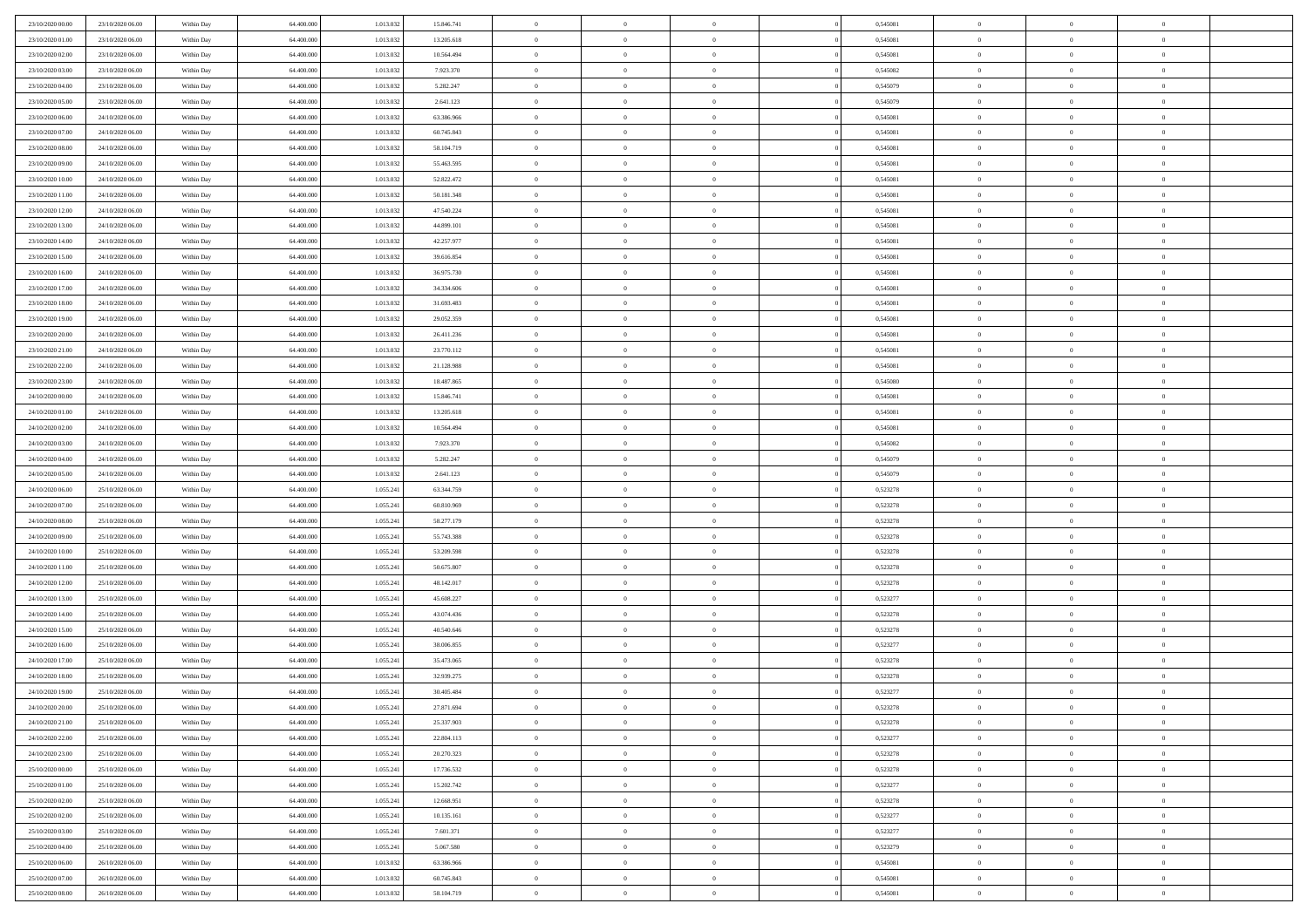| 23/10/2020 00:00                     | 23/10/2020 06.00                     | Within Day               | 64,400,000               | 1.013.032              | 15.846.741               | $\bf{0}$                      | $\overline{0}$                   | $\Omega$                         | 0,545081             | $\bf{0}$                 | $\overline{0}$             | $\bf{0}$                  |  |
|--------------------------------------|--------------------------------------|--------------------------|--------------------------|------------------------|--------------------------|-------------------------------|----------------------------------|----------------------------------|----------------------|--------------------------|----------------------------|---------------------------|--|
| 23/10/2020 01:00                     | 23/10/2020 06:00                     | Within Day               | 64.400.000               | 1.013.032              | 13.205.618               | $\theta$                      | $\overline{0}$                   | $\overline{0}$                   | 0,545081             | $\mathbf{0}$             | $\bf{0}$                   | $\overline{0}$            |  |
| 23/10/2020 02:00                     | 23/10/2020 06:00                     | Within Day               | 64.400.000               | 1.013.032              | 10.564.494               | $\theta$                      | $\overline{0}$                   | $\overline{0}$                   | 0,545081             | $\,$ 0                   | $\overline{0}$             | $\,$ 0 $\,$               |  |
| 23/10/2020 03:00                     | 23/10/2020 06.00                     | Within Day               | 64,400,000               | 1.013.032              | 7.923.370                | $\mathbf{0}$                  | $\overline{0}$                   | $\mathbf{0}$                     | 0.545082             | $\bf{0}$                 | $\mathbf{0}$               | $\theta$                  |  |
| 23/10/2020 04:00                     | 23/10/2020 06:00                     | Within Day               | 64.400.000               | 1.013.032              | 5.282.247                | $\mathbf{0}$                  | $\overline{0}$                   | $\overline{0}$                   | 0,545079             | $\mathbf{0}$             | $\bf{0}$                   | $\overline{0}$            |  |
| 23/10/2020 05:00                     | 23/10/2020 06:00                     | Within Day               | 64.400.000               | 1.013.032              | 2.641.123                | $\theta$                      | $\overline{0}$                   | $\bf{0}$                         | 0,545079             | $\,$ 0                   | $\overline{0}$             | $\,$ 0 $\,$               |  |
| 23/10/2020 06:00                     | 24/10/2020 06:00                     | Within Day               | 64,400,000               | 1.013.032              | 63,386,966               | $\,$ 0 $\,$                   | $\overline{0}$                   | $\Omega$                         | 0.545081             | $\bf{0}$                 | $\overline{0}$             | $\theta$                  |  |
| 23/10/2020 07:00                     | 24/10/2020 06:00                     | Within Day               | 64.400.000               | 1.013.032              | 60.745.843               | $\overline{0}$                | $\overline{0}$                   | $\overline{0}$                   | 0,545081             | $\mathbf{0}$             | $\bf{0}$                   | $\overline{0}$            |  |
| 23/10/2020 08:00                     | 24/10/2020 06:00                     | Within Day               | 64.400.000               | 1.013.032              | 58.104.719               | $\theta$                      | $\overline{0}$                   | $\overline{0}$                   | 0,545081             | $\,$ 0                   | $\overline{0}$             | $\,$ 0 $\,$               |  |
| 23/10/2020 09:00                     | 24/10/2020 06.00                     | Within Day               | 64,400,000               | 1.013.032              | 55.463.595               | $\mathbf{0}$                  | $\overline{0}$                   | $\mathbf{0}$                     | 0.545081             | $\bf{0}$                 | $\mathbf{0}$               | $\theta$                  |  |
| 23/10/2020 10:00                     | 24/10/2020 06:00                     | Within Dav               | 64.400.000               | 1.013.032              | 52.822.472               | $\mathbf{0}$                  | $\overline{0}$                   | $\overline{0}$                   | 0,545081             | $\mathbf{0}$             | $\bf{0}$                   | $\overline{0}$            |  |
| 23/10/2020 11:00                     | 24/10/2020 06:00                     | Within Day               | 64.400.000               | 1.013.032              | 50.181.348               | $\theta$                      | $\overline{0}$                   | $\bf{0}$                         | 0,545081             | $\,$ 0                   | $\overline{0}$             | $\,$ 0 $\,$               |  |
| 23/10/2020 12:00                     | 24/10/2020 06.00                     | Within Day               | 64,400,000               | 1.013.032              | 47.540.224               | $\theta$                      | $\overline{0}$                   | $\mathbf{0}$                     | 0.545081             | $\bf{0}$                 | $\mathbf{0}$               | $\theta$                  |  |
| 23/10/2020 13:00                     | 24/10/2020 06.00                     | Within Dav               | 64.400.000               | 1.013.032              | 44.899.101               | $\overline{0}$                | $\overline{0}$                   | $\overline{0}$                   | 0,545081             | $\mathbf{0}$             | $\bf{0}$                   | $\overline{0}$            |  |
| 23/10/2020 14:00                     | 24/10/2020 06:00                     | Within Day               | 64.400.000               | 1.013.032              | 42.257.977               | $\theta$                      | $\overline{0}$                   | $\overline{0}$                   | 0,545081             | $\,$ 0                   | $\overline{0}$             | $\,$ 0 $\,$               |  |
| 23/10/2020 15:00                     | 24/10/2020 06.00                     | Within Day               | 64,400,000               | 1.013.032              | 39.616.854               | $\bf{0}$                      | $\overline{0}$                   | $\mathbf{0}$                     | 0.545081             | $\bf{0}$                 | $\mathbf{0}$               | $\bf{0}$                  |  |
| 23/10/2020 16:00                     | 24/10/2020 06:00                     | Within Dav               | 64.400.000               | 1.013.032              | 36.975.730               | $\overline{0}$                | $\overline{0}$                   | $\overline{0}$                   | 0,545081             | $\mathbf{0}$             | $\bf{0}$                   | $\overline{0}$            |  |
| 23/10/2020 17:00                     | 24/10/2020 06:00                     | Within Day               | 64.400.000               | 1.013.032              | 34.334.606               | $\theta$                      | $\overline{0}$                   | $\bf{0}$                         | 0,545081             | $\,$ 0                   | $\overline{0}$             | $\,$ 0 $\,$               |  |
| 23/10/2020 18:00                     | 24/10/2020 06.00                     | Within Day               | 64,400,000               | 1.013.032              | 31.693.483               | $\theta$                      | $\overline{0}$                   | $\mathbf{0}$                     | 0.545081             | $\theta$                 | $\mathbf{0}$               | $\theta$                  |  |
| 23/10/2020 19:00                     | 24/10/2020 06:00                     | Within Dav               | 64.400.000               | 1.013.032              | 29.052.359               | $\overline{0}$                | $\overline{0}$                   | $\overline{0}$                   | 0,545081             | $\mathbf{0}$             | $\bf{0}$                   | $\overline{0}$            |  |
| 23/10/2020 20:00                     | 24/10/2020 06:00                     | Within Day               | 64.400.000               | 1.013.032              | 26.411.236               | $\theta$                      | $\overline{0}$                   | $\bf{0}$                         | 0,545081             | $\,$ 0                   | $\overline{0}$             | $\,$ 0 $\,$               |  |
| 23/10/2020 21:00                     | 24/10/2020 06.00                     | Within Day               | 64,400,000               | 1.013.032              | 23.770.112               | $\theta$                      | $\overline{0}$                   | $\mathbf{0}$                     | 0.545081             | $\bf{0}$                 | $\mathbf{0}$               | $\theta$                  |  |
| 23/10/2020 22.00                     | 24/10/2020 06.00                     | Within Dav               | 64.400.000               | 1.013.032              | 21.128.988               | $\overline{0}$                | $\overline{0}$                   | $\overline{0}$                   | 0,545081             | $\mathbf{0}$             | $\bf{0}$                   | $\overline{0}$            |  |
| 23/10/2020 23:00                     | 24/10/2020 06:00                     | Within Day               | 64.400.000               | 1.013.032              | 18.487.865               | $\theta$                      | $\overline{0}$                   | $\bf{0}$                         | 0,545080             | $\,$ 0                   | $\overline{0}$             | $\,$ 0 $\,$               |  |
| 24/10/2020 00:00                     | 24/10/2020 06:00                     | Within Day               | 64,400,000               | 1.013.032              | 15.846.741               | $\,$ 0 $\,$                   | $\overline{0}$                   | $\mathbf{0}$                     | 0.545081             | $\bf{0}$                 | $\overline{0}$             | $\bf{0}$                  |  |
| 24/10/2020 01:00                     | 24/10/2020 06:00                     | Within Dav               | 64.400.000               | 1.013.032              | 13.205.618               | $\overline{0}$                | $\overline{0}$                   | $\overline{0}$                   | 0,545081             | $\mathbf{0}$             | $\bf{0}$                   | $\overline{0}$            |  |
| 24/10/2020 02.00                     | 24/10/2020 06:00                     | Within Day               | 64.400.000               | 1.013.032              | 10.564.494               | $\theta$                      | $\overline{0}$                   | $\overline{0}$                   | 0,545081             | $\,$ 0                   | $\overline{0}$             | $\,$ 0 $\,$               |  |
| 24/10/2020 03.00                     | 24/10/2020 06.00                     | Within Day               | 64,400,000               | 1.013.032              | 7.923.370                | $\mathbf{0}$                  | $\overline{0}$                   | $\mathbf{0}$                     | 0.545082             | $\bf{0}$                 | $\mathbf{0}$               | $\theta$                  |  |
| 24/10/2020 04:00                     | 24/10/2020 06:00                     | Within Dav               | 64.400.000               | 1.013.032              | 5.282.247                | $\mathbf{0}$                  | $\overline{0}$                   | $\overline{0}$                   | 0,545079             | $\mathbf{0}$             | $\bf{0}$                   | $\overline{0}$            |  |
| 24/10/2020 05:00                     | 24/10/2020 06:00                     | Within Day               | 64.400.000               | 1.013.032              | 2.641.123                | $\theta$                      | $\overline{0}$                   | $\bf{0}$                         | 0,545079             | $\,$ 0                   | $\overline{0}$             | $\,$ 0 $\,$               |  |
| 24/10/2020 06.00                     | 25/10/2020 06.00                     | Within Day               | 64.400.000               | 1.055.241              | 63.344.759               | $\bf{0}$                      | $\overline{0}$                   | $\overline{0}$                   | 0,523278             | $\bf{0}$                 | $\overline{0}$             | $\,0\,$                   |  |
| 24/10/2020 07:00                     | 25/10/2020 06:00                     | Within Dav               | 64.400.000               | 1.055.241              | 60.810.969               | $\overline{0}$                | $\overline{0}$                   | $\overline{0}$                   | 0,523278             | $\mathbf{0}$             | $\bf{0}$                   | $\overline{0}$            |  |
| 24/10/2020 08:00                     | 25/10/2020 06:00                     | Within Day               | 64.400.000               | 1.055.241              | 58.277.179               | $\theta$                      | $\overline{0}$                   | $\overline{0}$                   | 0,523278             | $\,$ 0                   | $\overline{0}$             | $\,$ 0 $\,$               |  |
| 24/10/2020 09:00                     | 25/10/2020 06.00                     | Within Day               | 64.400.000               | 1.055.241              | 55.743.388               | $\,$ 0 $\,$                   | $\overline{0}$                   | $\overline{0}$                   | 0,523278             | $\bf{0}$                 | $\overline{0}$             | $\,0\,$                   |  |
| 24/10/2020 10:00                     | 25/10/2020 06:00                     | Within Dav               | 64.400.000               | 1.055.241              | 53.209.598               | $\overline{0}$                | $\overline{0}$                   | $\overline{0}$                   | 0,523278             | $\mathbf{0}$             | $\bf{0}$                   | $\overline{0}$            |  |
| 24/10/2020 11:00                     | 25/10/2020 06:00                     | Within Day               | 64.400.000               | 1.055.241              | 50.675.807               | $\theta$                      | $\overline{0}$                   | $\bf{0}$                         | 0,523278             | $\,$ 0                   | $\overline{0}$             | $\,$ 0 $\,$               |  |
| 24/10/2020 12:00<br>24/10/2020 13:00 | 25/10/2020 06:00<br>25/10/2020 06:00 | Within Day<br>Within Dav | 64.400.000<br>64.400.000 | 1.055.241<br>1.055.241 | 48.142.017<br>45.608.227 | $\,$ 0 $\,$<br>$\overline{0}$ | $\overline{0}$<br>$\overline{0}$ | $\overline{0}$<br>$\overline{0}$ | 0,523278<br>0,523277 | $\bf{0}$<br>$\mathbf{0}$ | $\overline{0}$<br>$\bf{0}$ | $\,0\,$<br>$\overline{0}$ |  |
| 24/10/2020 14:00                     | 25/10/2020 06:00                     |                          | 64.400.000               | 1.055.241              | 43.074.436               | $\theta$                      | $\overline{0}$                   | $\bf{0}$                         | 0,523278             | $\,$ 0                   | $\overline{0}$             | $\,$ 0 $\,$               |  |
| 24/10/2020 15:00                     | 25/10/2020 06:00                     | Within Day               |                          |                        |                          |                               |                                  | $\overline{0}$                   |                      |                          | $\overline{0}$             |                           |  |
| 24/10/2020 16:00                     | 25/10/2020 06:00                     | Within Day<br>Within Dav | 64.400.000<br>64.400.000 | 1.055.241<br>1.055.241 | 40.540.646<br>38.006.855 | $\,$ 0 $\,$<br>$\theta$       | $\overline{0}$<br>$\overline{0}$ | $\overline{0}$                   | 0,523278<br>0,523277 | $\bf{0}$<br>$\mathbf{0}$ | $\bf{0}$                   | $\,0\,$<br>$\overline{0}$ |  |
| 24/10/2020 17:00                     | 25/10/2020 06:00                     | Within Day               | 64.400.000               | 1.055.241              | 35.473.065               | $\theta$                      | $\overline{0}$                   | $\bf{0}$                         | 0,523278             | $\,$ 0                   | $\overline{0}$             | $\,$ 0 $\,$               |  |
| 24/10/2020 18:00                     | 25/10/2020 06:00                     | Within Day               | 64.400.000               | 1.055.241              | 32.939.275               | $\,$ 0 $\,$                   | $\overline{0}$                   | $\overline{0}$                   | 0,523278             | $\bf{0}$                 | $\overline{0}$             | $\,0\,$                   |  |
| 24/10/2020 19:00                     | 25/10/2020 06:00                     | Within Dav               | 64.400.000               | 1.055.241              | 30.405.484               | $\theta$                      | $\overline{0}$                   | $\overline{0}$                   | 0,523277             | $\mathbf{0}$             | $\bf{0}$                   | $\overline{0}$            |  |
| 24/10/2020 20:00                     | 25/10/2020 06:00                     | Within Day               | 64.400.000               | 1.055.241              | 27.871.694               | $\overline{0}$                | $\overline{0}$                   | $\Omega$                         | 0,523278             | $\overline{0}$           | $\overline{0}$             | $\theta$                  |  |
| 24/10/2020 21.00                     | 25/10/2020 06:00                     | Within Day               | 64.400.000               | 1.055.241              | 25.337.903               | $\bf{0}$                      | $\overline{0}$                   | $\overline{0}$                   | 0,523278             | $\bf{0}$                 | $\overline{0}$             | $\bf{0}$                  |  |
| 24/10/2020 22.00                     | 25/10/2020 06:00                     | Within Day               | 64.400.000               | 1.055.241              | 22.804.113               | $\overline{0}$                | $\overline{0}$                   | $\overline{0}$                   | 0,523277             | $\overline{0}$           | $\overline{0}$             | $\overline{0}$            |  |
| 24/10/2020 23:00                     | 25/10/2020 06:00                     | Within Day               | 64.400.000               | 1.055.241              | 20.270.323               | $\,$ 0 $\,$                   | $\overline{0}$                   | $\overline{0}$                   | 0,523278             | $\,$ 0 $\,$              | $\,$ 0 $\,$                | $\,$ 0 $\,$               |  |
| 25/10/2020 00:00                     | 25/10/2020 06.00                     | Within Day               | 64.400.000               | 1.055.241              | 17.736.532               | $\bf{0}$                      | $\overline{0}$                   | $\overline{0}$                   | 0,523278             | $\mathbf{0}$             | $\overline{0}$             | $\bf{0}$                  |  |
| 25/10/2020 01:00                     | 25/10/2020 06:00                     | Within Day               | 64.400.000               | 1.055.241              | 15.202.742               | $\mathbf{0}$                  | $\overline{0}$                   | $\overline{0}$                   | 0,523277             | $\,$ 0 $\,$              | $\bf{0}$                   | $\overline{0}$            |  |
| 25/10/2020 02:00                     | 25/10/2020 06:00                     | Within Day               | 64.400.000               | 1.055.241              | 12.668.951               | $\,$ 0                        | $\overline{0}$                   | $\overline{0}$                   | 0,523278             | $\,$ 0 $\,$              | $\overline{0}$             | $\,$ 0 $\,$               |  |
| 25/10/2020 02.00                     | 25/10/2020 06:00                     | Within Day               | 64.400.000               | 1.055.241              | 10.135.161               | $\bf{0}$                      | $\overline{0}$                   | $\overline{0}$                   | 0,523277             | $\overline{0}$           | $\overline{0}$             | $\overline{0}$            |  |
| 25/10/2020 03:00                     | 25/10/2020 06:00                     | Within Day               | 64.400.000               | 1.055.241              | 7.601.371                | $\mathbf{0}$                  | $\overline{0}$                   | $\overline{0}$                   | 0,523277             | $\,$ 0 $\,$              | $\bf{0}$                   | $\overline{0}$            |  |
| 25/10/2020 04:00                     | 25/10/2020 06:00                     | Within Day               | 64.400.000               | 1.055.241              | 5.067.580                | $\,$ 0                        | $\overline{0}$                   | $\overline{0}$                   | 0,523279             | $\,$ 0 $\,$              | $\,$ 0 $\,$                | $\,$ 0 $\,$               |  |
| 25/10/2020 06:00                     | 26/10/2020 06.00                     | Within Day               | 64.400.000               | 1.013.032              | 63.386.966               | $\bf{0}$                      | $\overline{0}$                   | $\overline{0}$                   | 0,545081             | $\mathbf{0}$             | $\overline{0}$             | $\bf{0}$                  |  |
| 25/10/2020 07:00                     | 26/10/2020 06:00                     | Within Day               | 64.400.000               | 1.013.032              | 60.745.843               | $\mathbf{0}$                  | $\overline{0}$                   | $\overline{0}$                   | 0,545081             | $\mathbf{0}$             | $\bf{0}$                   | $\overline{0}$            |  |
| 25/10/2020 08:00                     | 26/10/2020 06.00                     | Within Day               | 64.400.000               | 1.013.032              | 58.104.719               | $\,$ 0 $\,$                   | $\overline{0}$                   | $\overline{0}$                   | 0,545081             | $\,$ 0 $\,$              | $\overline{0}$             | $\,$ 0 $\,$               |  |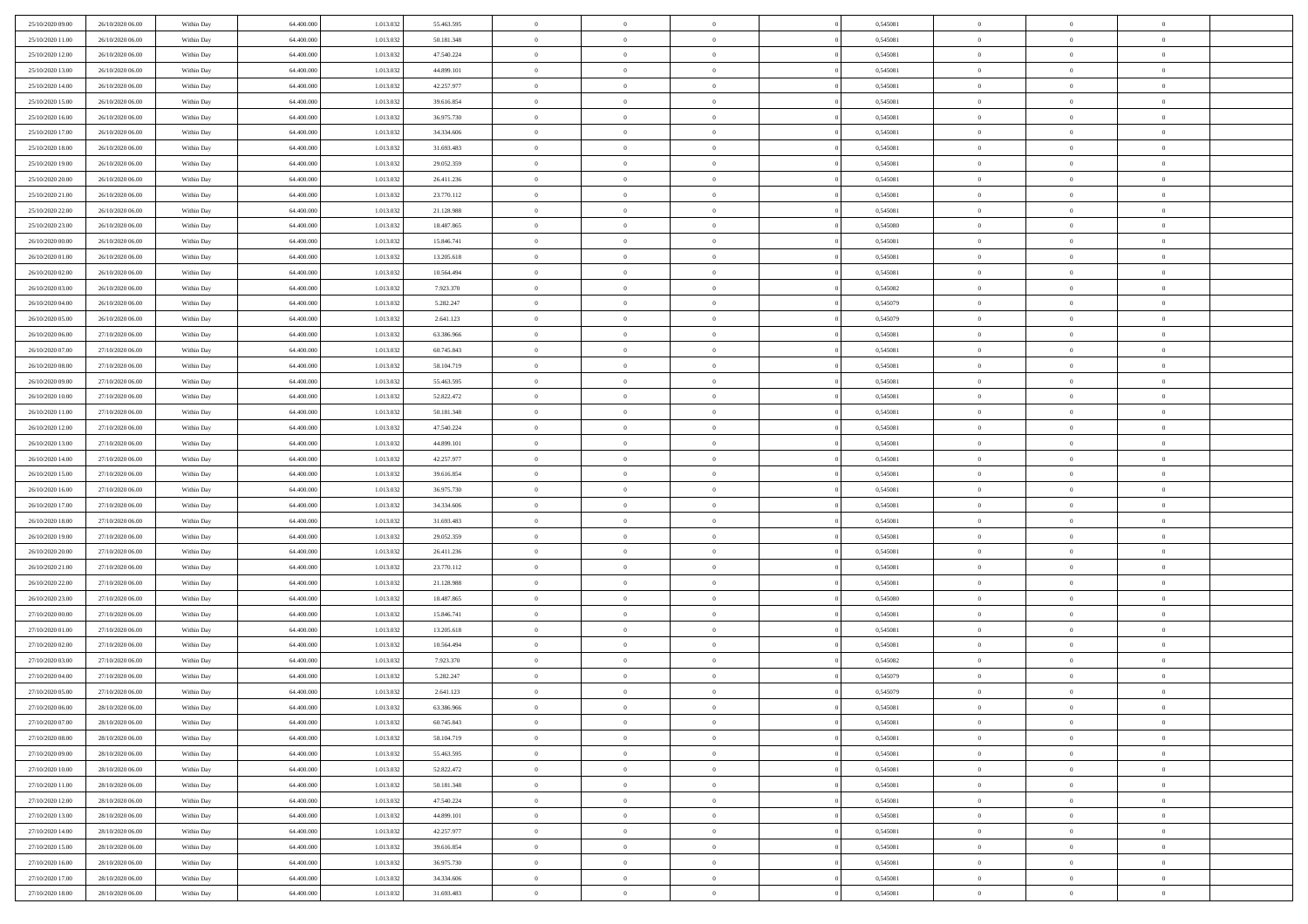| 25/10/2020 09:00<br>26/10/2020 06:00 | Within Day               | 64.400.000               | 1.013.032 | 55.463.595 | $\,$ 0         | $\bf{0}$       | $\theta$       |          | 0,545081 | $\bf{0}$       | $\overline{0}$ | $\,0\,$        |  |
|--------------------------------------|--------------------------|--------------------------|-----------|------------|----------------|----------------|----------------|----------|----------|----------------|----------------|----------------|--|
| 25/10/2020 11:00<br>26/10/2020 06:00 | Within Day               | 64,400,000               | 1.013.032 | 50.181.348 | $\theta$       | $\overline{0}$ | $\overline{0}$ |          | 0.545081 | $\overline{0}$ | $\overline{0}$ | $\theta$       |  |
| 25/10/2020 12:00<br>26/10/2020 06:00 | Within Dav               | 64.400.000               | 1.013.032 | 47.540.224 | $\mathbf{0}$   | $\overline{0}$ | $\overline{0}$ |          | 0,545081 | $\mathbf{0}$   | $\overline{0}$ | $\overline{0}$ |  |
| 25/10/2020 13:00<br>26/10/2020 06:00 | Within Day               | 64.400.000               | 1.013.032 | 44.899.101 | $\bf{0}$       | $\overline{0}$ | $\bf{0}$       |          | 0,545081 | $\bf{0}$       | $\overline{0}$ | $\bf{0}$       |  |
| 25/10/2020 14:00<br>26/10/2020 06:00 | Within Day               | 64,400,000               | 1.013.032 | 42.257.977 | $\bf{0}$       | $\bf{0}$       | $\overline{0}$ |          | 0,545081 | $\bf{0}$       | $\bf{0}$       | $\,0\,$        |  |
| 25/10/2020 15:00<br>26/10/2020 06:00 | Within Dav               | 64.400.000               | 1.013.032 | 39.616.854 | $\mathbf{0}$   | $\overline{0}$ | $\overline{0}$ |          | 0,545081 | $\mathbf{0}$   | $\overline{0}$ | $\overline{0}$ |  |
|                                      |                          |                          |           |            |                |                |                |          |          |                |                |                |  |
| 25/10/2020 16:00<br>26/10/2020 06:00 | Within Day               | 64.400.000               | 1.013.032 | 36.975.730 | $\bf{0}$       | $\bf{0}$       | $\overline{0}$ |          | 0,545081 | $\bf{0}$       | $\overline{0}$ | $\,0\,$        |  |
| 25/10/2020 17.00<br>26/10/2020 06:00 | Within Day               | 64.400.000               | 1.013.032 | 34.334.606 | $\theta$       | $\overline{0}$ | $\overline{0}$ |          | 0,545081 | $\,$ 0 $\,$    | $\overline{0}$ | $\theta$       |  |
| 25/10/2020 18:00<br>26/10/2020 06:00 | Within Dav               | 64.400.000               | 1.013.032 | 31.693.483 | $\mathbf{0}$   | $\overline{0}$ | $\overline{0}$ |          | 0,545081 | $\mathbf{0}$   | $\overline{0}$ | $\overline{0}$ |  |
| 25/10/2020 19:00<br>26/10/2020 06:00 | Within Day               | 64.400.000               | 1.013.032 | 29.052.359 | $\bf{0}$       | $\bf{0}$       | $\theta$       |          | 0,545081 | $\bf{0}$       | $\overline{0}$ | $\,0\,$        |  |
| 25/10/2020 20:00<br>26/10/2020 06:00 | Within Day               | 64,400,000               | 1.013.032 | 26.411.236 | $\bf{0}$       | $\overline{0}$ | $\overline{0}$ |          | 0,545081 | $\bf{0}$       | $\mathbf{0}$   | $\theta$       |  |
| 25/10/2020 21:00<br>26/10/2020 06:00 | Within Dav               | 64.400.000               | 1.013.032 | 23.770.112 | $\mathbf{0}$   | $\overline{0}$ | $\overline{0}$ |          | 0,545081 | $\mathbf{0}$   | $\overline{0}$ | $\overline{0}$ |  |
| 25/10/2020 22.00<br>26/10/2020 06:00 | Within Day               | 64.400.000               | 1.013.032 | 21.128.988 | $\bf{0}$       | $\overline{0}$ | $\bf{0}$       |          | 0,545081 | $\bf{0}$       | $\overline{0}$ | $\bf{0}$       |  |
| 25/10/2020 23.00<br>26/10/2020 06:00 | Within Day               | 64.400.000               | 1.013.032 | 18.487.865 | $\bf{0}$       | $\overline{0}$ | $\overline{0}$ |          | 0,545080 | $\bf{0}$       | $\mathbf{0}$   | $\,0\,$        |  |
| 26/10/2020 00:00<br>26/10/2020 06:00 | Within Dav               | 64.400.000               | 1.013.032 | 15.846.741 | $\mathbf{0}$   | $\overline{0}$ | $\overline{0}$ |          | 0,545081 | $\mathbf{0}$   | $\overline{0}$ | $\overline{0}$ |  |
| 26/10/2020 01:00<br>26/10/2020 06:00 | Within Day               | 64.400.000               | 1.013.032 | 13.205.618 | $\bf{0}$       | $\bf{0}$       | $\overline{0}$ |          | 0,545081 | $\bf{0}$       | $\overline{0}$ | $\,0\,$        |  |
| 26/10/2020 02.00<br>26/10/2020 06:00 | Within Day               | 64,400,000               | 1.013.032 | 10.564.494 | $\overline{0}$ | $\overline{0}$ | $\overline{0}$ |          | 0,545081 | $\bf{0}$       | $\overline{0}$ | $\theta$       |  |
| 26/10/2020 03:00<br>26/10/2020 06:00 | Within Day               | 64.400.000               | 1.013.032 | 7.923.370  | $\mathbf{0}$   | $\overline{0}$ | $\overline{0}$ |          | 0,545082 | $\mathbf{0}$   | $\overline{0}$ | $\overline{0}$ |  |
| 26/10/2020 04.00<br>26/10/2020 06:00 | Within Day               | 64.400.000               | 1.013.032 | 5.282.247  | $\bf{0}$       | $\bf{0}$       | $\overline{0}$ |          | 0,545079 | $\bf{0}$       | $\overline{0}$ | $\,0\,$        |  |
| 26/10/2020 05.00<br>26/10/2020 06:00 | Within Day               | 64.400.000               | 1.013.032 | 2.641.123  | $\bf{0}$       | $\overline{0}$ | $\overline{0}$ |          | 0,545079 | $\bf{0}$       | $\overline{0}$ | $\overline{0}$ |  |
| 26/10/2020 06:00<br>27/10/2020 06:00 | Within Dav               | 64.400.000               | 1.013.032 | 63.386.966 | $\mathbf{0}$   | $\overline{0}$ | $\overline{0}$ |          | 0,545081 | $\mathbf{0}$   | $\overline{0}$ | $\overline{0}$ |  |
| 26/10/2020 07.00<br>27/10/2020 06:00 | Within Day               | 64.400.000               | 1.013.032 | 60.745.843 | $\bf{0}$       | $\overline{0}$ | $\bf{0}$       |          | 0,545081 | $\bf{0}$       | $\overline{0}$ | $\bf{0}$       |  |
| 26/10/2020 08:00<br>27/10/2020 06:00 | Within Day               | 64,400,000               | 1.013.032 | 58.104.719 | $\bf{0}$       | $\bf{0}$       | $\overline{0}$ |          | 0,545081 | $\bf{0}$       | $\overline{0}$ | $\,0\,$        |  |
| 26/10/2020 09:00<br>27/10/2020 06:00 | Within Dav               | 64.400.000               | 1.013.032 | 55.463.595 | $\mathbf{0}$   | $\overline{0}$ | $\overline{0}$ |          | 0,545081 | $\mathbf{0}$   | $\overline{0}$ | $\overline{0}$ |  |
| 26/10/2020 10:00<br>27/10/2020 06:00 | Within Day               | 64.400.000               | 1.013.032 | 52.822.472 | $\bf{0}$       | $\overline{0}$ | $\overline{0}$ |          | 0,545081 | $\bf{0}$       | $\overline{0}$ | $\,0\,$        |  |
| 26/10/2020 11:00<br>27/10/2020 06:00 | Within Day               | 64.400.000               | 1.013.032 | 50.181.348 | $\bf{0}$       | $\overline{0}$ | $\overline{0}$ |          | 0,545081 | $\bf{0}$       | $\overline{0}$ | $\theta$       |  |
| 26/10/2020 12:00<br>27/10/2020 06:00 | Within Dav               | 64.400.000               | 1.013.032 | 47.540.224 | $\mathbf{0}$   | $\overline{0}$ | $\overline{0}$ |          | 0,545081 | $\mathbf{0}$   | $\overline{0}$ | $\overline{0}$ |  |
| 26/10/2020 13:00<br>27/10/2020 06:00 | Within Day               | 64.400.000               | 1.013.032 | 44.899.101 | $\bf{0}$       | $\overline{0}$ | $\overline{0}$ |          | 0,545081 | $\bf{0}$       | $\overline{0}$ | $\,0\,$        |  |
| 26/10/2020 14:00<br>27/10/2020 06:00 |                          | 64,400,000               | 1.013.032 | 42.257.977 | $\bf{0}$       | $\overline{0}$ | $\overline{0}$ |          | 0,545081 | $\bf{0}$       | $\overline{0}$ | $\overline{0}$ |  |
| 26/10/2020 15:00<br>27/10/2020 06:00 | Within Day<br>Within Day | 64.400.000               | 1.013.032 | 39.616.854 | $\mathbf{0}$   | $\overline{0}$ | $\overline{0}$ |          | 0,545081 | $\mathbf{0}$   | $\overline{0}$ | $\overline{0}$ |  |
| 26/10/2020 16:00<br>27/10/2020 06:00 | Within Day               | 64.400.000               | 1.013.032 | 36.975.730 | $\bf{0}$       | $\overline{0}$ | $\theta$       |          | 0,545081 | $\,$ 0         | $\overline{0}$ | $\theta$       |  |
| 26/10/2020 17:00<br>27/10/2020 06:00 |                          | 64.400.000               | 1.013.032 | 34.334.606 | $\bf{0}$       | $\overline{0}$ | $\overline{0}$ |          | 0,545081 | $\bf{0}$       | $\overline{0}$ | $\overline{0}$ |  |
| 26/10/2020 18:00<br>27/10/2020 06:00 | Within Day<br>Within Dav | 64.400.000               | 1.013.032 | 31.693.483 | $\mathbf{0}$   | $\overline{0}$ | $\overline{0}$ |          | 0,545081 | $\mathbf{0}$   | $\overline{0}$ | $\overline{0}$ |  |
|                                      |                          |                          |           |            | $\bf{0}$       | $\overline{0}$ | $\theta$       |          |          | $\,$ 0         | $\overline{0}$ | $\theta$       |  |
| 27/10/2020 06:00<br>26/10/2020 19:00 | Within Day               | 64.400.000<br>64,400,000 | 1.013.032 | 29.052.359 |                | $\overline{0}$ |                |          | 0,545081 |                | $\overline{0}$ | $\overline{0}$ |  |
| 26/10/2020 20:00<br>27/10/2020 06:00 | Within Day               |                          | 1.013.032 | 26.411.236 | $\bf{0}$       |                | $\overline{0}$ |          | 0,545081 | $\bf{0}$       |                |                |  |
| 26/10/2020 21:00<br>27/10/2020 06:00 | Within Day               | 64.400.000               | 1.013.032 | 23.770.112 | $\mathbf{0}$   | $\overline{0}$ | $\overline{0}$ |          | 0,545081 | $\mathbf{0}$   | $\overline{0}$ | $\overline{0}$ |  |
| 26/10/2020 22.00<br>27/10/2020 06:00 | Within Day               | 64.400.000               | 1.013.032 | 21.128.988 | $\bf{0}$       | $\overline{0}$ | $\theta$       |          | 0,545081 | $\,$ 0         | $\overline{0}$ | $\theta$       |  |
| 26/10/2020 23.00<br>27/10/2020 06:00 | Within Day               | 64.400.000               | 1.013.032 | 18.487.865 | $\bf{0}$       | $\overline{0}$ | $\overline{0}$ |          | 0,545080 | $\bf{0}$       | $\overline{0}$ | $\overline{0}$ |  |
| 27/10/2020 00:00<br>27/10/2020 06:00 | Within Dav               | 64.400.000               | 1.013.032 | 15.846.741 | $\mathbf{0}$   | $\overline{0}$ | $\overline{0}$ |          | 0,545081 | $\mathbf{0}$   | $\overline{0}$ | $\overline{0}$ |  |
| 27/10/2020 01:00<br>27/10/2020 06:00 | Within Day               | 64.400.000               | 1.013.032 | 13.205.618 | $\bf{0}$       | $\overline{0}$ | $\theta$       |          | 0,545081 | $\,$ 0         | $\overline{0}$ | $\theta$       |  |
| 27/10/2020 02.00<br>27/10/2020 06:00 | Within Day               | 64,400,000               | 1.013.032 | 10.564.494 | $\bf{0}$       | $\overline{0}$ | $\overline{0}$ |          | 0,545081 | $\,$ 0 $\,$    | $\overline{0}$ | $\overline{0}$ |  |
| 27/10/2020 03:00<br>27/10/2020 06:00 | Within Dav               | 64.400.000               | 1.013.032 | 7.923.370  | $\mathbf{0}$   | $\overline{0}$ | $\overline{0}$ |          | 0,545082 | $\mathbf{0}$   | $\overline{0}$ | $\overline{0}$ |  |
| 27/10/2020 04:00<br>27/10/2020 06:00 | Within Day               | 64.400.000               | 1.013.032 | 5.282.247  | $\bf{0}$       | $\overline{0}$ | $\overline{0}$ |          | 0,545079 | $\,$ 0         | $\overline{0}$ | $\theta$       |  |
| 27/10/2020 05.00<br>27/10/2020 06:00 | Within Day               | 64.400.000               | 1.013.032 | 2.641.123  | $\bf{0}$       | $\overline{0}$ | $\overline{0}$ |          | 0,545079 | $\bf{0}$       | $\overline{0}$ | $\bf{0}$       |  |
| 27/10/2020 06:00<br>28/10/2020 06:00 | Within Day               | 64.400.000               | 1.013.032 | 63.386.966 | $\bf{0}$       | $\overline{0}$ |                |          | 0,545081 | $\overline{0}$ | $\theta$       | $\theta$       |  |
| 27/10/2020 07.00<br>28/10/2020 06:00 | Within Day               | 64.400.000               | 1.013.032 | 60.745.843 | $\,0\,$        | $\overline{0}$ | $\overline{0}$ |          | 0,545081 | $\,$ 0 $\,$    | $\bf{0}$       | $\theta$       |  |
| 27/10/2020 08:00<br>28/10/2020 06:00 | Within Day               | 64.400.000               | 1.013.032 | 58.104.719 | $\overline{0}$ | $\overline{0}$ | $\overline{0}$ |          | 0,545081 | $\overline{0}$ | $\overline{0}$ | $\overline{0}$ |  |
| 27/10/2020 09:00<br>28/10/2020 06.00 | Within Day               | 64.400.000               | 1.013.032 | 55.463.595 | $\bf{0}$       | $\overline{0}$ | $\overline{0}$ |          | 0,545081 | $\overline{0}$ | $\bf{0}$       | $\mathbf{0}$   |  |
| 27/10/2020 10:00<br>28/10/2020 06:00 | Within Day               | 64.400.000               | 1.013.032 | 52.822.472 | $\bf{0}$       | $\overline{0}$ | $\overline{0}$ | $\theta$ | 0,545081 | $\,$ 0 $\,$    | $\bf{0}$       | $\,$ 0 $\,$    |  |
| 27/10/2020 11:00<br>28/10/2020 06.00 | Within Day               | 64.400.000               | 1.013.032 | 50.181.348 | $\,$ 0 $\,$    | $\overline{0}$ | $\overline{0}$ |          | 0,545081 | $\,$ 0 $\,$    | $\overline{0}$ | $\overline{0}$ |  |
| 27/10/2020 12:00<br>28/10/2020 06.00 | Within Day               | 64.400.000               | 1.013.032 | 47.540.224 | $\bf{0}$       | $\overline{0}$ | $\overline{0}$ |          | 0,545081 | $\mathbf{0}$   | $\overline{0}$ | $\overline{0}$ |  |
| 27/10/2020 13:00<br>28/10/2020 06:00 | Within Day               | 64.400.000               | 1.013.032 | 44.899.101 | $\,0\,$        | $\overline{0}$ | $\overline{0}$ | $\theta$ | 0,545081 | $\,$ 0 $\,$    | $\overline{0}$ | $\,$ 0 $\,$    |  |
| 27/10/2020 14.00<br>28/10/2020 06:00 | Within Day               | 64.400.000               | 1.013.032 | 42.257.977 | $\bf{0}$       | $\overline{0}$ | $\overline{0}$ |          | 0,545081 | $\overline{0}$ | $\overline{0}$ | $\overline{0}$ |  |
| 27/10/2020 15:00<br>28/10/2020 06.00 | Within Day               | 64.400.000               | 1.013.032 | 39.616.854 | $\bf{0}$       | $\overline{0}$ | $\overline{0}$ |          | 0,545081 | $\mathbf{0}$   | $\overline{0}$ | $\mathbf{0}$   |  |
| 27/10/2020 16:00<br>28/10/2020 06:00 | Within Day               | 64.400.000               | 1.013.032 | 36.975.730 | $\,0\,$        | $\overline{0}$ | $\overline{0}$ |          | 0,545081 | $\,$ 0 $\,$    | $\mathbf{0}$   | $\,$ 0 $\,$    |  |
| 28/10/2020 06:00<br>27/10/2020 17:00 | Within Day               | 64.400.000               | 1.013.032 | 34.334.606 | $\bf{0}$       | $\bf{0}$       | $\overline{0}$ |          | 0,545081 | $\bf{0}$       | $\mathbf{0}$   | $\overline{0}$ |  |
| 27/10/2020 18.00<br>28/10/2020 06:00 | Within Day               | 64.400.000               | 1.013.032 | 31.693.483 | $\mathbf{0}$   | $\overline{0}$ | $\overline{0}$ |          | 0,545081 | $\mathbf{0}$   | $\overline{0}$ | $\overline{0}$ |  |
|                                      |                          |                          |           |            |                |                |                |          |          |                |                |                |  |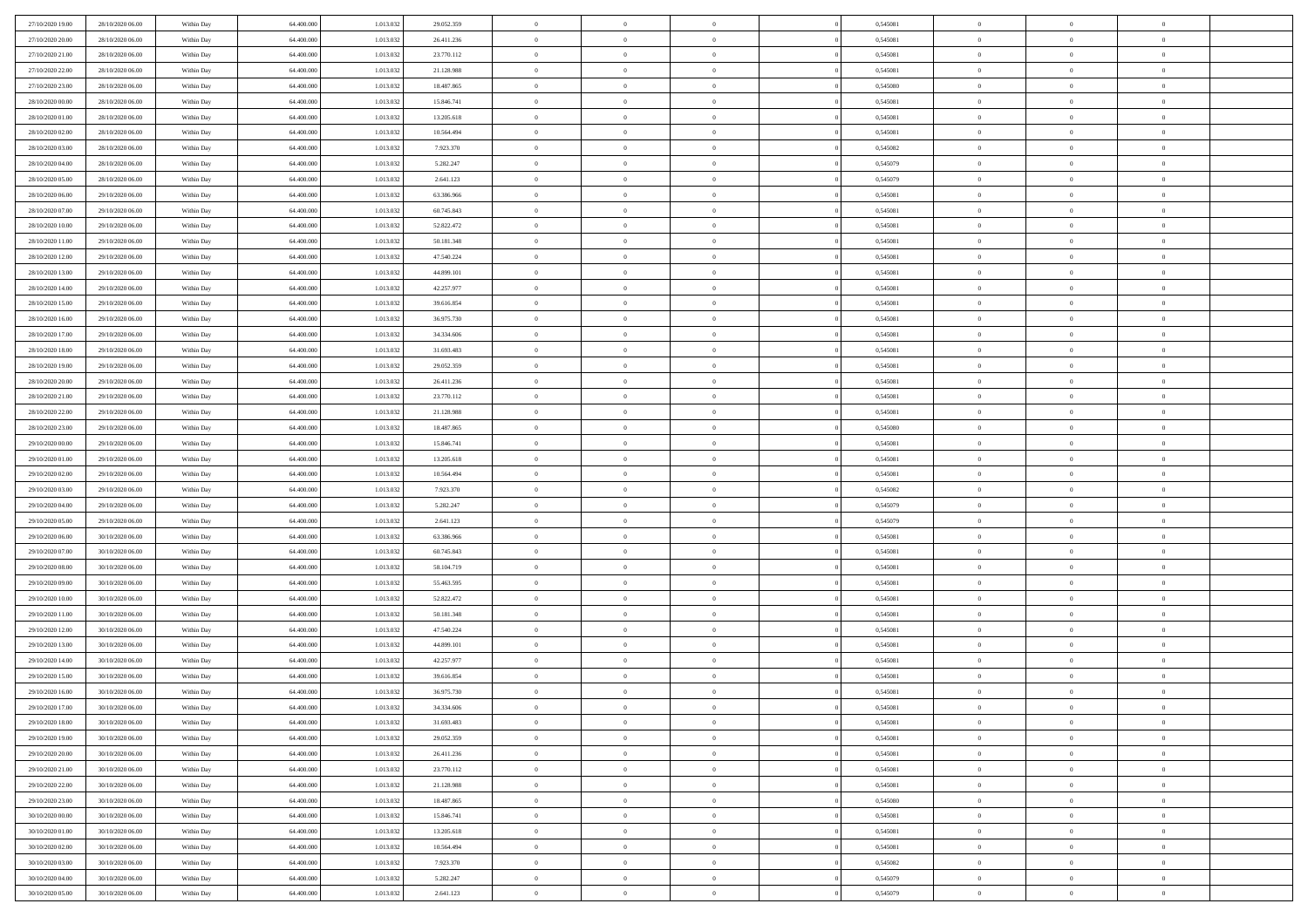| 27/10/2020 19:00<br>28/10/2020 06.00 | Within Day | 64,400,000 | 1.013.032 | 29.052.359 | $\overline{0}$ | $\overline{0}$ | $\Omega$       | 0,545081 | $\bf{0}$       | $\mathbf{0}$   | $\bf{0}$       |  |
|--------------------------------------|------------|------------|-----------|------------|----------------|----------------|----------------|----------|----------------|----------------|----------------|--|
| 27/10/2020 20:00<br>28/10/2020 06:00 | Within Day | 64.400.000 | 1.013.032 | 26.411.236 | $\mathbf{0}$   | $\overline{0}$ | $\overline{0}$ | 0,545081 | $\overline{0}$ | $\overline{0}$ | $\theta$       |  |
| 27/10/2020 21:00<br>28/10/2020 06:00 | Within Day | 64.400.000 | 1.013.032 | 23.770.112 | $\,$ 0         | $\overline{0}$ | $\bf{0}$       | 0,545081 | $\,$ 0         | $\overline{0}$ | $\,$ 0 $\,$    |  |
| 27/10/2020 22.00<br>28/10/2020 06.00 | Within Day | 64,400,000 | 1.013.032 | 21.128.988 | $\bf{0}$       | $\overline{0}$ | $\Omega$       | 0.545081 | $\bf{0}$       | $\mathbf{0}$   | $\theta$       |  |
| 27/10/2020 23.00<br>28/10/2020 06:00 | Within Day | 64.400.000 | 1.013.032 | 18.487.865 | $\bf{0}$       | $\overline{0}$ | $\overline{0}$ | 0,545080 | $\mathbf{0}$   | $\overline{0}$ | $\overline{0}$ |  |
| 28/10/2020 00:00<br>28/10/2020 06:00 | Within Day | 64.400.000 | 1.013.032 | 15.846.741 | $\bf{0}$       | $\overline{0}$ | $\bf{0}$       | 0,545081 | $\,$ 0         | $\overline{0}$ | $\,$ 0 $\,$    |  |
| 28/10/2020 01:00<br>28/10/2020 06.00 | Within Day | 64,400,000 | 1.013.032 | 13.205.618 | $\bf{0}$       | $\overline{0}$ | $\overline{0}$ | 0.545081 | $\theta$       | $\overline{0}$ | $\theta$       |  |
| 28/10/2020 02:00<br>28/10/2020 06:00 | Within Day | 64.400.000 | 1.013.032 | 10.564.494 | $\overline{0}$ | $\overline{0}$ | $\overline{0}$ | 0,545081 | $\mathbf{0}$   | $\overline{0}$ | $\overline{0}$ |  |
| 28/10/2020 03:00<br>28/10/2020 06:00 | Within Day | 64.400.000 | 1.013.032 | 7.923.370  | $\bf{0}$       | $\overline{0}$ | $\bf{0}$       | 0,545082 | $\,$ 0         | $\overline{0}$ | $\,$ 0 $\,$    |  |
| 28/10/2020 04:00<br>28/10/2020 06.00 | Within Day | 64,400,000 | 1.013.032 | 5.282.247  | $\bf{0}$       | $\overline{0}$ | $\Omega$       | 0.545079 | $\bf{0}$       | $\mathbf{0}$   | $\theta$       |  |
| 28/10/2020 05:00<br>28/10/2020 06:00 | Within Day | 64.400.000 | 1.013.032 | 2.641.123  | $\overline{0}$ | $\overline{0}$ | $\overline{0}$ | 0,545079 | $\mathbf{0}$   | $\overline{0}$ | $\overline{0}$ |  |
| 28/10/2020 06:00<br>29/10/2020 06:00 | Within Day | 64.400.000 | 1.013.032 | 63.386.966 | $\bf{0}$       | $\overline{0}$ | $\bf{0}$       | 0,545081 | $\,$ 0         | $\overline{0}$ | $\,$ 0 $\,$    |  |
| 28/10/2020 07.00<br>29/10/2020 06:00 | Within Day | 64,400,000 | 1.013.032 | 60.745.843 | $\bf{0}$       | $\overline{0}$ | $\Omega$       | 0.545081 | $\overline{0}$ | $\mathbf{0}$   | $\theta$       |  |
| 29/10/2020 06:00<br>28/10/2020 10:00 | Within Day | 64.400.000 | 1.013.032 | 52.822.472 | $\overline{0}$ | $\overline{0}$ | $\overline{0}$ | 0,545081 | $\mathbf{0}$   | $\overline{0}$ | $\overline{0}$ |  |
| 28/10/2020 11:00<br>29/10/2020 06:00 | Within Day | 64.400.000 | 1.013.032 | 50.181.348 | $\bf{0}$       | $\overline{0}$ | $\bf{0}$       | 0,545081 | $\,$ 0         | $\overline{0}$ | $\,$ 0 $\,$    |  |
| 28/10/2020 12:00<br>29/10/2020 06.00 | Within Day | 64,400,000 | 1.013.032 | 47.540.224 | $\bf{0}$       | $\overline{0}$ | $\overline{0}$ | 0.545081 | $\bf{0}$       | $\mathbf{0}$   | $\bf{0}$       |  |
| 28/10/2020 13:00<br>29/10/2020 06:00 | Within Day | 64.400.000 | 1.013.032 | 44.899.101 | $\overline{0}$ | $\overline{0}$ | $\overline{0}$ | 0,545081 | $\mathbf{0}$   | $\overline{0}$ | $\overline{0}$ |  |
| 28/10/2020 14:00<br>29/10/2020 06:00 | Within Day | 64.400.000 | 1.013.032 | 42.257.977 | $\bf{0}$       | $\overline{0}$ | $\bf{0}$       | 0,545081 | $\,$ 0         | $\overline{0}$ | $\,$ 0 $\,$    |  |
| 28/10/2020 15:00<br>29/10/2020 06.00 | Within Day | 64,400,000 | 1.013.032 | 39.616.854 | $\bf{0}$       | $\overline{0}$ | $\Omega$       | 0.545081 | $\theta$       | $\mathbf{0}$   | $\theta$       |  |
| 28/10/2020 16:00<br>29/10/2020 06:00 | Within Day | 64.400.000 | 1.013.032 | 36.975.730 | $\overline{0}$ | $\overline{0}$ | $\overline{0}$ | 0,545081 | $\mathbf{0}$   | $\overline{0}$ | $\overline{0}$ |  |
| 28/10/2020 17.00<br>29/10/2020 06:00 | Within Day | 64.400.000 | 1.013.032 | 34.334.606 | $\bf{0}$       | $\overline{0}$ | $\bf{0}$       | 0,545081 | $\,$ 0         | $\overline{0}$ | $\,$ 0 $\,$    |  |
| 28/10/2020 18:00<br>29/10/2020 06.00 | Within Day | 64,400,000 | 1.013.032 | 31.693.483 | $\bf{0}$       | $\overline{0}$ | $\Omega$       | 0.545081 | $\bf{0}$       | $\mathbf{0}$   | $\theta$       |  |
| 28/10/2020 19:00<br>29/10/2020 06:00 | Within Day | 64.400.000 | 1.013.032 | 29.052.359 | $\overline{0}$ | $\overline{0}$ | $\overline{0}$ | 0,545081 | $\mathbf{0}$   | $\overline{0}$ | $\overline{0}$ |  |
| 28/10/2020 20:00<br>29/10/2020 06:00 | Within Day | 64.400.000 | 1.013.032 | 26.411.236 | $\bf{0}$       | $\overline{0}$ | $\bf{0}$       | 0,545081 | $\,$ 0         | $\overline{0}$ | $\,$ 0 $\,$    |  |
| 28/10/2020 21.00<br>29/10/2020 06.00 | Within Day | 64,400,000 | 1.013.032 | 23.770.112 | $\bf{0}$       | $\overline{0}$ | $\overline{0}$ | 0,545081 | $\bf{0}$       | $\overline{0}$ | $\bf{0}$       |  |
| 28/10/2020 22:00<br>29/10/2020 06:00 | Within Day | 64.400.000 | 1.013.032 | 21.128.988 | $\overline{0}$ | $\overline{0}$ | $\overline{0}$ | 0,545081 | $\mathbf{0}$   | $\overline{0}$ | $\overline{0}$ |  |
| 28/10/2020 23.00<br>29/10/2020 06:00 | Within Day | 64.400.000 | 1.013.032 | 18.487.865 | $\bf{0}$       | $\overline{0}$ | $\bf{0}$       | 0,545080 | $\,$ 0         | $\overline{0}$ | $\,$ 0 $\,$    |  |
| 29/10/2020 00:00<br>29/10/2020 06.00 | Within Day | 64,400,000 | 1.013.032 | 15.846.741 | $\bf{0}$       | $\overline{0}$ | $\Omega$       | 0.545081 | $\theta$       | $\mathbf{0}$   | $\theta$       |  |
| 29/10/2020 01:00<br>29/10/2020 06:00 | Within Day | 64.400.000 | 1.013.032 | 13.205.618 | $\overline{0}$ | $\overline{0}$ | $\overline{0}$ | 0,545081 | $\mathbf{0}$   | $\overline{0}$ | $\overline{0}$ |  |
| 29/10/2020 02.00<br>29/10/2020 06:00 | Within Day | 64.400.000 | 1.013.032 | 10.564.494 | $\bf{0}$       | $\overline{0}$ | $\bf{0}$       | 0,545081 | $\,$ 0         | $\overline{0}$ | $\,$ 0 $\,$    |  |
| 29/10/2020 03.00<br>29/10/2020 06:00 | Within Day | 64.400.000 | 1.013.032 | 7.923.370  | $\,$ 0         | $\bf{0}$       | $\overline{0}$ | 0,545082 | $\bf{0}$       | $\overline{0}$ | $\,0\,$        |  |
| 29/10/2020 04:00<br>29/10/2020 06:00 | Within Day | 64.400.000 | 1.013.032 | 5.282.247  | $\overline{0}$ | $\overline{0}$ | $\overline{0}$ | 0,545079 | $\mathbf{0}$   | $\overline{0}$ | $\overline{0}$ |  |
| 29/10/2020 05:00<br>29/10/2020 06:00 | Within Day | 64.400.000 | 1.013.032 | 2.641.123  | $\bf{0}$       | $\overline{0}$ | $\bf{0}$       | 0,545079 | $\,$ 0         | $\overline{0}$ | $\,$ 0 $\,$    |  |
| 29/10/2020 06.00<br>30/10/2020 06:00 | Within Day | 64.400.000 | 1.013.032 | 63.386.966 | $\bf{0}$       | $\bf{0}$       | $\overline{0}$ | 0,545081 | $\bf{0}$       | $\overline{0}$ | $\,0\,$        |  |
| 29/10/2020 07:00<br>30/10/2020 06:00 | Within Day | 64.400.000 | 1.013.032 | 60.745.843 | $\mathbf{0}$   | $\overline{0}$ | $\overline{0}$ | 0,545081 | $\overline{0}$ | $\overline{0}$ | $\overline{0}$ |  |
| 29/10/2020 08:00<br>30/10/2020 06:00 | Within Day | 64.400.000 | 1.013.032 | 58.104.719 | $\bf{0}$       | $\overline{0}$ | $\bf{0}$       | 0,545081 | $\,$ 0         | $\overline{0}$ | $\,$ 0 $\,$    |  |
| 29/10/2020 09:00<br>30/10/2020 06:00 | Within Day | 64.400.000 | 1.013.032 | 55.463.595 | $\,$ 0         | $\bf{0}$       | $\overline{0}$ | 0,545081 | $\bf{0}$       | $\overline{0}$ | $\,0\,$        |  |
| 29/10/2020 10:00<br>30/10/2020 06:00 | Within Day | 64.400.000 | 1.013.032 | 52.822.472 | $\overline{0}$ | $\overline{0}$ | $\overline{0}$ | 0,545081 | $\mathbf{0}$   | $\overline{0}$ | $\overline{0}$ |  |
| 29/10/2020 11:00<br>30/10/2020 06:00 | Within Day | 64.400.000 | 1.013.032 | 50.181.348 | $\bf{0}$       | $\overline{0}$ | $\bf{0}$       | 0,545081 | $\,$ 0         | $\overline{0}$ | $\,$ 0 $\,$    |  |
| 29/10/2020 12:00<br>30/10/2020 06:00 | Within Day | 64.400.000 | 1.013.032 | 47.540.224 | $\bf{0}$       | $\bf{0}$       | $\overline{0}$ | 0,545081 | $\bf{0}$       | $\overline{0}$ | $\,0\,$        |  |
| 29/10/2020 13:00<br>30/10/2020 06:00 | Within Day | 64.400.000 | 1.013.032 | 44.899.101 | $\overline{0}$ | $\overline{0}$ | $\overline{0}$ | 0,545081 | $\overline{0}$ | $\overline{0}$ | $\overline{0}$ |  |
| 29/10/2020 14:00<br>30/10/2020 06:00 | Within Day | 64.400.000 | 1.013.032 | 42.257.977 | $\bf{0}$       | $\overline{0}$ | $\bf{0}$       | 0,545081 | $\,$ 0         | $\overline{0}$ | $\,$ 0 $\,$    |  |
| 29/10/2020 15.00<br>30/10/2020 06:00 | Within Day | 64.400.000 | 1.013.032 | 39.616.854 | $\bf{0}$       | $\bf{0}$       | $\bf{0}$       | 0,545081 | $\bf{0}$       | $\overline{0}$ | $\,0\,$        |  |
| 29/10/2020 16:00<br>30/10/2020 06:00 | Within Day | 64.400.000 | 1.013.032 | 36.975.730 | $\mathbf{0}$   | $\overline{0}$ | $\overline{0}$ | 0,545081 | $\overline{0}$ | $\overline{0}$ | $\overline{0}$ |  |
| 29/10/2020 17.00<br>30/10/2020 06:00 | Within Day | 64.400.000 | 1.013.032 | 34.334.606 | $\bf{0}$       | $\overline{0}$ | $\theta$       | 0,545081 | $\overline{0}$ | $\overline{0}$ | $\theta$       |  |
| 29/10/2020 18:00<br>30/10/2020 06.00 | Within Day | 64.400.000 | 1.013.032 | 31.693.483 | $\bf{0}$       | $\bf{0}$       | $\bf{0}$       | 0,545081 | $\bf{0}$       | $\overline{0}$ | $\,0\,$        |  |
| 29/10/2020 19:00<br>30/10/2020 06:00 | Within Day | 64.400.000 | 1.013.032 | 29.052.359 | $\overline{0}$ | $\overline{0}$ | $\overline{0}$ | 0,545081 | $\overline{0}$ | $\bf{0}$       | $\overline{0}$ |  |
| 29/10/2020 20:00<br>30/10/2020 06:00 | Within Day | 64.400.000 | 1.013.032 | 26.411.236 | $\,$ 0 $\,$    | $\overline{0}$ | $\overline{0}$ | 0,545081 | $\mathbf{0}$   | $\,$ 0 $\,$    | $\,$ 0 $\,$    |  |
| 29/10/2020 21:00<br>30/10/2020 06.00 | Within Day | 64.400.000 | 1.013.032 | 23.770.112 | $\bf{0}$       | $\bf{0}$       | $\overline{0}$ | 0,545081 | $\bf{0}$       | $\overline{0}$ | $\bf{0}$       |  |
| 29/10/2020 22.00<br>30/10/2020 06:00 | Within Day | 64.400.000 | 1.013.032 | 21.128.988 | $\bf{0}$       | $\overline{0}$ | $\overline{0}$ | 0,545081 | $\mathbf{0}$   | $\overline{0}$ | $\overline{0}$ |  |
| 29/10/2020 23.00<br>30/10/2020 06:00 | Within Day | 64.400.000 | 1.013.032 | 18.487.865 | $\,$ 0 $\,$    | $\overline{0}$ | $\overline{0}$ | 0,545080 | $\,$ 0 $\,$    | $\overline{0}$ | $\,$ 0 $\,$    |  |
| 30/10/2020 00:00<br>30/10/2020 06.00 | Within Day | 64.400.000 | 1.013.032 | 15.846.741 | $\bf{0}$       | $\overline{0}$ | $\overline{0}$ | 0,545081 | $\bf{0}$       | $\overline{0}$ | $\overline{0}$ |  |
| 30/10/2020 01:00<br>30/10/2020 06:00 | Within Day | 64.400.000 | 1.013.032 | 13.205.618 | $\overline{0}$ | $\overline{0}$ | $\overline{0}$ | 0,545081 | $\overline{0}$ | $\bf{0}$       | $\overline{0}$ |  |
| 30/10/2020 02.00<br>30/10/2020 06:00 | Within Day | 64.400.000 | 1.013.032 | 10.564.494 | $\,$ 0 $\,$    | $\overline{0}$ | $\overline{0}$ | 0,545081 | $\,$ 0 $\,$    | $\,$ 0 $\,$    | $\,$ 0 $\,$    |  |
| 30/10/2020 03.00<br>30/10/2020 06.00 | Within Day | 64.400.000 | 1.013.032 | 7.923.370  | $\bf{0}$       | $\bf{0}$       | $\overline{0}$ | 0,545082 | $\mathbf{0}$   | $\overline{0}$ | $\bf{0}$       |  |
| 30/10/2020 04:00<br>30/10/2020 06:00 | Within Day | 64.400.000 | 1.013.032 | 5.282.247  | $\bf{0}$       | $\overline{0}$ | $\overline{0}$ | 0,545079 | $\mathbf{0}$   | $\bf{0}$       | $\overline{0}$ |  |
| 30/10/2020 05:00<br>30/10/2020 06:00 | Within Day | 64.400.000 | 1.013.032 | 2.641.123  | $\,0\,$        | $\overline{0}$ | $\overline{0}$ | 0,545079 | $\,$ 0         | $\overline{0}$ | $\,$ 0 $\,$    |  |
|                                      |            |            |           |            |                |                |                |          |                |                |                |  |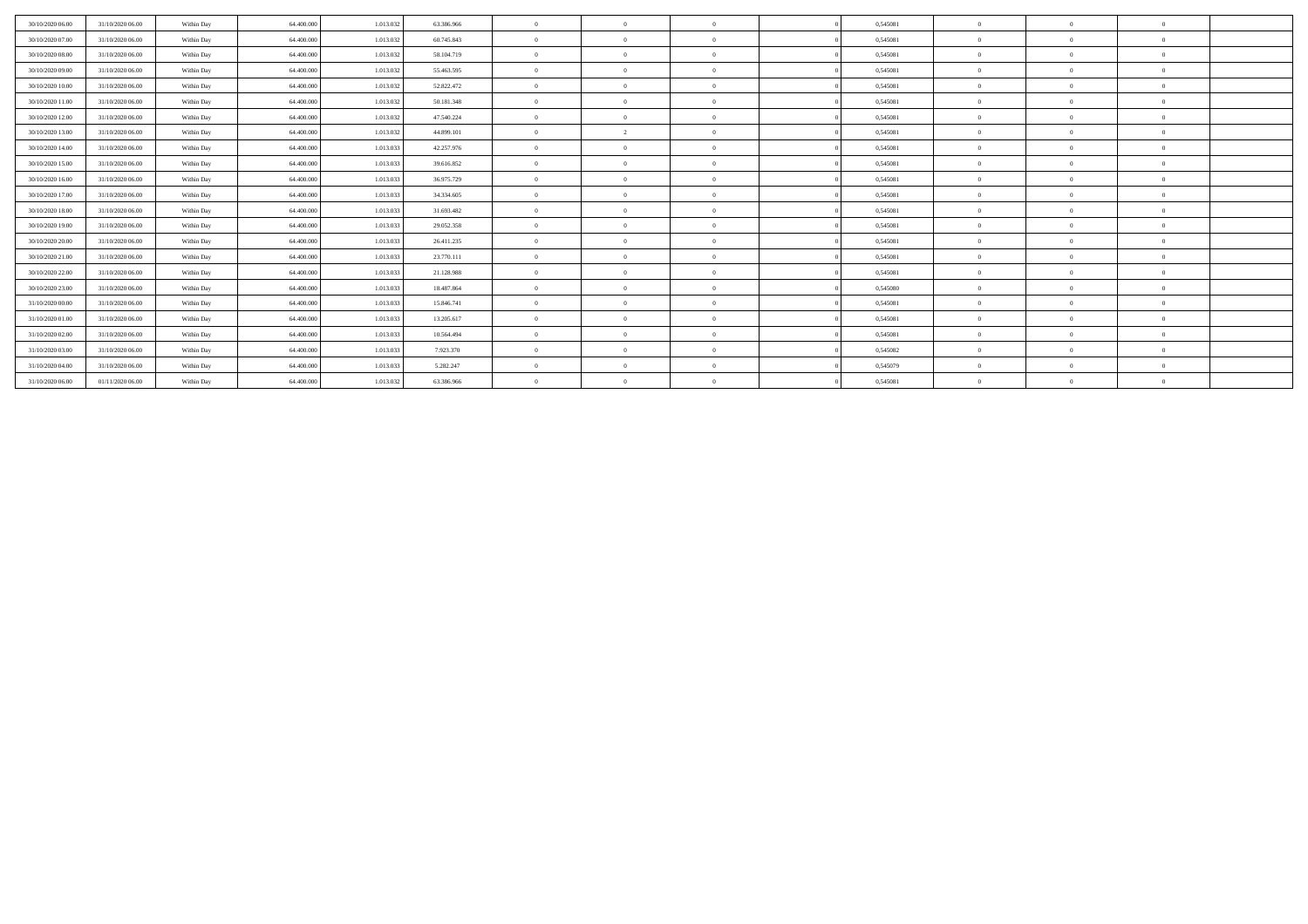| 30/10/2020 06:00 | 31/10/2020 06:00 | Within Day | 64,400,000 | 1.013.032 | 63.386.966 | $\overline{0}$ | $\Omega$       | $\Omega$       | 0,545081 | $\Omega$     |            | $\Omega$ |  |
|------------------|------------------|------------|------------|-----------|------------|----------------|----------------|----------------|----------|--------------|------------|----------|--|
| 30/10/2020 07:00 | 31/10/2020 06:00 | Within Day | 64,400,000 | 1.013.032 | 60.745.843 | $\mathbf{0}$   | $\Omega$       | $\Omega$       | 0,545081 | $\Omega$     |            | $\Omega$ |  |
| 30/10/2020 08:00 | 31/10/2020 06.00 | Within Day | 64,400,000 | 1.013.032 | 58.104.719 | $\theta$       | $\Omega$       | $\Omega$       | 0,545081 | $\Omega$     |            | $\theta$ |  |
| 30/10/2020 09:00 | 31/10/2020 06.00 | Within Day | 64.400.000 | 1.013.032 | 55.463.595 | $\Omega$       | $\Omega$       | $\Omega$       | 0,545081 | $\Omega$     |            | $\Omega$ |  |
| 30/10/2020 10:00 | 31/10/2020 06.00 | Within Day | 64.400.000 | 1.013.032 | 52.822.472 | $\theta$       | $\Omega$       | $\Omega$       | 0,545081 | $\Omega$     |            | $\theta$ |  |
| 30/10/2020 11:00 | 31/10/2020 06:00 | Within Day | 64,400,000 | 1.013.032 | 50.181.348 | $\theta$       | $\Omega$       | $\Omega$       | 0,545081 | $\Omega$     |            | $\Omega$ |  |
| 30/10/2020 12:00 | 31/10/2020 06:00 | Within Day | 64.400.000 | 1.013.032 | 47.540.224 | $\theta$       | $\Omega$       | $\Omega$       | 0,545081 | $\Omega$     |            | $\Omega$ |  |
| 30/10/2020 13:00 | 31/10/2020 06:00 | Within Day | 64,400,000 | 1.013.032 | 44.899.101 | $\Omega$       | $\mathcal{L}$  | $\Omega$       | 0,545081 | $\Omega$     |            | $\Omega$ |  |
| 30/10/2020 14:00 | 31/10/2020 06:00 | Within Day | 64.400.000 | 1.013.033 | 42.257.976 | $\overline{0}$ | $\Omega$       | $\Omega$       | 0,545081 | $\Omega$     | $\sqrt{2}$ | $\Omega$ |  |
| 30/10/2020 15:00 | 31/10/2020 06:00 | Within Day | 64,400,000 | 1.013.033 | 39.616.852 | $\overline{0}$ | $\Omega$       | $\Omega$       | 0.545081 | $\Omega$     | $\theta$   | $\theta$ |  |
| 30/10/2020 16:00 | 31/10/2020 06:00 | Within Day | 64.400.000 | 1.013.033 | 36.975.729 | $\theta$       | $\Omega$       | $\overline{0}$ | 0,545081 | $\Omega$     |            | $\theta$ |  |
| 30/10/2020 17:00 | 31/10/2020 06.00 | Within Day | 64.400.000 | 1.013.033 | 34.334.605 | $\theta$       | $\Omega$       | $\Omega$       | 0,545081 | $\Omega$     |            | $\Omega$ |  |
| 30/10/2020 18:00 | 31/10/2020 06.00 | Within Day | 64.400.000 | 1.013.033 | 31.693.482 | $\theta$       | $\Omega$       | $\Omega$       | 0,545081 | $\Omega$     |            | $\theta$ |  |
| 30/10/2020 19:00 | 31/10/2020 06:00 | Within Day | 64,400,000 | 1.013.033 | 29.052.358 | $\theta$       | $\Omega$       | $\Omega$       | 0,545081 | $\Omega$     |            | $\Omega$ |  |
| 30/10/2020 20:00 | 31/10/2020 06.00 | Within Day | 64.400.000 | 1.013.033 | 26.411.235 | $\overline{0}$ | $\overline{0}$ | $\overline{0}$ | 0,545081 | $\mathbf{0}$ | $\theta$   | $\theta$ |  |
| 30/10/2020 21:00 | 31/10/2020 06:00 | Within Day | 64,400,000 | 1.013.033 | 23.770.111 | $\overline{0}$ | $\Omega$       | $\overline{0}$ | 0,545081 | $\mathbf{0}$ | $\theta$   | $\theta$ |  |
| 30/10/2020 22.00 | 31/10/2020 06.00 | Within Day | 64.400.000 | 1.013.033 | 21.128.988 | $\overline{0}$ | $\Omega$       | $\Omega$       | 0,545081 | $\Omega$     |            | $\theta$ |  |
| 30/10/2020 23.00 | 31/10/2020 06:00 | Within Day | 64,400,000 | 1.013.033 | 18.487.864 | $\overline{0}$ | $\Omega$       | $\Omega$       | 0,545080 | $\Omega$     |            | $\theta$ |  |
| 31/10/2020 00:00 | 31/10/2020 06.00 | Within Day | 64,400,000 | 1.013.033 | 15.846.741 | $\mathbf{0}$   | $\Omega$       | $\Omega$       | 0,545081 | $\Omega$     |            | $\theta$ |  |
| 31/10/2020 01:00 | 31/10/2020 06:00 | Within Day | 64,400,000 | 1.013.033 | 13.205.617 | $\mathbf{0}$   | $\Omega$       | $\Omega$       | 0,545081 | $\Omega$     |            | $\theta$ |  |
| 31/10/2020 02.00 | 31/10/2020 06.00 | Within Day | 64.400.000 | 1.013.033 | 10.564.494 | $\theta$       | $\Omega$       | $\Omega$       | 0,545081 | $\Omega$     |            | $\Omega$ |  |
| 31/10/2020 03.00 | 31/10/2020 06.00 | Within Day | 64.400.000 | 1.013.033 | 7.923.370  | $\Omega$       | $\Omega$       | $\Omega$       | 0,545082 | $\Omega$     |            | $\theta$ |  |
| 31/10/2020 04.00 | 31/10/2020 06.00 | Within Day | 64.400.000 | 1.013.033 | 5.282.247  | $\theta$       | $\Omega$       | $\Omega$       | 0,545079 | $\Omega$     |            | $\Omega$ |  |
| 31/10/2020 06.00 | 01/11/2020 06:00 | Within Day | 64.400.000 | 1.013.032 | 63.386.966 | $\theta$       | $\Omega$       | $\Omega$       | 0,545081 | $\theta$     |            | $\theta$ |  |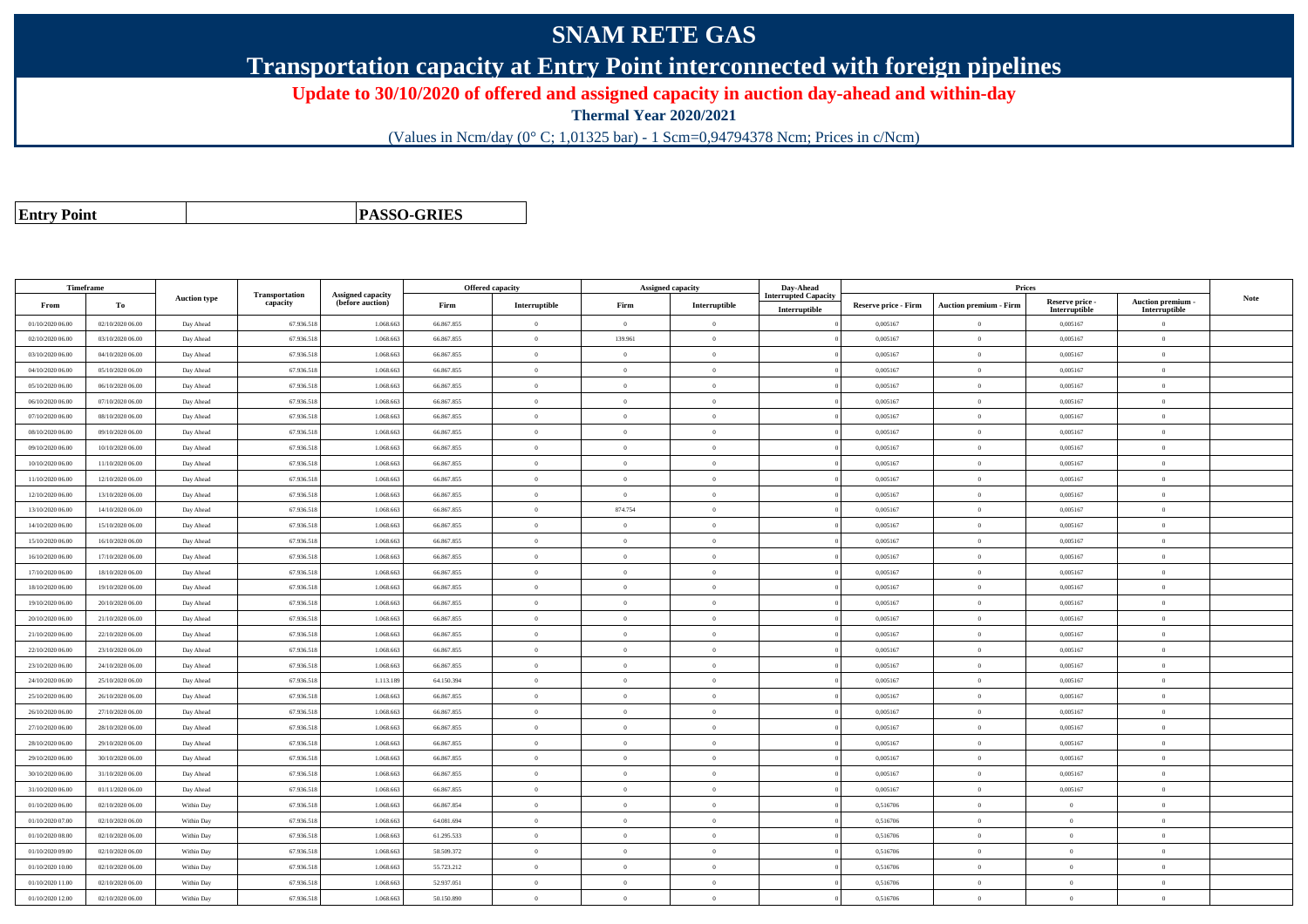## **SNAM RETE GAS**

**Transportation capacity at Entry Point interconnected with foreign pipelines**

**Update to 30/10/2020 of offered and assigned capacity in auction day-ahead and within-day**

**Thermal Year 2020/2021**

(Values in Ncm/day (0° C; 1,01325 bar) - 1 Scm=0,94794378 Ncm; Prices in c/Ncm)

**Entry Point**

**PASSO-GRIES**

| Timeframe        |                  |                     |                            |                                       |            | <b>Offered capacity</b> | <b>Assigned capacity</b> |                | Day-Ahead                                    |                             | Prices                        |                                  |                                    |             |
|------------------|------------------|---------------------|----------------------------|---------------------------------------|------------|-------------------------|--------------------------|----------------|----------------------------------------------|-----------------------------|-------------------------------|----------------------------------|------------------------------------|-------------|
| From             | То               | <b>Auction type</b> | Transportation<br>capacity | Assigned capacity<br>(before auction) | Firm       | Interruptible           | Firm                     | Interruptible  | <b>Interrupted Capacity</b><br>Interruptible | <b>Reserve price - Firm</b> | <b>Auction premium - Firm</b> | Reserve price -<br>Interruptible | Auction premium -<br>Interruptible | <b>Note</b> |
| 01/10/2020 06.00 | 02/10/2020 06:00 | Day Ahead           | 67.936.518                 | 1.068.663                             | 66.867.855 | $\bf{0}$                | $\overline{0}$           | $\theta$       |                                              | 0,005167                    | $\theta$                      | 0,005167                         | $\overline{0}$                     |             |
| 02/10/2020 06:00 | 03/10/2020 06:00 | Day Ahead           | 67.936.518                 | 1.068.663                             | 66,867,855 | $\theta$                | 139.961                  | $\theta$       |                                              | 0.005167                    | $\theta$                      | 0.005167                         | $\Omega$                           |             |
| 03/10/2020 06:00 | 04/10/2020 06:00 | Day Ahead           | 67.936.518                 | 1.068.663                             | 66.867.855 | $\overline{0}$          | $\theta$                 | $\theta$       |                                              | 0.005167                    | $\overline{0}$                | 0.005167                         | $\overline{0}$                     |             |
| 04/10/2020 06.00 | 05/10/2020 06:00 | Day Ahead           | 67.936.518                 | 1.068.663                             | 66.867.855 | $\overline{0}$          | $\overline{0}$           | $\overline{0}$ |                                              | 0,005167                    | $\overline{0}$                | 0,005167                         | $\overline{0}$                     |             |
| 05/10/2020 06:00 | 06/10/2020 06:00 | Day Ahead           | 67.936.518                 | 1.068.663                             | 66.867.855 | $\theta$                | $\overline{0}$           | $\Omega$       |                                              | 0,005167                    | $\theta$                      | 0,005167                         | $\Omega$                           |             |
| 06/10/2020 06.00 | 07/10/2020 06:00 | Day Ahead           | 67.936.518                 | 1.068.663                             | 66.867.855 | $\theta$                | $\overline{0}$           | $\overline{0}$ |                                              | 0,005167                    | $\overline{0}$                | 0,005167                         | $\overline{0}$                     |             |
| 07/10/2020 06:00 | 08/10/2020 06:00 | Day Ahead           | 67.936.518                 | 1.068.663                             | 66.867.855 | $\theta$                | $\Omega$                 | $\Omega$       |                                              | 0.005167                    | $\Omega$                      | 0.005167                         | $\Omega$                           |             |
| 08/10/2020 06:00 | 09/10/2020 06:00 | Day Ahead           | 67.936.518                 | 1.068.663                             | 66.867.855 | $\theta$                | $\overline{0}$           | $\theta$       |                                              | 0,005167                    | $\overline{0}$                | 0,005167                         | $\Omega$                           |             |
| 09/10/2020 06:00 | 10/10/2020 06:00 | Day Ahead           | 67.936.518                 | 1.068.663                             | 66.867.855 | $\overline{0}$          | $\overline{0}$           | $\mathbf{0}$   |                                              | 0,005167                    | $\overline{0}$                | 0,005167                         | $\overline{0}$                     |             |
| 10/10/2020 06:00 | 11/10/2020 06:00 | Day Ahead           | 67.936.518                 | 1.068.663                             | 66.867.855 | $\theta$                | $\theta$                 | $\theta$       |                                              | 0.005167                    | $\theta$                      | 0.005167                         | $\overline{0}$                     |             |
| 11/10/2020 06.00 | 12/10/2020 06:00 | Day Ahead           | 67.936.518                 | 1.068.663                             | 66.867.855 | $\theta$                | $\overline{0}$           | $\overline{0}$ |                                              | 0,005167                    | $\theta$                      | 0,005167                         | $\Omega$                           |             |
| 12/10/2020 06:00 | 13/10/2020 06:00 | Day Ahead           | 67.936.518                 | 1.068.663                             | 66.867.855 | $\theta$                | $\overline{0}$           | $\theta$       |                                              | 0,005167                    | $\theta$                      | 0,005167                         | $\overline{0}$                     |             |
| 13/10/2020 06:00 | 14/10/2020 06:00 | Day Ahead           | 67.936.518                 | 1.068.663                             | 66.867.855 | $\theta$                | 874.754                  | $\Omega$       |                                              | 0,005167                    | $\theta$                      | 0,005167                         | $\Omega$                           |             |
| 14/10/2020 06:00 | 15/10/2020 06:00 | Day Ahead           | 67.936.518                 | 1.068.663                             | 66.867.855 | $\theta$                | $\theta$                 | $\overline{0}$ |                                              | 0.005167                    | $\overline{0}$                | 0,005167                         | $\overline{0}$                     |             |
| 15/10/2020 06:00 | 16/10/2020 06:00 | Day Ahead           | 67.936.518                 | 1.068.663                             | 66.867.855 | $\overline{0}$          | $\overline{0}$           | $\overline{0}$ |                                              | 0,005167                    | $\overline{0}$                | 0,005167                         | $\overline{0}$                     |             |
| 16/10/2020 06:00 | 17/10/2020 06:00 | Day Ahead           | 67.936.51                  | 1.068.663                             | 66.867.855 | $\overline{0}$          | $\overline{0}$           | $\mathbf{0}$   |                                              | 0,005167                    | $\overline{0}$                | 0,005167                         | $\overline{0}$                     |             |
| 17/10/2020 06:00 | 18/10/2020 06:00 | Day Ahead           | 67.936.518                 | 1.068.663                             | 66.867.855 | $\theta$                | $\theta$                 | $\Omega$       |                                              | 0.005167                    | $\overline{0}$                | 0.005167                         | $\theta$                           |             |
| 18/10/2020 06:00 | 19/10/2020 06:00 | Day Ahead           | 67.936.518                 | 1.068.663                             | 66.867.855 | $\theta$                | $\theta$                 | $\Omega$       |                                              | 0,005167                    | $\theta$                      | 0,005167                         | $\theta$                           |             |
| 19/10/2020 06:00 | 20/10/2020 06:00 | Day Ahead           | 67.936.518                 | 1.068.663                             | 66.867.855 | $\Omega$                | $\overline{0}$           | $\Omega$       |                                              | 0,005167                    | $\theta$                      | 0,005167                         | $\Omega$                           |             |
| 20/10/2020 06:00 | 21/10/2020 06:00 | Day Ahead           | 67.936.518                 | 1.068.663                             | 66.867.855 | $\overline{0}$          | $\overline{0}$           | $\overline{0}$ |                                              | 0,005167                    | $\overline{0}$                | 0,005167                         | $\overline{0}$                     |             |
| 21/10/2020 06:00 | 22/10/2020 06:00 | Day Ahead           | 67.936.518                 | 1.068.663                             | 66,867,855 | $\overline{0}$          | $\theta$                 | $\Omega$       |                                              | 0.005167                    | $\overline{0}$                | 0.005167                         | $\theta$                           |             |
| 22/10/2020 06.00 | 23/10/2020 06:00 | Day Ahead           | 67.936.518                 | 1.068.663                             | 66.867.855 | $\theta$                | $\overline{0}$           | $\Omega$       |                                              | 0.005167                    | $\theta$                      | 0,005167                         | $\Omega$                           |             |
| 23/10/2020 06:00 | 24/10/2020 06:00 | Day Ahead           | 67.936.518                 | 1.068.663                             | 66.867.855 | $\overline{0}$          | $\overline{0}$           | $\mathbf{0}$   |                                              | 0,005167                    | $\overline{0}$                | 0,005167                         | $\overline{0}$                     |             |
| 24/10/2020 06:00 | 25/10/2020 06:00 | Day Ahead           | 67.936.518                 | 1.113.189                             | 64.150.394 | $\theta$                | $\theta$                 | $\Omega$       |                                              | 0.005167                    | $\Omega$                      | 0.005167                         | $\Omega$                           |             |
| 25/10/2020 06:00 | 26/10/2020 06:00 | Day Ahead           | 67.936.518                 | 1.068.663                             | 66.867.855 | $\overline{0}$          | $\theta$                 | $\overline{0}$ |                                              | 0,005167                    | $\overline{0}$                | 0,005167                         | $\theta$                           |             |
| 26/10/2020 06.00 | 27/10/2020 06.00 | Day Ahead           | 67.936.518                 | 1.068.663                             | 66.867.855 | $\overline{0}$          | $\overline{0}$           | $\overline{0}$ |                                              | 0,005167                    | $\overline{0}$                | 0,005167                         | $\overline{0}$                     |             |
| 27/10/2020 06.00 | 28/10/2020 06:00 | Day Ahead           | 67.936.518                 | 1.068.663                             | 66.867.855 | $\theta$                | $\overline{0}$           | $\theta$       |                                              | 0,005167                    | $\theta$                      | 0,005167                         | $\Omega$                           |             |
| 28/10/2020 06:00 | 29/10/2020 06:00 | Day Ahead           | 67.936.518                 | 1.068.663                             | 66,867,855 | $\theta$                | $\Omega$                 | $\Omega$       |                                              | 0.005167                    | $\overline{0}$                | 0.005167                         | $\overline{0}$                     |             |
| 29/10/2020 06:00 | 30/10/2020 06:00 | Day Ahead           | 67.936.518                 | 1.068.663                             | 66.867.855 | $\theta$                | $\Omega$                 | $\Omega$       |                                              | 0,005167                    | $\Omega$                      | 0,005167                         | $\Omega$                           |             |
| 30/10/2020 06.00 | 31/10/2020 06:00 | Day Ahead           | 67.936.518                 | 1.068.66                              | 66.867.855 | $\overline{0}$          | $\overline{0}$           | $\mathbf{0}$   |                                              | 0,005167                    | $\overline{0}$                | 0,005167                         | $\overline{0}$                     |             |
| 31/10/2020 06.00 | 01/11/2020 06:00 | Day Ahead           | 67.936.518                 | 1.068.663                             | 66.867.855 | $\theta$                | $\overline{0}$           | $\mathbf{0}$   |                                              | 0,005167                    | $\overline{0}$                | 0,005167                         | $\overline{0}$                     |             |
| 01/10/2020 06.00 | 02/10/2020 06:00 | Within Day          | 67.936.518                 | 1.068.663                             | 66.867.854 | $\theta$                | $\overline{0}$           | $\overline{0}$ |                                              | 0,516706                    | $\theta$                      | $\bf{0}$                         | $\theta$                           |             |
| 01/10/2020 07:00 | 02/10/2020 06:00 | Within Day          | 67.936.518                 | 1.068.663                             | 64.081.694 | $\theta$                | $\overline{0}$           | $\theta$       |                                              | 0,516706                    | $\theta$                      | $\bf{0}$                         | $\Omega$                           |             |
| 01/10/2020 08:00 | 02/10/2020 06:00 | Within Day          | 67.936.518                 | 1.068.663                             | 61.295.533 | $\overline{0}$          | $\overline{0}$           | $\overline{0}$ |                                              | 0,516706                    | $\overline{0}$                | $\bf{0}$                         | $\overline{0}$                     |             |
| 01/10/2020 09:00 | 02/10/2020 06:00 | Within Day          | 67.936.518                 | 1.068.663                             | 58,509,372 | $\theta$                | $\theta$                 | $\theta$       |                                              | 0.516706                    | $\theta$                      | $\theta$                         | $\theta$                           |             |
| 01/10/2020 10:00 | 02/10/2020 06:00 | Within Day          | 67.936.518                 | 1.068.663                             | 55.723.212 | $\theta$                | $\overline{0}$           | $\overline{0}$ |                                              | 0,516706                    | $\overline{0}$                | $\bf{0}$                         | $\Omega$                           |             |
| 01/10/2020 11:00 | 02/10/2020 06:00 | Within Day          | 67.936.518                 | 1.068.663                             | 52.937.051 | $\overline{0}$          | $\bf{0}$                 | $\overline{0}$ |                                              | 0,516706                    | $\overline{0}$                | $\,$ 0                           | $\overline{0}$                     |             |
| 01/10/2020 12:00 | 02/10/2020 06:00 | Within Day          | 67.936.518                 | 1.068.663                             | 50.150.890 |                         | $\overline{0}$           | $\Omega$       |                                              | 0,516706                    | $\theta$                      | $\bf{0}$                         | $\Omega$                           |             |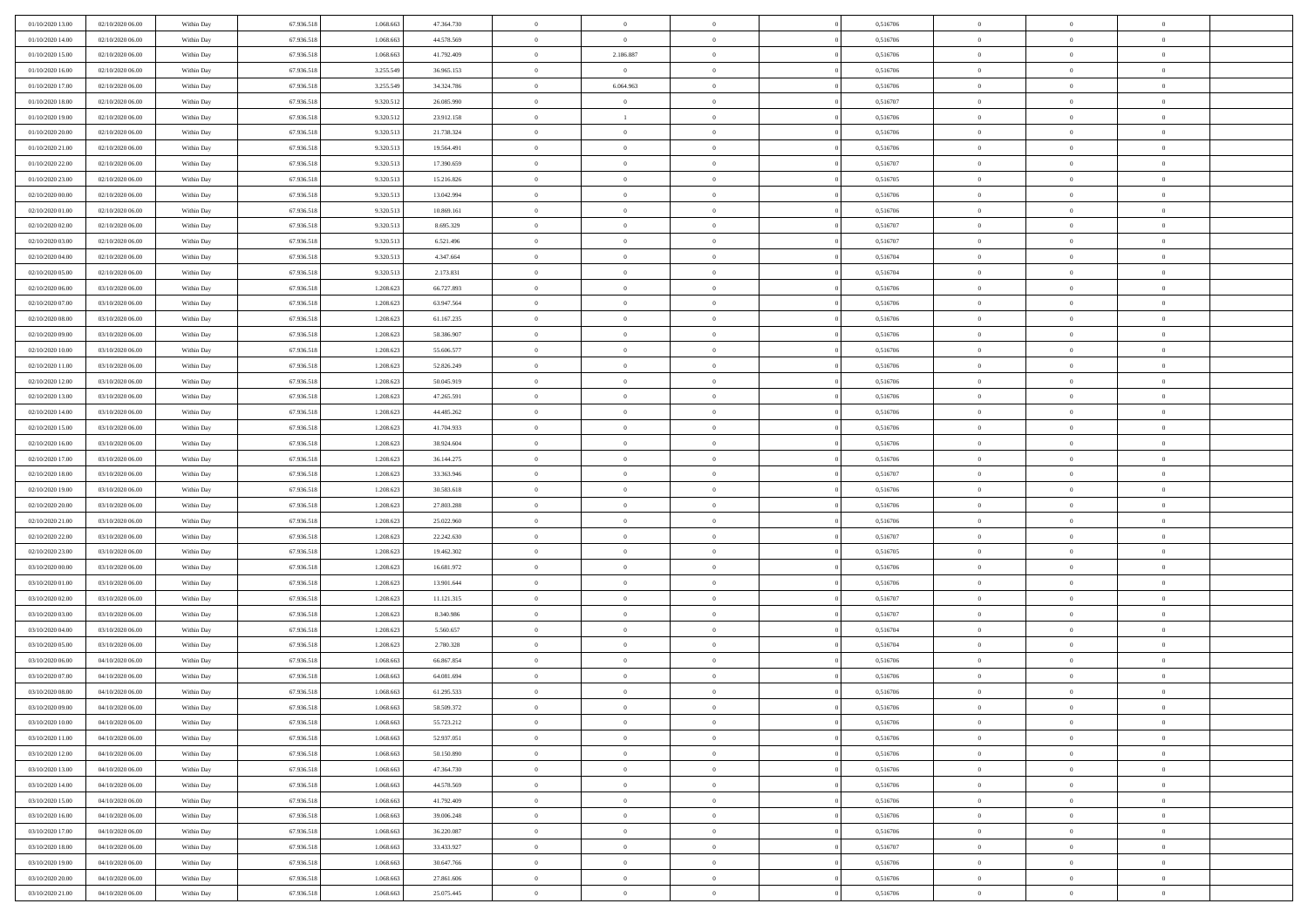| 01/10/2020 13.00 | 02/10/2020 06:00 | Within Day | 67.936.518 | 1.068.663 | 47.364.730 | $\,$ 0 $\,$    | $\overline{0}$ | $\overline{0}$ | 0,516706 | $\bf{0}$       | $\overline{0}$ | $\,0\,$        |  |
|------------------|------------------|------------|------------|-----------|------------|----------------|----------------|----------------|----------|----------------|----------------|----------------|--|
| 01/10/2020 14:00 | 02/10/2020 06:00 | Within Day | 67.936.518 | 1.068.663 | 44.578.569 | $\overline{0}$ | $\overline{0}$ | $\mathbf{0}$   | 0,516706 | $\theta$       | $\mathbf{0}$   | $\theta$       |  |
| 01/10/2020 15:00 | 02/10/2020 06:00 | Within Day | 67.936.518 | 1.068.663 | 41.792.409 | $\theta$       | 2.186.887      | $\mathbf{0}$   | 0,516706 | $\mathbf{0}$   | $\overline{0}$ | $\overline{0}$ |  |
| 01/10/2020 16:00 | 02/10/2020 06.00 | Within Day | 67.936.518 | 3.255.549 | 36.965.153 | $\,$ 0 $\,$    | $\overline{0}$ | $\overline{0}$ | 0,516706 | $\bf{0}$       | $\overline{0}$ | $\bf{0}$       |  |
| 01/10/2020 17.00 | 02/10/2020 06:00 | Within Day | 67.936.518 | 3.255.549 | 34.324.786 | $\bf{0}$       | 6.064.963      | $\mathbf{0}$   | 0,516706 | $\bf{0}$       | $\theta$       | $\,0\,$        |  |
| 01/10/2020 18:00 | 02/10/2020 06:00 | Within Day | 67.936.518 | 9.320.512 | 26.085.990 | $\theta$       | $\sim$ 0       | $\mathbf{0}$   | 0,516707 | $\mathbf{0}$   | $\overline{0}$ | $\overline{0}$ |  |
| 01/10/2020 19:00 | 02/10/2020 06:00 | Within Day | 67.936.518 | 9.320.512 | 23.912.158 | $\,$ 0 $\,$    | $\mathbf{1}$   | $\overline{0}$ | 0,516706 | $\bf{0}$       | $\overline{0}$ | $\,0\,$        |  |
| 01/10/2020 20:00 | 02/10/2020 06.00 | Within Day | 67.936.518 | 9.320.513 | 21.738.324 | $\theta$       | $\overline{0}$ | $\mathbf{0}$   | 0,516706 | $\,$ 0 $\,$    | $\overline{0}$ | $\theta$       |  |
| 01/10/2020 21:00 | 02/10/2020 06:00 | Within Day | 67.936.518 | 9.320.513 | 19.564.491 | $\theta$       | $\overline{0}$ | $\mathbf{0}$   | 0,516706 | $\mathbf{0}$   | $\bf{0}$       | $\overline{0}$ |  |
| 01/10/2020 22.00 | 02/10/2020 06:00 | Within Day | 67.936.518 | 9.320.513 | 17.390.659 | $\,$ 0 $\,$    | $\overline{0}$ | $\Omega$       | 0,516707 | $\bf{0}$       | $\overline{0}$ | $\,0\,$        |  |
| 01/10/2020 23.00 | 02/10/2020 06.00 | Within Day | 67.936.518 | 9.320.513 | 15.216.826 | $\bf{0}$       | $\overline{0}$ | $\mathbf{0}$   | 0,516705 | $\bf{0}$       | $\mathbf{0}$   | $\theta$       |  |
| 02/10/2020 00:00 | 02/10/2020 06:00 | Within Day | 67.936.518 | 9.320.513 | 13.042.994 | $\theta$       | $\overline{0}$ | $\mathbf{0}$   | 0,516706 | $\mathbf{0}$   | $\overline{0}$ | $\overline{0}$ |  |
| 02/10/2020 01:00 | 02/10/2020 06:00 | Within Day | 67.936.518 | 9.320.513 | 10.869.161 | $\,$ 0 $\,$    | $\overline{0}$ | $\overline{0}$ | 0,516706 | $\bf{0}$       | $\overline{0}$ | $\bf{0}$       |  |
| 02/10/2020 02.00 | 02/10/2020 06:00 | Within Day | 67.936.518 | 9.320.513 | 8.695.329  | $\bf{0}$       | $\overline{0}$ | $\mathbf{0}$   | 0,516707 | $\bf{0}$       | $\theta$       | $\,0\,$        |  |
| 02/10/2020 03:00 | 02/10/2020 06:00 | Within Day | 67.936.518 | 9.320.513 | 6.521.496  | $\theta$       | $\overline{0}$ | $\mathbf{0}$   | 0,516707 | $\mathbf{0}$   | $\bf{0}$       | $\overline{0}$ |  |
| 02/10/2020 04:00 | 02/10/2020 06.00 | Within Day | 67.936.518 | 9.320.513 | 4.347.664  | $\,$ 0 $\,$    | $\overline{0}$ | $\Omega$       | 0,516704 | $\bf{0}$       | $\overline{0}$ | $\bf{0}$       |  |
| 02/10/2020 05:00 | 02/10/2020 06.00 | Within Day | 67.936.518 | 9.320.513 | 2.173.831  | $\,$ 0         | $\overline{0}$ | $\mathbf{0}$   | 0,516704 | $\bf{0}$       | $\overline{0}$ | $\theta$       |  |
| 02/10/2020 06:00 | 03/10/2020 06:00 | Within Day | 67.936.518 | 1.208.623 | 66.727.893 | $\theta$       | $\overline{0}$ | $\mathbf{0}$   | 0,516706 | $\mathbf{0}$   | $\overline{0}$ | $\overline{0}$ |  |
| 02/10/2020 07.00 | 03/10/2020 06:00 | Within Day | 67.936.518 | 1.208.623 | 63.947.564 | $\bf{0}$       | $\overline{0}$ | $\Omega$       | 0,516706 | $\bf{0}$       | $\overline{0}$ | $\,0\,$        |  |
| 02/10/2020 08:00 | 03/10/2020 06.00 | Within Day | 67.936.518 | 1.208.623 | 61.167.235 | $\bf{0}$       | $\overline{0}$ | $\mathbf{0}$   | 0,516706 | $\bf{0}$       | $\mathbf{0}$   | $\theta$       |  |
| 02/10/2020 09:00 | 03/10/2020 06:00 | Within Day | 67.936.518 | 1.208.623 | 58.386.907 | $\theta$       | $\overline{0}$ | $\mathbf{0}$   | 0,516706 | $\mathbf{0}$   | $\overline{0}$ | $\overline{0}$ |  |
| 02/10/2020 10:00 | 03/10/2020 06.00 | Within Day | 67.936.518 | 1.208.623 | 55.606.577 | $\,$ 0 $\,$    | $\overline{0}$ | $\overline{0}$ | 0,516706 | $\bf{0}$       | $\overline{0}$ | $\bf{0}$       |  |
| 02/10/2020 11:00 | 03/10/2020 06.00 | Within Day | 67.936.518 | 1.208.623 | 52.826.249 | $\bf{0}$       | $\overline{0}$ | $\mathbf{0}$   | 0,516706 | $\bf{0}$       | $\theta$       | $\,0\,$        |  |
| 02/10/2020 12:00 | 03/10/2020 06:00 | Within Day | 67.936.518 | 1.208.623 | 50.045.919 | $\theta$       | $\overline{0}$ | $\mathbf{0}$   | 0,516706 | $\mathbf{0}$   | $\overline{0}$ | $\overline{0}$ |  |
| 02/10/2020 13:00 | 03/10/2020 06.00 | Within Day | 67.936.518 | 1.208.623 | 47.265.591 | $\,$ 0 $\,$    | $\overline{0}$ | $\overline{0}$ | 0,516706 | $\bf{0}$       | $\overline{0}$ | $\,0\,$        |  |
| 02/10/2020 14:00 | 03/10/2020 06.00 | Within Day | 67.936.518 | 1.208.623 | 44.485.262 | $\,$ 0         | $\overline{0}$ | $\mathbf{0}$   | 0,516706 | $\bf{0}$       | $\overline{0}$ | $\theta$       |  |
| 02/10/2020 15:00 | 03/10/2020 06:00 | Within Day | 67.936.518 | 1.208.623 | 41.704.933 | $\theta$       | $\overline{0}$ | $\overline{0}$ | 0,516706 | $\mathbf{0}$   | $\bf{0}$       | $\overline{0}$ |  |
| 02/10/2020 16:00 | 03/10/2020 06.00 | Within Day | 67.936.518 | 1.208.623 | 38.924.604 | $\,$ 0 $\,$    | $\overline{0}$ | $\Omega$       | 0,516706 | $\bf{0}$       | $\overline{0}$ | $\,0\,$        |  |
| 02/10/2020 17.00 | 03/10/2020 06.00 | Within Day | 67.936.518 | 1.208.623 | 36.144.275 | $\bf{0}$       | $\overline{0}$ | $\mathbf{0}$   | 0,516706 | $\bf{0}$       | $\mathbf{0}$   | $\theta$       |  |
| 02/10/2020 18:00 | 03/10/2020 06:00 | Within Day | 67.936.518 | 1.208.623 | 33.363.946 | $\theta$       | $\overline{0}$ | $\overline{0}$ | 0,516707 | $\mathbf{0}$   | $\overline{0}$ | $\overline{0}$ |  |
| 02/10/2020 19:00 | 03/10/2020 06:00 | Within Day | 67.936.518 | 1.208.623 | 30.583.618 | $\theta$       | $\overline{0}$ | $\overline{0}$ | 0,516706 | $\,$ 0         | $\overline{0}$ | $\,$ 0 $\,$    |  |
| 02/10/2020 20:00 | 03/10/2020 06.00 | Within Day | 67.936.518 | 1.208.623 | 27.803.288 | $\bf{0}$       | $\overline{0}$ | $\mathbf{0}$   | 0,516706 | $\bf{0}$       | $\mathbf{0}$   | $\overline{0}$ |  |
| 02/10/2020 21:00 | 03/10/2020 06:00 | Within Day | 67.936.518 | 1.208.623 | 25.022.960 | $\theta$       | $\overline{0}$ | $\mathbf{0}$   | 0,516706 | $\mathbf{0}$   | $\overline{0}$ | $\overline{0}$ |  |
| 02/10/2020 22.00 | 03/10/2020 06:00 | Within Day | 67.936.518 | 1.208.623 | 22.242.630 | $\theta$       | $\overline{0}$ | $\overline{0}$ | 0,516707 | $\,$ 0         | $\overline{0}$ | $\theta$       |  |
| 02/10/2020 23.00 | 03/10/2020 06.00 | Within Day | 67.936.518 | 1.208.623 | 19.462.302 | $\bf{0}$       | $\overline{0}$ | $\mathbf{0}$   | 0,516705 | $\bf{0}$       | $\overline{0}$ | $\overline{0}$ |  |
| 03/10/2020 00:00 | 03/10/2020 06:00 | Within Day | 67.936.518 | 1.208.623 | 16.681.972 | $\theta$       | $\overline{0}$ | $\mathbf{0}$   | 0,516706 | $\mathbf{0}$   | $\overline{0}$ | $\overline{0}$ |  |
| 03/10/2020 01:00 | 03/10/2020 06:00 | Within Day | 67.936.518 | 1.208.623 | 13.901.644 | $\theta$       | $\overline{0}$ | $\overline{0}$ | 0,516706 | $\,$ 0         | $\overline{0}$ | $\theta$       |  |
| 03/10/2020 02.00 | 03/10/2020 06.00 | Within Day | 67.936.518 | 1.208.623 | 11.121.315 | $\bf{0}$       | $\overline{0}$ | $\mathbf{0}$   | 0,516707 | $\bf{0}$       | $\mathbf{0}$   | $\bf{0}$       |  |
| 03/10/2020 03:00 | 03/10/2020 06:00 | Within Day | 67.936.518 | 1.208.623 | 8.340.986  | $\theta$       | $\overline{0}$ | $\mathbf{0}$   | 0,516707 | $\mathbf{0}$   | $\overline{0}$ | $\overline{0}$ |  |
| 03/10/2020 04:00 | 03/10/2020 06:00 | Within Day | 67.936.518 | 1.208.623 | 5.560.657  | $\,$ 0 $\,$    | $\overline{0}$ | $\overline{0}$ | 0,516704 | $\,$ 0         | $\overline{0}$ | $\,$ 0 $\,$    |  |
| 03/10/2020 05:00 | 03/10/2020 06.00 | Within Day | 67.936.518 | 1.208.623 | 2.780.328  | $\bf{0}$       | $\,$ 0 $\,$    | $\overline{0}$ | 0,516704 | $\,$ 0 $\,$    | $\overline{0}$ | $\bf{0}$       |  |
| 03/10/2020 06:00 | 04/10/2020 06:00 | Within Day | 67.936.518 | 1.068.663 | 66.867.854 | $\theta$       | $\overline{0}$ | $\mathbf{0}$   | 0,516706 | $\mathbf{0}$   | $\overline{0}$ | $\theta$       |  |
| 03/10/2020 07:00 | 04/10/2020 06.00 | Within Day | 67.936.518 | 1.068.663 | 64.081.694 | $\overline{0}$ | $\overline{0}$ | $\overline{0}$ | 0,516706 | $\overline{0}$ | $\overline{0}$ | $\theta$       |  |
| 03/10/2020 08:00 | 04/10/2020 06:00 | Within Day | 67.936.518 | 1.068.663 | 61.295.533 | $\bf{0}$       | $\overline{0}$ | $\mathbf{0}$   | 0,516706 | $\bf{0}$       | $\overline{0}$ | $\bf{0}$       |  |
| 03/10/2020 09:00 | 04/10/2020 06:00 | Within Day | 67.936.518 | 1.068.663 | 58.509.372 | $\overline{0}$ | $\theta$       |                | 0,516706 | $\overline{0}$ | $\theta$       | $\theta$       |  |
| 03/10/2020 10:00 | 04/10/2020 06:00 | Within Day | 67.936.518 | 1.068.663 | 55.723.212 | $\,$ 0 $\,$    | $\overline{0}$ | $\overline{0}$ | 0,516706 | $\,$ 0 $\,$    | $\bf{0}$       | $\theta$       |  |
| 03/10/2020 11:00 | 04/10/2020 06:00 | Within Day | 67.936.518 | 1.068.663 | 52.937.051 | $\bf{0}$       | $\,$ 0 $\,$    | $\mathbf{0}$   | 0,516706 | $\,$ 0 $\,$    | $\overline{0}$ | $\overline{0}$ |  |
| 03/10/2020 12:00 | 04/10/2020 06:00 | Within Day | 67.936.518 | 1.068.663 | 50.150.890 | $\mathbf{0}$   | $\overline{0}$ | $\overline{0}$ | 0,516706 | $\,$ 0 $\,$    | $\bf{0}$       | $\mathbf{0}$   |  |
| 03/10/2020 13:00 | 04/10/2020 06:00 | Within Day | 67.936.518 | 1.068.663 | 47.364.730 | $\,0\,$        | $\overline{0}$ | $\overline{0}$ | 0,516706 | $\,$ 0 $\,$    | $\bf{0}$       | $\,$ 0 $\,$    |  |
| 03/10/2020 14:00 | 04/10/2020 06.00 | Within Day | 67.936.518 | 1.068.663 | 44.578.569 | $\,$ 0 $\,$    | $\,$ 0 $\,$    | $\overline{0}$ | 0,516706 | $\,$ 0 $\,$    | $\overline{0}$ | $\overline{0}$ |  |
| 03/10/2020 15:00 | 04/10/2020 06:00 | Within Day | 67.936.518 | 1.068.663 | 41.792.409 | $\mathbf{0}$   | $\overline{0}$ | $\overline{0}$ | 0,516706 | $\mathbf{0}$   | $\overline{0}$ | $\overline{0}$ |  |
| 03/10/2020 16:00 | 04/10/2020 06:00 | Within Day | 67.936.518 | 1.068.663 | 39.006.248 | $\,$ 0 $\,$    | $\overline{0}$ | $\overline{0}$ | 0,516706 | $\,$ 0 $\,$    | $\overline{0}$ | $\,$ 0 $\,$    |  |
| 03/10/2020 17.00 | 04/10/2020 06.00 | Within Day | 67.936.518 | 1.068.663 | 36.220.087 | $\overline{0}$ | $\overline{0}$ | $\overline{0}$ | 0,516706 | $\mathbf{0}$   | $\overline{0}$ | $\overline{0}$ |  |
| 03/10/2020 18:00 | 04/10/2020 06:00 | Within Day | 67.936.518 | 1.068.663 | 33.433.927 | $\mathbf{0}$   | $\overline{0}$ | $\overline{0}$ | 0,516707 | $\mathbf{0}$   | $\bf{0}$       | $\overline{0}$ |  |
| 03/10/2020 19:00 | 04/10/2020 06:00 | Within Day | 67.936.518 | 1.068.663 | 30.647.766 | $\,0\,$        | $\overline{0}$ | $\overline{0}$ | 0,516706 | $\,$ 0 $\,$    | $\mathbf{0}$   | $\,$ 0 $\,$    |  |
| 03/10/2020 20:00 | 04/10/2020 06.00 | Within Day | 67.936.518 | 1.068.663 | 27.861.606 | $\,$ 0 $\,$    | $\,$ 0 $\,$    | $\overline{0}$ | 0,516706 | $\,$ 0 $\,$    | $\overline{0}$ | $\overline{0}$ |  |
| 03/10/2020 21:00 | 04/10/2020 06:00 | Within Day | 67.936.518 | 1.068.663 | 25.075.445 | $\theta$       | $\overline{0}$ | $\overline{0}$ | 0,516706 | $\mathbf{0}$   | $\overline{0}$ | $\overline{0}$ |  |
|                  |                  |            |            |           |            |                |                |                |          |                |                |                |  |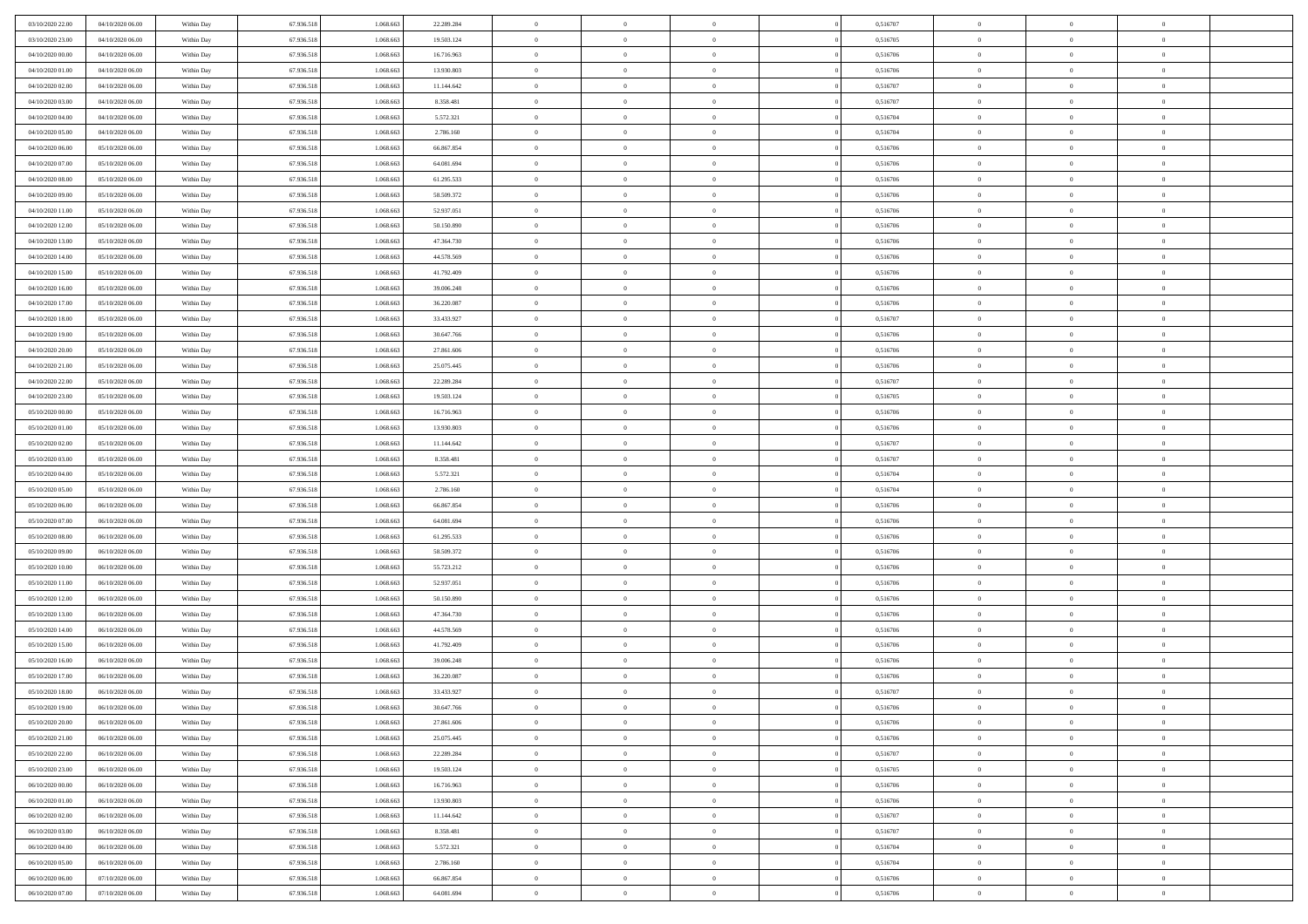| 03/10/2020 22.00 | 04/10/2020 06.00 | Within Day | 67.936.518 | 1.068.663 | 22.289.284 | $\bf{0}$       | $\overline{0}$ | $\Omega$       | 0,516707 | $\bf{0}$       | $\overline{0}$ | $\bf{0}$       |  |
|------------------|------------------|------------|------------|-----------|------------|----------------|----------------|----------------|----------|----------------|----------------|----------------|--|
| 03/10/2020 23:00 | 04/10/2020 06:00 | Within Dav | 67.936.518 | 1.068.663 | 19.503.124 | $\theta$       | $\overline{0}$ | $\overline{0}$ | 0,516705 | $\mathbf{0}$   | $\bf{0}$       | $\overline{0}$ |  |
| 04/10/2020 00:00 | 04/10/2020 06:00 | Within Day | 67.936.518 | 1.068.663 | 16.716.963 | $\theta$       | $\overline{0}$ | $\bf{0}$       | 0,516706 | $\,$ 0         | $\overline{0}$ | $\,$ 0 $\,$    |  |
| 04/10/2020 01:00 | 04/10/2020 06.00 | Within Day | 67.936.518 | 1.068.663 | 13.930.803 | $\overline{0}$ | $\overline{0}$ | $\mathbf{0}$   | 0,516706 | $\bf{0}$       | $\mathbf{0}$   | $\theta$       |  |
| 04/10/2020 02.00 | 04/10/2020 06:00 | Within Dav | 67.936.518 | 1.068.663 | 11.144.642 | $\mathbf{0}$   | $\overline{0}$ | $\overline{0}$ | 0,516707 | $\mathbf{0}$   | $\bf{0}$       | $\overline{0}$ |  |
| 04/10/2020 03:00 | 04/10/2020 06:00 | Within Day | 67.936.518 | 1.068.663 | 8.358.481  | $\theta$       | $\overline{0}$ | $\bf{0}$       | 0,516707 | $\,$ 0         | $\overline{0}$ | $\,$ 0 $\,$    |  |
| 04/10/2020 04:00 | 04/10/2020 06.00 | Within Day | 67.936.518 | 1.068.663 | 5.572.321  | $\,$ 0 $\,$    | $\overline{0}$ | $\Omega$       | 0,516704 | $\bf{0}$       | $\mathbf{0}$   | $\theta$       |  |
| 04/10/2020 05:00 | 04/10/2020 06:00 | Within Dav | 67.936.518 | 1.068.663 | 2.786.160  | $\overline{0}$ | $\overline{0}$ | $\overline{0}$ | 0,516704 | $\mathbf{0}$   | $\bf{0}$       | $\overline{0}$ |  |
| 04/10/2020 06:00 | 05/10/2020 06:00 | Within Day | 67.936.518 | 1.068.663 | 66.867.854 | $\theta$       | $\overline{0}$ | $\overline{0}$ | 0,516706 | $\,$ 0         | $\overline{0}$ | $\,$ 0 $\,$    |  |
| 04/10/2020 07:00 | 05/10/2020 06.00 | Within Day | 67.936.518 | 1.068.663 | 64.081.694 | $\overline{0}$ | $\overline{0}$ | $\mathbf{0}$   | 0.516706 | $\bf{0}$       | $\mathbf{0}$   | $\theta$       |  |
| 04/10/2020 08:00 | 05/10/2020 06:00 | Within Dav | 67.936.518 | 1.068.663 | 61.295.533 | $\overline{0}$ | $\overline{0}$ | $\overline{0}$ | 0,516706 | $\mathbf{0}$   | $\bf{0}$       | $\overline{0}$ |  |
| 04/10/2020 09:00 | 05/10/2020 06:00 | Within Day | 67.936.518 | 1.068.663 | 58.509.372 | $\theta$       | $\overline{0}$ | $\bf{0}$       | 0,516706 | $\,$ 0         | $\overline{0}$ | $\,$ 0 $\,$    |  |
| 04/10/2020 11:00 | 05/10/2020 06.00 | Within Day | 67.936.518 | 1.068.663 | 52.937.051 | $\theta$       | $\overline{0}$ | $\mathbf{0}$   | 0,516706 | $\bf{0}$       | $\mathbf{0}$   | $\theta$       |  |
| 04/10/2020 12:00 | 05/10/2020 06:00 | Within Dav | 67.936.518 | 1.068.663 | 50.150.890 | $\overline{0}$ | $\overline{0}$ | $\overline{0}$ | 0,516706 | $\mathbf{0}$   | $\bf{0}$       | $\overline{0}$ |  |
| 04/10/2020 13:00 | 05/10/2020 06:00 | Within Day | 67.936.518 | 1.068.663 | 47.364.730 | $\theta$       | $\overline{0}$ | $\overline{0}$ | 0,516706 | $\,$ 0         | $\overline{0}$ | $\,$ 0 $\,$    |  |
| 04/10/2020 14:00 | 05/10/2020 06:00 | Within Day | 67.936.518 | 1.068.663 | 44.578.569 | $\bf{0}$       | $\overline{0}$ | $\mathbf{0}$   | 0,516706 | $\bf{0}$       | $\mathbf{0}$   | $\bf{0}$       |  |
| 04/10/2020 15:00 | 05/10/2020 06:00 | Within Dav | 67.936.518 | 1.068.663 | 41.792.409 | $\overline{0}$ | $\overline{0}$ | $\overline{0}$ | 0,516706 | $\mathbf{0}$   | $\bf{0}$       | $\overline{0}$ |  |
| 04/10/2020 16:00 | 05/10/2020 06:00 | Within Day | 67.936.518 | 1.068.663 | 39.006.248 | $\theta$       | $\overline{0}$ | $\bf{0}$       | 0,516706 | $\,$ 0         | $\overline{0}$ | $\,$ 0 $\,$    |  |
| 04/10/2020 17:00 | 05/10/2020 06:00 | Within Day | 67.936.518 | 1.068.663 | 36.220.087 | $\overline{0}$ | $\overline{0}$ | $\mathbf{0}$   | 0.516706 | $\bf{0}$       | $\mathbf{0}$   | $\theta$       |  |
| 04/10/2020 18:00 | 05/10/2020 06:00 | Within Dav | 67.936.518 | 1.068.663 | 33.433.927 | $\overline{0}$ | $\overline{0}$ | $\overline{0}$ | 0,516707 | $\mathbf{0}$   | $\bf{0}$       | $\overline{0}$ |  |
| 04/10/2020 19:00 | 05/10/2020 06:00 | Within Day | 67.936.518 | 1.068.663 | 30.647.766 | $\theta$       | $\overline{0}$ | $\bf{0}$       | 0,516706 | $\,$ 0         | $\overline{0}$ | $\,$ 0 $\,$    |  |
| 04/10/2020 20:00 | 05/10/2020 06.00 | Within Day | 67.936.518 | 1.068.663 | 27.861.606 | $\overline{0}$ | $\overline{0}$ | $\mathbf{0}$   | 0.516706 | $\bf{0}$       | $\mathbf{0}$   | $\theta$       |  |
| 04/10/2020 21:00 | 05/10/2020 06:00 | Within Dav | 67.936.518 | 1.068.663 | 25.075.445 | $\overline{0}$ | $\overline{0}$ | $\overline{0}$ | 0,516706 | $\mathbf{0}$   | $\bf{0}$       | $\overline{0}$ |  |
| 04/10/2020 22.00 | 05/10/2020 06:00 | Within Day | 67.936.518 | 1.068.663 | 22.289.284 | $\theta$       | $\overline{0}$ | $\bf{0}$       | 0,516707 | $\,$ 0         | $\overline{0}$ | $\,$ 0 $\,$    |  |
| 04/10/2020 23.00 | 05/10/2020 06.00 | Within Day | 67.936.518 | 1.068.663 | 19.503.124 | $\bf{0}$       | $\overline{0}$ | $\mathbf{0}$   | 0,516705 | $\bf{0}$       | $\overline{0}$ | $\bf{0}$       |  |
| 05/10/2020 00:00 | 05/10/2020 06:00 | Within Dav | 67.936.518 | 1.068.663 | 16.716.963 | $\theta$       | $\overline{0}$ | $\overline{0}$ | 0,516706 | $\mathbf{0}$   | $\bf{0}$       | $\overline{0}$ |  |
| 05/10/2020 01:00 | 05/10/2020 06:00 | Within Day | 67.936.518 | 1.068.663 | 13.930.803 | $\theta$       | $\overline{0}$ | $\overline{0}$ | 0,516706 | $\,$ 0         | $\overline{0}$ | $\,$ 0 $\,$    |  |
| 05/10/2020 02:00 | 05/10/2020 06:00 | Within Day | 67.936.518 | 1.068.663 | 11.144.642 | $\mathbf{0}$   | $\overline{0}$ | $\mathbf{0}$   | 0.516707 | $\bf{0}$       | $\mathbf{0}$   | $\theta$       |  |
| 05/10/2020 03:00 | 05/10/2020 06:00 | Within Dav | 67.936.518 | 1.068.663 | 8.358.481  | $\overline{0}$ | $\overline{0}$ | $\overline{0}$ | 0,516707 | $\mathbf{0}$   | $\bf{0}$       | $\overline{0}$ |  |
| 05/10/2020 04:00 | 05/10/2020 06:00 | Within Day | 67.936.518 | 1.068.663 | 5.572.321  | $\theta$       | $\overline{0}$ | $\bf{0}$       | 0,516704 | $\,$ 0         | $\overline{0}$ | $\,$ 0 $\,$    |  |
| 05/10/2020 05:00 | 05/10/2020 06.00 | Within Day | 67.936.518 | 1.068.663 | 2.786.160  | $\bf{0}$       | $\overline{0}$ | $\overline{0}$ | 0,516704 | $\bf{0}$       | $\overline{0}$ | $\,0\,$        |  |
| 05/10/2020 06:00 | 06/10/2020 06:00 | Within Dav | 67.936.518 | 1.068.663 | 66.867.854 | $\overline{0}$ | $\overline{0}$ | $\overline{0}$ | 0,516706 | $\mathbf{0}$   | $\bf{0}$       | $\overline{0}$ |  |
| 05/10/2020 07:00 | 06/10/2020 06:00 | Within Day | 67.936.518 | 1.068.663 | 64.081.694 | $\theta$       | $\overline{0}$ | $\overline{0}$ | 0,516706 | $\,$ 0         | $\overline{0}$ | $\,$ 0 $\,$    |  |
| 05/10/2020 08:00 | 06/10/2020 06:00 | Within Day | 67.936.518 | 1.068.663 | 61.295.533 | $\,$ 0 $\,$    | $\overline{0}$ | $\overline{0}$ | 0,516706 | $\bf{0}$       | $\overline{0}$ | $\,0\,$        |  |
| 05/10/2020 09:00 | 06/10/2020 06:00 | Within Dav | 67.936.518 | 1.068.663 | 58.509.372 | $\theta$       | $\overline{0}$ | $\overline{0}$ | 0,516706 | $\mathbf{0}$   | $\bf{0}$       | $\overline{0}$ |  |
| 05/10/2020 10:00 | 06/10/2020 06:00 | Within Day | 67.936.518 | 1.068.663 | 55.723.212 | $\theta$       | $\overline{0}$ | $\bf{0}$       | 0,516706 | $\,$ 0         | $\overline{0}$ | $\,$ 0 $\,$    |  |
| 05/10/2020 11:00 | 06/10/2020 06:00 | Within Day | 67.936.518 | 1.068.663 | 52.937.051 | $\bf{0}$       | $\overline{0}$ | $\overline{0}$ | 0,516706 | $\bf{0}$       | $\overline{0}$ | $\,0\,$        |  |
| 05/10/2020 12:00 | 06/10/2020 06:00 | Within Dav | 67.936.518 | 1.068.663 | 50.150.890 | $\overline{0}$ | $\overline{0}$ | $\overline{0}$ | 0,516706 | $\mathbf{0}$   | $\bf{0}$       | $\overline{0}$ |  |
| 05/10/2020 13:00 | 06/10/2020 06:00 | Within Day | 67.936.518 | 1.068.663 | 47.364.730 | $\theta$       | $\overline{0}$ | $\bf{0}$       | 0,516706 | $\,$ 0         | $\overline{0}$ | $\,$ 0 $\,$    |  |
| 05/10/2020 14:00 | 06/10/2020 06:00 | Within Day | 67.936.518 | 1.068.663 | 44.578.569 | $\,$ 0 $\,$    | $\overline{0}$ | $\overline{0}$ | 0,516706 | $\bf{0}$       | $\overline{0}$ | $\,0\,$        |  |
| 05/10/2020 15:00 | 06/10/2020 06:00 | Within Dav | 67.936.518 | 1.068.663 | 41.792.409 | $\theta$       | $\overline{0}$ | $\overline{0}$ | 0,516706 | $\mathbf{0}$   | $\bf{0}$       | $\overline{0}$ |  |
| 05/10/2020 16:00 | 06/10/2020 06:00 | Within Day | 67.936.518 | 1.068.663 | 39.006.248 | $\theta$       | $\overline{0}$ | $\overline{0}$ | 0,516706 | $\,$ 0         | $\overline{0}$ | $\,$ 0 $\,$    |  |
| 05/10/2020 17:00 | 06/10/2020 06:00 | Within Day | 67.936.518 | 1.068.663 | 36.220.087 | $\,$ 0 $\,$    | $\overline{0}$ | $\overline{0}$ | 0,516706 | $\bf{0}$       | $\overline{0}$ | $\,0\,$        |  |
| 05/10/2020 18:00 | 06/10/2020 06:00 | Within Dav | 67.936.518 | 1.068.663 | 33.433.927 | $\theta$       | $\overline{0}$ | $\overline{0}$ | 0,516707 | $\mathbf{0}$   | $\bf{0}$       | $\overline{0}$ |  |
| 05/10/2020 19:00 | 06/10/2020 06:00 | Within Day | 67.936.518 | 1.068.663 | 30.647.766 | $\overline{0}$ | $\overline{0}$ | $\overline{0}$ | 0,516706 | $\overline{0}$ | $\overline{0}$ | $\theta$       |  |
| 05/10/2020 20:00 | 06/10/2020 06:00 | Within Day | 67.936.518 | 1.068.663 | 27.861.606 | $\bf{0}$       | $\overline{0}$ | $\overline{0}$ | 0,516706 | $\bf{0}$       | $\overline{0}$ | $\bf{0}$       |  |
| 05/10/2020 21:00 | 06/10/2020 06:00 | Within Day | 67.936.518 | 1.068.663 | 25.075.445 | $\overline{0}$ | $\overline{0}$ | $\overline{0}$ | 0,516706 | $\overline{0}$ | $\bf{0}$       | $\overline{0}$ |  |
| 05/10/2020 22.00 | 06/10/2020 06:00 | Within Day | 67.936.518 | 1.068.663 | 22.289.284 | $\,$ 0 $\,$    | $\overline{0}$ | $\overline{0}$ | 0,516707 | $\,$ 0 $\,$    | $\,$ 0 $\,$    | $\,$ 0 $\,$    |  |
| 05/10/2020 23:00 | 06/10/2020 06:00 | Within Day | 67.936.518 | 1.068.663 | 19.503.124 | $\bf{0}$       | $\overline{0}$ | $\overline{0}$ | 0,516705 | $\mathbf{0}$   | $\overline{0}$ | $\bf{0}$       |  |
| 06/10/2020 00:00 | 06/10/2020 06:00 | Within Dav | 67.936.518 | 1.068.663 | 16.716.963 | $\,$ 0 $\,$    | $\overline{0}$ | $\overline{0}$ | 0,516706 | $\,$ 0 $\,$    | $\bf{0}$       | $\overline{0}$ |  |
| 06/10/2020 01:00 | 06/10/2020 06:00 | Within Day | 67.936.518 | 1.068.663 | 13.930.803 | $\,$ 0 $\,$    | $\overline{0}$ | $\overline{0}$ | 0,516706 | $\,$ 0 $\,$    | $\overline{0}$ | $\,$ 0 $\,$    |  |
| 06/10/2020 02:00 | 06/10/2020 06:00 | Within Day | 67.936.518 | 1.068.663 | 11.144.642 | $\bf{0}$       | $\overline{0}$ | $\overline{0}$ | 0,516707 | $\overline{0}$ | $\overline{0}$ | $\overline{0}$ |  |
| 06/10/2020 03:00 | 06/10/2020 06:00 | Within Day | 67.936.518 | 1.068.663 | 8.358.481  | $\,$ 0 $\,$    | $\overline{0}$ | $\overline{0}$ | 0,516707 | $\,$ 0 $\,$    | $\bf{0}$       | $\overline{0}$ |  |
| 06/10/2020 04:00 | 06/10/2020 06:00 | Within Day | 67.936.518 | 1.068.663 | 5.572.321  | $\,$ 0         | $\overline{0}$ | $\overline{0}$ | 0,516704 | $\,$ 0 $\,$    | $\,$ 0 $\,$    | $\,$ 0 $\,$    |  |
| 06/10/2020 05:00 | 06/10/2020 06:00 | Within Day | 67.936.518 | 1.068.663 | 2.786.160  | $\bf{0}$       | $\overline{0}$ | $\overline{0}$ | 0,516704 | $\mathbf{0}$   | $\overline{0}$ | $\bf{0}$       |  |
| 06/10/2020 06:00 | 07/10/2020 06:00 | Within Day | 67.936.518 | 1.068.663 | 66.867.854 | $\,$ 0 $\,$    | $\overline{0}$ | $\overline{0}$ | 0,516706 | $\mathbf{0}$   | $\bf{0}$       | $\overline{0}$ |  |
| 06/10/2020 07:00 | 07/10/2020 06:00 | Within Day | 67.936.518 | 1.068.663 | 64.081.694 | $\,$ 0 $\,$    | $\overline{0}$ | $\overline{0}$ | 0,516706 | $\,$ 0 $\,$    | $\overline{0}$ | $\,$ 0 $\,$    |  |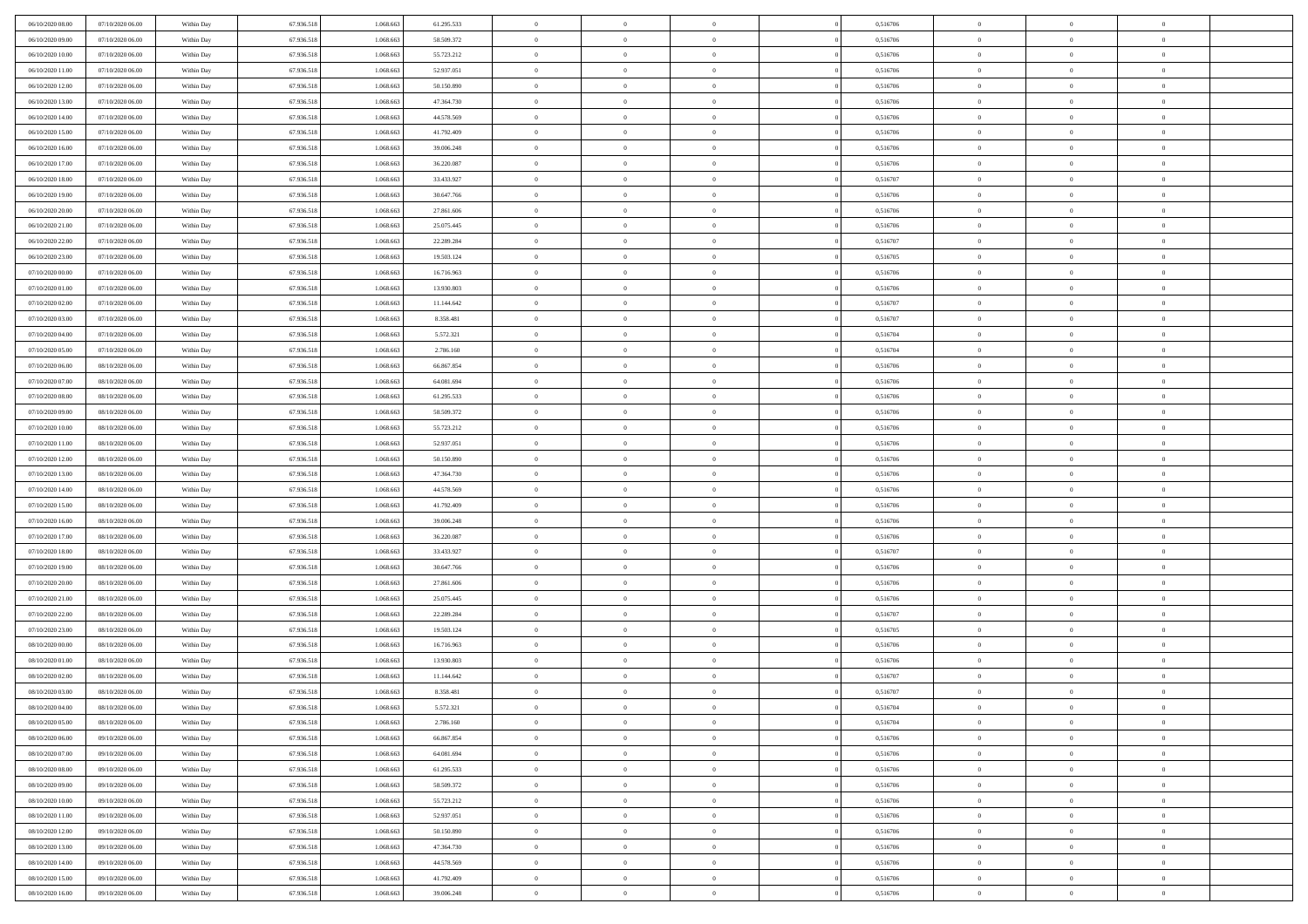| 06/10/2020 08:00                     | 07/10/2020 06.00                     | Within Day               | 67.936.518               | 1.068.663              | 61.295.533               | $\bf{0}$                | $\overline{0}$                   | $\Omega$                         | 0,516706             | $\bf{0}$                 | $\overline{0}$             | $\bf{0}$                  |  |
|--------------------------------------|--------------------------------------|--------------------------|--------------------------|------------------------|--------------------------|-------------------------|----------------------------------|----------------------------------|----------------------|--------------------------|----------------------------|---------------------------|--|
| 06/10/2020 09:00                     | 07/10/2020 06:00                     | Within Dav               | 67.936.518               | 1.068.663              | 58.509.372               | $\theta$                | $\overline{0}$                   | $\overline{0}$                   | 0,516706             | $\mathbf{0}$             | $\bf{0}$                   | $\overline{0}$            |  |
| 06/10/2020 10:00                     | 07/10/2020 06:00                     | Within Day               | 67.936.518               | 1.068.663              | 55.723.212               | $\bf{0}$                | $\overline{0}$                   | $\overline{0}$                   | 0,516706             | $\,$ 0                   | $\overline{0}$             | $\,$ 0 $\,$               |  |
| 06/10/2020 11:00                     | 07/10/2020 06.00                     | Within Day               | 67.936.518               | 1.068.663              | 52.937.051               | $\mathbf{0}$            | $\overline{0}$                   | $\mathbf{0}$                     | 0,516706             | $\bf{0}$                 | $\mathbf{0}$               | $\theta$                  |  |
| 06/10/2020 12:00                     | 07/10/2020 06:00                     | Within Dav               | 67.936.518               | 1.068.663              | 50.150.890               | $\mathbf{0}$            | $\overline{0}$                   | $\overline{0}$                   | 0,516706             | $\mathbf{0}$             | $\bf{0}$                   | $\overline{0}$            |  |
| 06/10/2020 13:00                     | 07/10/2020 06:00                     | Within Day               | 67.936.518               | 1.068.663              | 47.364.730               | $\theta$                | $\overline{0}$                   | $\bf{0}$                         | 0,516706             | $\,$ 0                   | $\overline{0}$             | $\,$ 0 $\,$               |  |
| 06/10/2020 14:00                     | 07/10/2020 06.00                     | Within Day               | 67.936.518               | 1.068.663              | 44.578.569               | $\bf{0}$                | $\overline{0}$                   | $\Omega$                         | 0,516706             | $\bf{0}$                 | $\mathbf{0}$               | $\theta$                  |  |
| 06/10/2020 15:00                     | 07/10/2020 06:00                     | Within Dav               | 67.936.518               | 1.068.663              | 41.792.409               | $\overline{0}$          | $\overline{0}$                   | $\overline{0}$                   | 0,516706             | $\mathbf{0}$             | $\bf{0}$                   | $\overline{0}$            |  |
| 06/10/2020 16:00                     | 07/10/2020 06:00                     | Within Day               | 67.936.518               | 1.068.663              | 39.006.248               | $\theta$                | $\overline{0}$                   | $\overline{0}$                   | 0,516706             | $\,$ 0                   | $\overline{0}$             | $\,$ 0 $\,$               |  |
| 06/10/2020 17:00                     | 07/10/2020 06.00                     | Within Day               | 67.936.518               | 1.068.663              | 36.220.087               | $\mathbf{0}$            | $\overline{0}$                   | $\mathbf{0}$                     | 0.516706             | $\bf{0}$                 | $\mathbf{0}$               | $\theta$                  |  |
| 06/10/2020 18:00                     | 07/10/2020 06:00                     | Within Dav               | 67.936.518               | 1.068.663              | 33.433.927               | $\overline{0}$          | $\overline{0}$                   | $\overline{0}$                   | 0,516707             | $\mathbf{0}$             | $\bf{0}$                   | $\overline{0}$            |  |
| 06/10/2020 19:00                     | 07/10/2020 06:00                     | Within Day               | 67.936.518               | 1.068.663              | 30.647.766               | $\theta$                | $\overline{0}$                   | $\overline{0}$                   | 0,516706             | $\,$ 0                   | $\overline{0}$             | $\,$ 0 $\,$               |  |
| 06/10/2020 20:00                     | 07/10/2020 06.00                     | Within Day               | 67.936.518               | 1.068.663              | 27.861.606               | $\theta$                | $\overline{0}$                   | $\mathbf{0}$                     | 0,516706             | $\bf{0}$                 | $\mathbf{0}$               | $\theta$                  |  |
| 06/10/2020 21:00                     | 07/10/2020 06:00                     | Within Dav               | 67.936.518               | 1.068.663              | 25.075.445               | $\overline{0}$          | $\overline{0}$                   | $\overline{0}$                   | 0,516706             | $\mathbf{0}$             | $\bf{0}$                   | $\overline{0}$            |  |
| 06/10/2020 22.00                     | 07/10/2020 06:00                     | Within Day               | 67.936.518               | 1.068.663              | 22.289.284               | $\theta$                | $\overline{0}$                   | $\overline{0}$                   | 0,516707             | $\,$ 0                   | $\overline{0}$             | $\,$ 0 $\,$               |  |
| 06/10/2020 23.00                     | 07/10/2020 06.00                     | Within Day               | 67.936.518               | 1.068.663              | 19.503.124               | $\mathbf{0}$            | $\overline{0}$                   | $\mathbf{0}$                     | 0,516705             | $\bf{0}$                 | $\mathbf{0}$               | $\bf{0}$                  |  |
| 07/10/2020 00:00                     | 07/10/2020 06:00                     | Within Dav               | 67.936.518               | 1.068.663              | 16.716.963               | $\theta$                | $\overline{0}$                   | $\overline{0}$                   | 0,516706             | $\mathbf{0}$             | $\bf{0}$                   | $\overline{0}$            |  |
| 07/10/2020 01:00                     | 07/10/2020 06:00                     | Within Day               | 67.936.518               | 1.068.663              | 13.930.803               | $\theta$                | $\overline{0}$                   | $\bf{0}$                         | 0,516706             | $\,$ 0                   | $\overline{0}$             | $\,0\,$                   |  |
| 07/10/2020 02:00                     | 07/10/2020 06:00                     | Within Day               | 67.936.518               | 1.068.663              | 11.144.642               | $\mathbf{0}$            | $\overline{0}$                   | $\mathbf{0}$                     | 0.516707             | $\bf{0}$                 | $\mathbf{0}$               | $\theta$                  |  |
| 07/10/2020 03:00                     | 07/10/2020 06:00                     | Within Dav               | 67.936.518               | 1.068.663              | 8.358.481                | $\overline{0}$          | $\overline{0}$                   | $\overline{0}$                   | 0,516707             | $\mathbf{0}$             | $\bf{0}$                   | $\overline{0}$            |  |
| 07/10/2020 04:00                     | 07/10/2020 06:00                     | Within Day               | 67.936.518               | 1.068.663              | 5.572.321                | $\theta$                | $\overline{0}$                   | $\bf{0}$                         | 0,516704             | $\,$ 0                   | $\overline{0}$             | $\,$ 0 $\,$               |  |
| 07/10/2020 05:00                     | 07/10/2020 06.00                     | Within Day               | 67.936.518               | 1.068.663              | 2.786.160                | $\mathbf{0}$            | $\overline{0}$                   | $\mathbf{0}$                     | 0.516704             | $\bf{0}$                 | $\theta$                   | $\theta$                  |  |
| 07/10/2020 06:00                     | 08/10/2020 06:00                     | Within Dav               | 67.936.518               | 1.068.663              | 66.867.854               | $\overline{0}$          | $\overline{0}$                   | $\overline{0}$                   | 0,516706             | $\mathbf{0}$             | $\bf{0}$                   | $\overline{0}$            |  |
| 07/10/2020 07:00                     | 08/10/2020 06:00                     | Within Day               | 67.936.518               | 1.068.663              | 64.081.694               | $\theta$                | $\overline{0}$                   | $\bf{0}$                         | 0,516706             | $\,$ 0                   | $\overline{0}$             | $\,$ 0 $\,$               |  |
| 07/10/2020 08:00                     | 08/10/2020 06:00                     | Within Day               | 67.936.518               | 1.068.663              | 61.295.533               | $\bf{0}$                | $\overline{0}$                   | $\mathbf{0}$                     | 0,516706             | $\bf{0}$                 | $\mathbf{0}$               | $\bf{0}$                  |  |
| 07/10/2020 09:00                     | 08/10/2020 06:00                     | Within Dav               | 67.936.518               | 1.068.663              | 58.509.372               | $\overline{0}$          | $\overline{0}$                   | $\overline{0}$                   | 0,516706             | $\mathbf{0}$             | $\bf{0}$                   | $\overline{0}$            |  |
| 07/10/2020 10:00                     | 08/10/2020 06:00                     | Within Day               | 67.936.518               | 1.068.663              | 55.723.212               | $\theta$                | $\overline{0}$                   | $\overline{0}$                   | 0,516706             | $\,$ 0                   | $\overline{0}$             | $\,$ 0 $\,$               |  |
| 07/10/2020 11:00                     | 08/10/2020 06:00                     | Within Day               | 67.936.518               | 1.068.663              | 52.937.051               | $\mathbf{0}$            | $\overline{0}$                   | $\mathbf{0}$                     | 0.516706             | $\bf{0}$                 | $\mathbf{0}$               | $\theta$                  |  |
| 07/10/2020 12:00                     | 08/10/2020 06:00                     | Within Dav               | 67.936.518               | 1.068.663              | 50.150.890               | $\overline{0}$          | $\overline{0}$                   | $\overline{0}$                   | 0,516706             | $\mathbf{0}$             | $\bf{0}$                   | $\overline{0}$            |  |
| 07/10/2020 13:00                     | 08/10/2020 06:00                     | Within Day               | 67.936.518               | 1.068.663              | 47.364.730               | $\theta$                | $\overline{0}$                   | $\bf{0}$                         | 0,516706             | $\,$ 0                   | $\overline{0}$             | $\,$ 0 $\,$               |  |
| 07/10/2020 14:00                     | 08/10/2020 06:00                     | Within Day               | 67.936.518               | 1.068.663              | 44.578.569               | $\bf{0}$                | $\overline{0}$                   | $\overline{0}$                   | 0,516706             | $\bf{0}$                 | $\overline{0}$             | $\,0\,$                   |  |
| 07/10/2020 15:00                     | 08/10/2020 06:00                     | Within Dav               | 67.936.518               | 1.068.663              | 41.792.409               | $\overline{0}$          | $\overline{0}$                   | $\overline{0}$                   | 0,516706             | $\mathbf{0}$             | $\bf{0}$                   | $\overline{0}$            |  |
| 07/10/2020 16:00                     | 08/10/2020 06:00                     | Within Day               | 67.936.518               | 1.068.663              | 39.006.248               | $\theta$                | $\overline{0}$                   | $\overline{0}$                   | 0,516706             | $\,$ 0                   | $\overline{0}$             | $\,$ 0 $\,$               |  |
| 07/10/2020 17.00<br>07/10/2020 18:00 | 08/10/2020 06:00<br>08/10/2020 06:00 | Within Day<br>Within Dav | 67.936.518<br>67.936.518 | 1.068.663<br>1.068.663 | 36.220.087<br>33.433.927 | $\,$ 0 $\,$<br>$\theta$ | $\overline{0}$<br>$\overline{0}$ | $\overline{0}$<br>$\overline{0}$ | 0,516706<br>0,516707 | $\bf{0}$<br>$\mathbf{0}$ | $\overline{0}$<br>$\bf{0}$ | $\,0\,$<br>$\overline{0}$ |  |
| 07/10/2020 19:00                     | 08/10/2020 06:00                     | Within Day               | 67.936.518               | 1.068.663              | 30.647.766               | $\theta$                | $\overline{0}$                   | $\bf{0}$                         | 0,516706             | $\,$ 0                   | $\overline{0}$             | $\,$ 0 $\,$               |  |
| 07/10/2020 20:00                     | 08/10/2020 06:00                     | Within Day               | 67.936.518               | 1.068.663              | 27.861.606               | $\bf{0}$                | $\overline{0}$                   | $\overline{0}$                   | 0,516706             | $\bf{0}$                 | $\overline{0}$             | $\,0\,$                   |  |
| 07/10/2020 21:00                     | 08/10/2020 06:00                     | Within Dav               | 67.936.518               | 1.068.663              | 25.075.445               | $\overline{0}$          | $\overline{0}$                   | $\overline{0}$                   | 0,516706             | $\mathbf{0}$             | $\bf{0}$                   | $\overline{0}$            |  |
| 07/10/2020 22.00                     | 08/10/2020 06:00                     | Within Day               | 67.936.518               | 1.068.663              | 22.289.284               | $\theta$                | $\overline{0}$                   | $\bf{0}$                         | 0,516707             | $\,$ 0                   | $\overline{0}$             | $\,$ 0 $\,$               |  |
| 07/10/2020 23.00                     | 08/10/2020 06:00                     | Within Day               | 67.936.518               | 1.068.663              | 19.503.124               | $\,$ 0 $\,$             | $\overline{0}$                   | $\overline{0}$                   | 0,516705             | $\bf{0}$                 | $\overline{0}$             | $\,0\,$                   |  |
| 08/10/2020 00:00                     | 08/10/2020 06:00                     | Within Dav               | 67.936.518               | 1.068.663              | 16.716.963               | $\theta$                | $\overline{0}$                   | $\overline{0}$                   | 0,516706             | $\mathbf{0}$             | $\bf{0}$                   | $\overline{0}$            |  |
| 08/10/2020 01:00                     | 08/10/2020 06:00                     | Within Day               | 67.936.518               | 1.068.663              | 13.930.803               | $\theta$                | $\overline{0}$                   | $\overline{0}$                   | 0,516706             | $\,$ 0                   | $\overline{0}$             | $\bf{0}$                  |  |
| 08/10/2020 02:00                     | 08/10/2020 06:00                     | Within Day               | 67.936.518               | 1.068.663              | 11.144.642               | $\,$ 0 $\,$             | $\overline{0}$                   | $\overline{0}$                   | 0,516707             | $\bf{0}$                 | $\overline{0}$             | $\,0\,$                   |  |
| 08/10/2020 03:00                     | 08/10/2020 06:00                     | Within Dav               | 67.936.518               | 1.068.663              | 8.358.481                | $\theta$                | $\overline{0}$                   | $\overline{0}$                   | 0,516707             | $\mathbf{0}$             | $\bf{0}$                   | $\overline{0}$            |  |
| 08/10/2020 04:00                     | 08/10/2020 06:00                     | Within Day               | 67.936.518               | 1.068.663              | 5.572.321                | $\overline{0}$          | $\overline{0}$                   | $\overline{0}$                   | 0,516704             | $\overline{0}$           | $\theta$                   | $\theta$                  |  |
| 08/10/2020 05:00                     | 08/10/2020 06:00                     | Within Day               | 67.936.518               | 1.068.663              | 2.786.160                | $\bf{0}$                | $\overline{0}$                   | $\overline{0}$                   | 0,516704             | $\bf{0}$                 | $\overline{0}$             | $\bf{0}$                  |  |
| 08/10/2020 06:00                     | 09/10/2020 06:00                     | Within Day               | 67.936.518               | 1.068.663              | 66.867.854               | $\overline{0}$          | $\overline{0}$                   | $\overline{0}$                   | 0,516706             | $\overline{0}$           | $\bf{0}$                   | $\overline{0}$            |  |
| 08/10/2020 07:00                     | 09/10/2020 06:00                     | Within Day               | 67.936.518               | 1.068.663              | 64.081.694               | $\,$ 0 $\,$             | $\overline{0}$                   | $\overline{0}$                   | 0,516706             | $\,$ 0 $\,$              | $\,$ 0 $\,$                | $\,$ 0 $\,$               |  |
| 08/10/2020 08:00                     | 09/10/2020 06:00                     | Within Day               | 67.936.518               | 1.068.663              | 61.295.533               | $\bf{0}$                | $\overline{0}$                   | $\overline{0}$                   | 0,516706             | $\mathbf{0}$             | $\overline{0}$             | $\bf{0}$                  |  |
| 08/10/2020 09:00                     | 09/10/2020 06:00                     | Within Day               | 67.936.518               | 1.068.663              | 58.509.372               | $\mathbf{0}$            | $\overline{0}$                   | $\overline{0}$                   | 0,516706             | $\,$ 0 $\,$              | $\bf{0}$                   | $\overline{0}$            |  |
| 08/10/2020 10:00                     | 09/10/2020 06:00                     | Within Day               | 67.936.518               | 1.068.663              | 55.723.212               | $\,$ 0 $\,$             | $\overline{0}$                   | $\overline{0}$                   | 0,516706             | $\,$ 0 $\,$              | $\overline{0}$             | $\,$ 0 $\,$               |  |
| 08/10/2020 11:00                     | 09/10/2020 06.00                     | Within Day               | 67.936.518               | 1.068.663              | 52.937.051               | $\bf{0}$                | $\overline{0}$                   | $\overline{0}$                   | 0,516706             | $\overline{0}$           | $\overline{0}$             | $\overline{0}$            |  |
| 08/10/2020 12:00                     | 09/10/2020 06:00                     | Within Day               | 67.936.518               | 1.068.663              | 50.150.890               | $\mathbf{0}$            | $\overline{0}$                   | $\overline{0}$                   | 0,516706             | $\,$ 0 $\,$              | $\bf{0}$                   | $\overline{0}$            |  |
| 08/10/2020 13:00                     | 09/10/2020 06:00                     | Within Day               | 67.936.518               | 1.068.663              | 47.364.730               | $\,$ 0 $\,$             | $\overline{0}$                   | $\overline{0}$                   | 0,516706             | $\,$ 0 $\,$              | $\,$ 0 $\,$                | $\,$ 0 $\,$               |  |
| 08/10/2020 14:00                     | 09/10/2020 06.00                     | Within Day               | 67.936.518               | 1.068.663              | 44.578.569               | $\bf{0}$                | $\overline{0}$                   | $\overline{0}$                   | 0,516706             | $\mathbf{0}$             | $\overline{0}$             | $\bf{0}$                  |  |
| 08/10/2020 15:00                     | 09/10/2020 06:00                     | Within Day               | 67.936.518               | 1.068.663              | 41.792.409               | $\,$ 0 $\,$             | $\overline{0}$                   | $\overline{0}$                   | 0,516706             | $\mathbf{0}$             | $\bf{0}$                   | $\overline{0}$            |  |
| 08/10/2020 16:00                     | 09/10/2020 06:00                     | Within Day               | 67.936.518               | 1.068.663              | 39.006.248               | $\,$ 0 $\,$             | $\overline{0}$                   | $\overline{0}$                   | 0,516706             | $\,$ 0 $\,$              | $\overline{0}$             | $\,$ 0 $\,$               |  |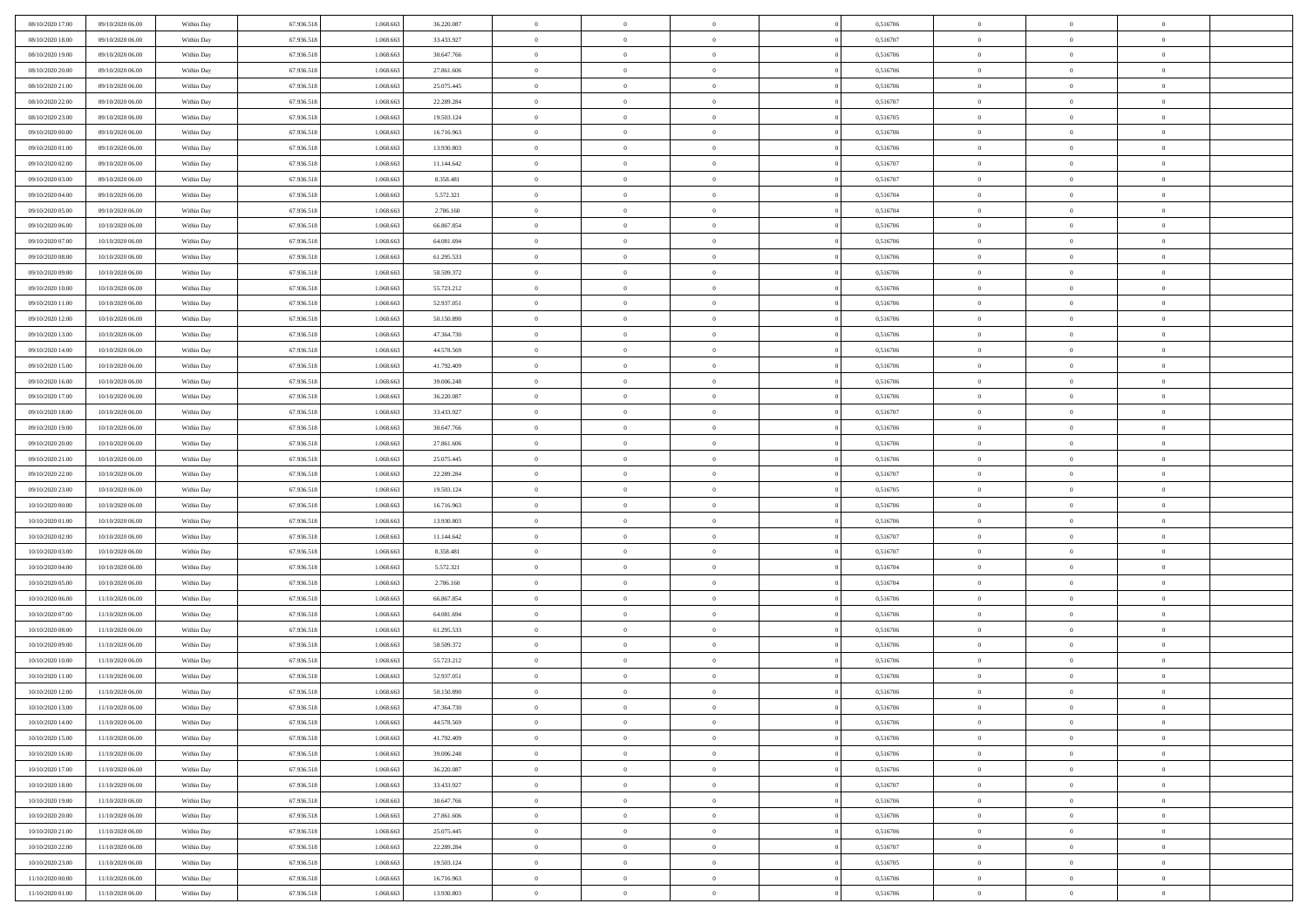| 08/10/2020 17:00 | 09/10/2020 06:00 | Within Day               | 67.936.518 | 1.068.663 | 36.220.087 | $\bf{0}$       | $\overline{0}$ | $\overline{0}$ | 0,516706 | $\bf{0}$       | $\overline{0}$ | $\,0\,$        |  |
|------------------|------------------|--------------------------|------------|-----------|------------|----------------|----------------|----------------|----------|----------------|----------------|----------------|--|
| 08/10/2020 18:00 | 09/10/2020 06:00 | Within Day               | 67.936.518 | 1.068.663 | 33.433.927 | $\theta$       | $\overline{0}$ | $\mathbf{0}$   | 0,516707 | $\theta$       | $\mathbf{0}$   | $\theta$       |  |
| 08/10/2020 19:00 | 09/10/2020 06:00 | Within Dav               | 67.936.518 | 1.068.663 | 30.647.766 | $\theta$       | $\overline{0}$ | $\mathbf{0}$   | 0,516706 | $\mathbf{0}$   | $\overline{0}$ | $\overline{0}$ |  |
| 08/10/2020 20:00 | 09/10/2020 06.00 | Within Day               | 67.936.518 | 1.068.663 | 27.861.606 | $\,$ 0 $\,$    | $\overline{0}$ | $\overline{0}$ | 0,516706 | $\bf{0}$       | $\overline{0}$ | $\bf{0}$       |  |
| 08/10/2020 21:00 | 09/10/2020 06:00 | Within Day               | 67.936.518 | 1.068.663 | 25.075.445 | $\bf{0}$       | $\overline{0}$ | $\mathbf{0}$   | 0,516706 | $\bf{0}$       | $\theta$       | $\,0\,$        |  |
| 08/10/2020 22.00 | 09/10/2020 06:00 | Within Dav               | 67.936.518 | 1.068.663 | 22.289.284 | $\theta$       | $\overline{0}$ | $\mathbf{0}$   | 0,516707 | $\mathbf{0}$   | $\overline{0}$ | $\overline{0}$ |  |
| 08/10/2020 23:00 | 09/10/2020 06:00 | Within Day               | 67.936.518 | 1.068.663 | 19.503.124 | $\,$ 0 $\,$    | $\overline{0}$ | $\overline{0}$ | 0,516705 | $\bf{0}$       | $\overline{0}$ | $\,0\,$        |  |
|                  |                  |                          |            |           |            | $\theta$       |                |                |          |                | $\overline{0}$ |                |  |
| 09/10/2020 00:00 | 09/10/2020 06:00 | Within Day               | 67.936.518 | 1.068.663 | 16.716.963 |                | $\overline{0}$ | $\mathbf{0}$   | 0,516706 | $\,$ 0 $\,$    |                | $\theta$       |  |
| 09/10/2020 01:00 | 09/10/2020 06:00 | Within Day               | 67.936.518 | 1.068.663 | 13.930.803 | $\theta$       | $\overline{0}$ | $\overline{0}$ | 0,516706 | $\mathbf{0}$   | $\bf{0}$       | $\overline{0}$ |  |
| 09/10/2020 02.00 | 09/10/2020 06:00 | Within Day               | 67.936.518 | 1.068.663 | 11.144.642 | $\,$ 0 $\,$    | $\overline{0}$ | $\Omega$       | 0,516707 | $\bf{0}$       | $\overline{0}$ | $\,0\,$        |  |
| 09/10/2020 03:00 | 09/10/2020 06.00 | Within Day               | 67.936.518 | 1.068.663 | 8.358.481  | $\bf{0}$       | $\overline{0}$ | $\mathbf{0}$   | 0,516707 | $\bf{0}$       | $\mathbf{0}$   | $\theta$       |  |
| 09/10/2020 04:00 | 09/10/2020 06:00 | Within Dav               | 67.936.518 | 1.068.663 | 5.572.321  | $\theta$       | $\overline{0}$ | $\mathbf{0}$   | 0,516704 | $\mathbf{0}$   | $\overline{0}$ | $\overline{0}$ |  |
| 09/10/2020 05:00 | 09/10/2020 06:00 | Within Day               | 67.936.518 | 1.068.663 | 2.786.160  | $\,$ 0 $\,$    | $\overline{0}$ | $\overline{0}$ | 0,516704 | $\bf{0}$       | $\overline{0}$ | $\bf{0}$       |  |
| 09/10/2020 06:00 | 10/10/2020 06:00 | Within Day               | 67.936.518 | 1.068.663 | 66.867.854 | $\bf{0}$       | $\overline{0}$ | $\mathbf{0}$   | 0,516706 | $\bf{0}$       | $\theta$       | $\,0\,$        |  |
| 09/10/2020 07:00 | 10/10/2020 06:00 | Within Dav               | 67.936.518 | 1.068.663 | 64.081.694 | $\theta$       | $\overline{0}$ | $\mathbf{0}$   | 0,516706 | $\mathbf{0}$   | $\overline{0}$ | $\overline{0}$ |  |
| 09/10/2020 08:00 | 10/10/2020 06:00 | Within Day               | 67.936.518 | 1.068.663 | 61.295.533 | $\,$ 0 $\,$    | $\overline{0}$ | $\Omega$       | 0,516706 | $\bf{0}$       | $\overline{0}$ | $\,0\,$        |  |
| 09/10/2020 09:00 | 10/10/2020 06:00 | Within Day               | 67.936.518 | 1.068.663 | 58.509.372 | $\,$ 0         | $\overline{0}$ | $\mathbf{0}$   | 0,516706 | $\bf{0}$       | $\overline{0}$ | $\theta$       |  |
| 09/10/2020 10:00 | 10/10/2020 06:00 | Within Day               | 67.936.518 | 1.068.663 | 55.723.212 | $\theta$       | $\overline{0}$ | $\mathbf{0}$   | 0,516706 | $\mathbf{0}$   | $\overline{0}$ | $\overline{0}$ |  |
| 09/10/2020 11:00 | 10/10/2020 06:00 | Within Day               | 67.936.518 | 1.068.663 | 52.937.051 | $\,$ 0 $\,$    | $\overline{0}$ | $\Omega$       | 0,516706 | $\bf{0}$       | $\overline{0}$ | $\,0\,$        |  |
| 09/10/2020 12:00 | 10/10/2020 06:00 | Within Day               | 67.936.518 | 1.068.663 | 50.150.890 | $\bf{0}$       | $\overline{0}$ | $\mathbf{0}$   | 0,516706 | $\bf{0}$       | $\mathbf{0}$   | $\theta$       |  |
| 09/10/2020 13:00 | 10/10/2020 06:00 | Within Dav               | 67.936.518 | 1.068.663 | 47.364.730 | $\theta$       | $\overline{0}$ | $\mathbf{0}$   | 0,516706 | $\mathbf{0}$   | $\overline{0}$ | $\overline{0}$ |  |
| 09/10/2020 14:00 | 10/10/2020 06:00 | Within Day               | 67.936.518 | 1.068.663 | 44.578.569 | $\,$ 0 $\,$    | $\overline{0}$ | $\overline{0}$ | 0,516706 | $\bf{0}$       | $\overline{0}$ | $\bf{0}$       |  |
| 09/10/2020 15:00 | 10/10/2020 06:00 | Within Day               | 67.936.518 | 1.068.663 | 41.792.409 | $\bf{0}$       | $\overline{0}$ | $\mathbf{0}$   | 0,516706 | $\bf{0}$       | $\theta$       | $\,0\,$        |  |
| 09/10/2020 16:00 | 10/10/2020 06:00 | Within Dav               | 67.936.518 | 1.068.663 | 39.006.248 | $\theta$       | $\overline{0}$ | $\mathbf{0}$   | 0,516706 | $\mathbf{0}$   | $\overline{0}$ | $\overline{0}$ |  |
| 09/10/2020 17.00 | 10/10/2020 06:00 | Within Day               | 67.936.518 | 1.068.663 | 36.220.087 | $\,$ 0 $\,$    | $\overline{0}$ | $\overline{0}$ | 0,516706 | $\bf{0}$       | $\overline{0}$ | $\,0\,$        |  |
| 09/10/2020 18:00 | 10/10/2020 06:00 | Within Day               | 67.936.518 | 1.068.663 | 33.433.927 | $\,$ 0         | $\overline{0}$ | $\mathbf{0}$   | 0,516707 | $\bf{0}$       | $\overline{0}$ | $\theta$       |  |
| 09/10/2020 19:00 | 10/10/2020 06:00 | Within Day               | 67.936.518 | 1.068.663 | 30.647.766 | $\theta$       | $\overline{0}$ | $\overline{0}$ | 0,516706 | $\mathbf{0}$   | $\bf{0}$       | $\overline{0}$ |  |
| 09/10/2020 20:00 | 10/10/2020 06:00 | Within Day               | 67.936.518 | 1.068.663 | 27.861.606 | $\,$ 0 $\,$    | $\overline{0}$ | $\Omega$       | 0,516706 | $\bf{0}$       | $\overline{0}$ | $\,0\,$        |  |
| 09/10/2020 21:00 | 10/10/2020 06:00 | Within Day               | 67.936.518 | 1.068.663 | 25.075.445 | $\bf{0}$       | $\overline{0}$ | $\mathbf{0}$   | 0,516706 | $\bf{0}$       | $\mathbf{0}$   | $\theta$       |  |
| 09/10/2020 22.00 | 10/10/2020 06:00 | Within Dav               | 67.936.518 | 1.068.663 | 22.289.284 | $\theta$       | $\overline{0}$ | $\overline{0}$ | 0,516707 | $\mathbf{0}$   | $\overline{0}$ | $\overline{0}$ |  |
| 09/10/2020 23:00 | 10/10/2020 06:00 | Within Day               | 67.936.518 | 1.068.663 | 19.503.124 | $\theta$       | $\overline{0}$ | $\overline{0}$ | 0,516705 | $\,$ 0         | $\overline{0}$ | $\,$ 0 $\,$    |  |
| 10/10/2020 00:00 | 10/10/2020 06:00 |                          | 67.936.518 | 1.068.663 | 16.716.963 | $\bf{0}$       | $\overline{0}$ | $\mathbf{0}$   | 0,516706 | $\bf{0}$       | $\mathbf{0}$   | $\bf{0}$       |  |
| 10/10/2020 01:00 | 10/10/2020 06:00 | Within Day<br>Within Dav | 67.936.518 | 1.068.663 | 13.930.803 | $\theta$       | $\overline{0}$ | $\mathbf{0}$   | 0,516706 | $\mathbf{0}$   | $\overline{0}$ | $\overline{0}$ |  |
|                  |                  |                          |            |           |            | $\theta$       | $\overline{0}$ | $\overline{0}$ |          | $\,$ 0         | $\overline{0}$ | $\theta$       |  |
| 10/10/2020 02:00 | 10/10/2020 06:00 | Within Day               | 67.936.518 | 1.068.663 | 11.144.642 |                |                |                | 0,516707 |                | $\overline{0}$ |                |  |
| 10/10/2020 03:00 | 10/10/2020 06:00 | Within Day               | 67.936.518 | 1.068.663 | 8.358.481  | $\bf{0}$       | $\overline{0}$ | $\mathbf{0}$   | 0,516707 | $\bf{0}$       |                | $\overline{0}$ |  |
| 10/10/2020 04:00 | 10/10/2020 06:00 | Within Day               | 67.936.518 | 1.068.663 | 5.572.321  | $\theta$       | $\overline{0}$ | $\mathbf{0}$   | 0,516704 | $\mathbf{0}$   | $\overline{0}$ | $\overline{0}$ |  |
| 10/10/2020 05:00 | 10/10/2020 06:00 | Within Day               | 67.936.518 | 1.068.663 | 2.786.160  | $\theta$       | $\overline{0}$ | $\overline{0}$ | 0,516704 | $\,$ 0         | $\overline{0}$ | $\theta$       |  |
| 10/10/2020 06:00 | 11/10/2020 06.00 | Within Day               | 67.936.518 | 1.068.663 | 66.867.854 | $\bf{0}$       | $\overline{0}$ | $\mathbf{0}$   | 0,516706 | $\bf{0}$       | $\mathbf{0}$   | $\bf{0}$       |  |
| 10/10/2020 07:00 | 11/10/2020 06:00 | Within Dav               | 67.936.518 | 1.068.663 | 64.081.694 | $\theta$       | $\overline{0}$ | $\mathbf{0}$   | 0,516706 | $\mathbf{0}$   | $\overline{0}$ | $\overline{0}$ |  |
| 10/10/2020 08:00 | 11/10/2020 06:00 | Within Day               | 67.936.518 | 1.068.663 | 61.295.533 | $\,$ 0 $\,$    | $\overline{0}$ | $\overline{0}$ | 0,516706 | $\,$ 0         | $\overline{0}$ | $\,$ 0 $\,$    |  |
| 10/10/2020 09:00 | 11/10/2020 06:00 | Within Day               | 67.936.518 | 1.068.663 | 58.509.372 | $\,$ 0         | $\,$ 0 $\,$    | $\overline{0}$ | 0,516706 | $\,$ 0 $\,$    | $\overline{0}$ | $\bf{0}$       |  |
| 10/10/2020 10:00 | 11/10/2020 06:00 | Within Dav               | 67.936.518 | 1.068.663 | 55.723.212 | $\theta$       | $\overline{0}$ | $\mathbf{0}$   | 0,516706 | $\mathbf{0}$   | $\overline{0}$ | $\overline{0}$ |  |
| 10/10/2020 11:00 | 11/10/2020 06.00 | Within Day               | 67.936.518 | 1.068.663 | 52.937.051 | $\overline{0}$ | $\overline{0}$ | $\overline{0}$ | 0,516706 | $\,$ 0         | $\overline{0}$ | $\theta$       |  |
| 10/10/2020 12:00 | 11/10/2020 06.00 | Within Day               | 67.936.518 | 1.068.663 | 50.150.890 | $\bf{0}$       | $\overline{0}$ | $\mathbf{0}$   | 0,516706 | $\bf{0}$       | $\overline{0}$ | $\bf{0}$       |  |
| 10/10/2020 13:00 | 11/10/2020 06:00 | Within Day               | 67.936.518 | 1.068.663 | 47.364.730 | $\overline{0}$ | $\theta$       |                | 0,516706 | $\overline{0}$ | $\theta$       | $\theta$       |  |
| 10/10/2020 14:00 | 11/10/2020 06:00 | Within Day               | 67.936.518 | 1.068.663 | 44.578.569 | $\,$ 0 $\,$    | $\overline{0}$ | $\overline{0}$ | 0,516706 | $\,$ 0 $\,$    | $\bf{0}$       | $\theta$       |  |
| 10/10/2020 15:00 | 11/10/2020 06.00 | Within Day               | 67.936.518 | 1.068.663 | 41.792.409 | $\bf{0}$       | $\,$ 0 $\,$    | $\mathbf{0}$   | 0,516706 | $\,$ 0 $\,$    | $\overline{0}$ | $\overline{0}$ |  |
| 10/10/2020 16:00 | 11/10/2020 06:00 | Within Day               | 67.936.518 | 1.068.663 | 39.006.248 | $\mathbf{0}$   | $\overline{0}$ | $\overline{0}$ | 0,516706 | $\,$ 0 $\,$    | $\bf{0}$       | $\mathbf{0}$   |  |
| 10/10/2020 17:00 | 11/10/2020 06:00 | Within Day               | 67.936.518 | 1.068.663 | 36.220.087 | $\,$ 0 $\,$    | $\overline{0}$ | $\overline{0}$ | 0,516706 | $\,$ 0 $\,$    | $\bf{0}$       | $\,$ 0 $\,$    |  |
| 10/10/2020 18:00 | 11/10/2020 06.00 | Within Day               | 67.936.518 | 1.068.663 | 33.433.927 | $\,$ 0 $\,$    | $\,$ 0 $\,$    | $\overline{0}$ | 0,516707 | $\,$ 0 $\,$    | $\overline{0}$ | $\overline{0}$ |  |
| 10/10/2020 19:00 | 11/10/2020 06:00 | Within Day               | 67.936.518 | 1.068.663 | 30.647.766 | $\mathbf{0}$   | $\overline{0}$ | $\overline{0}$ | 0,516706 | $\mathbf{0}$   | $\overline{0}$ | $\overline{0}$ |  |
| 10/10/2020 20:00 | 11/10/2020 06:00 | Within Day               | 67.936.518 | 1.068.663 | 27.861.606 | $\,$ 0 $\,$    | $\overline{0}$ | $\overline{0}$ | 0,516706 | $\,$ 0 $\,$    | $\mathbf{0}$   | $\,$ 0 $\,$    |  |
| 10/10/2020 21:00 | 11/10/2020 06.00 | Within Day               | 67.936.518 | 1.068.663 | 25.075.445 | $\overline{0}$ | $\overline{0}$ | $\overline{0}$ | 0,516706 | $\mathbf{0}$   | $\overline{0}$ | $\overline{0}$ |  |
| 10/10/2020 22.00 | 11/10/2020 06:00 | Within Day               | 67.936.518 | 1.068.663 | 22.289.284 | $\mathbf{0}$   | $\overline{0}$ | $\overline{0}$ | 0,516707 | $\mathbf{0}$   | $\bf{0}$       | $\overline{0}$ |  |
| 10/10/2020 23:00 | 11/10/2020 06:00 | Within Day               | 67.936.518 | 1.068.663 | 19.503.124 | $\,$ 0 $\,$    | $\overline{0}$ | $\overline{0}$ | 0,516705 | $\,$ 0 $\,$    | $\mathbf{0}$   | $\,$ 0 $\,$    |  |
| 11/10/2020 00:00 | 11/10/2020 06.00 | Within Day               | 67.936.518 | 1.068.663 | 16.716.963 | $\,$ 0 $\,$    | $\,$ 0 $\,$    | $\overline{0}$ | 0,516706 | $\bf{0}$       | $\overline{0}$ | $\overline{0}$ |  |
| 11/10/2020 01:00 | 11/10/2020 06:00 | Within Day               | 67.936.518 | 1.068.663 | 13.930.803 | $\theta$       | $\overline{0}$ | $\overline{0}$ | 0,516706 | $\mathbf{0}$   | $\overline{0}$ | $\overline{0}$ |  |
|                  |                  |                          |            |           |            |                |                |                |          |                |                |                |  |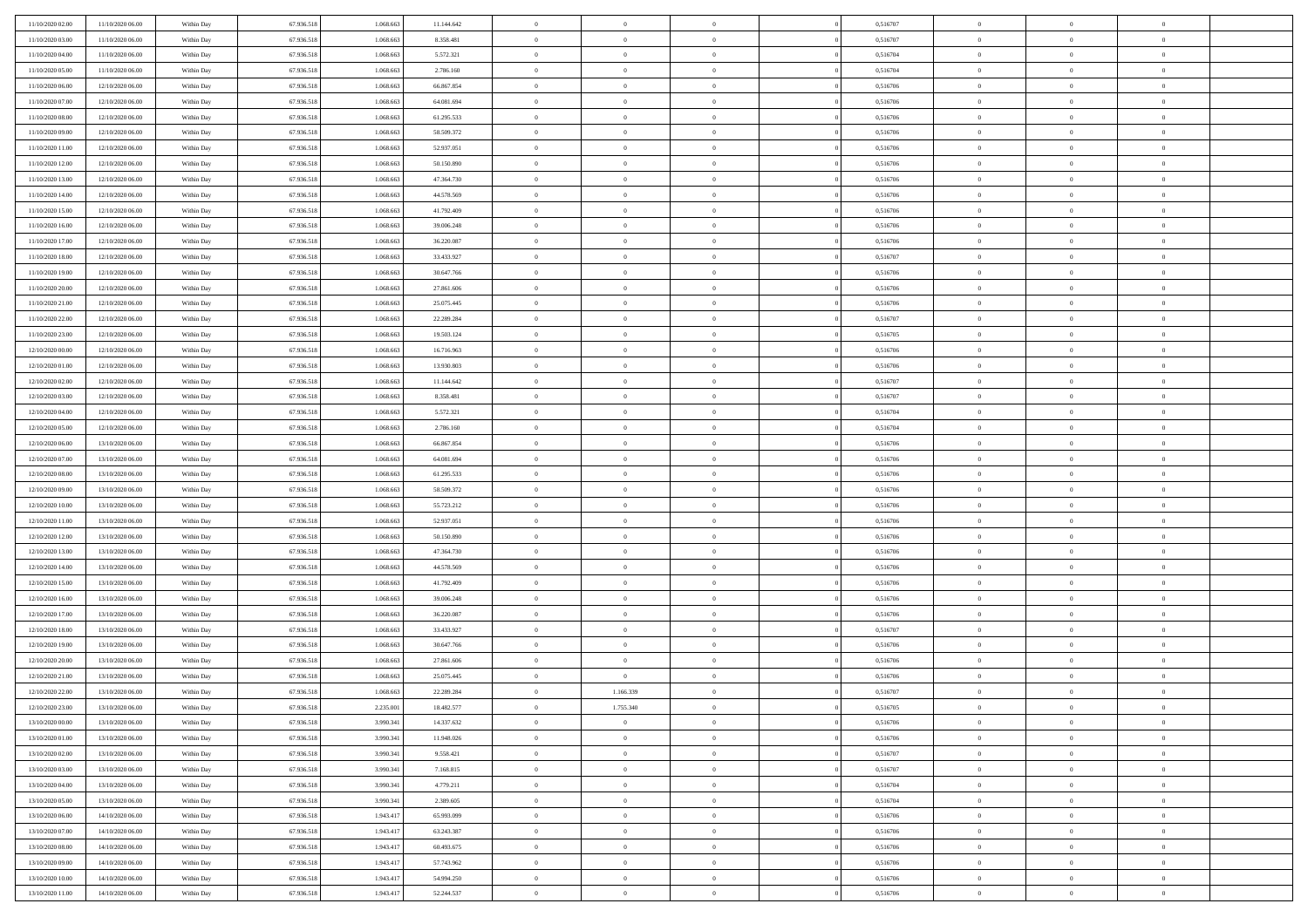| 11/10/2020 02.00 | 11/10/2020 06.00                     | Within Day | 67.936.518 | 1.068.663 | 11.144.642 | $\bf{0}$       | $\overline{0}$ | $\Omega$       | 0,516707 | $\bf{0}$       | $\overline{0}$ | $\bf{0}$       |  |
|------------------|--------------------------------------|------------|------------|-----------|------------|----------------|----------------|----------------|----------|----------------|----------------|----------------|--|
| 11/10/2020 03:00 | 11/10/2020 06:00                     | Within Dav | 67.936.518 | 1.068.663 | 8.358.481  | $\theta$       | $\overline{0}$ | $\overline{0}$ | 0,516707 | $\mathbf{0}$   | $\bf{0}$       | $\overline{0}$ |  |
| 11/10/2020 04:00 | 11/10/2020 06:00                     | Within Day | 67.936.518 | 1.068.663 | 5.572.321  | $\theta$       | $\overline{0}$ | $\bf{0}$       | 0,516704 | $\,$ 0         | $\overline{0}$ | $\,$ 0 $\,$    |  |
| 11/10/2020 05:00 | 11/10/2020 06.00                     | Within Day | 67.936.518 | 1.068.663 | 2.786.160  | $\overline{0}$ | $\overline{0}$ | $\mathbf{0}$   | 0,516704 | $\bf{0}$       | $\mathbf{0}$   | $\theta$       |  |
| 11/10/2020 06:00 | 12/10/2020 06:00                     | Within Dav | 67.936.518 | 1.068.663 | 66.867.854 | $\mathbf{0}$   | $\overline{0}$ | $\overline{0}$ | 0,516706 | $\mathbf{0}$   | $\bf{0}$       | $\overline{0}$ |  |
| 11/10/2020 07:00 | 12/10/2020 06:00                     | Within Day | 67.936.518 | 1.068.663 | 64.081.694 | $\theta$       | $\overline{0}$ | $\bf{0}$       | 0,516706 | $\,$ 0         | $\overline{0}$ | $\,$ 0 $\,$    |  |
| 11/10/2020 08:00 | 12/10/2020 06:00                     | Within Day | 67.936.518 | 1.068.663 | 61.295.533 | $\,$ 0 $\,$    | $\overline{0}$ | $\Omega$       | 0,516706 | $\bf{0}$       | $\mathbf{0}$   | $\theta$       |  |
| 11/10/2020 09:00 | 12/10/2020 06:00                     | Within Dav | 67.936.518 | 1.068.663 | 58.509.372 | $\overline{0}$ | $\overline{0}$ | $\overline{0}$ | 0,516706 | $\mathbf{0}$   | $\bf{0}$       | $\overline{0}$ |  |
|                  |                                      |            |            |           |            |                |                |                |          |                |                |                |  |
| 11/10/2020 11:00 | 12/10/2020 06:00                     | Within Day | 67.936.518 | 1.068.663 | 52.937.051 | $\theta$       | $\overline{0}$ | $\overline{0}$ | 0,516706 | $\,$ 0         | $\overline{0}$ | $\,$ 0 $\,$    |  |
| 11/10/2020 12:00 | 12/10/2020 06.00                     | Within Day | 67.936.518 | 1.068.663 | 50.150.890 | $\overline{0}$ | $\overline{0}$ | $\mathbf{0}$   | 0.516706 | $\bf{0}$       | $\mathbf{0}$   | $\theta$       |  |
| 11/10/2020 13:00 | 12/10/2020 06:00                     | Within Dav | 67.936.518 | 1.068.663 | 47.364.730 | $\mathbf{0}$   | $\overline{0}$ | $\overline{0}$ | 0,516706 | $\mathbf{0}$   | $\bf{0}$       | $\overline{0}$ |  |
| 11/10/2020 14:00 | 12/10/2020 06:00                     | Within Day | 67.936.518 | 1.068.663 | 44.578.569 | $\theta$       | $\overline{0}$ | $\bf{0}$       | 0,516706 | $\,$ 0         | $\overline{0}$ | $\,$ 0 $\,$    |  |
| 11/10/2020 15:00 | 12/10/2020 06.00                     | Within Day | 67.936.518 | 1.068.663 | 41.792.409 | $\theta$       | $\overline{0}$ | $\mathbf{0}$   | 0,516706 | $\bf{0}$       | $\mathbf{0}$   | $\theta$       |  |
| 11/10/2020 16:00 | 12/10/2020 06:00                     | Within Dav | 67.936.518 | 1.068.663 | 39.006.248 | $\overline{0}$ | $\overline{0}$ | $\overline{0}$ | 0,516706 | $\mathbf{0}$   | $\bf{0}$       | $\overline{0}$ |  |
| 11/10/2020 17:00 | 12/10/2020 06:00                     | Within Day | 67.936.518 | 1.068.663 | 36.220.087 | $\theta$       | $\overline{0}$ | $\overline{0}$ | 0,516706 | $\,$ 0         | $\overline{0}$ | $\,$ 0 $\,$    |  |
| 11/10/2020 18:00 | 12/10/2020 06.00                     | Within Day | 67.936.518 | 1.068.663 | 33.433.927 | $\bf{0}$       | $\overline{0}$ | $\mathbf{0}$   | 0,516707 | $\bf{0}$       | $\mathbf{0}$   | $\bf{0}$       |  |
| 11/10/2020 19:00 | 12/10/2020 06:00                     | Within Dav | 67.936.518 | 1.068.663 | 30.647.766 | $\overline{0}$ | $\overline{0}$ | $\overline{0}$ | 0,516706 | $\mathbf{0}$   | $\bf{0}$       | $\overline{0}$ |  |
| 11/10/2020 20:00 | 12/10/2020 06:00                     | Within Day | 67.936.518 | 1.068.663 | 27.861.606 | $\theta$       | $\overline{0}$ | $\bf{0}$       | 0,516706 | $\,$ 0         | $\overline{0}$ | $\,$ 0 $\,$    |  |
| 11/10/2020 21:00 | 12/10/2020 06.00                     | Within Day | 67.936.518 | 1.068.663 | 25.075.445 | $\overline{0}$ | $\overline{0}$ | $\mathbf{0}$   | 0.516706 | $\bf{0}$       | $\mathbf{0}$   | $\theta$       |  |
| 11/10/2020 22.00 | 12/10/2020 06:00                     | Within Dav | 67.936.518 | 1.068.663 | 22.289.284 | $\overline{0}$ | $\overline{0}$ | $\overline{0}$ | 0,516707 | $\mathbf{0}$   | $\bf{0}$       | $\overline{0}$ |  |
| 11/10/2020 23:00 | 12/10/2020 06:00                     | Within Day | 67.936.518 | 1.068.663 | 19.503.124 | $\theta$       | $\overline{0}$ | $\bf{0}$       | 0,516705 | $\,$ 0         | $\overline{0}$ | $\,$ 0 $\,$    |  |
| 12/10/2020 00:00 | 12/10/2020 06:00                     | Within Day | 67.936.518 | 1.068.663 | 16.716.963 | $\overline{0}$ | $\overline{0}$ | $\mathbf{0}$   | 0.516706 | $\bf{0}$       | $\mathbf{0}$   | $\theta$       |  |
| 12/10/2020 01:00 | 12/10/2020 06:00                     | Within Dav | 67.936.518 | 1.068.663 | 13.930.803 | $\overline{0}$ | $\overline{0}$ | $\overline{0}$ | 0,516706 | $\mathbf{0}$   | $\bf{0}$       | $\overline{0}$ |  |
| 12/10/2020 02:00 | 12/10/2020 06:00                     | Within Day | 67.936.518 | 1.068.663 | 11.144.642 | $\theta$       | $\overline{0}$ | $\bf{0}$       | 0,516707 | $\,$ 0         | $\overline{0}$ | $\,$ 0 $\,$    |  |
| 12/10/2020 03:00 | 12/10/2020 06:00                     | Within Day | 67.936.518 | 1.068.663 | 8.358.481  | $\,$ 0 $\,$    | $\overline{0}$ | $\mathbf{0}$   | 0,516707 | $\bf{0}$       | $\overline{0}$ | $\bf{0}$       |  |
| 12/10/2020 04:00 | 12/10/2020 06:00                     | Within Dav | 67.936.518 | 1.068.663 | 5.572.321  | $\overline{0}$ | $\overline{0}$ | $\overline{0}$ | 0,516704 | $\mathbf{0}$   | $\bf{0}$       | $\overline{0}$ |  |
| 12/10/2020 05:00 | 12/10/2020 06:00                     | Within Day | 67.936.518 | 1.068.663 | 2.786.160  | $\theta$       | $\overline{0}$ | $\overline{0}$ | 0,516704 | $\,$ 0         | $\overline{0}$ | $\,$ 0 $\,$    |  |
| 12/10/2020 06:00 | 13/10/2020 06.00                     | Within Day | 67.936.518 | 1.068.663 | 66,867,854 | $\overline{0}$ | $\overline{0}$ | $\mathbf{0}$   | 0.516706 | $\bf{0}$       | $\mathbf{0}$   | $\theta$       |  |
|                  | 13/10/2020 06:00                     |            |            |           |            |                | $\overline{0}$ |                |          | $\mathbf{0}$   |                |                |  |
| 12/10/2020 07:00 |                                      | Within Dav | 67.936.518 | 1.068.663 | 64.081.694 | $\mathbf{0}$   |                | $\overline{0}$ | 0,516706 |                | $\bf{0}$       | $\overline{0}$ |  |
| 12/10/2020 08:00 | 13/10/2020 06:00                     | Within Day | 67.936.518 | 1.068.663 | 61.295.533 | $\theta$       | $\overline{0}$ | $\bf{0}$       | 0,516706 | $\,$ 0         | $\overline{0}$ | $\,$ 0 $\,$    |  |
| 12/10/2020 09:00 | 13/10/2020 06:00                     | Within Day | 67.936.518 | 1.068.663 | 58.509.372 | $\bf{0}$       | $\overline{0}$ | $\overline{0}$ | 0,516706 | $\bf{0}$       | $\overline{0}$ | $\,0\,$        |  |
| 12/10/2020 10:00 | 13/10/2020 06:00                     | Within Dav | 67.936.518 | 1.068.663 | 55.723.212 | $\overline{0}$ | $\overline{0}$ | $\overline{0}$ | 0,516706 | $\mathbf{0}$   | $\bf{0}$       | $\overline{0}$ |  |
| 12/10/2020 11:00 | 13/10/2020 06:00                     | Within Day | 67.936.518 | 1.068.663 | 52.937.051 | $\theta$       | $\overline{0}$ | $\overline{0}$ | 0,516706 | $\,$ 0         | $\overline{0}$ | $\,$ 0 $\,$    |  |
| 12/10/2020 12:00 | 13/10/2020 06.00                     | Within Day | 67.936.518 | 1.068.663 | 50.150.890 | $\,$ 0 $\,$    | $\overline{0}$ | $\overline{0}$ | 0,516706 | $\bf{0}$       | $\overline{0}$ | $\,0\,$        |  |
| 12/10/2020 13:00 | 13/10/2020 06:00                     | Within Dav | 67.936.518 | 1.068.663 | 47.364.730 | $\overline{0}$ | $\overline{0}$ | $\overline{0}$ | 0,516706 | $\mathbf{0}$   | $\bf{0}$       | $\overline{0}$ |  |
| 12/10/2020 14:00 | 13/10/2020 06:00                     | Within Day | 67.936.518 | 1.068.663 | 44.578.569 | $\theta$       | $\overline{0}$ | $\bf{0}$       | 0,516706 | $\,$ 0         | $\overline{0}$ | $\,$ 0 $\,$    |  |
| 12/10/2020 15:00 | 13/10/2020 06:00                     | Within Day | 67.936.518 | 1.068.663 | 41.792.409 | $\,$ 0 $\,$    | $\overline{0}$ | $\overline{0}$ | 0,516706 | $\bf{0}$       | $\overline{0}$ | $\,0\,$        |  |
| 12/10/2020 16:00 | 13/10/2020 06:00                     | Within Dav | 67.936.518 | 1.068.663 | 39.006.248 | $\overline{0}$ | $\overline{0}$ | $\overline{0}$ | 0,516706 | $\mathbf{0}$   | $\bf{0}$       | $\overline{0}$ |  |
| 12/10/2020 17:00 | 13/10/2020 06:00                     | Within Day | 67.936.518 | 1.068.663 | 36.220.087 | $\theta$       | $\overline{0}$ | $\bf{0}$       | 0,516706 | $\,$ 0         | $\overline{0}$ | $\,$ 0 $\,$    |  |
| 12/10/2020 18:00 | 13/10/2020 06.00                     | Within Day | 67.936.518 | 1.068.663 | 33.433.927 | $\,$ 0 $\,$    | $\overline{0}$ | $\overline{0}$ | 0,516707 | $\bf{0}$       | $\overline{0}$ | $\,0\,$        |  |
| 12/10/2020 19:00 | 13/10/2020 06:00                     | Within Dav | 67.936.518 | 1.068.663 | 30.647.766 | $\theta$       | $\overline{0}$ | $\overline{0}$ | 0,516706 | $\mathbf{0}$   | $\bf{0}$       | $\overline{0}$ |  |
| 12/10/2020 20:00 | 13/10/2020 06:00                     | Within Day | 67.936.518 | 1.068.663 | 27.861.606 | $\theta$       | $\overline{0}$ | $\overline{0}$ | 0,516706 | $\,$ 0         | $\overline{0}$ | $\,$ 0 $\,$    |  |
| 12/10/2020 21:00 | 13/10/2020 06:00                     | Within Day | 67.936.518 | 1.068.663 | 25.075.445 | $\,$ 0 $\,$    | $\overline{0}$ | $\overline{0}$ | 0,516706 | $\bf{0}$       | $\overline{0}$ | $\,0\,$        |  |
| 12/10/2020 22:00 | 13/10/2020 06:00                     | Within Dav | 67.936.518 | 1.068.663 | 22.289.284 | $\theta$       | 1.166.339      | $\overline{0}$ | 0,516707 | $\mathbf{0}$   | $\bf{0}$       | $\overline{0}$ |  |
| 12/10/2020 23:00 | 13/10/2020 06:00                     | Within Day | 67.936.518 | 2.235.001 | 18.482.577 | $\overline{0}$ | 1.755.340      | $\Omega$       | 0,516705 | $\overline{0}$ | $\overline{0}$ | $\theta$       |  |
| 13/10/2020 00:00 | 13/10/2020 06:00                     | Within Day | 67.936.518 | 3.990.341 | 14.337.632 | $\bf{0}$       | $\overline{0}$ | $\overline{0}$ | 0,516706 | $\bf{0}$       | $\overline{0}$ | $\bf{0}$       |  |
| 13/10/2020 01:00 | 13/10/2020 06:00                     | Within Day | 67.936.518 | 3.990.341 | 11.948.026 | $\overline{0}$ | $\overline{0}$ | $\overline{0}$ | 0,516706 | $\overline{0}$ | $\bf{0}$       | $\overline{0}$ |  |
| 13/10/2020 02:00 | 13/10/2020 06:00                     | Within Day | 67.936.518 | 3.990.341 | 9.558.421  | $\,$ 0 $\,$    | $\overline{0}$ | $\overline{0}$ | 0,516707 | $\,$ 0 $\,$    | $\,$ 0 $\,$    | $\,$ 0 $\,$    |  |
| 13/10/2020 03:00 | 13/10/2020 06:00                     | Within Day | 67.936.518 | 3.990.341 | 7.168.815  | $\bf{0}$       | $\overline{0}$ | $\overline{0}$ | 0,516707 | $\mathbf{0}$   | $\overline{0}$ | $\bf{0}$       |  |
| 13/10/2020 04:00 | 13/10/2020 06:00                     | Within Day | 67.936.518 | 3.990.341 | 4.779.211  | $\,$ 0 $\,$    | $\overline{0}$ | $\overline{0}$ | 0,516704 | $\,$ 0 $\,$    | $\bf{0}$       | $\overline{0}$ |  |
| 13/10/2020 05:00 | 13/10/2020 06:00                     | Within Day | 67.936.518 | 3.990.341 | 2.389.605  | $\,$ 0 $\,$    | $\overline{0}$ | $\overline{0}$ | 0,516704 | $\,$ 0 $\,$    | $\overline{0}$ | $\,$ 0 $\,$    |  |
|                  |                                      |            |            |           |            |                |                |                |          |                |                |                |  |
| 13/10/2020 06:00 | 14/10/2020 06:00<br>14/10/2020 06:00 | Within Day | 67.936.518 | 1.943.417 | 65.993.099 | $\bf{0}$       | $\overline{0}$ | $\overline{0}$ | 0,516706 | $\overline{0}$ | $\overline{0}$ | $\overline{0}$ |  |
| 13/10/2020 07:00 |                                      | Within Day | 67.936.518 | 1.943.417 | 63.243.387 | $\,$ 0 $\,$    | $\overline{0}$ | $\overline{0}$ | 0,516706 | $\,$ 0 $\,$    | $\bf{0}$       | $\overline{0}$ |  |
| 13/10/2020 08:00 | 14/10/2020 06:00                     | Within Day | 67.936.518 | 1.943.417 | 60.493.675 | $\,$ 0         | $\overline{0}$ | $\overline{0}$ | 0,516706 | $\,$ 0 $\,$    | $\,$ 0 $\,$    | $\,$ 0 $\,$    |  |
| 13/10/2020 09:00 | 14/10/2020 06.00                     | Within Day | 67.936.518 | 1.943.417 | 57.743.962 | $\bf{0}$       | $\overline{0}$ | $\overline{0}$ | 0,516706 | $\mathbf{0}$   | $\overline{0}$ | $\bf{0}$       |  |
| 13/10/2020 10:00 | 14/10/2020 06:00                     | Within Day | 67.936.518 | 1.943.417 | 54.994.250 | $\,$ 0 $\,$    | $\overline{0}$ | $\overline{0}$ | 0,516706 | $\mathbf{0}$   | $\bf{0}$       | $\overline{0}$ |  |
| 13/10/2020 11:00 | 14/10/2020 06.00                     | Within Day | 67.936.518 | 1.943.417 | 52.244.537 | $\,$ 0 $\,$    | $\overline{0}$ | $\overline{0}$ | 0,516706 | $\,$ 0 $\,$    | $\overline{0}$ | $\,$ 0 $\,$    |  |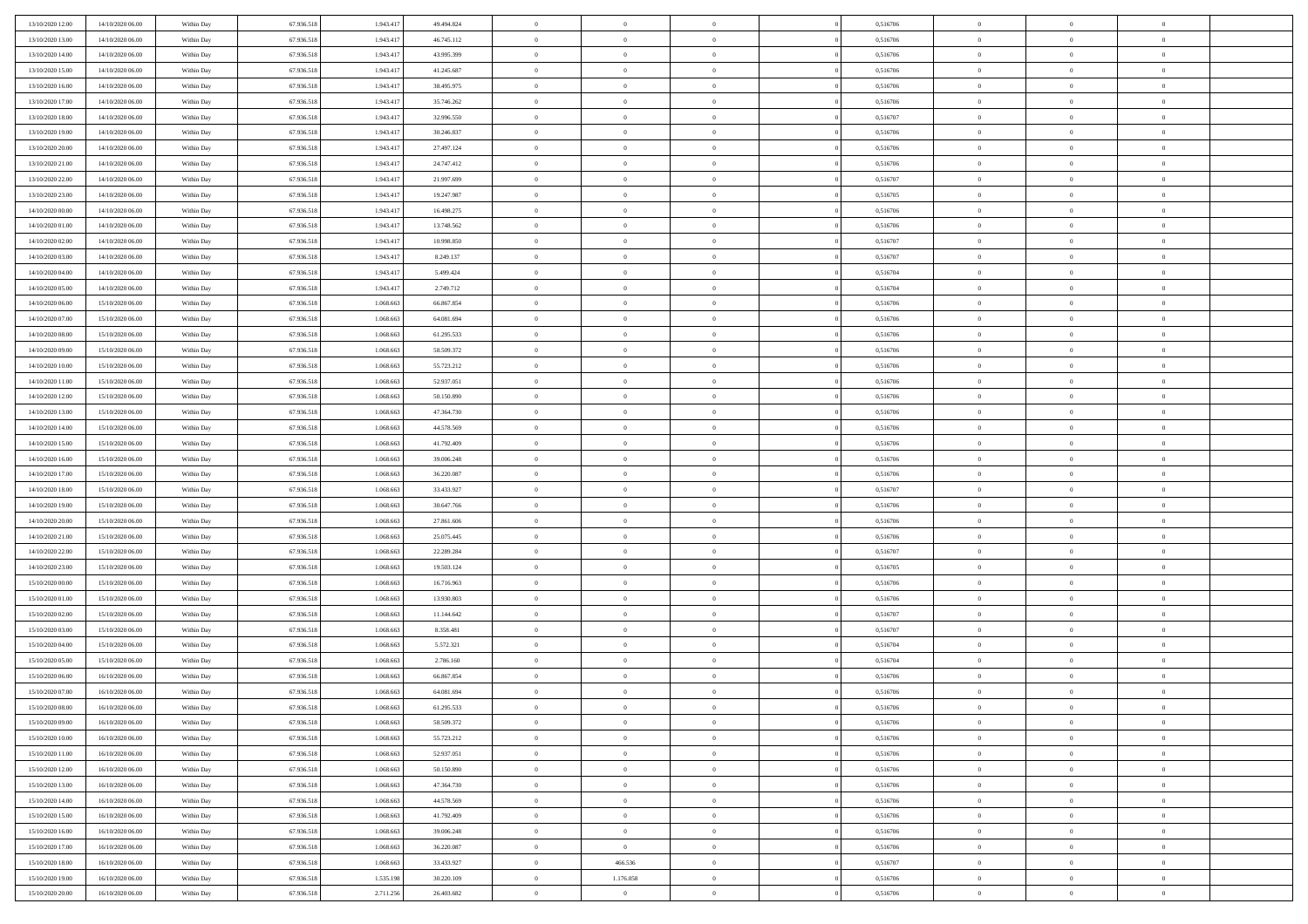| 13/10/2020 12:00 | 14/10/2020 06:00 | Within Day | 67.936.518 | 1.943.41  | 49.494.824 | $\bf{0}$       | $\overline{0}$ | $\overline{0}$ | 0,516706 | $\bf{0}$       | $\overline{0}$ | $\bf{0}$       |  |
|------------------|------------------|------------|------------|-----------|------------|----------------|----------------|----------------|----------|----------------|----------------|----------------|--|
| 13/10/2020 13:00 | 14/10/2020 06:00 | Within Day | 67.936.518 | 1.943.41  | 46.745.112 | $\overline{0}$ | $\overline{0}$ | $\overline{0}$ | 0,516706 | $\overline{0}$ | $\bf{0}$       | $\theta$       |  |
| 13/10/2020 14:00 | 14/10/2020 06:00 | Within Day | 67.936.518 | 1.943.41  | 43.995.399 | $\overline{0}$ | $\overline{0}$ | $\overline{0}$ | 0,516706 | $\,$ 0 $\,$    | $\overline{0}$ | $\,$ 0 $\,$    |  |
| 13/10/2020 15:00 | 14/10/2020 06:00 | Within Day | 67.936.518 | 1.943.417 | 41.245.687 | $\overline{0}$ | $\overline{0}$ | $\Omega$       | 0,516706 | $\overline{0}$ | $\theta$       | $\overline{0}$ |  |
| 13/10/2020 16:00 | 14/10/2020 06:00 | Within Day | 67.936.518 | 1.943.417 | 38.495.975 | $\mathbf{0}$   | $\overline{0}$ | $\overline{0}$ | 0,516706 | $\mathbf{0}$   | $\bf{0}$       | $\overline{0}$ |  |
| 13/10/2020 17:00 | 14/10/2020 06:00 | Within Day | 67.936.518 | 1.943.41  | 35.746.262 | $\overline{0}$ | $\overline{0}$ | $\overline{0}$ | 0,516706 | $\,$ 0 $\,$    | $\overline{0}$ | $\,$ 0 $\,$    |  |
| 13/10/2020 18:00 | 14/10/2020 06.00 | Within Day | 67.936.518 | 1.943.41  | 32.996.550 | $\bf{0}$       | $\overline{0}$ | $\Omega$       | 0.516707 | $\bf{0}$       | $\theta$       | $\overline{0}$ |  |
| 13/10/2020 19:00 | 14/10/2020 06:00 | Within Day | 67.936.518 | 1.943.41  | 30.246.837 | $\overline{0}$ | $\overline{0}$ | $\overline{0}$ | 0,516706 | $\overline{0}$ | $\bf{0}$       | $\theta$       |  |
| 13/10/2020 20:00 | 14/10/2020 06:00 | Within Day | 67.936.518 | 1.943.41  | 27.497.124 | $\overline{0}$ | $\overline{0}$ | $\overline{0}$ | 0,516706 | $\,$ 0 $\,$    | $\overline{0}$ | $\,$ 0 $\,$    |  |
| 13/10/2020 21.00 | 14/10/2020 06.00 | Within Day | 67.936.518 | 1.943.417 | 24.747.412 | $\overline{0}$ | $\overline{0}$ | $\Omega$       | 0.516706 | $\overline{0}$ | $\theta$       | $\overline{0}$ |  |
| 13/10/2020 22:00 | 14/10/2020 06:00 | Within Day | 67.936.518 | 1.943.417 | 21.997.699 | $\mathbf{0}$   | $\overline{0}$ | $\overline{0}$ | 0,516707 | $\overline{0}$ | $\bf{0}$       | $\theta$       |  |
| 13/10/2020 23:00 | 14/10/2020 06:00 | Within Day | 67.936.518 | 1.943.41  | 19.247.987 | $\overline{0}$ | $\overline{0}$ | $\overline{0}$ | 0,516705 | $\,$ 0 $\,$    | $\overline{0}$ | $\,$ 0 $\,$    |  |
| 14/10/2020 00:00 | 14/10/2020 06.00 | Within Day | 67.936.518 | 1.943.41  | 16.498.275 | $\overline{0}$ | $\overline{0}$ | $\Omega$       | 0.516706 | $\overline{0}$ | $\theta$       | $\overline{0}$ |  |
| 14/10/2020 01:00 | 14/10/2020 06:00 | Within Day | 67.936.518 | 1.943.417 | 13.748.562 | $\mathbf{0}$   | $\overline{0}$ | $\overline{0}$ | 0,516706 | $\mathbf{0}$   | $\bf{0}$       | $\theta$       |  |
| 14/10/2020 02:00 | 14/10/2020 06:00 | Within Day | 67.936.518 | 1.943.41  | 10.998.850 | $\,$ 0         | $\,$ 0 $\,$    | $\overline{0}$ | 0,516707 | $\,$ 0 $\,$    | $\overline{0}$ | $\,$ 0 $\,$    |  |
| 14/10/2020 03.00 | 14/10/2020 06.00 | Within Day | 67.936.518 | 1.943.41  | 8.249.137  | $\bf{0}$       | $\overline{0}$ | $\Omega$       | 0.516707 | $\bf{0}$       | $\theta$       | $\bf{0}$       |  |
| 14/10/2020 04:00 | 14/10/2020 06:00 | Within Day | 67.936.518 | 1.943.417 | 5.499.424  | $\overline{0}$ | $\overline{0}$ | $\overline{0}$ | 0,516704 | $\overline{0}$ | $\bf{0}$       | $\theta$       |  |
| 14/10/2020 05:00 | 14/10/2020 06:00 | Within Day | 67.936.518 | 1.943.41  | 2.749.712  | $\overline{0}$ | $\overline{0}$ | $\overline{0}$ | 0,516704 | $\,$ 0 $\,$    | $\overline{0}$ | $\,$ 0 $\,$    |  |
| 14/10/2020 06.00 | 15/10/2020 06.00 | Within Day | 67.936.518 | 1.068.663 | 66.867.854 | $\overline{0}$ | $\overline{0}$ | $\Omega$       | 0.516706 | $\overline{0}$ | $\theta$       | $\overline{0}$ |  |
| 14/10/2020 07:00 | 15/10/2020 06:00 | Within Day | 67.936.518 | 1.068.663 | 64.081.694 | $\overline{0}$ | $\overline{0}$ | $\overline{0}$ | 0,516706 | $\overline{0}$ | $\bf{0}$       | $\theta$       |  |
| 14/10/2020 08:00 | 15/10/2020 06:00 | Within Day | 67.936.518 | 1.068.663 | 61.295.533 | $\,$ 0         | $\overline{0}$ | $\overline{0}$ | 0,516706 | $\,$ 0 $\,$    | $\overline{0}$ | $\,$ 0 $\,$    |  |
| 14/10/2020 09:00 | 15/10/2020 06:00 | Within Day | 67.936.518 | 1.068.663 | 58.509.372 | $\overline{0}$ | $\overline{0}$ | $\Omega$       | 0.516706 | $\overline{0}$ | $\theta$       | $\overline{0}$ |  |
| 14/10/2020 10:00 | 15/10/2020 06:00 | Within Day | 67.936.518 | 1.068.663 | 55.723.212 | $\mathbf{0}$   | $\overline{0}$ | $\overline{0}$ | 0,516706 | $\mathbf{0}$   | $\bf{0}$       | $\theta$       |  |
| 14/10/2020 11:00 | 15/10/2020 06:00 | Within Day | 67.936.518 | 1.068.663 | 52.937.051 | $\overline{0}$ | $\overline{0}$ | $\overline{0}$ | 0,516706 | $\,$ 0 $\,$    | $\overline{0}$ | $\,$ 0 $\,$    |  |
| 14/10/2020 12:00 | 15/10/2020 06.00 | Within Day | 67.936.518 | 1.068.663 | 50.150.890 | $\bf{0}$       | $\overline{0}$ | $\Omega$       | 0,516706 | $\bf{0}$       | $\theta$       | $\bf{0}$       |  |
| 14/10/2020 13:00 | 15/10/2020 06:00 | Within Day | 67.936.518 | 1.068.663 | 47.364.730 | $\overline{0}$ | $\overline{0}$ | $\overline{0}$ | 0,516706 | $\overline{0}$ | $\bf{0}$       | $\theta$       |  |
| 14/10/2020 14:00 | 15/10/2020 06:00 | Within Day | 67.936.518 | 1.068.663 | 44.578.569 | $\overline{0}$ | $\overline{0}$ | $\overline{0}$ | 0,516706 | $\,$ 0 $\,$    | $\overline{0}$ | $\,$ 0 $\,$    |  |
| 14/10/2020 15.00 | 15/10/2020 06.00 | Within Day | 67.936.518 | 1.068.663 | 41.792.409 | $\overline{0}$ | $\overline{0}$ | $\Omega$       | 0.516706 | $\overline{0}$ | $\theta$       | $\overline{0}$ |  |
| 14/10/2020 16:00 | 15/10/2020 06:00 | Within Day | 67.936.518 | 1.068.663 | 39.006.248 | $\mathbf{0}$   | $\overline{0}$ | $\overline{0}$ | 0,516706 | $\mathbf{0}$   | $\bf{0}$       | $\overline{0}$ |  |
| 14/10/2020 17:00 | 15/10/2020 06:00 | Within Day | 67.936.518 | 1.068.663 | 36.220.087 | $\overline{0}$ | $\overline{0}$ | $\overline{0}$ | 0,516706 | $\,$ 0 $\,$    | $\overline{0}$ | $\,$ 0 $\,$    |  |
| 14/10/2020 18:00 | 15/10/2020 06:00 | Within Day | 67.936.518 | 1.068.66  | 33.433.927 | $\bf{0}$       | $\overline{0}$ | $\theta$       | 0,516707 | $\bf{0}$       | $\overline{0}$ | $\bf{0}$       |  |
| 14/10/2020 19:00 | 15/10/2020 06:00 | Within Day | 67.936.518 | 1.068.663 | 30.647.766 | $\overline{0}$ | $\overline{0}$ | $\overline{0}$ | 0,516706 | $\overline{0}$ | $\bf{0}$       | $\theta$       |  |
| 14/10/2020 20:00 | 15/10/2020 06:00 | Within Day | 67.936.518 | 1.068.663 | 27.861.606 | $\,$ 0         | $\overline{0}$ | $\overline{0}$ | 0,516706 | $\,$ 0 $\,$    | $\overline{0}$ | $\,$ 0 $\,$    |  |
| 14/10/2020 21.00 | 15/10/2020 06:00 | Within Day | 67.936.518 | 1.068.663 | 25.075.445 | $\bf{0}$       | $\overline{0}$ | $\overline{0}$ | 0,516706 | $\mathbf{0}$   | $\overline{0}$ | $\bf{0}$       |  |
| 14/10/2020 22.00 | 15/10/2020 06:00 | Within Day | 67.936.518 | 1.068.663 | 22.289.284 | $\overline{0}$ | $\overline{0}$ | $\overline{0}$ | 0,516707 | $\overline{0}$ | $\bf{0}$       | $\theta$       |  |
| 14/10/2020 23:00 | 15/10/2020 06:00 | Within Day | 67.936.518 | 1.068.663 | 19.503.124 | $\overline{0}$ | $\overline{0}$ | $\overline{0}$ | 0,516705 | $\,$ 0 $\,$    | $\overline{0}$ | $\,$ 0 $\,$    |  |
| 15/10/2020 00:00 | 15/10/2020 06:00 | Within Day | 67.936.518 | 1.068.663 | 16.716.963 | $\bf{0}$       | $\overline{0}$ | $\Omega$       | 0,516706 | $\bf{0}$       | $\theta$       | $\bf{0}$       |  |
| 15/10/2020 01:00 | 15/10/2020 06:00 | Within Day | 67.936.518 | 1.068.663 | 13.930.803 | $\mathbf{0}$   | $\overline{0}$ | $\overline{0}$ | 0,516706 | $\mathbf{0}$   | $\bf{0}$       | $\overline{0}$ |  |
| 15/10/2020 02:00 | 15/10/2020 06:00 | Within Day | 67.936.518 | 1.068.663 | 11.144.642 | $\,$ 0         | $\overline{0}$ | $\overline{0}$ | 0,516707 | $\,$ 0 $\,$    | $\overline{0}$ | $\,0\,$        |  |
| 15/10/2020 03:00 | 15/10/2020 06:00 | Within Day | 67.936.518 | 1.068.663 | 8.358.481  | $\bf{0}$       | $\overline{0}$ | $\Omega$       | 0,516707 | $\bf{0}$       | $\overline{0}$ | $\bf{0}$       |  |
| 15/10/2020 04:00 | 15/10/2020 06:00 | Within Day | 67.936.518 | 1.068.663 | 5.572.321  | $\overline{0}$ | $\overline{0}$ | $\overline{0}$ | 0,516704 | $\overline{0}$ | $\overline{0}$ | $\theta$       |  |
| 15/10/2020 05:00 | 15/10/2020 06:00 | Within Day | 67.936.518 | 1.068.663 | 2.786.160  | $\overline{0}$ | $\overline{0}$ | $\overline{0}$ | 0,516704 | $\,$ 0 $\,$    | $\overline{0}$ | $\,0\,$        |  |
| 15/10/2020 06:00 | 16/10/2020 06:00 | Within Day | 67.936.518 | 1.068.66  | 66.867.854 | $\bf{0}$       | $\overline{0}$ | $\overline{0}$ | 0,516706 | $\bf{0}$       | $\overline{0}$ | $\bf{0}$       |  |
| 15/10/2020 07:00 | 16/10/2020 06:00 | Within Day | 67.936.518 | 1.068.663 | 64.081.694 | $\mathbf{0}$   | $\overline{0}$ | $\overline{0}$ | 0,516706 | $\overline{0}$ | $\bf{0}$       | $\theta$       |  |
| 15/10/2020 08:00 | 16/10/2020 06:00 | Within Day | 67.936.518 | 1.068.663 | 61.295.533 | $\theta$       | $\overline{0}$ | $\theta$       | 0,516706 | $\overline{0}$ | $\overline{0}$ | $\overline{0}$ |  |
| 15/10/2020 09:00 | 16/10/2020 06:00 | Within Day | 67.936.518 | 1.068.663 | 58.509.372 | $\bf{0}$       | $\overline{0}$ | $\overline{0}$ | 0,516706 | $\mathbf{0}$   | $\overline{0}$ | $\bf{0}$       |  |
| 15/10/2020 10:00 | 16/10/2020 06:00 | Within Day | 67.936.518 | 1.068.663 | 55.723.212 | $\overline{0}$ | $\overline{0}$ | $\overline{0}$ | 0,516706 | $\,$ 0 $\,$    | $\overline{0}$ | $\overline{0}$ |  |
| 15/10/2020 11:00 | 16/10/2020 06:00 | Within Day | 67.936.518 | 1.068.663 | 52.937.051 | $\,$ 0 $\,$    | $\overline{0}$ | $\overline{0}$ | 0,516706 | $\,$ 0 $\,$    | $\,$ 0 $\,$    | $\theta$       |  |
| 15/10/2020 12:00 | 16/10/2020 06:00 | Within Day | 67.936.518 | 1.068.663 | 50.150.890 | $\bf{0}$       | $\overline{0}$ | $\overline{0}$ | 0,516706 | $\mathbf{0}$   | $\overline{0}$ | $\bf{0}$       |  |
| 15/10/2020 13:00 | 16/10/2020 06:00 | Within Day | 67.936.518 | 1.068.663 | 47.364.730 | $\mathbf{0}$   | $\overline{0}$ | $\overline{0}$ | 0,516706 | $\,$ 0 $\,$    | $\bf{0}$       | $\theta$       |  |
| 15/10/2020 14:00 | 16/10/2020 06:00 | Within Day | 67.936.518 | 1.068.663 | 44.578.569 | $\,$ 0 $\,$    | $\overline{0}$ | $\overline{0}$ | 0,516706 | $\,$ 0 $\,$    | $\overline{0}$ | $\theta$       |  |
| 15/10/2020 15:00 | 16/10/2020 06:00 | Within Day | 67.936.518 | 1.068.663 | 41.792.409 | $\mathbf{0}$   | $\overline{0}$ | $\overline{0}$ | 0,516706 | $\mathbf{0}$   | $\overline{0}$ | $\overline{0}$ |  |
| 15/10/2020 16.00 | 16/10/2020 06:00 | Within Day | 67.936.518 | 1.068.663 | 39.006.248 | $\,$ 0 $\,$    | $\overline{0}$ | $\overline{0}$ | 0,516706 | $\,$ 0 $\,$    | $\bf{0}$       | $\overline{0}$ |  |
| 15/10/2020 17.00 | 16/10/2020 06:00 | Within Day | 67.936.518 | 1.068.663 | 36.220.087 | $\,$ 0 $\,$    | $\overline{0}$ | $\overline{0}$ | 0,516706 | $\,$ 0 $\,$    | $\,$ 0         | $\theta$       |  |
| 15/10/2020 18:00 | 16/10/2020 06:00 | Within Day | 67.936.518 | 1.068.663 | 33.433.927 | $\bf{0}$       | 466.536        | $\overline{0}$ | 0,516707 | $\mathbf{0}$   | $\overline{0}$ | $\bf{0}$       |  |
| 15/10/2020 19:00 | 16/10/2020 06:00 | Within Day | 67.936.518 | 1.535.198 | 30.220.109 | $\mathbf{0}$   | 1.176.058      | $\overline{0}$ | 0,516706 | $\mathbf{0}$   | $\bf{0}$       | $\overline{0}$ |  |
| 15/10/2020 20:00 | 16/10/2020 06:00 | Within Day | 67.936.518 | 2.711.256 | 26.403.682 | $\,$ 0         | $\overline{0}$ | $\overline{0}$ | 0,516706 | $\,$ 0 $\,$    | $\overline{0}$ | $\theta$       |  |
|                  |                  |            |            |           |            |                |                |                |          |                |                |                |  |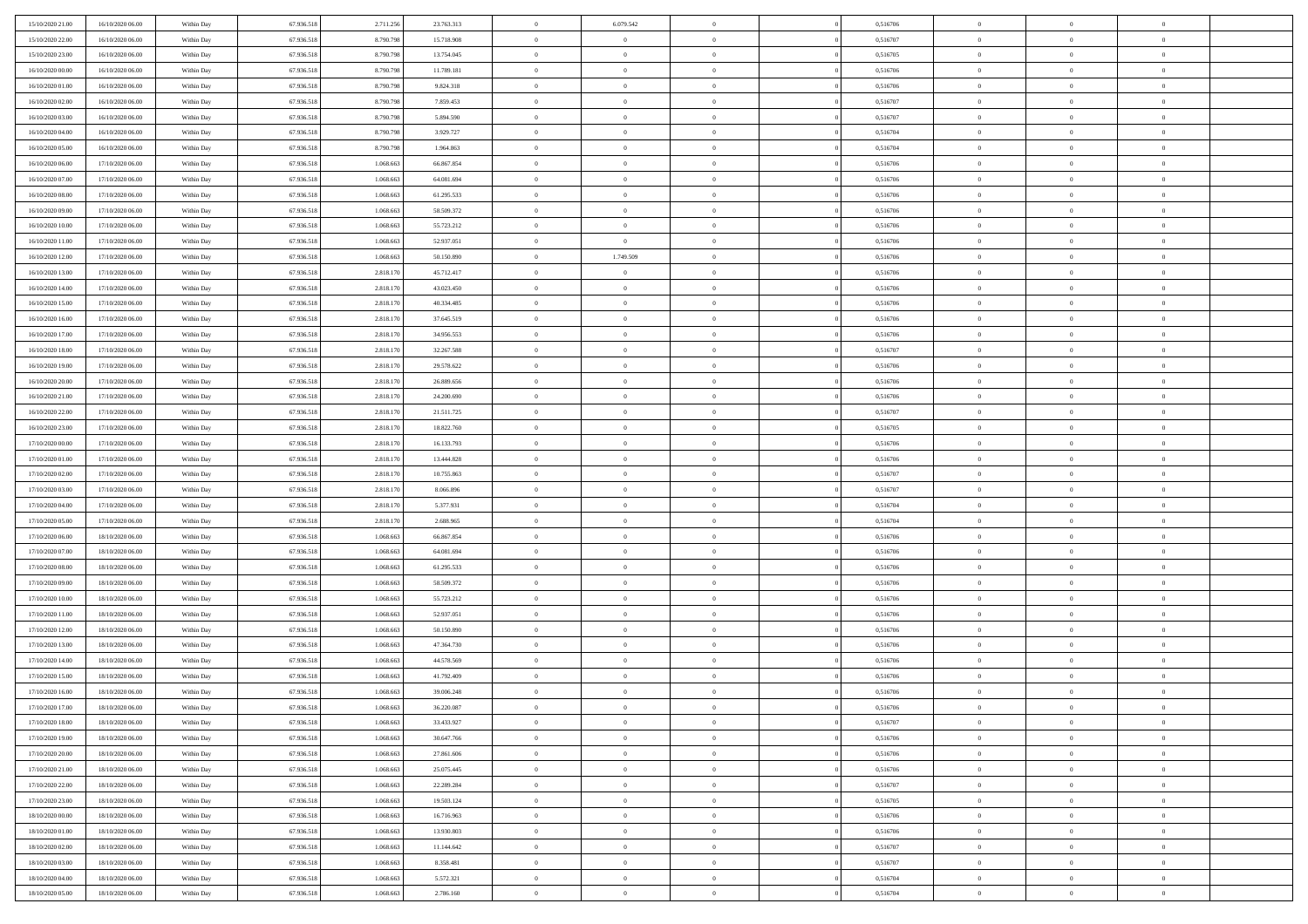| 15/10/2020 21:00 | 16/10/2020 06:00 | Within Day               | 67.936.518 | 2.711.256 | 23.763.313 | $\,$ 0 $\,$    | 6.079.542      | $\overline{0}$ |          | 0,516706 | $\bf{0}$       | $\overline{0}$ | $\,0\,$        |  |
|------------------|------------------|--------------------------|------------|-----------|------------|----------------|----------------|----------------|----------|----------|----------------|----------------|----------------|--|
| 15/10/2020 22.00 | 16/10/2020 06:00 | Within Day               | 67.936.518 | 8.790.798 | 15.718.908 | $\overline{0}$ | $\overline{0}$ | $\mathbf{0}$   |          | 0,516707 | $\theta$       | $\overline{0}$ | $\theta$       |  |
| 15/10/2020 23:00 | 16/10/2020 06:00 | Within Dav               | 67.936.518 | 8.790.798 | 13.754.045 | $\theta$       | $\overline{0}$ | $\overline{0}$ |          | 0,516705 | $\mathbf{0}$   | $\overline{0}$ | $\overline{0}$ |  |
| 16/10/2020 00:00 | 16/10/2020 06:00 | Within Day               | 67.936.518 | 8.790.798 | 11.789.181 | $\,$ 0 $\,$    | $\overline{0}$ | $\overline{0}$ |          | 0,516706 | $\bf{0}$       | $\overline{0}$ | $\bf{0}$       |  |
| 16/10/2020 01:00 | 16/10/2020 06:00 | Within Day               | 67.936.518 | 8.790.798 | 9.824.318  | $\bf{0}$       | $\overline{0}$ | $\mathbf{0}$   |          | 0,516706 | $\bf{0}$       | $\theta$       | $\,0\,$        |  |
| 16/10/2020 02:00 | 16/10/2020 06:00 | Within Dav               | 67.936.518 | 8.790.798 | 7.859.453  | $\theta$       | $\overline{0}$ | $\mathbf{0}$   |          | 0,516707 | $\mathbf{0}$   | $\overline{0}$ | $\overline{0}$ |  |
| 16/10/2020 03:00 | 16/10/2020 06:00 | Within Day               | 67.936.518 | 8.790.798 | 5.894.590  | $\,$ 0 $\,$    | $\overline{0}$ | $\overline{0}$ |          | 0,516707 | $\bf{0}$       | $\overline{0}$ | $\,0\,$        |  |
|                  |                  |                          |            |           |            |                |                |                |          |          |                |                |                |  |
| 16/10/2020 04:00 | 16/10/2020 06:00 | Within Day               | 67.936.518 | 8.790.798 | 3.929.727  | $\theta$       | $\overline{0}$ | $\mathbf{0}$   |          | 0,516704 | $\,$ 0 $\,$    | $\overline{0}$ | $\theta$       |  |
| 16/10/2020 05:00 | 16/10/2020 06:00 | Within Day               | 67.936.518 | 8.790.798 | 1.964.863  | $\theta$       | $\overline{0}$ | $\mathbf{0}$   |          | 0,516704 | $\mathbf{0}$   | $\overline{0}$ | $\overline{0}$ |  |
| 16/10/2020 06:00 | 17/10/2020 06:00 | Within Day               | 67.936.518 | 1.068.663 | 66.867.854 | $\,$ 0 $\,$    | $\overline{0}$ | $\Omega$       |          | 0,516706 | $\bf{0}$       | $\overline{0}$ | $\,0\,$        |  |
| 16/10/2020 07.00 | 17/10/2020 06.00 | Within Day               | 67.936.518 | 1.068.663 | 64.081.694 | $\bf{0}$       | $\overline{0}$ | $\mathbf{0}$   |          | 0,516706 | $\bf{0}$       | $\mathbf{0}$   | $\theta$       |  |
| 16/10/2020 08:00 | 17/10/2020 06:00 | Within Dav               | 67.936.518 | 1.068.663 | 61.295.533 | $\theta$       | $\overline{0}$ | $\mathbf{0}$   |          | 0,516706 | $\mathbf{0}$   | $\overline{0}$ | $\overline{0}$ |  |
| 16/10/2020 09:00 | 17/10/2020 06:00 | Within Day               | 67.936.518 | 1.068.663 | 58.509.372 | $\,$ 0 $\,$    | $\overline{0}$ | $\overline{0}$ |          | 0,516706 | $\bf{0}$       | $\overline{0}$ | $\bf{0}$       |  |
| 16/10/2020 10:00 | 17/10/2020 06:00 | Within Day               | 67.936.518 | 1.068.663 | 55.723.212 | $\bf{0}$       | $\overline{0}$ | $\mathbf{0}$   |          | 0,516706 | $\bf{0}$       | $\theta$       | $\,0\,$        |  |
| 16/10/2020 11:00 | 17/10/2020 06:00 | Within Dav               | 67.936.518 | 1.068.663 | 52.937.051 | $\theta$       | $\overline{0}$ | $\mathbf{0}$   |          | 0,516706 | $\mathbf{0}$   | $\overline{0}$ | $\overline{0}$ |  |
| 16/10/2020 12:00 | 17/10/2020 06.00 | Within Day               | 67.936.518 | 1.068.663 | 50.150.890 | $\,$ 0 $\,$    | 1.749.509      | $\Omega$       |          | 0,516706 | $\bf{0}$       | $\overline{0}$ | $\bf{0}$       |  |
| 16/10/2020 13:00 | 17/10/2020 06.00 | Within Day               | 67.936.518 | 2.818.170 | 45.712.417 | $\,$ 0         | $\overline{0}$ | $\mathbf{0}$   |          | 0,516706 | $\bf{0}$       | $\overline{0}$ | $\theta$       |  |
| 16/10/2020 14:00 | 17/10/2020 06:00 | Within Day               | 67.936.518 | 2.818.170 | 43.023.450 | $\theta$       | $\overline{0}$ | $\mathbf{0}$   |          | 0,516706 | $\mathbf{0}$   | $\overline{0}$ | $\overline{0}$ |  |
| 16/10/2020 15:00 | 17/10/2020 06.00 | Within Day               | 67.936.518 | 2.818.170 | 40.334.485 | $\,$ 0 $\,$    | $\overline{0}$ | $\Omega$       |          | 0,516706 | $\bf{0}$       | $\overline{0}$ | $\,0\,$        |  |
| 16/10/2020 16:00 | 17/10/2020 06.00 | Within Day               | 67.936.518 | 2.818.170 | 37.645.519 | $\bf{0}$       | $\overline{0}$ | $\mathbf{0}$   |          | 0,516706 | $\bf{0}$       | $\mathbf{0}$   | $\theta$       |  |
| 16/10/2020 17:00 | 17/10/2020 06:00 | Within Dav               | 67.936.518 | 2.818.170 | 34.956.553 | $\theta$       | $\overline{0}$ | $\mathbf{0}$   |          | 0,516706 | $\mathbf{0}$   | $\overline{0}$ | $\overline{0}$ |  |
| 16/10/2020 18:00 | 17/10/2020 06:00 | Within Day               | 67.936.518 | 2.818.170 | 32.267.588 | $\,$ 0 $\,$    | $\overline{0}$ | $\overline{0}$ |          | 0,516707 | $\bf{0}$       | $\overline{0}$ | $\bf{0}$       |  |
| 16/10/2020 19:00 | 17/10/2020 06:00 | Within Day               | 67.936.518 | 2.818.170 | 29.578.622 | $\bf{0}$       | $\overline{0}$ | $\mathbf{0}$   |          | 0,516706 | $\bf{0}$       | $\mathbf{0}$   | $\,0\,$        |  |
| 16/10/2020 20:00 | 17/10/2020 06:00 | Within Dav               | 67.936.518 | 2.818.170 | 26.889.656 | $\theta$       | $\overline{0}$ | $\mathbf{0}$   |          | 0,516706 | $\mathbf{0}$   | $\overline{0}$ | $\overline{0}$ |  |
| 16/10/2020 21:00 | 17/10/2020 06.00 | Within Day               | 67.936.518 | 2.818.170 | 24.200.690 | $\,$ 0 $\,$    | $\overline{0}$ | $\overline{0}$ |          | 0,516706 | $\bf{0}$       | $\overline{0}$ | $\,0\,$        |  |
| 16/10/2020 22:00 | 17/10/2020 06.00 | Within Day               | 67.936.518 | 2.818.170 | 21.511.725 | $\,$ 0         | $\overline{0}$ | $\mathbf{0}$   |          | 0,516707 | $\bf{0}$       | $\overline{0}$ | $\theta$       |  |
| 16/10/2020 23:00 | 17/10/2020 06:00 | Within Day               | 67.936.518 | 2.818.170 | 18.822.760 | $\theta$       | $\overline{0}$ | $\overline{0}$ |          | 0,516705 | $\mathbf{0}$   | $\bf{0}$       | $\overline{0}$ |  |
| 17/10/2020 00:00 | 17/10/2020 06:00 | Within Day               | 67.936.518 | 2.818.170 | 16.133.793 | $\,$ 0 $\,$    | $\overline{0}$ | $\Omega$       |          | 0,516706 | $\bf{0}$       | $\overline{0}$ | $\,0\,$        |  |
| 17/10/2020 01:00 | 17/10/2020 06.00 | Within Day               | 67.936.518 | 2.818.170 | 13,444.828 | $\bf{0}$       | $\overline{0}$ | $\mathbf{0}$   |          | 0,516706 | $\bf{0}$       | $\mathbf{0}$   | $\overline{0}$ |  |
| 17/10/2020 02.00 | 17/10/2020 06:00 | Within Dav               | 67.936.518 | 2.818.170 | 10.755.863 | $\theta$       | $\overline{0}$ | $\overline{0}$ |          | 0,516707 | $\mathbf{0}$   | $\overline{0}$ | $\overline{0}$ |  |
| 17/10/2020 03:00 | 17/10/2020 06:00 | Within Day               | 67.936.518 | 2.818.170 | 8.066.896  | $\theta$       | $\overline{0}$ | $\overline{0}$ |          | 0,516707 | $\,$ 0         | $\overline{0}$ | $\,$ 0 $\,$    |  |
| 17/10/2020 04:00 | 17/10/2020 06:00 | Within Day               | 67.936.518 | 2.818.170 | 5.377.931  | $\bf{0}$       | $\overline{0}$ | $\mathbf{0}$   |          | 0,516704 | $\bf{0}$       | $\mathbf{0}$   | $\overline{0}$ |  |
| 17/10/2020 05:00 | 17/10/2020 06:00 | Within Day               | 67.936.518 | 2.818.170 | 2.688.965  | $\theta$       | $\overline{0}$ | $\mathbf{0}$   |          | 0,516704 | $\mathbf{0}$   | $\overline{0}$ | $\overline{0}$ |  |
| 17/10/2020 06:00 | 18/10/2020 06:00 | Within Day               | 67.936.518 | 1.068.663 | 66.867.854 | $\theta$       | $\overline{0}$ | $\overline{0}$ |          | 0,516706 | $\,$ 0         | $\overline{0}$ | $\theta$       |  |
| 17/10/2020 07:00 | 18/10/2020 06:00 | Within Day               | 67.936.518 | 1.068.663 | 64.081.694 | $\bf{0}$       | $\overline{0}$ | $\mathbf{0}$   |          | 0,516706 | $\mathbf{0}$   | $\overline{0}$ | $\overline{0}$ |  |
| 17/10/2020 08:00 | 18/10/2020 06:00 | Within Day               | 67.936.518 | 1.068.663 | 61.295.533 | $\theta$       | $\overline{0}$ | $\mathbf{0}$   |          | 0,516706 | $\mathbf{0}$   | $\overline{0}$ | $\overline{0}$ |  |
| 17/10/2020 09:00 | 18/10/2020 06:00 | Within Day               | 67.936.518 | 1.068.663 | 58.509.372 | $\theta$       | $\overline{0}$ | $\overline{0}$ |          | 0,516706 | $\,$ 0         | $\overline{0}$ | $\theta$       |  |
| 17/10/2020 10:00 | 18/10/2020 06:00 | Within Day               | 67.936.518 | 1.068.663 | 55.723.212 | $\bf{0}$       | $\overline{0}$ | $\mathbf{0}$   |          | 0,516706 | $\bf{0}$       | $\mathbf{0}$   | $\overline{0}$ |  |
| 17/10/2020 11:00 | 18/10/2020 06:00 | Within Day               | 67.936.518 | 1.068.663 | 52.937.051 | $\theta$       | $\overline{0}$ | $\mathbf{0}$   |          | 0,516706 | $\mathbf{0}$   | $\overline{0}$ | $\overline{0}$ |  |
| 17/10/2020 12:00 | 18/10/2020 06:00 | Within Day               | 67.936.518 | 1.068.663 | 50.150.890 | $\,$ 0 $\,$    | $\overline{0}$ | $\overline{0}$ |          | 0,516706 | $\,$ 0         | $\overline{0}$ | $\,$ 0 $\,$    |  |
| 17/10/2020 13:00 | 18/10/2020 06:00 | Within Day               | 67.936.518 | 1.068.663 | 47.364.730 | $\,$ 0         | $\,$ 0 $\,$    | $\overline{0}$ |          | 0,516706 | $\,$ 0 $\,$    | $\overline{0}$ | $\overline{0}$ |  |
| 17/10/2020 14:00 | 18/10/2020 06:00 | Within Day               | 67.936.518 | 1.068.663 | 44.578.569 | $\theta$       | $\overline{0}$ | $\mathbf{0}$   |          | 0,516706 | $\mathbf{0}$   | $\overline{0}$ | $\overline{0}$ |  |
| 17/10/2020 15:00 | 18/10/2020 06:00 | Within Day               | 67.936.518 | 1.068.663 | 41.792.409 | $\overline{0}$ | $\overline{0}$ | $\overline{0}$ |          | 0,516706 | $\,$ 0         | $\overline{0}$ | $\theta$       |  |
| 17/10/2020 16:00 | 18/10/2020 06:00 | Within Day               | 67.936.518 | 1.068.663 | 39.006.248 | $\bf{0}$       | $\overline{0}$ | $\mathbf{0}$   |          | 0,516706 | $\bf{0}$       | $\overline{0}$ | $\overline{0}$ |  |
| 17/10/2020 17:00 | 18/10/2020 06:00 | Within Day               | 67.936.518 | 1.068.663 | 36.220.087 | $\overline{0}$ | $\theta$       |                |          | 0,516706 | $\overline{0}$ | $\theta$       | $\theta$       |  |
| 17/10/2020 18:00 | 18/10/2020 06:00 | Within Day               | 67.936.518 | 1.068.663 | 33.433.927 | $\,$ 0 $\,$    | $\overline{0}$ | $\overline{0}$ |          | 0,516707 | $\,$ 0 $\,$    | $\bf{0}$       | $\theta$       |  |
| 17/10/2020 19:00 | 18/10/2020 06:00 | Within Day               | 67.936.518 | 1.068.663 | 30.647.766 | $\overline{0}$ | $\,$ 0 $\,$    | $\mathbf{0}$   |          | 0,516706 | $\,$ 0 $\,$    | $\overline{0}$ | $\overline{0}$ |  |
| 17/10/2020 20:00 | 18/10/2020 06:00 | Within Day               | 67.936.518 | 1.068.663 | 27.861.606 | $\overline{0}$ | $\overline{0}$ | $\overline{0}$ |          | 0,516706 | $\,$ 0 $\,$    | $\bf{0}$       | $\mathbf{0}$   |  |
| 17/10/2020 21:00 | 18/10/2020 06:00 | Within Day               | 67.936.518 | 1.068.663 | 25.075.445 | $\,0\,$        | $\overline{0}$ | $\overline{0}$ | $\theta$ | 0,516706 | $\,$ 0 $\,$    | $\bf{0}$       | $\,$ 0 $\,$    |  |
| 17/10/2020 22.00 | 18/10/2020 06:00 | Within Day               | 67.936.518 | 1.068.663 | 22.289.284 | $\,$ 0 $\,$    | $\,$ 0 $\,$    | $\overline{0}$ |          | 0,516707 | $\,$ 0 $\,$    | $\overline{0}$ | $\overline{0}$ |  |
| 17/10/2020 23:00 | 18/10/2020 06:00 | Within Day               | 67.936.518 | 1.068.663 | 19.503.124 | $\overline{0}$ | $\overline{0}$ | $\overline{0}$ |          | 0,516705 | $\mathbf{0}$   | $\overline{0}$ | $\overline{0}$ |  |
| 18/10/2020 00:00 | 18/10/2020 06:00 | Within Day               | 67.936.518 | 1.068.663 | 16.716.963 | $\,$ 0 $\,$    | $\overline{0}$ | $\overline{0}$ |          | 0,516706 | $\,$ 0 $\,$    | $\overline{0}$ | $\,$ 0 $\,$    |  |
| 18/10/2020 01:00 | 18/10/2020 06:00 | Within Day               | 67.936.518 | 1.068.663 | 13.930.803 | $\overline{0}$ | $\overline{0}$ | $\overline{0}$ |          | 0,516706 | $\,$ 0 $\,$    | $\overline{0}$ | $\overline{0}$ |  |
| 18/10/2020 02:00 | 18/10/2020 06:00 | Within Day               | 67.936.518 | 1.068.663 | 11.144.642 | $\overline{0}$ | $\overline{0}$ | $\overline{0}$ |          | 0,516707 | $\mathbf{0}$   | $\bf{0}$       | $\overline{0}$ |  |
| 18/10/2020 03:00 | 18/10/2020 06:00 |                          | 67.936.518 | 1.068.663 | 8.358.481  | $\,0\,$        | $\overline{0}$ | $\overline{0}$ |          | 0,516707 | $\,$ 0 $\,$    | $\mathbf{0}$   | $\,$ 0 $\,$    |  |
| 18/10/2020 04:00 |                  | Within Day<br>Within Day |            |           |            |                |                |                |          |          |                | $\overline{0}$ |                |  |
|                  | 18/10/2020 06:00 |                          | 67.936.518 | 1.068.663 | 5.572.321  | $\,$ 0 $\,$    | $\,$ 0 $\,$    | $\overline{0}$ |          | 0,516704 | $\bf{0}$       |                | $\overline{0}$ |  |
| 18/10/2020 05:00 | 18/10/2020 06:00 | Within Day               | 67.936.518 | 1.068.663 | 2.786.160  | $\theta$       | $\overline{0}$ | $\overline{0}$ |          | 0,516704 | $\mathbf{0}$   | $\overline{0}$ | $\overline{0}$ |  |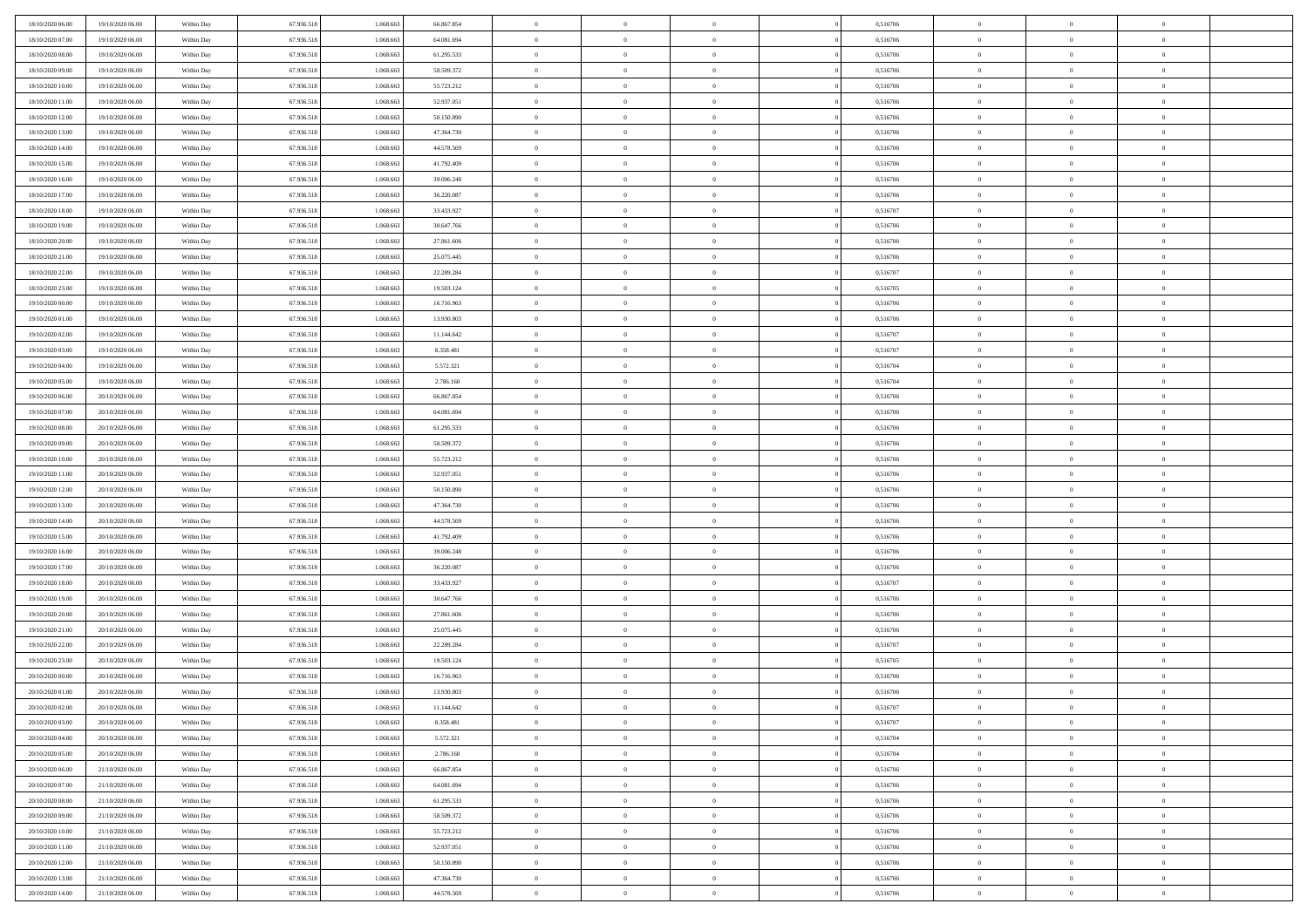| 18/10/2020 06:00 | 19/10/2020 06:00 | Within Day | 67.936.518 | 1.068.66  | 66.867.854 | $\bf{0}$       | $\overline{0}$ | $\overline{0}$ | 0,516706 | $\bf{0}$       | $\overline{0}$ | $\bf{0}$       |  |
|------------------|------------------|------------|------------|-----------|------------|----------------|----------------|----------------|----------|----------------|----------------|----------------|--|
| 18/10/2020 07:00 | 19/10/2020 06:00 | Within Day | 67.936.518 | 1.068.663 | 64.081.694 | $\overline{0}$ | $\overline{0}$ | $\Omega$       | 0,516706 | $\overline{0}$ | $\bf{0}$       | $\theta$       |  |
| 18/10/2020 08:00 | 19/10/2020 06:00 | Within Day | 67.936.518 | 1.068.663 | 61.295.533 | $\overline{0}$ | $\overline{0}$ | $\overline{0}$ | 0,516706 | $\,$ 0 $\,$    | $\overline{0}$ | $\,0\,$        |  |
| 18/10/2020 09:00 | 19/10/2020 06:00 | Within Day | 67.936.518 | 1.068.663 | 58.509.372 | $\overline{0}$ | $\overline{0}$ | $\Omega$       | 0.516706 | $\overline{0}$ | $\theta$       | $\overline{0}$ |  |
| 18/10/2020 10:00 | 19/10/2020 06:00 | Within Day | 67.936.518 | 1.068.663 | 55.723.212 | $\mathbf{0}$   | $\overline{0}$ | $\overline{0}$ | 0,516706 | $\mathbf{0}$   | $\bf{0}$       | $\overline{0}$ |  |
| 18/10/2020 11:00 | 19/10/2020 06:00 | Within Day | 67.936.518 | 1.068.663 | 52.937.051 | $\overline{0}$ | $\overline{0}$ | $\overline{0}$ | 0,516706 | $\,$ 0 $\,$    | $\overline{0}$ | $\,0\,$        |  |
| 18/10/2020 12:00 | 19/10/2020 06:00 | Within Day | 67.936.518 | 1.068.663 | 50.150.890 | $\bf{0}$       | $\overline{0}$ | $\Omega$       | 0,516706 | $\bf{0}$       | $\theta$       | $\overline{0}$ |  |
| 18/10/2020 13:00 | 19/10/2020 06:00 | Within Day | 67.936.518 | 1.068.663 | 47.364.730 | $\overline{0}$ | $\overline{0}$ | $\overline{0}$ | 0,516706 | $\mathbf{0}$   | $\bf{0}$       | $\theta$       |  |
| 18/10/2020 14:00 | 19/10/2020 06:00 | Within Day | 67.936.518 | 1.068.663 | 44.578.569 | $\overline{0}$ | $\overline{0}$ | $\overline{0}$ | 0,516706 | $\,$ 0 $\,$    | $\overline{0}$ | $\,0\,$        |  |
| 18/10/2020 15:00 | 19/10/2020 06:00 | Within Day | 67.936.518 | 1.068.663 | 41.792.409 | $\overline{0}$ | $\overline{0}$ | $\Omega$       | 0.516706 | $\overline{0}$ | $\theta$       | $\overline{0}$ |  |
| 18/10/2020 16:00 | 19/10/2020 06:00 | Within Day | 67.936.518 | 1.068.663 | 39.006.248 | $\mathbf{0}$   | $\overline{0}$ | $\overline{0}$ | 0,516706 | $\overline{0}$ | $\bf{0}$       | $\theta$       |  |
| 18/10/2020 17:00 | 19/10/2020 06:00 | Within Day | 67.936.518 | 1.068.663 | 36.220.087 | $\overline{0}$ | $\overline{0}$ | $\overline{0}$ | 0,516706 | $\,$ 0 $\,$    | $\overline{0}$ | $\,0\,$        |  |
| 18/10/2020 18:00 | 19/10/2020 06:00 | Within Day | 67.936.518 | 1.068.663 | 33.433.927 | $\overline{0}$ | $\overline{0}$ | $\Omega$       | 0.516707 | $\overline{0}$ | $\theta$       | $\overline{0}$ |  |
| 18/10/2020 19:00 | 19/10/2020 06:00 | Within Day | 67.936.518 | 1.068.663 | 30.647.766 | $\mathbf{0}$   | $\overline{0}$ | $\overline{0}$ | 0,516706 | $\mathbf{0}$   | $\bf{0}$       | $\theta$       |  |
| 18/10/2020 20:00 | 19/10/2020 06:00 | Within Day | 67.936.518 | 1.068.663 | 27.861.606 | $\overline{0}$ | $\,$ 0 $\,$    | $\overline{0}$ | 0,516706 | $\,$ 0 $\,$    | $\overline{0}$ | $\,0\,$        |  |
| 18/10/2020 21.00 | 19/10/2020 06:00 | Within Day | 67.936.518 | 1.068.663 | 25.075.445 | $\bf{0}$       | $\overline{0}$ | $\Omega$       | 0,516706 | $\bf{0}$       | $\theta$       | $\bf{0}$       |  |
| 18/10/2020 22:00 | 19/10/2020 06:00 | Within Day | 67.936.518 | 1.068.663 | 22.289.284 | $\overline{0}$ | $\overline{0}$ | $\overline{0}$ | 0,516707 | $\overline{0}$ | $\bf{0}$       | $\theta$       |  |
| 18/10/2020 23:00 | 19/10/2020 06:00 | Within Day | 67.936.518 | 1.068.663 | 19.503.124 | $\overline{0}$ | $\overline{0}$ | $\overline{0}$ | 0,516705 | $\,$ 0 $\,$    | $\overline{0}$ | $\,$ 0 $\,$    |  |
| 19/10/2020 00:00 | 19/10/2020 06:00 | Within Day | 67.936.518 | 1.068.663 | 16.716.963 | $\overline{0}$ | $\overline{0}$ | $\Omega$       | 0.516706 | $\overline{0}$ | $\theta$       | $\overline{0}$ |  |
| 19/10/2020 01:00 | 19/10/2020 06:00 | Within Day | 67.936.518 | 1.068.663 | 13.930.803 | $\overline{0}$ | $\overline{0}$ | $\overline{0}$ | 0,516706 | $\overline{0}$ | $\bf{0}$       | $\theta$       |  |
| 19/10/2020 02:00 | 19/10/2020 06:00 | Within Day | 67.936.518 | 1.068.663 | 11.144.642 | $\,$ 0         | $\overline{0}$ | $\overline{0}$ | 0,516707 | $\,$ 0 $\,$    | $\overline{0}$ | $\,$ 0 $\,$    |  |
| 19/10/2020 03:00 | 19/10/2020 06:00 | Within Day | 67.936.518 | 1.068.663 | 8.358.481  | $\overline{0}$ | $\overline{0}$ | $\Omega$       | 0.516707 | $\overline{0}$ | $\theta$       | $\overline{0}$ |  |
| 19/10/2020 04:00 | 19/10/2020 06:00 | Within Day | 67.936.518 | 1.068.663 | 5.572.321  | $\mathbf{0}$   | $\overline{0}$ | $\overline{0}$ | 0,516704 | $\mathbf{0}$   | $\bf{0}$       | $\theta$       |  |
| 19/10/2020 05:00 | 19/10/2020 06:00 | Within Day | 67.936.518 | 1.068.663 | 2.786.160  | $\overline{0}$ | $\overline{0}$ | $\overline{0}$ | 0,516704 | $\,$ 0 $\,$    | $\overline{0}$ | $\,$ 0 $\,$    |  |
| 19/10/2020 06.00 | 20/10/2020 06.00 | Within Day | 67.936.518 | 1.068.663 | 66.867.854 | $\bf{0}$       | $\overline{0}$ | $\Omega$       | 0,516706 | $\bf{0}$       | $\theta$       | $\bf{0}$       |  |
| 19/10/2020 07:00 | 20/10/2020 06:00 | Within Day | 67.936.518 | 1.068.663 | 64.081.694 | $\overline{0}$ | $\overline{0}$ | $\overline{0}$ | 0,516706 | $\overline{0}$ | $\bf{0}$       | $\theta$       |  |
| 19/10/2020 08:00 | 20/10/2020 06:00 | Within Day | 67.936.518 | 1.068.663 | 61.295.533 | $\,$ 0         | $\overline{0}$ | $\overline{0}$ | 0,516706 | $\,$ 0 $\,$    | $\overline{0}$ | $\,$ 0 $\,$    |  |
| 19/10/2020 09:00 | 20/10/2020 06.00 | Within Day | 67.936.518 | 1.068.663 | 58.509.372 | $\overline{0}$ | $\overline{0}$ | $\Omega$       | 0.516706 | $\overline{0}$ | $\theta$       | $\overline{0}$ |  |
| 19/10/2020 10:00 | 20/10/2020 06:00 | Within Day | 67.936.518 | 1.068.663 | 55.723.212 | $\mathbf{0}$   | $\overline{0}$ | $\overline{0}$ | 0,516706 | $\mathbf{0}$   | $\bf{0}$       | $\theta$       |  |
| 19/10/2020 11:00 | 20/10/2020 06:00 | Within Day | 67.936.518 | 1.068.663 | 52.937.051 | $\overline{0}$ | $\overline{0}$ | $\overline{0}$ | 0,516706 | $\,$ 0 $\,$    | $\overline{0}$ | $\,$ 0 $\,$    |  |
| 19/10/2020 12:00 | 20/10/2020 06:00 | Within Day | 67.936.518 | 1.068.66  | 50.150.890 | $\bf{0}$       | $\overline{0}$ | $\theta$       | 0,516706 | $\bf{0}$       | $\overline{0}$ | $\bf{0}$       |  |
| 19/10/2020 13:00 | 20/10/2020 06:00 | Within Day | 67.936.518 | 1.068.663 | 47.364.730 | $\overline{0}$ | $\overline{0}$ | $\overline{0}$ | 0,516706 | $\overline{0}$ | $\bf{0}$       | $\theta$       |  |
| 19/10/2020 14:00 | 20/10/2020 06:00 | Within Day | 67.936.518 | 1.068.663 | 44.578.569 | $\,$ 0         | $\overline{0}$ | $\overline{0}$ | 0,516706 | $\,$ 0 $\,$    | $\overline{0}$ | $\,$ 0 $\,$    |  |
| 19/10/2020 15:00 | 20/10/2020 06:00 | Within Day | 67.936.518 | 1.068.663 | 41.792.409 | $\bf{0}$       | $\overline{0}$ | $\overline{0}$ | 0,516706 | $\mathbf{0}$   | $\overline{0}$ | $\bf{0}$       |  |
| 19/10/2020 16:00 | 20/10/2020 06:00 | Within Day | 67.936.518 | 1.068.663 | 39.006.248 | $\overline{0}$ | $\overline{0}$ | $\overline{0}$ | 0,516706 | $\overline{0}$ | $\bf{0}$       | $\theta$       |  |
| 19/10/2020 17:00 | 20/10/2020 06:00 | Within Day | 67.936.518 | 1.068.663 | 36.220.087 | $\overline{0}$ | $\overline{0}$ | $\overline{0}$ | 0,516706 | $\,$ 0 $\,$    | $\overline{0}$ | $\,0\,$        |  |
| 19/10/2020 18:00 | 20/10/2020 06:00 | Within Day | 67.936.518 | 1.068.663 | 33.433.927 | $\bf{0}$       | $\overline{0}$ | $\Omega$       | 0,516707 | $\bf{0}$       | $\theta$       | $\bf{0}$       |  |
| 19/10/2020 19:00 | 20/10/2020 06:00 | Within Day | 67.936.518 | 1.068.663 | 30.647.766 | $\mathbf{0}$   | $\overline{0}$ | $\overline{0}$ | 0,516706 | $\mathbf{0}$   | $\bf{0}$       | $\overline{0}$ |  |
| 19/10/2020 20:00 | 20/10/2020 06:00 | Within Day | 67.936.518 | 1.068.663 | 27.861.606 | $\,$ 0         | $\overline{0}$ | $\overline{0}$ | 0,516706 | $\,$ 0 $\,$    | $\overline{0}$ | $\,0\,$        |  |
| 19/10/2020 21:00 | 20/10/2020 06:00 | Within Day | 67.936.518 | 1.068.663 | 25.075.445 | $\bf{0}$       | $\overline{0}$ | $\Omega$       | 0,516706 | $\bf{0}$       | $\overline{0}$ | $\bf{0}$       |  |
| 19/10/2020 22:00 | 20/10/2020 06:00 | Within Day | 67.936.518 | 1.068.663 | 22.289.284 | $\mathbf{0}$   | $\overline{0}$ | $\overline{0}$ | 0,516707 | $\overline{0}$ | $\overline{0}$ | $\theta$       |  |
| 19/10/2020 23:00 | 20/10/2020 06:00 | Within Day | 67.936.518 | 1.068.663 | 19.503.124 | $\overline{0}$ | $\overline{0}$ | $\overline{0}$ | 0,516705 | $\,$ 0 $\,$    | $\overline{0}$ | $\,0\,$        |  |
| 20/10/2020 00:00 | 20/10/2020 06:00 | Within Day | 67.936.518 | 1.068.66  | 16.716.963 | $\bf{0}$       | $\overline{0}$ | $\overline{0}$ | 0,516706 | $\bf{0}$       | $\overline{0}$ | $\bf{0}$       |  |
| 20/10/2020 01:00 | 20/10/2020 06:00 | Within Day | 67.936.518 | 1.068.663 | 13.930.803 | $\mathbf{0}$   | $\overline{0}$ | $\overline{0}$ | 0,516706 | $\overline{0}$ | $\bf{0}$       | $\theta$       |  |
| 20/10/2020 02.00 | 20/10/2020 06:00 | Within Day | 67.936.518 | 1.068.663 | 11.144.642 | $\theta$       | $\overline{0}$ | $\Omega$       | 0,516707 | $\overline{0}$ | $\overline{0}$ | $\overline{0}$ |  |
| 20/10/2020 03:00 | 20/10/2020 06:00 | Within Day | 67.936.518 | 1.068.663 | 8.358.481  | $\bf{0}$       | $\overline{0}$ | $\overline{0}$ | 0,516707 | $\mathbf{0}$   | $\overline{0}$ | $\bf{0}$       |  |
| 20/10/2020 04:00 | 20/10/2020 06:00 | Within Day | 67.936.518 | 1.068.663 | 5.572.321  | $\overline{0}$ | $\overline{0}$ | $\overline{0}$ | 0,516704 | $\,$ 0 $\,$    | $\overline{0}$ | $\overline{0}$ |  |
| 20/10/2020 05:00 | 20/10/2020 06:00 | Within Day | 67.936.518 | 1.068.663 | 2.786.160  | $\,$ 0 $\,$    | $\overline{0}$ | $\overline{0}$ | 0,516704 | $\,$ 0 $\,$    | $\,$ 0 $\,$    | $\theta$       |  |
| 20/10/2020 06.00 | 21/10/2020 06:00 | Within Day | 67.936.518 | 1.068.663 | 66.867.854 | $\bf{0}$       | $\overline{0}$ | $\overline{0}$ | 0,516706 | $\mathbf{0}$   | $\overline{0}$ | $\bf{0}$       |  |
| 20/10/2020 07:00 | 21/10/2020 06:00 | Within Day | 67.936.518 | 1.068.663 | 64.081.694 | $\mathbf{0}$   | $\overline{0}$ | $\overline{0}$ | 0,516706 | $\mathbf{0}$   | $\bf{0}$       | $\overline{0}$ |  |
| 20/10/2020 08:00 | 21/10/2020 06:00 | Within Day | 67.936.518 | 1.068.663 | 61.295.533 | $\,$ 0 $\,$    | $\overline{0}$ | $\overline{0}$ | 0,516706 | $\,$ 0 $\,$    | $\overline{0}$ | $\theta$       |  |
| 20/10/2020 09:00 | 21/10/2020 06:00 | Within Day | 67.936.518 | 1.068.663 | 58.509.372 | $\mathbf{0}$   | $\overline{0}$ | $\overline{0}$ | 0,516706 | $\mathbf{0}$   | $\overline{0}$ | $\overline{0}$ |  |
| 20/10/2020 10:00 | 21/10/2020 06:00 | Within Day | 67.936.518 | 1.068.663 | 55.723.212 | $\,$ 0 $\,$    | $\overline{0}$ | $\overline{0}$ | 0,516706 | $\,$ 0 $\,$    | $\bf{0}$       | $\overline{0}$ |  |
| 20/10/2020 11:00 | 21/10/2020 06:00 | Within Day | 67.936.518 | 1.068.663 | 52.937.051 | $\,$ 0         | $\overline{0}$ | $\overline{0}$ | 0,516706 | $\,$ 0 $\,$    | $\,$ 0         | $\theta$       |  |
| 20/10/2020 12:00 | 21/10/2020 06:00 | Within Day | 67.936.518 | 1.068.663 | 50.150.890 | $\bf{0}$       | $\overline{0}$ | $\overline{0}$ | 0,516706 | $\mathbf{0}$   | $\overline{0}$ | $\bf{0}$       |  |
| 20/10/2020 13:00 | 21/10/2020 06:00 | Within Day | 67.936.518 | 1.068.663 | 47.364.730 | $\mathbf{0}$   | $\overline{0}$ | $\overline{0}$ | 0,516706 | $\mathbf{0}$   | $\bf{0}$       | $\overline{0}$ |  |
| 20/10/2020 14:00 | 21/10/2020 06:00 | Within Day | 67.936.518 | 1.068.663 | 44.578.569 | $\,$ 0         | $\overline{0}$ | $\overline{0}$ | 0,516706 | $\,$ 0 $\,$    | $\overline{0}$ | $\theta$       |  |
|                  |                  |            |            |           |            |                |                |                |          |                |                |                |  |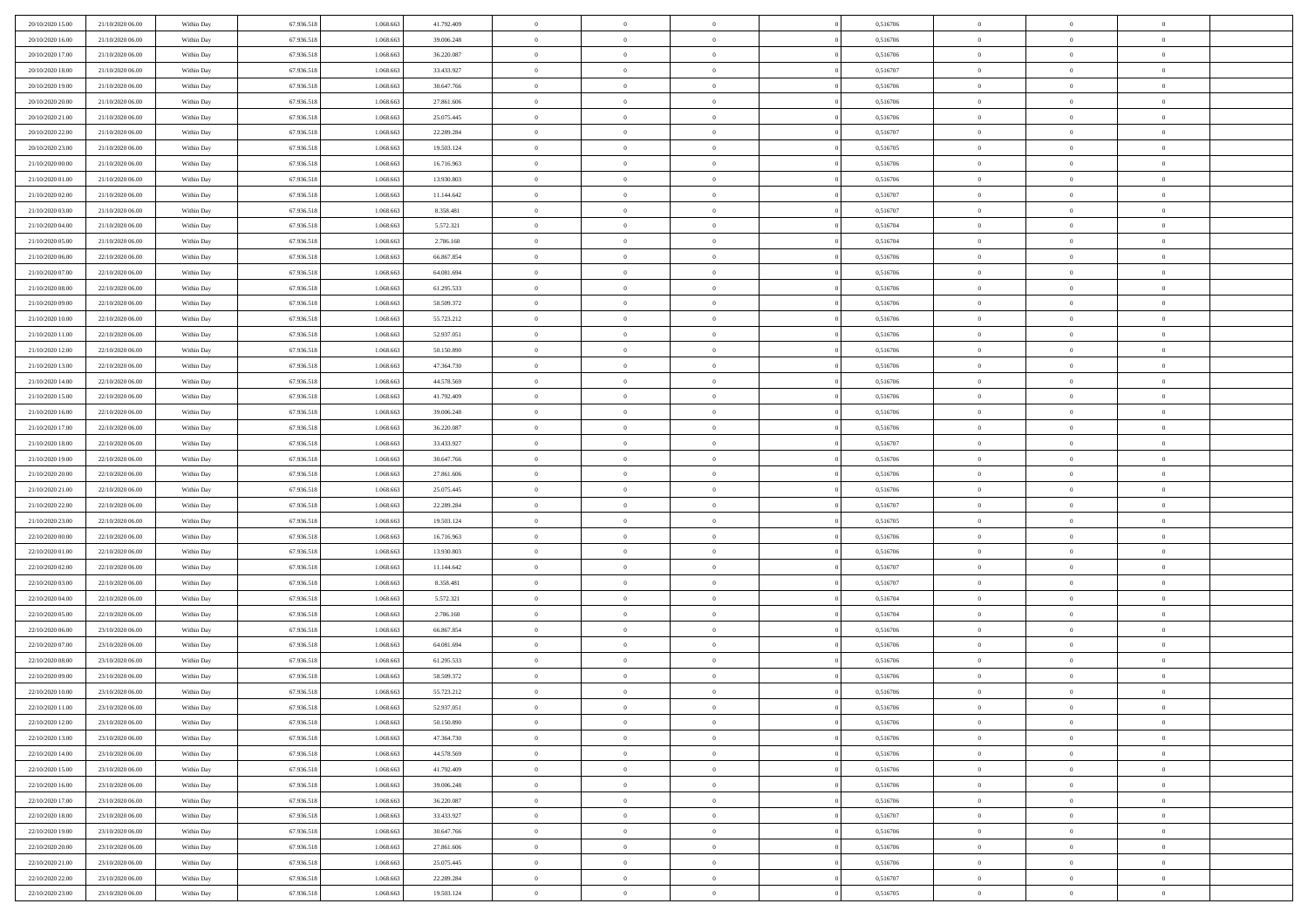| 20/10/2020 15:00 | 21/10/2020 06.00                     | Within Day | 67.936.518 | 1.068.663 | 41.792.409 | $\bf{0}$       | $\overline{0}$ | $\overline{0}$ | 0,516706 | $\bf{0}$       | $\overline{0}$ | $\,0\,$        |  |
|------------------|--------------------------------------|------------|------------|-----------|------------|----------------|----------------|----------------|----------|----------------|----------------|----------------|--|
| 20/10/2020 16:00 | 21/10/2020 06.00                     | Within Day | 67.936.518 | 1.068.663 | 39.006.248 | $\theta$       | $\overline{0}$ | $\mathbf{0}$   | 0,516706 | $\theta$       | $\mathbf{0}$   | $\theta$       |  |
| 20/10/2020 17:00 | 21/10/2020 06:00                     | Within Dav | 67.936.518 | 1.068.663 | 36.220.087 | $\theta$       | $\overline{0}$ | $\mathbf{0}$   | 0,516706 | $\mathbf{0}$   | $\overline{0}$ | $\overline{0}$ |  |
| 20/10/2020 18:00 | 21/10/2020 06.00                     | Within Day | 67.936.518 | 1.068.663 | 33.433.927 | $\,$ 0 $\,$    | $\overline{0}$ | $\overline{0}$ | 0,516707 | $\bf{0}$       | $\overline{0}$ | $\bf{0}$       |  |
| 20/10/2020 19:00 | 21/10/2020 06:00                     | Within Day | 67.936.518 | 1.068.663 | 30.647.766 | $\bf{0}$       | $\overline{0}$ | $\mathbf{0}$   | 0,516706 | $\bf{0}$       | $\theta$       | $\,0\,$        |  |
| 20/10/2020 20:00 | 21/10/2020 06:00                     | Within Dav | 67.936.518 | 1.068.663 | 27.861.606 | $\theta$       | $\overline{0}$ | $\mathbf{0}$   | 0,516706 | $\mathbf{0}$   | $\overline{0}$ | $\overline{0}$ |  |
| 20/10/2020 21:00 | 21/10/2020 06:00                     | Within Day | 67.936.518 | 1.068.663 | 25.075.445 | $\,$ 0 $\,$    | $\overline{0}$ | $\overline{0}$ | 0,516706 | $\bf{0}$       | $\overline{0}$ | $\,0\,$        |  |
|                  |                                      |            |            | 1.068.663 |            | $\theta$       | $\overline{0}$ |                |          | $\,$ 0 $\,$    | $\overline{0}$ | $\theta$       |  |
| 20/10/2020 22:00 | 21/10/2020 06.00                     | Within Day | 67.936.518 |           | 22.289.284 |                |                | $\mathbf{0}$   | 0,516707 |                |                |                |  |
| 20/10/2020 23:00 | 21/10/2020 06:00                     | Within Day | 67.936.518 | 1.068.663 | 19.503.124 | $\theta$       | $\overline{0}$ | $\overline{0}$ | 0,516705 | $\mathbf{0}$   | $\bf{0}$       | $\overline{0}$ |  |
| 21/10/2020 00:00 | 21/10/2020 06.00                     | Within Day | 67.936.518 | 1.068.663 | 16.716.963 | $\,$ 0 $\,$    | $\overline{0}$ | $\Omega$       | 0,516706 | $\bf{0}$       | $\overline{0}$ | $\,0\,$        |  |
| 21/10/2020 01:00 | 21/10/2020 06.00                     | Within Day | 67.936.518 | 1.068.663 | 13.930.803 | $\bf{0}$       | $\overline{0}$ | $\mathbf{0}$   | 0,516706 | $\bf{0}$       | $\mathbf{0}$   | $\theta$       |  |
| 21/10/2020 02.00 | 21/10/2020 06:00                     | Within Day | 67.936.518 | 1.068.663 | 11.144.642 | $\theta$       | $\overline{0}$ | $\mathbf{0}$   | 0,516707 | $\mathbf{0}$   | $\overline{0}$ | $\overline{0}$ |  |
| 21/10/2020 03:00 | 21/10/2020 06.00                     | Within Day | 67.936.518 | 1.068.663 | 8.358.481  | $\,$ 0 $\,$    | $\overline{0}$ | $\overline{0}$ | 0,516707 | $\bf{0}$       | $\overline{0}$ | $\bf{0}$       |  |
| 21/10/2020 04:00 | 21/10/2020 06:00                     | Within Day | 67.936.518 | 1.068.663 | 5.572.321  | $\bf{0}$       | $\overline{0}$ | $\mathbf{0}$   | 0,516704 | $\bf{0}$       | $\theta$       | $\,0\,$        |  |
| 21/10/2020 05:00 | 21/10/2020 06:00                     | Within Day | 67.936.518 | 1.068.663 | 2.786.160  | $\theta$       | $\overline{0}$ | $\mathbf{0}$   | 0,516704 | $\mathbf{0}$   | $\overline{0}$ | $\overline{0}$ |  |
| 21/10/2020 06:00 | 22/10/2020 06.00                     | Within Day | 67.936.518 | 1.068.663 | 66.867.854 | $\,$ 0 $\,$    | $\overline{0}$ | $\Omega$       | 0,516706 | $\bf{0}$       | $\overline{0}$ | $\bf{0}$       |  |
| 21/10/2020 07:00 | 22/10/2020 06.00                     | Within Day | 67.936.518 | 1.068.663 | 64.081.694 | $\,$ 0         | $\overline{0}$ | $\mathbf{0}$   | 0,516706 | $\bf{0}$       | $\overline{0}$ | $\theta$       |  |
| 21/10/2020 08:00 | 22/10/2020 06:00                     | Within Day | 67.936.518 | 1.068.663 | 61.295.533 | $\theta$       | $\overline{0}$ | $\mathbf{0}$   | 0,516706 | $\mathbf{0}$   | $\overline{0}$ | $\overline{0}$ |  |
| 21/10/2020 09:00 | 22/10/2020 06:00                     | Within Day | 67.936.518 | 1.068.663 | 58.509.372 | $\,$ 0 $\,$    | $\overline{0}$ | $\Omega$       | 0,516706 | $\bf{0}$       | $\overline{0}$ | $\,0\,$        |  |
| 21/10/2020 10:00 | 22/10/2020 06.00                     | Within Day | 67.936.518 | 1.068.663 | 55.723.212 | $\bf{0}$       | $\overline{0}$ | $\mathbf{0}$   | 0,516706 | $\bf{0}$       | $\mathbf{0}$   | $\theta$       |  |
| 21/10/2020 11:00 | 22/10/2020 06:00                     | Within Day | 67.936.518 | 1.068.663 | 52.937.051 | $\theta$       | $\overline{0}$ | $\mathbf{0}$   | 0,516706 | $\mathbf{0}$   | $\overline{0}$ | $\overline{0}$ |  |
| 21/10/2020 12:00 | 22/10/2020 06:00                     | Within Day | 67.936.518 | 1.068.663 | 50.150.890 | $\,$ 0 $\,$    | $\overline{0}$ | $\overline{0}$ | 0,516706 | $\bf{0}$       | $\overline{0}$ | $\bf{0}$       |  |
| 21/10/2020 13:00 | 22/10/2020 06:00                     | Within Day | 67.936.518 | 1.068.663 | 47.364.730 | $\,$ 0         | $\overline{0}$ | $\mathbf{0}$   | 0,516706 | $\bf{0}$       | $\mathbf{0}$   | $\,0\,$        |  |
| 21/10/2020 14:00 | 22/10/2020 06:00                     | Within Day | 67.936.518 | 1.068.663 | 44.578.569 | $\theta$       | $\overline{0}$ | $\mathbf{0}$   | 0,516706 | $\mathbf{0}$   | $\overline{0}$ | $\overline{0}$ |  |
| 21/10/2020 15:00 | 22/10/2020 06:00                     | Within Day | 67.936.518 | 1.068.663 | 41.792.409 | $\,$ 0 $\,$    | $\overline{0}$ | $\overline{0}$ | 0,516706 | $\bf{0}$       | $\overline{0}$ | $\,0\,$        |  |
| 21/10/2020 16:00 | 22/10/2020 06.00                     | Within Day | 67.936.518 | 1.068.663 | 39.006.248 | $\,$ 0         | $\overline{0}$ | $\mathbf{0}$   | 0,516706 | $\bf{0}$       | $\overline{0}$ | $\theta$       |  |
| 21/10/2020 17:00 | 22/10/2020 06:00                     | Within Day | 67.936.518 | 1.068.663 | 36.220.087 | $\theta$       | $\overline{0}$ | $\overline{0}$ | 0,516706 | $\mathbf{0}$   | $\bf{0}$       | $\overline{0}$ |  |
| 21/10/2020 18:00 | 22/10/2020 06:00                     | Within Day | 67.936.518 | 1.068.663 | 33.433.927 | $\,$ 0 $\,$    | $\overline{0}$ | $\Omega$       | 0,516707 | $\bf{0}$       | $\overline{0}$ | $\,0\,$        |  |
| 21/10/2020 19:00 | 22/10/2020 06.00                     | Within Day | 67.936.518 | 1.068.663 | 30.647.766 | $\bf{0}$       | $\overline{0}$ | $\mathbf{0}$   | 0,516706 | $\bf{0}$       | $\mathbf{0}$   | $\theta$       |  |
| 21/10/2020 20:00 | 22/10/2020 06:00                     | Within Day | 67.936.518 | 1.068.663 | 27.861.606 | $\theta$       | $\overline{0}$ | $\overline{0}$ | 0,516706 | $\mathbf{0}$   | $\overline{0}$ | $\overline{0}$ |  |
| 21/10/2020 21:00 | 22/10/2020 06:00                     | Within Day | 67.936.518 | 1.068.663 | 25.075.445 | $\theta$       | $\overline{0}$ | $\overline{0}$ | 0,516706 | $\,$ 0         | $\overline{0}$ | $\,$ 0 $\,$    |  |
| 21/10/2020 22.00 | 22/10/2020 06:00                     | Within Day | 67.936.518 | 1.068.663 | 22.289.284 | $\,$ 0         | $\overline{0}$ | $\mathbf{0}$   | 0,516707 | $\bf{0}$       | $\mathbf{0}$   | $\bf{0}$       |  |
| 21/10/2020 23:00 | 22/10/2020 06:00                     | Within Day | 67.936.518 | 1.068.663 | 19.503.124 | $\theta$       | $\overline{0}$ | $\mathbf{0}$   | 0,516705 | $\mathbf{0}$   | $\overline{0}$ | $\overline{0}$ |  |
| 22/10/2020 00:00 | 22/10/2020 06:00                     | Within Day | 67.936.518 | 1.068.663 | 16.716.963 | $\theta$       | $\overline{0}$ | $\overline{0}$ | 0,516706 | $\,$ 0         | $\overline{0}$ | $\theta$       |  |
| 22/10/2020 01:00 | 22/10/2020 06.00                     | Within Day | 67.936.518 | 1.068.663 | 13.930.803 | $\bf{0}$       | $\overline{0}$ | $\mathbf{0}$   | 0,516706 | $\mathbf{0}$   | $\overline{0}$ | $\overline{0}$ |  |
| 22/10/2020 02.00 | 22/10/2020 06:00                     | Within Day | 67.936.518 | 1.068.663 | 11.144.642 | $\theta$       | $\overline{0}$ | $\mathbf{0}$   | 0,516707 | $\mathbf{0}$   | $\overline{0}$ | $\overline{0}$ |  |
| 22/10/2020 03:00 | 22/10/2020 06:00                     | Within Day | 67.936.518 | 1.068.663 | 8.358.481  | $\theta$       | $\overline{0}$ | $\overline{0}$ | 0,516707 | $\,$ 0         | $\overline{0}$ | $\theta$       |  |
| 22/10/2020 04:00 | 22/10/2020 06.00                     | Within Day | 67.936.518 | 1.068.663 | 5.572.321  | $\bf{0}$       | $\overline{0}$ | $\mathbf{0}$   | 0,516704 | $\bf{0}$       | $\mathbf{0}$   | $\overline{0}$ |  |
| 22/10/2020 05:00 | 22/10/2020 06:00                     | Within Day | 67.936.518 | 1.068.663 | 2.786.160  | $\theta$       | $\overline{0}$ | $\mathbf{0}$   | 0,516704 | $\mathbf{0}$   | $\overline{0}$ | $\overline{0}$ |  |
|                  |                                      |            |            |           |            |                |                |                |          |                |                |                |  |
| 22/10/2020 06:00 | 23/10/2020 06:00                     | Within Day | 67.936.518 | 1.068.663 | 66.867.854 | $\,$ 0 $\,$    | $\overline{0}$ | $\overline{0}$ | 0,516706 | $\,$ 0         | $\overline{0}$ | $\,$ 0 $\,$    |  |
| 22/10/2020 07:00 | 23/10/2020 06:00<br>23/10/2020 06:00 | Within Day | 67.936.518 | 1.068.663 | 64.081.694 | $\,$ 0         | $\,$ 0 $\,$    | $\overline{0}$ | 0,516706 | $\,$ 0 $\,$    | $\overline{0}$ | $\overline{0}$ |  |
| 22/10/2020 08:00 |                                      | Within Day | 67.936.518 | 1.068.663 | 61.295.533 | $\theta$       | $\overline{0}$ | $\mathbf{0}$   | 0,516706 | $\mathbf{0}$   | $\overline{0}$ | $\overline{0}$ |  |
| 22/10/2020 09:00 | 23/10/2020 06.00                     | Within Day | 67.936.518 | 1.068.663 | 58.509.372 | $\theta$       | $\overline{0}$ | $\overline{0}$ | 0,516706 | $\,$ 0         | $\overline{0}$ | $\theta$       |  |
| 22/10/2020 10:00 | 23/10/2020 06.00                     | Within Day | 67.936.518 | 1.068.663 | 55.723.212 | $\bf{0}$       | $\,$ 0 $\,$    | $\mathbf{0}$   | 0,516706 | $\bf{0}$       | $\overline{0}$ | $\overline{0}$ |  |
| 22/10/2020 11:00 | 23/10/2020 06:00                     | Within Day | 67.936.518 | 1.068.663 | 52.937.051 | $\overline{0}$ | $\theta$       |                | 0,516706 | $\overline{0}$ | $\theta$       | $\theta$       |  |
| 22/10/2020 12:00 | 23/10/2020 06:00                     | Within Day | 67.936.518 | 1.068.663 | 50.150.890 | $\,$ 0 $\,$    | $\overline{0}$ | $\overline{0}$ | 0,516706 | $\,$ 0 $\,$    | $\bf{0}$       | $\theta$       |  |
| 22/10/2020 13.00 | 23/10/2020 06.00                     | Within Day | 67.936.518 | 1.068.663 | 47.364.730 | $\bf{0}$       | $\,$ 0 $\,$    | $\mathbf{0}$   | 0,516706 | $\,$ 0 $\,$    | $\overline{0}$ | $\overline{0}$ |  |
| 22/10/2020 14:00 | 23/10/2020 06:00                     | Within Day | 67.936.518 | 1.068.663 | 44.578.569 | $\mathbf{0}$   | $\overline{0}$ | $\overline{0}$ | 0,516706 | $\,$ 0 $\,$    | $\bf{0}$       | $\mathbf{0}$   |  |
| 22/10/2020 15:00 | 23/10/2020 06:00                     | Within Day | 67.936.518 | 1.068.663 | 41.792.409 | $\,$ 0 $\,$    | $\overline{0}$ | $\overline{0}$ | 0,516706 | $\,$ 0 $\,$    | $\bf{0}$       | $\,$ 0 $\,$    |  |
| 22/10/2020 16:00 | 23/10/2020 06.00                     | Within Day | 67.936.518 | 1.068.663 | 39.006.248 | $\,$ 0 $\,$    | $\,$ 0 $\,$    | $\overline{0}$ | 0,516706 | $\,$ 0 $\,$    | $\overline{0}$ | $\overline{0}$ |  |
| 22/10/2020 17:00 | 23/10/2020 06:00                     | Within Day | 67.936.518 | 1.068.663 | 36.220.087 | $\mathbf{0}$   | $\overline{0}$ | $\overline{0}$ | 0,516706 | $\mathbf{0}$   | $\overline{0}$ | $\overline{0}$ |  |
| 22/10/2020 18:00 | 23/10/2020 06:00                     | Within Day | 67.936.518 | 1.068.663 | 33.433.927 | $\,$ 0 $\,$    | $\overline{0}$ | $\overline{0}$ | 0,516707 | $\,$ 0 $\,$    | $\mathbf{0}$   | $\,$ 0 $\,$    |  |
| 22/10/2020 19:00 | 23/10/2020 06.00                     | Within Day | 67.936.518 | 1.068.663 | 30.647.766 | $\overline{0}$ | $\overline{0}$ | $\overline{0}$ | 0,516706 | $\,$ 0 $\,$    | $\overline{0}$ | $\overline{0}$ |  |
| 22/10/2020 20:00 | 23/10/2020 06:00                     | Within Day | 67.936.518 | 1.068.663 | 27.861.606 | $\mathbf{0}$   | $\overline{0}$ | $\overline{0}$ | 0,516706 | $\mathbf{0}$   | $\bf{0}$       | $\overline{0}$ |  |
| 22/10/2020 21:00 | 23/10/2020 06:00                     | Within Day | 67.936.518 | 1.068.663 | 25.075.445 | $\,$ 0 $\,$    | $\overline{0}$ | $\overline{0}$ | 0,516706 | $\,$ 0 $\,$    | $\mathbf{0}$   | $\,$ 0 $\,$    |  |
| 22/10/2020 22.00 | 23/10/2020 06.00                     | Within Day | 67.936.518 | 1.068.663 | 22.289.284 | $\,$ 0 $\,$    | $\overline{0}$ | $\overline{0}$ | 0,516707 | $\bf{0}$       | $\overline{0}$ | $\overline{0}$ |  |
| 22/10/2020 23:00 | 23/10/2020 06:00                     | Within Day | 67.936.518 | 1.068.663 | 19.503.124 | $\theta$       | $\overline{0}$ | $\overline{0}$ | 0,516705 | $\mathbf{0}$   | $\overline{0}$ | $\overline{0}$ |  |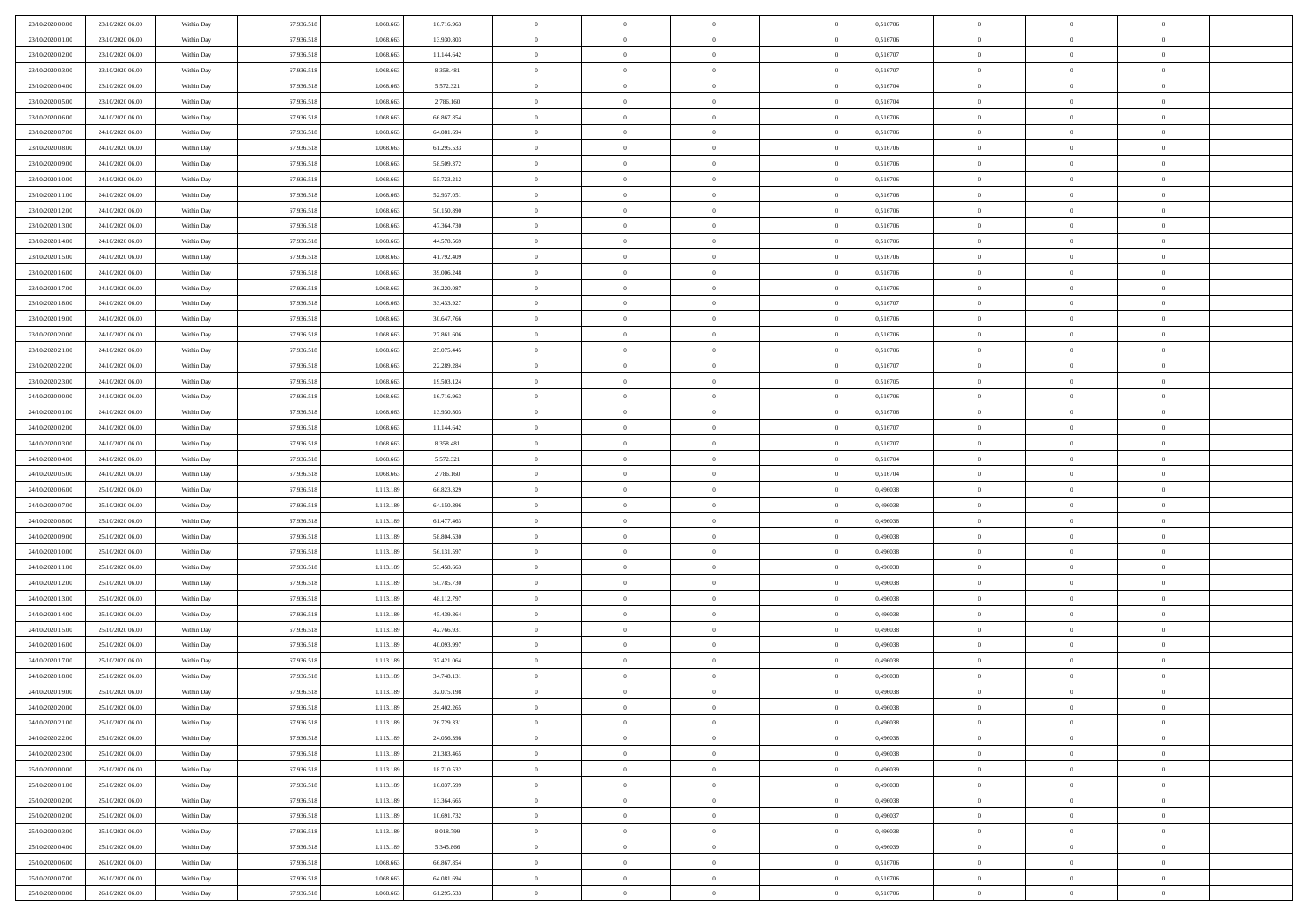| 23/10/2020 00:00 | 23/10/2020 06.00 | Within Day | 67.936.518 | 1.068.663 | 16.716.963 | $\bf{0}$       | $\overline{0}$ | $^{\circ}$     | 0,516706 | $\bf{0}$       | $\overline{0}$ | $\bf{0}$       |  |
|------------------|------------------|------------|------------|-----------|------------|----------------|----------------|----------------|----------|----------------|----------------|----------------|--|
| 23/10/2020 01:00 | 23/10/2020 06:00 | Within Day | 67.936.518 | 1.068.663 | 13.930.803 | $\theta$       | $\overline{0}$ | $\overline{0}$ | 0,516706 | $\mathbf{0}$   | $\bf{0}$       | $\overline{0}$ |  |
| 23/10/2020 02:00 | 23/10/2020 06:00 | Within Day | 67.936.518 | 1.068.663 | 11.144.642 | $\theta$       | $\overline{0}$ | $\bf{0}$       | 0,516707 | $\,$ 0         | $\overline{0}$ | $\,$ 0 $\,$    |  |
| 23/10/2020 03:00 | 23/10/2020 06.00 | Within Day | 67.936.518 | 1.068.663 | 8.358.481  | $\overline{0}$ | $\overline{0}$ | $\mathbf{0}$   | 0,516707 | $\bf{0}$       | $\mathbf{0}$   | $\theta$       |  |
| 23/10/2020 04:00 | 23/10/2020 06:00 | Within Day | 67.936.518 | 1.068.663 | 5.572.321  | $\mathbf{0}$   | $\overline{0}$ | $\overline{0}$ | 0,516704 | $\mathbf{0}$   | $\bf{0}$       | $\overline{0}$ |  |
| 23/10/2020 05:00 | 23/10/2020 06:00 | Within Day | 67.936.518 | 1.068.663 | 2.786.160  | $\theta$       | $\overline{0}$ | $\bf{0}$       | 0,516704 | $\,$ 0         | $\overline{0}$ | $\,$ 0 $\,$    |  |
| 23/10/2020 06:00 | 24/10/2020 06:00 | Within Day | 67.936.518 | 1.068.663 | 66.867.854 | $\,$ 0 $\,$    | $\overline{0}$ | $\Omega$       | 0,516706 | $\bf{0}$       | $\mathbf{0}$   | $\theta$       |  |
| 23/10/2020 07:00 | 24/10/2020 06:00 | Within Day | 67.936.518 | 1.068.663 | 64.081.694 | $\overline{0}$ | $\overline{0}$ | $\overline{0}$ | 0,516706 | $\mathbf{0}$   | $\bf{0}$       | $\overline{0}$ |  |
| 23/10/2020 08:00 | 24/10/2020 06:00 | Within Day | 67.936.518 | 1.068.663 | 61.295.533 | $\theta$       | $\overline{0}$ | $\overline{0}$ | 0,516706 | $\,$ 0         | $\overline{0}$ | $\,$ 0 $\,$    |  |
| 23/10/2020 09:00 | 24/10/2020 06.00 | Within Day | 67.936.518 | 1.068.663 | 58.509.372 | $\mathbf{0}$   | $\overline{0}$ | $\mathbf{0}$   | 0.516706 | $\bf{0}$       | $\mathbf{0}$   | $\theta$       |  |
| 23/10/2020 10:00 | 24/10/2020 06:00 | Within Day | 67.936.518 | 1.068.663 | 55.723.212 | $\mathbf{0}$   | $\overline{0}$ | $\overline{0}$ | 0,516706 | $\mathbf{0}$   | $\bf{0}$       | $\overline{0}$ |  |
| 23/10/2020 11:00 | 24/10/2020 06:00 | Within Day | 67.936.518 | 1.068.663 | 52.937.051 | $\theta$       | $\overline{0}$ | $\bf{0}$       | 0,516706 | $\,$ 0         | $\overline{0}$ | $\,$ 0 $\,$    |  |
| 23/10/2020 12:00 | 24/10/2020 06.00 | Within Day | 67.936.518 | 1.068.663 | 50.150.890 | $\theta$       | $\overline{0}$ | $\mathbf{0}$   | 0,516706 | $\bf{0}$       | $\mathbf{0}$   | $\theta$       |  |
| 23/10/2020 13:00 | 24/10/2020 06.00 | Within Day | 67.936.518 | 1.068.663 | 47.364.730 | $\overline{0}$ | $\overline{0}$ | $\overline{0}$ | 0,516706 | $\mathbf{0}$   | $\bf{0}$       | $\overline{0}$ |  |
| 23/10/2020 14:00 | 24/10/2020 06:00 | Within Day | 67.936.518 | 1.068.663 | 44.578.569 | $\theta$       | $\overline{0}$ | $\overline{0}$ | 0,516706 | $\,$ 0         | $\overline{0}$ | $\,$ 0 $\,$    |  |
| 23/10/2020 15:00 | 24/10/2020 06.00 | Within Day | 67.936.518 | 1.068.663 | 41.792.409 | $\bf{0}$       | $\overline{0}$ | $\mathbf{0}$   | 0,516706 | $\bf{0}$       | $\mathbf{0}$   | $\bf{0}$       |  |
| 23/10/2020 16:00 | 24/10/2020 06:00 | Within Day | 67.936.518 | 1.068.663 | 39.006.248 | $\overline{0}$ | $\overline{0}$ | $\overline{0}$ | 0,516706 | $\mathbf{0}$   | $\bf{0}$       | $\overline{0}$ |  |
| 23/10/2020 17:00 | 24/10/2020 06:00 | Within Day | 67.936.518 | 1.068.663 | 36.220.087 | $\theta$       | $\overline{0}$ | $\bf{0}$       | 0,516706 | $\,$ 0         | $\overline{0}$ | $\,0\,$        |  |
| 23/10/2020 18:00 | 24/10/2020 06.00 | Within Day | 67.936.518 | 1.068.663 | 33.433.927 | $\mathbf{0}$   | $\overline{0}$ | $\mathbf{0}$   | 0.516707 | $\bf{0}$       | $\mathbf{0}$   | $\theta$       |  |
| 23/10/2020 19:00 | 24/10/2020 06:00 | Within Day | 67.936.518 | 1.068.663 | 30.647.766 | $\overline{0}$ | $\overline{0}$ | $\overline{0}$ | 0,516706 | $\mathbf{0}$   | $\bf{0}$       | $\overline{0}$ |  |
| 23/10/2020 20:00 | 24/10/2020 06:00 | Within Day | 67.936.518 | 1.068.663 | 27.861.606 | $\theta$       | $\overline{0}$ | $\bf{0}$       | 0,516706 | $\,$ 0         | $\overline{0}$ | $\,$ 0 $\,$    |  |
| 23/10/2020 21:00 | 24/10/2020 06.00 | Within Day | 67.936.518 | 1.068.663 | 25.075.445 | $\theta$       | $\overline{0}$ | $\mathbf{0}$   | 0.516706 | $\bf{0}$       | $\mathbf{0}$   | $\theta$       |  |
| 23/10/2020 22.00 | 24/10/2020 06.00 | Within Day | 67.936.518 | 1.068.663 | 22.289.284 | $\overline{0}$ | $\overline{0}$ | $\overline{0}$ | 0,516707 | $\mathbf{0}$   | $\bf{0}$       | $\overline{0}$ |  |
| 23/10/2020 23:00 | 24/10/2020 06:00 | Within Day | 67.936.518 | 1.068.663 | 19.503.124 | $\theta$       | $\overline{0}$ | $\bf{0}$       | 0,516705 | $\,$ 0         | $\overline{0}$ | $\,$ 0 $\,$    |  |
| 24/10/2020 00:00 | 24/10/2020 06:00 | Within Day | 67.936.518 | 1.068.663 | 16.716.963 | $\bf{0}$       | $\overline{0}$ | $\mathbf{0}$   | 0,516706 | $\bf{0}$       | $\overline{0}$ | $\bf{0}$       |  |
| 24/10/2020 01:00 | 24/10/2020 06:00 | Within Day | 67.936.518 | 1.068.663 | 13.930.803 | $\overline{0}$ | $\overline{0}$ | $\overline{0}$ | 0,516706 | $\mathbf{0}$   | $\bf{0}$       | $\overline{0}$ |  |
| 24/10/2020 02.00 | 24/10/2020 06:00 | Within Day | 67.936.518 | 1.068.663 | 11.144.642 | $\theta$       | $\overline{0}$ | $\overline{0}$ | 0,516707 | $\,$ 0         | $\overline{0}$ | $\,$ 0 $\,$    |  |
| 24/10/2020 03.00 | 24/10/2020 06.00 | Within Day | 67.936.518 | 1.068.663 | 8.358.481  | $\mathbf{0}$   | $\overline{0}$ | $\mathbf{0}$   | 0.516707 | $\bf{0}$       | $\mathbf{0}$   | $\theta$       |  |
| 24/10/2020 04:00 | 24/10/2020 06:00 | Within Dav | 67.936.518 | 1.068.663 | 5.572.321  | $\mathbf{0}$   | $\overline{0}$ | $\overline{0}$ | 0,516704 | $\mathbf{0}$   | $\bf{0}$       | $\overline{0}$ |  |
| 24/10/2020 05:00 | 24/10/2020 06:00 | Within Day | 67.936.518 | 1.068.663 | 2.786.160  | $\theta$       | $\overline{0}$ | $\bf{0}$       | 0,516704 | $\,$ 0         | $\overline{0}$ | $\,$ 0 $\,$    |  |
| 24/10/2020 06.00 | 25/10/2020 06.00 | Within Day | 67.936.518 | 1.113.189 | 66.823.329 | $\bf{0}$       | $\overline{0}$ | $\overline{0}$ | 0,496038 | $\bf{0}$       | $\overline{0}$ | $\,0\,$        |  |
| 24/10/2020 07:00 | 25/10/2020 06:00 | Within Dav | 67.936.518 | 1.113.189 | 64.150.396 | $\overline{0}$ | $\overline{0}$ | $\overline{0}$ | 0,496038 | $\mathbf{0}$   | $\bf{0}$       | $\overline{0}$ |  |
| 24/10/2020 08:00 | 25/10/2020 06:00 | Within Day | 67.936.518 | 1.113.189 | 61.477.463 | $\theta$       | $\overline{0}$ | $\overline{0}$ | 0,496038 | $\,$ 0         | $\overline{0}$ | $\,$ 0 $\,$    |  |
| 24/10/2020 09:00 | 25/10/2020 06.00 | Within Day | 67.936.518 | 1.113.189 | 58.804.530 | $\,$ 0 $\,$    | $\overline{0}$ | $\overline{0}$ | 0,496038 | $\bf{0}$       | $\overline{0}$ | $\,0\,$        |  |
| 24/10/2020 10:00 | 25/10/2020 06:00 | Within Dav | 67.936.518 | 1.113.189 | 56.131.597 | $\theta$       | $\overline{0}$ | $\overline{0}$ | 0,496038 | $\mathbf{0}$   | $\bf{0}$       | $\overline{0}$ |  |
| 24/10/2020 11:00 | 25/10/2020 06:00 | Within Day | 67.936.518 | 1.113.189 | 53.458.663 | $\theta$       | $\overline{0}$ | $\bf{0}$       | 0,496038 | $\,$ 0         | $\overline{0}$ | $\,$ 0 $\,$    |  |
| 24/10/2020 12:00 | 25/10/2020 06:00 | Within Day | 67.936.518 | 1.113.189 | 50.785.730 | $\bf{0}$       | $\overline{0}$ | $\overline{0}$ | 0,496038 | $\bf{0}$       | $\overline{0}$ | $\,0\,$        |  |
| 24/10/2020 13:00 | 25/10/2020 06:00 | Within Dav | 67.936.518 | 1.113.189 | 48.112.797 | $\overline{0}$ | $\overline{0}$ | $\overline{0}$ | 0,496038 | $\mathbf{0}$   | $\bf{0}$       | $\overline{0}$ |  |
| 24/10/2020 14:00 | 25/10/2020 06:00 | Within Day | 67.936.518 | 1.113.189 | 45.439.864 | $\theta$       | $\overline{0}$ | $\bf{0}$       | 0,496038 | $\,$ 0         | $\overline{0}$ | $\,$ 0 $\,$    |  |
| 24/10/2020 15:00 | 25/10/2020 06:00 | Within Day | 67.936.518 | 1.113.189 | 42.766.931 | $\,$ 0 $\,$    | $\overline{0}$ | $\overline{0}$ | 0,496038 | $\bf{0}$       | $\overline{0}$ | $\,0\,$        |  |
| 24/10/2020 16:00 | 25/10/2020 06:00 | Within Dav | 67.936.518 | 1.113.189 | 40.093.997 | $\theta$       | $\overline{0}$ | $\overline{0}$ | 0,496038 | $\mathbf{0}$   | $\bf{0}$       | $\overline{0}$ |  |
| 24/10/2020 17:00 | 25/10/2020 06:00 | Within Day | 67.936.518 | 1.113.189 | 37.421.064 | $\theta$       | $\overline{0}$ | $\overline{0}$ | 0,496038 | $\,$ 0         | $\overline{0}$ | $\,$ 0 $\,$    |  |
| 24/10/2020 18:00 | 25/10/2020 06:00 | Within Day | 67.936.518 | 1.113.189 | 34.748.131 | $\,$ 0 $\,$    | $\overline{0}$ | $\overline{0}$ | 0,496038 | $\bf{0}$       | $\overline{0}$ | $\,0\,$        |  |
| 24/10/2020 19:00 | 25/10/2020 06:00 | Within Dav | 67.936.518 | 1.113.189 | 32.075.198 | $\theta$       | $\overline{0}$ | $\overline{0}$ | 0,496038 | $\mathbf{0}$   | $\bf{0}$       | $\overline{0}$ |  |
| 24/10/2020 20:00 | 25/10/2020 06:00 | Within Day | 67.936.518 | 1.113.189 | 29.402.265 | $\overline{0}$ | $\overline{0}$ | $\Omega$       | 0,496038 | $\overline{0}$ | $\overline{0}$ | $\theta$       |  |
| 24/10/2020 21.00 | 25/10/2020 06:00 | Within Day | 67.936.518 | 1.113.189 | 26.729.331 | $\bf{0}$       | $\overline{0}$ | $\overline{0}$ | 0,496038 | $\bf{0}$       | $\overline{0}$ | $\bf{0}$       |  |
| 24/10/2020 22.00 | 25/10/2020 06:00 | Within Day | 67.936.518 | 1.113.189 | 24.056.398 | $\overline{0}$ | $\overline{0}$ | $\overline{0}$ | 0,496038 | $\overline{0}$ | $\bf{0}$       | $\overline{0}$ |  |
| 24/10/2020 23:00 | 25/10/2020 06:00 | Within Day | 67.936.518 | 1.113.189 | 21.383.465 | $\,$ 0 $\,$    | $\overline{0}$ | $\overline{0}$ | 0,496038 | $\,$ 0 $\,$    | $\,$ 0 $\,$    | $\,$ 0 $\,$    |  |
| 25/10/2020 00:00 | 25/10/2020 06:00 | Within Day | 67.936.518 | 1.113.189 | 18.710.532 | $\bf{0}$       | $\overline{0}$ | $\overline{0}$ | 0,496039 | $\mathbf{0}$   | $\overline{0}$ | $\bf{0}$       |  |
| 25/10/2020 01:00 | 25/10/2020 06:00 | Within Dav | 67.936.518 | 1.113.189 | 16.037.599 | $\mathbf{0}$   | $\overline{0}$ | $\overline{0}$ | 0,496038 | $\,$ 0 $\,$    | $\bf{0}$       | $\overline{0}$ |  |
| 25/10/2020 02:00 | 25/10/2020 06:00 | Within Day | 67.936.518 | 1.113.189 | 13.364.665 | $\,$ 0         | $\overline{0}$ | $\overline{0}$ | 0,496038 | $\,$ 0 $\,$    | $\overline{0}$ | $\,$ 0 $\,$    |  |
| 25/10/2020 02.00 | 25/10/2020 06:00 | Within Day | 67.936.518 | 1.113.189 | 10.691.732 | $\bf{0}$       | $\overline{0}$ | $\overline{0}$ | 0,496037 | $\overline{0}$ | $\overline{0}$ | $\overline{0}$ |  |
| 25/10/2020 03:00 | 25/10/2020 06:00 | Within Day | 67.936.518 | 1.113.189 | 8.018.799  | $\mathbf{0}$   | $\overline{0}$ | $\overline{0}$ | 0,496038 | $\,$ 0 $\,$    | $\bf{0}$       | $\overline{0}$ |  |
| 25/10/2020 04:00 | 25/10/2020 06:00 | Within Day | 67.936.518 | 1.113.189 | 5.345.866  | $\,$ 0         | $\overline{0}$ | $\overline{0}$ | 0,496039 | $\,$ 0 $\,$    | $\,$ 0 $\,$    | $\,$ 0 $\,$    |  |
| 25/10/2020 06:00 | 26/10/2020 06.00 | Within Day | 67.936.518 | 1.068.663 | 66.867.854 | $\bf{0}$       | $\overline{0}$ | $\overline{0}$ | 0,516706 | $\mathbf{0}$   | $\overline{0}$ | $\bf{0}$       |  |
| 25/10/2020 07:00 | 26/10/2020 06:00 | Within Day | 67.936.518 | 1.068.663 | 64.081.694 | $\,$ 0 $\,$    | $\overline{0}$ | $\overline{0}$ | 0,516706 | $\mathbf{0}$   | $\bf{0}$       | $\overline{0}$ |  |
| 25/10/2020 08:00 | 26/10/2020 06.00 | Within Day | 67.936.518 | 1.068.663 | 61.295.533 | $\,$ 0 $\,$    | $\overline{0}$ | $\overline{0}$ | 0,516706 | $\,$ 0 $\,$    | $\overline{0}$ | $\,$ 0 $\,$    |  |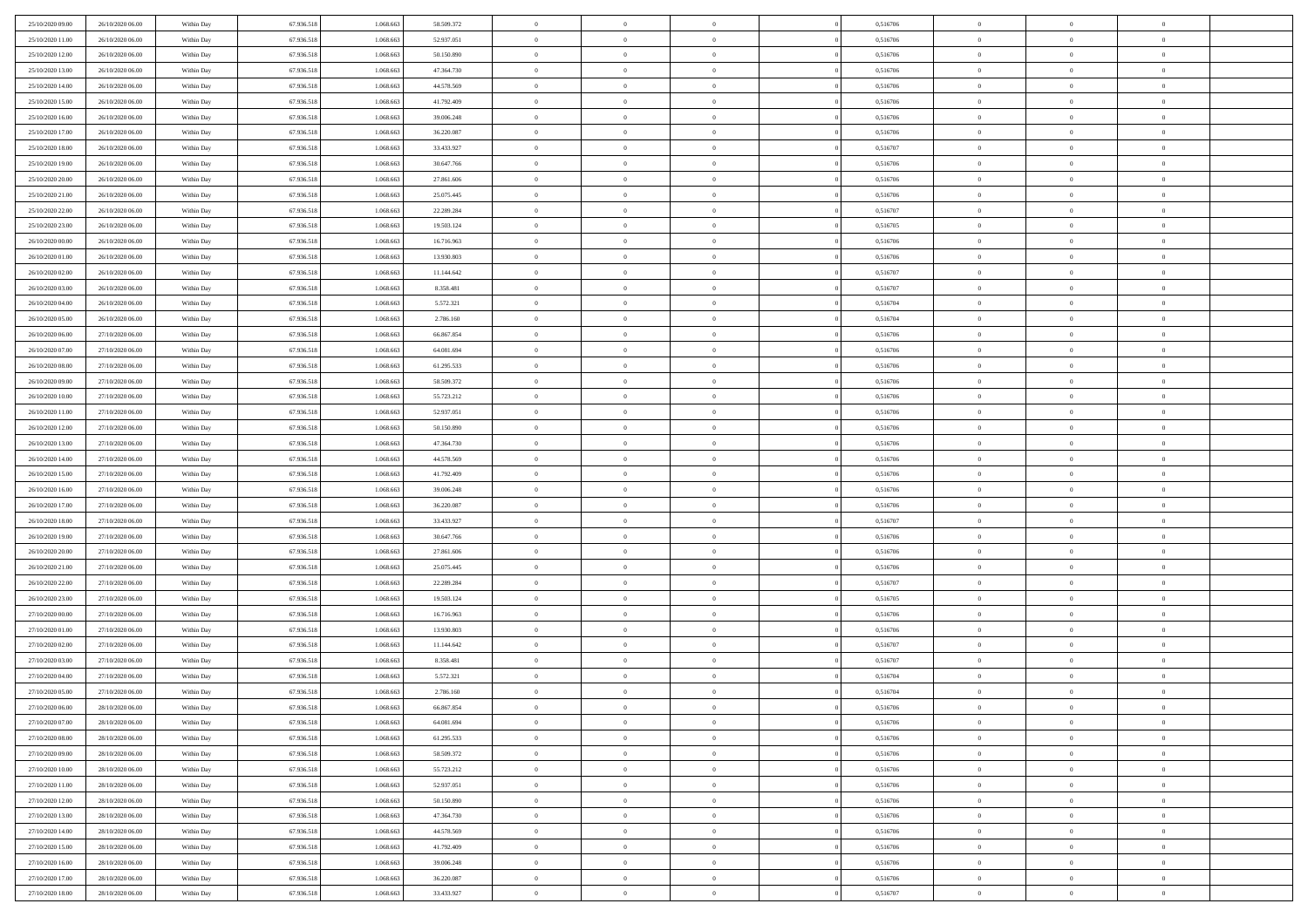| 25/10/2020 09:00<br>26/10/2020 06.00 | Within Day | 67.936.518 | 1.068.663 | 58.509.372 | $\overline{0}$           | $\overline{0}$ | $\Omega$       | 0,516706 | $\bf{0}$                 | $\mathbf{0}$   | $\bf{0}$                  |  |
|--------------------------------------|------------|------------|-----------|------------|--------------------------|----------------|----------------|----------|--------------------------|----------------|---------------------------|--|
| 25/10/2020 11:00<br>26/10/2020 06:00 | Within Day | 67.936.518 | 1.068.663 | 52.937.051 | $\mathbf{0}$             | $\overline{0}$ | $\overline{0}$ | 0,516706 | $\overline{0}$           | $\overline{0}$ | $\theta$                  |  |
| 25/10/2020 12:00<br>26/10/2020 06:00 | Within Day | 67.936.518 | 1.068.663 | 50.150.890 | $\,$ 0                   | $\overline{0}$ | $\bf{0}$       | 0,516706 | $\,$ 0                   | $\overline{0}$ | $\,$ 0 $\,$               |  |
| 25/10/2020 13.00<br>26/10/2020 06.00 | Within Day | 67.936.518 | 1.068.663 | 47.364.730 | $\bf{0}$                 | $\overline{0}$ | $\Omega$       | 0,516706 | $\bf{0}$                 | $\mathbf{0}$   | $\theta$                  |  |
| 25/10/2020 14:00<br>26/10/2020 06:00 | Within Day | 67.936.518 | 1.068.663 | 44.578.569 | $\bf{0}$                 | $\overline{0}$ | $\overline{0}$ | 0,516706 | $\mathbf{0}$             | $\overline{0}$ | $\overline{0}$            |  |
| 25/10/2020 15:00<br>26/10/2020 06:00 | Within Day | 67.936.518 | 1.068.663 | 41.792.409 | $\bf{0}$                 | $\overline{0}$ | $\bf{0}$       | 0,516706 | $\,$ 0                   | $\overline{0}$ | $\,$ 0 $\,$               |  |
| 25/10/2020 16:00<br>26/10/2020 06:00 |            |            |           |            |                          |                | $\Omega$       |          | $\theta$                 | $\mathbf{0}$   | $\theta$                  |  |
|                                      | Within Day | 67.936.518 | 1.068.663 | 39.006.248 | $\bf{0}$                 | $\overline{0}$ |                | 0,516706 |                          |                |                           |  |
| 25/10/2020 17:00<br>26/10/2020 06:00 | Within Day | 67.936.518 | 1.068.663 | 36.220.087 | $\overline{0}$           | $\overline{0}$ | $\overline{0}$ | 0,516706 | $\mathbf{0}$             | $\overline{0}$ | $\overline{0}$            |  |
| 25/10/2020 18:00<br>26/10/2020 06:00 | Within Day | 67.936.518 | 1.068.663 | 33.433.927 | $\bf{0}$                 | $\overline{0}$ | $\bf{0}$       | 0,516707 | $\,$ 0                   | $\overline{0}$ | $\,$ 0 $\,$               |  |
| 25/10/2020 19:00<br>26/10/2020 06.00 | Within Day | 67.936.518 | 1.068.663 | 30.647.766 | $\bf{0}$                 | $\overline{0}$ | $\Omega$       | 0,516706 | $\bf{0}$                 | $\mathbf{0}$   | $\theta$                  |  |
| 25/10/2020 20:00<br>26/10/2020 06:00 | Within Day | 67.936.518 | 1.068.663 | 27.861.606 | $\overline{0}$           | $\overline{0}$ | $\overline{0}$ | 0,516706 | $\mathbf{0}$             | $\overline{0}$ | $\overline{0}$            |  |
| 25/10/2020 21:00<br>26/10/2020 06:00 | Within Day | 67.936.518 | 1.068.663 | 25.075.445 | $\bf{0}$                 | $\overline{0}$ | $\bf{0}$       | 0,516706 | $\,$ 0                   | $\overline{0}$ | $\,$ 0 $\,$               |  |
| 25/10/2020 22.00<br>26/10/2020 06:00 | Within Day | 67.936.518 | 1.068.663 | 22.289.284 | $\bf{0}$                 | $\overline{0}$ | $\Omega$       | 0,516707 | $\overline{0}$           | $\mathbf{0}$   | $\theta$                  |  |
| 25/10/2020 23.00<br>26/10/2020 06:00 | Within Day | 67.936.518 | 1.068.663 | 19.503.124 | $\overline{0}$           | $\overline{0}$ | $\overline{0}$ | 0,516705 | $\mathbf{0}$             | $\overline{0}$ | $\overline{0}$            |  |
| 26/10/2020 00:00<br>26/10/2020 06:00 | Within Day | 67.936.518 | 1.068.663 | 16.716.963 | $\bf{0}$                 | $\overline{0}$ | $\bf{0}$       | 0,516706 | $\,$ 0                   | $\overline{0}$ | $\,$ 0 $\,$               |  |
| 26/10/2020 01:00<br>26/10/2020 06.00 | Within Day | 67.936.518 | 1.068.663 | 13.930.803 | $\bf{0}$                 | $\overline{0}$ | $\Omega$       | 0,516706 | $\bf{0}$                 | $\mathbf{0}$   | $\bf{0}$                  |  |
| 26/10/2020 02:00<br>26/10/2020 06:00 | Within Day | 67.936.518 | 1.068.663 | 11.144.642 | $\overline{0}$           | $\overline{0}$ | $\overline{0}$ | 0,516707 | $\mathbf{0}$             | $\overline{0}$ | $\overline{0}$            |  |
| 26/10/2020 03:00<br>26/10/2020 06:00 | Within Day | 67.936.518 | 1.068.663 | 8.358.481  | $\bf{0}$                 | $\overline{0}$ | $\bf{0}$       | 0,516707 | $\,$ 0                   | $\overline{0}$ | $\,0\,$                   |  |
| 26/10/2020 04:00<br>26/10/2020 06.00 | Within Day | 67.936.518 | 1.068.663 | 5.572.321  | $\bf{0}$                 | $\overline{0}$ | $\Omega$       | 0.516704 | $\theta$                 | $\mathbf{0}$   | $\theta$                  |  |
| 26/10/2020 05:00<br>26/10/2020 06:00 | Within Day | 67.936.518 | 1.068.663 | 2.786.160  | $\overline{0}$           | $\overline{0}$ | $\overline{0}$ | 0,516704 | $\mathbf{0}$             | $\overline{0}$ | $\overline{0}$            |  |
| 26/10/2020 06:00<br>27/10/2020 06:00 | Within Day | 67.936.518 | 1.068.663 | 66.867.854 | $\bf{0}$                 | $\overline{0}$ | $\bf{0}$       | 0,516706 | $\,$ 0                   | $\overline{0}$ | $\,$ 0 $\,$               |  |
| 26/10/2020 07.00<br>27/10/2020 06.00 | Within Day | 67.936.518 | 1.068.663 | 64.081.694 | $\bf{0}$                 | $\overline{0}$ | $\Omega$       | 0.516706 | $\bf{0}$                 | $\mathbf{0}$   | $\theta$                  |  |
| 26/10/2020 08:00<br>27/10/2020 06:00 | Within Day | 67.936.518 | 1.068.663 | 61.295.533 | $\overline{0}$           | $\overline{0}$ | $\overline{0}$ | 0,516706 | $\mathbf{0}$             | $\overline{0}$ | $\overline{0}$            |  |
| 26/10/2020 09:00<br>27/10/2020 06:00 | Within Day | 67.936.518 | 1.068.663 | 58.509.372 | $\bf{0}$                 | $\overline{0}$ | $\bf{0}$       | 0,516706 | $\,$ 0                   | $\overline{0}$ | $\,$ 0 $\,$               |  |
| 26/10/2020 10:00<br>27/10/2020 06:00 | Within Day | 67.936.518 | 1.068.663 | 55.723.212 | $\bf{0}$                 | $\overline{0}$ | $\overline{0}$ | 0,516706 | $\bf{0}$                 | $\overline{0}$ | $\bf{0}$                  |  |
| 26/10/2020 11:00<br>27/10/2020 06:00 | Within Day | 67.936.518 | 1.068.663 | 52.937.051 | $\mathbf{0}$             | $\overline{0}$ | $\overline{0}$ | 0,516706 | $\mathbf{0}$             | $\overline{0}$ | $\overline{0}$            |  |
| 26/10/2020 12:00<br>27/10/2020 06:00 | Within Day | 67.936.518 | 1.068.663 | 50.150.890 | $\bf{0}$                 | $\overline{0}$ | $\bf{0}$       | 0,516706 | $\,$ 0                   | $\overline{0}$ | $\,$ 0 $\,$               |  |
| 26/10/2020 13:00<br>27/10/2020 06.00 | Within Day | 67.936.518 | 1.068.663 | 47.364.730 | $\bf{0}$                 | $\overline{0}$ | $\Omega$       | 0.516706 | $\theta$                 | $\mathbf{0}$   | $\theta$                  |  |
| 26/10/2020 14:00<br>27/10/2020 06:00 | Within Day | 67.936.518 | 1.068.663 | 44.578.569 | $\overline{0}$           | $\overline{0}$ | $\overline{0}$ | 0,516706 | $\mathbf{0}$             | $\overline{0}$ | $\overline{0}$            |  |
|                                      |            |            |           |            | $\bf{0}$                 |                |                |          | $\,$ 0                   | $\overline{0}$ | $\,$ 0 $\,$               |  |
| 26/10/2020 15:00<br>27/10/2020 06:00 | Within Day | 67.936.518 | 1.068.663 | 41.792.409 |                          | $\overline{0}$ | $\bf{0}$       | 0,516706 |                          |                |                           |  |
| 26/10/2020 16:00<br>27/10/2020 06:00 | Within Day | 67.936.518 | 1.068.663 | 39.006.248 | $\,$ 0<br>$\overline{0}$ | $\bf{0}$       | $\overline{0}$ | 0,516706 | $\bf{0}$<br>$\mathbf{0}$ | $\overline{0}$ | $\,0\,$<br>$\overline{0}$ |  |
| 26/10/2020 17:00<br>27/10/2020 06:00 | Within Day | 67.936.518 | 1.068.663 | 36.220.087 |                          | $\overline{0}$ | $\overline{0}$ | 0,516706 |                          | $\overline{0}$ |                           |  |
| 26/10/2020 18:00<br>27/10/2020 06:00 | Within Day | 67.936.518 | 1.068.663 | 33.433.927 | $\bf{0}$                 | $\overline{0}$ | $\bf{0}$       | 0,516707 | $\,$ 0                   | $\overline{0}$ | $\,$ 0 $\,$               |  |
| 26/10/2020 19:00<br>27/10/2020 06:00 | Within Day | 67.936.518 | 1.068.663 | 30.647.766 | $\bf{0}$                 | $\bf{0}$       | $\overline{0}$ | 0,516706 | $\bf{0}$                 | $\overline{0}$ | $\,0\,$                   |  |
| 26/10/2020 20:00<br>27/10/2020 06:00 | Within Day | 67.936.518 | 1.068.663 | 27.861.606 | $\mathbf{0}$             | $\overline{0}$ | $\overline{0}$ | 0,516706 | $\overline{0}$           | $\overline{0}$ | $\overline{0}$            |  |
| 26/10/2020 21:00<br>27/10/2020 06:00 | Within Day | 67.936.518 | 1.068.663 | 25.075.445 | $\bf{0}$                 | $\overline{0}$ | $\bf{0}$       | 0,516706 | $\,$ 0                   | $\overline{0}$ | $\,$ 0 $\,$               |  |
| 26/10/2020 22.00<br>27/10/2020 06:00 | Within Day | 67.936.518 | 1.068.663 | 22.289.284 | $\,$ 0                   | $\bf{0}$       | $\overline{0}$ | 0,516707 | $\bf{0}$                 | $\overline{0}$ | $\,0\,$                   |  |
| 26/10/2020 23:00<br>27/10/2020 06:00 | Within Day | 67.936.518 | 1.068.663 | 19.503.124 | $\overline{0}$           | $\overline{0}$ | $\overline{0}$ | 0,516705 | $\mathbf{0}$             | $\overline{0}$ | $\overline{0}$            |  |
| 27/10/2020 00:00<br>27/10/2020 06:00 | Within Day | 67.936.518 | 1.068.663 | 16.716.963 | $\bf{0}$                 | $\overline{0}$ | $\bf{0}$       | 0,516706 | $\,$ 0                   | $\overline{0}$ | $\,$ 0 $\,$               |  |
| 27/10/2020 01:00<br>27/10/2020 06:00 | Within Day | 67.936.518 | 1.068.663 | 13.930.803 | $\bf{0}$                 | $\bf{0}$       | $\overline{0}$ | 0,516706 | $\bf{0}$                 | $\overline{0}$ | $\,0\,$                   |  |
| 27/10/2020 02:00<br>27/10/2020 06:00 | Within Day | 67.936.518 | 1.068.663 | 11.144.642 | $\mathbf{0}$             | $\overline{0}$ | $\overline{0}$ | 0,516707 | $\overline{0}$           | $\overline{0}$ | $\overline{0}$            |  |
| 27/10/2020 03.00<br>27/10/2020 06:00 | Within Day | 67.936.518 | 1.068.663 | 8.358.481  | $\bf{0}$                 | $\overline{0}$ | $\bf{0}$       | 0,516707 | $\,$ 0                   | $\overline{0}$ | $\,$ 0 $\,$               |  |
| 27/10/2020 04.00<br>27/10/2020 06:00 | Within Day | 67.936.518 | 1.068.663 | 5.572.321  | $\bf{0}$                 | $\bf{0}$       | $\bf{0}$       | 0,516704 | $\bf{0}$                 | $\overline{0}$ | $\,0\,$                   |  |
| 27/10/2020 05:00<br>27/10/2020 06:00 | Within Day | 67.936.518 | 1.068.663 | 2.786.160  | $\mathbf{0}$             | $\overline{0}$ | $\overline{0}$ | 0,516704 | $\overline{0}$           | $\overline{0}$ | $\overline{0}$            |  |
| 27/10/2020 06.00<br>28/10/2020 06:00 | Within Day | 67.936.518 | 1.068.663 | 66.867.854 | $\bf{0}$                 | $\overline{0}$ | $\theta$       | 0,516706 | $\overline{0}$           | $\theta$       | $\theta$                  |  |
| 27/10/2020 07.00<br>28/10/2020 06.00 | Within Day | 67.936.518 | 1.068.663 | 64.081.694 | $\bf{0}$                 | $\bf{0}$       | $\bf{0}$       | 0,516706 | $\bf{0}$                 | $\overline{0}$ | $\bf{0}$                  |  |
| 27/10/2020 08:00<br>28/10/2020 06:00 | Within Day | 67.936.518 | 1.068.663 | 61.295.533 | $\overline{0}$           | $\overline{0}$ | $\overline{0}$ | 0,516706 | $\mathbf{0}$             | $\bf{0}$       | $\overline{0}$            |  |
| 27/10/2020 09:00<br>28/10/2020 06:00 | Within Day | 67.936.518 | 1.068.663 | 58.509.372 | $\,$ 0 $\,$              | $\overline{0}$ | $\overline{0}$ | 0,516706 | $\,$ 0 $\,$              | $\,$ 0 $\,$    | $\,$ 0 $\,$               |  |
| 27/10/2020 10:00<br>28/10/2020 06.00 | Within Day | 67.936.518 | 1.068.663 | 55.723.212 | $\bf{0}$                 | $\bf{0}$       | $\overline{0}$ | 0,516706 | $\bf{0}$                 | $\overline{0}$ | $\bf{0}$                  |  |
| 27/10/2020 11:00<br>28/10/2020 06.00 | Within Day | 67.936.518 | 1.068.663 | 52.937.051 | $\bf{0}$                 | $\overline{0}$ | $\overline{0}$ | 0,516706 | $\mathbf{0}$             | $\bf{0}$       | $\overline{0}$            |  |
| 27/10/2020 12:00<br>28/10/2020 06:00 | Within Day | 67.936.518 | 1.068.663 | 50.150.890 | $\,$ 0 $\,$              | $\overline{0}$ | $\overline{0}$ | 0,516706 | $\,$ 0 $\,$              | $\overline{0}$ | $\,$ 0 $\,$               |  |
| 27/10/2020 13:00<br>28/10/2020 06.00 | Within Day | 67.936.518 | 1.068.663 | 47.364.730 | $\bf{0}$                 | $\overline{0}$ | $\overline{0}$ | 0,516706 | $\bf{0}$                 | $\overline{0}$ | $\overline{0}$            |  |
| 27/10/2020 14.00<br>28/10/2020 06:00 | Within Day | 67.936.518 | 1.068.663 | 44.578.569 | $\overline{0}$           | $\overline{0}$ | $\overline{0}$ | 0,516706 | $\overline{0}$           | $\bf{0}$       | $\overline{0}$            |  |
| 27/10/2020 15:00<br>28/10/2020 06:00 | Within Day | 67.936.518 | 1.068.663 | 41.792.409 | $\,$ 0 $\,$              | $\overline{0}$ | $\overline{0}$ | 0,516706 | $\mathbf{0}$             | $\,$ 0 $\,$    | $\,$ 0 $\,$               |  |
| 27/10/2020 16.00<br>28/10/2020 06.00 | Within Day | 67.936.518 | 1.068.663 | 39.006.248 | $\bf{0}$                 | $\bf{0}$       | $\overline{0}$ | 0,516706 | $\mathbf{0}$             | $\overline{0}$ | $\bf{0}$                  |  |
| 27/10/2020 17:00<br>28/10/2020 06:00 | Within Day | 67.936.518 | 1.068.663 | 36.220.087 | $\bf{0}$                 | $\overline{0}$ | $\overline{0}$ | 0,516706 | $\mathbf{0}$             | $\bf{0}$       | $\overline{0}$            |  |
| 27/10/2020 18:00<br>28/10/2020 06:00 | Within Day | 67.936.518 | 1.068.663 | 33.433.927 | $\,0\,$                  | $\overline{0}$ | $\overline{0}$ | 0,516707 | $\,$ 0                   | $\overline{0}$ | $\,$ 0 $\,$               |  |
|                                      |            |            |           |            |                          |                |                |          |                          |                |                           |  |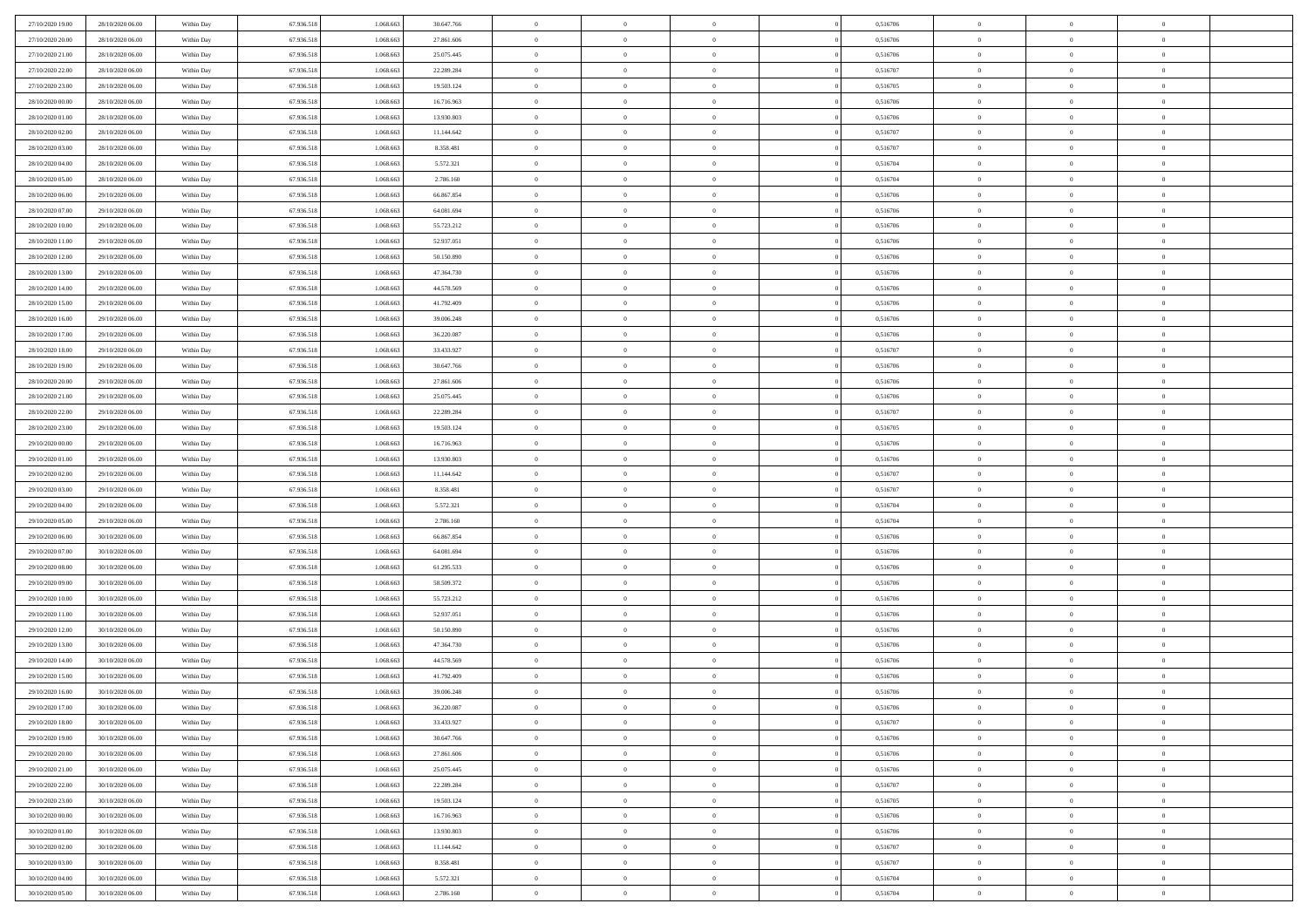| 27/10/2020 19:00 | 28/10/2020 06:00 | Within Day               | 67.936.518 | 1.068.663 | 30.647.766 | $\bf{0}$       | $\overline{0}$ | $\overline{0}$                 |          | 0,516706 | $\bf{0}$       | $\overline{0}$ | $\,0\,$        |  |
|------------------|------------------|--------------------------|------------|-----------|------------|----------------|----------------|--------------------------------|----------|----------|----------------|----------------|----------------|--|
| 27/10/2020 20:00 | 28/10/2020 06:00 | Within Day               | 67.936.518 | 1.068.663 | 27.861.606 | $\theta$       | $\overline{0}$ | $\mathbf{0}$                   |          | 0,516706 | $\theta$       | $\mathbf{0}$   | $\theta$       |  |
| 27/10/2020 21:00 | 28/10/2020 06:00 | Within Dav               | 67.936.518 | 1.068.663 | 25.075.445 | $\theta$       | $\overline{0}$ | $\mathbf{0}$                   |          | 0,516706 | $\mathbf{0}$   | $\overline{0}$ | $\overline{0}$ |  |
| 27/10/2020 22.00 | 28/10/2020 06:00 | Within Day               | 67.936.518 | 1.068.663 | 22.289.284 | $\,$ 0 $\,$    | $\overline{0}$ | $\overline{0}$                 |          | 0,516707 | $\bf{0}$       | $\overline{0}$ | $\bf{0}$       |  |
| 27/10/2020 23.00 | 28/10/2020 06:00 | Within Day               | 67.936.518 | 1.068.663 | 19.503.124 | $\bf{0}$       | $\overline{0}$ | $\mathbf{0}$                   |          | 0,516705 | $\bf{0}$       | $\theta$       | $\,0\,$        |  |
| 28/10/2020 00:00 | 28/10/2020 06:00 | Within Dav               | 67.936.518 | 1.068.663 | 16.716.963 | $\theta$       | $\overline{0}$ | $\mathbf{0}$                   |          | 0,516706 | $\mathbf{0}$   | $\overline{0}$ | $\overline{0}$ |  |
| 28/10/2020 01:00 | 28/10/2020 06:00 | Within Day               | 67.936.518 | 1.068.663 | 13.930.803 | $\,$ 0 $\,$    | $\overline{0}$ | $\overline{0}$                 |          | 0,516706 | $\bf{0}$       | $\overline{0}$ | $\,0\,$        |  |
| 28/10/2020 02:00 | 28/10/2020 06:00 | Within Day               | 67.936.518 | 1.068.663 | 11.144.642 | $\overline{0}$ | $\overline{0}$ | $\mathbf{0}$                   |          | 0,516707 | $\,$ 0 $\,$    | $\overline{0}$ | $\theta$       |  |
| 28/10/2020 03:00 | 28/10/2020 06:00 | Within Day               | 67.936.518 | 1.068.663 | 8.358.481  | $\theta$       | $\overline{0}$ | $\overline{0}$                 |          | 0,516707 | $\mathbf{0}$   | $\bf{0}$       | $\overline{0}$ |  |
| 28/10/2020 04:00 | 28/10/2020 06:00 | Within Day               | 67.936.518 | 1.068.663 | 5.572.321  | $\,$ 0 $\,$    | $\overline{0}$ | $\Omega$                       |          | 0,516704 | $\bf{0}$       | $\overline{0}$ | $\,0\,$        |  |
| 28/10/2020 05:00 | 28/10/2020 06:00 | Within Day               | 67.936.518 | 1.068.663 | 2.786.160  | $\bf{0}$       | $\overline{0}$ | $\mathbf{0}$                   |          | 0,516704 | $\bf{0}$       | $\mathbf{0}$   | $\theta$       |  |
| 28/10/2020 06:00 | 29/10/2020 06:00 | Within Dav               | 67.936.518 | 1.068.663 | 66.867.854 | $\theta$       | $\overline{0}$ | $\mathbf{0}$                   |          | 0,516706 | $\mathbf{0}$   | $\overline{0}$ | $\overline{0}$ |  |
| 28/10/2020 07:00 | 29/10/2020 06:00 | Within Day               | 67.936.518 | 1.068.663 | 64.081.694 | $\,$ 0 $\,$    | $\overline{0}$ | $\overline{0}$                 |          | 0,516706 | $\bf{0}$       | $\overline{0}$ | $\bf{0}$       |  |
| 28/10/2020 10:00 | 29/10/2020 06:00 | Within Day               | 67.936.518 | 1.068.663 | 55.723.212 | $\bf{0}$       | $\overline{0}$ | $\mathbf{0}$                   |          | 0,516706 | $\bf{0}$       | $\theta$       | $\,0\,$        |  |
| 28/10/2020 11:00 | 29/10/2020 06:00 | Within Dav               | 67.936.518 | 1.068.663 | 52.937.051 | $\theta$       | $\overline{0}$ | $\mathbf{0}$                   |          | 0,516706 | $\mathbf{0}$   | $\overline{0}$ | $\overline{0}$ |  |
| 28/10/2020 12:00 | 29/10/2020 06.00 | Within Day               | 67.936.518 | 1.068.663 | 50.150.890 | $\,$ 0 $\,$    | $\overline{0}$ | $\Omega$                       |          | 0,516706 | $\bf{0}$       | $\overline{0}$ | $\bf{0}$       |  |
| 28/10/2020 13:00 | 29/10/2020 06.00 |                          | 67.936.518 | 1.068.663 | 47.364.730 | $\,$ 0         | $\overline{0}$ | $\mathbf{0}$                   |          | 0,516706 | $\bf{0}$       | $\overline{0}$ | $\theta$       |  |
| 28/10/2020 14:00 | 29/10/2020 06:00 | Within Day<br>Within Day | 67.936.518 | 1.068.663 | 44.578.569 | $\theta$       | $\overline{0}$ | $\mathbf{0}$                   |          | 0,516706 | $\mathbf{0}$   | $\overline{0}$ | $\overline{0}$ |  |
| 28/10/2020 15:00 | 29/10/2020 06.00 |                          | 67.936.518 | 1.068.663 | 41.792.409 | $\,$ 0 $\,$    | $\overline{0}$ | $\Omega$                       |          | 0,516706 | $\bf{0}$       | $\overline{0}$ | $\,0\,$        |  |
|                  |                  | Within Day               |            | 1.068.663 |            | $\bf{0}$       |                | $\mathbf{0}$                   |          |          | $\bf{0}$       | $\mathbf{0}$   | $\theta$       |  |
| 28/10/2020 16:00 | 29/10/2020 06:00 | Within Day               | 67.936.518 |           | 39.006.248 | $\theta$       | $\overline{0}$ |                                |          | 0,516706 | $\mathbf{0}$   |                | $\overline{0}$ |  |
| 28/10/2020 17:00 | 29/10/2020 06:00 | Within Dav               | 67.936.518 | 1.068.663 | 36.220.087 |                | $\overline{0}$ | $\mathbf{0}$<br>$\overline{0}$ |          | 0,516706 |                | $\overline{0}$ |                |  |
| 28/10/2020 18:00 | 29/10/2020 06.00 | Within Day               | 67.936.518 | 1.068.663 | 33.433.927 | $\,$ 0 $\,$    | $\overline{0}$ |                                |          | 0,516707 | $\bf{0}$       | $\overline{0}$ | $\bf{0}$       |  |
| 28/10/2020 19:00 | 29/10/2020 06:00 | Within Day               | 67.936.518 | 1.068.663 | 30.647.766 | $\,$ 0         | $\overline{0}$ | $\mathbf{0}$                   |          | 0,516706 | $\bf{0}$       | $\overline{0}$ | $\,0\,$        |  |
| 28/10/2020 20:00 | 29/10/2020 06:00 | Within Dav               | 67.936.518 | 1.068.663 | 27.861.606 | $\theta$       | $\overline{0}$ | $\mathbf{0}$                   |          | 0,516706 | $\mathbf{0}$   | $\overline{0}$ | $\overline{0}$ |  |
| 28/10/2020 21:00 | 29/10/2020 06:00 | Within Day               | 67.936.518 | 1.068.663 | 25.075.445 | $\,$ 0 $\,$    | $\overline{0}$ | $\overline{0}$                 |          | 0,516706 | $\bf{0}$       | $\overline{0}$ | $\,0\,$        |  |
| 28/10/2020 22:00 | 29/10/2020 06.00 | Within Day               | 67.936.518 | 1.068.663 | 22.289.284 | $\,$ 0         | $\overline{0}$ | $\mathbf{0}$                   |          | 0,516707 | $\bf{0}$       | $\overline{0}$ | $\theta$       |  |
| 28/10/2020 23:00 | 29/10/2020 06:00 | Within Day               | 67.936.518 | 1.068.663 | 19.503.124 | $\theta$       | $\overline{0}$ | $\overline{0}$                 |          | 0,516705 | $\mathbf{0}$   | $\bf{0}$       | $\overline{0}$ |  |
| 29/10/2020 00:00 | 29/10/2020 06.00 | Within Day               | 67.936.518 | 1.068.663 | 16.716.963 | $\,$ 0 $\,$    | $\overline{0}$ | $\Omega$                       |          | 0,516706 | $\bf{0}$       | $\overline{0}$ | $\,0\,$        |  |
| 29/10/2020 01:00 | 29/10/2020 06.00 | Within Day               | 67.936.518 | 1.068.663 | 13.930.803 | $\bf{0}$       | $\overline{0}$ | $\mathbf{0}$                   |          | 0,516706 | $\bf{0}$       | $\mathbf{0}$   | $\theta$       |  |
| 29/10/2020 02.00 | 29/10/2020 06:00 | Within Dav               | 67.936.518 | 1.068.663 | 11.144.642 | $\theta$       | $\overline{0}$ | $\overline{0}$                 |          | 0,516707 | $\mathbf{0}$   | $\overline{0}$ | $\overline{0}$ |  |
| 29/10/2020 03:00 | 29/10/2020 06:00 | Within Day               | 67.936.518 | 1.068.663 | 8.358.481  | $\theta$       | $\overline{0}$ | $\overline{0}$                 |          | 0,516707 | $\,$ 0         | $\overline{0}$ | $\,$ 0 $\,$    |  |
| 29/10/2020 04:00 | 29/10/2020 06:00 | Within Day               | 67.936.518 | 1.068.663 | 5.572.321  | $\,$ 0         | $\overline{0}$ | $\mathbf{0}$                   |          | 0,516704 | $\bf{0}$       | $\mathbf{0}$   | $\bf{0}$       |  |
| 29/10/2020 05:00 | 29/10/2020 06:00 | Within Dav               | 67.936.518 | 1.068.663 | 2.786.160  | $\theta$       | $\overline{0}$ | $\mathbf{0}$                   |          | 0,516704 | $\mathbf{0}$   | $\overline{0}$ | $\overline{0}$ |  |
| 29/10/2020 06:00 | 30/10/2020 06:00 | Within Day               | 67.936.518 | 1.068.663 | 66.867.854 | $\theta$       | $\overline{0}$ | $\overline{0}$                 |          | 0,516706 | $\,$ 0         | $\overline{0}$ | $\theta$       |  |
| 29/10/2020 07:00 | 30/10/2020 06:00 | Within Day               | 67.936.518 | 1.068.663 | 64.081.694 | $\bf{0}$       | $\overline{0}$ | $\mathbf{0}$                   |          | 0,516706 | $\mathbf{0}$   | $\overline{0}$ | $\overline{0}$ |  |
| 29/10/2020 08:00 | 30/10/2020 06:00 | Within Day               | 67.936.518 | 1.068.663 | 61.295.533 | $\theta$       | $\overline{0}$ | $\mathbf{0}$                   |          | 0,516706 | $\mathbf{0}$   | $\overline{0}$ | $\overline{0}$ |  |
| 29/10/2020 09:00 | 30/10/2020 06:00 | Within Day               | 67.936.518 | 1.068.663 | 58.509.372 | $\theta$       | $\overline{0}$ | $\overline{0}$                 |          | 0,516706 | $\,$ 0         | $\overline{0}$ | $\theta$       |  |
| 29/10/2020 10:00 | 30/10/2020 06:00 | Within Day               | 67.936.518 | 1.068.663 | 55.723.212 | $\bf{0}$       | $\overline{0}$ | $\mathbf{0}$                   |          | 0,516706 | $\bf{0}$       | $\mathbf{0}$   | $\bf{0}$       |  |
| 29/10/2020 11:00 | 30/10/2020 06:00 | Within Dav               | 67.936.518 | 1.068.663 | 52.937.051 | $\theta$       | $\overline{0}$ | $\mathbf{0}$                   |          | 0,516706 | $\mathbf{0}$   | $\overline{0}$ | $\overline{0}$ |  |
| 29/10/2020 12:00 | 30/10/2020 06:00 | Within Day               | 67.936.518 | 1.068.663 | 50.150.890 | $\,$ 0 $\,$    | $\overline{0}$ | $\overline{0}$                 |          | 0,516706 | $\,$ 0         | $\overline{0}$ | $\,$ 0 $\,$    |  |
| 29/10/2020 13:00 | 30/10/2020 06:00 | Within Day               | 67.936.518 | 1.068.663 | 47.364.730 | $\,$ 0         | $\,$ 0 $\,$    | $\overline{0}$                 |          | 0,516706 | $\,$ 0 $\,$    | $\overline{0}$ | $\bf{0}$       |  |
| 29/10/2020 14:00 | 30/10/2020 06:00 | Within Dav               | 67.936.518 | 1.068.663 | 44.578.569 | $\theta$       | $\overline{0}$ | $\mathbf{0}$                   |          | 0,516706 | $\mathbf{0}$   | $\overline{0}$ | $\theta$       |  |
| 29/10/2020 15:00 | 30/10/2020 06:00 | Within Day               | 67.936.518 | 1.068.663 | 41.792.409 | $\overline{0}$ | $\overline{0}$ | $\overline{0}$                 |          | 0,516706 | $\,$ 0         | $\overline{0}$ | $\theta$       |  |
| 29/10/2020 16:00 | 30/10/2020 06:00 | Within Day               | 67.936.518 | 1.068.663 | 39.006.248 | $\bf{0}$       | $\,$ 0 $\,$    | $\mathbf{0}$                   |          | 0,516706 | $\bf{0}$       | $\overline{0}$ | $\bf{0}$       |  |
| 29/10/2020 17:00 | 30/10/2020 06:00 | Within Day               | 67.936.518 | 1.068.663 | 36.220.087 | $\overline{0}$ | $\theta$       |                                |          | 0,516706 | $\overline{0}$ | $\theta$       | $\theta$       |  |
| 29/10/2020 18:00 | 30/10/2020 06:00 | Within Day               | 67.936.518 | 1.068.663 | 33.433.927 | $\,$ 0 $\,$    | $\overline{0}$ | $\overline{0}$                 |          | 0,516707 | $\,$ 0 $\,$    | $\bf{0}$       | $\theta$       |  |
| 29/10/2020 19:00 | 30/10/2020 06:00 | Within Day               | 67.936.518 | 1.068.663 | 30.647.766 | $\overline{0}$ | $\,$ 0 $\,$    | $\mathbf{0}$                   |          | 0,516706 | $\,$ 0 $\,$    | $\overline{0}$ | $\overline{0}$ |  |
| 29/10/2020 20:00 | 30/10/2020 06:00 | Within Day               | 67.936.518 | 1.068.663 | 27.861.606 | $\mathbf{0}$   | $\overline{0}$ | $\overline{0}$                 |          | 0,516706 | $\,$ 0 $\,$    | $\bf{0}$       | $\mathbf{0}$   |  |
| 29/10/2020 21:00 | 30/10/2020 06:00 | Within Day               | 67.936.518 | 1.068.663 | 25.075.445 | $\,$ 0 $\,$    | $\overline{0}$ | $\overline{0}$                 | $\theta$ | 0,516706 | $\,$ 0 $\,$    | $\bf{0}$       | $\,$ 0 $\,$    |  |
| 29/10/2020 22.00 | 30/10/2020 06:00 | Within Day               | 67.936.518 | 1.068.663 | 22.289.284 | $\,$ 0 $\,$    | $\,$ 0 $\,$    | $\overline{0}$                 |          | 0,516707 | $\,$ 0 $\,$    | $\overline{0}$ | $\overline{0}$ |  |
| 29/10/2020 23:00 | 30/10/2020 06:00 | Within Day               | 67.936.518 | 1.068.663 | 19.503.124 | $\mathbf{0}$   | $\overline{0}$ | $\overline{0}$                 |          | 0,516705 | $\mathbf{0}$   | $\overline{0}$ | $\overline{0}$ |  |
| 30/10/2020 00:00 | 30/10/2020 06:00 | Within Day               | 67.936.518 | 1.068.663 | 16.716.963 | $\,$ 0 $\,$    | $\overline{0}$ | $\overline{0}$                 |          | 0,516706 | $\,$ 0 $\,$    | $\mathbf{0}$   | $\,$ 0 $\,$    |  |
| 30/10/2020 01:00 | 30/10/2020 06:00 | Within Day               | 67.936.518 | 1.068.663 | 13.930.803 | $\bf{0}$       | $\overline{0}$ | $\overline{0}$                 |          | 0,516706 | $\,$ 0 $\,$    | $\overline{0}$ | $\overline{0}$ |  |
| 30/10/2020 02:00 | 30/10/2020 06:00 | Within Day               | 67.936.518 | 1.068.663 | 11.144.642 | $\mathbf{0}$   | $\overline{0}$ | $\overline{0}$                 |          | 0,516707 | $\mathbf{0}$   | $\bf{0}$       | $\overline{0}$ |  |
| 30/10/2020 03:00 | 30/10/2020 06:00 | Within Day               | 67.936.518 | 1.068.663 | 8.358.481  | $\,$ 0 $\,$    | $\overline{0}$ | $\overline{0}$                 |          | 0,516707 | $\,$ 0 $\,$    | $\mathbf{0}$   | $\,$ 0 $\,$    |  |
| 30/10/2020 04:00 | 30/10/2020 06:00 | Within Day               | 67.936.518 | 1.068.663 | 5.572.321  | $\,$ 0 $\,$    | $\,$ 0 $\,$    | $\overline{0}$                 |          | 0,516704 | $\bf{0}$       | $\overline{0}$ | $\overline{0}$ |  |
| 30/10/2020 05:00 | 30/10/2020 06:00 | Within Day               | 67.936.518 | 1.068.663 | 2.786.160  | $\theta$       | $\overline{0}$ | $\overline{0}$                 |          | 0,516704 | $\mathbf{0}$   | $\overline{0}$ | $\overline{0}$ |  |